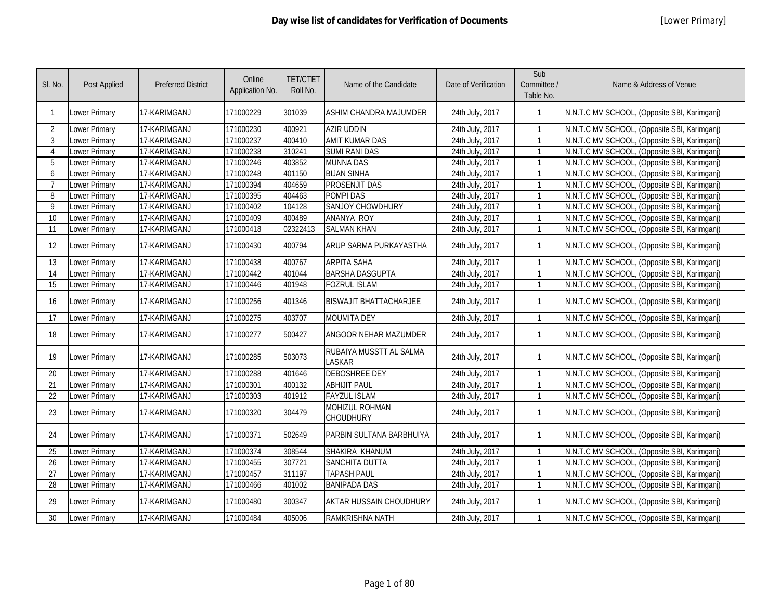| SI. No.                   | Post Applied         | <b>Preferred District</b> | Online<br>Application No. | <b>TET/CTET</b><br>Roll No. | Name of the Candidate                     | Date of Verification | Sub<br>Committee /<br>Table No. | Name & Address of Venue                      |
|---------------------------|----------------------|---------------------------|---------------------------|-----------------------------|-------------------------------------------|----------------------|---------------------------------|----------------------------------------------|
| $\mathbf{1}$              | Lower Primary        | 17-KARIMGANJ              | 171000229                 | 301039                      | ASHIM CHANDRA MAJUMDER                    | 24th July, 2017      | $\mathbf{1}$                    | N.N.T.C MV SCHOOL, (Opposite SBI, Karimganj) |
| $\overline{2}$            | Lower Primary        | 17-KARIMGANJ              | 171000230                 | 400921                      | <b>AZIR UDDIN</b>                         | 24th July, 2017      |                                 | N.N.T.C MV SCHOOL, (Opposite SBI, Karimganj) |
| 3                         | <b>Lower Primary</b> | 17-KARIMGANJ              | 171000237                 | 400410                      | <b>AMIT KUMAR DAS</b>                     | 24th July, 2017      |                                 | N.N.T.C MV SCHOOL, (Opposite SBI, Karimganj) |
| $\boldsymbol{\varLambda}$ | Lower Primary        | 17-KARIMGANJ              | 171000238                 | 310241                      | <b>SUMI RANI DAS</b>                      | 24th July, 2017      | $\mathbf{1}$                    | N.N.T.C MV SCHOOL, (Opposite SBI, Karimganj) |
| 5                         | Lower Primary        | 17-KARIMGANJ              | 171000246                 | 403852                      | <b>MUNNA DAS</b>                          | 24th July, 2017      | $\mathbf{1}$                    | N.N.T.C MV SCHOOL, (Opposite SBI, Karimganj) |
| 6                         | <b>Lower Primary</b> | 17-KARIMGANJ              | 171000248                 | 401150                      | <b>BIJAN SINHA</b>                        | 24th July, 2017      | $\mathbf{1}$                    | N.N.T.C MV SCHOOL, (Opposite SBI, Karimganj) |
| $\overline{7}$            | <b>Lower Primary</b> | 17-KARIMGANJ              | 171000394                 | 404659                      | <b>PROSENJIT DAS</b>                      | 24th July, 2017      |                                 | N.N.T.C MV SCHOOL, (Opposite SBI, Karimganj) |
| 8                         | Lower Primary        | 17-KARIMGANJ              | 171000395                 | 404463                      | POMPI DAS                                 | 24th July, 2017      |                                 | N.N.T.C MV SCHOOL, (Opposite SBI, Karimganj) |
| 9                         | <b>Lower Primary</b> | 17-KARIMGANJ              | 171000402                 | 104128                      | <b>SANJOY CHOWDHURY</b>                   | 24th July, 2017      | $\mathbf{1}$                    | N.N.T.C MV SCHOOL, (Opposite SBI, Karimganj) |
| 10                        | Lower Primary        | 17-KARIMGANJ              | 171000409                 | 400489                      | <b>ANANYA ROY</b>                         | 24th July, 2017      | $\mathbf{1}$                    | N.N.T.C MV SCHOOL, (Opposite SBI, Karimganj) |
| 11                        | <b>Lower Primary</b> | 17-KARIMGANJ              | 171000418                 | 02322413                    | <b>SALMAN KHAN</b>                        | 24th July, 2017      | $\mathbf{1}$                    | N.N.T.C MV SCHOOL, (Opposite SBI, Karimganj) |
| 12                        | <b>Lower Primary</b> | 17-KARIMGANJ              | 171000430                 | 400794                      | ARUP SARMA PURKAYASTHA                    | 24th July, 2017      | $\mathbf{1}$                    | N.N.T.C MV SCHOOL, (Opposite SBI, Karimganj) |
| 13                        | <b>Lower Primary</b> | 17-KARIMGANJ              | 171000438                 | 400767                      | <b>ARPITA SAHA</b>                        | 24th July, 2017      | $\mathbf{1}$                    | N.N.T.C MV SCHOOL, (Opposite SBI, Karimganj) |
| 14                        | <b>Lower Primary</b> | 17-KARIMGANJ              | 171000442                 | 401044                      | <b>BARSHA DASGUPTA</b>                    | 24th July, 2017      | $\mathbf{1}$                    | N.N.T.C MV SCHOOL, (Opposite SBI, Karimganj) |
| 15                        | Lower Primary        | 17-KARIMGANJ              | 171000446                 | 401948                      | <b>FOZRUL ISLAM</b>                       | 24th July, 2017      | $\mathbf{1}$                    | N.N.T.C MV SCHOOL, (Opposite SBI, Karimganj) |
| 16                        | <b>Lower Primary</b> | 17-KARIMGANJ              | 171000256                 | 401346                      | <b>BISWAJIT BHATTACHARJEE</b>             | 24th July, 2017      | $\mathbf{1}$                    | N.N.T.C MV SCHOOL, (Opposite SBI, Karimganj) |
| 17                        | Lower Primary        | 17-KARIMGANJ              | 171000275                 | 403707                      | <b>MOUMITA DEY</b>                        | 24th July, 2017      | $\mathbf{1}$                    | N.N.T.C MV SCHOOL, (Opposite SBI, Karimganj) |
| 18                        | Lower Primary        | 17-KARIMGANJ              | 171000277                 | 500427                      | ANGOOR NEHAR MAZUMDER                     | 24th July, 2017      | $\mathbf{1}$                    | N.N.T.C MV SCHOOL, (Opposite SBI, Karimganj) |
| 19                        | Lower Primary        | 17-KARIMGANJ              | 171000285                 | 503073                      | RUBAIYA MUSSTT AL SALMA<br><b>LASKAR</b>  | 24th July, 2017      | $\mathbf{1}$                    | N.N.T.C MV SCHOOL, (Opposite SBI, Karimganj) |
| 20                        | <b>Lower Primary</b> | 17-KARIMGANJ              | 171000288                 | 401646                      | <b>DEBOSHREE DEY</b>                      | 24th July, 2017      | $\mathbf{1}$                    | N.N.T.C MV SCHOOL, (Opposite SBI, Karimganj) |
| 21                        | Lower Primary        | 17-KARIMGANJ              | 171000301                 | 400132                      | <b>ABHIJIT PAUL</b>                       | 24th July, 2017      | $\mathbf{1}$                    | N.N.T.C MV SCHOOL, (Opposite SBI, Karimganj) |
| 22                        | <b>Lower Primary</b> | 17-KARIMGANJ              | 171000303                 | 401912                      | <b>FAYZUL ISLAM</b>                       | 24th July, 2017      |                                 | N.N.T.C MV SCHOOL, (Opposite SBI, Karimganj) |
| 23                        | Lower Primary        | 17-KARIMGANJ              | 171000320                 | 304479                      | <b>MOHIZUL ROHMAN</b><br><b>CHOUDHURY</b> | 24th July, 2017      | $\mathbf{1}$                    | N.N.T.C MV SCHOOL, (Opposite SBI, Karimganj) |
| 24                        | Lower Primary        | 17-KARIMGANJ              | 171000371                 | 502649                      | PARBIN SULTANA BARBHUIYA                  | 24th July, 2017      | $\mathbf{1}$                    | N.N.T.C MV SCHOOL, (Opposite SBI, Karimganj) |
| 25                        | <b>Lower Primary</b> | 17-KARIMGANJ              | 171000374                 | 308544                      | SHAKIRA KHANUM                            | 24th July, 2017      |                                 | N.N.T.C MV SCHOOL, (Opposite SBI, Karimganj) |
| 26                        | <b>Lower Primary</b> | 17-KARIMGANJ              | 171000455                 | 307721                      | <b>SANCHITA DUTTA</b>                     | 24th July, 2017      |                                 | N.N.T.C MV SCHOOL, (Opposite SBI, Karimganj) |
| 27                        | Lower Primary        | 17-KARIMGANJ              | 171000457                 | 311197                      | <b>TAPASH PAUL</b>                        | 24th July, 2017      |                                 | N.N.T.C MV SCHOOL, (Opposite SBI, Karimganj) |
| 28                        | <b>Lower Primary</b> | 17-KARIMGANJ              | 171000466                 | 401002                      | <b>BANIPADA DAS</b>                       | 24th July, 2017      | $\mathbf{1}$                    | N.N.T.C MV SCHOOL, (Opposite SBI, Karimganj) |
| 29                        | <b>Lower Primary</b> | 17-KARIMGANJ              | 171000480                 | 300347                      | AKTAR HUSSAIN CHOUDHURY                   | 24th July, 2017      | $\mathbf{1}$                    | N.N.T.C MV SCHOOL, (Opposite SBI, Karimganj) |
| 30                        | Lower Primary        | 17-KARIMGANJ              | 171000484                 | 405006                      | RAMKRISHNA NATH                           | 24th July, 2017      |                                 | N.N.T.C MV SCHOOL, (Opposite SBI, Karimganj) |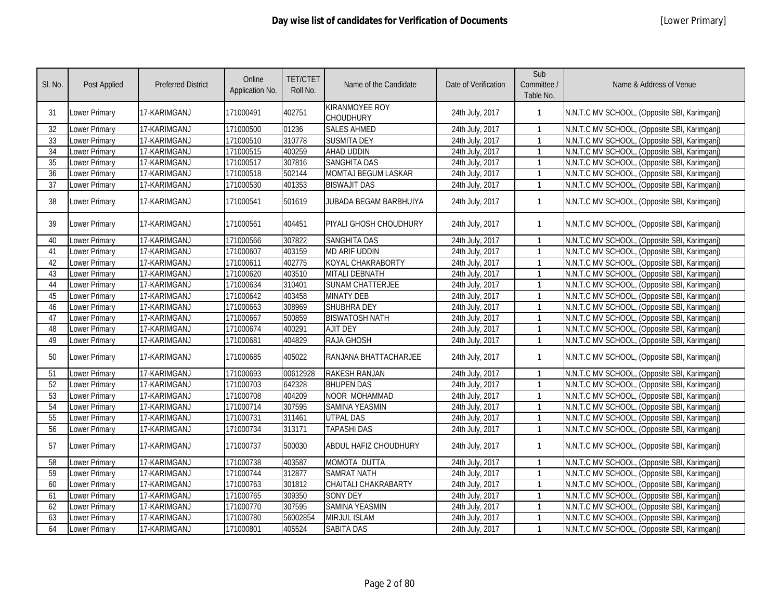| SI. No. | <b>Post Applied</b>  | <b>Preferred District</b> | Online<br>Application No. | <b>TET/CTET</b><br>Roll No. | Name of the Candidate                     | Date of Verification | Sub<br>Committee /<br>Table No. | Name & Address of Venue                      |
|---------|----------------------|---------------------------|---------------------------|-----------------------------|-------------------------------------------|----------------------|---------------------------------|----------------------------------------------|
| 31      | <b>Lower Primary</b> | 17-KARIMGANJ              | 171000491                 | 402751                      | <b>KIRANMOYEE ROY</b><br><b>CHOUDHURY</b> | 24th July, 2017      | -1                              | N.N.T.C MV SCHOOL, (Opposite SBI, Karimganj) |
| 32      | Lower Primary        | 17-KARIMGANJ              | 171000500                 | 01236                       | <b>SALES AHMED</b>                        | 24th July, 2017      | -1                              | N.N.T.C MV SCHOOL, (Opposite SBI, Karimganj) |
| 33      | Lower Primary        | 17-KARIMGANJ              | 171000510                 | 310778                      | <b>SUSMITA DEY</b>                        | 24th July, 2017      | $\mathbf{1}$                    | N.N.T.C MV SCHOOL, (Opposite SBI, Karimgani) |
| 34      | Lower Primary        | 17-KARIMGANJ              | 171000515                 | 400259                      | AHAD UDDIN                                | 24th July, 2017      | $\mathbf{1}$                    | N.N.T.C MV SCHOOL, (Opposite SBI, Karimganj) |
| 35      | Lower Primary        | 17-KARIMGANJ              | 171000517                 | 307816                      | <b>SANGHITA DAS</b>                       | 24th July, 2017      | $\mathbf{1}$                    | N.N.T.C MV SCHOOL, (Opposite SBI, Karimganj) |
| 36      | Lower Primary        | 17-KARIMGANJ              | 171000518                 | 502144                      | <b>MOMTAJ BEGUM LASKAR</b>                | 24th July, 2017      | $\mathbf 1$                     | N.N.T.C MV SCHOOL, (Opposite SBI, Karimganj) |
| 37      | Lower Primary        | 17-KARIMGANJ              | 171000530                 | 401353                      | <b>BISWAJIT DAS</b>                       | 24th July, 2017      | $\mathbf{1}$                    | N.N.T.C MV SCHOOL, (Opposite SBI, Karimganj) |
| 38      | Lower Primary        | 17-KARIMGANJ              | 171000541                 | 501619                      | JUBADA BEGAM BARBHUIYA                    | 24th July, 2017      | -1                              | N.N.T.C MV SCHOOL, (Opposite SBI, Karimganj) |
| 39      | Lower Primary        | 17-KARIMGANJ              | 171000561                 | 404451                      | PIYALI GHOSH CHOUDHURY                    | 24th July, 2017      | $\mathbf{1}$                    | N.N.T.C MV SCHOOL, (Opposite SBI, Karimganj) |
| 40      | <b>Lower Primary</b> | 17-KARIMGANJ              | 171000566                 | 307822                      | <b>SANGHITA DAS</b>                       | 24th July, 2017      |                                 | N.N.T.C MV SCHOOL, (Opposite SBI, Karimganj) |
| 41      | Lower Primary        | 17-KARIMGANJ              | 171000607                 | 403159                      | <b>MD ARIF UDDIN</b>                      | 24th July, 2017      |                                 | N.N.T.C MV SCHOOL, (Opposite SBI, Karimganj) |
| 42      | Lower Primary        | 17-KARIMGANJ              | 171000611                 | 402775                      | KOYAL CHAKRABORTY                         | 24th July, 2017      | $\mathbf{1}$                    | N.N.T.C MV SCHOOL, (Opposite SBI, Karimganj) |
| 43      | Lower Primary        | 17-KARIMGANJ              | 171000620                 | 403510                      | <b>MITALI DEBNATH</b>                     | 24th July, 2017      | $\mathbf{1}$                    | N.N.T.C MV SCHOOL, (Opposite SBI, Karimganj) |
| 44      | Lower Primary        | 17-KARIMGANJ              | 171000634                 | 310401                      | <b>SUNAM CHATTERJEE</b>                   | 24th July, 2017      | $\mathbf{1}$                    | N.N.T.C MV SCHOOL, (Opposite SBI, Karimganj) |
| 45      | Lower Primary        | 17-KARIMGANJ              | 171000642                 | 403458                      | <b>MINATY DEB</b>                         | 24th July, 2017      | $\mathbf{1}$                    | N.N.T.C MV SCHOOL, (Opposite SBI, Karimganj) |
| 46      | Lower Primary        | 17-KARIMGANJ              | 171000663                 | 308969                      | SHUBHRA DEY                               | 24th July, 2017      | $\mathbf{1}$                    | N.N.T.C MV SCHOOL, (Opposite SBI, Karimganj) |
| 47      | <b>Lower Primary</b> | 17-KARIMGANJ              | 171000667                 | 500859                      | <b>BISWATOSH NATH</b>                     | 24th July, 2017      | $\mathbf{1}$                    | N.N.T.C MV SCHOOL, (Opposite SBI, Karimganj) |
| 48      | <b>Lower Primary</b> | 17-KARIMGANJ              | 171000674                 | 400291                      | <b>AJIT DEY</b>                           | 24th July, 2017      | $\mathbf{1}$                    | N.N.T.C MV SCHOOL, (Opposite SBI, Karimganj) |
| 49      | Lower Primary        | 17-KARIMGANJ              | 171000681                 | 404829                      | <b>RAJA GHOSH</b>                         | 24th July, 2017      | $\mathbf{1}$                    | N.N.T.C MV SCHOOL, (Opposite SBI, Karimganj) |
| 50      | Lower Primary        | 17-KARIMGANJ              | 171000685                 | 405022                      | RANJANA BHATTACHARJEE                     | 24th July, 2017      | $\mathbf{1}$                    | N.N.T.C MV SCHOOL, (Opposite SBI, Karimganj) |
| 51      | Lower Primary        | 17-KARIMGANJ              | 171000693                 | 00612928                    | <b>RAKESH RANJAN</b>                      | 24th July, 2017      | $\mathbf{1}$                    | N.N.T.C MV SCHOOL, (Opposite SBI, Karimgani) |
| 52      | Lower Primary        | 17-KARIMGANJ              | 171000703                 | 642328                      | <b>BHUPEN DAS</b>                         | 24th July, 2017      | $\mathbf{1}$                    | N.N.T.C MV SCHOOL, (Opposite SBI, Karimgani) |
| 53      | Lower Primary        | 17-KARIMGANJ              | 171000708                 | 404209                      | NOOR MOHAMMAD                             | 24th July, 2017      | $\mathbf{1}$                    | N.N.T.C MV SCHOOL, (Opposite SBI, Karimganj) |
| 54      | Lower Primary        | 17-KARIMGANJ              | 171000714                 | 307595                      | <b>SAMINA YEASMIN</b>                     | 24th July, 2017      | $\mathbf{1}$                    | N.N.T.C MV SCHOOL, (Opposite SBI, Karimganj) |
| 55      | Lower Primary        | 17-KARIMGANJ              | 171000731                 | 311461                      | <b>UTPAL DAS</b>                          | 24th July, 2017      | $\mathbf{1}$                    | N.N.T.C MV SCHOOL, (Opposite SBI, Karimganj) |
| 56      | Lower Primary        | 17-KARIMGANJ              | 171000734                 | 313171                      | <b>TAPASHI DAS</b>                        | 24th July, 2017      | $\mathbf{1}$                    | N.N.T.C MV SCHOOL, (Opposite SBI, Karimganj) |
| 57      | Lower Primary        | 17-KARIMGANJ              | 171000737                 | 500030                      | <b>ABDUL HAFIZ CHOUDHURY</b>              | 24th July, 2017      | $\mathbf{1}$                    | N.N.T.C MV SCHOOL, (Opposite SBI, Karimganj) |
| 58      | Lower Primary        | 17-KARIMGANJ              | 171000738                 | 403587                      | <b>MOMOTA DUTTA</b>                       | 24th July, 2017      | $\mathbf{1}$                    | N.N.T.C MV SCHOOL, (Opposite SBI, Karimganj) |
| 59      | <b>Lower Primary</b> | 17-KARIMGANJ              | 171000744                 | 312877                      | <b>SAMRAT NATH</b>                        | 24th July, 2017      | -1                              | N.N.T.C MV SCHOOL, (Opposite SBI, Karimganj) |
| 60      | Lower Primary        | 17-KARIMGANJ              | 171000763                 | 301812                      | CHAITALI CHAKRABARTY                      | 24th July, 2017      | -1                              | N.N.T.C MV SCHOOL, (Opposite SBI, Karimganj) |
| 61      | Lower Primary        | 17-KARIMGANJ              | 171000765                 | 309350                      | <b>SONY DEY</b>                           | 24th July, 2017      | -1                              | N.N.T.C MV SCHOOL, (Opposite SBI, Karimganj) |
| 62      | Lower Primary        | 17-KARIMGANJ              | 171000770                 | 307595                      | <b>SAMINA YEASMIN</b>                     | 24th July, 2017      | $\mathbf{1}$                    | N.N.T.C MV SCHOOL, (Opposite SBI, Karimganj) |
| 63      | Lower Primary        | 17-KARIMGANJ              | 171000780                 | 56002854                    | <b>MIRJUL ISLAM</b>                       | 24th July, 2017      | $\mathbf{1}$                    | N.N.T.C MV SCHOOL, (Opposite SBI, Karimganj) |
| 64      | <b>Lower Primary</b> | 17-KARIMGANJ              | 171000801                 | 405524                      | <b>SABITA DAS</b>                         | 24th July, 2017      | $\mathbf{1}$                    | N.N.T.C MV SCHOOL, (Opposite SBI, Karimganj) |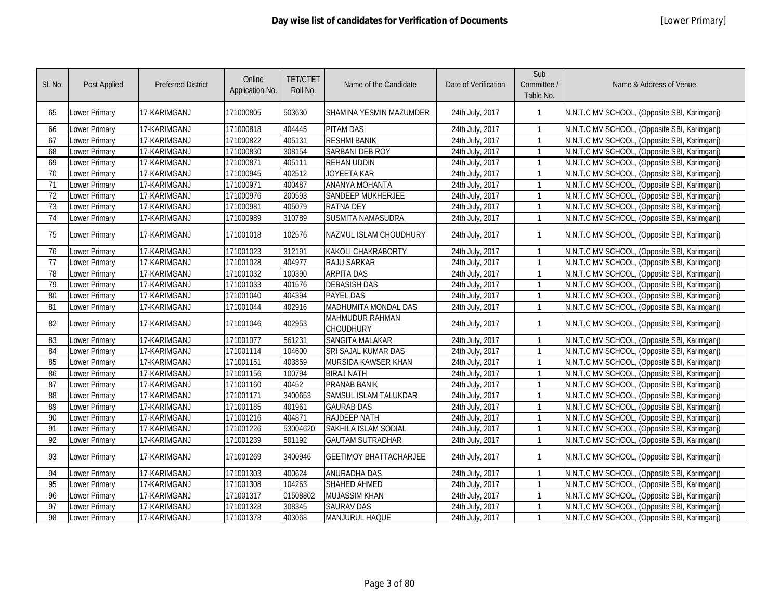| SI. No.         | Post Applied         | <b>Preferred District</b> | Online<br>Application No. | <b>TET/CTET</b><br>Roll No. | Name of the Candidate               | Date of Verification | Sub<br>Committee /<br>Table No. | Name & Address of Venue                      |
|-----------------|----------------------|---------------------------|---------------------------|-----------------------------|-------------------------------------|----------------------|---------------------------------|----------------------------------------------|
| 65              | Lower Primary        | 17-KARIMGANJ              | 171000805                 | 503630                      | SHAMINA YESMIN MAZUMDER             | 24th July, 2017      | 1                               | N.N.T.C MV SCHOOL, (Opposite SBI, Karimganj) |
| 66              | Lower Primary        | 17-KARIMGANJ              | 171000818                 | 404445                      | <b>PITAM DAS</b>                    | 24th July, 2017      |                                 | N.N.T.C MV SCHOOL, (Opposite SBI, Karimganj) |
| 67              | Lower Primary        | 17-KARIMGANJ              | 171000822                 | 405131                      | <b>RESHMI BANIK</b>                 | 24th July, 2017      |                                 | N.N.T.C MV SCHOOL, (Opposite SBI, Karimganj) |
| 68              | Lower Primary        | 17-KARIMGANJ              | 171000830                 | 308154                      | <b>SARBANI DEB ROY</b>              | 24th July, 2017      | $\mathbf{1}$                    | N.N.T.C MV SCHOOL, (Opposite SBI, Karimganj) |
| 69              | Lower Primary        | 17-KARIMGANJ              | 171000871                 | 405111                      | <b>REHAN UDDIN</b>                  | 24th July, 2017      | $\mathbf{1}$                    | N.N.T.C MV SCHOOL, (Opposite SBI, Karimganj) |
| 70              | Lower Primary        | 17-KARIMGANJ              | 171000945                 | 402512                      | JOYEETA KAR                         | 24th July, 2017      | $\mathbf{1}$                    | N.N.T.C MV SCHOOL, (Opposite SBI, Karimganj) |
| 71              | Lower Primary        | 17-KARIMGANJ              | 171000971                 | 400487                      | <b>ANANYA MOHANTA</b>               | 24th July, 2017      | $\mathbf{1}$                    | N.N.T.C MV SCHOOL, (Opposite SBI, Karimganj) |
| $\overline{72}$ | Lower Primary        | 17-KARIMGANJ              | 171000976                 | 200593                      | <b>SANDEEP MUKHERJEE</b>            | 24th July, 2017      | $\mathbf{1}$                    | N.N.T.C MV SCHOOL, (Opposite SBI, Karimganj) |
| 73              | Lower Primary        | 17-KARIMGANJ              | 171000981                 | 405079                      | <b>RATNA DEY</b>                    | 24th July, 2017      | $\mathbf{1}$                    | N.N.T.C MV SCHOOL, (Opposite SBI, Karimganj) |
| 74              | Lower Primary        | 17-KARIMGANJ              | 171000989                 | 310789                      | SUSMITA NAMASUDRA                   | 24th July, 2017      | $\mathbf{1}$                    | N.N.T.C MV SCHOOL, (Opposite SBI, Karimganj) |
| 75              | Lower Primary        | 17-KARIMGANJ              | 171001018                 | 102576                      | NAZMUL ISLAM CHOUDHURY              | 24th July, 2017      | $\mathbf{1}$                    | N.N.T.C MV SCHOOL, (Opposite SBI, Karimganj) |
| 76              | Lower Primary        | 17-KARIMGANJ              | 171001023                 | 312191                      | <b>KAKOLI CHAKRABORTY</b>           | 24th July, 2017      | 1                               | N.N.T.C MV SCHOOL, (Opposite SBI, Karimganj) |
| 77              | Lower Primary        | 17-KARIMGANJ              | 171001028                 | 404977                      | RAJU SARKAR                         | 24th July, 2017      | $\mathbf{1}$                    | N.N.T.C MV SCHOOL, (Opposite SBI, Karimganj) |
| 78              | Lower Primary        | 17-KARIMGANJ              | 171001032                 | 100390                      | <b>ARPITA DAS</b>                   | 24th July, 2017      | $\mathbf{1}$                    | N.N.T.C MV SCHOOL, (Opposite SBI, Karimganj) |
| 79              | <b>Lower Primary</b> | 17-KARIMGANJ              | 171001033                 | 401576                      | <b>DEBASISH DAS</b>                 | 24th July, 2017      | $\mathbf{1}$                    | N.N.T.C MV SCHOOL, (Opposite SBI, Karimganj) |
| 80              | <b>Lower Primary</b> | 17-KARIMGANJ              | 171001040                 | 404394                      | <b>PAYEL DAS</b>                    | 24th July, 2017      | 1                               | N.N.T.C MV SCHOOL, (Opposite SBI, Karimganj) |
| 81              | Lower Primary        | 17-KARIMGANJ              | 171001044                 | 402916                      | MADHUMITA MONDAL DAS                | 24th July, 2017      | $\mathbf{1}$                    | N.N.T.C MV SCHOOL, (Opposite SBI, Karimganj) |
| 82              | Lower Primary        | 17-KARIMGANJ              | 171001046                 | 402953                      | MAHMUDUR RAHMAN<br><b>CHOUDHURY</b> | 24th July, 2017      | $\mathbf{1}$                    | N.N.T.C MV SCHOOL, (Opposite SBI, Karimganj) |
| 83              | Lower Primary        | 17-KARIMGANJ              | 171001077                 | 561231                      | <b>SANGITA MALAKAR</b>              | 24th July, 2017      | $\mathbf{1}$                    | N.N.T.C MV SCHOOL, (Opposite SBI, Karimganj) |
| 84              | Lower Primary        | 17-KARIMGANJ              | 171001114                 | 104600                      | <b>SRI SAJAL KUMAR DAS</b>          | 24th July, 2017      |                                 | N.N.T.C MV SCHOOL, (Opposite SBI, Karimganj) |
| 85              | Lower Primary        | 17-KARIMGANJ              | 171001151                 | 403859                      | MURSIDA KAWSER KHAN                 | 24th July, 2017      | $\mathbf{1}$                    | N.N.T.C MV SCHOOL, (Opposite SBI, Karimganj) |
| 86              | Lower Primary        | 17-KARIMGANJ              | 171001156                 | 100794                      | <b>BIRAJ NATH</b>                   | 24th July, 2017      | $\mathbf{1}$                    | N.N.T.C MV SCHOOL, (Opposite SBI, Karimganj) |
| 87              | Lower Primary        | 17-KARIMGANJ              | 171001160                 | 40452                       | <b>PRANAB BANIK</b>                 | 24th July, 2017      | $\mathbf{1}$                    | N.N.T.C MV SCHOOL, (Opposite SBI, Karimganj) |
| 88              | Lower Primary        | 17-KARIMGANJ              | 171001171                 | 3400653                     | <b>SAMSUL ISLAM TALUKDAR</b>        | 24th July, 2017      | $\mathbf{1}$                    | N.N.T.C MV SCHOOL, (Opposite SBI, Karimganj) |
| 89              | Lower Primary        | 17-KARIMGANJ              | 171001185                 | 401961                      | <b>GAURAB DAS</b>                   | 24th July, 2017      | $\mathbf{1}$                    | N.N.T.C MV SCHOOL, (Opposite SBI, Karimganj) |
| 90              | Lower Primary        | 17-KARIMGANJ              | 171001216                 | 404871                      | <b>RAJDEEP NATH</b>                 | 24th July, 2017      | $\mathbf{1}$                    | N.N.T.C MV SCHOOL, (Opposite SBI, Karimganj) |
| 91              | Lower Primary        | 17-KARIMGANJ              | 171001226                 | 53004620                    | <b>SAKHILA ISLAM SODIAL</b>         | 24th July, 2017      | $\mathbf{1}$                    | N.N.T.C MV SCHOOL, (Opposite SBI, Karimganj) |
| 92              | Lower Primary        | 17-KARIMGANJ              | 171001239                 | 501192                      | <b>GAUTAM SUTRADHAR</b>             | 24th July, 2017      | $\mathbf{1}$                    | N.N.T.C MV SCHOOL, (Opposite SBI, Karimganj) |
| 93              | Lower Primary        | 17-KARIMGANJ              | 171001269                 | 3400946                     | <b>GEETIMOY BHATTACHARJEE</b>       | 24th July, 2017      | $\mathbf{1}$                    | N.N.T.C MV SCHOOL, (Opposite SBI, Karimganj) |
| 94              | <b>Lower Primary</b> | 17-KARIMGANJ              | 171001303                 | 400624                      | <b>ANURADHA DAS</b>                 | 24th July, 2017      |                                 | N.N.T.C MV SCHOOL, (Opposite SBI, Karimganj) |
| 95              | <b>Lower Primary</b> | 17-KARIMGANJ              | 171001308                 | 104263                      | SHAHED AHMED                        | 24th July, 2017      | $\mathbf{1}$                    | N.N.T.C MV SCHOOL, (Opposite SBI, Karimganj) |
| 96              | Lower Primary        | 17-KARIMGANJ              | 171001317                 | 01508802                    | <b>MUJASSIM KHAN</b>                | 24th July, 2017      | $\mathbf{1}$                    | N.N.T.C MV SCHOOL, (Opposite SBI, Karimganj) |
| 97              | Lower Primary        | 17-KARIMGANJ              | 171001328                 | 308345                      | <b>SAURAV DAS</b>                   | 24th July, 2017      | $\mathbf{1}$                    | N.N.T.C MV SCHOOL, (Opposite SBI, Karimganj) |
| 98              | Lower Primary        | 17-KARIMGANJ              | 171001378                 | 403068                      | <b>MANJURUL HAQUE</b>               | 24th July, 2017      |                                 | N.N.T.C MV SCHOOL, (Opposite SBI, Karimganj) |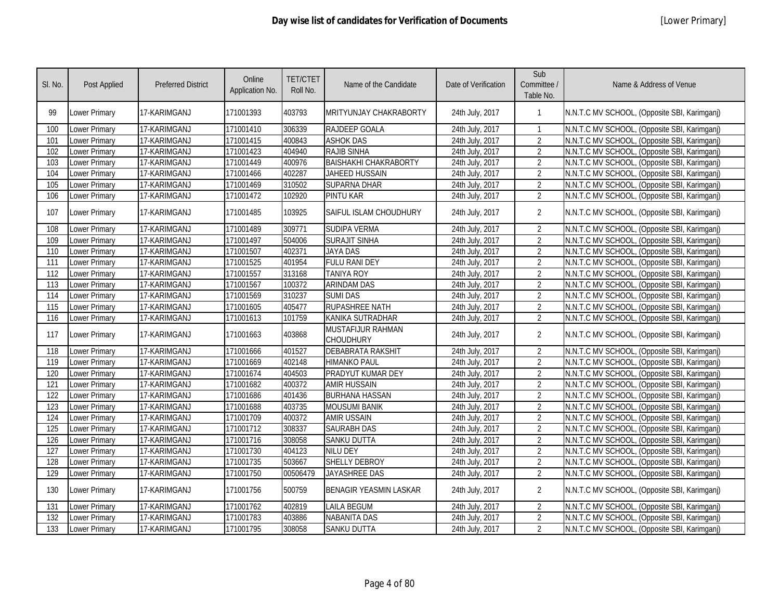| SI. No. | Post Applied         | <b>Preferred District</b> | Online<br>Application No. | <b>TET/CTET</b><br>Roll No. | Name of the Candidate                 | Date of Verification | Sub<br>Committee /<br>Table No. | Name & Address of Venue                      |
|---------|----------------------|---------------------------|---------------------------|-----------------------------|---------------------------------------|----------------------|---------------------------------|----------------------------------------------|
| 99      | Lower Primary        | 17-KARIMGANJ              | 171001393                 | 403793                      | <b>MRITYUNJAY CHAKRABORTY</b>         | 24th July, 2017      | -1                              | N.N.T.C MV SCHOOL, (Opposite SBI, Karimganj) |
| 100     | Lower Primary        | 17-KARIMGANJ              | 171001410                 | 306339                      | RAJDEEP GOALA                         | 24th July, 2017      | $\mathbf{1}$                    | N.N.T.C MV SCHOOL, (Opposite SBI, Karimganj) |
| 101     | Lower Primary        | 17-KARIMGANJ              | 171001415                 | 400843                      | <b>ASHOK DAS</b>                      | 24th July, 2017      | $\overline{2}$                  | N.N.T.C MV SCHOOL, (Opposite SBI, Karimganj) |
| 102     | Lower Primary        | 17-KARIMGANJ              | 171001423                 | 404940                      | RAJIB SINHA                           | 24th July, 2017      | $\overline{2}$                  | N.N.T.C MV SCHOOL, (Opposite SBI, Karimganj) |
| 103     | Lower Primary        | 17-KARIMGANJ              | 171001449                 | 400976                      | <b>BAISHAKHI CHAKRABORTY</b>          | 24th July, 2017      | $\overline{2}$                  | N.N.T.C MV SCHOOL, (Opposite SBI, Karimganj) |
| 104     | Lower Primary        | 17-KARIMGANJ              | 171001466                 | 402287                      | JAHEED HUSSAIN                        | 24th July, 2017      | $\overline{2}$                  | N.N.T.C MV SCHOOL, (Opposite SBI, Karimganj) |
| 105     | Lower Primary        | 17-KARIMGANJ              | 171001469                 | 310502                      | <b>SUPARNA DHAR</b>                   | 24th July, 2017      | $\overline{2}$                  | N.N.T.C MV SCHOOL, (Opposite SBI, Karimganj) |
| 106     | Lower Primary        | 17-KARIMGANJ              | 171001472                 | 102920                      | <b>PINTU KAR</b>                      | 24th July, 2017      | $\overline{2}$                  | N.N.T.C MV SCHOOL, (Opposite SBI, Karimganj) |
| 107     | Lower Primary        | 17-KARIMGANJ              | 171001485                 | 103925                      | SAIFUL ISLAM CHOUDHURY                | 24th July, 2017      | $\overline{2}$                  | N.N.T.C MV SCHOOL, (Opposite SBI, Karimganj) |
| 108     | Lower Primary        | 17-KARIMGANJ              | 171001489                 | 309771                      | <b>SUDIPA VERMA</b>                   | 24th July, 2017      | $\overline{2}$                  | N.N.T.C MV SCHOOL, (Opposite SBI, Karimganj) |
| 109     | Lower Primary        | 17-KARIMGANJ              | 171001497                 | 504006                      | <b>SURAJIT SINHA</b>                  | 24th July, 2017      | $\overline{2}$                  | N.N.T.C MV SCHOOL, (Opposite SBI, Karimganj) |
| 110     | Lower Primary        | 17-KARIMGANJ              | 171001507                 | 402371                      | <b>JAYA DAS</b>                       | 24th July, 2017      | $\overline{2}$                  | N.N.T.C MV SCHOOL, (Opposite SBI, Karimganj) |
| 111     | Lower Primary        | 17-KARIMGANJ              | 171001525                 | 401954                      | <b>FULU RANI DEY</b>                  | 24th July, 2017      | $\overline{2}$                  | N.N.T.C MV SCHOOL, (Opposite SBI, Karimganj) |
| 112     | Lower Primary        | 17-KARIMGANJ              | 171001557                 | 313168                      | <b>TANIYA ROY</b>                     | 24th July, 2017      | $\overline{2}$                  | N.N.T.C MV SCHOOL, (Opposite SBI, Karimganj) |
| 113     | <b>Lower Primary</b> | 17-KARIMGANJ              | 171001567                 | 100372                      | <b>ARINDAM DAS</b>                    | 24th July, 2017      | $\overline{2}$                  | N.N.T.C MV SCHOOL, (Opposite SBI, Karimganj) |
| 114     | Lower Primary        | 17-KARIMGANJ              | 171001569                 | 310237                      | <b>SUMI DAS</b>                       | 24th July, 2017      | $\overline{2}$                  | N.N.T.C MV SCHOOL, (Opposite SBI, Karimganj) |
| 115     | Lower Primary        | 17-KARIMGANJ              | 171001605                 | 405477                      | <b>RUPASHREE NATH</b>                 | 24th July, 2017      | $\overline{2}$                  | N.N.T.C MV SCHOOL, (Opposite SBI, Karimganj) |
| 116     | Lower Primary        | 17-KARIMGANJ              | 171001613                 | 101759                      | KANIKA SUTRADHAR                      | 24th July, 2017      | $\overline{2}$                  | N.N.T.C MV SCHOOL, (Opposite SBI, Karimganj) |
| 117     | Lower Primary        | 17-KARIMGANJ              | 171001663                 | 403868                      | MUSTAFIJUR RAHMAN<br><b>CHOUDHURY</b> | 24th July, 2017      | $\overline{2}$                  | N.N.T.C MV SCHOOL, (Opposite SBI, Karimganj) |
| 118     | <b>Lower Primary</b> | 17-KARIMGANJ              | 171001666                 | 401527                      | <b>DEBABRATA RAKSHIT</b>              | 24th July, 2017      | $\overline{2}$                  | N.N.T.C MV SCHOOL, (Opposite SBI, Karimganj) |
| 119     | Lower Primary        | 17-KARIMGANJ              | 171001669                 | 402148                      | <b>HIMANKO PAUL</b>                   | 24th July, 2017      | $\overline{2}$                  | N.N.T.C MV SCHOOL, (Opposite SBI, Karimganj) |
| 120     | Lower Primary        | 17-KARIMGANJ              | 171001674                 | 404503                      | PRADYUT KUMAR DEY                     | 24th July, 2017      | $\overline{2}$                  | N.N.T.C MV SCHOOL, (Opposite SBI, Karimganj) |
| 121     | Lower Primary        | 17-KARIMGANJ              | 171001682                 | 400372                      | <b>AMIR HUSSAIN</b>                   | 24th July, 2017      | $\overline{2}$                  | N.N.T.C MV SCHOOL, (Opposite SBI, Karimganj) |
| 122     | Lower Primary        | 17-KARIMGANJ              | 171001686                 | 401436                      | <b>BURHANA HASSAN</b>                 | 24th July, 2017      | $\overline{2}$                  | N.N.T.C MV SCHOOL, (Opposite SBI, Karimganj) |
| 123     | Lower Primary        | 17-KARIMGANJ              | 171001688                 | 403735                      | <b>MOUSUMI BANIK</b>                  | 24th July, 2017      | $\overline{2}$                  | N.N.T.C MV SCHOOL, (Opposite SBI, Karimganj) |
| 124     | Lower Primary        | 17-KARIMGANJ              | 171001709                 | 400372                      | <b>AMIR USSAIN</b>                    | 24th July, 2017      | $\overline{2}$                  | N.N.T.C MV SCHOOL, (Opposite SBI, Karimganj) |
| 125     | Lower Primary        | 17-KARIMGANJ              | 171001712                 | 308337                      | <b>SAURABH DAS</b>                    | 24th July, 2017      | $\overline{2}$                  | N.N.T.C MV SCHOOL, (Opposite SBI, Karimganj) |
| 126     | Lower Primary        | 17-KARIMGANJ              | 171001716                 | 308058                      | <b>SANKU DUTTA</b>                    | 24th July, 2017      | $\overline{2}$                  | N.N.T.C MV SCHOOL, (Opposite SBI, Karimganj) |
| 127     | Lower Primary        | 17-KARIMGANJ              | 171001730                 | 404123                      | <b>NILU DEY</b>                       | 24th July, 2017      | $\overline{2}$                  | N.N.T.C MV SCHOOL, (Opposite SBI, Karimganj) |
| 128     | Lower Primary        | 17-KARIMGANJ              | 171001735                 | 503667                      | SHELLY DEBROY                         | 24th July, 2017      | $\overline{2}$                  | N.N.T.C MV SCHOOL, (Opposite SBI, Karimganj) |
| 129     | Lower Primary        | 17-KARIMGANJ              | 171001750                 | 00506479                    | <b>JAYASHREE DAS</b>                  | 24th July, 2017      | $\overline{2}$                  | N.N.T.C MV SCHOOL, (Opposite SBI, Karimganj) |
| 130     | Lower Primary        | 17-KARIMGANJ              | 171001756                 | 500759                      | <b>BENAGIR YEASMIN LASKAR</b>         | 24th July, 2017      | $\overline{2}$                  | N.N.T.C MV SCHOOL, (Opposite SBI, Karimganj) |
| 131     | <b>Lower Primary</b> | 17-KARIMGANJ              | 171001762                 | 402819                      | <b>LAILA BEGUM</b>                    | 24th July, 2017      | $\overline{2}$                  | N.N.T.C MV SCHOOL, (Opposite SBI, Karimganj) |
| 132     | <b>Lower Primary</b> | 17-KARIMGANJ              | 171001783                 | 403886                      | <b>NABANITA DAS</b>                   | 24th July, 2017      | $\overline{2}$                  | N.N.T.C MV SCHOOL, (Opposite SBI, Karimganj) |
| 133     | <b>Lower Primary</b> | 17-KARIMGANJ              | 171001795                 | 308058                      | <b>SANKU DUTTA</b>                    | 24th July, 2017      | $\overline{2}$                  | N.N.T.C MV SCHOOL, (Opposite SBI, Karimganj) |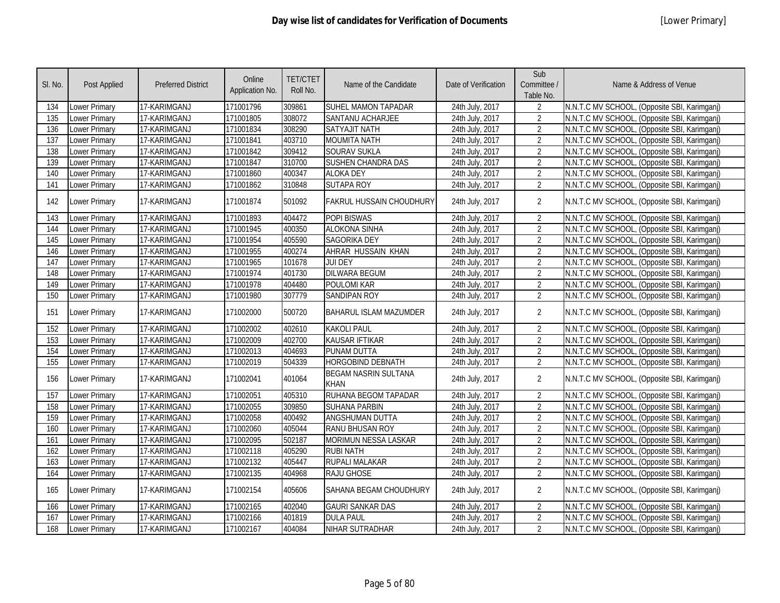| SI. No. | Post Applied         | <b>Preferred District</b> | Online<br>Application No. | <b>TET/CTET</b><br>Roll No. | Name of the Candidate                      | Date of Verification | Sub<br>Committee /<br>Table No. | Name & Address of Venue                      |
|---------|----------------------|---------------------------|---------------------------|-----------------------------|--------------------------------------------|----------------------|---------------------------------|----------------------------------------------|
| 134     | Lower Primary        | 17-KARIMGANJ              | 171001796                 | 309861                      | SUHEL MAMON TAPADAR                        | 24th July, 2017      | $\overline{2}$                  | N.N.T.C MV SCHOOL, (Opposite SBI, Karimganj) |
| 135     | <b>Lower Primary</b> | 17-KARIMGANJ              | 171001805                 | 308072                      | SANTANU ACHARJEE                           | 24th July, 2017      | $\overline{2}$                  | N.N.T.C MV SCHOOL, (Opposite SBI, Karimganj) |
| 136     | <b>Lower Primary</b> | 17-KARIMGANJ              | 171001834                 | 308290                      | <b>SATYAJIT NATH</b>                       | 24th July, 2017      | $\overline{2}$                  | N.N.T.C MV SCHOOL, (Opposite SBI, Karimganj) |
| 137     | <b>Lower Primary</b> | 17-KARIMGANJ              | 171001841                 | 403710                      | <b>MOUMITA NATH</b>                        | 24th July, 2017      | $\overline{2}$                  | N.N.T.C MV SCHOOL, (Opposite SBI, Karimganj) |
| 138     | Lower Primary        | 17-KARIMGANJ              | 171001842                 | 309412                      | <b>SOURAV SUKLA</b>                        | 24th July, 2017      | $\overline{2}$                  | N.N.T.C MV SCHOOL, (Opposite SBI, Karimganj) |
| 139     | <b>Lower Primary</b> | 17-KARIMGANJ              | 171001847                 | 310700                      | <b>SUSHEN CHANDRA DAS</b>                  | 24th July, 2017      | $\overline{2}$                  | N.N.T.C MV SCHOOL, (Opposite SBI, Karimganj) |
| 140     | Lower Primary        | 17-KARIMGANJ              | 171001860                 | 400347                      | <b>ALOKA DEY</b>                           | 24th July, 2017      | $\overline{2}$                  | N.N.T.C MV SCHOOL, (Opposite SBI, Karimganj) |
| 141     | <b>Lower Primary</b> | 17-KARIMGANJ              | 171001862                 | 310848                      | <b>SUTAPA ROY</b>                          | 24th July, 2017      | $\overline{2}$                  | N.N.T.C MV SCHOOL, (Opposite SBI, Karimganj) |
| 142     | <b>Lower Primary</b> | 17-KARIMGANJ              | 171001874                 | 501092                      | <b>FAKRUL HUSSAIN CHOUDHURY</b>            | 24th July, 2017      | $\overline{2}$                  | N.N.T.C MV SCHOOL, (Opposite SBI, Karimganj) |
| 143     | Lower Primary        | 17-KARIMGANJ              | 171001893                 | 404472                      | <b>POPI BISWAS</b>                         | 24th July, 2017      | $\overline{2}$                  | N.N.T.C MV SCHOOL, (Opposite SBI, Karimganj) |
| 144     | <b>Lower Primary</b> | 17-KARIMGANJ              | 171001945                 | 400350                      | <b>ALOKONA SINHA</b>                       | 24th July, 2017      | $\overline{2}$                  | N.N.T.C MV SCHOOL, (Opposite SBI, Karimganj) |
| 145     | Lower Primary        | 17-KARIMGANJ              | 171001954                 | 405590                      | <b>SAGORIKA DEY</b>                        | 24th July, 2017      | $\overline{2}$                  | N.N.T.C MV SCHOOL, (Opposite SBI, Karimganj) |
| 146     | <b>Lower Primary</b> | 17-KARIMGANJ              | 171001955                 | 400274                      | AHRAR HUSSAIN KHAN                         | 24th July, 2017      | $\overline{2}$                  | N.N.T.C MV SCHOOL, (Opposite SBI, Karimganj) |
| 147     | Lower Primary        | 17-KARIMGANJ              | 171001965                 | 101678                      | <b>JUI DEY</b>                             | 24th July, 2017      | $\overline{2}$                  | N.N.T.C MV SCHOOL, (Opposite SBI, Karimganj) |
| 148     | Lower Primary        | 17-KARIMGANJ              | 171001974                 | 401730                      | <b>DILWARA BEGUM</b>                       | 24th July, 2017      | $\overline{2}$                  | N.N.T.C MV SCHOOL, (Opposite SBI, Karimganj) |
| 149     | <b>Lower Primary</b> | 17-KARIMGANJ              | 171001978                 | 404480                      | <b>POULOMI KAR</b>                         | 24th July, 2017      | $\overline{2}$                  | N.N.T.C MV SCHOOL, (Opposite SBI, Karimganj) |
| 150     | <b>Lower Primary</b> | 17-KARIMGANJ              | 171001980                 | 307779                      | <b>SANDIPAN ROY</b>                        | 24th July, 2017      | $\overline{2}$                  | N.N.T.C MV SCHOOL, (Opposite SBI, Karimganj) |
| 151     | <b>Lower Primary</b> | 17-KARIMGANJ              | 171002000                 | 500720                      | <b>BAHARUL ISLAM MAZUMDER</b>              | 24th July, 2017      | $\overline{2}$                  | N.N.T.C MV SCHOOL, (Opposite SBI, Karimganj) |
| 152     | <b>Lower Primary</b> | 17-KARIMGANJ              | 171002002                 | 402610                      | <b>KAKOLI PAUL</b>                         | 24th July, 2017      | $\overline{2}$                  | N.N.T.C MV SCHOOL, (Opposite SBI, Karimganj) |
| 153     | <b>Lower Primary</b> | 17-KARIMGANJ              | 171002009                 | 402700                      | <b>KAUSAR IFTIKAR</b>                      | 24th July, 2017      | $\overline{2}$                  | N.N.T.C MV SCHOOL, (Opposite SBI, Karimganj) |
| 154     | Lower Primary        | 17-KARIMGANJ              | 171002013                 | 404693                      | PUNAM DUTTA                                | 24th July, 2017      | $\overline{2}$                  | N.N.T.C MV SCHOOL, (Opposite SBI, Karimganj) |
| 155     | Lower Primary        | 17-KARIMGANJ              | 171002019                 | 504339                      | <b>HORGOBIND DEBNATH</b>                   | 24th July, 2017      | $\overline{2}$                  | N.N.T.C MV SCHOOL, (Opposite SBI, Karimganj) |
| 156     | Lower Primary        | 17-KARIMGANJ              | 171002041                 | 401064                      | <b>BEGAM NASRIN SULTANA</b><br><b>KHAN</b> | 24th July, 2017      | $\overline{2}$                  | N.N.T.C MV SCHOOL, (Opposite SBI, Karimganj) |
| 157     | Lower Primary        | 17-KARIMGANJ              | 171002051                 | 405310                      | RUHANA BEGOM TAPADAR                       | 24th July, 2017      | $\overline{2}$                  | N.N.T.C MV SCHOOL, (Opposite SBI, Karimganj) |
| 158     | <b>Lower Primary</b> | 17-KARIMGANJ              | 171002055                 | 309850                      | <b>SUHANA PARBIN</b>                       | 24th July, 2017      | $\overline{2}$                  | N.N.T.C MV SCHOOL, (Opposite SBI, Karimganj) |
| 159     | Lower Primary        | 17-KARIMGANJ              | 171002058                 | 400492                      | <b>ANGSHUMAN DUTTA</b>                     | 24th July, 2017      | $\overline{2}$                  | N.N.T.C MV SCHOOL, (Opposite SBI, Karimganj) |
| 160     | Lower Primary        | 17-KARIMGANJ              | 171002060                 | 405044                      | <b>RANU BHUSAN ROY</b>                     | 24th July, 2017      | $\overline{2}$                  | N.N.T.C MV SCHOOL, (Opposite SBI, Karimganj) |
| 161     | Lower Primary        | 17-KARIMGANJ              | 171002095                 | 502187                      | MORIMUN NESSA LASKAR                       | 24th July, 2017      | $\overline{2}$                  | N.N.T.C MV SCHOOL, (Opposite SBI, Karimganj) |
| 162     | Lower Primary        | 17-KARIMGANJ              | 171002118                 | 405290                      | <b>RUBI NATH</b>                           | 24th July, 2017      | $\overline{2}$                  | N.N.T.C MV SCHOOL, (Opposite SBI, Karimganj) |
| 163     | Lower Primary        | 17-KARIMGANJ              | 171002132                 | 405447                      | <b>RUPALI MALAKAR</b>                      | 24th July, 2017      | $\overline{2}$                  | N.N.T.C MV SCHOOL, (Opposite SBI, Karimganj) |
| 164     | Lower Primary        | 17-KARIMGANJ              | 171002135                 | 404968                      | RAJU GHOSE                                 | 24th July, 2017      | $\overline{2}$                  | N.N.T.C MV SCHOOL, (Opposite SBI, Karimganj) |
| 165     | <b>Lower Primary</b> | 17-KARIMGANJ              | 171002154                 | 405606                      | SAHANA BEGAM CHOUDHURY                     | 24th July, 2017      | $\overline{2}$                  | N.N.T.C MV SCHOOL, (Opposite SBI, Karimganj) |
| 166     | <b>Lower Primary</b> | 17-KARIMGANJ              | 171002165                 | 402040                      | <b>GAURI SANKAR DAS</b>                    | 24th July, 2017      | $\overline{2}$                  | N.N.T.C MV SCHOOL, (Opposite SBI, Karimganj) |
| 167     | Lower Primary        | 17-KARIMGANJ              | 171002166                 | 401819                      | <b>DULA PAUL</b>                           | 24th July, 2017      | $\overline{2}$                  | N.N.T.C MV SCHOOL, (Opposite SBI, Karimganj) |
| 168     | <b>Lower Primary</b> | 17-KARIMGANJ              | 171002167                 | 404084                      | NIHAR SUTRADHAR                            | 24th July, 2017      | $\overline{2}$                  | N.N.T.C MV SCHOOL, (Opposite SBI, Karimganj) |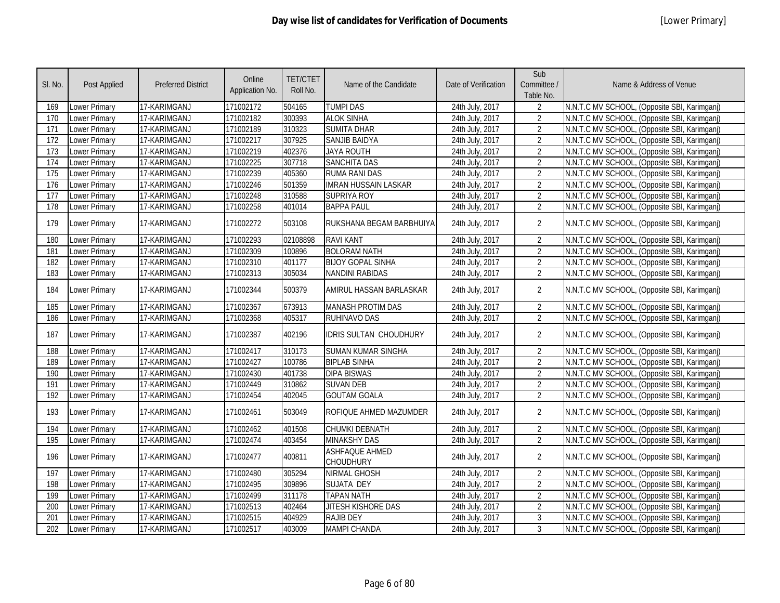| SI. No.          | Post Applied         | <b>Preferred District</b> | Online<br>Application No. | <b>TET/CTET</b><br>Roll No. | Name of the Candidate              | Date of Verification | Sub<br>Committee /<br>Table No. | Name & Address of Venue                      |
|------------------|----------------------|---------------------------|---------------------------|-----------------------------|------------------------------------|----------------------|---------------------------------|----------------------------------------------|
| 169              | Lower Primary        | 17-KARIMGANJ              | 171002172                 | 504165                      | <b>TUMPI DAS</b>                   | 24th July, 2017      | $\overline{2}$                  | N.N.T.C MV SCHOOL, (Opposite SBI, Karimganj) |
| 170              | Lower Primary        | 17-KARIMGANJ              | 171002182                 | 300393                      | <b>ALOK SINHA</b>                  | 24th July, 2017      | $\overline{2}$                  | N.N.T.C MV SCHOOL, (Opposite SBI, Karimganj) |
| 171              | Lower Primary        | 17-KARIMGANJ              | 171002189                 | 310323                      | <b>SUMITA DHAR</b>                 | 24th July, 2017      | $\overline{2}$                  | N.N.T.C MV SCHOOL, (Opposite SBI, Karimganj) |
| 172              | Lower Primary        | 17-KARIMGANJ              | 171002217                 | 307925                      | <b>SANJIB BAIDYA</b>               | 24th July, 2017      | $\overline{2}$                  | N.N.T.C MV SCHOOL, (Opposite SBI, Karimganj) |
| 173              | Lower Primary        | 17-KARIMGANJ              | 171002219                 | 402376                      | <b>JAYA ROUTH</b>                  | 24th July, 2017      | $\overline{2}$                  | N.N.T.C MV SCHOOL, (Opposite SBI, Karimganj) |
| 174              | Lower Primary        | 17-KARIMGANJ              | 171002225                 | 307718                      | <b>SANCHITA DAS</b>                | 24th July, 2017      | $\overline{2}$                  | N.N.T.C MV SCHOOL, (Opposite SBI, Karimganj) |
| 175              | <b>Lower Primary</b> | 17-KARIMGANJ              | 171002239                 | 405360                      | <b>RUMA RANI DAS</b>               | 24th July, 2017      | $\overline{2}$                  | N.N.T.C MV SCHOOL, (Opposite SBI, Karimganj) |
| 176              | <b>Lower Primary</b> | 17-KARIMGANJ              | 171002246                 | 501359                      | <b>IMRAN HUSSAIN LASKAR</b>        | 24th July, 2017      | $\overline{2}$                  | N.N.T.C MV SCHOOL, (Opposite SBI, Karimganj) |
| $\overline{177}$ | <b>Lower Primary</b> | 17-KARIMGANJ              | 171002248                 | 310588                      | <b>SUPRIYA ROY</b>                 | 24th July, 2017      | $\overline{2}$                  | N.N.T.C MV SCHOOL, (Opposite SBI, Karimganj) |
| 178              | Lower Primary        | 17-KARIMGANJ              | 171002258                 | 401014                      | <b>BAPPA PAUL</b>                  | 24th July, 2017      | $\overline{2}$                  | N.N.T.C MV SCHOOL, (Opposite SBI, Karimganj) |
| 179              | Lower Primary        | 17-KARIMGANJ              | 171002272                 | 503108                      | RUKSHANA BEGAM BARBHUIYA           | 24th July, 2017      | $\overline{2}$                  | N.N.T.C MV SCHOOL, (Opposite SBI, Karimganj) |
| 180              | Lower Primary        | 17-KARIMGANJ              | 171002293                 | 02108898                    | <b>RAVI KANT</b>                   | 24th July, 2017      | $\overline{2}$                  | N.N.T.C MV SCHOOL, (Opposite SBI, Karimganj) |
| 181              | Lower Primary        | 17-KARIMGANJ              | 171002309                 | 100896                      | <b>BOLORAM NATH</b>                | 24th July, 2017      | $\overline{2}$                  | N.N.T.C MV SCHOOL, (Opposite SBI, Karimganj) |
| 182              | Lower Primary        | 17-KARIMGANJ              | 171002310                 | 401177                      | <b>BIJOY GOPAL SINHA</b>           | 24th July, 2017      | $\overline{2}$                  | N.N.T.C MV SCHOOL, (Opposite SBI, Karimganj) |
| 183              | Lower Primary        | 17-KARIMGANJ              | 171002313                 | 305034                      | <b>NANDINI RABIDAS</b>             | 24th July, 2017      | $\overline{2}$                  | N.N.T.C MV SCHOOL, (Opposite SBI, Karimganj) |
| 184              | Lower Primary        | 17-KARIMGANJ              | 171002344                 | 500379                      | AMIRUL HASSAN BARLASKAR            | 24th July, 2017      | $\overline{2}$                  | N.N.T.C MV SCHOOL, (Opposite SBI, Karimganj) |
| 185              | <b>Lower Primary</b> | 17-KARIMGANJ              | 171002367                 | 673913                      | MANASH PROTIM DAS                  | 24th July, 2017      | 2                               | N.N.T.C MV SCHOOL, (Opposite SBI, Karimganj) |
| 186              | Lower Primary        | 17-KARIMGANJ              | 171002368                 | 405317                      | <b>RUHINAVO DAS</b>                | 24th July, 2017      | $\overline{2}$                  | N.N.T.C MV SCHOOL, (Opposite SBI, Karimganj) |
| 187              | Lower Primary        | 17-KARIMGANJ              | 171002387                 | 402196                      | <b>IDRIS SULTAN CHOUDHURY</b>      | 24th July, 2017      | $\overline{2}$                  | N.N.T.C MV SCHOOL, (Opposite SBI, Karimganj) |
| 188              | Lower Primary        | 17-KARIMGANJ              | 171002417                 | 310173                      | <b>SUMAN KUMAR SINGHA</b>          | 24th July, 2017      | $\overline{2}$                  | N.N.T.C MV SCHOOL, (Opposite SBI, Karimganj) |
| 189              | <b>Lower Primary</b> | 17-KARIMGANJ              | 171002427                 | 100786                      | <b>BIPLAB SINHA</b>                | 24th July, 2017      | $\overline{2}$                  | N.N.T.C MV SCHOOL, (Opposite SBI, Karimganj) |
| 190              | Lower Primary        | 17-KARIMGANJ              | 171002430                 | 401738                      | <b>DIPA BISWAS</b>                 | 24th July, 2017      | $\overline{2}$                  | N.N.T.C MV SCHOOL, (Opposite SBI, Karimganj) |
| 191              | Lower Primary        | 17-KARIMGANJ              | 171002449                 | 310862                      | <b>SUVAN DEB</b>                   | 24th July, 2017      | $\overline{2}$                  | N.N.T.C MV SCHOOL, (Opposite SBI, Karimganj) |
| 192              | Lower Primary        | 17-KARIMGANJ              | 171002454                 | 402045                      | <b>GOUTAM GOALA</b>                | 24th July, 2017      | $\overline{2}$                  | N.N.T.C MV SCHOOL, (Opposite SBI, Karimganj) |
| 193              | Lower Primary        | 17-KARIMGANJ              | 171002461                 | 503049                      | ROFIQUE AHMED MAZUMDER             | 24th July, 2017      | $\overline{2}$                  | N.N.T.C MV SCHOOL, (Opposite SBI, Karimganj) |
| 194              | Lower Primary        | 17-KARIMGANJ              | 171002462                 | 401508                      | CHUMKI DEBNATH                     | 24th July, 2017      | $\overline{2}$                  | N.N.T.C MV SCHOOL, (Opposite SBI, Karimganj) |
| 195              | Lower Primary        | 17-KARIMGANJ              | 171002474                 | 403454                      | <b>MINAKSHY DAS</b>                | 24th July, 2017      | $\overline{2}$                  | N.N.T.C MV SCHOOL, (Opposite SBI, Karimganj) |
| 196              | Lower Primary        | 17-KARIMGANJ              | 171002477                 | 400811                      | <b>ASHFAQUE AHMED</b><br>CHOUDHURY | 24th July, 2017      | $\overline{2}$                  | N.N.T.C MV SCHOOL, (Opposite SBI, Karimganj) |
| 197              | <b>Lower Primary</b> | 17-KARIMGANJ              | 171002480                 | 305294                      | <b>NIRMAL GHOSH</b>                | 24th July, 2017      | $\overline{2}$                  | N.N.T.C MV SCHOOL, (Opposite SBI, Karimganj) |
| 198              | Lower Primary        | 17-KARIMGANJ              | 171002495                 | 309896                      | SUJATA DEY                         | 24th July, 2017      | $\overline{2}$                  | N.N.T.C MV SCHOOL, (Opposite SBI, Karimganj) |
| 199              | Lower Primary        | 17-KARIMGANJ              | 171002499                 | 311178                      | <b>TAPAN NATH</b>                  | 24th July, 2017      | $\overline{2}$                  | N.N.T.C MV SCHOOL, (Opposite SBI, Karimganj) |
| 200              | Lower Primary        | 17-KARIMGANJ              | 171002513                 | 402464                      | <b>JITESH KISHORE DAS</b>          | 24th July, 2017      | $\overline{2}$                  | N.N.T.C MV SCHOOL, (Opposite SBI, Karimganj) |
| 201              | Lower Primary        | 17-KARIMGANJ              | 171002515                 | 404929                      | <b>RAJIB DEY</b>                   | 24th July, 2017      | $\mathbf{3}$                    | N.N.T.C MV SCHOOL, (Opposite SBI, Karimganj) |
| 202              | Lower Primary        | 17-KARIMGANJ              | 171002517                 | 403009                      | MAMPI CHANDA                       | 24th July, 2017      | 3                               | N.N.T.C MV SCHOOL, (Opposite SBI, Karimganj) |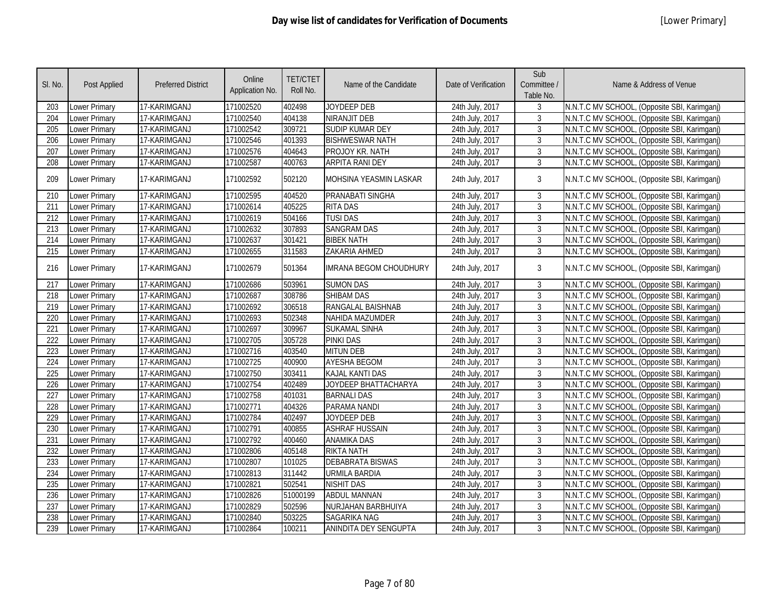| SI. No.          | Post Applied         | <b>Preferred District</b> | Online<br>Application No. | <b>TET/CTET</b><br>Roll No. | Name of the Candidate         | Date of Verification | Sub<br>Committee /<br>Table No. | Name & Address of Venue                      |
|------------------|----------------------|---------------------------|---------------------------|-----------------------------|-------------------------------|----------------------|---------------------------------|----------------------------------------------|
| 203              | Lower Primary        | 17-KARIMGANJ              | 171002520                 | 402498                      | JOYDEEP DEB                   | 24th July, 2017      | 3                               | N.N.T.C MV SCHOOL, (Opposite SBI, Karimganj) |
| 204              | Lower Primary        | 17-KARIMGANJ              | 171002540                 | 404138                      | NIRANJIT DEB                  | 24th July, 2017      | 3                               | N.N.T.C MV SCHOOL, (Opposite SBI, Karimganj) |
| 205              | Lower Primary        | 17-KARIMGANJ              | 171002542                 | 309721                      | <b>SUDIP KUMAR DEY</b>        | 24th July, 2017      | $\overline{3}$                  | N.N.T.C MV SCHOOL, (Opposite SBI, Karimganj) |
| 206              | Lower Primary        | 17-KARIMGANJ              | 171002546                 | 401393                      | <b>BISHWESWAR NATH</b>        | 24th July, 2017      | $\overline{3}$                  | N.N.T.C MV SCHOOL, (Opposite SBI, Karimganj) |
| 207              | Lower Primary        | 17-KARIMGANJ              | 171002576                 | 404643                      | PROJOY KR. NATH               | 24th July, 2017      | 3                               | N.N.T.C MV SCHOOL, (Opposite SBI, Karimganj) |
| 208              | Lower Primary        | 17-KARIMGANJ              | 171002587                 | 400763                      | <b>ARPITA RANI DEY</b>        | 24th July, 2017      | $\mathbf{3}$                    | N.N.T.C MV SCHOOL, (Opposite SBI, Karimganj) |
| 209              | Lower Primary        | 17-KARIMGANJ              | 171002592                 | 502120                      | MOHSINA YEASMIN LASKAR        | 24th July, 2017      | 3                               | N.N.T.C MV SCHOOL, (Opposite SBI, Karimganj) |
| 210              | Lower Primary        | 17-KARIMGANJ              | 171002595                 | 404520                      | PRANABATI SINGHA              | 24th July, 2017      | $\mathbf{3}$                    | N.N.T.C MV SCHOOL, (Opposite SBI, Karimganj) |
| 211              | Lower Primary        | 17-KARIMGANJ              | 171002614                 | 405225                      | <b>RITA DAS</b>               | 24th July, 2017      | 3                               | N.N.T.C MV SCHOOL, (Opposite SBI, Karimganj) |
| 212              | Lower Primary        | 17-KARIMGANJ              | 171002619                 | 504166                      | <b>TUSIDAS</b>                | 24th July, 2017      | $\mathbf{3}$                    | N.N.T.C MV SCHOOL, (Opposite SBI, Karimganj) |
| 213              | Lower Primary        | 17-KARIMGANJ              | 171002632                 | 307893                      | <b>SANGRAM DAS</b>            | 24th July, 2017      | 3                               | N.N.T.C MV SCHOOL, (Opposite SBI, Karimganj) |
| 214              | Lower Primary        | 17-KARIMGANJ              | 171002637                 | 301421                      | <b>BIBEK NATH</b>             | 24th July, 2017      | $\mathbf{3}$                    | N.N.T.C MV SCHOOL, (Opposite SBI, Karimganj) |
| 215              | Lower Primary        | 17-KARIMGANJ              | 171002655                 | 311583                      | ZAKARIA AHMED                 | 24th July, 2017      | 3                               | N.N.T.C MV SCHOOL, (Opposite SBI, Karimganj) |
| 216              | Lower Primary        | 17-KARIMGANJ              | 171002679                 | 501364                      | <b>IMRANA BEGOM CHOUDHURY</b> | 24th July, 2017      | 3                               | N.N.T.C MV SCHOOL, (Opposite SBI, Karimganj) |
| 217              | <b>Lower Primary</b> | 17-KARIMGANJ              | 171002686                 | 503961                      | <b>SUMON DAS</b>              | 24th July, 2017      | $\mathbf{3}$                    | N.N.T.C MV SCHOOL, (Opposite SBI, Karimganj) |
| 218              | Lower Primary        | 17-KARIMGANJ              | 171002687                 | 308786                      | <b>SHIBAM DAS</b>             | 24th July, 2017      | 3                               | N.N.T.C MV SCHOOL, (Opposite SBI, Karimgani) |
| $\overline{219}$ | Lower Primary        | 17-KARIMGANJ              | 171002692                 | 306518                      | <b>RANGALAL BAISHNAB</b>      | 24th July, 2017      | $\mathbf{3}$                    | N.N.T.C MV SCHOOL, (Opposite SBI, Karimganj) |
| 220              | Lower Primary        | 17-KARIMGANJ              | 171002693                 | 502348                      | NAHIDA MAZUMDER               | 24th July, 2017      | 3                               | N.N.T.C MV SCHOOL, (Opposite SBI, Karimganj) |
| $\overline{221}$ | <b>Lower Primary</b> | 17-KARIMGANJ              | 171002697                 | 309967                      | <b>SUKAMAL SINHA</b>          | 24th July, 2017      | 3                               | N.N.T.C MV SCHOOL, (Opposite SBI, Karimganj) |
| 222              | Lower Primary        | 17-KARIMGANJ              | 171002705                 | 305728                      | <b>PINKI DAS</b>              | 24th July, 2017      | 3                               | N.N.T.C MV SCHOOL, (Opposite SBI, Karimganj) |
| $\overline{223}$ | Lower Primary        | 17-KARIMGANJ              | 171002716                 | 403540                      | <b>MITUN DEB</b>              | 24th July, 2017      | $\mathbf{3}$                    | N.N.T.C MV SCHOOL, (Opposite SBI, Karimganj) |
| 224              | Lower Primary        | 17-KARIMGANJ              | 171002725                 | 400900                      | <b>AYESHA BEGOM</b>           | 24th July, 2017      | 3                               | N.N.T.C MV SCHOOL, (Opposite SBI, Karimganj) |
| 225              | Lower Primary        | 17-KARIMGANJ              | 171002750                 | 303411                      | <b>KAJAL KANTI DAS</b>        | 24th July, 2017      | $\mathfrak{Z}$                  | N.N.T.C MV SCHOOL, (Opposite SBI, Karimganj) |
| 226              | Lower Primary        | 17-KARIMGANJ              | 171002754                 | 402489                      | JOYDEEP BHATTACHARYA          | 24th July, 2017      | $\mathfrak{Z}$                  | N.N.T.C MV SCHOOL, (Opposite SBI, Karimganj) |
| $\overline{227}$ | Lower Primary        | 17-KARIMGANJ              | 171002758                 | 401031                      | <b>BARNALI DAS</b>            | 24th July, 2017      | $\mathbf{3}$                    | N.N.T.C MV SCHOOL, (Opposite SBI, Karimganj) |
| $\overline{228}$ | Lower Primary        | 17-KARIMGANJ              | 171002771                 | 404326                      | PARAMA NANDI                  | 24th July, 2017      | $\mathfrak{Z}$                  | N.N.T.C MV SCHOOL, (Opposite SBI, Karimganj) |
| 229              | Lower Primary        | 17-KARIMGANJ              | 171002784                 | 402497                      | <b>JOYDEEP DEB</b>            | 24th July, 2017      | $\mathfrak{Z}$                  | N.N.T.C MV SCHOOL, (Opposite SBI, Karimganj) |
| 230              | Lower Primary        | 17-KARIMGANJ              | 171002791                 | 400855                      | <b>ASHRAF HUSSAIN</b>         | 24th July, 2017      | $\mathfrak{Z}$                  | N.N.T.C MV SCHOOL, (Opposite SBI, Karimganj) |
| 231              | Lower Primary        | 17-KARIMGANJ              | 171002792                 | 400460                      | <b>ANAMIKA DAS</b>            | 24th July, 2017      | 3                               | N.N.T.C MV SCHOOL, (Opposite SBI, Karimganj) |
| 232              | Lower Primary        | 17-KARIMGANJ              | 171002806                 | 405148                      | <b>RIKTA NATH</b>             | 24th July, 2017      | $\mathbf{3}$                    | N.N.T.C MV SCHOOL, (Opposite SBI, Karimganj) |
| 233              | Lower Primary        | 17-KARIMGANJ              | 171002807                 | 101025                      | <b>DEBABRATA BISWAS</b>       | 24th July, 2017      | $\mathfrak{Z}$                  | N.N.T.C MV SCHOOL, (Opposite SBI, Karimganj) |
| 234              | Lower Primary        | 17-KARIMGANJ              | 171002813                 | 311442                      | <b>URMILA BARDIA</b>          | 24th July, 2017      | $\mathfrak{Z}$                  | N.N.T.C MV SCHOOL, (Opposite SBI, Karimganj) |
| 235              | Lower Primary        | 17-KARIMGANJ              | 171002821                 | 502541                      | <b>NISHIT DAS</b>             | 24th July, 2017      | 3                               | N.N.T.C MV SCHOOL, (Opposite SBI, Karimganj) |
| 236              | Lower Primary        | 17-KARIMGANJ              | 171002826                 | 51000199                    | <b>ABDUL MANNAN</b>           | 24th July, 2017      | $\mathbf{3}$                    | N.N.T.C MV SCHOOL, (Opposite SBI, Karimganj) |
| 237              | Lower Primary        | 17-KARIMGANJ              | 171002829                 | 502596                      | NURJAHAN BARBHUIYA            | 24th July, 2017      | 3                               | N.N.T.C MV SCHOOL, (Opposite SBI, Karimganj) |
| 238              | Lower Primary        | 17-KARIMGANJ              | 171002840                 | 503225                      | <b>SAGARIKA NAG</b>           | 24th July, 2017      | 3                               | N.N.T.C MV SCHOOL, (Opposite SBI, Karimganj) |
| 239              | Lower Primary        | 17-KARIMGANJ              | 171002864                 | 100211                      | ANINDITA DEY SENGUPTA         | 24th July, 2017      | 3                               | N.N.T.C MV SCHOOL, (Opposite SBI, Karimganj) |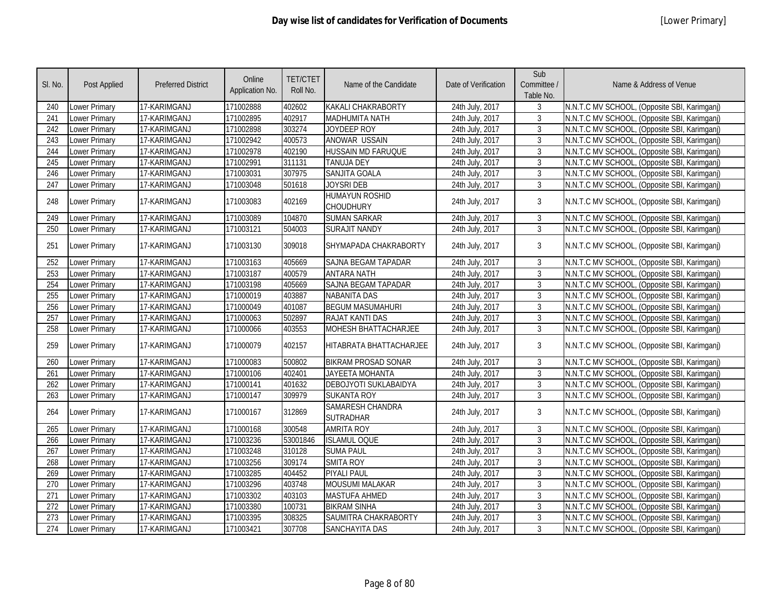| SI. No.          | <b>Post Applied</b>  | <b>Preferred District</b> | Online<br>Application No. | <b>TET/CTET</b><br>Roll No. | Name of the Candidate                | Date of Verification | Sub<br>Committee /<br>Table No. | Name & Address of Venue                      |
|------------------|----------------------|---------------------------|---------------------------|-----------------------------|--------------------------------------|----------------------|---------------------------------|----------------------------------------------|
| 240              | Lower Primary        | 17-KARIMGANJ              | 171002888                 | 402602                      | KAKALI CHAKRABORTY                   | 24th July, 2017      | 3                               | N.N.T.C MV SCHOOL, (Opposite SBI, Karimganj) |
| 241              | Lower Primary        | 17-KARIMGANJ              | 171002895                 | 402917                      | MADHUMITA NATH                       | 24th July, 2017      | 3                               | N.N.T.C MV SCHOOL, (Opposite SBI, Karimganj) |
| 242              | Lower Primary        | 17-KARIMGANJ              | 171002898                 | 303274                      | JOYDEEP ROY                          | 24th July, 2017      | 3                               | N.N.T.C MV SCHOOL, (Opposite SBI, Karimganj) |
| 243              | Lower Primary        | 17-KARIMGANJ              | 171002942                 | 400573                      | <b>ANOWAR USSAIN</b>                 | 24th July, 2017      | 3                               | N.N.T.C MV SCHOOL, (Opposite SBI, Karimganj) |
| 244              | Lower Primary        | 17-KARIMGANJ              | 171002978                 | 402190                      | <b>HUSSAIN MD FARUQUE</b>            | 24th July, 2017      | 3                               | N.N.T.C MV SCHOOL, (Opposite SBI, Karimganj) |
| 245              | Lower Primary        | 17-KARIMGANJ              | 171002991                 | 311131                      | <b>TANUJA DEY</b>                    | 24th July, 2017      | 3                               | N.N.T.C MV SCHOOL, (Opposite SBI, Karimganj) |
| 246              | Lower Primary        | 17-KARIMGANJ              | 171003031                 | 307975                      | SANJITA GOALA                        | 24th July, 2017      | $\mathfrak{Z}$                  | N.N.T.C MV SCHOOL, (Opposite SBI, Karimganj) |
| $\overline{247}$ | <b>Lower Primary</b> | 17-KARIMGANJ              | 171003048                 | 501618                      | <b>JOYSRI DEB</b>                    | 24th July, 2017      | $\mathfrak{Z}$                  | N.N.T.C MV SCHOOL, (Opposite SBI, Karimganj) |
| 248              | Lower Primary        | 17-KARIMGANJ              | 171003083                 | 402169                      | <b>HUMAYUN ROSHID</b><br>CHOUDHURY   | 24th July, 2017      | $\mathbf{3}$                    | N.N.T.C MV SCHOOL, (Opposite SBI, Karimganj) |
| 249              | Lower Primary        | 17-KARIMGANJ              | 171003089                 | 104870                      | <b>SUMAN SARKAR</b>                  | 24th July, 2017      | 3                               | N.N.T.C MV SCHOOL, (Opposite SBI, Karimganj) |
| 250              | Lower Primary        | 17-KARIMGANJ              | 171003121                 | 504003                      | <b>SURAJIT NANDY</b>                 | 24th July, 2017      | $\overline{3}$                  | N.N.T.C MV SCHOOL, (Opposite SBI, Karimganj) |
| 251              | Lower Primary        | 17-KARIMGANJ              | 171003130                 | 309018                      | SHYMAPADA CHAKRABORTY                | 24th July, 2017      | 3                               | N.N.T.C MV SCHOOL, (Opposite SBI, Karimganj) |
| 252              | Lower Primary        | 17-KARIMGANJ              | 171003163                 | 405669                      | SAJNA BEGAM TAPADAR                  | 24th July, 2017      | $\mathbf{3}$                    | N.N.T.C MV SCHOOL, (Opposite SBI, Karimganj) |
| 253              | Lower Primary        | 17-KARIMGANJ              | 171003187                 | 400579                      | <b>ANTARA NATH</b>                   | 24th July, 2017      | 3                               | N.N.T.C MV SCHOOL, (Opposite SBI, Karimganj) |
| 254              | Lower Primary        | 17-KARIMGANJ              | 171003198                 | 405669                      | SAJNA BEGAM TAPADAR                  | 24th July, 2017      | $\mathfrak{Z}$                  | N.N.T.C MV SCHOOL, (Opposite SBI, Karimganj) |
| 255              | Lower Primary        | 17-KARIMGANJ              | 171000019                 | 403887                      | <b>NABANITA DAS</b>                  | 24th July, 2017      | $\mathbf{3}$                    | N.N.T.C MV SCHOOL, (Opposite SBI, Karimganj) |
| 256              | Lower Primary        | 17-KARIMGANJ              | 171000049                 | 401087                      | <b>BEGUM MASUMAHURI</b>              | 24th July, 2017      | $\mathbf{3}$                    | N.N.T.C MV SCHOOL, (Opposite SBI, Karimganj) |
| 257              | <b>Lower Primary</b> | 17-KARIMGANJ              | 171000063                 | 502897                      | <b>RAJAT KANTI DAS</b>               | 24th July, 2017      | $\overline{3}$                  | N.N.T.C MV SCHOOL, (Opposite SBI, Karimganj) |
| 258              | <b>Lower Primary</b> | 17-KARIMGANJ              | 171000066                 | 403553                      | <b>MOHESH BHATTACHARJEE</b>          | 24th July, 2017      | $\overline{3}$                  | N.N.T.C MV SCHOOL, (Opposite SBI, Karimganj) |
| 259              | Lower Primary        | 17-KARIMGANJ              | 171000079                 | 402157                      | HITABRATA BHATTACHARJEE              | 24th July, 2017      | 3                               | N.N.T.C MV SCHOOL, (Opposite SBI, Karimganj) |
| 260              | Lower Primary        | 17-KARIMGANJ              | 171000083                 | 500802                      | <b>BIKRAM PROSAD SONAR</b>           | 24th July, 2017      | 3                               | N.N.T.C MV SCHOOL, (Opposite SBI, Karimganj) |
| 261              | Lower Primary        | 17-KARIMGANJ              | 171000106                 | 402401                      | <b>JAYEETA MOHANTA</b>               | 24th July, 2017      | $\overline{3}$                  | N.N.T.C MV SCHOOL, (Opposite SBI, Karimganj) |
| 262              | Lower Primary        | 17-KARIMGANJ              | 171000141                 | 401632                      | DEBOJYOTI SUKLABAIDYA                | 24th July, 2017      | 3                               | N.N.T.C MV SCHOOL, (Opposite SBI, Karimganj) |
| 263              | Lower Primary        | 17-KARIMGANJ              | 171000147                 | 309979                      | <b>SUKANTA ROY</b>                   | 24th July, 2017      | 3                               | N.N.T.C MV SCHOOL, (Opposite SBI, Karimganj) |
| 264              | Lower Primary        | 17-KARIMGANJ              | 171000167                 | 312869                      | SAMARESH CHANDRA<br><b>SUTRADHAR</b> | 24th July, 2017      | $\mathbf{3}$                    | N.N.T.C MV SCHOOL, (Opposite SBI, Karimganj) |
| 265              | Lower Primary        | 17-KARIMGANJ              | 171000168                 | 300548                      | <b>AMRITA ROY</b>                    | 24th July, 2017      | 3                               | N.N.T.C MV SCHOOL, (Opposite SBI, Karimganj) |
| 266              | Lower Primary        | 17-KARIMGANJ              | 171003236                 | 53001846                    | <b>ISLAMUL OQUE</b>                  | 24th July, 2017      | 3                               | N.N.T.C MV SCHOOL, (Opposite SBI, Karimganj) |
| 267              | Lower Primary        | 17-KARIMGANJ              | 171003248                 | 310128                      | <b>SUMA PAUL</b>                     | 24th July, 2017      | 3                               | N.N.T.C MV SCHOOL, (Opposite SBI, Karimganj) |
| 268              | <b>Lower Primary</b> | 17-KARIMGANJ              | 171003256                 | 309174                      | <b>SMITA ROY</b>                     | 24th July, 2017      | $\mathfrak{Z}$                  | N.N.T.C MV SCHOOL, (Opposite SBI, Karimganj) |
| 269              | Lower Primary        | 17-KARIMGANJ              | 171003285                 | 404452                      | <b>PIYALI PAUL</b>                   | 24th July, 2017      | $\mathfrak{Z}$                  | N.N.T.C MV SCHOOL, (Opposite SBI, Karimganj) |
| $\overline{270}$ | <b>Lower Primary</b> | 17-KARIMGANJ              | 171003296                 | 403748                      | <b>MOUSUMI MALAKAR</b>               | 24th July, 2017      | 3                               | N.N.T.C MV SCHOOL, (Opposite SBI, Karimganj) |
| $\overline{271}$ | Lower Primary        | 17-KARIMGANJ              | 171003302                 | 403103                      | <b>MASTUFA AHMED</b>                 | 24th July, 2017      | 3                               | N.N.T.C MV SCHOOL, (Opposite SBI, Karimganj) |
| 272              | Lower Primary        | 17-KARIMGANJ              | 171003380                 | 100731                      | <b>BIKRAM SINHA</b>                  | 24th July, 2017      | 3                               | N.N.T.C MV SCHOOL, (Opposite SBI, Karimganj) |
| 273              | Lower Primary        | 17-KARIMGANJ              | 171003395                 | 308325                      | SAUMITRA CHAKRABORTY                 | 24th July, 2017      | 3                               | N.N.T.C MV SCHOOL, (Opposite SBI, Karimganj) |
| 274              | Lower Primary        | 17-KARIMGANJ              | 171003421                 | 307708                      | SANCHAYITA DAS                       | 24th July, 2017      | 3                               | N.N.T.C MV SCHOOL, (Opposite SBI, Karimganj) |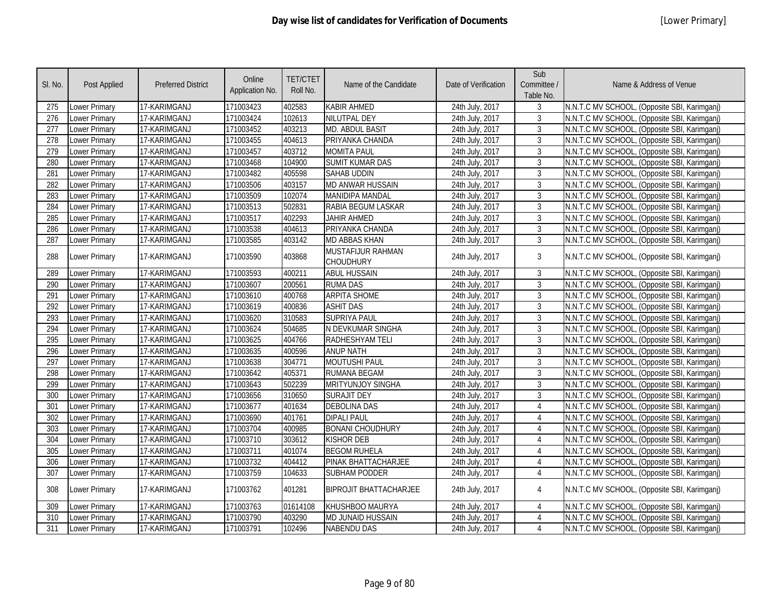| SI. No.          | <b>Post Applied</b>  | <b>Preferred District</b> | Online<br>Application No. | <b>TET/CTET</b><br>Roll No. | Name of the Candidate                 | Date of Verification | Sub<br>Committee /<br>Table No. | Name & Address of Venue                      |
|------------------|----------------------|---------------------------|---------------------------|-----------------------------|---------------------------------------|----------------------|---------------------------------|----------------------------------------------|
| 275              | Lower Primary        | 17-KARIMGANJ              | 171003423                 | 402583                      | <b>KABIR AHMED</b>                    | 24th July, 2017      | 3                               | N.N.T.C MV SCHOOL, (Opposite SBI, Karimganj) |
| 276              | Lower Primary        | 17-KARIMGANJ              | 171003424                 | 102613                      | <b>NILUTPAL DEY</b>                   | 24th July, 2017      | 3                               | N.N.T.C MV SCHOOL, (Opposite SBI, Karimganj) |
| 277              | <b>Lower Primary</b> | 17-KARIMGANJ              | 171003452                 | 403213                      | MD. ABDUL BASIT                       | 24th July, 2017      | 3                               | N.N.T.C MV SCHOOL, (Opposite SBI, Karimganj) |
| 278              | <b>Lower Primary</b> | 17-KARIMGANJ              | 171003455                 | 404613                      | PRIYANKA CHANDA                       | 24th July, 2017      | $\mathbf{3}$                    | N.N.T.C MV SCHOOL, (Opposite SBI, Karimganj) |
| 279              | Lower Primary        | 17-KARIMGANJ              | 171003457                 | 403712                      | <b>MOMITA PAUL</b>                    | 24th July, 2017      | $\mathfrak{Z}$                  | N.N.T.C MV SCHOOL, (Opposite SBI, Karimganj) |
| 280              | <b>Lower Primary</b> | 17-KARIMGANJ              | 171003468                 | 104900                      | <b>SUMIT KUMAR DAS</b>                | 24th July, 2017      | 3                               | N.N.T.C MV SCHOOL, (Opposite SBI, Karimganj) |
| 281              | <b>Lower Primary</b> | 17-KARIMGANJ              | 171003482                 | 405598                      | <b>SAHAB UDDIN</b>                    | 24th July, 2017      | $\mathfrak{Z}$                  | N.N.T.C MV SCHOOL, (Opposite SBI, Karimganj) |
| 282              | <b>Lower Primary</b> | 17-KARIMGANJ              | 171003506                 | 403157                      | <b>MD ANWAR HUSSAIN</b>               | 24th July, 2017      | $\mathbf{3}$                    | N.N.T.C MV SCHOOL, (Opposite SBI, Karimganj) |
| 283              | Lower Primary        | 17-KARIMGANJ              | 171003509                 | 102074                      | <b>MANIDIPA MANDAL</b>                | 24th July, 2017      | $\mathfrak{Z}$                  | N.N.T.C MV SCHOOL, (Opposite SBI, Karimganj) |
| 284              | <b>Lower Primary</b> | 17-KARIMGANJ              | 171003513                 | 502831                      | RABIA BEGUM LASKAR                    | 24th July, 2017      | $\mathbf{3}$                    | N.N.T.C MV SCHOOL, (Opposite SBI, Karimganj) |
| 285              | Lower Primary        | 17-KARIMGANJ              | 171003517                 | 402293                      | <b>JAHIR AHMED</b>                    | 24th July, 2017      | $\mathbf{3}$                    | N.N.T.C MV SCHOOL, (Opposite SBI, Karimganj) |
| 286              | <b>Lower Primary</b> | 17-KARIMGANJ              | 171003538                 | 404613                      | PRIYANKA CHANDA                       | 24th July, 2017      | $\mathbf{3}$                    | N.N.T.C MV SCHOOL, (Opposite SBI, Karimganj) |
| 287              | <b>Lower Primary</b> | 17-KARIMGANJ              | 171003585                 | 403142                      | <b>MD ABBAS KHAN</b>                  | 24th July, 2017      | $\mathbf{3}$                    | N.N.T.C MV SCHOOL, (Opposite SBI, Karimganj) |
| 288              | Lower Primary        | 17-KARIMGANJ              | 171003590                 | 403868                      | MUSTAFIJUR RAHMAN<br><b>CHOUDHURY</b> | 24th July, 2017      | $\mathbf{3}$                    | N.N.T.C MV SCHOOL, (Opposite SBI, Karimganj) |
| 289              | Lower Primary        | 17-KARIMGANJ              | 171003593                 | 400211                      | <b>ABUL HUSSAIN</b>                   | 24th July, 2017      | $\mathbf{3}$                    | N.N.T.C MV SCHOOL, (Opposite SBI, Karimganj) |
| 290              | <b>Lower Primary</b> | 17-KARIMGANJ              | 171003607                 | 200561                      | <b>RUMA DAS</b>                       | 24th July, 2017      | $\mathbf{3}$                    | N.N.T.C MV SCHOOL, (Opposite SBI, Karimganj) |
| 291              | Lower Primary        | 17-KARIMGANJ              | 171003610                 | 400768                      | <b>ARPITA SHOME</b>                   | 24th July, 2017      | $\mathbf{3}$                    | N.N.T.C MV SCHOOL, (Opposite SBI, Karimganj) |
| 292              | Lower Primary        | 17-KARIMGANJ              | 171003619                 | 400836                      | <b>ASHIT DAS</b>                      | 24th July, 2017      | $\mathbf{3}$                    | N.N.T.C MV SCHOOL, (Opposite SBI, Karimganj) |
| 293              | Lower Primary        | 17-KARIMGANJ              | 171003620                 | 310583                      | <b>SUPRIYA PAUL</b>                   | 24th July, 2017      | $\mathbf{3}$                    | N.N.T.C MV SCHOOL, (Opposite SBI, Karimganj) |
| 294              | Lower Primary        | 17-KARIMGANJ              | 171003624                 | 504685                      | N DEVKUMAR SINGHA                     | 24th July, 2017      | $\mathbf{3}$                    | N.N.T.C MV SCHOOL, (Opposite SBI, Karimganj) |
| 295              | Lower Primary        | 17-KARIMGANJ              | 171003625                 | 404766                      | RADHESHYAM TELI                       | 24th July, 2017      | $\mathbf{3}$                    | N.N.T.C MV SCHOOL, (Opposite SBI, Karimganj) |
| 296              | Lower Primary        | 17-KARIMGANJ              | 171003635                 | 400596                      | <b>ANUP NATH</b>                      | 24th July, 2017      | $\mathbf{3}$                    | N.N.T.C MV SCHOOL, (Opposite SBI, Karimganj) |
| 297              | <b>Lower Primary</b> | 17-KARIMGANJ              | 171003638                 | 304771                      | <b>MOUTUSHI PAUL</b>                  | 24th July, 2017      | $\mathbf{3}$                    | N.N.T.C MV SCHOOL, (Opposite SBI, Karimganj) |
| 298              | <b>Lower Primary</b> | 17-KARIMGANJ              | 171003642                 | 405371                      | RUMANA BEGAM                          | 24th July, 2017      | $\mathbf{3}$                    | N.N.T.C MV SCHOOL, (Opposite SBI, Karimganj) |
| 299              | Lower Primary        | 17-KARIMGANJ              | 171003643                 | 502239                      | MRITYUNJOY SINGHA                     | 24th July, 2017      | 3                               | N.N.T.C MV SCHOOL, (Opposite SBI, Karimganj) |
| 300              | Lower Primary        | 17-KARIMGANJ              | 171003656                 | 310650                      | <b>SURAJIT DEY</b>                    | 24th July, 2017      | 3                               | N.N.T.C MV SCHOOL, (Opposite SBI, Karimganj) |
| 301              | <b>Lower Primary</b> | 17-KARIMGANJ              | 171003677                 | 401634                      | <b>DEBOLINA DAS</b>                   | 24th July, 2017      | $\overline{4}$                  | N.N.T.C MV SCHOOL, (Opposite SBI, Karimganj) |
| 302              | <b>Lower Primary</b> | 17-KARIMGANJ              | 171003690                 | 401761                      | <b>DIPALI PAUL</b>                    | 24th July, 2017      | 4                               | N.N.T.C MV SCHOOL, (Opposite SBI, Karimganj) |
| 303              | <b>Lower Primary</b> | 17-KARIMGANJ              | 171003704                 | 400985                      | <b>BONANI CHOUDHURY</b>               | 24th July, 2017      | $\overline{4}$                  | N.N.T.C MV SCHOOL, (Opposite SBI, Karimganj) |
| 304              | <b>Lower Primary</b> | 17-KARIMGANJ              | 171003710                 | 303612                      | <b>KISHOR DEB</b>                     | 24th July, 2017      | 4                               | N.N.T.C MV SCHOOL, (Opposite SBI, Karimganj) |
| 305              | <b>Lower Primary</b> | 17-KARIMGANJ              | 171003711                 | 401074                      | <b>BEGOM RUHELA</b>                   | 24th July, 2017      | $\overline{4}$                  | N.N.T.C MV SCHOOL, (Opposite SBI, Karimganj) |
| 306              | <b>Lower Primary</b> | 17-KARIMGANJ              | 171003732                 | 404412                      | PINAK BHATTACHARJEE                   | 24th July, 2017      | $\overline{4}$                  | N.N.T.C MV SCHOOL, (Opposite SBI, Karimganj) |
| $\overline{307}$ | <b>Lower Primary</b> | 17-KARIMGANJ              | 171003759                 | 104633                      | <b>SUBHAM PODDER</b>                  | 24th July, 2017      | $\overline{4}$                  | N.N.T.C MV SCHOOL, (Opposite SBI, Karimganj) |
| 308              | <b>Lower Primary</b> | 17-KARIMGANJ              | 171003762                 | 401281                      | <b>BIPROJIT BHATTACHARJEE</b>         | 24th July, 2017      | 4                               | N.N.T.C MV SCHOOL, (Opposite SBI, Karimganj) |
| 309              | Lower Primary        | 17-KARIMGANJ              | 171003763                 | 01614108                    | KHUSHBOO MAURYA                       | 24th July, 2017      | 4                               | N.N.T.C MV SCHOOL, (Opposite SBI, Karimganj) |
| 310              | Lower Primary        | 17-KARIMGANJ              | 171003790                 | 403290                      | MD JUNAID HUSSAIN                     | 24th July, 2017      | 4                               | N.N.T.C MV SCHOOL, (Opposite SBI, Karimganj) |
| 311              | Lower Primary        | 17-KARIMGANJ              | 171003791                 | 102496                      | <b>NABENDU DAS</b>                    | 24th July, 2017      | $\overline{4}$                  | N.N.T.C MV SCHOOL, (Opposite SBI, Karimganj) |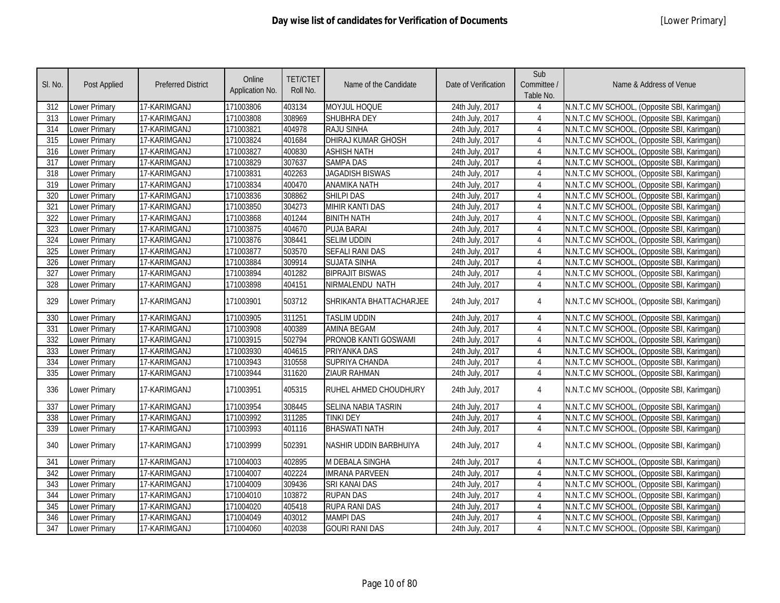| SI. No.          | <b>Post Applied</b>  | <b>Preferred District</b> | Online<br>Application No. | <b>TET/CTET</b><br>Roll No. | Name of the Candidate      | Date of Verification | Sub<br>Committee /<br>Table No. | Name & Address of Venue                      |
|------------------|----------------------|---------------------------|---------------------------|-----------------------------|----------------------------|----------------------|---------------------------------|----------------------------------------------|
| 312              | Lower Primary        | 17-KARIMGANJ              | 171003806                 | 403134                      | MOYJUL HOQUE               | 24th July, 2017      | 4                               | N.N.T.C MV SCHOOL, (Opposite SBI, Karimganj) |
| 313              | <b>Lower Primary</b> | 17-KARIMGANJ              | 171003808                 | 308969                      | SHUBHRA DEY                | 24th July, 2017      | $\overline{4}$                  | N.N.T.C MV SCHOOL, (Opposite SBI, Karimganj) |
| 314              | Lower Primary        | 17-KARIMGANJ              | 171003821                 | 404978                      | <b>RAJU SINHA</b>          | 24th July, 2017      | 4                               | N.N.T.C MV SCHOOL, (Opposite SBI, Karimganj) |
| 315              | <b>Lower Primary</b> | 17-KARIMGANJ              | 171003824                 | 401684                      | <b>DHIRAJ KUMAR GHOSH</b>  | 24th July, 2017      | $\overline{4}$                  | N.N.T.C MV SCHOOL, (Opposite SBI, Karimganj) |
| 316              | Lower Primary        | 17-KARIMGANJ              | 171003827                 | 400830                      | <b>ASHISH NATH</b>         | 24th July, 2017      | $\overline{4}$                  | N.N.T.C MV SCHOOL, (Opposite SBI, Karimganj) |
| 317              | Lower Primary        | 17-KARIMGANJ              | 171003829                 | 307637                      | <b>SAMPA DAS</b>           | 24th July, 2017      | 4                               | N.N.T.C MV SCHOOL, (Opposite SBI, Karimganj) |
| $\overline{318}$ | Lower Primary        | 17-KARIMGANJ              | 171003831                 | 402263                      | <b>JAGADISH BISWAS</b>     | 24th July, 2017      | $\overline{4}$                  | N.N.T.C MV SCHOOL, (Opposite SBI, Karimganj) |
| 319              | <b>Lower Primary</b> | 17-KARIMGANJ              | 171003834                 | 400470                      | <b>ANAMIKA NATH</b>        | 24th July, 2017      | $\overline{4}$                  | N.N.T.C MV SCHOOL, (Opposite SBI, Karimganj) |
| 320              | Lower Primary        | 17-KARIMGANJ              | 171003836                 | 308862                      | <b>SHILPI DAS</b>          | 24th July, 2017      | $\overline{4}$                  | N.N.T.C MV SCHOOL, (Opposite SBI, Karimganj) |
| 321              | Lower Primary        | 17-KARIMGANJ              | 171003850                 | 304273                      | <b>MIHIR KANTI DAS</b>     | 24th July, 2017      | $\overline{4}$                  | N.N.T.C MV SCHOOL, (Opposite SBI, Karimganj) |
| 322              | Lower Primary        | 17-KARIMGANJ              | 171003868                 | 401244                      | <b>BINITH NATH</b>         | 24th July, 2017      | 4                               | N.N.T.C MV SCHOOL, (Opposite SBI, Karimganj) |
| 323              | <b>Lower Primary</b> | 17-KARIMGANJ              | 171003875                 | 404670                      | <b>PUJA BARAI</b>          | 24th July, 2017      | 4                               | N.N.T.C MV SCHOOL, (Opposite SBI, Karimgani) |
| 324              | <b>Lower Primary</b> | 17-KARIMGANJ              | 171003876                 | 308441                      | <b>SELIM UDDIN</b>         | 24th July, 2017      | $\overline{4}$                  | N.N.T.C MV SCHOOL, (Opposite SBI, Karimganj) |
| 325              | <b>Lower Primary</b> | 17-KARIMGANJ              | 171003877                 | 503570                      | <b>SEFALI RANI DAS</b>     | 24th July, 2017      | $\overline{4}$                  | N.N.T.C MV SCHOOL, (Opposite SBI, Karimganj) |
| 326              | Lower Primary        | 17-KARIMGANJ              | 171003884                 | 309914                      | <b>SUJATA SINHA</b>        | 24th July, 2017      | 4                               | N.N.T.C MV SCHOOL, (Opposite SBI, Karimganj) |
| 327              | <b>Lower Primary</b> | 17-KARIMGANJ              | 171003894                 | 401282                      | <b>BIPRAJIT BISWAS</b>     | 24th July, 2017      | 4                               | N.N.T.C MV SCHOOL, (Opposite SBI, Karimganj) |
| 328              | Lower Primary        | 17-KARIMGANJ              | 171003898                 | 404151                      | NIRMALENDU NATH            | 24th July, 2017      | $\overline{4}$                  | N.N.T.C MV SCHOOL, (Opposite SBI, Karimganj) |
| 329              | Lower Primary        | 17-KARIMGANJ              | 171003901                 | 503712                      | SHRIKANTA BHATTACHARJEE    | 24th July, 2017      | 4                               | N.N.T.C MV SCHOOL, (Opposite SBI, Karimganj) |
| 330              | <b>Lower Primary</b> | 17-KARIMGANJ              | 171003905                 | 311251                      | <b>TASLIM UDDIN</b>        | 24th July, 2017      | 4                               | N.N.T.C MV SCHOOL, (Opposite SBI, Karimganj) |
| 331              | <b>Lower Primary</b> | 17-KARIMGANJ              | 171003908                 | 400389                      | <b>AMINA BEGAM</b>         | 24th July, 2017      | $\overline{4}$                  | N.N.T.C MV SCHOOL, (Opposite SBI, Karimganj) |
| 332              | <b>Lower Primary</b> | 17-KARIMGANJ              | 171003915                 | 502794                      | PRONOB KANTI GOSWAMI       | 24th July, 2017      | 4                               | N.N.T.C MV SCHOOL, (Opposite SBI, Karimganj) |
| 333              | Lower Primary        | 17-KARIMGANJ              | 171003930                 | 404615                      | PRIYANKA DAS               | 24th July, 2017      | $\overline{4}$                  | N.N.T.C MV SCHOOL, (Opposite SBI, Karimganj) |
| 334              | <b>Lower Primary</b> | 17-KARIMGANJ              | 171003943                 | 310558                      | <b>SUPRIYA CHANDA</b>      | 24th July, 2017      | 4                               | N.N.T.C MV SCHOOL, (Opposite SBI, Karimganj) |
| 335              | <b>Lower Primary</b> | 17-KARIMGANJ              | 171003944                 | 311620                      | <b>ZIAUR RAHMAN</b>        | 24th July, 2017      | $\overline{4}$                  | N.N.T.C MV SCHOOL, (Opposite SBI, Karimganj) |
| 336              | <b>Lower Primary</b> | 17-KARIMGANJ              | 171003951                 | 405315                      | RUHEL AHMED CHOUDHURY      | 24th July, 2017      | $\overline{4}$                  | N.N.T.C MV SCHOOL, (Opposite SBI, Karimganj) |
| 337              | <b>Lower Primary</b> | 17-KARIMGANJ              | 171003954                 | 308445                      | <b>SELINA NABIA TASRIN</b> | 24th July, 2017      | $\overline{4}$                  | N.N.T.C MV SCHOOL, (Opposite SBI, Karimganj) |
| 338              | Lower Primary        | 17-KARIMGANJ              | 171003992                 | 311285                      | <b>TINKI DEY</b>           | 24th July, 2017      | $\overline{4}$                  | N.N.T.C MV SCHOOL, (Opposite SBI, Karimgani) |
| 339              | Lower Primary        | 17-KARIMGANJ              | 171003993                 | 401116                      | <b>BHASWATI NATH</b>       | 24th July, 2017      | $\overline{4}$                  | N.N.T.C MV SCHOOL, (Opposite SBI, Karimganj) |
| 340              | Lower Primary        | 17-KARIMGANJ              | 171003999                 | 502391                      | NASHIR UDDIN BARBHUIYA     | 24th July, 2017      | 4                               | N.N.T.C MV SCHOOL, (Opposite SBI, Karimganj) |
| 341              | Lower Primary        | 17-KARIMGANJ              | 171004003                 | 402895                      | M DEBALA SINGHA            | 24th July, 2017      | $\overline{4}$                  | N.N.T.C MV SCHOOL, (Opposite SBI, Karimganj) |
| 342              | Lower Primary        | 17-KARIMGANJ              | 171004007                 | 402224                      | <b>IMRANA PARVEEN</b>      | 24th July, 2017      | $\overline{4}$                  | N.N.T.C MV SCHOOL, (Opposite SBI, Karimganj) |
| 343              | Lower Primary        | 17-KARIMGANJ              | 171004009                 | 309436                      | SRI KANAI DAS              | 24th July, 2017      | $\overline{4}$                  | N.N.T.C MV SCHOOL, (Opposite SBI, Karimganj) |
| 344              | Lower Primary        | 17-KARIMGANJ              | 171004010                 | 103872                      | <b>RUPAN DAS</b>           | 24th July, 2017      | 4                               | N.N.T.C MV SCHOOL, (Opposite SBI, Karimganj) |
| 345              | <b>Lower Primary</b> | 17-KARIMGANJ              | 171004020                 | 405418                      | <b>RUPA RANI DAS</b>       | 24th July, 2017      | $\overline{4}$                  | N.N.T.C MV SCHOOL, (Opposite SBI, Karimganj) |
| 346              | Lower Primary        | 17-KARIMGANJ              | 171004049                 | 403012                      | <b>MAMPI DAS</b>           | 24th July, 2017      | $\overline{4}$                  | N.N.T.C MV SCHOOL, (Opposite SBI, Karimganj) |
| 347              | <b>Lower Primary</b> | 17-KARIMGANJ              | 171004060                 | 402038                      | <b>GOURI RANI DAS</b>      | 24th July, 2017      | 4                               | N.N.T.C MV SCHOOL, (Opposite SBI, Karimganj) |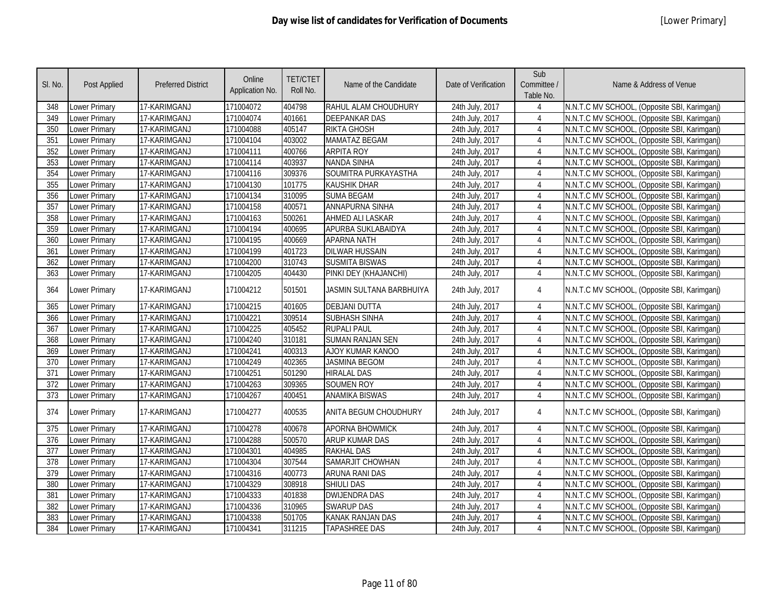| SI. No. | Post Applied         | <b>Preferred District</b> | Online<br>Application No. | <b>TET/CTET</b><br>Roll No. | Name of the Candidate    | Date of Verification | Sub<br>Committee /<br>Table No. | Name & Address of Venue                      |
|---------|----------------------|---------------------------|---------------------------|-----------------------------|--------------------------|----------------------|---------------------------------|----------------------------------------------|
| 348     | Lower Primary        | 17-KARIMGANJ              | 171004072                 | 404798                      | RAHUL ALAM CHOUDHURY     | 24th July, 2017      | 4                               | N.N.T.C MV SCHOOL, (Opposite SBI, Karimganj) |
| 349     | Lower Primary        | 17-KARIMGANJ              | 171004074                 | 401661                      | <b>DEEPANKAR DAS</b>     | 24th July, 2017      | 4                               | N.N.T.C MV SCHOOL, (Opposite SBI, Karimganj) |
| 350     | Lower Primary        | 17-KARIMGANJ              | 171004088                 | 405147                      | <b>RIKTA GHOSH</b>       | 24th July, 2017      | 4                               | N.N.T.C MV SCHOOL, (Opposite SBI, Karimganj) |
| 351     | Lower Primary        | 17-KARIMGANJ              | 171004104                 | 403002                      | <b>MAMATAZ BEGAM</b>     | 24th July, 2017      | $\overline{4}$                  | N.N.T.C MV SCHOOL, (Opposite SBI, Karimganj) |
| 352     | <b>Lower Primary</b> | 17-KARIMGANJ              | 171004111                 | 400766                      | <b>ARPITA ROY</b>        | 24th July, 2017      | $\overline{4}$                  | N.N.T.C MV SCHOOL, (Opposite SBI, Karimganj) |
| 353     | Lower Primary        | 17-KARIMGANJ              | 171004114                 | 403937                      | <b>NANDA SINHA</b>       | 24th July, 2017      | $\overline{4}$                  | N.N.T.C MV SCHOOL, (Opposite SBI, Karimganj) |
| 354     | Lower Primary        | 17-KARIMGANJ              | 171004116                 | 309376                      | SOUMITRA PURKAYASTHA     | 24th July, 2017      | $\overline{4}$                  | N.N.T.C MV SCHOOL, (Opposite SBI, Karimganj) |
| 355     | Lower Primary        | 17-KARIMGANJ              | 171004130                 | 101775                      | <b>KAUSHIK DHAR</b>      | 24th July, 2017      | $\overline{4}$                  | N.N.T.C MV SCHOOL, (Opposite SBI, Karimganj) |
| 356     | Lower Primary        | 17-KARIMGANJ              | 171004134                 | 310095                      | <b>SUMA BEGAM</b>        | 24th July, 2017      | $\overline{4}$                  | N.N.T.C MV SCHOOL, (Opposite SBI, Karimganj) |
| 357     | Lower Primary        | 17-KARIMGANJ              | 171004158                 | 400571                      | ANNAPURNA SINHA          | 24th July, 2017      | $\overline{4}$                  | N.N.T.C MV SCHOOL, (Opposite SBI, Karimganj) |
| 358     | Lower Primary        | 17-KARIMGANJ              | 171004163                 | 500261                      | AHMED ALI LASKAR         | 24th July, 2017      | 4                               | N.N.T.C MV SCHOOL, (Opposite SBI, Karimganj) |
| 359     | Lower Primary        | 17-KARIMGANJ              | 171004194                 | 400695                      | APURBA SUKLABAIDYA       | 24th July, 2017      | 4                               | N.N.T.C MV SCHOOL, (Opposite SBI, Karimganj) |
| 360     | Lower Primary        | 17-KARIMGANJ              | 171004195                 | 400669                      | APARNA NATH              | 24th July, 2017      | $\overline{4}$                  | N.N.T.C MV SCHOOL, (Opposite SBI, Karimganj) |
| 361     | Lower Primary        | 17-KARIMGANJ              | 171004199                 | 401723                      | <b>DILWAR HUSSAIN</b>    | 24th July, 2017      | $\overline{4}$                  | N.N.T.C MV SCHOOL, (Opposite SBI, Karimganj) |
| 362     | Lower Primary        | 17-KARIMGANJ              | 171004200                 | 310743                      | <b>SUSMITA BISWAS</b>    | 24th July, 2017      | $\overline{4}$                  | N.N.T.C MV SCHOOL, (Opposite SBI, Karimganj) |
| 363     | Lower Primary        | 17-KARIMGANJ              | 171004205                 | 404430                      | PINKI DEY (KHAJANCHI)    | 24th July, 2017      | $\overline{4}$                  | N.N.T.C MV SCHOOL, (Opposite SBI, Karimganj) |
| 364     | Lower Primary        | 17-KARIMGANJ              | 171004212                 | 501501                      | JASMIN SULTANA BARBHUIYA | 24th July, 2017      | 4                               | N.N.T.C MV SCHOOL, (Opposite SBI, Karimganj) |
| 365     | Lower Primary        | 17-KARIMGANJ              | 171004215                 | 401605                      | <b>DEBJANI DUTTA</b>     | 24th July, 2017      | $\overline{4}$                  | N.N.T.C MV SCHOOL, (Opposite SBI, Karimganj) |
| 366     | Lower Primary        | 17-KARIMGANJ              | 171004221                 | 309514                      | <b>SUBHASH SINHA</b>     | 24th July, 2017      | 4                               | N.N.T.C MV SCHOOL, (Opposite SBI, Karimganj) |
| 367     | Lower Primary        | 17-KARIMGANJ              | 171004225                 | 405452                      | <b>RUPALI PAUL</b>       | 24th July, 2017      | $\overline{4}$                  | N.N.T.C MV SCHOOL, (Opposite SBI, Karimganj) |
| 368     | Lower Primary        | 17-KARIMGANJ              | 171004240                 | 310181                      | <b>SUMAN RANJAN SEN</b>  | 24th July, 2017      | 4                               | N.N.T.C MV SCHOOL, (Opposite SBI, Karimganj) |
| 369     | Lower Primary        | 17-KARIMGANJ              | 171004241                 | 400313                      | AJOY KUMAR KANOO         | 24th July, 2017      | $\overline{4}$                  | N.N.T.C MV SCHOOL, (Opposite SBI, Karimganj) |
| 370     | Lower Primary        | 17-KARIMGANJ              | 171004249                 | 402365                      | <b>JASMINA BEGOM</b>     | 24th July, 2017      | $\overline{4}$                  | N.N.T.C MV SCHOOL, (Opposite SBI, Karimganj) |
| 371     | Lower Primary        | 17-KARIMGANJ              | 171004251                 | 501290                      | <b>HIRALAL DAS</b>       | 24th July, 2017      | $\overline{4}$                  | N.N.T.C MV SCHOOL, (Opposite SBI, Karimganj) |
| 372     | Lower Primary        | 17-KARIMGANJ              | 171004263                 | 309365                      | <b>SOUMEN ROY</b>        | 24th July, 2017      | $\overline{4}$                  | N.N.T.C MV SCHOOL, (Opposite SBI, Karimganj) |
| 373     | Lower Primary        | 17-KARIMGANJ              | 171004267                 | 400451                      | <b>ANAMIKA BISWAS</b>    | 24th July, 2017      | $\overline{4}$                  | N.N.T.C MV SCHOOL, (Opposite SBI, Karimganj) |
| 374     | Lower Primary        | 17-KARIMGANJ              | 171004277                 | 400535                      | ANITA BEGUM CHOUDHURY    | 24th July, 2017      | 4                               | N.N.T.C MV SCHOOL, (Opposite SBI, Karimganj) |
| 375     | Lower Primary        | 17-KARIMGANJ              | 171004278                 | 400678                      | <b>APORNA BHOWMICK</b>   | 24th July, 2017      | $\overline{4}$                  | N.N.T.C MV SCHOOL, (Opposite SBI, Karimganj) |
| 376     | Lower Primary        | 17-KARIMGANJ              | 171004288                 | 500570                      | ARUP KUMAR DAS           | 24th July, 2017      | $\overline{4}$                  | N.N.T.C MV SCHOOL, (Opposite SBI, Karimganj) |
| 377     | Lower Primary        | 17-KARIMGANJ              | 171004301                 | 404985                      | <b>RAKHAL DAS</b>        | 24th July, 2017      | $\overline{4}$                  | N.N.T.C MV SCHOOL, (Opposite SBI, Karimganj) |
| 378     | Lower Primary        | 17-KARIMGANJ              | 171004304                 | 307544                      | SAMARJIT CHOWHAN         | 24th July, 2017      | $\overline{4}$                  | N.N.T.C MV SCHOOL, (Opposite SBI, Karimganj) |
| 379     | Lower Primary        | 17-KARIMGANJ              | 171004316                 | 400773                      | ARUNA RANI DAS           | 24th July, 2017      | $\overline{4}$                  | N.N.T.C MV SCHOOL, (Opposite SBI, Karimganj) |
| 380     | Lower Primary        | 17-KARIMGANJ              | 171004329                 | 308918                      | <b>SHIULI DAS</b>        | 24th July, 2017      | $\overline{4}$                  | N.N.T.C MV SCHOOL, (Opposite SBI, Karimganj) |
| 381     | Lower Primary        | 17-KARIMGANJ              | 171004333                 | 401838                      | <b>DWIJENDRA DAS</b>     | 24th July, 2017      | $\overline{4}$                  | N.N.T.C MV SCHOOL, (Opposite SBI, Karimganj) |
| 382     | Lower Primary        | 17-KARIMGANJ              | 171004336                 | 310965                      | <b>SWARUP DAS</b>        | 24th July, 2017      | 4                               | N.N.T.C MV SCHOOL, (Opposite SBI, Karimganj) |
| 383     | Lower Primary        | 17-KARIMGANJ              | 171004338                 | 501705                      | <b>KANAK RANJAN DAS</b>  | 24th July, 2017      | $\overline{4}$                  | N.N.T.C MV SCHOOL, (Opposite SBI, Karimganj) |
| 384     | Lower Primary        | 17-KARIMGANJ              | 171004341                 | 311215                      | <b>TAPASHREE DAS</b>     | 24th July, 2017      | $\overline{4}$                  | N.N.T.C MV SCHOOL, (Opposite SBI, Karimganj) |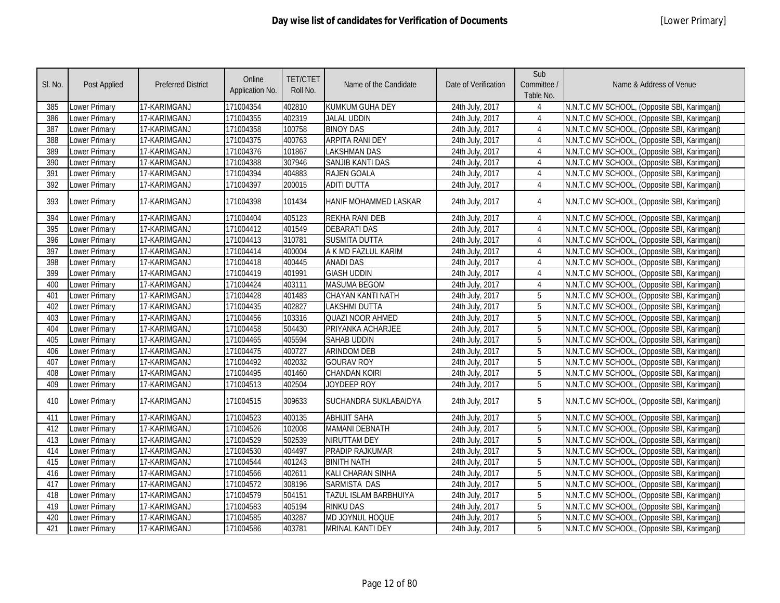| SI. No. | <b>Post Applied</b>  | <b>Preferred District</b> | Online<br>Application No. | <b>TET/CTET</b><br>Roll No. | Name of the Candidate   | Date of Verification | Sub<br>Committee /<br>Table No. | Name & Address of Venue                      |
|---------|----------------------|---------------------------|---------------------------|-----------------------------|-------------------------|----------------------|---------------------------------|----------------------------------------------|
| 385     | Lower Primary        | 17-KARIMGANJ              | 171004354                 | 402810                      | <b>KUMKUM GUHA DEY</b>  | 24th July, 2017      | 4                               | N.N.T.C MV SCHOOL, (Opposite SBI, Karimganj) |
| 386     | Lower Primary        | 17-KARIMGANJ              | 171004355                 | 402319                      | <b>JALAL UDDIN</b>      | 24th July, 2017      | 4                               | N.N.T.C MV SCHOOL, (Opposite SBI, Karimganj) |
| 387     | Lower Primary        | 17-KARIMGANJ              | 171004358                 | 100758                      | <b>BINOY DAS</b>        | 24th July, 2017      | $\overline{4}$                  | N.N.T.C MV SCHOOL, (Opposite SBI, Karimganj) |
| 388     | <b>Lower Primary</b> | 17-KARIMGANJ              | 171004375                 | 400763                      | <b>ARPITA RANI DEY</b>  | 24th July, 2017      | 4                               | N.N.T.C MV SCHOOL, (Opposite SBI, Karimganj) |
| 389     | <b>Lower Primary</b> | 17-KARIMGANJ              | 171004376                 | 101867                      | <b>LAKSHMAN DAS</b>     | 24th July, 2017      | $\overline{4}$                  | N.N.T.C MV SCHOOL, (Opposite SBI, Karimganj) |
| 390     | <b>Lower Primary</b> | 17-KARIMGANJ              | 171004388                 | 307946                      | <b>SANJIB KANTI DAS</b> | 24th July, 2017      | 4                               | N.N.T.C MV SCHOOL, (Opposite SBI, Karimganj) |
| 391     | Lower Primary        | 17-KARIMGANJ              | 171004394                 | 404883                      | <b>RAJEN GOALA</b>      | 24th July, 2017      | $\overline{4}$                  | N.N.T.C MV SCHOOL, (Opposite SBI, Karimganj) |
| 392     | <b>Lower Primary</b> | 17-KARIMGANJ              | 171004397                 | 200015                      | <b>ADITI DUTTA</b>      | 24th July, 2017      | $\overline{4}$                  | N.N.T.C MV SCHOOL, (Opposite SBI, Karimganj) |
| 393     | <b>Lower Primary</b> | 17-KARIMGANJ              | 171004398                 | 101434                      | HANIF MOHAMMED LASKAR   | 24th July, 2017      | 4                               | N.N.T.C MV SCHOOL, (Opposite SBI, Karimganj) |
| 394     | Lower Primary        | 17-KARIMGANJ              | 171004404                 | 405123                      | REKHA RANI DEB          | 24th July, 2017      | $\overline{4}$                  | N.N.T.C MV SCHOOL, (Opposite SBI, Karimganj) |
| 395     | <b>Lower Primary</b> | 17-KARIMGANJ              | 171004412                 | 401549                      | <b>DEBARATI DAS</b>     | 24th July, 2017      | $\overline{4}$                  | N.N.T.C MV SCHOOL, (Opposite SBI, Karimganj) |
| 396     | Lower Primary        | 17-KARIMGANJ              | 171004413                 | 310781                      | <b>SUSMITA DUTTA</b>    | 24th July, 2017      | $\overline{4}$                  | N.N.T.C MV SCHOOL, (Opposite SBI, Karimganj) |
| 397     | Lower Primary        | 17-KARIMGANJ              | 171004414                 | 400004                      | A K MD FAZLUL KARIM     | 24th July, 2017      | 4                               | N.N.T.C MV SCHOOL, (Opposite SBI, Karimganj) |
| 398     | Lower Primary        | 17-KARIMGANJ              | 171004418                 | 400445                      | <b>ANADI DAS</b>        | 24th July, 2017      | $\overline{4}$                  | N.N.T.C MV SCHOOL, (Opposite SBI, Karimganj) |
| 399     | <b>Lower Primary</b> | 17-KARIMGANJ              | 171004419                 | 401991                      | <b>GIASH UDDIN</b>      | 24th July, 2017      | $\overline{4}$                  | N.N.T.C MV SCHOOL, (Opposite SBI, Karimganj) |
| 400     | Lower Primary        | 17-KARIMGANJ              | 171004424                 | 403111                      | <b>MASUMA BEGOM</b>     | 24th July, 2017      | $\overline{4}$                  | N.N.T.C MV SCHOOL, (Opposite SBI, Karimganj) |
| 401     | <b>Lower Primary</b> | 17-KARIMGANJ              | 171004428                 | 401483                      | CHAYAN KANTI NATH       | 24th July, 2017      | 5                               | N.N.T.C MV SCHOOL, (Opposite SBI, Karimganj) |
| 402     | <b>Lower Primary</b> | 17-KARIMGANJ              | 171004435                 | 402827                      | <b>LAKSHMI DUTTA</b>    | 24th July, 2017      | 5                               | N.N.T.C MV SCHOOL, (Opposite SBI, Karimganj) |
| 403     | <b>Lower Primary</b> | 17-KARIMGANJ              | 171004456                 | 103316                      | QUAZI NOOR AHMED        | 24th July, 2017      | 5                               | N.N.T.C MV SCHOOL, (Opposite SBI, Karimganj) |
| 404     | <b>Lower Primary</b> | 17-KARIMGANJ              | 171004458                 | 504430                      | PRIYANKA ACHARJEE       | 24th July, 2017      | 5                               | N.N.T.C MV SCHOOL, (Opposite SBI, Karimganj) |
| 405     | Lower Primary        | 17-KARIMGANJ              | 171004465                 | 405594                      | <b>SAHAB UDDIN</b>      | 24th July, 2017      | 5                               | N.N.T.C MV SCHOOL, (Opposite SBI, Karimganj) |
| 406     | <b>Lower Primary</b> | 17-KARIMGANJ              | 171004475                 | 400727                      | <b>ARINDOM DEB</b>      | 24th July, 2017      | 5                               | N.N.T.C MV SCHOOL, (Opposite SBI, Karimganj) |
| 407     | Lower Primary        | 17-KARIMGANJ              | 171004492                 | 402032                      | <b>GOURAV ROY</b>       | 24th July, 2017      | 5                               | N.N.T.C MV SCHOOL, (Opposite SBI, Karimganj) |
| 408     | Lower Primary        | 17-KARIMGANJ              | 171004495                 | 401460                      | <b>CHANDAN KOIRI</b>    | 24th July, 2017      | 5                               | N.N.T.C MV SCHOOL, (Opposite SBI, Karimganj) |
| 409     | Lower Primary        | 17-KARIMGANJ              | 171004513                 | 402504                      | JOYDEEP ROY             | 24th July, 2017      | 5                               | N.N.T.C MV SCHOOL, (Opposite SBI, Karimganj) |
| 410     | <b>Lower Primary</b> | 17-KARIMGANJ              | 171004515                 | 309633                      | SUCHANDRA SUKLABAIDYA   | 24th July, 2017      | 5                               | N.N.T.C MV SCHOOL, (Opposite SBI, Karimganj) |
| 411     | <b>Lower Primary</b> | 17-KARIMGANJ              | 171004523                 | 400135                      | <b>ABHIJIT SAHA</b>     | 24th July, 2017      | 5                               | N.N.T.C MV SCHOOL, (Opposite SBI, Karimganj) |
| 412     | <b>Lower Primary</b> | 17-KARIMGANJ              | 171004526                 | 102008                      | <b>MAMANI DEBNATH</b>   | 24th July, 2017      | 5                               | N.N.T.C MV SCHOOL, (Opposite SBI, Karimganj) |
| 413     | <b>Lower Primary</b> | 17-KARIMGANJ              | 171004529                 | 502539                      | NIRUTTAM DEY            | 24th July, 2017      | 5                               | N.N.T.C MV SCHOOL, (Opposite SBI, Karimganj) |
| 414     | Lower Primary        | 17-KARIMGANJ              | 171004530                 | 404497                      | PRADIP RAJKUMAR         | 24th July, 2017      | 5                               | N.N.T.C MV SCHOOL, (Opposite SBI, Karimganj) |
| 415     | <b>Lower Primary</b> | 17-KARIMGANJ              | 171004544                 | 401243                      | <b>BINITH NATH</b>      | 24th July, 2017      | 5                               | N.N.T.C MV SCHOOL, (Opposite SBI, Karimganj) |
| 416     | Lower Primary        | 17-KARIMGANJ              | 171004566                 | 402611                      | KALI CHARAN SINHA       | 24th July, 2017      | 5                               | N.N.T.C MV SCHOOL, (Opposite SBI, Karimganj) |
| 417     | <b>Lower Primary</b> | 17-KARIMGANJ              | 171004572                 | 308196                      | SARMISTA DAS            | 24th July, 2017      | 5                               | N.N.T.C MV SCHOOL, (Opposite SBI, Karimganj) |
| 418     | Lower Primary        | 17-KARIMGANJ              | 171004579                 | 504151                      | TAZUL ISLAM BARBHUIYA   | 24th July, 2017      | 5                               | N.N.T.C MV SCHOOL, (Opposite SBI, Karimganj) |
| 419     | <b>Lower Primary</b> | 17-KARIMGANJ              | 171004583                 | 405194                      | <b>RINKU DAS</b>        | 24th July, 2017      | 5                               | N.N.T.C MV SCHOOL, (Opposite SBI, Karimganj) |
| 420     | Lower Primary        | 17-KARIMGANJ              | 171004585                 | 403287                      | MD JOYNUL HOQUE         | 24th July, 2017      | 5                               | N.N.T.C MV SCHOOL, (Opposite SBI, Karimganj) |
| 421     | <b>Lower Primary</b> | 17-KARIMGANJ              | 171004586                 | 403781                      | MRINAL KANTI DEY        | 24th July, 2017      | 5                               | N.N.T.C MV SCHOOL, (Opposite SBI, Karimganj) |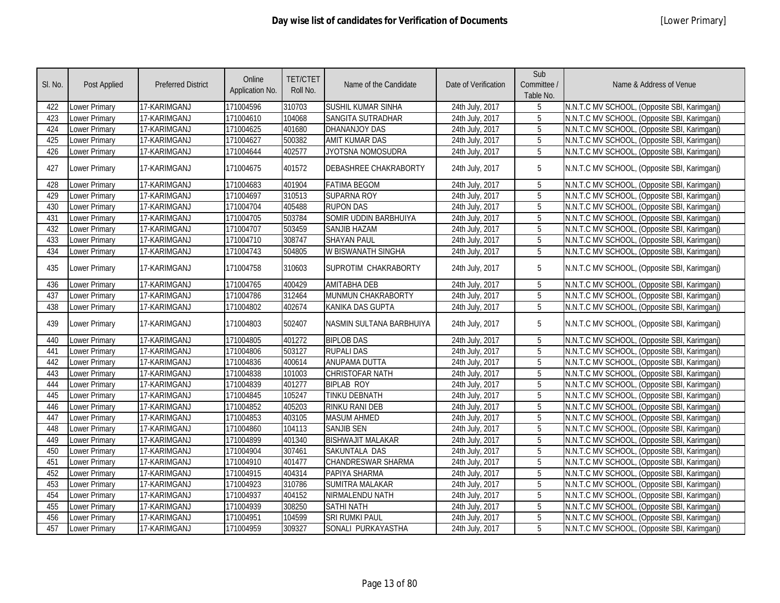| SI. No. | <b>Post Applied</b>  | <b>Preferred District</b> | Online<br>Application No. | <b>TET/CTET</b><br>Roll No. | Name of the Candidate        | Date of Verification | Sub<br>Committee /<br>Table No. | Name & Address of Venue                      |
|---------|----------------------|---------------------------|---------------------------|-----------------------------|------------------------------|----------------------|---------------------------------|----------------------------------------------|
| 422     | Lower Primary        | 17-KARIMGANJ              | 171004596                 | 310703                      | SUSHIL KUMAR SINHA           | 24th July, 2017      | 5                               | N.N.T.C MV SCHOOL, (Opposite SBI, Karimganj) |
| 423     | <b>Lower Primary</b> | 17-KARIMGANJ              | 171004610                 | 104068                      | SANGITA SUTRADHAR            | 24th July, 2017      | 5                               | N.N.T.C MV SCHOOL, (Opposite SBI, Karimganj) |
| 424     | Lower Primary        | 17-KARIMGANJ              | 171004625                 | 401680                      | DHANANJOY DAS                | 24th July, 2017      | 5                               | N.N.T.C MV SCHOOL, (Opposite SBI, Karimganj) |
| 425     | <b>Lower Primary</b> | 17-KARIMGANJ              | 171004627                 | 500382                      | <b>AMIT KUMAR DAS</b>        | 24th July, 2017      | 5                               | N.N.T.C MV SCHOOL, (Opposite SBI, Karimganj) |
| 426     | Lower Primary        | 17-KARIMGANJ              | 171004644                 | 402577                      | JYOTSNA NOMOSUDRA            | 24th July, 2017      | 5                               | N.N.T.C MV SCHOOL, (Opposite SBI, Karimganj) |
| 427     | Lower Primary        | 17-KARIMGANJ              | 171004675                 | 401572                      | <b>DEBASHREE CHAKRABORTY</b> | 24th July, 2017      | 5                               | N.N.T.C MV SCHOOL, (Opposite SBI, Karimganj) |
| 428     | <b>Lower Primary</b> | 17-KARIMGANJ              | 171004683                 | 401904                      | <b>FATIMA BEGOM</b>          | 24th July, 2017      | 5                               | N.N.T.C MV SCHOOL, (Opposite SBI, Karimganj) |
| 429     | Lower Primary        | 17-KARIMGANJ              | 171004697                 | 310513                      | <b>SUPARNA ROY</b>           | 24th July, 2017      | 5                               | N.N.T.C MV SCHOOL, (Opposite SBI, Karimganj) |
| 430     | Lower Primary        | 17-KARIMGANJ              | 171004704                 | 405488                      | <b>RUPON DAS</b>             | 24th July, 2017      | 5                               | N.N.T.C MV SCHOOL, (Opposite SBI, Karimganj) |
| 431     | Lower Primary        | 17-KARIMGANJ              | 171004705                 | 503784                      | SOMIR UDDIN BARBHUIYA        | 24th July, 2017      | 5                               | N.N.T.C MV SCHOOL, (Opposite SBI, Karimganj) |
| 432     | <b>Lower Primary</b> | 17-KARIMGANJ              | 171004707                 | 503459                      | <b>SANJIB HAZAM</b>          | 24th July, 2017      | 5                               | N.N.T.C MV SCHOOL, (Opposite SBI, Karimgani) |
| 433     | <b>Lower Primary</b> | 17-KARIMGANJ              | 171004710                 | 308747                      | <b>SHAYAN PAUL</b>           | 24th July, 2017      | 5                               | N.N.T.C MV SCHOOL, (Opposite SBI, Karimganj) |
| 434     | <b>Lower Primary</b> | 17-KARIMGANJ              | 171004743                 | 504805                      | W BISWANATH SINGHA           | 24th July, 2017      | 5                               | N.N.T.C MV SCHOOL, (Opposite SBI, Karimganj) |
| 435     | <b>Lower Primary</b> | 17-KARIMGANJ              | 171004758                 | 310603                      | SUPROTIM CHAKRABORTY         | 24th July, 2017      | 5                               | N.N.T.C MV SCHOOL, (Opposite SBI, Karimganj) |
| 436     | <b>Lower Primary</b> | 17-KARIMGANJ              | 171004765                 | 400429                      | <b>AMITABHA DEB</b>          | 24th July, 2017      | 5                               | N.N.T.C MV SCHOOL, (Opposite SBI, Karimganj) |
| 437     | Lower Primary        | 17-KARIMGANJ              | 171004786                 | 312464                      | MUNMUN CHAKRABORTY           | 24th July, 2017      | $\overline{5}$                  | N.N.T.C MV SCHOOL, (Opposite SBI, Karimganj) |
| 438     | Lower Primary        | 17-KARIMGANJ              | 171004802                 | 402674                      | KANIKA DAS GUPTA             | 24th July, 2017      | $\overline{5}$                  | N.N.T.C MV SCHOOL, (Opposite SBI, Karimganj) |
| 439     | Lower Primary        | 17-KARIMGANJ              | 171004803                 | 502407                      | NASMIN SULTANA BARBHUIYA     | 24th July, 2017      | 5                               | N.N.T.C MV SCHOOL, (Opposite SBI, Karimganj) |
| 440     | <b>Lower Primary</b> | 17-KARIMGANJ              | 171004805                 | 401272                      | <b>BIPLOB DAS</b>            | 24th July, 2017      | 5                               | N.N.T.C MV SCHOOL, (Opposite SBI, Karimganj) |
| 441     | Lower Primary        | 17-KARIMGANJ              | 171004806                 | 503127                      | <b>RUPALI DAS</b>            | 24th July, 2017      | 5                               | N.N.T.C MV SCHOOL, (Opposite SBI, Karimganj) |
| 442     | Lower Primary        | 17-KARIMGANJ              | 171004836                 | 400614                      | <b>ANUPAMA DUTTA</b>         | 24th July, 2017      | 5                               | N.N.T.C MV SCHOOL, (Opposite SBI, Karimganj) |
| 443     | Lower Primary        | 17-KARIMGANJ              | 171004838                 | 101003                      | <b>CHRISTOFAR NATH</b>       | 24th July, 2017      | 5                               | N.N.T.C MV SCHOOL, (Opposite SBI, Karimganj) |
| 444     | Lower Primary        | 17-KARIMGANJ              | 171004839                 | 401277                      | <b>BIPLAB ROY</b>            | 24th July, 2017      | 5                               | N.N.T.C MV SCHOOL, (Opposite SBI, Karimganj) |
| 445     | <b>Lower Primary</b> | 17-KARIMGANJ              | 171004845                 | 105247                      | <b>TINKU DEBNATH</b>         | 24th July, 2017      | 5                               | N.N.T.C MV SCHOOL, (Opposite SBI, Karimganj) |
| 446     | Lower Primary        | 17-KARIMGANJ              | 171004852                 | 405203                      | <b>RINKU RANI DEB</b>        | 24th July, 2017      | 5                               | N.N.T.C MV SCHOOL, (Opposite SBI, Karimganj) |
| 447     | Lower Primary        | 17-KARIMGANJ              | 171004853                 | 403105                      | <b>MASUM AHMED</b>           | 24th July, 2017      | 5                               | N.N.T.C MV SCHOOL, (Opposite SBI, Karimganj) |
| 448     | Lower Primary        | 17-KARIMGANJ              | 171004860                 | 104113                      | <b>SANJIB SEN</b>            | 24th July, 2017      | 5                               | N.N.T.C MV SCHOOL, (Opposite SBI, Karimganj) |
| 449     | Lower Primary        | 17-KARIMGANJ              | 171004899                 | 401340                      | <b>BISHWAJIT MALAKAR</b>     | 24th July, 2017      | 5                               | N.N.T.C MV SCHOOL, (Opposite SBI, Karimganj) |
| 450     | Lower Primary        | 17-KARIMGANJ              | 171004904                 | 307461                      | SAKUNTALA DAS                | 24th July, 2017      | 5                               | N.N.T.C MV SCHOOL, (Opposite SBI, Karimganj) |
| 451     | <b>Lower Primary</b> | 17-KARIMGANJ              | 171004910                 | 401477                      | <b>CHANDRESWAR SHARMA</b>    | 24th July, 2017      | $\overline{5}$                  | N.N.T.C MV SCHOOL, (Opposite SBI, Karimganj) |
| 452     | Lower Primary        | 17-KARIMGANJ              | 171004915                 | 404314                      | PAPIYA SHARMA                | 24th July, 2017      | 5                               | N.N.T.C MV SCHOOL, (Opposite SBI, Karimganj) |
| 453     | Lower Primary        | 17-KARIMGANJ              | 171004923                 | 310786                      | <b>SUMITRA MALAKAR</b>       | 24th July, 2017      | 5                               | N.N.T.C MV SCHOOL, (Opposite SBI, Karimganj) |
| 454     | Lower Primary        | 17-KARIMGANJ              | 171004937                 | 404152                      | NIRMALENDU NATH              | 24th July, 2017      | 5                               | N.N.T.C MV SCHOOL, (Opposite SBI, Karimganj) |
| 455     | Lower Primary        | 17-KARIMGANJ              | 171004939                 | 308250                      | <b>SATHI NATH</b>            | 24th July, 2017      | 5                               | N.N.T.C MV SCHOOL, (Opposite SBI, Karimganj) |
| 456     | Lower Primary        | 17-KARIMGANJ              | 171004951                 | 104599                      | <b>SRI RUMKI PAUL</b>        | 24th July, 2017      | 5                               | N.N.T.C MV SCHOOL, (Opposite SBI, Karimganj) |
| 457     | <b>Lower Primary</b> | 17-KARIMGANJ              | 171004959                 | 309327                      | SONALI PURKAYASTHA           | 24th July, 2017      | 5                               | N.N.T.C MV SCHOOL, (Opposite SBI, Karimganj) |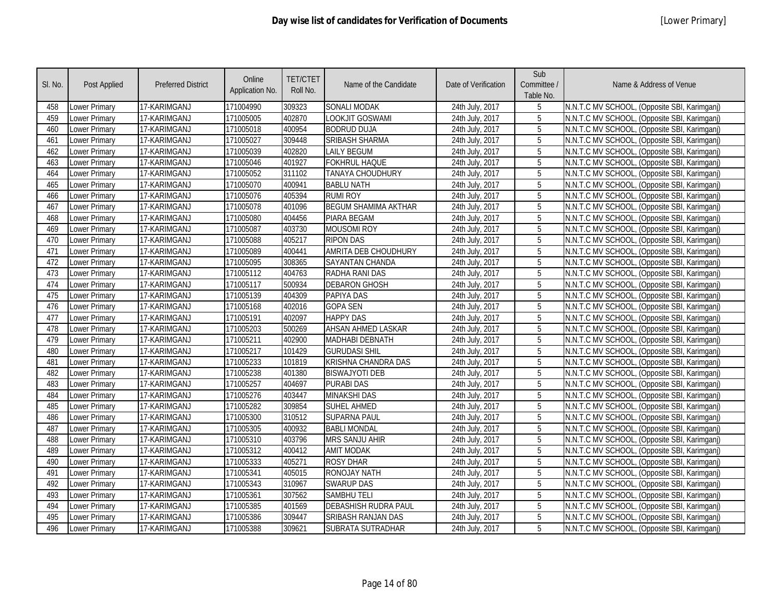| SI. No. | <b>Post Applied</b>  | <b>Preferred District</b> | Online<br>Application No. | <b>TET/CTET</b><br>Roll No. | Name of the Candidate       | Date of Verification | Sub<br>Committee /<br>Table No. | Name & Address of Venue                      |
|---------|----------------------|---------------------------|---------------------------|-----------------------------|-----------------------------|----------------------|---------------------------------|----------------------------------------------|
| 458     | Lower Primary        | 17-KARIMGANJ              | 171004990                 | 309323                      | SONALI MODAK                | 24th July, 2017      | 5                               | N.N.T.C MV SCHOOL, (Opposite SBI, Karimganj) |
| 459     | Lower Primary        | 17-KARIMGANJ              | 171005005                 | 402870                      | lookjit Goswami             | 24th July, 2017      | 5                               | N.N.T.C MV SCHOOL, (Opposite SBI, Karimganj) |
| 460     | Lower Primary        | 17-KARIMGANJ              | 171005018                 | 400954                      | <b>BODRUD DUJA</b>          | 24th July, 2017      | 5                               | N.N.T.C MV SCHOOL, (Opposite SBI, Karimganj) |
| 461     | <b>Lower Primary</b> | 17-KARIMGANJ              | 171005027                 | 309448                      | <b>SRIBASH SHARMA</b>       | 24th July, 2017      | 5                               | N.N.T.C MV SCHOOL, (Opposite SBI, Karimganj) |
| 462     | Lower Primary        | 17-KARIMGANJ              | 171005039                 | 402820                      | <b>LAILY BEGUM</b>          | 24th July, 2017      | 5                               | N.N.T.C MV SCHOOL, (Opposite SBI, Karimganj) |
| 463     | Lower Primary        | 17-KARIMGANJ              | 171005046                 | 401927                      | <b>FOKHRUL HAQUE</b>        | 24th July, 2017      | 5                               | N.N.T.C MV SCHOOL, (Opposite SBI, Karimganj) |
| 464     | Lower Primary        | 17-KARIMGANJ              | 171005052                 | 311102                      | TANAYA CHOUDHURY            | 24th July, 2017      | 5                               | N.N.T.C MV SCHOOL, (Opposite SBI, Karimganj) |
| 465     | <b>Lower Primary</b> | 17-KARIMGANJ              | 171005070                 | 400941                      | <b>BABLU NATH</b>           | 24th July, 2017      | 5                               | N.N.T.C MV SCHOOL, (Opposite SBI, Karimganj) |
| 466     | <b>Lower Primary</b> | 17-KARIMGANJ              | 171005076                 | 405394                      | <b>RUMI ROY</b>             | 24th July, 2017      | 5                               | N.N.T.C MV SCHOOL, (Opposite SBI, Karimganj) |
| 467     | Lower Primary        | 17-KARIMGANJ              | 171005078                 | 401096                      | <b>BEGUM SHAMIMA AKTHAR</b> | 24th July, 2017      | 5                               | N.N.T.C MV SCHOOL, (Opposite SBI, Karimganj) |
| 468     | Lower Primary        | 17-KARIMGANJ              | 171005080                 | 404456                      | PIARA BEGAM                 | 24th July, 2017      | 5                               | N.N.T.C MV SCHOOL, (Opposite SBI, Karimganj) |
| 469     | Lower Primary        | 17-KARIMGANJ              | 171005087                 | 403730                      | <b>MOUSOMI ROY</b>          | 24th July, 2017      | 5                               | N.N.T.C MV SCHOOL, (Opposite SBI, Karimganj) |
| 470     | Lower Primary        | 17-KARIMGANJ              | 171005088                 | 405217                      | <b>RIPON DAS</b>            | 24th July, 2017      | $\overline{5}$                  | N.N.T.C MV SCHOOL, (Opposite SBI, Karimganj) |
| 471     | Lower Primary        | 17-KARIMGANJ              | 171005089                 | 400441                      | AMRITA DEB CHOUDHURY        | 24th July, 2017      | 5                               | N.N.T.C MV SCHOOL, (Opposite SBI, Karimgani) |
| 472     | Lower Primary        | 17-KARIMGANJ              | 171005095                 | 308365                      | <b>SAYANTAN CHANDA</b>      | 24th July, 2017      | 5                               | N.N.T.C MV SCHOOL, (Opposite SBI, Karimganj) |
| 473     | Lower Primary        | 17-KARIMGANJ              | 171005112                 | 404763                      | RADHA RANI DAS              | 24th July, 2017      | 5                               | N.N.T.C MV SCHOOL, (Opposite SBI, Karimganj) |
| 474     | Lower Primary        | 17-KARIMGANJ              | 171005117                 | 500934                      | <b>DEBARON GHOSH</b>        | 24th July, 2017      | 5                               | N.N.T.C MV SCHOOL, (Opposite SBI, Karimganj) |
| 475     | Lower Primary        | 17-KARIMGANJ              | 171005139                 | 404309                      | PAPIYA DAS                  | 24th July, 2017      | 5                               | N.N.T.C MV SCHOOL, (Opposite SBI, Karimganj) |
| 476     | Lower Primary        | 17-KARIMGANJ              | 171005168                 | 402016                      | <b>GOPA SEN</b>             | 24th July, 2017      | 5                               | N.N.T.C MV SCHOOL, (Opposite SBI, Karimganj) |
| 477     | Lower Primary        | 17-KARIMGANJ              | 171005191                 | 402097                      | <b>HAPPY DAS</b>            | 24th July, 2017      | 5                               | N.N.T.C MV SCHOOL, (Opposite SBI, Karimganj) |
| 478     | Lower Primary        | 17-KARIMGANJ              | 171005203                 | 500269                      | <b>AHSAN AHMED LASKAR</b>   | 24th July, 2017      | 5                               | N.N.T.C MV SCHOOL, (Opposite SBI, Karimganj) |
| 479     | Lower Primary        | 17-KARIMGANJ              | 171005211                 | 402900                      | <b>MADHABI DEBNATH</b>      | 24th July, 2017      | 5                               | N.N.T.C MV SCHOOL, (Opposite SBI, Karimganj) |
| 480     | Lower Primary        | 17-KARIMGANJ              | 171005217                 | 101429                      | <b>GURUDASI SHIL</b>        | 24th July, 2017      | 5                               | N.N.T.C MV SCHOOL, (Opposite SBI, Karimganj) |
| 481     | Lower Primary        | 17-KARIMGANJ              | 171005233                 | 101819                      | <b>KRISHNA CHANDRA DAS</b>  | 24th July, 2017      | $\overline{5}$                  | N.N.T.C MV SCHOOL, (Opposite SBI, Karimganj) |
| 482     | Lower Primary        | 17-KARIMGANJ              | 171005238                 | 401380                      | <b>BISWAJYOTI DEB</b>       | 24th July, 2017      | $\overline{5}$                  | N.N.T.C MV SCHOOL, (Opposite SBI, Karimganj) |
| 483     | Lower Primary        | 17-KARIMGANJ              | 171005257                 | 404697                      | <b>PURABI DAS</b>           | 24th July, 2017      | $\overline{5}$                  | N.N.T.C MV SCHOOL, (Opposite SBI, Karimganj) |
| 484     | Lower Primary        | 17-KARIMGANJ              | 171005276                 | 403447                      | <b>MINAKSHI DAS</b>         | 24th July, 2017      | 5                               | N.N.T.C MV SCHOOL, (Opposite SBI, Karimganj) |
| 485     | Lower Primary        | 17-KARIMGANJ              | 171005282                 | 309854                      | <b>SUHEL AHMED</b>          | 24th July, 2017      | $\overline{5}$                  | N.N.T.C MV SCHOOL, (Opposite SBI, Karimganj) |
| 486     | Lower Primary        | 17-KARIMGANJ              | 171005300                 | 310512                      | <b>SUPARNA PAUL</b>         | 24th July, 2017      | 5                               | N.N.T.C MV SCHOOL, (Opposite SBI, Karimganj) |
| 487     | Lower Primary        | 17-KARIMGANJ              | 171005305                 | 400932                      | <b>BABLI MONDAL</b>         | 24th July, 2017      | 5                               | N.N.T.C MV SCHOOL, (Opposite SBI, Karimganj) |
| 488     | Lower Primary        | 17-KARIMGANJ              | 171005310                 | 403796                      | <b>MRS SANJU AHIR</b>       | 24th July, 2017      | 5                               | N.N.T.C MV SCHOOL, (Opposite SBI, Karimganj) |
| 489     | Lower Primary        | 17-KARIMGANJ              | 171005312                 | 400412                      | <b>AMIT MODAK</b>           | 24th July, 2017      | 5                               | N.N.T.C MV SCHOOL, (Opposite SBI, Karimganj) |
| 490     | Lower Primary        | 17-KARIMGANJ              | 171005333                 | 405271                      | <b>ROSY DHAR</b>            | 24th July, 2017      | 5                               | N.N.T.C MV SCHOOL, (Opposite SBI, Karimganj) |
| 491     | Lower Primary        | 17-KARIMGANJ              | 171005341                 | 405015                      | <b>RONOJAY NATH</b>         | 24th July, 2017      | $\overline{5}$                  | N.N.T.C MV SCHOOL, (Opposite SBI, Karimganj) |
| 492     | Lower Primary        | 17-KARIMGANJ              | 171005343                 | 310967                      | <b>SWARUP DAS</b>           | 24th July, 2017      | 5                               | N.N.T.C MV SCHOOL, (Opposite SBI, Karimganj) |
| 493     | Lower Primary        | 17-KARIMGANJ              | 171005361                 | 307562                      | <b>SAMBHU TELI</b>          | 24th July, 2017      | 5                               | N.N.T.C MV SCHOOL, (Opposite SBI, Karimganj) |
| 494     | Lower Primary        | 17-KARIMGANJ              | 171005385                 | 401569                      | DEBASHISH RUDRA PAUL        | 24th July, 2017      | 5                               | N.N.T.C MV SCHOOL, (Opposite SBI, Karimganj) |
| 495     | Lower Primary        | 17-KARIMGANJ              | 171005386                 | 309447                      | SRIBASH RANJAN DAS          | 24th July, 2017      | 5                               | N.N.T.C MV SCHOOL, (Opposite SBI, Karimganj) |
| 496     | <b>Lower Primary</b> | 17-KARIMGANJ              | 171005388                 | 309621                      | SUBRATA SUTRADHAR           | 24th July, 2017      | 5                               | N.N.T.C MV SCHOOL, (Opposite SBI, Karimganj) |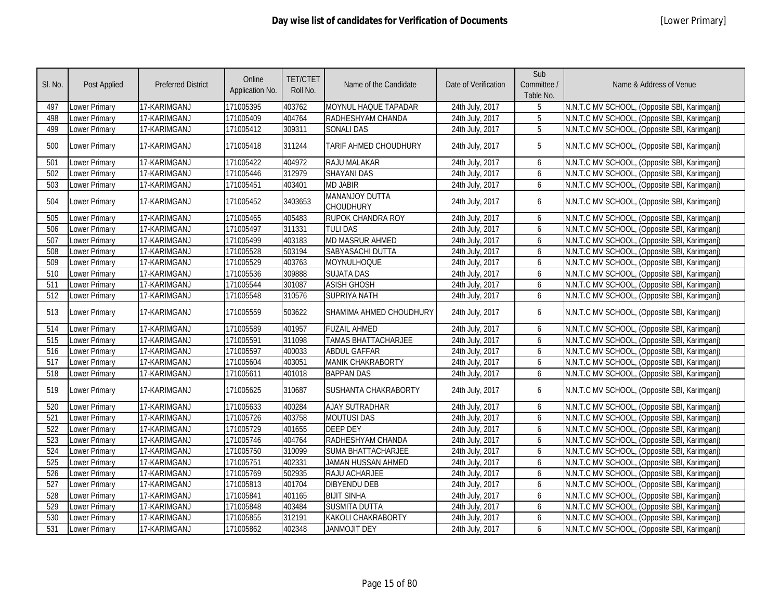| SI. No. | Post Applied         | <b>Preferred District</b> | Online<br>Application No. | <b>TET/CTET</b><br>Roll No. | Name of the Candidate              | Date of Verification | Sub<br>Committee /<br>Table No. | Name & Address of Venue                      |
|---------|----------------------|---------------------------|---------------------------|-----------------------------|------------------------------------|----------------------|---------------------------------|----------------------------------------------|
| 497     | Lower Primary        | 17-KARIMGANJ              | 171005395                 | 403762                      | MOYNUL HAQUE TAPADAR               | 24th July, 2017      | 5                               | N.N.T.C MV SCHOOL, (Opposite SBI, Karimganj) |
| 498     | Lower Primary        | 17-KARIMGANJ              | 171005409                 | 404764                      | RADHESHYAM CHANDA                  | 24th July, 2017      | 5                               | N.N.T.C MV SCHOOL, (Opposite SBI, Karimganj) |
| 499     | Lower Primary        | 17-KARIMGANJ              | 171005412                 | 309311                      | <b>SONALI DAS</b>                  | 24th July, 2017      | $\overline{5}$                  | N.N.T.C MV SCHOOL, (Opposite SBI, Karimganj) |
| 500     | Lower Primary        | 17-KARIMGANJ              | 171005418                 | 311244                      | TARIF AHMED CHOUDHURY              | 24th July, 2017      | 5                               | N.N.T.C MV SCHOOL, (Opposite SBI, Karimganj) |
| 501     | <b>Lower Primary</b> | 17-KARIMGANJ              | 171005422                 | 404972                      | RAJU MALAKAR                       | 24th July, 2017      | 6                               | N.N.T.C MV SCHOOL, (Opposite SBI, Karimganj) |
| 502     | Lower Primary        | 17-KARIMGANJ              | 171005446                 | 312979                      | <b>SHAYANI DAS</b>                 | 24th July, 2017      | 6                               | N.N.T.C MV SCHOOL, (Opposite SBI, Karimganj) |
| 503     | Lower Primary        | 17-KARIMGANJ              | 171005451                 | 403401                      | <b>MD JABIR</b>                    | 24th July, 2017      | 6                               | N.N.T.C MV SCHOOL, (Opposite SBI, Karimganj) |
| 504     | Lower Primary        | 17-KARIMGANJ              | 171005452                 | 3403653                     | MANANJOY DUTTA<br><b>CHOUDHURY</b> | 24th July, 2017      | 6                               | N.N.T.C MV SCHOOL, (Opposite SBI, Karimganj) |
| 505     | Lower Primary        | 17-KARIMGANJ              | 171005465                 | 405483                      | RUPOK CHANDRA ROY                  | 24th July, 2017      | 6                               | N.N.T.C MV SCHOOL, (Opposite SBI, Karimganj) |
| 506     | Lower Primary        | 17-KARIMGANJ              | 171005497                 | 311331                      | <b>TULI DAS</b>                    | 24th July, 2017      | 6                               | N.N.T.C MV SCHOOL, (Opposite SBI, Karimganj) |
| 507     | Lower Primary        | 17-KARIMGANJ              | 171005499                 | 403183                      | <b>MD MASRUR AHMED</b>             | 24th July, 2017      | 6                               | N.N.T.C MV SCHOOL, (Opposite SBI, Karimganj) |
| 508     | Lower Primary        | 17-KARIMGANJ              | 171005528                 | 503194                      | SABYASACHI DUTTA                   | 24th July, 2017      | 6                               | N.N.T.C MV SCHOOL, (Opposite SBI, Karimganj) |
| 509     | Lower Primary        | 17-KARIMGANJ              | 171005529                 | 403763                      | MOYNULHOQUE                        | 24th July, 2017      | 6                               | N.N.T.C MV SCHOOL, (Opposite SBI, Karimganj) |
| 510     | Lower Primary        | 17-KARIMGANJ              | 171005536                 | 309888                      | <b>SUJATA DAS</b>                  | 24th July, 2017      | 6                               | N.N.T.C MV SCHOOL, (Opposite SBI, Karimganj) |
| 511     | Lower Primary        | 17-KARIMGANJ              | 171005544                 | 301087                      | <b>ASISH GHOSH</b>                 | 24th July, 2017      | 6                               | N.N.T.C MV SCHOOL, (Opposite SBI, Karimganj) |
| 512     | Lower Primary        | 17-KARIMGANJ              | 171005548                 | 310576                      | <b>SUPRIYA NATH</b>                | 24th July, 2017      | 6                               | N.N.T.C MV SCHOOL, (Opposite SBI, Karimganj) |
| 513     | Lower Primary        | 17-KARIMGANJ              | 171005559                 | 503622                      | SHAMIMA AHMED CHOUDHURY            | 24th July, 2017      | 6                               | N.N.T.C MV SCHOOL, (Opposite SBI, Karimganj) |
| 514     | Lower Primary        | 17-KARIMGANJ              | 171005589                 | 401957                      | <b>FUZAIL AHMED</b>                | 24th July, 2017      | 6                               | N.N.T.C MV SCHOOL, (Opposite SBI, Karimganj) |
| 515     | Lower Primary        | 17-KARIMGANJ              | 171005591                 | 311098                      | <b>TAMAS BHATTACHARJEE</b>         | 24th July, 2017      | 6                               | N.N.T.C MV SCHOOL, (Opposite SBI, Karimganj) |
| 516     | Lower Primary        | 17-KARIMGANJ              | 171005597                 | 400033                      | <b>ABDUL GAFFAR</b>                | 24th July, 2017      | 6                               | N.N.T.C MV SCHOOL, (Opposite SBI, Karimganj) |
| 517     | Lower Primary        | 17-KARIMGANJ              | 171005604                 | 403051                      | <b>MANIK CHAKRABORTY</b>           | 24th July, 2017      | 6                               | N.N.T.C MV SCHOOL, (Opposite SBI, Karimganj) |
| 518     | Lower Primary        | 17-KARIMGANJ              | 171005611                 | 401018                      | <b>BAPPAN DAS</b>                  | 24th July, 2017      | 6                               | N.N.T.C MV SCHOOL, (Opposite SBI, Karimganj) |
| 519     | Lower Primary        | 17-KARIMGANJ              | 171005625                 | 310687                      | SUSHANTA CHAKRABORTY               | 24th July, 2017      | 6                               | N.N.T.C MV SCHOOL, (Opposite SBI, Karimganj) |
| 520     | <b>Lower Primary</b> | 17-KARIMGANJ              | 171005633                 | 400284                      | <b>AJAY SUTRADHAR</b>              | 24th July, 2017      | 6                               | N.N.T.C MV SCHOOL, (Opposite SBI, Karimganj) |
| 521     | Lower Primary        | 17-KARIMGANJ              | 171005726                 | 403758                      | <b>MOUTUSI DAS</b>                 | 24th July, 2017      | 6                               | N.N.T.C MV SCHOOL, (Opposite SBI, Karimganj) |
| 522     | Lower Primary        | 17-KARIMGANJ              | 171005729                 | 401655                      | <b>DEEP DEY</b>                    | 24th July, 2017      | 6                               | N.N.T.C MV SCHOOL, (Opposite SBI, Karimganj) |
| 523     | Lower Primary        | 17-KARIMGANJ              | 171005746                 | 404764                      | RADHESHYAM CHANDA                  | 24th July, 2017      | 6                               | N.N.T.C MV SCHOOL, (Opposite SBI, Karimganj) |
| 524     | Lower Primary        | 17-KARIMGANJ              | 171005750                 | 310099                      | <b>SUMA BHATTACHARJEE</b>          | 24th July, 2017      | 6                               | N.N.T.C MV SCHOOL, (Opposite SBI, Karimganj) |
| 525     | Lower Primary        | 17-KARIMGANJ              | 171005751                 | 402331                      | JAMAN HUSSAN AHMED                 | 24th July, 2017      | 6                               | N.N.T.C MV SCHOOL, (Opposite SBI, Karimganj) |
| 526     | <b>Lower Primary</b> | 17-KARIMGANJ              | 171005769                 | 502935                      | RAJU ACHARJEE                      | 24th July, 2017      | 6                               | N.N.T.C MV SCHOOL, (Opposite SBI, Karimganj) |
| 527     | Lower Primary        | 17-KARIMGANJ              | 171005813                 | 401704                      | <b>DIBYENDU DEB</b>                | 24th July, 2017      | 6                               | N.N.T.C MV SCHOOL, (Opposite SBI, Karimganj) |
| 528     | <b>Lower Primary</b> | 17-KARIMGANJ              | 171005841                 | 401165                      | <b>BIJIT SINHA</b>                 | 24th July, 2017      | 6                               | N.N.T.C MV SCHOOL, (Opposite SBI, Karimganj) |
| 529     | <b>Lower Primary</b> | 17-KARIMGANJ              | 171005848                 | 403484                      | <b>SUSMITA DUTTA</b>               | 24th July, 2017      | 6                               | N.N.T.C MV SCHOOL, (Opposite SBI, Karimganj) |
| 530     | <b>Lower Primary</b> | 17-KARIMGANJ              | 171005855                 | 312191                      | <b>KAKOLI CHAKRABORTY</b>          | 24th July, 2017      | 6                               | N.N.T.C MV SCHOOL, (Opposite SBI, Karimganj) |
| 531     | Lower Primary        | 17-KARIMGANJ              | 171005862                 | 402348                      | <b>JANMOJIT DEY</b>                | 24th July, 2017      | 6                               | N.N.T.C MV SCHOOL, (Opposite SBI, Karimganj) |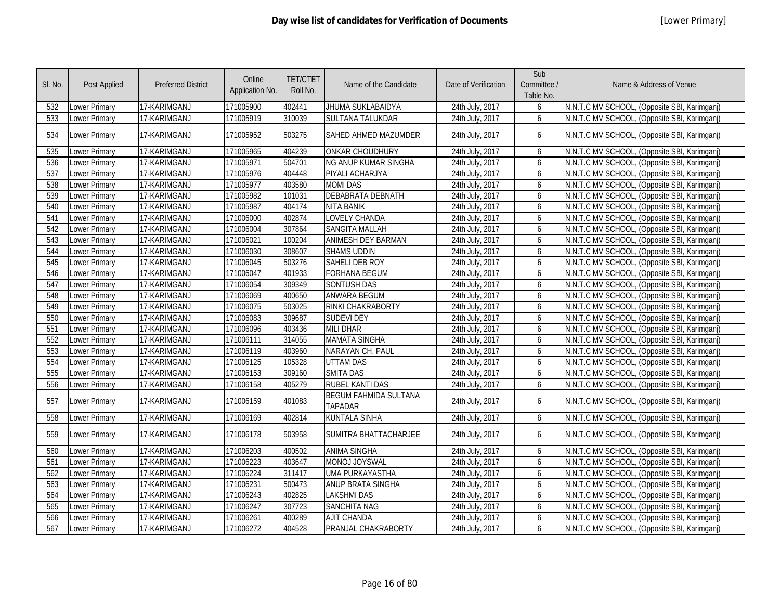| SI. No. | <b>Post Applied</b> | <b>Preferred District</b> | Online<br>Application No. | <b>TET/CTET</b><br>Roll No. | Name of the Candidate                   | Date of Verification | Sub<br>Committee /<br>Table No. | Name & Address of Venue                      |
|---------|---------------------|---------------------------|---------------------------|-----------------------------|-----------------------------------------|----------------------|---------------------------------|----------------------------------------------|
| 532     | Lower Primary       | 17-KARIMGANJ              | 171005900                 | 402441                      | JHUMA SUKLABAIDYA                       | 24th July, 2017      | 6                               | N.N.T.C MV SCHOOL, (Opposite SBI, Karimganj) |
| 533     | Lower Primary       | 17-KARIMGANJ              | 171005919                 | 310039                      | <b>SULTANA TALUKDAR</b>                 | 24th July, 2017      | 6                               | N.N.T.C MV SCHOOL, (Opposite SBI, Karimganj) |
| 534     | Lower Primary       | 17-KARIMGANJ              | 171005952                 | 503275                      | <b>SAHED AHMED MAZUMDER</b>             | 24th July, 2017      | 6                               | N.N.T.C MV SCHOOL, (Opposite SBI, Karimganj) |
| 535     | Lower Primary       | 17-KARIMGANJ              | 171005965                 | 404239                      | <b>ONKAR CHOUDHURY</b>                  | 24th July, 2017      | 6                               | N.N.T.C MV SCHOOL, (Opposite SBI, Karimganj) |
| 536     | Lower Primary       | 17-KARIMGANJ              | 171005971                 | 504701                      | <b>NG ANUP KUMAR SINGHA</b>             | 24th July, 2017      | 6                               | N.N.T.C MV SCHOOL, (Opposite SBI, Karimganj) |
| 537     | Lower Primary       | 17-KARIMGANJ              | 171005976                 | 404448                      | PIYALI ACHARJYA                         | 24th July, 2017      | 6                               | N.N.T.C MV SCHOOL, (Opposite SBI, Karimganj) |
| 538     | Lower Primary       | 17-KARIMGANJ              | 171005977                 | 403580                      | <b>MOMI DAS</b>                         | 24th July, 2017      | 6                               | N.N.T.C MV SCHOOL, (Opposite SBI, Karimganj) |
| 539     | Lower Primary       | 17-KARIMGANJ              | 171005982                 | 101031                      | <b>DEBABRATA DEBNATH</b>                | 24th July, 2017      | 6                               | N.N.T.C MV SCHOOL, (Opposite SBI, Karimganj) |
| 540     | Lower Primary       | 17-KARIMGANJ              | 171005987                 | 404174                      | <b>NITA BANIK</b>                       | 24th July, 2017      | 6                               | N.N.T.C MV SCHOOL, (Opposite SBI, Karimganj) |
| 541     | Lower Primary       | 17-KARIMGANJ              | 171006000                 | 402874                      | LOVELY CHANDA                           | 24th July, 2017      | 6                               | N.N.T.C MV SCHOOL, (Opposite SBI, Karimganj) |
| 542     | Lower Primary       | 17-KARIMGANJ              | 171006004                 | 307864                      | <b>SANGITA MALLAH</b>                   | 24th July, 2017      | 6                               | N.N.T.C MV SCHOOL, (Opposite SBI, Karimganj) |
| 543     | Lower Primary       | 17-KARIMGANJ              | 171006021                 | 100204                      | <b>ANIMESH DEY BARMAN</b>               | 24th July, 2017      | 6                               | N.N.T.C MV SCHOOL, (Opposite SBI, Karimganj) |
| 544     | Lower Primary       | 17-KARIMGANJ              | 171006030                 | 308607                      | <b>SHAMS UDDIN</b>                      | 24th July, 2017      | 6                               | N.N.T.C MV SCHOOL, (Opposite SBI, Karimganj) |
| 545     | Lower Primary       | 17-KARIMGANJ              | 171006045                 | 503276                      | SAHELI DEB ROY                          | 24th July, 2017      | 6                               | N.N.T.C MV SCHOOL, (Opposite SBI, Karimganj) |
| 546     | Lower Primary       | 17-KARIMGANJ              | 171006047                 | 401933                      | <b>FORHANA BEGUM</b>                    | 24th July, 2017      | 6                               | N.N.T.C MV SCHOOL, (Opposite SBI, Karimganj) |
| 547     | Lower Primary       | 17-KARIMGANJ              | 171006054                 | 309349                      | <b>SONTUSH DAS</b>                      | 24th July, 2017      | 6                               | N.N.T.C MV SCHOOL, (Opposite SBI, Karimganj) |
| 548     | Lower Primary       | 17-KARIMGANJ              | 171006069                 | 400650                      | <b>ANWARA BEGUM</b>                     | 24th July, 2017      | 6                               | N.N.T.C MV SCHOOL, (Opposite SBI, Karimganj) |
| 549     | Lower Primary       | 17-KARIMGANJ              | 171006075                 | 503025                      | RINKI CHAKRABORTY                       | 24th July, 2017      | 6                               | N.N.T.C MV SCHOOL, (Opposite SBI, Karimganj) |
| 550     | Lower Primary       | 17-KARIMGANJ              | 171006083                 | 309687                      | <b>SUDEVI DEY</b>                       | 24th July, 2017      | 6                               | N.N.T.C MV SCHOOL, (Opposite SBI, Karimganj) |
| 551     | Lower Primary       | 17-KARIMGANJ              | 171006096                 | 403436                      | <b>MILI DHAR</b>                        | 24th July, 2017      | 6                               | N.N.T.C MV SCHOOL, (Opposite SBI, Karimganj) |
| 552     | Lower Primary       | 17-KARIMGANJ              | 171006111                 | 314055                      | <b>MAMATA SINGHA</b>                    | 24th July, 2017      | 6                               | N.N.T.C MV SCHOOL, (Opposite SBI, Karimganj) |
| 553     | Lower Primary       | 17-KARIMGANJ              | 171006119                 | 403960                      | NARAYAN CH. PAUL                        | 24th July, 2017      | 6                               | N.N.T.C MV SCHOOL, (Opposite SBI, Karimganj) |
| 554     | Lower Primary       | 17-KARIMGANJ              | 171006125                 | 105328                      | <b>UTTAM DAS</b>                        | 24th July, 2017      | 6                               | N.N.T.C MV SCHOOL, (Opposite SBI, Karimganj) |
| 555     | Lower Primary       | 17-KARIMGANJ              | 171006153                 | 309160                      | <b>SMITA DAS</b>                        | 24th July, 2017      | 6                               | N.N.T.C MV SCHOOL, (Opposite SBI, Karimganj) |
| 556     | Lower Primary       | 17-KARIMGANJ              | 171006158                 | 405279                      | <b>RUBEL KANTI DAS</b>                  | 24th July, 2017      | 6                               | N.N.T.C MV SCHOOL, (Opposite SBI, Karimganj) |
| 557     | Lower Primary       | 17-KARIMGANJ              | 171006159                 | 401083                      | <b>BEGUM FAHMIDA SULTANA</b><br>TAPADAR | 24th July, 2017      | 6                               | N.N.T.C MV SCHOOL, (Opposite SBI, Karimganj) |
| 558     | Lower Primary       | 17-KARIMGANJ              | 171006169                 | 402814                      | <b>KUNTALA SINHA</b>                    | 24th July, 2017      | 6                               | N.N.T.C MV SCHOOL, (Opposite SBI, Karimganj) |
| 559     | Lower Primary       | 17-KARIMGANJ              | 171006178                 | 503958                      | SUMITRA BHATTACHARJEE                   | 24th July, 2017      | 6                               | N.N.T.C MV SCHOOL, (Opposite SBI, Karimganj) |
| 560     | Lower Primary       | 17-KARIMGANJ              | 171006203                 | 400502                      | <b>ANIMA SINGHA</b>                     | 24th July, 2017      | 6                               | N.N.T.C MV SCHOOL, (Opposite SBI, Karimganj) |
| 561     | Lower Primary       | 17-KARIMGANJ              | 171006223                 | 403647                      | MONOJ JOYSWAL                           | 24th July, 2017      | 6                               | N.N.T.C MV SCHOOL, (Opposite SBI, Karimganj) |
| 562     | Lower Primary       | 17-KARIMGANJ              | 171006224                 | 311417                      | <b>UMA PURKAYASTHA</b>                  | 24th July, 2017      | 6                               | N.N.T.C MV SCHOOL, (Opposite SBI, Karimganj) |
| 563     | Lower Primary       | 17-KARIMGANJ              | 171006231                 | 500473                      | ANUP BRATA SINGHA                       | 24th July, 2017      | 6                               | N.N.T.C MV SCHOOL, (Opposite SBI, Karimganj) |
| 564     | Lower Primary       | 17-KARIMGANJ              | 171006243                 | 402825                      | <b>LAKSHMI DAS</b>                      | 24th July, 2017      | 6                               | N.N.T.C MV SCHOOL, (Opposite SBI, Karimganj) |
| 565     | Lower Primary       | 17-KARIMGANJ              | 171006247                 | 307723                      | <b>SANCHITA NAG</b>                     | 24th July, 2017      | 6                               | N.N.T.C MV SCHOOL, (Opposite SBI, Karimganj) |
| 566     | Lower Primary       | 17-KARIMGANJ              | 171006261                 | 400289                      | <b>AJIT CHANDA</b>                      | 24th July, 2017      | 6                               | N.N.T.C MV SCHOOL, (Opposite SBI, Karimganj) |
| 567     | Lower Primary       | 17-KARIMGANJ              | 171006272                 | 404528                      | PRANJAL CHAKRABORTY                     | 24th July, 2017      | 6                               | N.N.T.C MV SCHOOL, (Opposite SBI, Karimganj) |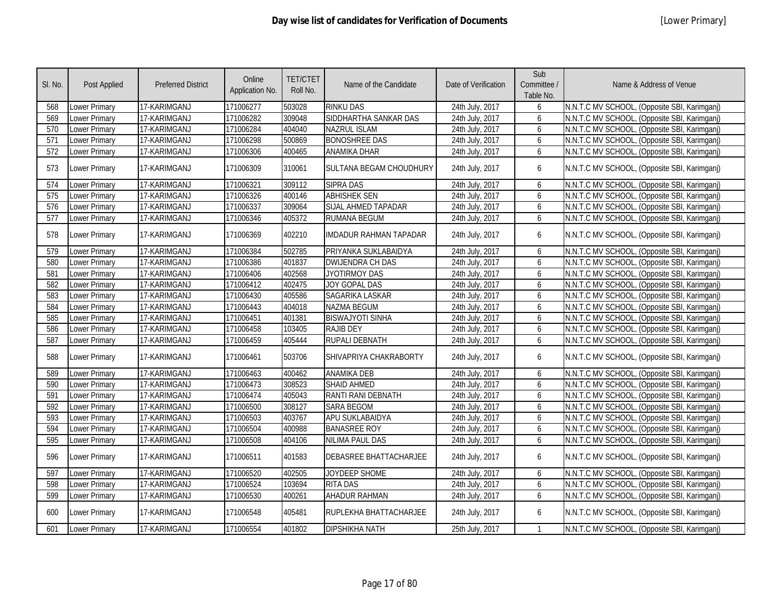| SI. No. | Post Applied         | <b>Preferred District</b> | Online<br>Application No. | <b>TET/CTET</b><br>Roll No. | Name of the Candidate         | Date of Verification | Sub<br>Committee /<br>Table No. | Name & Address of Venue                      |
|---------|----------------------|---------------------------|---------------------------|-----------------------------|-------------------------------|----------------------|---------------------------------|----------------------------------------------|
| 568     | Lower Primary        | 17-KARIMGANJ              | 171006277                 | 503028                      | <b>RINKU DAS</b>              | 24th July, 2017      | 6                               | N.N.T.C MV SCHOOL, (Opposite SBI, Karimganj) |
| 569     | Lower Primary        | 17-KARIMGANJ              | 171006282                 | 309048                      | SIDDHARTHA SANKAR DAS         | 24th July, 2017      | 6                               | N.N.T.C MV SCHOOL, (Opposite SBI, Karimganj) |
| 570     | Lower Primary        | 17-KARIMGANJ              | 171006284                 | 404040                      | <b>NAZRUL ISLAM</b>           | 24th July, 2017      | 6                               | N.N.T.C MV SCHOOL, (Opposite SBI, Karimganj) |
| 571     | <b>Lower Primary</b> | 17-KARIMGANJ              | 171006298                 | 500869                      | <b>BONOSHREE DAS</b>          | 24th July, 2017      | 6                               | N.N.T.C MV SCHOOL, (Opposite SBI, Karimganj) |
| 572     | Lower Primary        | 17-KARIMGANJ              | 171006306                 | 400465                      | <b>ANAMIKA DHAR</b>           | 24th July, 2017      | 6                               | N.N.T.C MV SCHOOL, (Opposite SBI, Karimganj) |
| 573     | <b>Lower Primary</b> | 17-KARIMGANJ              | 171006309                 | 310061                      | SULTANA BEGAM CHOUDHURY       | 24th July, 2017      | 6                               | N.N.T.C MV SCHOOL, (Opposite SBI, Karimganj) |
| 574     | Lower Primary        | 17-KARIMGANJ              | 171006321                 | 309112                      | <b>SIPRA DAS</b>              | 24th July, 2017      | 6                               | N.N.T.C MV SCHOOL, (Opposite SBI, Karimganj) |
| 575     | <b>Lower Primary</b> | 17-KARIMGANJ              | 171006326                 | 400146                      | <b>ABHISHEK SEN</b>           | 24th July, 2017      | 6                               | N.N.T.C MV SCHOOL, (Opposite SBI, Karimganj) |
| 576     | <b>Lower Primary</b> | 17-KARIMGANJ              | 171006337                 | 309064                      | SIJAL AHMED TAPADAR           | 24th July, 2017      | 6                               | N.N.T.C MV SCHOOL, (Opposite SBI, Karimganj) |
| 577     | Lower Primary        | 17-KARIMGANJ              | 171006346                 | 405372                      | <b>RUMANA BEGUM</b>           | 24th July, 2017      | 6                               | N.N.T.C MV SCHOOL, (Opposite SBI, Karimganj) |
| 578     | Lower Primary        | 17-KARIMGANJ              | 171006369                 | 402210                      | <b>IMDADUR RAHMAN TAPADAR</b> | 24th July, 2017      | 6                               | N.N.T.C MV SCHOOL, (Opposite SBI, Karimganj) |
| 579     | <b>Lower Primary</b> | 17-KARIMGANJ              | 171006384                 | 502785                      | PRIYANKA SUKLABAIDYA          | 24th July, 2017      | 6                               | N.N.T.C MV SCHOOL, (Opposite SBI, Karimganj) |
| 580     | Lower Primary        | 17-KARIMGANJ              | 171006386                 | 401837                      | <b>DWIJENDRA CH DAS</b>       | 24th July, 2017      | 6                               | N.N.T.C MV SCHOOL, (Opposite SBI, Karimganj) |
| 581     | <b>Lower Primary</b> | 17-KARIMGANJ              | 171006406                 | 402568                      | <b>JYOTIRMOY DAS</b>          | 24th July, 2017      | 6                               | N.N.T.C MV SCHOOL, (Opposite SBI, Karimganj) |
| 582     | <b>Lower Primary</b> | 17-KARIMGANJ              | 171006412                 | 402475                      | <b>JOY GOPAL DAS</b>          | 24th July, 2017      | 6                               | N.N.T.C MV SCHOOL, (Opposite SBI, Karimganj) |
| 583     | <b>Lower Primary</b> | 17-KARIMGANJ              | 171006430                 | 405586                      | SAGARIKA LASKAR               | 24th July, 2017      | 6                               | N.N.T.C MV SCHOOL, (Opposite SBI, Karimganj) |
| 584     | <b>Lower Primary</b> | 17-KARIMGANJ              | 171006443                 | 404018                      | <b>NAZMA BEGUM</b>            | 24th July, 2017      | 6                               | N.N.T.C MV SCHOOL, (Opposite SBI, Karimganj) |
| 585     | <b>Lower Primary</b> | 17-KARIMGANJ              | 171006451                 | 401381                      | <b>BISWAJYOTI SINHA</b>       | 24th July, 2017      | 6                               | N.N.T.C MV SCHOOL, (Opposite SBI, Karimganj) |
| 586     | <b>Lower Primary</b> | 17-KARIMGANJ              | 171006458                 | 103405                      | <b>RAJIB DEY</b>              | 24th July, 2017      | 6                               | N.N.T.C MV SCHOOL, (Opposite SBI, Karimganj) |
| 587     | <b>Lower Primary</b> | 17-KARIMGANJ              | 171006459                 | 405444                      | <b>RUPALI DEBNATH</b>         | 24th July, 2017      | 6                               | N.N.T.C MV SCHOOL, (Opposite SBI, Karimganj) |
| 588     | Lower Primary        | 17-KARIMGANJ              | 171006461                 | 503706                      | SHIVAPRIYA CHAKRABORTY        | 24th July, 2017      | 6                               | N.N.T.C MV SCHOOL, (Opposite SBI, Karimganj) |
| 589     | Lower Primary        | 17-KARIMGANJ              | 171006463                 | 400462                      | <b>ANAMIKA DEB</b>            | 24th July, 2017      | 6                               | N.N.T.C MV SCHOOL, (Opposite SBI, Karimganj) |
| 590     | Lower Primary        | 17-KARIMGANJ              | 171006473                 | 308523                      | <b>SHAID AHMED</b>            | 24th July, 2017      | 6                               | N.N.T.C MV SCHOOL, (Opposite SBI, Karimganj) |
| 591     | Lower Primary        | 17-KARIMGANJ              | 171006474                 | 405043                      | RANTI RANI DEBNATH            | 24th July, 2017      | 6                               | N.N.T.C MV SCHOOL, (Opposite SBI, Karimganj) |
| 592     | Lower Primary        | 17-KARIMGANJ              | 171006500                 | 308127                      | <b>SARA BEGOM</b>             | 24th July, 2017      | 6                               | N.N.T.C MV SCHOOL, (Opposite SBI, Karimganj) |
| 593     | Lower Primary        | 17-KARIMGANJ              | 171006503                 | 403767                      | APU SUKLABAIDYA               | 24th July, 2017      | 6                               | N.N.T.C MV SCHOOL, (Opposite SBI, Karimganj) |
| 594     | Lower Primary        | 17-KARIMGANJ              | 171006504                 | 400988                      | <b>BANASREE ROY</b>           | 24th July, 2017      | 6                               | N.N.T.C MV SCHOOL, (Opposite SBI, Karimganj) |
| 595     | Lower Primary        | 17-KARIMGANJ              | 171006508                 | 404106                      | NILIMA PAUL DAS               | 24th July, 2017      | 6                               | N.N.T.C MV SCHOOL, (Opposite SBI, Karimganj) |
| 596     | Lower Primary        | 17-KARIMGANJ              | 171006511                 | 401583                      | <b>DEBASREE BHATTACHARJEE</b> | 24th July, 2017      | 6                               | N.N.T.C MV SCHOOL, (Opposite SBI, Karimganj) |
| 597     | <b>Lower Primary</b> | 17-KARIMGANJ              | 171006520                 | 402505                      | JOYDEEP SHOME                 | 24th July, 2017      | 6                               | N.N.T.C MV SCHOOL, (Opposite SBI, Karimganj) |
| 598     | <b>Lower Primary</b> | 17-KARIMGANJ              | 171006524                 | 103694                      | <b>RITA DAS</b>               | 24th July, 2017      | 6                               | N.N.T.C MV SCHOOL, (Opposite SBI, Karimganj) |
| 599     | Lower Primary        | 17-KARIMGANJ              | 171006530                 | 400261                      | <b>AHADUR RAHMAN</b>          | 24th July, 2017      | 6                               | N.N.T.C MV SCHOOL, (Opposite SBI, Karimganj) |
| 600     | Lower Primary        | 17-KARIMGANJ              | 171006548                 | 405481                      | RUPLEKHA BHATTACHARJEE        | 24th July, 2017      | 6                               | N.N.T.C MV SCHOOL, (Opposite SBI, Karimganj) |
| 601     | <b>Lower Primary</b> | 17-KARIMGANJ              | 171006554                 | 401802                      | <b>DIPSHIKHA NATH</b>         | 25th July, 2017      | $\mathbf{1}$                    | N.N.T.C MV SCHOOL, (Opposite SBI, Karimganj) |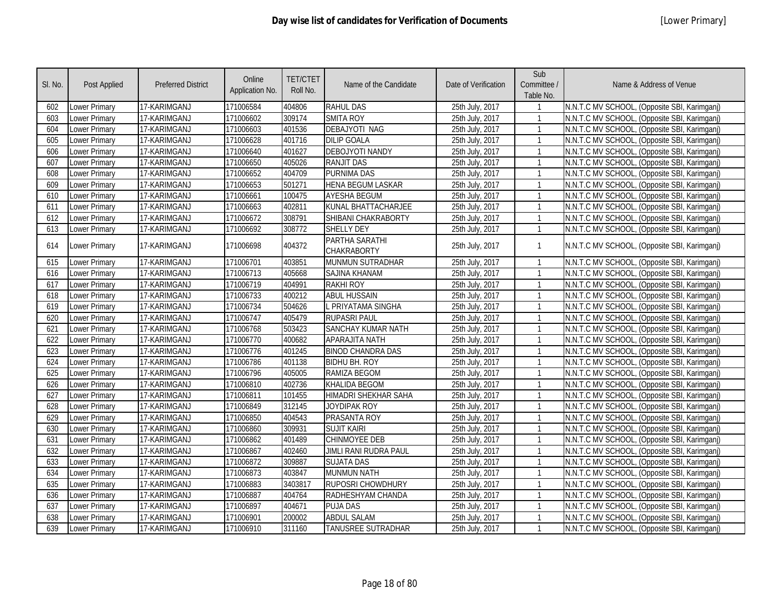| SI. No. | <b>Post Applied</b>  | <b>Preferred District</b> | Online<br>Application No. | <b>TET/CTET</b><br>Roll No. | Name of the Candidate                | Date of Verification | Sub<br>Committee /<br>Table No. | Name & Address of Venue                      |
|---------|----------------------|---------------------------|---------------------------|-----------------------------|--------------------------------------|----------------------|---------------------------------|----------------------------------------------|
| 602     | Lower Primary        | 17-KARIMGANJ              | 171006584                 | 404806                      | <b>RAHUL DAS</b>                     | 25th July, 2017      |                                 | N.N.T.C MV SCHOOL, (Opposite SBI, Karimganj) |
| 603     | Lower Primary        | 17-KARIMGANJ              | 171006602                 | 309174                      | <b>SMITA ROY</b>                     | 25th July, 2017      | 1                               | N.N.T.C MV SCHOOL, (Opposite SBI, Karimganj) |
| 604     | Lower Primary        | 17-KARIMGANJ              | 171006603                 | 401536                      | <b>DEBAJYOTI NAG</b>                 | 25th July, 2017      |                                 | N.N.T.C MV SCHOOL, (Opposite SBI, Karimganj) |
| 605     | <b>Lower Primary</b> | 17-KARIMGANJ              | 171006628                 | 401716                      | <b>DILIP GOALA</b>                   | 25th July, 2017      |                                 | N.N.T.C MV SCHOOL, (Opposite SBI, Karimganj) |
| 606     | Lower Primary        | 17-KARIMGANJ              | 171006640                 | 401627                      | <b>DEBOJYOTI NANDY</b>               | 25th July, 2017      | $\mathbf{1}$                    | N.N.T.C MV SCHOOL, (Opposite SBI, Karimganj) |
| 607     | Lower Primary        | 17-KARIMGANJ              | 171006650                 | 405026                      | <b>RANJIT DAS</b>                    | 25th July, 2017      |                                 | N.N.T.C MV SCHOOL, (Opposite SBI, Karimganj) |
| 608     | Lower Primary        | 17-KARIMGANJ              | 171006652                 | 404709                      | <b>PURNIMA DAS</b>                   | 25th July, 2017      |                                 | N.N.T.C MV SCHOOL, (Opposite SBI, Karimganj) |
| 609     | <b>Lower Primary</b> | 17-KARIMGANJ              | 171006653                 | 501271                      | <b>HENA BEGUM LASKAR</b>             | 25th July, 2017      |                                 | N.N.T.C MV SCHOOL, (Opposite SBI, Karimganj) |
| 610     | <b>Lower Primary</b> | 17-KARIMGANJ              | 171006661                 | 100475                      | <b>AYESHA BEGUM</b>                  | 25th July, 2017      | $\mathbf{1}$                    | N.N.T.C MV SCHOOL, (Opposite SBI, Karimganj) |
| 611     | <b>Lower Primary</b> | 17-KARIMGANJ              | 171006663                 | 402811                      | KUNAL BHATTACHARJEE                  | 25th July, 2017      | $\mathbf{1}$                    | N.N.T.C MV SCHOOL, (Opposite SBI, Karimganj) |
| 612     | Lower Primary        | 17-KARIMGANJ              | 171006672                 | 308791                      | SHIBANI CHAKRABORTY                  | 25th July, 2017      | $\mathbf{1}$                    | N.N.T.C MV SCHOOL, (Opposite SBI, Karimganj) |
| 613     | Lower Primary        | 17-KARIMGANJ              | 171006692                 | 308772                      | <b>SHELLY DEY</b>                    | 25th July, 2017      |                                 | N.N.T.C MV SCHOOL, (Opposite SBI, Karimganj) |
| 614     | Lower Primary        | 17-KARIMGANJ              | 171006698                 | 404372                      | PARTHA SARATHI<br><b>CHAKRABORTY</b> | 25th July, 2017      | 1                               | N.N.T.C MV SCHOOL, (Opposite SBI, Karimganj) |
| 615     | Lower Primary        | 17-KARIMGANJ              | 171006701                 | 403851                      | MUNMUN SUTRADHAR                     | 25th July, 2017      | $\mathbf{1}$                    | N.N.T.C MV SCHOOL, (Opposite SBI, Karimganj) |
| 616     | <b>Lower Primary</b> | 17-KARIMGANJ              | 171006713                 | 405668                      | SAJINA KHANAM                        | 25th July, 2017      | $\mathbf{1}$                    | N.N.T.C MV SCHOOL, (Opposite SBI, Karimganj) |
| 617     | <b>Lower Primary</b> | 17-KARIMGANJ              | 171006719                 | 404991                      | <b>RAKHI ROY</b>                     | 25th July, 2017      | $\mathbf{1}$                    | N.N.T.C MV SCHOOL, (Opposite SBI, Karimganj) |
| 618     | <b>Lower Primary</b> | 17-KARIMGANJ              | 171006733                 | 400212                      | <b>ABUL HUSSAIN</b>                  | 25th July, 2017      | $\mathbf{1}$                    | N.N.T.C MV SCHOOL, (Opposite SBI, Karimganj) |
| 619     | Lower Primary        | 17-KARIMGANJ              | 171006734                 | 504626                      | PRIYATAMA SINGHA                     | 25th July, 2017      | $\mathbf{1}$                    | N.N.T.C MV SCHOOL, (Opposite SBI, Karimganj) |
| 620     | Lower Primary        | 17-KARIMGANJ              | 171006747                 | 405479                      | <b>RUPASRI PAUL</b>                  | 25th July, 2017      |                                 | N.N.T.C MV SCHOOL, (Opposite SBI, Karimganj) |
| 621     | <b>Lower Primary</b> | 17-KARIMGANJ              | 171006768                 | 503423                      | <b>SANCHAY KUMAR NATH</b>            | 25th July, 2017      | $\mathbf{1}$                    | N.N.T.C MV SCHOOL, (Opposite SBI, Karimganj) |
| 622     | Lower Primary        | 17-KARIMGANJ              | 171006770                 | 400682                      | <b>APARAJITA NATH</b>                | 25th July, 2017      | $\mathbf{1}$                    | N.N.T.C MV SCHOOL, (Opposite SBI, Karimganj) |
| 623     | <b>Lower Primary</b> | 17-KARIMGANJ              | 171006776                 | 401245                      | <b>BINOD CHANDRA DAS</b>             | 25th July, 2017      |                                 | N.N.T.C MV SCHOOL, (Opposite SBI, Karimganj) |
| 624     | Lower Primary        | 17-KARIMGANJ              | 171006786                 | 401138                      | <b>BIDHU BH. ROY</b>                 | 25th July, 2017      |                                 | N.N.T.C MV SCHOOL, (Opposite SBI, Karimganj) |
| 625     | <b>Lower Primary</b> | 17-KARIMGANJ              | 171006796                 | 405005                      | RAMIZA BEGOM                         | 25th July, 2017      |                                 | N.N.T.C MV SCHOOL, (Opposite SBI, Karimganj) |
| 626     | <b>Lower Primary</b> | 17-KARIMGANJ              | 171006810                 | 402736                      | <b>KHALIDA BEGOM</b>                 | 25th July, 2017      | $\mathbf{1}$                    | N.N.T.C MV SCHOOL, (Opposite SBI, Karimganj) |
| 627     | Lower Primary        | 17-KARIMGANJ              | 171006811                 | 101455                      | <b>HIMADRI SHEKHAR SAHA</b>          | 25th July, 2017      | $\mathbf{1}$                    | N.N.T.C MV SCHOOL, (Opposite SBI, Karimganj) |
| 628     | Lower Primary        | 17-KARIMGANJ              | 171006849                 | 312145                      | JOYDIPAK ROY                         | 25th July, 2017      | $\mathbf{1}$                    | N.N.T.C MV SCHOOL, (Opposite SBI, Karimganj) |
| 629     | <b>Lower Primary</b> | 17-KARIMGANJ              | 171006850                 | 404543                      | PRASANTA ROY                         | 25th July, 2017      |                                 | N.N.T.C MV SCHOOL, (Opposite SBI, Karimganj) |
| 630     | <b>Lower Primary</b> | 17-KARIMGANJ              | 171006860                 | 309931                      | <b>SUJIT KAIRI</b>                   | 25th July, 2017      | $\mathbf{1}$                    | N.N.T.C MV SCHOOL, (Opposite SBI, Karimganj) |
| 631     | <b>Lower Primary</b> | 17-KARIMGANJ              | 171006862                 | 401489                      | <b>CHINMOYEE DEB</b>                 | 25th July, 2017      |                                 | N.N.T.C MV SCHOOL, (Opposite SBI, Karimganj) |
| 632     | <b>Lower Primary</b> | 17-KARIMGANJ              | 171006867                 | 402460                      | JIMLI RANI RUDRA PAUL                | 25th July, 2017      | $\mathbf{1}$                    | N.N.T.C MV SCHOOL, (Opposite SBI, Karimganj) |
| 633     | <b>Lower Primary</b> | 17-KARIMGANJ              | 171006872                 | 309887                      | <b>SUJATA DAS</b>                    | 25th July, 2017      |                                 | N.N.T.C MV SCHOOL, (Opposite SBI, Karimganj) |
| 634     | <b>Lower Primary</b> | 17-KARIMGANJ              | 171006873                 | 403847                      | <b>MUNMUN NATH</b>                   | 25th July, 2017      | $\mathbf{1}$                    | N.N.T.C MV SCHOOL, (Opposite SBI, Karimganj) |
| 635     | Lower Primary        | 17-KARIMGANJ              | 171006883                 | 3403817                     | RUPOSRI CHOWDHURY                    | 25th July, 2017      | $\mathbf{1}$                    | N.N.T.C MV SCHOOL, (Opposite SBI, Karimganj) |
| 636     | Lower Primary        | 17-KARIMGANJ              | 171006887                 | 404764                      | RADHESHYAM CHANDA                    | 25th July, 2017      | $\mathbf{1}$                    | N.N.T.C MV SCHOOL, (Opposite SBI, Karimganj) |
| 637     | <b>Lower Primary</b> | 17-KARIMGANJ              | 171006897                 | 404671                      | <b>PUJA DAS</b>                      | 25th July, 2017      |                                 | N.N.T.C MV SCHOOL, (Opposite SBI, Karimganj) |
| 638     | <b>Lower Primary</b> | 17-KARIMGANJ              | 171006901                 | 200002                      | <b>ABDUL SALAM</b>                   | 25th July, 2017      |                                 | N.N.T.C MV SCHOOL, (Opposite SBI, Karimganj) |
| 639     | Lower Primary        | 17-KARIMGANJ              | 171006910                 | 311160                      | TANUSREE SUTRADHAR                   | 25th July, 2017      | $\mathbf{1}$                    | N.N.T.C MV SCHOOL, (Opposite SBI, Karimganj) |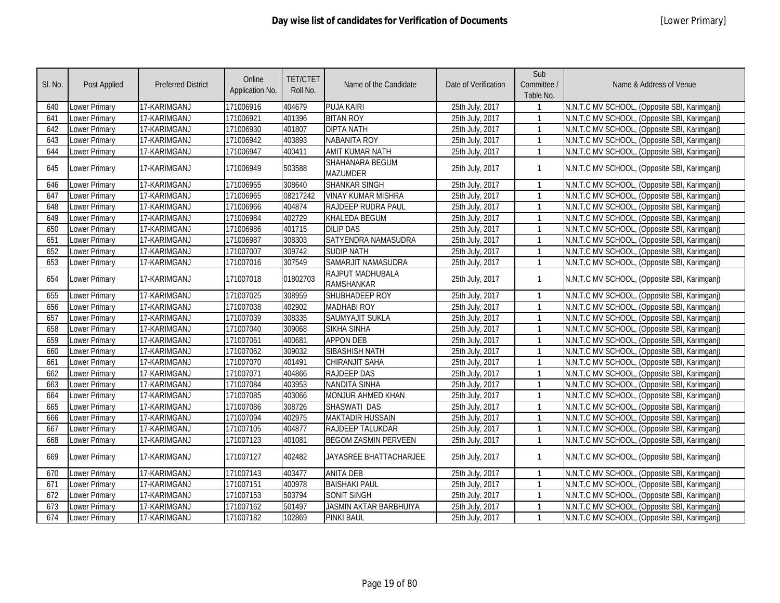| SI. No. | Post Applied         | <b>Preferred District</b> | Online<br>Application No. | <b>TET/CTET</b><br>Roll No. | Name of the Candidate                        | Date of Verification | Sub<br>Committee /<br>Table No. | Name & Address of Venue                      |
|---------|----------------------|---------------------------|---------------------------|-----------------------------|----------------------------------------------|----------------------|---------------------------------|----------------------------------------------|
| 640     | Lower Primary        | 17-KARIMGANJ              | 171006916                 | 404679                      | <b>PUJA KAIRI</b>                            | 25th July, 2017      |                                 | N.N.T.C MV SCHOOL, (Opposite SBI, Karimganj) |
| 641     | Lower Primary        | 17-KARIMGANJ              | 171006921                 | 401396                      | <b>BITAN ROY</b>                             | 25th July, 2017      | $\mathbf{1}$                    | N.N.T.C MV SCHOOL, (Opposite SBI, Karimganj) |
| 642     | Lower Primary        | 17-KARIMGANJ              | 171006930                 | 401807                      | <b>DIPTA NATH</b>                            | 25th July, 2017      | $\mathbf{1}$                    | N.N.T.C MV SCHOOL, (Opposite SBI, Karimganj) |
| 643     | Lower Primary        | 17-KARIMGANJ              | 171006942                 | 403893                      | <b>NABANITA ROY</b>                          | 25th July, 2017      | $\mathbf{1}$                    | N.N.T.C MV SCHOOL, (Opposite SBI, Karimganj) |
| 644     | Lower Primary        | 17-KARIMGANJ              | 171006947                 | 400411                      | <b>AMIT KUMAR NATH</b>                       | 25th July, 2017      | $\mathbf{1}$                    | N.N.T.C MV SCHOOL, (Opposite SBI, Karimganj) |
| 645     | Lower Primary        | 17-KARIMGANJ              | 171006949                 | 503588                      | SHAHANARA BEGUM<br><b>MAZUMDER</b>           | 25th July, 2017      | $\mathbf{1}$                    | N.N.T.C MV SCHOOL, (Opposite SBI, Karimganj) |
| 646     | Lower Primary        | 17-KARIMGANJ              | 171006955                 | 308640                      | <b>SHANKAR SINGH</b>                         | 25th July, 2017      | $\mathbf{1}$                    | N.N.T.C MV SCHOOL, (Opposite SBI, Karimganj) |
| 647     | Lower Primary        | 17-KARIMGANJ              | 171006965                 | 08217242                    | <b>VINAY KUMAR MISHRA</b>                    | 25th July, 2017      | $\mathbf{1}$                    | N.N.T.C MV SCHOOL, (Opposite SBI, Karimganj) |
| 648     | Lower Primary        | 17-KARIMGANJ              | 171006966                 | 404874                      | RAJDEEP RUDRA PAUL                           | 25th July, 2017      | $\mathbf{1}$                    | N.N.T.C MV SCHOOL, (Opposite SBI, Karimganj) |
| 649     | Lower Primary        | 17-KARIMGANJ              | 171006984                 | 402729                      | <b>KHALEDA BEGUM</b>                         | 25th July, 2017      | $\mathbf{1}$                    | N.N.T.C MV SCHOOL, (Opposite SBI, Karimganj) |
| 650     | Lower Primary        | 17-KARIMGANJ              | 171006986                 | 401715                      | <b>DILIP DAS</b>                             | 25th July, 2017      | $\mathbf{1}$                    | N.N.T.C MV SCHOOL, (Opposite SBI, Karimganj) |
| 651     | Lower Primary        | 17-KARIMGANJ              | 171006987                 | 308303                      | SATYENDRA NAMASUDRA                          | 25th July, 2017      | $\mathbf{1}$                    | N.N.T.C MV SCHOOL, (Opposite SBI, Karimganj) |
| 652     | Lower Primary        | 17-KARIMGANJ              | 171007007                 | 309742                      | <b>SUDIP NATH</b>                            | 25th July, 2017      | $\mathbf{1}$                    | N.N.T.C MV SCHOOL, (Opposite SBI, Karimganj) |
| 653     | Lower Primary        | 17-KARIMGANJ              | 171007016                 | 307549                      | SAMARJIT NAMASUDRA                           | 25th July, 2017      | $\mathbf{1}$                    | N.N.T.C MV SCHOOL, (Opposite SBI, Karimganj) |
| 654     | Lower Primary        | 17-KARIMGANJ              | 171007018                 | 01802703                    | <b>RAJPUT MADHUBALA</b><br><b>RAMSHANKAR</b> | 25th July, 2017      | $\mathbf{1}$                    | N.N.T.C MV SCHOOL, (Opposite SBI, Karimganj) |
| 655     | <b>Lower Primary</b> | 17-KARIMGANJ              | 171007025                 | 308959                      | SHUBHADEEP ROY                               | 25th July, 2017      | $\mathbf{1}$                    | N.N.T.C MV SCHOOL, (Opposite SBI, Karimganj) |
| 656     | <b>Lower Primary</b> | 17-KARIMGANJ              | 171007038                 | 402902                      | <b>MADHABI ROY</b>                           | 25th July, 2017      | $\mathbf{1}$                    | N.N.T.C MV SCHOOL, (Opposite SBI, Karimganj) |
| 657     | Lower Primary        | 17-KARIMGANJ              | 171007039                 | 308335                      | SAUMYAJIT SUKLA                              | 25th July, 2017      | $\mathbf{1}$                    | N.N.T.C MV SCHOOL, (Opposite SBI, Karimganj) |
| 658     | Lower Primary        | 17-KARIMGANJ              | 171007040                 | 309068                      | <b>SIKHA SINHA</b>                           | 25th July, 2017      | $\mathbf{1}$                    | N.N.T.C MV SCHOOL, (Opposite SBI, Karimganj) |
| 659     | Lower Primary        | 17-KARIMGANJ              | 171007061                 | 400681                      | <b>APPON DEB</b>                             | 25th July, 2017      | $\mathbf{1}$                    | N.N.T.C MV SCHOOL, (Opposite SBI, Karimganj) |
| 660     | Lower Primary        | 17-KARIMGANJ              | 171007062                 | 309032                      | <b>SIBASHISH NATH</b>                        | 25th July, 2017      | $\mathbf{1}$                    | N.N.T.C MV SCHOOL, (Opposite SBI, Karimganj) |
| 661     | Lower Primary        | 17-KARIMGANJ              | 171007070                 | 401491                      | <b>CHIRANJIT SAHA</b>                        | 25th July, 2017      | $\mathbf{1}$                    | N.N.T.C MV SCHOOL, (Opposite SBI, Karimganj) |
| 662     | Lower Primary        | 17-KARIMGANJ              | 171007071                 | 404866                      | <b>RAJDEEP DAS</b>                           | 25th July, 2017      | $\mathbf{1}$                    | N.N.T.C MV SCHOOL, (Opposite SBI, Karimganj) |
| 663     | Lower Primary        | 17-KARIMGANJ              | 171007084                 | 403953                      | <b>NANDITA SINHA</b>                         | 25th July, 2017      | $\mathbf{1}$                    | N.N.T.C MV SCHOOL, (Opposite SBI, Karimganj) |
| 664     | Lower Primary        | 17-KARIMGANJ              | 171007085                 | 403066                      | MONJUR AHMED KHAN                            | 25th July, 2017      | $\mathbf{1}$                    | N.N.T.C MV SCHOOL, (Opposite SBI, Karimganj) |
| 665     | Lower Primary        | 17-KARIMGANJ              | 171007086                 | 308726                      | SHASWATI DAS                                 | 25th July, 2017      | $\mathbf{1}$                    | N.N.T.C MV SCHOOL, (Opposite SBI, Karimganj) |
| 666     | Lower Primary        | 17-KARIMGANJ              | 171007094                 | 402975                      | <b>MAKTADIR HUSSAIN</b>                      | 25th July, 2017      | $\mathbf{1}$                    | N.N.T.C MV SCHOOL, (Opposite SBI, Karimganj) |
| 667     | Lower Primary        | 17-KARIMGANJ              | 171007105                 | 404877                      | <b>RAJDEEP TALUKDAR</b>                      | 25th July, 2017      | $\mathbf{1}$                    | N.N.T.C MV SCHOOL, (Opposite SBI, Karimganj) |
| 668     | Lower Primary        | 17-KARIMGANJ              | 171007123                 | 401081                      | <b>BEGOM ZASMIN PERVEEN</b>                  | 25th July, 2017      | $\mathbf{1}$                    | N.N.T.C MV SCHOOL, (Opposite SBI, Karimganj) |
| 669     | Lower Primary        | 17-KARIMGANJ              | 171007127                 | 402482                      | JAYASREE BHATTACHARJEE                       | 25th July, 2017      | $\mathbf{1}$                    | N.N.T.C MV SCHOOL, (Opposite SBI, Karimganj) |
| 670     | Lower Primary        | 17-KARIMGANJ              | 171007143                 | 403477                      | <b>ANITA DEB</b>                             | 25th July, 2017      | $\mathbf{1}$                    | N.N.T.C MV SCHOOL, (Opposite SBI, Karimganj) |
| 671     | Lower Primary        | 17-KARIMGANJ              | 171007151                 | 400978                      | <b>BAISHAKI PAUL</b>                         | 25th July, 2017      | $\mathbf{1}$                    | N.N.T.C MV SCHOOL, (Opposite SBI, Karimganj) |
| 672     | Lower Primary        | 17-KARIMGANJ              | 171007153                 | 503794                      | <b>SONIT SINGH</b>                           | 25th July, 2017      | $\mathbf{1}$                    | N.N.T.C MV SCHOOL, (Opposite SBI, Karimganj) |
| 673     | Lower Primary        | 17-KARIMGANJ              | 171007162                 | 501497                      | <b>JASMIN AKTAR BARBHUIYA</b>                | 25th July, 2017      | $\mathbf{1}$                    | N.N.T.C MV SCHOOL, (Opposite SBI, Karimganj) |
| 674     | <b>Lower Primary</b> | 17-KARIMGANJ              | 171007182                 | 102869                      | <b>PINKI BAUL</b>                            | 25th July, 2017      | $\mathbf{1}$                    | N.N.T.C MV SCHOOL, (Opposite SBI, Karimganj) |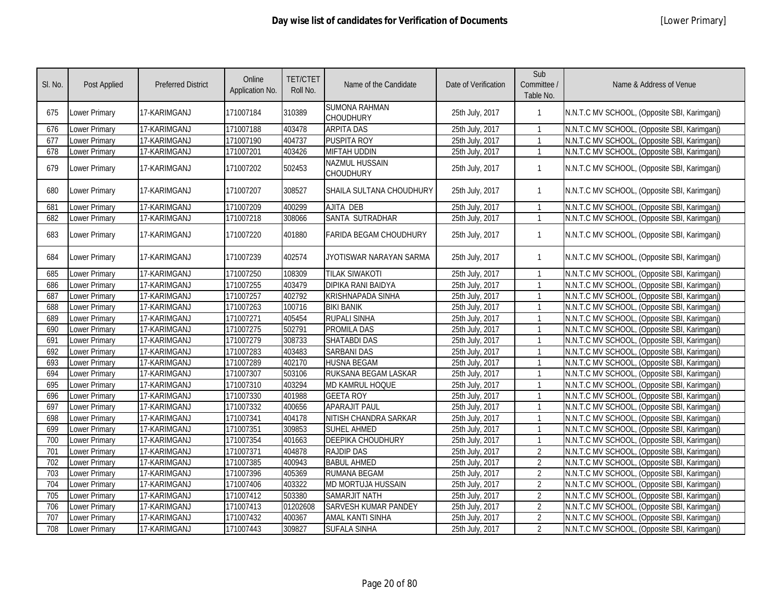| SI. No. | Post Applied         | <b>Preferred District</b> | Online<br>Application No. | <b>TET/CTET</b><br>Roll No. | Name of the Candidate                    | Date of Verification | Sub<br>Committee /<br>Table No. | Name & Address of Venue                      |
|---------|----------------------|---------------------------|---------------------------|-----------------------------|------------------------------------------|----------------------|---------------------------------|----------------------------------------------|
| 675     | Lower Primary        | 17-KARIMGANJ              | 171007184                 | 310389                      | <b>SUMONA RAHMAN</b><br><b>CHOUDHURY</b> | 25th July, 2017      | 1                               | N.N.T.C MV SCHOOL, (Opposite SBI, Karimganj) |
| 676     | Lower Primary        | 17-KARIMGANJ              | 171007188                 | 403478                      | <b>ARPITA DAS</b>                        | 25th July, 2017      | $\mathbf{1}$                    | N.N.T.C MV SCHOOL, (Opposite SBI, Karimganj) |
| 677     | Lower Primary        | 17-KARIMGANJ              | 171007190                 | 404737                      | <b>PUSPITA ROY</b>                       | 25th July, 2017      | $\mathbf{1}$                    | N.N.T.C MV SCHOOL, (Opposite SBI, Karimganj) |
| 678     | Lower Primary        | 17-KARIMGANJ              | 171007201                 | 403426                      | <b>MIFTAH UDDIN</b>                      | 25th July, 2017      | $\mathbf{1}$                    | N.N.T.C MV SCHOOL, (Opposite SBI, Karimganj) |
| 679     | Lower Primary        | 17-KARIMGANJ              | 171007202                 | 502453                      | NAZMUL HUSSAIN<br><b>CHOUDHURY</b>       | 25th July, 2017      | $\mathbf{1}$                    | N.N.T.C MV SCHOOL, (Opposite SBI, Karimganj) |
| 680     | <b>Lower Primary</b> | 17-KARIMGANJ              | 171007207                 | 308527                      | SHAILA SULTANA CHOUDHURY                 | 25th July, 2017      | $\mathbf{1}$                    | N.N.T.C MV SCHOOL, (Opposite SBI, Karimganj) |
| 681     | <b>Lower Primary</b> | 17-KARIMGANJ              | 171007209                 | 400299                      | <b>AJITA DEB</b>                         | 25th July, 2017      | 1                               | N.N.T.C MV SCHOOL, (Opposite SBI, Karimganj) |
| 682     | Lower Primary        | 17-KARIMGANJ              | 171007218                 | 308066                      | SANTA SUTRADHAR                          | 25th July, 2017      | $\mathbf{1}$                    | N.N.T.C MV SCHOOL, (Opposite SBI, Karimganj) |
| 683     | Lower Primary        | 17-KARIMGANJ              | 171007220                 | 401880                      | <b>FARIDA BEGAM CHOUDHURY</b>            | 25th July, 2017      | $\mathbf{1}$                    | N.N.T.C MV SCHOOL, (Opposite SBI, Karimganj) |
| 684     | Lower Primary        | 17-KARIMGANJ              | 171007239                 | 402574                      | JYOTISWAR NARAYAN SARMA                  | 25th July, 2017      | $\mathbf{1}$                    | N.N.T.C MV SCHOOL, (Opposite SBI, Karimganj) |
| 685     | Lower Primary        | 17-KARIMGANJ              | 171007250                 | 108309                      | <b>TILAK SIWAKOTI</b>                    | 25th July, 2017      | $\mathbf{1}$                    | N.N.T.C MV SCHOOL, (Opposite SBI, Karimganj) |
| 686     | Lower Primary        | 17-KARIMGANJ              | 171007255                 | 403479                      | <b>DIPIKA RANI BAIDYA</b>                | 25th July, 2017      | $\mathbf{1}$                    | N.N.T.C MV SCHOOL, (Opposite SBI, Karimganj) |
| 687     | Lower Primary        | 17-KARIMGANJ              | 171007257                 | 402792                      | <b>KRISHNAPADA SINHA</b>                 | 25th July, 2017      | $\mathbf{1}$                    | N.N.T.C MV SCHOOL, (Opposite SBI, Karimganj) |
| 688     | Lower Primary        | 17-KARIMGANJ              | 171007263                 | 100716                      | <b>BIKI BANIK</b>                        | 25th July, 2017      | $\mathbf{1}$                    | N.N.T.C MV SCHOOL, (Opposite SBI, Karimganj) |
| 689     | Lower Primary        | 17-KARIMGANJ              | 171007271                 | 405454                      | <b>RUPALI SINHA</b>                      | 25th July, 2017      | $\mathbf{1}$                    | N.N.T.C MV SCHOOL, (Opposite SBI, Karimganj) |
| 690     | Lower Primary        | 17-KARIMGANJ              | 171007275                 | 502791                      | <b>PROMILA DAS</b>                       | 25th July, 2017      | $\mathbf{1}$                    | N.N.T.C MV SCHOOL, (Opposite SBI, Karimganj) |
| 691     | Lower Primary        | 17-KARIMGANJ              | 171007279                 | 308733                      | <b>SHATABDI DAS</b>                      | 25th July, 2017      | $\mathbf{1}$                    | N.N.T.C MV SCHOOL, (Opposite SBI, Karimganj) |
| 692     | Lower Primary        | 17-KARIMGANJ              | 171007283                 | 403483                      | <b>SARBANI DAS</b>                       | 25th July, 2017      | $\mathbf{1}$                    | N.N.T.C MV SCHOOL, (Opposite SBI, Karimganj) |
| 693     | Lower Primary        | 17-KARIMGANJ              | 171007289                 | 402170                      | <b>HUSNA BEGAM</b>                       | 25th July, 2017      | $\mathbf{1}$                    | N.N.T.C MV SCHOOL, (Opposite SBI, Karimganj) |
| 694     | <b>Lower Primary</b> | 17-KARIMGANJ              | 171007307                 | 503106                      | RUKSANA BEGAM LASKAR                     | 25th July, 2017      | $\mathbf{1}$                    | N.N.T.C MV SCHOOL, (Opposite SBI, Karimganj) |
| 695     | <b>Lower Primary</b> | 17-KARIMGANJ              | 171007310                 | 403294                      | MD KAMRUL HOQUE                          | 25th July, 2017      | $\mathbf{1}$                    | N.N.T.C MV SCHOOL, (Opposite SBI, Karimganj) |
| 696     | Lower Primary        | 17-KARIMGANJ              | 171007330                 | 401988                      | <b>GEETA ROY</b>                         | 25th July, 2017      | $\mathbf{1}$                    | N.N.T.C MV SCHOOL, (Opposite SBI, Karimganj) |
| 697     | <b>Lower Primary</b> | 17-KARIMGANJ              | 171007332                 | 400656                      | <b>APARAJIT PAUL</b>                     | 25th July, 2017      | $\mathbf{1}$                    | N.N.T.C MV SCHOOL, (Opposite SBI, Karimganj) |
| 698     | Lower Primary        | 17-KARIMGANJ              | 171007341                 | 404178                      | NITISH CHANDRA SARKAR                    | 25th July, 2017      | $\mathbf{1}$                    | N.N.T.C MV SCHOOL, (Opposite SBI, Karimgani) |
| 699     | Lower Primary        | 17-KARIMGANJ              | 171007351                 | 309853                      | <b>SUHEL AHMED</b>                       | 25th July, 2017      | $\mathbf{1}$                    | N.N.T.C MV SCHOOL, (Opposite SBI, Karimganj) |
| 700     | Lower Primary        | 17-KARIMGANJ              | 171007354                 | 401663                      | DEEPIKA CHOUDHURY                        | 25th July, 2017      | $\mathbf{1}$                    | N.N.T.C MV SCHOOL, (Opposite SBI, Karimganj) |
| 701     | Lower Primary        | 17-KARIMGANJ              | 171007371                 | 404878                      | <b>RAJDIP DAS</b>                        | 25th July, 2017      | $\overline{2}$                  | N.N.T.C MV SCHOOL, (Opposite SBI, Karimganj) |
| 702     | Lower Primary        | 17-KARIMGANJ              | 171007385                 | 400943                      | <b>BABUL AHMED</b>                       | 25th July, 2017      | $\overline{2}$                  | N.N.T.C MV SCHOOL, (Opposite SBI, Karimganj) |
| 703     | Lower Primary        | 17-KARIMGANJ              | 171007396                 | 405369                      | <b>RUMANA BEGAM</b>                      | 25th July, 2017      | $\overline{2}$                  | N.N.T.C MV SCHOOL, (Opposite SBI, Karimganj) |
| 704     | Lower Primary        | 17-KARIMGANJ              | 171007406                 | 403322                      | MD MORTUJA HUSSAIN                       | 25th July, 2017      | $\overline{2}$                  | N.N.T.C MV SCHOOL, (Opposite SBI, Karimganj) |
| 705     | Lower Primary        | 17-KARIMGANJ              | 171007412                 | 503380                      | <b>SAMARJIT NATH</b>                     | 25th July, 2017      | $\overline{2}$                  | N.N.T.C MV SCHOOL, (Opposite SBI, Karimganj) |
| 706     | Lower Primary        | 17-KARIMGANJ              | 171007413                 | 01202608                    | <b>SARVESH KUMAR PANDEY</b>              | 25th July, 2017      | $\overline{2}$                  | N.N.T.C MV SCHOOL, (Opposite SBI, Karimganj) |
| 707     | Lower Primary        | 17-KARIMGANJ              | 171007432                 | 400367                      | <b>AMAL KANTI SINHA</b>                  | 25th July, 2017      | $\overline{2}$                  | N.N.T.C MV SCHOOL, (Opposite SBI, Karimgani) |
| 708     | Lower Primary        | 17-KARIMGANJ              | 171007443                 | 309827                      | <b>SUFALA SINHA</b>                      | 25th July, 2017      | $\overline{2}$                  | N.N.T.C MV SCHOOL, (Opposite SBI, Karimganj) |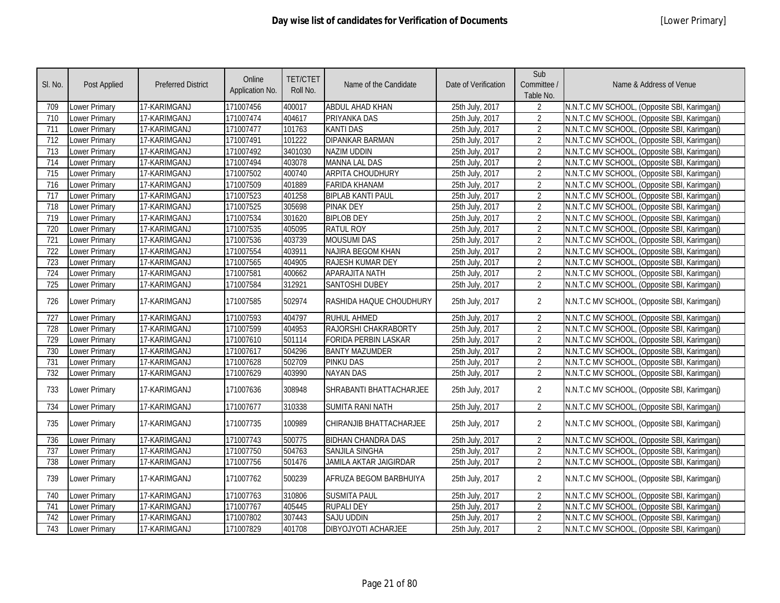| SI. No.          | <b>Post Applied</b>  | <b>Preferred District</b> | Online<br>Application No. | <b>TET/CTET</b><br>Roll No. | Name of the Candidate          | Date of Verification | Sub<br>Committee /<br>Table No. | Name & Address of Venue                      |
|------------------|----------------------|---------------------------|---------------------------|-----------------------------|--------------------------------|----------------------|---------------------------------|----------------------------------------------|
| 709              | Lower Primary        | 17-KARIMGANJ              | 171007456                 | 400017                      | <b>ABDUL AHAD KHAN</b>         | 25th July, 2017      | 2                               | N.N.T.C MV SCHOOL, (Opposite SBI, Karimganj) |
| 710              | <b>Lower Primary</b> | 17-KARIMGANJ              | 171007474                 | 404617                      | PRIYANKA DAS                   | 25th July, 2017      | $\overline{2}$                  | N.N.T.C MV SCHOOL, (Opposite SBI, Karimganj) |
| 711              | Lower Primary        | 17-KARIMGANJ              | 171007477                 | 101763                      | <b>KANTI DAS</b>               | 25th July, 2017      | 2                               | N.N.T.C MV SCHOOL, (Opposite SBI, Karimganj) |
| 712              | <b>Lower Primary</b> | 17-KARIMGANJ              | 171007491                 | 101222                      | <b>DIPANKAR BARMAN</b>         | 25th July, 2017      | $\overline{2}$                  | N.N.T.C MV SCHOOL, (Opposite SBI, Karimganj) |
| $\overline{713}$ | Lower Primary        | 17-KARIMGANJ              | 171007492                 | 3401030                     | <b>NAZIM UDDIN</b>             | 25th July, 2017      | $\overline{2}$                  | N.N.T.C MV SCHOOL, (Opposite SBI, Karimganj) |
| 714              | <b>Lower Primary</b> | 17-KARIMGANJ              | 171007494                 | 403078                      | <b>MANNA LAL DAS</b>           | 25th July, 2017      | $\overline{2}$                  | N.N.T.C MV SCHOOL, (Opposite SBI, Karimganj) |
| $\overline{715}$ | Lower Primary        | 17-KARIMGANJ              | 171007502                 | 400740                      | <b>ARPITA CHOUDHURY</b>        | 25th July, 2017      | $\overline{2}$                  | N.N.T.C MV SCHOOL, (Opposite SBI, Karimganj) |
| 716              | <b>Lower Primary</b> | 17-KARIMGANJ              | 171007509                 | 401889                      | <b>FARIDA KHANAM</b>           | 25th July, 2017      | $\overline{2}$                  | N.N.T.C MV SCHOOL, (Opposite SBI, Karimganj) |
| $\overline{717}$ | Lower Primary        | 17-KARIMGANJ              | 171007523                 | 401258                      | <b>BIPLAB KANTI PAUL</b>       | 25th July, 2017      | $\overline{2}$                  | N.N.T.C MV SCHOOL, (Opposite SBI, Karimganj) |
| $\overline{718}$ | <b>Lower Primary</b> | 17-KARIMGANJ              | 171007525                 | 305698                      | <b>PINAK DEY</b>               | 25th July, 2017      | $\overline{2}$                  | N.N.T.C MV SCHOOL, (Opposite SBI, Karimganj) |
| 719              | Lower Primary        | 17-KARIMGANJ              | 171007534                 | 301620                      | <b>BIPLOB DEY</b>              | 25th July, 2017      | $\overline{2}$                  | N.N.T.C MV SCHOOL, (Opposite SBI, Karimganj) |
| 720              | <b>Lower Primary</b> | 17-KARIMGANJ              | 171007535                 | 405095                      | <b>RATUL ROY</b>               | 25th July, 2017      | $\overline{2}$                  | N.N.T.C MV SCHOOL, (Opposite SBI, Karimgani) |
| 721              | <b>Lower Primary</b> | 17-KARIMGANJ              | 171007536                 | 403739                      | <b>MOUSUMI DAS</b>             | 25th July, 2017      | $\overline{2}$                  | N.N.T.C MV SCHOOL, (Opposite SBI, Karimganj) |
| 722              | <b>Lower Primary</b> | 17-KARIMGANJ              | 171007554                 | 403911                      | <b>NAJIRA BEGOM KHAN</b>       | 25th July, 2017      | $\overline{2}$                  | N.N.T.C MV SCHOOL, (Opposite SBI, Karimganj) |
| 723              | Lower Primary        | 17-KARIMGANJ              | 171007565                 | 404905                      | <b>RAJESH KUMAR DEY</b>        | 25th July, 2017      | $\overline{2}$                  | N.N.T.C MV SCHOOL, (Opposite SBI, Karimganj) |
| 724              | <b>Lower Primary</b> | 17-KARIMGANJ              | 171007581                 | 400662                      | <b>APARAJITA NATH</b>          | 25th July, 2017      | $\overline{2}$                  | N.N.T.C MV SCHOOL, (Opposite SBI, Karimganj) |
| 725              | Lower Primary        | 17-KARIMGANJ              | 171007584                 | 312921                      | <b>SANTOSHI DUBEY</b>          | 25th July, 2017      | $\overline{2}$                  | N.N.T.C MV SCHOOL, (Opposite SBI, Karimganj) |
| 726              | <b>Lower Primary</b> | 17-KARIMGANJ              | 171007585                 | 502974                      | RASHIDA HAQUE CHOUDHURY        | 25th July, 2017      | $\overline{2}$                  | N.N.T.C MV SCHOOL, (Opposite SBI, Karimganj) |
| 727              | Lower Primary        | 17-KARIMGANJ              | 171007593                 | 404797                      | <b>RUHUL AHMED</b>             | 25th July, 2017      | $\overline{2}$                  | N.N.T.C MV SCHOOL, (Opposite SBI, Karimganj) |
| 728              | <b>Lower Primary</b> | 17-KARIMGANJ              | 171007599                 | 404953                      | RAJORSHI CHAKRABORTY           | 25th July, 2017      | $\overline{2}$                  | N.N.T.C MV SCHOOL, (Opposite SBI, Karimganj) |
| 729              | <b>Lower Primary</b> | 17-KARIMGANJ              | 171007610                 | 501114                      | <b>FORIDA PERBIN LASKAR</b>    | 25th July, 2017      | $\overline{2}$                  | N.N.T.C MV SCHOOL, (Opposite SBI, Karimganj) |
| 730              | Lower Primary        | 17-KARIMGANJ              | 171007617                 | 504296                      | <b>BANTY MAZUMDER</b>          | 25th July, 2017      | $\overline{2}$                  | N.N.T.C MV SCHOOL, (Opposite SBI, Karimganj) |
| 731              | Lower Primary        | 17-KARIMGANJ              | 171007628                 | 502709                      | <b>PINKU DAS</b>               | 25th July, 2017      | $\overline{2}$                  | N.N.T.C MV SCHOOL, (Opposite SBI, Karimganj) |
| 732              | Lower Primary        | 17-KARIMGANJ              | 171007629                 | 403990                      | <b>NAYAN DAS</b>               | 25th July, 2017      | $\overline{2}$                  | N.N.T.C MV SCHOOL, (Opposite SBI, Karimganj) |
| 733              | <b>Lower Primary</b> | 17-KARIMGANJ              | 171007636                 | 308948                      | <b>SHRABANTI BHATTACHARJEE</b> | 25th July, 2017      | $\overline{2}$                  | N.N.T.C MV SCHOOL, (Opposite SBI, Karimganj) |
| 734              | Lower Primary        | 17-KARIMGANJ              | 171007677                 | 310338                      | <b>SUMITA RANI NATH</b>        | 25th July, 2017      | $\overline{2}$                  | N.N.T.C MV SCHOOL, (Opposite SBI, Karimganj) |
| 735              | <b>Lower Primary</b> | 17-KARIMGANJ              | 171007735                 | 100989                      | CHIRANJIB BHATTACHARJEE        | 25th July, 2017      | $\overline{2}$                  | N.N.T.C MV SCHOOL, (Opposite SBI, Karimganj) |
| 736              | Lower Primary        | 17-KARIMGANJ              | 171007743                 | 500775                      | <b>BIDHAN CHANDRA DAS</b>      | 25th July, 2017      | $\overline{2}$                  | N.N.T.C MV SCHOOL, (Opposite SBI, Karimganj) |
| 737              | Lower Primary        | 17-KARIMGANJ              | 171007750                 | 504763                      | <b>SANJILA SINGHA</b>          | 25th July, 2017      | $\overline{2}$                  | N.N.T.C MV SCHOOL, (Opposite SBI, Karimganj) |
| 738              | Lower Primary        | 17-KARIMGANJ              | 171007756                 | 501476                      | <b>JAMILA AKTAR JAIGIRDAR</b>  | 25th July, 2017      | $\overline{2}$                  | N.N.T.C MV SCHOOL, (Opposite SBI, Karimganj) |
| 739              | Lower Primary        | 17-KARIMGANJ              | 171007762                 | 500239                      | AFRUZA BEGOM BARBHUIYA         | 25th July, 2017      | $\overline{2}$                  | N.N.T.C MV SCHOOL, (Opposite SBI, Karimganj) |
| 740              | <b>Lower Primary</b> | 17-KARIMGANJ              | 171007763                 | 310806                      | <b>SUSMITA PAUL</b>            | 25th July, 2017      | $\overline{2}$                  | N.N.T.C MV SCHOOL, (Opposite SBI, Karimganj) |
| 741              | Lower Primary        | 17-KARIMGANJ              | 171007767                 | 405445                      | <b>RUPALI DEY</b>              | 25th July, 2017      | $\overline{2}$                  | N.N.T.C MV SCHOOL, (Opposite SBI, Karimganj) |
| 742              | Lower Primary        | 17-KARIMGANJ              | 171007802                 | 307443                      | <b>SAJU UDDIN</b>              | 25th July, 2017      | $\overline{2}$                  | N.N.T.C MV SCHOOL, (Opposite SBI, Karimganj) |
| 743              | <b>Lower Primary</b> | 17-KARIMGANJ              | 171007829                 | 401708                      | DIBYOJYOTI ACHARJEE            | 25th July, 2017      | $\overline{2}$                  | N.N.T.C MV SCHOOL, (Opposite SBI, Karimganj) |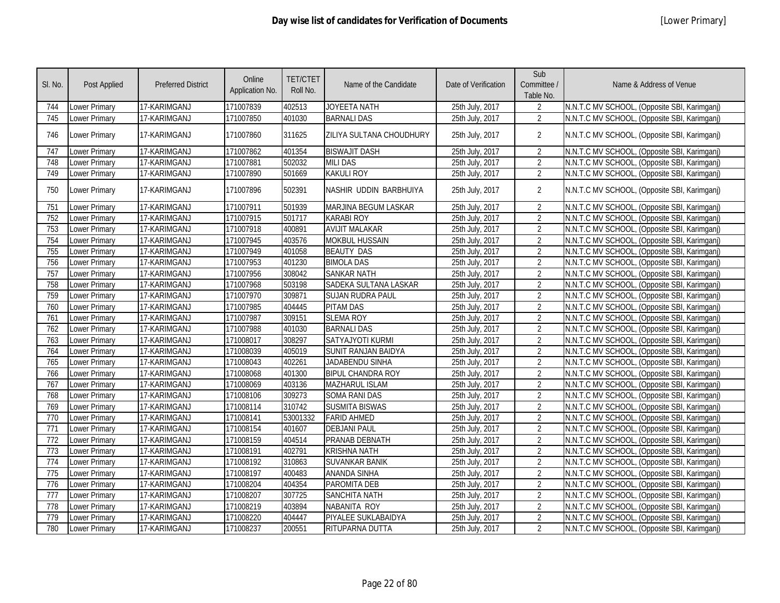| SI. No.          | Post Applied  | <b>Preferred District</b> | Online<br>Application No. | <b>TET/CTET</b><br>Roll No. | Name of the Candidate      | Date of Verification | Sub<br>Committee /<br>Table No. | Name & Address of Venue                      |
|------------------|---------------|---------------------------|---------------------------|-----------------------------|----------------------------|----------------------|---------------------------------|----------------------------------------------|
| 744              | Lower Primary | 17-KARIMGANJ              | 171007839                 | 402513                      | JOYEETA NATH               | 25th July, 2017      | 2                               | N.N.T.C MV SCHOOL, (Opposite SBI, Karimganj) |
| 745              | Lower Primary | 17-KARIMGANJ              | 171007850                 | 401030                      | <b>BARNALI DAS</b>         | 25th July, 2017      | $\overline{2}$                  | N.N.T.C MV SCHOOL, (Opposite SBI, Karimganj) |
| 746              | Lower Primary | 17-KARIMGANJ              | 171007860                 | 311625                      | ZILIYA SULTANA CHOUDHURY   | 25th July, 2017      | $\overline{2}$                  | N.N.T.C MV SCHOOL, (Opposite SBI, Karimganj) |
| 747              | Lower Primary | 17-KARIMGANJ              | 171007862                 | 401354                      | <b>BISWAJIT DASH</b>       | 25th July, 2017      | $\overline{2}$                  | N.N.T.C MV SCHOOL, (Opposite SBI, Karimganj) |
| 748              | Lower Primary | 17-KARIMGANJ              | 171007881                 | 502032                      | <b>MILI DAS</b>            | 25th July, 2017      | $\overline{2}$                  | N.N.T.C MV SCHOOL, (Opposite SBI, Karimganj) |
| 749              | Lower Primary | 17-KARIMGANJ              | 171007890                 | 501669                      | <b>KAKULI ROY</b>          | 25th July, 2017      | $\overline{2}$                  | N.N.T.C MV SCHOOL, (Opposite SBI, Karimganj) |
| 750              | Lower Primary | 17-KARIMGANJ              | 171007896                 | 502391                      | NASHIR UDDIN BARBHUIYA     | 25th July, 2017      | $\overline{2}$                  | N.N.T.C MV SCHOOL, (Opposite SBI, Karimganj) |
| 751              | Lower Primary | 17-KARIMGANJ              | 171007911                 | 501939                      | MARJINA BEGUM LASKAR       | 25th July, 2017      | $\overline{2}$                  | N.N.T.C MV SCHOOL, (Opposite SBI, Karimganj) |
| 752              | Lower Primary | 17-KARIMGANJ              | 171007915                 | 501717                      | <b>KARABI ROY</b>          | 25th July, 2017      | $\overline{2}$                  | N.N.T.C MV SCHOOL, (Opposite SBI, Karimganj) |
| 753              | Lower Primary | 17-KARIMGANJ              | 171007918                 | 400891                      | <b>AVIJIT MALAKAR</b>      | 25th July, 2017      | $\overline{2}$                  | N.N.T.C MV SCHOOL, (Opposite SBI, Karimganj) |
| 754              | Lower Primary | 17-KARIMGANJ              | 171007945                 | 403576                      | <b>MOKBUL HUSSAIN</b>      | 25th July, 2017      | $\overline{2}$                  | N.N.T.C MV SCHOOL, (Opposite SBI, Karimganj) |
| 755              | Lower Primary | 17-KARIMGANJ              | 171007949                 | 401058                      | <b>BEAUTY DAS</b>          | 25th July, 2017      | $\overline{2}$                  | N.N.T.C MV SCHOOL, (Opposite SBI, Karimganj) |
| 756              | Lower Primary | 17-KARIMGANJ              | 171007953                 | 401230                      | <b>BIMOLA DAS</b>          | 25th July, 2017      | $\overline{2}$                  | N.N.T.C MV SCHOOL, (Opposite SBI, Karimganj) |
| 757              | Lower Primary | 17-KARIMGANJ              | 171007956                 | 308042                      | <b>SANKAR NATH</b>         | 25th July, 2017      | 2                               | N.N.T.C MV SCHOOL, (Opposite SBI, Karimganj) |
| 758              | Lower Primary | 17-KARIMGANJ              | 171007968                 | 503198                      | SADEKA SULTANA LASKAR      | 25th July, 2017      | $\overline{2}$                  | N.N.T.C MV SCHOOL, (Opposite SBI, Karimganj) |
| 759              | Lower Primary | 17-KARIMGANJ              | 171007970                 | 309871                      | <b>SUJAN RUDRA PAUL</b>    | 25th July, 2017      | $\overline{2}$                  | N.N.T.C MV SCHOOL, (Opposite SBI, Karimganj) |
| 760              | Lower Primary | 17-KARIMGANJ              | 171007985                 | 404445                      | <b>PITAM DAS</b>           | 25th July, 2017      | $\overline{2}$                  | N.N.T.C MV SCHOOL, (Opposite SBI, Karimganj) |
| 761              | Lower Primary | 17-KARIMGANJ              | 171007987                 | 309151                      | <b>SLEMA ROY</b>           | 25th July, 2017      | $\overline{2}$                  | N.N.T.C MV SCHOOL, (Opposite SBI, Karimganj) |
| 762              | Lower Primary | 17-KARIMGANJ              | 171007988                 | 401030                      | <b>BARNALI DAS</b>         | 25th July, 2017      | $\overline{2}$                  | N.N.T.C MV SCHOOL, (Opposite SBI, Karimganj) |
| 763              | Lower Primary | 17-KARIMGANJ              | 171008017                 | 308297                      | SATYAJYOTI KURMI           | 25th July, 2017      | $\overline{2}$                  | N.N.T.C MV SCHOOL, (Opposite SBI, Karimganj) |
| 764              | Lower Primary | 17-KARIMGANJ              | 171008039                 | 405019                      | <b>SUNIT RANJAN BAIDYA</b> | 25th July, 2017      | $\overline{2}$                  | N.N.T.C MV SCHOOL, (Opposite SBI, Karimganj) |
| 765              | Lower Primary | 17-KARIMGANJ              | 171008043                 | 402261                      | JADABENDU SINHA            | 25th July, 2017      | $\overline{2}$                  | N.N.T.C MV SCHOOL, (Opposite SBI, Karimganj) |
| 766              | Lower Primary | 17-KARIMGANJ              | 171008068                 | 401300                      | <b>BIPUL CHANDRA ROY</b>   | 25th July, 2017      | $\overline{2}$                  | N.N.T.C MV SCHOOL, (Opposite SBI, Karimganj) |
| 767              | Lower Primary | 17-KARIMGANJ              | 171008069                 | 403136                      | <b>MAZHARUL ISLAM</b>      | 25th July, 2017      | $\overline{2}$                  | N.N.T.C MV SCHOOL, (Opposite SBI, Karimganj) |
| 768              | Lower Primary | 17-KARIMGANJ              | 171008106                 | 309273                      | <b>SOMA RANI DAS</b>       | 25th July, 2017      | $\overline{2}$                  | N.N.T.C MV SCHOOL, (Opposite SBI, Karimganj) |
| 769              | Lower Primary | 17-KARIMGANJ              | 171008114                 | 310742                      | <b>SUSMITA BISWAS</b>      | 25th July, 2017      | $\overline{2}$                  | N.N.T.C MV SCHOOL, (Opposite SBI, Karimganj) |
| 770              | Lower Primary | 17-KARIMGANJ              | 171008141                 | 53001332                    | <b>FARID AHMED</b>         | 25th July, 2017      | 2                               | N.N.T.C MV SCHOOL, (Opposite SBI, Karimganj) |
| $\overline{771}$ | Lower Primary | 17-KARIMGANJ              | 171008154                 | 401607                      | <b>DEBJANI PAUL</b>        | 25th July, 2017      | $\overline{2}$                  | N.N.T.C MV SCHOOL, (Opposite SBI, Karimganj) |
| 772              | Lower Primary | 17-KARIMGANJ              | 171008159                 | 404514                      | PRANAB DEBNATH             | 25th July, 2017      | $\overline{2}$                  | N.N.T.C MV SCHOOL, (Opposite SBI, Karimganj) |
| 773              | Lower Primary | 17-KARIMGANJ              | 171008191                 | 402791                      | <b>KRISHNA NATH</b>        | 25th July, 2017      | $\overline{2}$                  | N.N.T.C MV SCHOOL, (Opposite SBI, Karimganj) |
| 774              | Lower Primary | 17-KARIMGANJ              | 171008192                 | 310863                      | <b>SUVANKAR BANIK</b>      | 25th July, 2017      | 2                               | N.N.T.C MV SCHOOL, (Opposite SBI, Karimganj) |
| 775              | Lower Primary | 17-KARIMGANJ              | 171008197                 | 400483                      | <b>ANANDA SINHA</b>        | 25th July, 2017      | $\overline{2}$                  | N.N.T.C MV SCHOOL, (Opposite SBI, Karimganj) |
| 776              | Lower Primary | 17-KARIMGANJ              | 171008204                 | 404354                      | PAROMITA DEB               | 25th July, 2017      | $\overline{2}$                  | N.N.T.C MV SCHOOL, (Opposite SBI, Karimganj) |
| $\overline{777}$ | Lower Primary | 17-KARIMGANJ              | 171008207                 | 307725                      | <b>SANCHITA NATH</b>       | 25th July, 2017      | $\overline{2}$                  | N.N.T.C MV SCHOOL, (Opposite SBI, Karimganj) |
| 778              | Lower Primary | 17-KARIMGANJ              | 171008219                 | 403894                      | NABANITA ROY               | 25th July, 2017      | $\overline{2}$                  | N.N.T.C MV SCHOOL, (Opposite SBI, Karimganj) |
| 779              | Lower Primary | 17-KARIMGANJ              | 171008220                 | 404447                      | PIYALEE SUKLABAIDYA        | 25th July, 2017      | $\overline{2}$                  | N.N.T.C MV SCHOOL, (Opposite SBI, Karimganj) |
| 780              | Lower Primary | 17-KARIMGANJ              | 171008237                 | 200551                      | RITUPARNA DUTTA            | 25th July, 2017      | $\overline{2}$                  | N.N.T.C MV SCHOOL, (Opposite SBI, Karimganj) |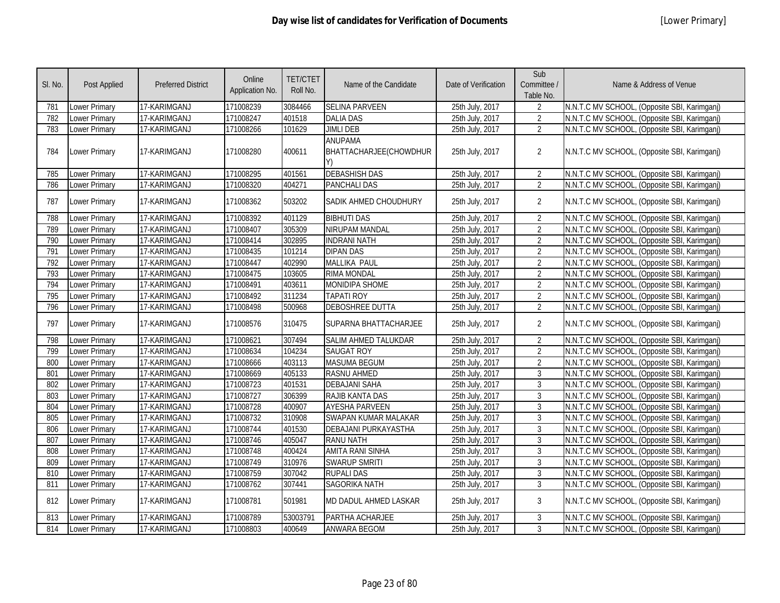| SI. No. | Post Applied         | <b>Preferred District</b> | Online<br>Application No. | <b>TET/CTET</b><br>Roll No. | Name of the Candidate                    | Date of Verification | Sub<br>Committee /<br>Table No. | Name & Address of Venue                      |
|---------|----------------------|---------------------------|---------------------------|-----------------------------|------------------------------------------|----------------------|---------------------------------|----------------------------------------------|
| 781     | <b>Lower Primary</b> | 17-KARIMGANJ              | 171008239                 | 3084466                     | <b>SELINA PARVEEN</b>                    | 25th July, 2017      | 2                               | N.N.T.C MV SCHOOL, (Opposite SBI, Karimganj) |
| 782     | Lower Primary        | 17-KARIMGANJ              | 171008247                 | 401518                      | <b>DALIA DAS</b>                         | 25th July, 2017      | $\overline{2}$                  | N.N.T.C MV SCHOOL, (Opposite SBI, Karimganj) |
| 783     | <b>Lower Primary</b> | 17-KARIMGANJ              | 171008266                 | 101629                      | <b>JIMLI DEB</b>                         | 25th July, 2017      | $\overline{2}$                  | N.N.T.C MV SCHOOL, (Opposite SBI, Karimganj) |
| 784     | Lower Primary        | 17-KARIMGANJ              | 171008280                 | 400611                      | <b>ANUPAMA</b><br>BHATTACHARJEE(CHOWDHUR | 25th July, 2017      | $\overline{2}$                  | N.N.T.C MV SCHOOL, (Opposite SBI, Karimganj) |
| 785     | <b>Lower Primary</b> | 17-KARIMGANJ              | 171008295                 | 401561                      | <b>DEBASHISH DAS</b>                     | 25th July, 2017      | $\overline{2}$                  | N.N.T.C MV SCHOOL, (Opposite SBI, Karimganj) |
| 786     | Lower Primary        | 17-KARIMGANJ              | 171008320                 | 404271                      | <b>PANCHALI DAS</b>                      | 25th July, 2017      | $\overline{2}$                  | N.N.T.C MV SCHOOL, (Opposite SBI, Karimganj) |
| 787     | <b>Lower Primary</b> | 17-KARIMGANJ              | 171008362                 | 503202                      | SADIK AHMED CHOUDHURY                    | 25th July, 2017      | $\overline{2}$                  | N.N.T.C MV SCHOOL, (Opposite SBI, Karimganj) |
| 788     | <b>Lower Primary</b> | 17-KARIMGANJ              | 171008392                 | 401129                      | <b>BIBHUTI DAS</b>                       | 25th July, 2017      | $\overline{2}$                  | N.N.T.C MV SCHOOL, (Opposite SBI, Karimganj) |
| 789     | Lower Primary        | 17-KARIMGANJ              | 171008407                 | 305309                      | NIRUPAM MANDAL                           | 25th July, 2017      | $\overline{2}$                  | N.N.T.C MV SCHOOL, (Opposite SBI, Karimganj) |
| 790     | <b>Lower Primary</b> | 17-KARIMGANJ              | 171008414                 | 302895                      | <b>INDRANI NATH</b>                      | 25th July, 2017      | 2                               | N.N.T.C MV SCHOOL, (Opposite SBI, Karimganj) |
| 791     | <b>Lower Primary</b> | 17-KARIMGANJ              | 171008435                 | 101214                      | <b>DIPAN DAS</b>                         | 25th July, 2017      | $\overline{2}$                  | N.N.T.C MV SCHOOL, (Opposite SBI, Karimganj) |
| 792     | <b>Lower Primary</b> | 17-KARIMGANJ              | 171008447                 | 402990                      | MALLIKA PAUL                             | 25th July, 2017      | $\overline{2}$                  | N.N.T.C MV SCHOOL, (Opposite SBI, Karimganj) |
| 793     | <b>Lower Primary</b> | 17-KARIMGANJ              | 171008475                 | 103605                      | <b>RIMA MONDAL</b>                       | 25th July, 2017      | $\overline{2}$                  | N.N.T.C MV SCHOOL, (Opposite SBI, Karimganj) |
| 794     | Lower Primary        | 17-KARIMGANJ              | 171008491                 | 403611                      | MONIDIPA SHOME                           | 25th July, 2017      | $\overline{2}$                  | N.N.T.C MV SCHOOL, (Opposite SBI, Karimganj) |
| 795     | <b>Lower Primary</b> | 17-KARIMGANJ              | 171008492                 | 311234                      | <b>TAPATI ROY</b>                        | 25th July, 2017      | $\overline{2}$                  | N.N.T.C MV SCHOOL, (Opposite SBI, Karimganj) |
| 796     | Lower Primary        | 17-KARIMGANJ              | 171008498                 | 500968                      | DEBOSHREE DUTTA                          | 25th July, 2017      | $\overline{2}$                  | N.N.T.C MV SCHOOL, (Opposite SBI, Karimganj) |
| 797     | <b>Lower Primary</b> | 17-KARIMGANJ              | 171008576                 | 310475                      | SUPARNA BHATTACHARJEE                    | 25th July, 2017      | $\overline{2}$                  | N.N.T.C MV SCHOOL, (Opposite SBI, Karimganj) |
| 798     | <b>Lower Primary</b> | 17-KARIMGANJ              | 171008621                 | 307494                      | <b>SALIM AHMED TALUKDAR</b>              | 25th July, 2017      | $\overline{2}$                  | N.N.T.C MV SCHOOL, (Opposite SBI, Karimganj) |
| 799     | Lower Primary        | 17-KARIMGANJ              | 171008634                 | 104234                      | <b>SAUGAT ROY</b>                        | 25th July, 2017      | $\overline{2}$                  | N.N.T.C MV SCHOOL, (Opposite SBI, Karimganj) |
| 800     | <b>Lower Primary</b> | 17-KARIMGANJ              | 171008666                 | 403113                      | <b>MASUMA BEGUM</b>                      | 25th July, 2017      | $\overline{2}$                  | N.N.T.C MV SCHOOL, (Opposite SBI, Karimganj) |
| 801     | <b>Lower Primary</b> | 17-KARIMGANJ              | 171008669                 | 405133                      | <b>RASNU AHMED</b>                       | 25th July, 2017      | $\overline{3}$                  | N.N.T.C MV SCHOOL, (Opposite SBI, Karimganj) |
| 802     | <b>Lower Primary</b> | 17-KARIMGANJ              | 171008723                 | 401531                      | <b>DEBAJANI SAHA</b>                     | 25th July, 2017      | $\mathbf{3}$                    | N.N.T.C MV SCHOOL, (Opposite SBI, Karimganj) |
| 803     | Lower Primary        | 17-KARIMGANJ              | 171008727                 | 306399                      | RAJIB KANTA DAS                          | 25th July, 2017      | $\mathbf{3}$                    | N.N.T.C MV SCHOOL, (Opposite SBI, Karimganj) |
| 804     | <b>Lower Primary</b> | 17-KARIMGANJ              | 171008728                 | 400907                      | <b>AYESHA PARVEEN</b>                    | 25th July, 2017      | $\overline{3}$                  | N.N.T.C MV SCHOOL, (Opposite SBI, Karimganj) |
| 805     | Lower Primary        | 17-KARIMGANJ              | 171008732                 | 310908                      | SWAPAN KUMAR MALAKAR                     | 25th July, 2017      | $\overline{3}$                  | N.N.T.C MV SCHOOL, (Opposite SBI, Karimganj) |
| 806     | Lower Primary        | 17-KARIMGANJ              | 171008744                 | 401530                      | DEBAJANI PURKAYASTHA                     | 25th July, 2017      | 3                               | N.N.T.C MV SCHOOL, (Opposite SBI, Karimganj) |
| 807     | <b>Lower Primary</b> | 17-KARIMGANJ              | 171008746                 | 405047                      | <b>RANU NATH</b>                         | 25th July, 2017      | $\overline{3}$                  | N.N.T.C MV SCHOOL, (Opposite SBI, Karimganj) |
| 808     | <b>Lower Primary</b> | 17-KARIMGANJ              | 171008748                 | 400424                      | <b>AMITA RANI SINHA</b>                  | 25th July, 2017      | 3                               | N.N.T.C MV SCHOOL, (Opposite SBI, Karimganj) |
| 809     | Lower Primary        | 17-KARIMGANJ              | 171008749                 | 310976                      | <b>SWARUP SMRITI</b>                     | 25th July, 2017      | $\mathbf{3}$                    | N.N.T.C MV SCHOOL, (Opposite SBI, Karimganj) |
| 810     | Lower Primary        | 17-KARIMGANJ              | 171008759                 | 307042                      | <b>RUPALI DAS</b>                        | 25th July, 2017      | 3                               | N.N.T.C MV SCHOOL, (Opposite SBI, Karimganj) |
| 811     | <b>Lower Primary</b> | 17-KARIMGANJ              | 171008762                 | 307441                      | <b>SAGORIKA NATH</b>                     | 25th July, 2017      | 3                               | N.N.T.C MV SCHOOL, (Opposite SBI, Karimganj) |
| 812     | <b>Lower Primary</b> | 17-KARIMGANJ              | 171008781                 | 501981                      | MD DADUL AHMED LASKAR                    | 25th July, 2017      | 3                               | N.N.T.C MV SCHOOL, (Opposite SBI, Karimganj) |
| 813     | <b>Lower Primary</b> | 17-KARIMGANJ              | 171008789                 | 53003791                    | PARTHA ACHARJEE                          | 25th July, 2017      | $\mathbf{3}$                    | N.N.T.C MV SCHOOL, (Opposite SBI, Karimganj) |
| 814     | <b>Lower Primary</b> | 17-KARIMGANJ              | 171008803                 | 400649                      | <b>ANWARA BEGOM</b>                      | 25th July, 2017      | 3                               | N.N.T.C MV SCHOOL, (Opposite SBI, Karimganj) |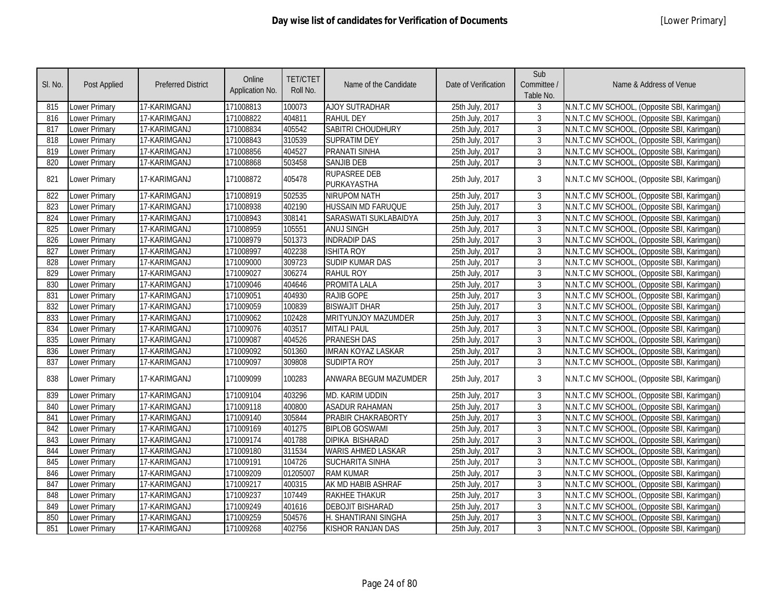| SI. No. | Post Applied  | <b>Preferred District</b> | Online<br>Application No. | <b>TET/CTET</b><br>Roll No. | Name of the Candidate              | Date of Verification | Sub<br>Committee /<br>Table No. | Name & Address of Venue                      |
|---------|---------------|---------------------------|---------------------------|-----------------------------|------------------------------------|----------------------|---------------------------------|----------------------------------------------|
| 815     | Lower Primary | 17-KARIMGANJ              | 171008813                 | 100073                      | <b>AJOY SUTRADHAR</b>              | 25th July, 2017      | 3                               | N.N.T.C MV SCHOOL, (Opposite SBI, Karimganj) |
| 816     | Lower Primary | 17-KARIMGANJ              | 171008822                 | 404811                      | <b>RAHUL DEY</b>                   | 25th July, 2017      | 3                               | N.N.T.C MV SCHOOL, (Opposite SBI, Karimganj) |
| 817     | Lower Primary | 17-KARIMGANJ              | 171008834                 | 405542                      | SABITRI CHOUDHURY                  | 25th July, 2017      | $\mathfrak{Z}$                  | N.N.T.C MV SCHOOL, (Opposite SBI, Karimganj) |
| 818     | Lower Primary | 17-KARIMGANJ              | 171008843                 | 310539                      | <b>SUPRATIM DEY</b>                | 25th July, 2017      | 3                               | N.N.T.C MV SCHOOL, (Opposite SBI, Karimganj) |
| 819     | Lower Primary | 17-KARIMGANJ              | 171008856                 | 404527                      | <b>PRANATI SINHA</b>               | 25th July, 2017      | 3                               | N.N.T.C MV SCHOOL, (Opposite SBI, Karimganj) |
| 820     | Lower Primary | 17-KARIMGANJ              | 171008868                 | 503458                      | <b>SANJIB DEB</b>                  | 25th July, 2017      | 3                               | N.N.T.C MV SCHOOL, (Opposite SBI, Karimganj) |
| 821     | Lower Primary | 17-KARIMGANJ              | 171008872                 | 405478                      | <b>RUPASREE DEB</b><br>PURKAYASTHA | 25th July, 2017      | 3                               | N.N.T.C MV SCHOOL, (Opposite SBI, Karimganj) |
| 822     | Lower Primary | 17-KARIMGANJ              | 171008919                 | 502535                      | <b>NIRUPOM NATH</b>                | 25th July, 2017      | 3                               | N.N.T.C MV SCHOOL, (Opposite SBI, Karimganj) |
| 823     | Lower Primary | 17-KARIMGANJ              | 171008938                 | 402190                      | <b>HUSSAIN MD FARUQUE</b>          | 25th July, 2017      | 3                               | N.N.T.C MV SCHOOL, (Opposite SBI, Karimganj) |
| 824     | Lower Primary | 17-KARIMGANJ              | 171008943                 | 308141                      | SARASWATI SUKLABAIDYA              | 25th July, 2017      | $\mathfrak{Z}$                  | N.N.T.C MV SCHOOL, (Opposite SBI, Karimganj) |
| 825     | Lower Primary | 17-KARIMGANJ              | 171008959                 | 105551                      | <b>ANUJ SINGH</b>                  | 25th July, 2017      | 3                               | N.N.T.C MV SCHOOL, (Opposite SBI, Karimganj) |
| 826     | Lower Primary | 17-KARIMGANJ              | 171008979                 | 501373                      | <b>INDRADIP DAS</b>                | 25th July, 2017      | $\overline{3}$                  | N.N.T.C MV SCHOOL, (Opposite SBI, Karimganj) |
| 827     | Lower Primary | 17-KARIMGANJ              | 171008997                 | 402238                      | <b>ISHITA ROY</b>                  | 25th July, 2017      | $\mathbf{3}$                    | N.N.T.C MV SCHOOL, (Opposite SBI, Karimganj) |
| 828     | Lower Primary | 17-KARIMGANJ              | 171009000                 | 309723                      | <b>SUDIP KUMAR DAS</b>             | 25th July, 2017      | $\mathbf{3}$                    | N.N.T.C MV SCHOOL, (Opposite SBI, Karimganj) |
| 829     | Lower Primary | 17-KARIMGANJ              | 171009027                 | 306274                      | <b>RAHUL ROY</b>                   | 25th July, 2017      | $\mathbf{3}$                    | N.N.T.C MV SCHOOL, (Opposite SBI, Karimganj) |
| 830     | Lower Primary | 17-KARIMGANJ              | 171009046                 | 404646                      | <b>PROMITA LALA</b>                | 25th July, 2017      | $\overline{3}$                  | N.N.T.C MV SCHOOL, (Opposite SBI, Karimganj) |
| 831     | Lower Primary | 17-KARIMGANJ              | 171009051                 | 404930                      | <b>RAJIB GOPE</b>                  | 25th July, 2017      | $\mathbf{3}$                    | N.N.T.C MV SCHOOL, (Opposite SBI, Karimganj) |
| 832     | Lower Primary | 17-KARIMGANJ              | 171009059                 | 100839                      | <b>BISWAJIT DHAR</b>               | 25th July, 2017      | $\mathfrak{Z}$                  | N.N.T.C MV SCHOOL, (Opposite SBI, Karimganj) |
| 833     | Lower Primary | 17-KARIMGANJ              | 171009062                 | 102428                      | MRITYUNJOY MAZUMDER                | 25th July, 2017      | 3                               | N.N.T.C MV SCHOOL, (Opposite SBI, Karimganj) |
| 834     | Lower Primary | 17-KARIMGANJ              | 171009076                 | 403517                      | <b>MITALI PAUL</b>                 | 25th July, 2017      | $\mathbf{3}$                    | N.N.T.C MV SCHOOL, (Opposite SBI, Karimganj) |
| 835     | Lower Primary | 17-KARIMGANJ              | 171009087                 | 404526                      | PRANESH DAS                        | 25th July, 2017      | 3                               | N.N.T.C MV SCHOOL, (Opposite SBI, Karimganj) |
| 836     | Lower Primary | 17-KARIMGANJ              | 171009092                 | 501360                      | <b>IMRAN KOYAZ LASKAR</b>          | 25th July, 2017      | $\mathbf{3}$                    | N.N.T.C MV SCHOOL, (Opposite SBI, Karimganj) |
| 837     | Lower Primary | 17-KARIMGANJ              | 171009097                 | 309808                      | <b>SUDIPTA ROY</b>                 | 25th July, 2017      | $\mathbf{3}$                    | N.N.T.C MV SCHOOL, (Opposite SBI, Karimganj) |
| 838     | Lower Primary | 17-KARIMGANJ              | 171009099                 | 100283                      | ANWARA BEGUM MAZUMDER              | 25th July, 2017      | 3                               | N.N.T.C MV SCHOOL, (Opposite SBI, Karimganj) |
| 839     | Lower Primary | 17-KARIMGANJ              | 171009104                 | 403296                      | MD. KARIM UDDIN                    | 25th July, 2017      | 3                               | N.N.T.C MV SCHOOL, (Opposite SBI, Karimganj) |
| 840     | Lower Primary | 17-KARIMGANJ              | 171009118                 | 400800                      | <b>ASADUR RAHAMAN</b>              | 25th July, 2017      | 3                               | N.N.T.C MV SCHOOL, (Opposite SBI, Karimganj) |
| 841     | Lower Primary | 17-KARIMGANJ              | 171009140                 | 305844                      | PRABIR CHAKRABORTY                 | 25th July, 2017      | 3                               | N.N.T.C MV SCHOOL, (Opposite SBI, Karimganj) |
| 842     | Lower Primary | 17-KARIMGANJ              | 171009169                 | 401275                      | <b>BIPLOB GOSWAMI</b>              | 25th July, 2017      | $\mathfrak{Z}$                  | N.N.T.C MV SCHOOL, (Opposite SBI, Karimganj) |
| 843     | Lower Primary | 17-KARIMGANJ              | 171009174                 | 401788                      | DIPIKA BISHARAD                    | 25th July, 2017      | $\mathfrak{Z}$                  | N.N.T.C MV SCHOOL, (Opposite SBI, Karimganj) |
| 844     | Lower Primary | 17-KARIMGANJ              | 171009180                 | 311534                      | WARIS AHMED LASKAR                 | 25th July, 2017      | $\mathbf{3}$                    | N.N.T.C MV SCHOOL, (Opposite SBI, Karimganj) |
| 845     | Lower Primary | 17-KARIMGANJ              | 171009191                 | 104726                      | <b>SUCHARITA SINHA</b>             | 25th July, 2017      | $\overline{3}$                  | N.N.T.C MV SCHOOL, (Opposite SBI, Karimganj) |
| 846     | Lower Primary | 17-KARIMGANJ              | 171009209                 | 01205007                    | <b>RAM KUMAR</b>                   | 25th July, 2017      | $\overline{3}$                  | N.N.T.C MV SCHOOL, (Opposite SBI, Karimganj) |
| 847     | Lower Primary | 17-KARIMGANJ              | 171009217                 | 400315                      | AK MD HABIB ASHRAF                 | 25th July, 2017      | $\mathfrak{Z}$                  | N.N.T.C MV SCHOOL, (Opposite SBI, Karimganj) |
| 848     | Lower Primary | 17-KARIMGANJ              | 171009237                 | 107449                      | RAKHEE THAKUR                      | 25th July, 2017      | $\mathbf{3}$                    | N.N.T.C MV SCHOOL, (Opposite SBI, Karimganj) |
| 849     | Lower Primary | 17-KARIMGANJ              | 171009249                 | 401616                      | <b>DEBOJIT BISHARAD</b>            | 25th July, 2017      | 3                               | N.N.T.C MV SCHOOL, (Opposite SBI, Karimganj) |
| 850     | Lower Primary | 17-KARIMGANJ              | 171009259                 | 504576                      | H. SHANTIRANI SINGHA               | 25th July, 2017      | $\mathfrak{Z}$                  | N.N.T.C MV SCHOOL, (Opposite SBI, Karimganj) |
| 851     | Lower Primary | 17-KARIMGANJ              | 171009268                 | 402756                      | KISHOR RANJAN DAS                  | 25th July, 2017      | 3                               | N.N.T.C MV SCHOOL, (Opposite SBI, Karimganj) |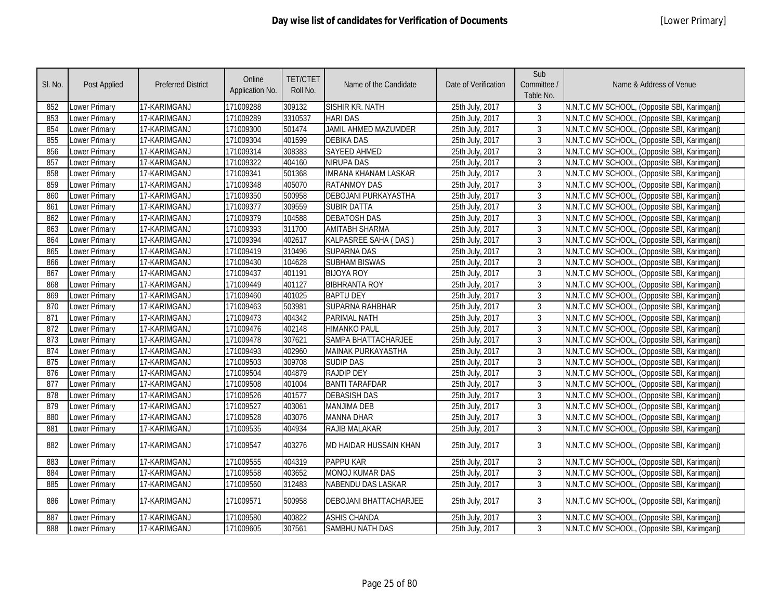| SI. No. | Post Applied         | <b>Preferred District</b> | Online<br>Application No. | <b>TET/CTET</b><br>Roll No. | Name of the Candidate       | Date of Verification | Sub<br>Committee /<br>Table No. | Name & Address of Venue                      |
|---------|----------------------|---------------------------|---------------------------|-----------------------------|-----------------------------|----------------------|---------------------------------|----------------------------------------------|
| 852     | <b>Lower Primary</b> | 17-KARIMGANJ              | 171009288                 | 309132                      | SISHIR KR. NATH             | 25th July, 2017      | $\mathbf{3}$                    | N.N.T.C MV SCHOOL, (Opposite SBI, Karimganj) |
| 853     | Lower Primary        | 17-KARIMGANJ              | 171009289                 | 3310537                     | <b>HARI DAS</b>             | 25th July, 2017      | $\mathbf{3}$                    | N.N.T.C MV SCHOOL, (Opposite SBI, Karimganj) |
| 854     | Lower Primary        | 17-KARIMGANJ              | 171009300                 | 501474                      | <b>JAMIL AHMED MAZUMDER</b> | 25th July, 2017      | $\mathbf{3}$                    | N.N.T.C MV SCHOOL, (Opposite SBI, Karimganj) |
| 855     | <b>Lower Primary</b> | 17-KARIMGANJ              | 171009304                 | 401599                      | <b>DEBIKA DAS</b>           | 25th July, 2017      | $\mathbf{3}$                    | N.N.T.C MV SCHOOL, (Opposite SBI, Karimganj) |
| 856     | <b>Lower Primary</b> | 17-KARIMGANJ              | 171009314                 | 308383                      | SAYEED AHMED                | 25th July, 2017      | $\overline{3}$                  | N.N.T.C MV SCHOOL, (Opposite SBI, Karimganj) |
| 857     | <b>Lower Primary</b> | 17-KARIMGANJ              | 171009322                 | 404160                      | <b>NIRUPA DAS</b>           | 25th July, 2017      | 3                               | N.N.T.C MV SCHOOL, (Opposite SBI, Karimganj) |
| 858     | Lower Primary        | 17-KARIMGANJ              | 171009341                 | 501368                      | <b>IMRANA KHANAM LASKAR</b> | 25th July, 2017      | $\mathbf{3}$                    | N.N.T.C MV SCHOOL, (Opposite SBI, Karimganj) |
| 859     | <b>Lower Primary</b> | 17-KARIMGANJ              | 171009348                 | 405070                      | <b>RATANMOY DAS</b>         | 25th July, 2017      | $\mathbf{3}$                    | N.N.T.C MV SCHOOL, (Opposite SBI, Karimganj) |
| 860     | Lower Primary        | 17-KARIMGANJ              | 171009350                 | 500958                      | <b>DEBOJANI PURKAYASTHA</b> | 25th July, 2017      | $\mathbf{3}$                    | N.N.T.C MV SCHOOL, (Opposite SBI, Karimganj) |
| 861     | <b>Lower Primary</b> | 17-KARIMGANJ              | 171009377                 | 309559                      | <b>SUBIR DATTA</b>          | 25th July, 2017      | $\mathbf{3}$                    | N.N.T.C MV SCHOOL, (Opposite SBI, Karimganj) |
| 862     | Lower Primary        | 17-KARIMGANJ              | 171009379                 | 104588                      | <b>DEBATOSH DAS</b>         | 25th July, 2017      | $\mathbf{3}$                    | N.N.T.C MV SCHOOL, (Opposite SBI, Karimganj) |
| 863     | <b>Lower Primary</b> | 17-KARIMGANJ              | 171009393                 | 311700                      | <b>AMITABH SHARMA</b>       | 25th July, 2017      | $\mathbf{3}$                    | N.N.T.C MV SCHOOL, (Opposite SBI, Karimganj) |
| 864     | <b>Lower Primary</b> | 17-KARIMGANJ              | 171009394                 | 402617                      | KALPASREE SAHA (DAS)        | 25th July, 2017      | $\mathbf{3}$                    | N.N.T.C MV SCHOOL, (Opposite SBI, Karimganj) |
| 865     | <b>Lower Primary</b> | 17-KARIMGANJ              | 171009419                 | 310496                      | <b>SUPARNA DAS</b>          | 25th July, 2017      | $\mathbf{3}$                    | N.N.T.C MV SCHOOL, (Opposite SBI, Karimganj) |
| 866     | <b>Lower Primary</b> | 17-KARIMGANJ              | 171009430                 | 104628                      | <b>SUBHAM BISWAS</b>        | 25th July, 2017      | $\mathbf{3}$                    | N.N.T.C MV SCHOOL, (Opposite SBI, Karimganj) |
| 867     | <b>Lower Primary</b> | 17-KARIMGANJ              | 171009437                 | 401191                      | <b>BIJOYA ROY</b>           | 25th July, 2017      | $\mathbf{3}$                    | N.N.T.C MV SCHOOL, (Opposite SBI, Karimganj) |
| 868     | Lower Primary        | 17-KARIMGANJ              | 171009449                 | 401127                      | <b>BIBHRANTA ROY</b>        | 25th July, 2017      | $\mathbf{3}$                    | N.N.T.C MV SCHOOL, (Opposite SBI, Karimganj) |
| 869     | Lower Primary        | 17-KARIMGANJ              | 171009460                 | 401025                      | <b>BAPTU DEY</b>            | 25th July, 2017      | $\mathbf{3}$                    | N.N.T.C MV SCHOOL, (Opposite SBI, Karimganj) |
| 870     | <b>Lower Primary</b> | 17-KARIMGANJ              | 171009463                 | 503981                      | SUPARNA RAHBHAR             | 25th July, 2017      | $\mathbf{3}$                    | N.N.T.C MV SCHOOL, (Opposite SBI, Karimganj) |
| 871     | <b>Lower Primary</b> | 17-KARIMGANJ              | 171009473                 | 404342                      | PARIMAL NATH                | 25th July, 2017      | $\mathbf{3}$                    | N.N.T.C MV SCHOOL, (Opposite SBI, Karimganj) |
| 872     | <b>Lower Primary</b> | 17-KARIMGANJ              | 171009476                 | 402148                      | <b>HIMANKO PAUL</b>         | 25th July, 2017      | $\mathbf{3}$                    | N.N.T.C MV SCHOOL, (Opposite SBI, Karimganj) |
| 873     | Lower Primary        | 17-KARIMGANJ              | 171009478                 | 307621                      | SAMPA BHATTACHARJEE         | 25th July, 2017      | $\mathbf{3}$                    | N.N.T.C MV SCHOOL, (Opposite SBI, Karimganj) |
| 874     | <b>Lower Primary</b> | 17-KARIMGANJ              | 171009493                 | 402960                      | MAINAK PURKAYASTHA          | 25th July, 2017      | $\mathbf{3}$                    | N.N.T.C MV SCHOOL, (Opposite SBI, Karimganj) |
| 875     | Lower Primary        | 17-KARIMGANJ              | 171009503                 | 309708                      | <b>SUDIP DAS</b>            | 25th July, 2017      | 3                               | N.N.T.C MV SCHOOL, (Opposite SBI, Karimganj) |
| 876     | Lower Primary        | 17-KARIMGANJ              | 171009504                 | 404879                      | <b>RAJDIP DEY</b>           | 25th July, 2017      | $\mathbf{3}$                    | N.N.T.C MV SCHOOL, (Opposite SBI, Karimganj) |
| 877     | Lower Primary        | 17-KARIMGANJ              | 171009508                 | 401004                      | <b>BANTI TARAFDAR</b>       | 25th July, 2017      | $\mathbf{3}$                    | N.N.T.C MV SCHOOL, (Opposite SBI, Karimganj) |
| 878     | <b>Lower Primary</b> | 17-KARIMGANJ              | 171009526                 | 401577                      | <b>DEBASISH DAS</b>         | 25th July, 2017      | $\mathbf{3}$                    | N.N.T.C MV SCHOOL, (Opposite SBI, Karimganj) |
| 879     | Lower Primary        | 17-KARIMGANJ              | 171009527                 | 403061                      | <b>MANJIMA DEB</b>          | 25th July, 2017      | $\mathbf{3}$                    | N.N.T.C MV SCHOOL, (Opposite SBI, Karimganj) |
| 880     | <b>Lower Primary</b> | 17-KARIMGANJ              | 171009528                 | 403076                      | <b>MANNA DHAR</b>           | 25th July, 2017      | $\mathbf{3}$                    | N.N.T.C MV SCHOOL, (Opposite SBI, Karimganj) |
| 881     | Lower Primary        | 17-KARIMGANJ              | 171009535                 | 404934                      | RAJIB MALAKAR               | 25th July, 2017      | $\mathbf{3}$                    | N.N.T.C MV SCHOOL, (Opposite SBI, Karimganj) |
| 882     | Lower Primary        | 17-KARIMGANJ              | 171009547                 | 403276                      | MD HAIDAR HUSSAIN KHAN      | 25th July, 2017      | $\mathbf{3}$                    | N.N.T.C MV SCHOOL, (Opposite SBI, Karimganj) |
| 883     | <b>Lower Primary</b> | 17-KARIMGANJ              | 171009555                 | 404319                      | <b>PAPPU KAR</b>            | 25th July, 2017      | 3                               | N.N.T.C MV SCHOOL, (Opposite SBI, Karimganj) |
| 884     | Lower Primary        | 17-KARIMGANJ              | 171009558                 | 403652                      | <b>MONOJ KUMAR DAS</b>      | 25th July, 2017      | $\mathbf{3}$                    | N.N.T.C MV SCHOOL, (Opposite SBI, Karimganj) |
| 885     | <b>Lower Primary</b> | 17-KARIMGANJ              | 171009560                 | 312483                      | NABENDU DAS LASKAR          | 25th July, 2017      | 3                               | N.N.T.C MV SCHOOL, (Opposite SBI, Karimganj) |
| 886     | <b>Lower Primary</b> | 17-KARIMGANJ              | 171009571                 | 500958                      | DEBOJANI BHATTACHARJEE      | 25th July, 2017      | $\mathbf{3}$                    | N.N.T.C MV SCHOOL, (Opposite SBI, Karimganj) |
| 887     | Lower Primary        | 17-KARIMGANJ              | 171009580                 | 400822                      | <b>ASHIS CHANDA</b>         | 25th July, 2017      | 3                               | N.N.T.C MV SCHOOL, (Opposite SBI, Karimganj) |
| 888     | <b>Lower Primary</b> | 17-KARIMGANJ              | 171009605                 | 307561                      | SAMBHU NATH DAS             | 25th July, 2017      | 3                               | N.N.T.C MV SCHOOL, (Opposite SBI, Karimganj) |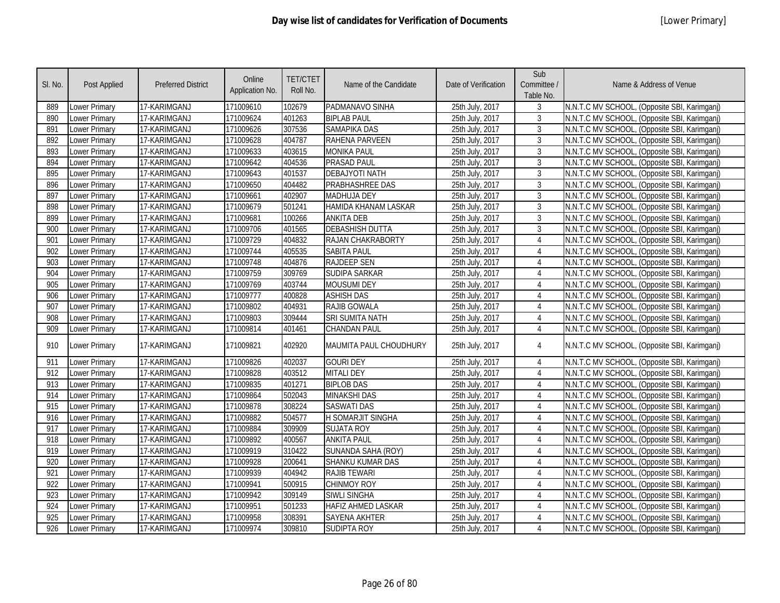| SI. No. | <b>Post Applied</b>  | <b>Preferred District</b> | Online<br>Application No. | <b>TET/CTET</b><br>Roll No. | Name of the Candidate       | Date of Verification | Sub<br>Committee /<br>Table No. | Name & Address of Venue                      |
|---------|----------------------|---------------------------|---------------------------|-----------------------------|-----------------------------|----------------------|---------------------------------|----------------------------------------------|
| 889     | Lower Primary        | 17-KARIMGANJ              | 171009610                 | 102679                      | PADMANAVO SINHA             | 25th July, 2017      | 3                               | N.N.T.C MV SCHOOL, (Opposite SBI, Karimganj) |
| 890     | <b>Lower Primary</b> | 17-KARIMGANJ              | 171009624                 | 401263                      | <b>BIPLAB PAUL</b>          | 25th July, 2017      | $\mathbf{3}$                    | N.N.T.C MV SCHOOL, (Opposite SBI, Karimganj) |
| 891     | <b>Lower Primary</b> | 17-KARIMGANJ              | 171009626                 | 307536                      | <b>SAMAPIKA DAS</b>         | 25th July, 2017      | $\overline{3}$                  | N.N.T.C MV SCHOOL, (Opposite SBI, Karimganj) |
| 892     | <b>Lower Primary</b> | 17-KARIMGANJ              | 171009628                 | 404787                      | RAHENA PARVEEN              | 25th July, 2017      | $\overline{3}$                  | N.N.T.C MV SCHOOL, (Opposite SBI, Karimganj) |
| 893     | <b>Lower Primary</b> | 17-KARIMGANJ              | 171009633                 | 403615                      | <b>MONIKA PAUL</b>          | 25th July, 2017      | $\overline{3}$                  | N.N.T.C MV SCHOOL, (Opposite SBI, Karimganj) |
| 894     | <b>Lower Primary</b> | 17-KARIMGANJ              | 171009642                 | 404536                      | <b>PRASAD PAUL</b>          | 25th July, 2017      | 3                               | N.N.T.C MV SCHOOL, (Opposite SBI, Karimganj) |
| 895     | <b>Lower Primary</b> | 17-KARIMGANJ              | 171009643                 | 401537                      | <b>DEBAJYOTI NATH</b>       | 25th July, 2017      | $\mathbf{3}$                    | N.N.T.C MV SCHOOL, (Opposite SBI, Karimganj) |
| 896     | <b>Lower Primary</b> | 17-KARIMGANJ              | 171009650                 | 404482                      | PRABHASHREE DAS             | 25th July, 2017      | 3                               | N.N.T.C MV SCHOOL, (Opposite SBI, Karimganj) |
| 897     | <b>Lower Primary</b> | 17-KARIMGANJ              | 171009661                 | 402907                      | <b>MADHUJA DEY</b>          | 25th July, 2017      | 3                               | N.N.T.C MV SCHOOL, (Opposite SBI, Karimganj) |
| 898     | Lower Primary        | 17-KARIMGANJ              | 171009679                 | 501241                      | <b>HAMIDA KHANAM LASKAR</b> | 25th July, 2017      | $\mathbf{3}$                    | N.N.T.C MV SCHOOL, (Opposite SBI, Karimganj) |
| 899     | Lower Primary        | 17-KARIMGANJ              | 171009681                 | 100266                      | <b>ANKITA DEB</b>           | 25th July, 2017      | $\mathfrak{Z}$                  | N.N.T.C MV SCHOOL, (Opposite SBI, Karimganj) |
| 900     | Lower Primary        | 17-KARIMGANJ              | 171009706                 | 401565                      | <b>DEBASHISH DUTTA</b>      | 25th July, 2017      | $\overline{3}$                  | N.N.T.C MV SCHOOL, (Opposite SBI, Karimganj) |
| 901     | <b>Lower Primary</b> | 17-KARIMGANJ              | 171009729                 | 404832                      | RAJAN CHAKRABORTY           | 25th July, 2017      | $\overline{4}$                  | N.N.T.C MV SCHOOL, (Opposite SBI, Karimgani) |
| 902     | Lower Primary        | 17-KARIMGANJ              | 171009744                 | 405535                      | <b>SABITA PAUL</b>          | 25th July, 2017      | $\overline{4}$                  | N.N.T.C MV SCHOOL, (Opposite SBI, Karimganj) |
| 903     | Lower Primary        | 17-KARIMGANJ              | 171009748                 | 404876                      | <b>RAJDEEP SEN</b>          | 25th July, 2017      | 4                               | N.N.T.C MV SCHOOL, (Opposite SBI, Karimganj) |
| 904     | Lower Primary        | 17-KARIMGANJ              | 171009759                 | 309769                      | SUDIPA SARKAR               | 25th July, 2017      | 4                               | N.N.T.C MV SCHOOL, (Opposite SBI, Karimganj) |
| 905     | <b>Lower Primary</b> | 17-KARIMGANJ              | 171009769                 | 403744                      | <b>MOUSUMI DEY</b>          | 25th July, 2017      | 4                               | N.N.T.C MV SCHOOL, (Opposite SBI, Karimganj) |
| 906     | <b>Lower Primary</b> | 17-KARIMGANJ              | 171009777                 | 400828                      | <b>ASHISH DAS</b>           | 25th July, 2017      | $\overline{4}$                  | N.N.T.C MV SCHOOL, (Opposite SBI, Karimganj) |
| 907     | Lower Primary        | 17-KARIMGANJ              | 171009802                 | 404931                      | RAJIB GOWALA                | 25th July, 2017      | 4                               | N.N.T.C MV SCHOOL, (Opposite SBI, Karimganj) |
| 908     | Lower Primary        | 17-KARIMGANJ              | 171009803                 | 309444                      | SRI SUMITA NATH             | 25th July, 2017      | 4                               | N.N.T.C MV SCHOOL, (Opposite SBI, Karimganj) |
| 909     | <b>Lower Primary</b> | 17-KARIMGANJ              | 171009814                 | 401461                      | <b>CHANDAN PAUL</b>         | 25th July, 2017      | 4                               | N.N.T.C MV SCHOOL, (Opposite SBI, Karimganj) |
| 910     | Lower Primary        | 17-KARIMGANJ              | 171009821                 | 402920                      | MAUMITA PAUL CHOUDHURY      | 25th July, 2017      | 4                               | N.N.T.C MV SCHOOL, (Opposite SBI, Karimganj) |
| 911     | <b>Lower Primary</b> | 17-KARIMGANJ              | 171009826                 | 402037                      | <b>GOURI DEY</b>            | 25th July, 2017      | 4                               | N.N.T.C MV SCHOOL, (Opposite SBI, Karimganj) |
| 912     | <b>Lower Primary</b> | 17-KARIMGANJ              | 171009828                 | 403512                      | <b>MITALI DEY</b>           | 25th July, 2017      | 4                               | N.N.T.C MV SCHOOL, (Opposite SBI, Karimganj) |
| 913     | Lower Primary        | 17-KARIMGANJ              | 171009835                 | 401271                      | <b>BIPLOB DAS</b>           | 25th July, 2017      | $\overline{4}$                  | N.N.T.C MV SCHOOL, (Opposite SBI, Karimganj) |
| 914     | <b>Lower Primary</b> | 17-KARIMGANJ              | 171009864                 | 502043                      | <b>MINAKSHI DAS</b>         | 25th July, 2017      | $\overline{4}$                  | N.N.T.C MV SCHOOL, (Opposite SBI, Karimganj) |
| 915     | Lower Primary        | 17-KARIMGANJ              | 171009878                 | 308224                      | <b>SASWATI DAS</b>          | 25th July, 2017      | 4                               | N.N.T.C MV SCHOOL, (Opposite SBI, Karimganj) |
| 916     | <b>Lower Primary</b> | 17-KARIMGANJ              | 171009882                 | 504577                      | H SOMARJIT SINGHA           | 25th July, 2017      | 4                               | N.N.T.C MV SCHOOL, (Opposite SBI, Karimganj) |
| 917     | <b>Lower Primary</b> | 17-KARIMGANJ              | 171009884                 | 309909                      | <b>SUJATA ROY</b>           | 25th July, 2017      | 4                               | N.N.T.C MV SCHOOL, (Opposite SBI, Karimganj) |
| 918     | Lower Primary        | 17-KARIMGANJ              | 171009892                 | 400567                      | <b>ANKITA PAUL</b>          | 25th July, 2017      | 4                               | N.N.T.C MV SCHOOL, (Opposite SBI, Karimganj) |
| 919     | <b>Lower Primary</b> | 17-KARIMGANJ              | 171009919                 | 310422                      | SUNANDA SAHA (ROY)          | 25th July, 2017      | $\overline{4}$                  | N.N.T.C MV SCHOOL, (Opposite SBI, Karimganj) |
| 920     | <b>Lower Primary</b> | 17-KARIMGANJ              | 171009928                 | 200641                      | SHANKU KUMAR DAS            | 25th July, 2017      | $\overline{4}$                  | N.N.T.C MV SCHOOL, (Opposite SBI, Karimganj) |
| 921     | <b>Lower Primary</b> | 17-KARIMGANJ              | 171009939                 | 404942                      | <b>RAJIB TEWARI</b>         | 25th July, 2017      | $\overline{4}$                  | N.N.T.C MV SCHOOL, (Opposite SBI, Karimganj) |
| 922     | Lower Primary        | 17-KARIMGANJ              | 171009941                 | 500915                      | <b>CHINMOY ROY</b>          | 25th July, 2017      | $\overline{4}$                  | N.N.T.C MV SCHOOL, (Opposite SBI, Karimganj) |
| 923     | Lower Primary        | 17-KARIMGANJ              | 171009942                 | 309149                      | <b>SIWLI SINGHA</b>         | 25th July, 2017      | 4                               | N.N.T.C MV SCHOOL, (Opposite SBI, Karimganj) |
| 924     | <b>Lower Primary</b> | 17-KARIMGANJ              | 171009951                 | 501233                      | <b>HAFIZ AHMED LASKAR</b>   | 25th July, 2017      | 4                               | N.N.T.C MV SCHOOL, (Opposite SBI, Karimganj) |
| 925     | <b>Lower Primary</b> | 17-KARIMGANJ              | 171009958                 | 308391                      | <b>SAYENA AKHTER</b>        | 25th July, 2017      | 4                               | N.N.T.C MV SCHOOL, (Opposite SBI, Karimganj) |
| 926     | Lower Primary        | 17-KARIMGANJ              | 171009974                 | 309810                      | <b>SUDIPTA ROY</b>          | 25th July, 2017      | $\overline{4}$                  | N.N.T.C MV SCHOOL, (Opposite SBI, Karimganj) |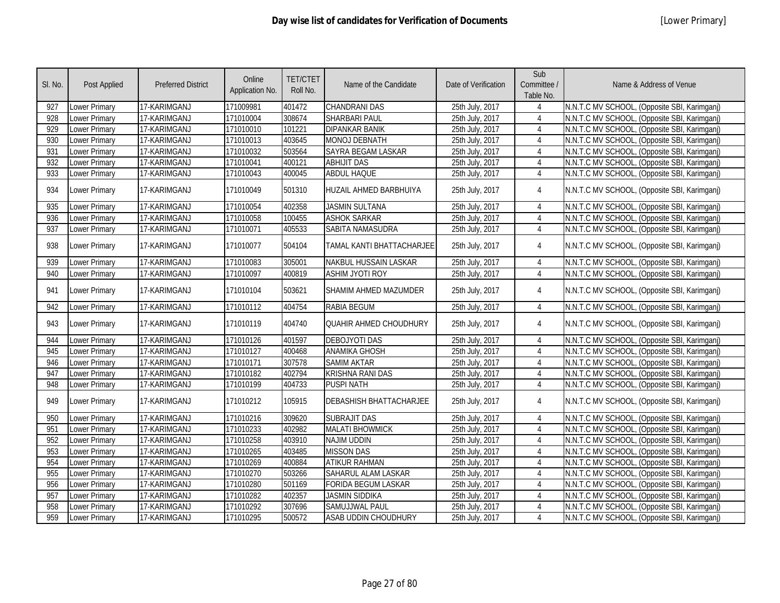| SI. No. | Post Applied         | <b>Preferred District</b> | Online<br>Application No. | <b>TET/CTET</b><br>Roll No. | Name of the Candidate          | Date of Verification | Sub<br>Committee /<br>Table No. | Name & Address of Venue                      |
|---------|----------------------|---------------------------|---------------------------|-----------------------------|--------------------------------|----------------------|---------------------------------|----------------------------------------------|
| 927     | Lower Primary        | 17-KARIMGANJ              | 171009981                 | 401472                      | <b>CHANDRANI DAS</b>           | 25th July, 2017      | 4                               | N.N.T.C MV SCHOOL, (Opposite SBI, Karimganj) |
| 928     | <b>Lower Primary</b> | 17-KARIMGANJ              | 171010004                 | 308674                      | SHARBARI PAUL                  | 25th July, 2017      | 4                               | N.N.T.C MV SCHOOL, (Opposite SBI, Karimganj) |
| 929     | Lower Primary        | 17-KARIMGANJ              | 171010010                 | 101221                      | <b>DIPANKAR BANIK</b>          | 25th July, 2017      | 4                               | N.N.T.C MV SCHOOL, (Opposite SBI, Karimganj) |
| 930     | <b>Lower Primary</b> | 17-KARIMGANJ              | 171010013                 | 403645                      | <b>MONOJ DEBNATH</b>           | 25th July, 2017      | $\overline{4}$                  | N.N.T.C MV SCHOOL, (Opposite SBI, Karimganj) |
| 931     | <b>Lower Primary</b> | 17-KARIMGANJ              | 171010032                 | 503564                      | <b>SAYRA BEGAM LASKAR</b>      | 25th July, 2017      | $\overline{4}$                  | N.N.T.C MV SCHOOL, (Opposite SBI, Karimganj) |
| 932     | <b>Lower Primary</b> | 17-KARIMGANJ              | 171010041                 | 400121                      | <b>ABHIJIT DAS</b>             | 25th July, 2017      | 4                               | N.N.T.C MV SCHOOL, (Opposite SBI, Karimganj) |
| 933     | Lower Primary        | 17-KARIMGANJ              | 171010043                 | 400045                      | <b>ABDUL HAQUE</b>             | 25th July, 2017      | 4                               | N.N.T.C MV SCHOOL, (Opposite SBI, Karimganj) |
| 934     | <b>Lower Primary</b> | 17-KARIMGANJ              | 171010049                 | 501310                      | <b>HUZAIL AHMED BARBHUIYA</b>  | 25th July, 2017      | 4                               | N.N.T.C MV SCHOOL, (Opposite SBI, Karimganj) |
| 935     | <b>Lower Primary</b> | 17-KARIMGANJ              | 171010054                 | 402358                      | <b>JASMIN SULTANA</b>          | 25th July, 2017      | $\overline{4}$                  | N.N.T.C MV SCHOOL, (Opposite SBI, Karimganj) |
| 936     | <b>Lower Primary</b> | 17-KARIMGANJ              | 171010058                 | 100455                      | <b>ASHOK SARKAR</b>            | 25th July, 2017      | 4                               | N.N.T.C MV SCHOOL, (Opposite SBI, Karimganj) |
| 937     | Lower Primary        | 17-KARIMGANJ              | 171010071                 | 405533                      | SABITA NAMASUDRA               | 25th July, 2017      | 4                               | N.N.T.C MV SCHOOL, (Opposite SBI, Karimganj) |
| 938     | Lower Primary        | 17-KARIMGANJ              | 171010077                 | 504104                      | TAMAL KANTI BHATTACHARJEE      | 25th July, 2017      | 4                               | N.N.T.C MV SCHOOL, (Opposite SBI, Karimganj) |
| 939     | <b>Lower Primary</b> | 17-KARIMGANJ              | 171010083                 | 305001                      | <b>NAKBUL HUSSAIN LASKAR</b>   | 25th July, 2017      | 4                               | N.N.T.C MV SCHOOL, (Opposite SBI, Karimganj) |
| 940     | <b>Lower Primary</b> | 17-KARIMGANJ              | 171010097                 | 400819                      | <b>ASHIM JYOTI ROY</b>         | 25th July, 2017      | $\overline{4}$                  | N.N.T.C MV SCHOOL, (Opposite SBI, Karimganj) |
| 941     | <b>Lower Primary</b> | 17-KARIMGANJ              | 171010104                 | 503621                      | SHAMIM AHMED MAZUMDER          | 25th July, 2017      | $\overline{4}$                  | N.N.T.C MV SCHOOL, (Opposite SBI, Karimganj) |
| 942     | Lower Primary        | 17-KARIMGANJ              | 171010112                 | 404754                      | <b>RABIA BEGUM</b>             | 25th July, 2017      | 4                               | N.N.T.C MV SCHOOL, (Opposite SBI, Karimganj) |
| 943     | Lower Primary        | 17-KARIMGANJ              | 171010119                 | 404740                      | QUAHIR AHMED CHOUDHURY         | 25th July, 2017      | 4                               | N.N.T.C MV SCHOOL, (Opposite SBI, Karimganj) |
| 944     | Lower Primary        | 17-KARIMGANJ              | 171010126                 | 401597                      | <b>DEBOJYOTI DAS</b>           | 25th July, 2017      | 4                               | N.N.T.C MV SCHOOL, (Opposite SBI, Karimganj) |
| 945     | Lower Primary        | 17-KARIMGANJ              | 171010127                 | 400468                      | <b>ANAMIKA GHOSH</b>           | 25th July, 2017      | $\overline{4}$                  | N.N.T.C MV SCHOOL, (Opposite SBI, Karimganj) |
| 946     | Lower Primary        | 17-KARIMGANJ              | 171010171                 | 307578                      | <b>SAMIM AKTAR</b>             | 25th July, 2017      | $\overline{4}$                  | N.N.T.C MV SCHOOL, (Opposite SBI, Karimganj) |
| 947     | <b>Lower Primary</b> | 17-KARIMGANJ              | 171010182                 | 402794                      | <b>KRISHNA RANI DAS</b>        | 25th July, 2017      | $\overline{4}$                  | N.N.T.C MV SCHOOL, (Opposite SBI, Karimganj) |
| 948     | Lower Primary        | 17-KARIMGANJ              | 171010199                 | 404733                      | <b>PUSPI NATH</b>              | 25th July, 2017      | 4                               | N.N.T.C MV SCHOOL, (Opposite SBI, Karimganj) |
| 949     | <b>Lower Primary</b> | 17-KARIMGANJ              | 171010212                 | 105915                      | <b>DEBASHISH BHATTACHARJEE</b> | 25th July, 2017      | $\overline{4}$                  | N.N.T.C MV SCHOOL, (Opposite SBI, Karimganj) |
| 950     | <b>Lower Primary</b> | 17-KARIMGANJ              | 171010216                 | 309620                      | <b>SUBRAJIT DAS</b>            | 25th July, 2017      | 4                               | N.N.T.C MV SCHOOL, (Opposite SBI, Karimganj) |
| 951     | <b>Lower Primary</b> | 17-KARIMGANJ              | 171010233                 | 402982                      | <b>MALATI BHOWMICK</b>         | 25th July, 2017      | 4                               | N.N.T.C MV SCHOOL, (Opposite SBI, Karimganj) |
| 952     | <b>Lower Primary</b> | 17-KARIMGANJ              | 171010258                 | 403910                      | <b>NAJIM UDDIN</b>             | 25th July, 2017      | $\overline{4}$                  | N.N.T.C MV SCHOOL, (Opposite SBI, Karimganj) |
| 953     | Lower Primary        | 17-KARIMGANJ              | 171010265                 | 403485                      | <b>MISSON DAS</b>              | 25th July, 2017      | $\overline{4}$                  | N.N.T.C MV SCHOOL, (Opposite SBI, Karimganj) |
| 954     | Lower Primary        | 17-KARIMGANJ              | 171010269                 | 400884                      | <b>ATIKUR RAHMAN</b>           | 25th July, 2017      | 4                               | N.N.T.C MV SCHOOL, (Opposite SBI, Karimganj) |
| 955     | Lower Primary        | 17-KARIMGANJ              | 171010270                 | 503266                      | SAHARUL ALAM LASKAR            | 25th July, 2017      | 4                               | N.N.T.C MV SCHOOL, (Opposite SBI, Karimganj) |
| 956     | <b>Lower Primary</b> | 17-KARIMGANJ              | 171010280                 | 501169                      | <b>FORIDA BEGUM LASKAR</b>     | 25th July, 2017      | 4                               | N.N.T.C MV SCHOOL, (Opposite SBI, Karimganj) |
| 957     | <b>Lower Primary</b> | 17-KARIMGANJ              | 171010282                 | 402357                      | <b>JASMIN SIDDIKA</b>          | 25th July, 2017      | 4                               | N.N.T.C MV SCHOOL, (Opposite SBI, Karimganj) |
| 958     | <b>Lower Primary</b> | 17-KARIMGANJ              | 171010292                 | 307696                      | SAMUJJWAL PAUL                 | 25th July, 2017      | 4                               | N.N.T.C MV SCHOOL, (Opposite SBI, Karimganj) |
| 959     | <b>Lower Primary</b> | 17-KARIMGANJ              | 171010295                 | 500572                      | ASAB UDDIN CHOUDHURY           | 25th July, 2017      | 4                               | N.N.T.C MV SCHOOL, (Opposite SBI, Karimganj) |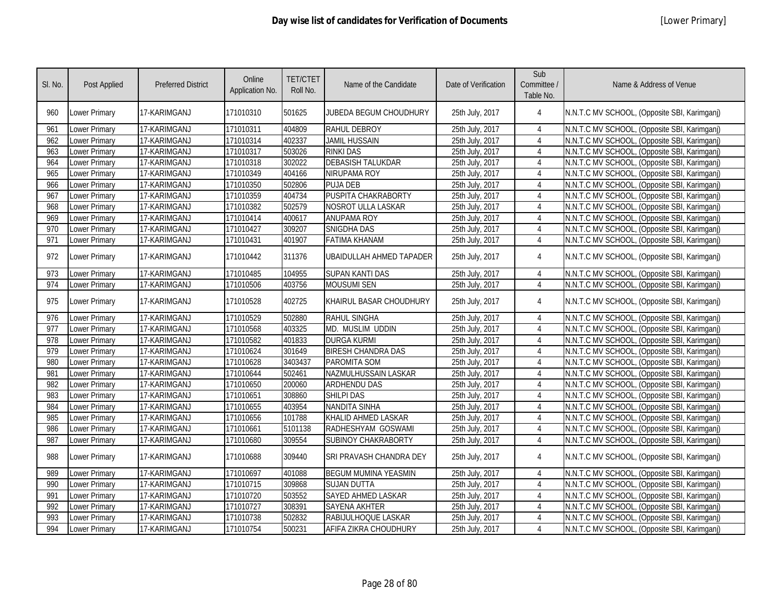| SI. No. | <b>Post Applied</b>  | <b>Preferred District</b> | Online<br>Application No. | <b>TET/CTET</b><br>Roll No. | Name of the Candidate           | Date of Verification | Sub<br>Committee /<br>Table No. | Name & Address of Venue                      |
|---------|----------------------|---------------------------|---------------------------|-----------------------------|---------------------------------|----------------------|---------------------------------|----------------------------------------------|
| 960     | Lower Primary        | 17-KARIMGANJ              | 171010310                 | 501625                      | JUBEDA BEGUM CHOUDHURY          | 25th July, 2017      | 4                               | N.N.T.C MV SCHOOL, (Opposite SBI, Karimganj) |
| 961     | Lower Primary        | 17-KARIMGANJ              | 171010311                 | 404809                      | RAHUL DEBROY                    | 25th July, 2017      | 4                               | N.N.T.C MV SCHOOL, (Opposite SBI, Karimganj) |
| 962     | Lower Primary        | 17-KARIMGANJ              | 171010314                 | 402337                      | <b>JAMIL HUSSAIN</b>            | 25th July, 2017      | 4                               | N.N.T.C MV SCHOOL, (Opposite SBI, Karimganj) |
| 963     | Lower Primary        | 17-KARIMGANJ              | 171010317                 | 503026                      | <b>RINKI DAS</b>                | 25th July, 2017      | $\overline{4}$                  | N.N.T.C MV SCHOOL, (Opposite SBI, Karimganj) |
| 964     | Lower Primary        | 17-KARIMGANJ              | 171010318                 | 302022                      | <b>DEBASISH TALUKDAR</b>        | 25th July, 2017      | 4                               | N.N.T.C MV SCHOOL, (Opposite SBI, Karimganj) |
| 965     | Lower Primary        | 17-KARIMGANJ              | 171010349                 | 404166                      | NIRUPAMA ROY                    | 25th July, 2017      | $\overline{4}$                  | N.N.T.C MV SCHOOL, (Opposite SBI, Karimganj) |
| 966     | Lower Primary        | 17-KARIMGANJ              | 171010350                 | 502806                      | <b>PUJA DEB</b>                 | 25th July, 2017      | $\overline{4}$                  | N.N.T.C MV SCHOOL, (Opposite SBI, Karimganj) |
| 967     | Lower Primary        | 17-KARIMGANJ              | 171010359                 | 404734                      | PUSPITA CHAKRABORTY             | 25th July, 2017      | $\overline{4}$                  | N.N.T.C MV SCHOOL, (Opposite SBI, Karimganj) |
| 968     | Lower Primary        | 17-KARIMGANJ              | 171010382                 | 502579                      | NOSROT ULLA LASKAR              | 25th July, 2017      | $\overline{4}$                  | N.N.T.C MV SCHOOL, (Opposite SBI, Karimganj) |
| 969     | Lower Primary        | 17-KARIMGANJ              | 171010414                 | 400617                      | <b>ANUPAMA ROY</b>              | 25th July, 2017      | 4                               | N.N.T.C MV SCHOOL, (Opposite SBI, Karimganj) |
| 970     | Lower Primary        | 17-KARIMGANJ              | 171010427                 | 309207                      | SNIGDHA DAS                     | 25th July, 2017      | $\overline{4}$                  | N.N.T.C MV SCHOOL, (Opposite SBI, Karimganj) |
| 971     | Lower Primary        | 17-KARIMGANJ              | 171010431                 | 401907                      | <b>FATIMA KHANAM</b>            | 25th July, 2017      | $\overline{4}$                  | N.N.T.C MV SCHOOL, (Opposite SBI, Karimganj) |
| 972     | Lower Primary        | 17-KARIMGANJ              | 171010442                 | 311376                      | <b>UBAIDULLAH AHMED TAPADER</b> | 25th July, 2017      | 4                               | N.N.T.C MV SCHOOL, (Opposite SBI, Karimganj) |
| 973     | Lower Primary        | 17-KARIMGANJ              | 171010485                 | 104955                      | <b>SUPAN KANTI DAS</b>          | 25th July, 2017      | 4                               | N.N.T.C MV SCHOOL, (Opposite SBI, Karimganj) |
| 974     | Lower Primary        | 17-KARIMGANJ              | 171010506                 | 403756                      | <b>MOUSUMI SEN</b>              | 25th July, 2017      | 4                               | N.N.T.C MV SCHOOL, (Opposite SBI, Karimganj) |
| 975     | Lower Primary        | 17-KARIMGANJ              | 171010528                 | 402725                      | KHAIRUL BASAR CHOUDHURY         | 25th July, 2017      | 4                               | N.N.T.C MV SCHOOL, (Opposite SBI, Karimganj) |
| 976     | Lower Primary        | 17-KARIMGANJ              | 171010529                 | 502880                      | <b>RAHUL SINGHA</b>             | 25th July, 2017      | $\overline{4}$                  | N.N.T.C MV SCHOOL, (Opposite SBI, Karimganj) |
| 977     | Lower Primary        | 17-KARIMGANJ              | 171010568                 | 403325                      | MD. MUSLIM UDDIN                | 25th July, 2017      | $\overline{4}$                  | N.N.T.C MV SCHOOL, (Opposite SBI, Karimganj) |
| 978     | Lower Primary        | 17-KARIMGANJ              | 171010582                 | 401833                      | <b>DURGA KURMI</b>              | 25th July, 2017      | $\overline{4}$                  | N.N.T.C MV SCHOOL, (Opposite SBI, Karimganj) |
| 979     | Lower Primary        | 17-KARIMGANJ              | 171010624                 | 301649                      | <b>BIRESH CHANDRA DAS</b>       | 25th July, 2017      | 4                               | N.N.T.C MV SCHOOL, (Opposite SBI, Karimganj) |
| 980     | Lower Primary        | 17-KARIMGANJ              | 171010628                 | 3403437                     | PAROMITA SOM                    | 25th July, 2017      | $\overline{4}$                  | N.N.T.C MV SCHOOL, (Opposite SBI, Karimganj) |
| 981     | <b>Lower Primary</b> | 17-KARIMGANJ              | 171010644                 | 502461                      | NAZMULHUSSAIN LASKAR            | 25th July, 2017      | $\overline{4}$                  | N.N.T.C MV SCHOOL, (Opposite SBI, Karimganj) |
| 982     | Lower Primary        | 17-KARIMGANJ              | 171010650                 | 200060                      | <b>ARDHENDU DAS</b>             | 25th July, 2017      | $\overline{4}$                  | N.N.T.C MV SCHOOL, (Opposite SBI, Karimganj) |
| 983     | Lower Primary        | 17-KARIMGANJ              | 171010651                 | 308860                      | <b>SHILPI DAS</b>               | 25th July, 2017      | 4                               | N.N.T.C MV SCHOOL, (Opposite SBI, Karimganj) |
| 984     | Lower Primary        | 17-KARIMGANJ              | 171010655                 | 403954                      | <b>NANDITA SINHA</b>            | 25th July, 2017      | 4                               | N.N.T.C MV SCHOOL, (Opposite SBI, Karimganj) |
| 985     | Lower Primary        | 17-KARIMGANJ              | 171010656                 | 101788                      | KHALID AHMED LASKAR             | 25th July, 2017      | $\overline{4}$                  | N.N.T.C MV SCHOOL, (Opposite SBI, Karimganj) |
| 986     | Lower Primary        | 17-KARIMGANJ              | 171010661                 | 5101138                     | RADHESHYAM GOSWAMI              | 25th July, 2017      | $\overline{4}$                  | N.N.T.C MV SCHOOL, (Opposite SBI, Karimganj) |
| 987     | Lower Primary        | 17-KARIMGANJ              | 171010680                 | 309554                      | <b>SUBINOY CHAKRABORTY</b>      | 25th July, 2017      | $\overline{4}$                  | N.N.T.C MV SCHOOL, (Opposite SBI, Karimganj) |
| 988     | Lower Primary        | 17-KARIMGANJ              | 171010688                 | 309440                      | <b>SRI PRAVASH CHANDRA DEY</b>  | 25th July, 2017      | $\overline{4}$                  | N.N.T.C MV SCHOOL, (Opposite SBI, Karimganj) |
| 989     | <b>Lower Primary</b> | 17-KARIMGANJ              | 171010697                 | 401088                      | <b>BEGUM MUMINA YEASMIN</b>     | 25th July, 2017      | 4                               | N.N.T.C MV SCHOOL, (Opposite SBI, Karimganj) |
| 990     | Lower Primary        | 17-KARIMGANJ              | 171010715                 | 309868                      | <b>SUJAN DUTTA</b>              | 25th July, 2017      | 4                               | N.N.T.C MV SCHOOL, (Opposite SBI, Karimganj) |
| 991     | Lower Primary        | 17-KARIMGANJ              | 171010720                 | 503552                      | SAYED AHMED LASKAR              | 25th July, 2017      | 4                               | N.N.T.C MV SCHOOL, (Opposite SBI, Karimganj) |
| 992     | Lower Primary        | 17-KARIMGANJ              | 171010727                 | 308391                      | <b>SAYENA AKHTER</b>            | 25th July, 2017      | 4                               | N.N.T.C MV SCHOOL, (Opposite SBI, Karimganj) |
| 993     | Lower Primary        | 17-KARIMGANJ              | 171010738                 | 502832                      | RABIJULHOQUE LASKAR             | 25th July, 2017      | 4                               | N.N.T.C MV SCHOOL, (Opposite SBI, Karimganj) |
| 994     | Lower Primary        | 17-KARIMGANJ              | 171010754                 | 500231                      | AFIFA ZIKRA CHOUDHURY           | 25th July, 2017      | $\overline{4}$                  | N.N.T.C MV SCHOOL, (Opposite SBI, Karimganj) |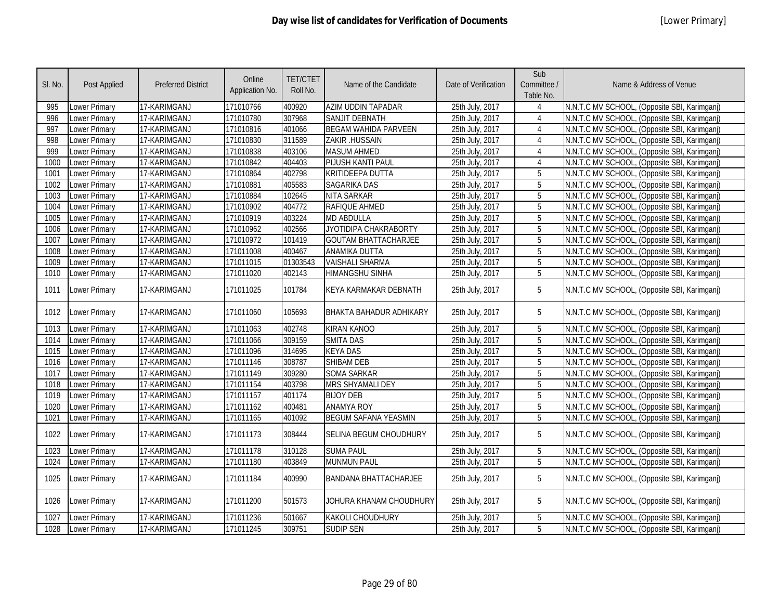| SI. No. | Post Applied         | <b>Preferred District</b> | Online<br>Application No. | <b>TET/CTET</b><br>Roll No. | Name of the Candidate        | Date of Verification | Sub<br>Committee /<br>Table No. | Name & Address of Venue                      |
|---------|----------------------|---------------------------|---------------------------|-----------------------------|------------------------------|----------------------|---------------------------------|----------------------------------------------|
| 995     | Lower Primary        | 17-KARIMGANJ              | 171010766                 | 400920                      | AZIM UDDIN TAPADAR           | 25th July, 2017      | 4                               | N.N.T.C MV SCHOOL, (Opposite SBI, Karimganj) |
| 996     | Lower Primary        | 17-KARIMGANJ              | 171010780                 | 307968                      | <b>SANJIT DEBNATH</b>        | 25th July, 2017      | $\overline{4}$                  | N.N.T.C MV SCHOOL, (Opposite SBI, Karimganj) |
| 997     | Lower Primary        | 17-KARIMGANJ              | 171010816                 | 401066                      | <b>BEGAM WAHIDA PARVEEN</b>  | 25th July, 2017      | 4                               | N.N.T.C MV SCHOOL, (Opposite SBI, Karimganj) |
| 998     | Lower Primary        | 17-KARIMGANJ              | 171010830                 | 311589                      | ZAKIR .HUSSAIN               | 25th July, 2017      | $\overline{4}$                  | N.N.T.C MV SCHOOL, (Opposite SBI, Karimganj) |
| 999     | Lower Primary        | 17-KARIMGANJ              | 171010838                 | 403106                      | <b>MASUM AHMED</b>           | 25th July, 2017      | $\overline{4}$                  | N.N.T.C MV SCHOOL, (Opposite SBI, Karimganj) |
| 1000    | <b>Lower Primary</b> | 17-KARIMGANJ              | 171010842                 | 404403                      | PIJUSH KANTI PAUL            | 25th July, 2017      | $\overline{4}$                  | N.N.T.C MV SCHOOL, (Opposite SBI, Karimganj) |
| 1001    | Lower Primary        | 17-KARIMGANJ              | 171010864                 | 402798                      | KRITIDEEPA DUTTA             | 25th July, 2017      | 5                               | N.N.T.C MV SCHOOL, (Opposite SBI, Karimganj) |
| 1002    | <b>Lower Primary</b> | 17-KARIMGANJ              | 171010881                 | 405583                      | <b>SAGARIKA DAS</b>          | 25th July, 2017      | 5                               | N.N.T.C MV SCHOOL, (Opposite SBI, Karimganj) |
| 1003    | Lower Primary        | 17-KARIMGANJ              | 171010884                 | 102645                      | NITA SARKAR                  | 25th July, 2017      | 5                               | N.N.T.C MV SCHOOL, (Opposite SBI, Karimganj) |
| 1004    | Lower Primary        | 17-KARIMGANJ              | 171010902                 | 404772                      | RAFIQUE AHMED                | 25th July, 2017      | 5                               | N.N.T.C MV SCHOOL, (Opposite SBI, Karimganj) |
| 1005    | Lower Primary        | 17-KARIMGANJ              | 171010919                 | 403224                      | MD ABDULLA                   | 25th July, 2017      | 5                               | N.N.T.C MV SCHOOL, (Opposite SBI, Karimganj) |
| 1006    | Lower Primary        | 17-KARIMGANJ              | 171010962                 | 402566                      | JYOTIDIPA CHAKRABORTY        | 25th July, 2017      | 5                               | N.N.T.C MV SCHOOL, (Opposite SBI, Karimganj) |
| 1007    | Lower Primary        | 17-KARIMGANJ              | 171010972                 | 101419                      | <b>GOUTAM BHATTACHARJEE</b>  | 25th July, 2017      | $\overline{5}$                  | N.N.T.C MV SCHOOL, (Opposite SBI, Karimganj) |
| 1008    | Lower Primary        | 17-KARIMGANJ              | 171011008                 | 400467                      | ANAMIKA DUTTA                | 25th July, 2017      | 5                               | N.N.T.C MV SCHOOL, (Opposite SBI, Karimganj) |
| 1009    | Lower Primary        | 17-KARIMGANJ              | 171011015                 | 01303543                    | <b>VAISHALI SHARMA</b>       | 25th July, 2017      | 5                               | N.N.T.C MV SCHOOL, (Opposite SBI, Karimganj) |
| 1010    | Lower Primary        | 17-KARIMGANJ              | 171011020                 | 402143                      | <b>HIMANGSHU SINHA</b>       | 25th July, 2017      | 5                               | N.N.T.C MV SCHOOL, (Opposite SBI, Karimganj) |
| 1011    | Lower Primary        | 17-KARIMGANJ              | 171011025                 | 101784                      | KEYA KARMAKAR DEBNATH        | 25th July, 2017      | 5                               | N.N.T.C MV SCHOOL, (Opposite SBI, Karimganj) |
| 1012    | Lower Primary        | 17-KARIMGANJ              | 171011060                 | 105693                      | BHAKTA BAHADUR ADHIKARY      | 25th July, 2017      | 5                               | N.N.T.C MV SCHOOL, (Opposite SBI, Karimganj) |
| 1013    | Lower Primary        | 17-KARIMGANJ              | 171011063                 | 402748                      | <b>KIRAN KANOO</b>           | 25th July, 2017      | 5                               | N.N.T.C MV SCHOOL, (Opposite SBI, Karimganj) |
| 1014    | <b>Lower Primary</b> | 17-KARIMGANJ              | 171011066                 | 309159                      | <b>SMITA DAS</b>             | 25th July, 2017      | 5                               | N.N.T.C MV SCHOOL, (Opposite SBI, Karimganj) |
| 1015    | <b>Lower Primary</b> | 17-KARIMGANJ              | 171011096                 | 314695                      | <b>KEYA DAS</b>              | 25th July, 2017      | 5                               | N.N.T.C MV SCHOOL, (Opposite SBI, Karimganj) |
| 1016    | Lower Primary        | 17-KARIMGANJ              | 171011146                 | 308787                      | <b>SHIBAM DEB</b>            | 25th July, 2017      | 5                               | N.N.T.C MV SCHOOL, (Opposite SBI, Karimganj) |
| 1017    | Lower Primary        | 17-KARIMGANJ              | 171011149                 | 309280                      | <b>SOMA SARKAR</b>           | 25th July, 2017      | 5                               | N.N.T.C MV SCHOOL, (Opposite SBI, Karimganj) |
| 1018    | Lower Primary        | 17-KARIMGANJ              | 171011154                 | 403798                      | MRS SHYAMALI DEY             | 25th July, 2017      | 5                               | N.N.T.C MV SCHOOL, (Opposite SBI, Karimganj) |
| 1019    | Lower Primary        | 17-KARIMGANJ              | 171011157                 | 401174                      | <b>BIJOY DEB</b>             | 25th July, 2017      | 5                               | N.N.T.C MV SCHOOL, (Opposite SBI, Karimganj) |
| 1020    | Lower Primary        | 17-KARIMGANJ              | 171011162                 | 400481                      | <b>ANAMYA ROY</b>            | 25th July, 2017      | 5                               | N.N.T.C MV SCHOOL, (Opposite SBI, Karimganj) |
| 1021    | Lower Primary        | 17-KARIMGANJ              | 171011165                 | 401092                      | <b>BEGUM SAFANA YEASMIN</b>  | 25th July, 2017      | 5                               | N.N.T.C MV SCHOOL, (Opposite SBI, Karimganj) |
| 1022    | Lower Primary        | 17-KARIMGANJ              | 171011173                 | 308444                      | SELINA BEGUM CHOUDHURY       | 25th July, 2017      | 5                               | N.N.T.C MV SCHOOL, (Opposite SBI, Karimganj) |
| 1023    | Lower Primary        | 17-KARIMGANJ              | 171011178                 | 310128                      | <b>SUMA PAUL</b>             | 25th July, 2017      | 5                               | N.N.T.C MV SCHOOL, (Opposite SBI, Karimganj) |
| 1024    | Lower Primary        | 17-KARIMGANJ              | 171011180                 | 403849                      | <b>MUNMUN PAUL</b>           | 25th July, 2017      | 5                               | N.N.T.C MV SCHOOL, (Opposite SBI, Karimganj) |
| 1025    | Lower Primary        | 17-KARIMGANJ              | 171011184                 | 400990                      | <b>BANDANA BHATTACHARJEE</b> | 25th July, 2017      | 5                               | N.N.T.C MV SCHOOL, (Opposite SBI, Karimganj) |
| 1026    | Lower Primary        | 17-KARIMGANJ              | 171011200                 | 501573                      | JOHURA KHANAM CHOUDHURY      | 25th July, 2017      | 5                               | N.N.T.C MV SCHOOL, (Opposite SBI, Karimganj) |
| 1027    | Lower Primary        | 17-KARIMGANJ              | 171011236                 | 501667                      | <b>KAKOLI CHOUDHURY</b>      | 25th July, 2017      | 5                               | N.N.T.C MV SCHOOL, (Opposite SBI, Karimganj) |
| 1028    | Lower Primary        | 17-KARIMGANJ              | 171011245                 | 309751                      | <b>SUDIP SEN</b>             | 25th July, 2017      | 5                               | N.N.T.C MV SCHOOL, (Opposite SBI, Karimganj) |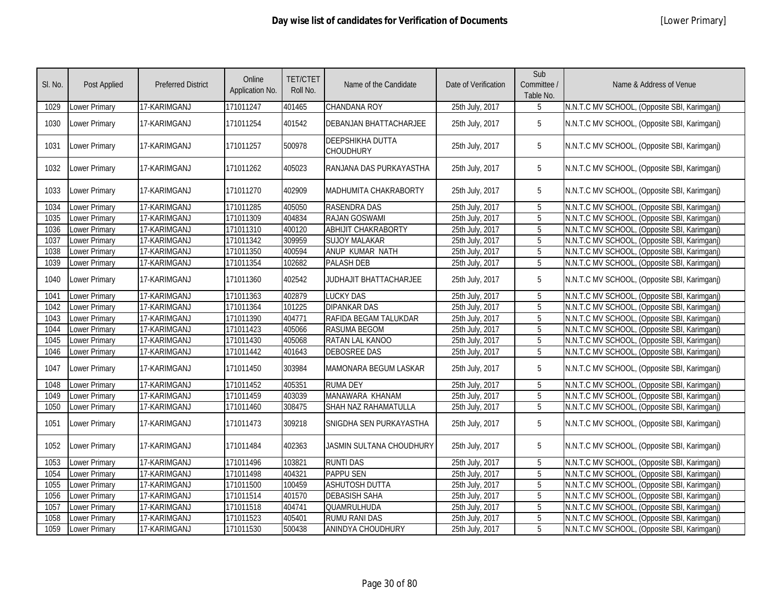| SI. No. | <b>Post Applied</b>  | <b>Preferred District</b> | Online<br>Application No. | <b>TET/CTET</b><br>Roll No. | Name of the Candidate                | Date of Verification | Sub<br>Committee /<br>Table No. | Name & Address of Venue                      |
|---------|----------------------|---------------------------|---------------------------|-----------------------------|--------------------------------------|----------------------|---------------------------------|----------------------------------------------|
| 1029    | Lower Primary        | 17-KARIMGANJ              | 171011247                 | 401465                      | CHANDANA ROY                         | 25th July, 2017      | 5                               | N.N.T.C MV SCHOOL, (Opposite SBI, Karimganj) |
| 1030    | Lower Primary        | 17-KARIMGANJ              | 171011254                 | 401542                      | DEBANJAN BHATTACHARJEE               | 25th July, 2017      | 5                               | N.N.T.C MV SCHOOL, (Opposite SBI, Karimganj) |
| 1031    | <b>Lower Primary</b> | 17-KARIMGANJ              | 171011257                 | 500978                      | DEEPSHIKHA DUTTA<br><b>CHOUDHURY</b> | 25th July, 2017      | 5                               | N.N.T.C MV SCHOOL, (Opposite SBI, Karimganj) |
| 1032    | Lower Primary        | 17-KARIMGANJ              | 171011262                 | 405023                      | RANJANA DAS PURKAYASTHA              | 25th July, 2017      | 5                               | N.N.T.C MV SCHOOL, (Opposite SBI, Karimganj) |
| 1033    | Lower Primary        | 17-KARIMGANJ              | 171011270                 | 402909                      | MADHUMITA CHAKRABORTY                | 25th July, 2017      | 5                               | N.N.T.C MV SCHOOL, (Opposite SBI, Karimganj) |
| 1034    | Lower Primary        | 17-KARIMGANJ              | 171011285                 | 405050                      | <b>RASENDRA DAS</b>                  | 25th July, 2017      | 5                               | N.N.T.C MV SCHOOL, (Opposite SBI, Karimganj) |
| 1035    | Lower Primary        | 17-KARIMGANJ              | 171011309                 | 404834                      | RAJAN GOSWAMI                        | 25th July, 2017      | 5                               | N.N.T.C MV SCHOOL, (Opposite SBI, Karimganj) |
| 1036    | Lower Primary        | 17-KARIMGANJ              | 171011310                 | 400120                      | <b>ABHIJIT CHAKRABORTY</b>           | 25th July, 2017      | 5                               | N.N.T.C MV SCHOOL, (Opposite SBI, Karimganj) |
| 1037    | Lower Primary        | 17-KARIMGANJ              | 171011342                 | 309959                      | <b>SUJOY MALAKAR</b>                 | 25th July, 2017      | 5                               | N.N.T.C MV SCHOOL, (Opposite SBI, Karimganj) |
| 1038    | Lower Primary        | 17-KARIMGANJ              | 171011350                 | 400594                      | ANUP KUMAR NATH                      | 25th July, 2017      | 5                               | N.N.T.C MV SCHOOL, (Opposite SBI, Karimganj) |
| 1039    | Lower Primary        | 17-KARIMGANJ              | 171011354                 | 102682                      | <b>PALASH DEB</b>                    | 25th July, 2017      | 5                               | N.N.T.C MV SCHOOL, (Opposite SBI, Karimganj) |
| 1040    | Lower Primary        | 17-KARIMGANJ              | 171011360                 | 402542                      | JUDHAJIT BHATTACHARJEE               | 25th July, 2017      | 5                               | N.N.T.C MV SCHOOL, (Opposite SBI, Karimganj) |
| 1041    | Lower Primary        | 17-KARIMGANJ              | 171011363                 | 402879                      | <b>LUCKY DAS</b>                     | 25th July, 2017      | 5                               | N.N.T.C MV SCHOOL, (Opposite SBI, Karimganj) |
| 1042    | <b>Lower Primary</b> | 17-KARIMGANJ              | 171011364                 | 101225                      | <b>DIPANKAR DAS</b>                  | 25th July, 2017      | 5                               | N.N.T.C MV SCHOOL, (Opposite SBI, Karimganj) |
| 1043    | Lower Primary        | 17-KARIMGANJ              | 171011390                 | 404771                      | RAFIDA BEGAM TALUKDAR                | 25th July, 2017      | 5                               | N.N.T.C MV SCHOOL, (Opposite SBI, Karimganj) |
| 1044    | <b>Lower Primary</b> | 17-KARIMGANJ              | 171011423                 | 405066                      | <b>RASUMA BEGOM</b>                  | 25th July, 2017      | 5                               | N.N.T.C MV SCHOOL, (Opposite SBI, Karimganj) |
| 1045    | Lower Primary        | 17-KARIMGANJ              | 171011430                 | 405068                      | RATAN LAL KANOO                      | 25th July, 2017      | 5                               | N.N.T.C MV SCHOOL, (Opposite SBI, Karimganj) |
| 1046    | Lower Primary        | 17-KARIMGANJ              | 171011442                 | 401643                      | <b>DEBOSREE DAS</b>                  | 25th July, 2017      | 5                               | N.N.T.C MV SCHOOL, (Opposite SBI, Karimganj) |
| 1047    | Lower Primary        | 17-KARIMGANJ              | 171011450                 | 303984                      | MAMONARA BEGUM LASKAR                | 25th July, 2017      | 5                               | N.N.T.C MV SCHOOL, (Opposite SBI, Karimganj) |
| 1048    | <b>Lower Primary</b> | 17-KARIMGANJ              | 171011452                 | 405351                      | <b>RUMA DEY</b>                      | 25th July, 2017      | 5                               | N.N.T.C MV SCHOOL, (Opposite SBI, Karimganj) |
| 1049    | <b>Lower Primary</b> | 17-KARIMGANJ              | 171011459                 | 403039                      | MANAWARA KHANAM                      | 25th July, 2017      | 5                               | N.N.T.C MV SCHOOL, (Opposite SBI, Karimganj) |
| 1050    | Lower Primary        | 17-KARIMGANJ              | 171011460                 | 308475                      | SHAH NAZ RAHAMATULLA                 | 25th July, 2017      | $\overline{5}$                  | N.N.T.C MV SCHOOL, (Opposite SBI, Karimganj) |
| 1051    | <b>Lower Primary</b> | 17-KARIMGANJ              | 171011473                 | 309218                      | SNIGDHA SEN PURKAYASTHA              | 25th July, 2017      | 5                               | N.N.T.C MV SCHOOL, (Opposite SBI, Karimganj) |
| 1052    | Lower Primary        | 17-KARIMGANJ              | 171011484                 | 402363                      | JASMIN SULTANA CHOUDHURY             | 25th July, 2017      | 5                               | N.N.T.C MV SCHOOL, (Opposite SBI, Karimganj) |
| 1053    | Lower Primary        | 17-KARIMGANJ              | 171011496                 | 103821                      | <b>RUNTI DAS</b>                     | 25th July, 2017      | 5                               | N.N.T.C MV SCHOOL, (Opposite SBI, Karimganj) |
| 1054    | Lower Primary        | 17-KARIMGANJ              | 171011498                 | 404321                      | <b>PAPPU SEN</b>                     | 25th July, 2017      | 5                               | N.N.T.C MV SCHOOL, (Opposite SBI, Karimganj) |
| 1055    | Lower Primary        | 17-KARIMGANJ              | 171011500                 | 100459                      | <b>ASHUTOSH DUTTA</b>                | 25th July, 2017      | 5                               | N.N.T.C MV SCHOOL, (Opposite SBI, Karimganj) |
| 1056    | Lower Primary        | 17-KARIMGANJ              | 171011514                 | 401570                      | <b>DEBASISH SAHA</b>                 | 25th July, 2017      | 5                               | N.N.T.C MV SCHOOL, (Opposite SBI, Karimganj) |
| 1057    | Lower Primary        | 17-KARIMGANJ              | 171011518                 | 404741                      | QUAMRULHUDA                          | 25th July, 2017      | 5                               | N.N.T.C MV SCHOOL, (Opposite SBI, Karimganj) |
| 1058    | Lower Primary        | 17-KARIMGANJ              | 171011523                 | 405401                      | <b>RUMU RANI DAS</b>                 | 25th July, 2017      | 5                               | N.N.T.C MV SCHOOL, (Opposite SBI, Karimganj) |
| 1059    | Lower Primary        | 17-KARIMGANJ              | 171011530                 | 500438                      | ANINDYA CHOUDHURY                    | 25th July, 2017      | 5                               | N.N.T.C MV SCHOOL, (Opposite SBI, Karimganj) |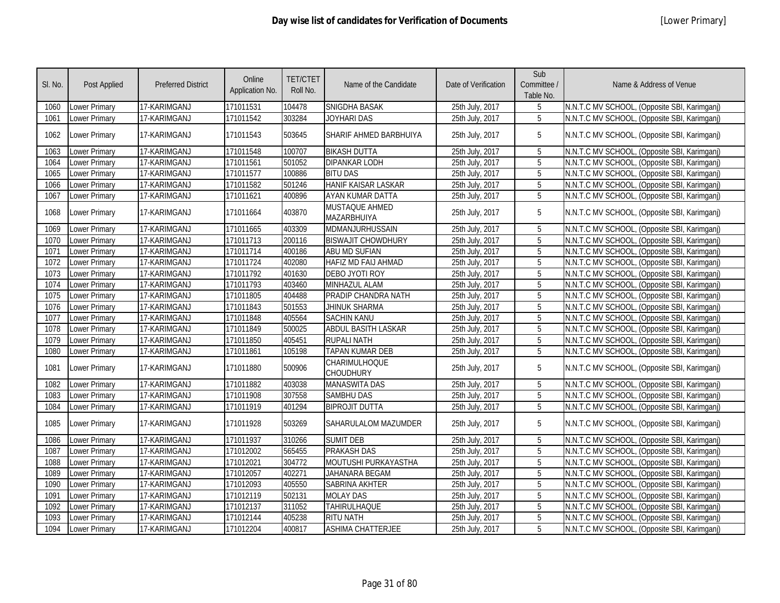| SI. No. | Post Applied         | <b>Preferred District</b> | Online<br>Application No. | <b>TET/CTET</b><br>Roll No. | Name of the Candidate         | Date of Verification | Sub<br>Committee /<br>Table No. | Name & Address of Venue                      |
|---------|----------------------|---------------------------|---------------------------|-----------------------------|-------------------------------|----------------------|---------------------------------|----------------------------------------------|
| 1060    | <b>Lower Primary</b> | 17-KARIMGANJ              | 171011531                 | 104478                      | SNIGDHA BASAK                 | 25th July, 2017      | 5                               | N.N.T.C MV SCHOOL, (Opposite SBI, Karimganj) |
| 1061    | Lower Primary        | 17-KARIMGANJ              | 171011542                 | 303284                      | JOYHARI DAS                   | 25th July, 2017      | 5                               | N.N.T.C MV SCHOOL, (Opposite SBI, Karimganj) |
| 1062    | <b>Lower Primary</b> | 17-KARIMGANJ              | 171011543                 | 503645                      | SHARIF AHMED BARBHUIYA        | 25th July, 2017      | 5                               | N.N.T.C MV SCHOOL, (Opposite SBI, Karimganj) |
| 1063    | <b>Lower Primary</b> | 17-KARIMGANJ              | 171011548                 | 100707                      | <b>BIKASH DUTTA</b>           | 25th July, 2017      | $5\phantom{.0}$                 | N.N.T.C MV SCHOOL, (Opposite SBI, Karimganj) |
| 1064    | Lower Primary        | 17-KARIMGANJ              | 171011561                 | 501052                      | <b>DIPANKAR LODH</b>          | 25th July, 2017      | 5                               | N.N.T.C MV SCHOOL, (Opposite SBI, Karimganj) |
| 1065    | Lower Primary        | 17-KARIMGANJ              | 171011577                 | 100886                      | <b>BITU DAS</b>               | 25th July, 2017      | $\overline{5}$                  | N.N.T.C MV SCHOOL, (Opposite SBI, Karimganj) |
| 1066    | Lower Primary        | 17-KARIMGANJ              | 171011582                 | 501246                      | HANIF KAISAR LASKAR           | 25th July, 2017      | 5                               | N.N.T.C MV SCHOOL, (Opposite SBI, Karimganj) |
| 1067    | Lower Primary        | 17-KARIMGANJ              | 171011621                 | 400896                      | AYAN KUMAR DATTA              | 25th July, 2017      | 5                               | N.N.T.C MV SCHOOL, (Opposite SBI, Karimganj) |
| 1068    | <b>Lower Primary</b> | 17-KARIMGANJ              | 171011664                 | 403870                      | MUSTAQUE AHMED<br>MAZARBHUIYA | 25th July, 2017      | 5                               | N.N.T.C MV SCHOOL, (Opposite SBI, Karimganj) |
| 1069    | Lower Primary        | 17-KARIMGANJ              | 171011665                 | 403309                      | MDMANJURHUSSAIN               | 25th July, 2017      | 5                               | N.N.T.C MV SCHOOL, (Opposite SBI, Karimganj) |
| 1070    | Lower Primary        | 17-KARIMGANJ              | 171011713                 | 200116                      | <b>BISWAJIT CHOWDHURY</b>     | 25th July, 2017      | 5                               | N.N.T.C MV SCHOOL, (Opposite SBI, Karimganj) |
| 1071    | <b>Lower Primary</b> | 17-KARIMGANJ              | 171011714                 | 400186                      | ABU MD SUFIAN                 | 25th July, 2017      | 5                               | N.N.T.C MV SCHOOL, (Opposite SBI, Karimganj) |
| 1072    | Lower Primary        | 17-KARIMGANJ              | 171011724                 | 402080                      | HAFIZ MD FAIJ AHMAD           | 25th July, 2017      | 5                               | N.N.T.C MV SCHOOL, (Opposite SBI, Karimganj) |
| 1073    | <b>Lower Primary</b> | 17-KARIMGANJ              | 171011792                 | 401630                      | DEBO JYOTI ROY                | 25th July, 2017      | 5                               | N.N.T.C MV SCHOOL, (Opposite SBI, Karimganj) |
| 1074    | Lower Primary        | 17-KARIMGANJ              | 171011793                 | 403460                      | MINHAZUL ALAM                 | 25th July, 2017      | 5                               | N.N.T.C MV SCHOOL, (Opposite SBI, Karimganj) |
| 1075    | <b>Lower Primary</b> | 17-KARIMGANJ              | 171011805                 | 404488                      | PRADIP CHANDRA NATH           | 25th July, 2017      | 5                               | N.N.T.C MV SCHOOL, (Opposite SBI, Karimganj) |
| 1076    | <b>Lower Primary</b> | 17-KARIMGANJ              | 171011843                 | 501553                      | JHINUK SHARMA                 | 25th July, 2017      | 5                               | N.N.T.C MV SCHOOL, (Opposite SBI, Karimganj) |
| 1077    | <b>Lower Primary</b> | 17-KARIMGANJ              | 171011848                 | 405564                      | <b>SACHIN KANU</b>            | 25th July, 2017      | $\overline{5}$                  | N.N.T.C MV SCHOOL, (Opposite SBI, Karimganj) |
| 1078    | Lower Primary        | 17-KARIMGANJ              | 171011849                 | 500025                      | <b>ABDUL BASITH LASKAR</b>    | 25th July, 2017      | 5                               | N.N.T.C MV SCHOOL, (Opposite SBI, Karimganj) |
| 1079    | <b>Lower Primary</b> | 17-KARIMGANJ              | 171011850                 | 405451                      | <b>RUPALI NATH</b>            | 25th July, 2017      | $\overline{5}$                  | N.N.T.C MV SCHOOL, (Opposite SBI, Karimganj) |
| 1080    | <b>Lower Primary</b> | 17-KARIMGANJ              | 171011861                 | 105198                      | <b>TAPAN KUMAR DEB</b>        | 25th July, 2017      | 5                               | N.N.T.C MV SCHOOL, (Opposite SBI, Karimganj) |
| 1081    | <b>Lower Primary</b> | 17-KARIMGANJ              | 171011880                 | 500906                      | CHARIMULHOQUE<br>CHOUDHURY    | 25th July, 2017      | 5                               | N.N.T.C MV SCHOOL, (Opposite SBI, Karimganj) |
| 1082    | <b>Lower Primary</b> | 17-KARIMGANJ              | 171011882                 | 403038                      | <b>MANASWITA DAS</b>          | 25th July, 2017      | $5\phantom{.0}$                 | N.N.T.C MV SCHOOL, (Opposite SBI, Karimganj) |
| 1083    | Lower Primary        | 17-KARIMGANJ              | 171011908                 | 307558                      | <b>SAMBHU DAS</b>             | 25th July, 2017      | 5                               | N.N.T.C MV SCHOOL, (Opposite SBI, Karimganj) |
| 1084    | Lower Primary        | 17-KARIMGANJ              | 171011919                 | 401294                      | <b>BIPROJIT DUTTA</b>         | 25th July, 2017      | 5                               | N.N.T.C MV SCHOOL, (Opposite SBI, Karimganj) |
| 1085    | <b>Lower Primary</b> | 17-KARIMGANJ              | 171011928                 | 503269                      | SAHARULALOM MAZUMDER          | 25th July, 2017      | 5                               | N.N.T.C MV SCHOOL, (Opposite SBI, Karimganj) |
| 1086    | <b>Lower Primary</b> | 17-KARIMGANJ              | 171011937                 | 310266                      | <b>SUMIT DEB</b>              | 25th July, 2017      | 5                               | N.N.T.C MV SCHOOL, (Opposite SBI, Karimganj) |
| 1087    | Lower Primary        | 17-KARIMGANJ              | 171012002                 | 565455                      | <b>PRAKASH DAS</b>            | 25th July, 2017      | 5                               | N.N.T.C MV SCHOOL, (Opposite SBI, Karimganj) |
| 1088    | <b>Lower Primary</b> | 17-KARIMGANJ              | 171012021                 | 304772                      | MOUTUSHI PURKAYASTHA          | 25th July, 2017      | $\overline{5}$                  | N.N.T.C MV SCHOOL, (Opposite SBI, Karimganj) |
| 1089    | Lower Primary        | 17-KARIMGANJ              | 171012057                 | 402271                      | <b>JAHANARA BEGAM</b>         | 25th July, 2017      | 5                               | N.N.T.C MV SCHOOL, (Opposite SBI, Karimganj) |
| 1090    | <b>Lower Primary</b> | 17-KARIMGANJ              | 171012093                 | 405550                      | SABRINA AKHTER                | 25th July, 2017      | $\overline{5}$                  | N.N.T.C MV SCHOOL, (Opposite SBI, Karimganj) |
| 1091    | Lower Primary        | 17-KARIMGANJ              | 171012119                 | 502131                      | <b>MOLAY DAS</b>              | 25th July, 2017      | 5                               | N.N.T.C MV SCHOOL, (Opposite SBI, Karimganj) |
| 1092    | <b>Lower Primary</b> | 17-KARIMGANJ              | 171012137                 | 311052                      | <b>TAHIRULHAQUE</b>           | 25th July, 2017      | 5                               | N.N.T.C MV SCHOOL, (Opposite SBI, Karimganj) |
| 1093    | Lower Primary        | 17-KARIMGANJ              | 171012144                 | 405238                      | <b>RITU NATH</b>              | 25th July, 2017      | 5                               | N.N.T.C MV SCHOOL, (Opposite SBI, Karimganj) |
| 1094    | <b>Lower Primary</b> | 17-KARIMGANJ              | 171012204                 | 400817                      | <b>ASHIMA CHATTERJEE</b>      | 25th July, 2017      | 5                               | N.N.T.C MV SCHOOL, (Opposite SBI, Karimganj) |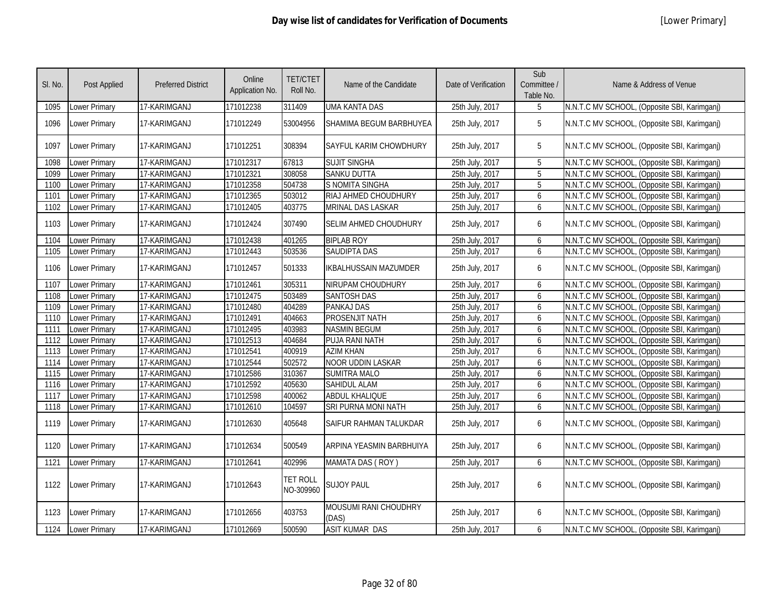| SI. No. | Post Applied         | <b>Preferred District</b> | Online<br>Application No. | <b>TET/CTET</b><br>Roll No.  | Name of the Candidate          | Date of Verification | Sub<br>Committee /<br>Table No. | Name & Address of Venue                      |
|---------|----------------------|---------------------------|---------------------------|------------------------------|--------------------------------|----------------------|---------------------------------|----------------------------------------------|
| 1095    | Lower Primary        | 17-KARIMGANJ              | 171012238                 | 311409                       | <b>UMA KANTA DAS</b>           | 25th July, 2017      | 5                               | N.N.T.C MV SCHOOL, (Opposite SBI, Karimganj) |
| 1096    | Lower Primary        | 17-KARIMGANJ              | 171012249                 | 53004956                     | SHAMIMA BEGUM BARBHUYEA        | 25th July, 2017      | 5                               | N.N.T.C MV SCHOOL, (Opposite SBI, Karimganj) |
| 1097    | Lower Primary        | 17-KARIMGANJ              | 171012251                 | 308394                       | SAYFUL KARIM CHOWDHURY         | 25th July, 2017      | $5\phantom{.0}$                 | N.N.T.C MV SCHOOL, (Opposite SBI, Karimganj) |
| 1098    | Lower Primary        | 17-KARIMGANJ              | 171012317                 | 67813                        | <b>SUJIT SINGHA</b>            | 25th July, 2017      | 5                               | N.N.T.C MV SCHOOL, (Opposite SBI, Karimganj) |
| 1099    | Lower Primary        | 17-KARIMGANJ              | 171012321                 | 308058                       | <b>SANKU DUTTA</b>             | 25th July, 2017      | $5^{\circ}$                     | N.N.T.C MV SCHOOL, (Opposite SBI, Karimganj) |
| 1100    | Lower Primary        | 17-KARIMGANJ              | 171012358                 | 504738                       | S NOMITA SINGHA                | 25th July, 2017      | 5                               | N.N.T.C MV SCHOOL, (Opposite SBI, Karimganj) |
| 1101    | Lower Primary        | 17-KARIMGANJ              | 171012365                 | 503012                       | RIAJ AHMED CHOUDHURY           | 25th July, 2017      | 6                               | N.N.T.C MV SCHOOL, (Opposite SBI, Karimganj) |
| 1102    | Lower Primary        | 17-KARIMGANJ              | 171012405                 | 403775                       | MRINAL DAS LASKAR              | 25th July, 2017      | 6                               | N.N.T.C MV SCHOOL, (Opposite SBI, Karimganj) |
| 1103    | Lower Primary        | 17-KARIMGANJ              | 171012424                 | 307490                       | SELIM AHMED CHOUDHURY          | 25th July, 2017      | 6                               | N.N.T.C MV SCHOOL, (Opposite SBI, Karimganj) |
| 1104    | <b>Lower Primary</b> | 17-KARIMGANJ              | 171012438                 | 401265                       | <b>BIPLAB ROY</b>              | 25th July, 2017      | 6                               | N.N.T.C MV SCHOOL, (Opposite SBI, Karimganj) |
| 1105    | <b>Lower Primary</b> | 17-KARIMGANJ              | 171012443                 | 503536                       | <b>SAUDIPTA DAS</b>            | 25th July, 2017      | 6                               | N.N.T.C MV SCHOOL, (Opposite SBI, Karimganj) |
| 1106    | Lower Primary        | 17-KARIMGANJ              | 171012457                 | 501333                       | <b>IKBALHUSSAIN MAZUMDER</b>   | 25th July, 2017      | 6                               | N.N.T.C MV SCHOOL, (Opposite SBI, Karimganj) |
| 1107    | <b>Lower Primary</b> | 17-KARIMGANJ              | 171012461                 | 305311                       | NIRUPAM CHOUDHURY              | 25th July, 2017      | 6                               | N.N.T.C MV SCHOOL, (Opposite SBI, Karimganj) |
| 1108    | Lower Primary        | 17-KARIMGANJ              | 171012475                 | 503489                       | <b>SANTOSH DAS</b>             | 25th July, 2017      | 6                               | N.N.T.C MV SCHOOL, (Opposite SBI, Karimganj) |
| 1109    | Lower Primary        | 17-KARIMGANJ              | 171012480                 | 404289                       | <b>PANKAJ DAS</b>              | 25th July, 2017      | 6                               | N.N.T.C MV SCHOOL, (Opposite SBI, Karimganj) |
| 1110    | Lower Primary        | 17-KARIMGANJ              | 171012491                 | 404663                       | PROSENJIT NATH                 | 25th July, 2017      | 6                               | N.N.T.C MV SCHOOL, (Opposite SBI, Karimganj) |
| 1111    | Lower Primary        | 17-KARIMGANJ              | 171012495                 | 403983                       | <b>NASMIN BEGUM</b>            | 25th July, 2017      | 6                               | N.N.T.C MV SCHOOL, (Opposite SBI, Karimganj) |
| 1112    | Lower Primary        | 17-KARIMGANJ              | 171012513                 | 404684                       | PUJA RANI NATH                 | 25th July, 2017      | 6                               | N.N.T.C MV SCHOOL, (Opposite SBI, Karimganj) |
| 1113    | Lower Primary        | 17-KARIMGANJ              | 171012541                 | 400919                       | <b>AZIM KHAN</b>               | 25th July, 2017      | 6                               | N.N.T.C MV SCHOOL, (Opposite SBI, Karimganj) |
| 1114    | Lower Primary        | 17-KARIMGANJ              | 171012544                 | 502572                       | NOOR UDDIN LASKAR              | 25th July, 2017      | 6                               | N.N.T.C MV SCHOOL, (Opposite SBI, Karimganj) |
| 1115    | Lower Primary        | 17-KARIMGANJ              | 171012586                 | 310367                       | <b>SUMITRA MALO</b>            | 25th July, 2017      | 6                               | N.N.T.C MV SCHOOL, (Opposite SBI, Karimganj) |
| 1116    | Lower Primary        | 17-KARIMGANJ              | 171012592                 | 405630                       | SAHIDUL ALAM                   | 25th July, 2017      | 6                               | N.N.T.C MV SCHOOL, (Opposite SBI, Karimganj) |
| 1117    | Lower Primary        | 17-KARIMGANJ              | 171012598                 | 400062                       | <b>ABDUL KHALIQUE</b>          | 25th July, 2017      | 6                               | N.N.T.C MV SCHOOL, (Opposite SBI, Karimganj) |
| 1118    | Lower Primary        | 17-KARIMGANJ              | 171012610                 | 104597                       | SRI PURNA MONI NATH            | 25th July, 2017      | 6                               | N.N.T.C MV SCHOOL, (Opposite SBI, Karimganj) |
| 1119    | Lower Primary        | 17-KARIMGANJ              | 171012630                 | 405648                       | SAIFUR RAHMAN TALUKDAR         | 25th July, 2017      | 6                               | N.N.T.C MV SCHOOL, (Opposite SBI, Karimganj) |
| 1120    | Lower Primary        | 17-KARIMGANJ              | 171012634                 | 500549                       | ARPINA YEASMIN BARBHUIYA       | 25th July, 2017      | 6                               | N.N.T.C MV SCHOOL, (Opposite SBI, Karimganj) |
| 1121    | Lower Primary        | 17-KARIMGANJ              | 171012641                 | 402996                       | <b>MAMATA DAS (ROY)</b>        | 25th July, 2017      | 6                               | N.N.T.C MV SCHOOL, (Opposite SBI, Karimganj) |
| 1122    | Lower Primary        | 17-KARIMGANJ              | 171012643                 | <b>TET ROLL</b><br>NO-309960 | <b>SUJOY PAUL</b>              | 25th July, 2017      | 6                               | N.N.T.C MV SCHOOL, (Opposite SBI, Karimganj) |
| 1123    | Lower Primary        | 17-KARIMGANJ              | 171012656                 | 403753                       | MOUSUMI RANI CHOUDHRY<br>(DAS) | 25th July, 2017      | 6                               | N.N.T.C MV SCHOOL, (Opposite SBI, Karimganj) |
| 1124    | Lower Primary        | 17-KARIMGANJ              | 171012669                 | 500590                       | <b>ASIT KUMAR DAS</b>          | 25th July, 2017      | 6                               | N.N.T.C MV SCHOOL, (Opposite SBI, Karimganj) |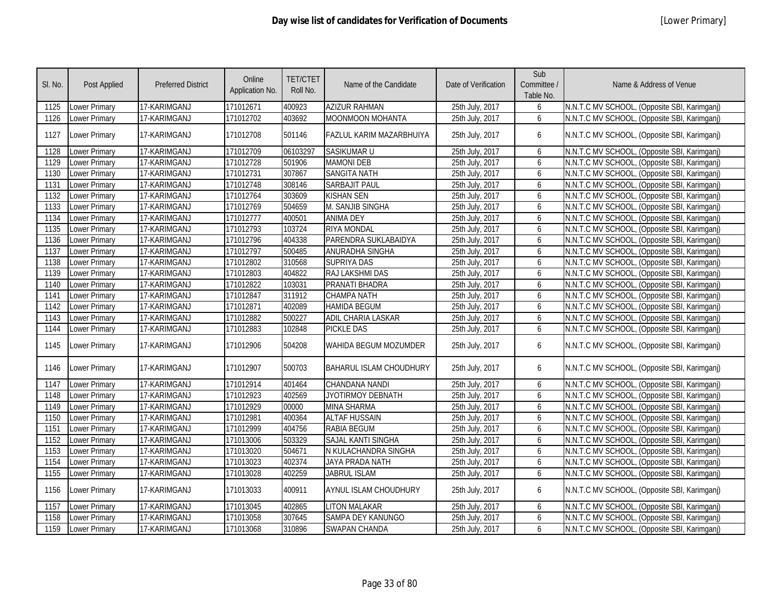| SI. No. | Post Applied         | <b>Preferred District</b> | Online<br>Application No. | <b>TET/CTET</b><br>Roll No. | Name of the Candidate          | Date of Verification | Sub<br>Committee /<br>Table No. | Name & Address of Venue                      |
|---------|----------------------|---------------------------|---------------------------|-----------------------------|--------------------------------|----------------------|---------------------------------|----------------------------------------------|
| 1125    | Lower Primary        | 17-KARIMGANJ              | 171012671                 | 400923                      | <b>AZIZUR RAHMAN</b>           | 25th July, 2017      | 6                               | N.N.T.C MV SCHOOL, (Opposite SBI, Karimganj) |
| 1126    | Lower Primary        | 17-KARIMGANJ              | 171012702                 | 403692                      | <b>MOONMOON MOHANTA</b>        | 25th July, 2017      | 6                               | N.N.T.C MV SCHOOL, (Opposite SBI, Karimganj) |
| 1127    | Lower Primary        | 17-KARIMGANJ              | 171012708                 | 501146                      | FAZLUL KARIM MAZARBHUIYA       | 25th July, 2017      | 6                               | N.N.T.C MV SCHOOL, (Opposite SBI, Karimganj) |
| 1128    | Lower Primary        | 17-KARIMGANJ              | 171012709                 | 06103297                    | SASIKUMAR U                    | 25th July, 2017      | 6                               | N.N.T.C MV SCHOOL, (Opposite SBI, Karimganj) |
| 1129    | Lower Primary        | 17-KARIMGANJ              | 171012728                 | 501906                      | <b>MAMONI DEB</b>              | 25th July, 2017      | 6                               | N.N.T.C MV SCHOOL, (Opposite SBI, Karimganj) |
| 1130    | Lower Primary        | 17-KARIMGANJ              | 171012731                 | 307867                      | <b>SANGITA NATH</b>            | 25th July, 2017      | 6                               | N.N.T.C MV SCHOOL, (Opposite SBI, Karimganj) |
| 1131    | Lower Primary        | 17-KARIMGANJ              | 171012748                 | 308146                      | <b>SARBAJIT PAUL</b>           | 25th July, 2017      | 6                               | N.N.T.C MV SCHOOL, (Opposite SBI, Karimganj) |
| 1132    | Lower Primary        | 17-KARIMGANJ              | 171012764                 | 303609                      | <b>KISHAN SEN</b>              | 25th July, 2017      | 6                               | N.N.T.C MV SCHOOL, (Opposite SBI, Karimganj) |
| 1133    | Lower Primary        | 17-KARIMGANJ              | 171012769                 | 504659                      | M. SANJIB SINGHA               | 25th July, 2017      | 6                               | N.N.T.C MV SCHOOL, (Opposite SBI, Karimganj) |
| 1134    | Lower Primary        | 17-KARIMGANJ              | 171012777                 | 400501                      | <b>ANIMA DEY</b>               | 25th July, 2017      | 6                               | N.N.T.C MV SCHOOL, (Opposite SBI, Karimganj) |
| 1135    | Lower Primary        | 17-KARIMGANJ              | 171012793                 | 103724                      | <b>RIYA MONDAL</b>             | 25th July, 2017      | 6                               | N.N.T.C MV SCHOOL, (Opposite SBI, Karimganj) |
| 1136    | Lower Primary        | 17-KARIMGANJ              | 171012796                 | 404338                      | PARENDRA SUKLABAIDYA           | 25th July, 2017      | 6                               | N.N.T.C MV SCHOOL, (Opposite SBI, Karimganj) |
| 1137    | Lower Primary        | 17-KARIMGANJ              | 171012797                 | 500485                      | ANURADHA SINGHA                | 25th July, 2017      | 6                               | N.N.T.C MV SCHOOL, (Opposite SBI, Karimganj) |
| 1138    | Lower Primary        | 17-KARIMGANJ              | 171012802                 | 310568                      | <b>SUPRIYA DAS</b>             | 25th July, 2017      | 6                               | N.N.T.C MV SCHOOL, (Opposite SBI, Karimganj) |
| 1139    | Lower Primary        | 17-KARIMGANJ              | 171012803                 | 404822                      | RAJ LAKSHMI DAS                | 25th July, 2017      | 6                               | N.N.T.C MV SCHOOL, (Opposite SBI, Karimganj) |
| 1140    | Lower Primary        | 17-KARIMGANJ              | 171012822                 | 103031                      | PRANATI BHADRA                 | 25th July, 2017      | 6                               | N.N.T.C MV SCHOOL, (Opposite SBI, Karimganj) |
| 1141    | Lower Primary        | 17-KARIMGANJ              | 171012847                 | 311912                      | <b>CHAMPA NATH</b>             | 25th July, 2017      | 6                               | N.N.T.C MV SCHOOL, (Opposite SBI, Karimganj) |
| 1142    | Lower Primary        | 17-KARIMGANJ              | 171012871                 | 402089                      | <b>HAMIDA BEGUM</b>            | 25th July, 2017      | 6                               | N.N.T.C MV SCHOOL, (Opposite SBI, Karimganj) |
| 1143    | Lower Primary        | 17-KARIMGANJ              | 171012882                 | 500227                      | <b>ADIL CHARIA LASKAR</b>      | 25th July, 2017      | 6                               | N.N.T.C MV SCHOOL, (Opposite SBI, Karimganj) |
| 1144    | Lower Primary        | 17-KARIMGANJ              | 171012883                 | 102848                      | <b>PICKLE DAS</b>              | 25th July, 2017      | 6                               | N.N.T.C MV SCHOOL, (Opposite SBI, Karimganj) |
| 1145    | Lower Primary        | 17-KARIMGANJ              | 171012906                 | 504208                      | WAHIDA BEGUM MOZUMDER          | 25th July, 2017      | 6                               | N.N.T.C MV SCHOOL, (Opposite SBI, Karimganj) |
| 1146    | Lower Primary        | 17-KARIMGANJ              | 171012907                 | 500703                      | <b>BAHARUL ISLAM CHOUDHURY</b> | 25th July, 2017      | 6                               | N.N.T.C MV SCHOOL, (Opposite SBI, Karimganj) |
| 1147    | Lower Primary        | 17-KARIMGANJ              | 171012914                 | 401464                      | CHANDANA NANDI                 | 25th July, 2017      | 6                               | N.N.T.C MV SCHOOL, (Opposite SBI, Karimganj) |
| 1148    | Lower Primary        | 17-KARIMGANJ              | 171012923                 | 402569                      | JYOTIRMOY DEBNATH              | 25th July, 2017      | 6                               | N.N.T.C MV SCHOOL, (Opposite SBI, Karimganj) |
| 1149    | Lower Primary        | 17-KARIMGANJ              | 171012929                 | 00000                       | <b>MINA SHARMA</b>             | 25th July, 2017      | 6                               | N.N.T.C MV SCHOOL, (Opposite SBI, Karimganj) |
| 1150    | Lower Primary        | 17-KARIMGANJ              | 171012981                 | 400364                      | <b>ALTAF HUSSAIN</b>           | 25th July, 2017      | 6                               | N.N.T.C MV SCHOOL, (Opposite SBI, Karimganj) |
| 1151    | Lower Primary        | 17-KARIMGANJ              | 171012999                 | 404756                      | <b>RABIA BEGUM</b>             | 25th July, 2017      | 6                               | N.N.T.C MV SCHOOL, (Opposite SBI, Karimganj) |
| 1152    | Lower Primary        | 17-KARIMGANJ              | 171013006                 | 503329                      | <b>SAJAL KANTI SINGHA</b>      | 25th July, 2017      | 6                               | N.N.T.C MV SCHOOL, (Opposite SBI, Karimganj) |
| 1153    | Lower Primary        | 17-KARIMGANJ              | 171013020                 | 504671                      | N KULACHANDRA SINGHA           | 25th July, 2017      | 6                               | N.N.T.C MV SCHOOL, (Opposite SBI, Karimganj) |
| 1154    | Lower Primary        | 17-KARIMGANJ              | 171013023                 | 402374                      | JAYA PRADA NATH                | 25th July, 2017      | 6                               | N.N.T.C MV SCHOOL, (Opposite SBI, Karimganj) |
| 1155    | Lower Primary        | 17-KARIMGANJ              | 171013028                 | 402259                      | JABRUL ISLAM                   | 25th July, 2017      | 6                               | N.N.T.C MV SCHOOL, (Opposite SBI, Karimganj) |
| 1156    | Lower Primary        | 17-KARIMGANJ              | 171013033                 | 400911                      | AYNUL ISLAM CHOUDHURY          | 25th July, 2017      | 6                               | N.N.T.C MV SCHOOL, (Opposite SBI, Karimganj) |
| 1157    | <b>Lower Primary</b> | 17-KARIMGANJ              | 171013045                 | 402865                      | <b>LITON MALAKAR</b>           | 25th July, 2017      | 6                               | N.N.T.C MV SCHOOL, (Opposite SBI, Karimganj) |
| 1158    | <b>Lower Primary</b> | 17-KARIMGANJ              | 171013058                 | 307645                      | SAMPA DEY KANUNGO              | 25th July, 2017      | 6                               | N.N.T.C MV SCHOOL, (Opposite SBI, Karimganj) |
| 1159    | <b>Lower Primary</b> | 17-KARIMGANJ              | 171013068                 | 310896                      | <b>SWAPAN CHANDA</b>           | 25th July, 2017      | 6                               | N.N.T.C MV SCHOOL, (Opposite SBI, Karimganj) |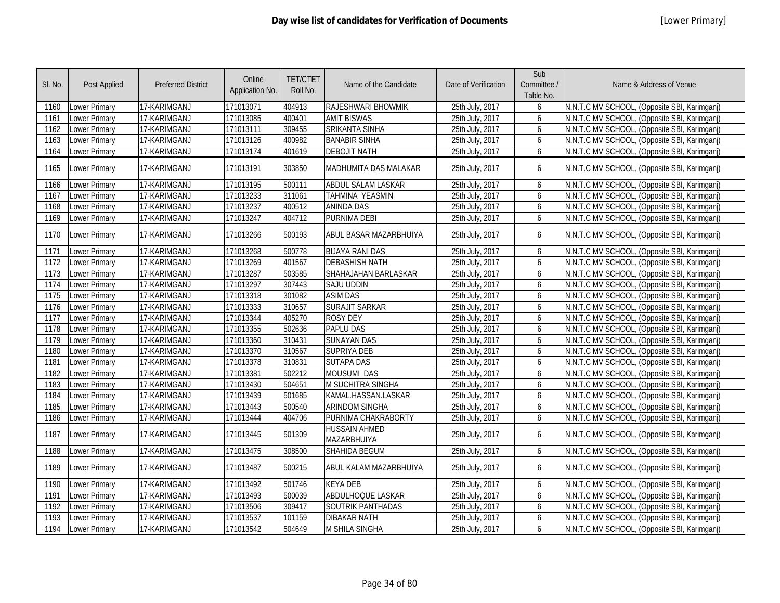| SI. No. | Post Applied         | <b>Preferred District</b> | Online<br>Application No. | <b>TET/CTET</b><br>Roll No. | Name of the Candidate        | Date of Verification | Sub<br>Committee /<br>Table No. | Name & Address of Venue                      |
|---------|----------------------|---------------------------|---------------------------|-----------------------------|------------------------------|----------------------|---------------------------------|----------------------------------------------|
| 1160    | <b>Lower Primary</b> | 17-KARIMGANJ              | 171013071                 | 404913                      | RAJESHWARI BHOWMIK           | 25th July, 2017      | 6                               | N.N.T.C MV SCHOOL, (Opposite SBI, Karimganj) |
| 1161    | <b>Lower Primary</b> | 17-KARIMGANJ              | 171013085                 | 400401                      | <b>AMIT BISWAS</b>           | 25th July, 2017      | 6                               | N.N.T.C MV SCHOOL, (Opposite SBI, Karimganj) |
| 1162    | <b>Lower Primary</b> | 17-KARIMGANJ              | 171013111                 | 309455                      | <b>SRIKANTA SINHA</b>        | 25th July, 2017      | 6                               | N.N.T.C MV SCHOOL, (Opposite SBI, Karimganj) |
| 1163    | Lower Primary        | 17-KARIMGANJ              | 171013126                 | 400982                      | <b>BANABIR SINHA</b>         | 25th July, 2017      | 6                               | N.N.T.C MV SCHOOL, (Opposite SBI, Karimganj) |
| 1164    | Lower Primary        | 17-KARIMGANJ              | 171013174                 | 401619                      | <b>DEBOJIT NATH</b>          | 25th July, 2017      | 6                               | N.N.T.C MV SCHOOL, (Opposite SBI, Karimganj) |
| 1165    | Lower Primary        | 17-KARIMGANJ              | 171013191                 | 303850                      | MADHUMITA DAS MALAKAR        | 25th July, 2017      | 6                               | N.N.T.C MV SCHOOL, (Opposite SBI, Karimganj) |
| 1166    | Lower Primary        | 17-KARIMGANJ              | 171013195                 | 500111                      | <b>ABDUL SALAM LASKAR</b>    | 25th July, 2017      | 6                               | N.N.T.C MV SCHOOL, (Opposite SBI, Karimganj) |
| 1167    | Lower Primary        | 17-KARIMGANJ              | 171013233                 | 311061                      | <b>TAHMINA YEASMIN</b>       | 25th July, 2017      | 6                               | N.N.T.C MV SCHOOL, (Opposite SBI, Karimganj) |
| 1168    | Lower Primary        | 17-KARIMGANJ              | 171013237                 | 400512                      | <b>ANINDA DAS</b>            | 25th July, 2017      | 6                               | N.N.T.C MV SCHOOL, (Opposite SBI, Karimganj) |
| 1169    | Lower Primary        | 17-KARIMGANJ              | 171013247                 | 404712                      | PURNIMA DEBI                 | 25th July, 2017      | 6                               | N.N.T.C MV SCHOOL, (Opposite SBI, Karimganj) |
| 1170    | <b>Lower Primary</b> | 17-KARIMGANJ              | 171013266                 | 500193                      | ABUL BASAR MAZARBHUIYA       | 25th July, 2017      | 6                               | N.N.T.C MV SCHOOL, (Opposite SBI, Karimganj) |
| 1171    | <b>Lower Primary</b> | 17-KARIMGANJ              | 171013268                 | 500778                      | <b>BIJAYA RANI DAS</b>       | 25th July, 2017      | 6                               | N.N.T.C MV SCHOOL, (Opposite SBI, Karimganj) |
| 1172    | Lower Primary        | 17-KARIMGANJ              | 171013269                 | 401567                      | <b>DEBASHISH NATH</b>        | 25th July, 2017      | 6                               | N.N.T.C MV SCHOOL, (Opposite SBI, Karimganj) |
| 1173    | <b>Lower Primary</b> | 17-KARIMGANJ              | 171013287                 | 503585                      | SHAHAJAHAN BARLASKAR         | 25th July, 2017      | 6                               | N.N.T.C MV SCHOOL, (Opposite SBI, Karimganj) |
| 1174    | Lower Primary        | 17-KARIMGANJ              | 171013297                 | 307443                      | <b>SAJU UDDIN</b>            | 25th July, 2017      | 6                               | N.N.T.C MV SCHOOL, (Opposite SBI, Karimganj) |
| 1175    | <b>Lower Primary</b> | 17-KARIMGANJ              | 171013318                 | 301082                      | <b>ASIM DAS</b>              | 25th July, 2017      | 6                               | N.N.T.C MV SCHOOL, (Opposite SBI, Karimganj) |
| 1176    | Lower Primary        | 17-KARIMGANJ              | 171013333                 | 310657                      | <b>SURAJIT SARKAR</b>        | 25th July, 2017      | 6                               | N.N.T.C MV SCHOOL, (Opposite SBI, Karimganj) |
| 1177    | <b>Lower Primary</b> | 17-KARIMGANJ              | 171013344                 | 405270                      | <b>ROSY DEY</b>              | 25th July, 2017      | 6                               | N.N.T.C MV SCHOOL, (Opposite SBI, Karimganj) |
| 1178    | Lower Primary        | 17-KARIMGANJ              | 171013355                 | 502636                      | <b>PAPLU DAS</b>             | 25th July, 2017      | 6                               | N.N.T.C MV SCHOOL, (Opposite SBI, Karimganj) |
| 1179    | <b>Lower Primary</b> | 17-KARIMGANJ              | 171013360                 | 310431                      | <b>SUNAYAN DAS</b>           | 25th July, 2017      | 6                               | N.N.T.C MV SCHOOL, (Opposite SBI, Karimganj) |
| 1180    | Lower Primary        | 17-KARIMGANJ              | 171013370                 | 310567                      | <b>SUPRIYA DEB</b>           | 25th July, 2017      | 6                               | N.N.T.C MV SCHOOL, (Opposite SBI, Karimganj) |
| 1181    | <b>Lower Primary</b> | 17-KARIMGANJ              | 171013378                 | 310831                      | <b>SUTAPA DAS</b>            | 25th July, 2017      | 6                               | N.N.T.C MV SCHOOL, (Opposite SBI, Karimganj) |
| 1182    | Lower Primary        | 17-KARIMGANJ              | 171013381                 | 502212                      | <b>MOUSUMI DAS</b>           | 25th July, 2017      | 6                               | N.N.T.C MV SCHOOL, (Opposite SBI, Karimganj) |
| 1183    | <b>Lower Primary</b> | 17-KARIMGANJ              | 171013430                 | 504651                      | M SUCHITRA SINGHA            | 25th July, 2017      | 6                               | N.N.T.C MV SCHOOL, (Opposite SBI, Karimganj) |
| 1184    | Lower Primary        | 17-KARIMGANJ              | 171013439                 | 501685                      | KAMAL.HASSAN.LASKAR          | 25th July, 2017      | 6                               | N.N.T.C MV SCHOOL, (Opposite SBI, Karimganj) |
| 1185    | Lower Primary        | 17-KARIMGANJ              | 171013443                 | 500540                      | <b>ARINDOM SINGHA</b>        | 25th July, 2017      | 6                               | N.N.T.C MV SCHOOL, (Opposite SBI, Karimganj) |
| 1186    | Lower Primary        | 17-KARIMGANJ              | 171013444                 | 404706                      | PURNIMA CHAKRABORTY          | 25th July, 2017      | 6                               | N.N.T.C MV SCHOOL, (Opposite SBI, Karimganj) |
| 1187    | Lower Primary        | 17-KARIMGANJ              | 171013445                 | 501309                      | HUSSAIN AHMED<br>MAZARBHUIYA | 25th July, 2017      | 6                               | N.N.T.C MV SCHOOL, (Opposite SBI, Karimganj) |
| 1188    | Lower Primary        | 17-KARIMGANJ              | 171013475                 | 308500                      | SHAHIDA BEGUM                | 25th July, 2017      | 6                               | N.N.T.C MV SCHOOL, (Opposite SBI, Karimganj) |
| 1189    | <b>Lower Primary</b> | 17-KARIMGANJ              | 171013487                 | 500215                      | ABUL KALAM MAZARBHUIYA       | 25th July, 2017      | 6                               | N.N.T.C MV SCHOOL, (Opposite SBI, Karimganj) |
| 1190    | <b>Lower Primary</b> | 17-KARIMGANJ              | 171013492                 | 501746                      | <b>KEYA DEB</b>              | 25th July, 2017      | 6                               | N.N.T.C MV SCHOOL, (Opposite SBI, Karimganj) |
| 1191    | Lower Primary        | 17-KARIMGANJ              | 171013493                 | 500039                      | <b>ABDULHOQUE LASKAR</b>     | 25th July, 2017      | 6                               | N.N.T.C MV SCHOOL, (Opposite SBI, Karimganj) |
| 1192    | Lower Primary        | 17-KARIMGANJ              | 171013506                 | 309417                      | SOUTRIK PANTHADAS            | 25th July, 2017      | 6                               | N.N.T.C MV SCHOOL, (Opposite SBI, Karimganj) |
| 1193    | Lower Primary        | 17-KARIMGANJ              | 171013537                 | 101159                      | <b>DIBAKAR NATH</b>          | 25th July, 2017      | 6                               | N.N.T.C MV SCHOOL, (Opposite SBI, Karimganj) |
| 1194    | <b>Lower Primary</b> | 17-KARIMGANJ              | 171013542                 | 504649                      | M SHILA SINGHA               | 25th July, 2017      | 6                               | N.N.T.C MV SCHOOL, (Opposite SBI, Karimganj) |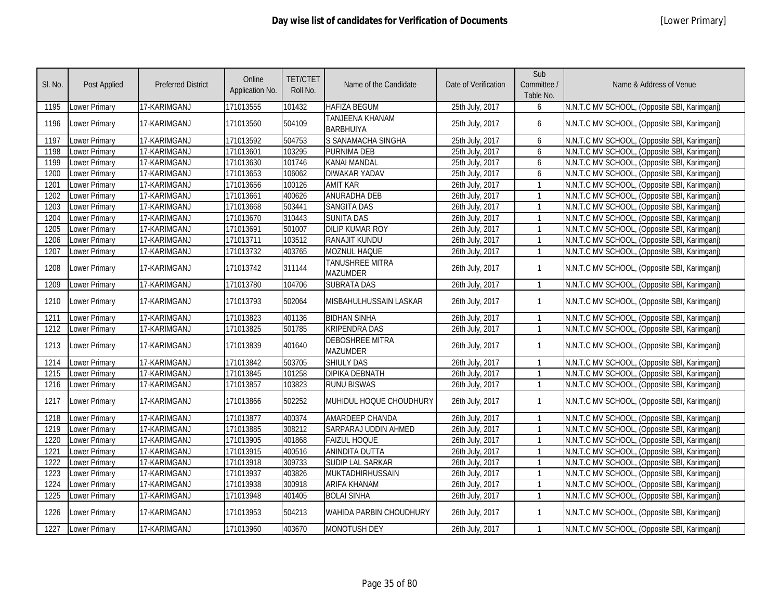| SI. No. | Post Applied         | <b>Preferred District</b> | Online<br>Application No. | <b>TET/CTET</b><br>Roll No. | Name of the Candidate               | Date of Verification | Sub<br>Committee /<br>Table No. | Name & Address of Venue                      |
|---------|----------------------|---------------------------|---------------------------|-----------------------------|-------------------------------------|----------------------|---------------------------------|----------------------------------------------|
| 1195    | Lower Primary        | 17-KARIMGANJ              | 171013555                 | 101432                      | <b>HAFIZA BEGUM</b>                 | 25th July, 2017      | 6                               | N.N.T.C MV SCHOOL, (Opposite SBI, Karimganj) |
| 1196    | Lower Primary        | 17-KARIMGANJ              | 171013560                 | 504109                      | TANJEENA KHANAM<br><b>BARBHUIYA</b> | 25th July, 2017      | 6                               | N.N.T.C MV SCHOOL, (Opposite SBI, Karimganj) |
| 1197    | Lower Primary        | 17-KARIMGANJ              | 171013592                 | 504753                      | S SANAMACHA SINGHA                  | 25th July, 2017      | 6                               | N.N.T.C MV SCHOOL, (Opposite SBI, Karimganj) |
| 1198    | Lower Primary        | 17-KARIMGANJ              | 171013601                 | 103295                      | PURNIMA DEB                         | 25th July, 2017      | 6                               | N.N.T.C MV SCHOOL, (Opposite SBI, Karimganj) |
| 1199    | Lower Primary        | 17-KARIMGANJ              | 171013630                 | 101746                      | KANAI MANDAL                        | 25th July, 2017      | 6                               | N.N.T.C MV SCHOOL, (Opposite SBI, Karimganj) |
| 1200    | Lower Primary        | 17-KARIMGANJ              | 171013653                 | 106062                      | <b>DIWAKAR YADAV</b>                | 25th July, 2017      | 6                               | N.N.T.C MV SCHOOL, (Opposite SBI, Karimganj) |
| 1201    | Lower Primary        | 17-KARIMGANJ              | 171013656                 | 100126                      | <b>AMIT KAR</b>                     | 26th July, 2017      | $\mathbf{1}$                    | N.N.T.C MV SCHOOL, (Opposite SBI, Karimganj) |
| 1202    | Lower Primary        | 17-KARIMGANJ              | 171013661                 | 400626                      | <b>ANURADHA DEB</b>                 | 26th July, 2017      | $\mathbf{1}$                    | N.N.T.C MV SCHOOL, (Opposite SBI, Karimganj) |
| 1203    | Lower Primary        | 17-KARIMGANJ              | 171013668                 | 503441                      | <b>SANGITA DAS</b>                  | 26th July, 2017      | $\mathbf{1}$                    | N.N.T.C MV SCHOOL, (Opposite SBI, Karimganj) |
| 1204    | Lower Primary        | 17-KARIMGANJ              | 171013670                 | 310443                      | <b>SUNITA DAS</b>                   | 26th July, 2017      | $\mathbf{1}$                    | N.N.T.C MV SCHOOL, (Opposite SBI, Karimganj) |
| 1205    | Lower Primary        | 17-KARIMGANJ              | 171013691                 | 501007                      | <b>DILIP KUMAR ROY</b>              | 26th July, 2017      | $\mathbf{1}$                    | N.N.T.C MV SCHOOL, (Opposite SBI, Karimganj) |
| 1206    | Lower Primary        | 17-KARIMGANJ              | 171013711                 | 103512                      | RANAJIT KUNDU                       | 26th July, 2017      | $\mathbf{1}$                    | N.N.T.C MV SCHOOL, (Opposite SBI, Karimganj) |
| 1207    | Lower Primary        | 17-KARIMGANJ              | 171013732                 | 403765                      | MOZNUL HAQUE                        | 26th July, 2017      | $\mathbf{1}$                    | N.N.T.C MV SCHOOL, (Opposite SBI, Karimganj) |
| 1208    | Lower Primary        | 17-KARIMGANJ              | 171013742                 | 311144                      | TANUSHREE MITRA<br>MAZUMDER         | 26th July, 2017      | $\mathbf{1}$                    | N.N.T.C MV SCHOOL, (Opposite SBI, Karimganj) |
| 1209    | <b>Lower Primary</b> | 17-KARIMGANJ              | 171013780                 | 104706                      | <b>SUBRATA DAS</b>                  | 26th July, 2017      | $\mathbf{1}$                    | N.N.T.C MV SCHOOL, (Opposite SBI, Karimganj) |
| 1210    | Lower Primary        | 17-KARIMGANJ              | 171013793                 | 502064                      | MISBAHULHUSSAIN LASKAR              | 26th July, 2017      | $\mathbf{1}$                    | N.N.T.C MV SCHOOL, (Opposite SBI, Karimganj) |
| 1211    | <b>Lower Primary</b> | 17-KARIMGANJ              | 171013823                 | 401136                      | <b>BIDHAN SINHA</b>                 | 26th July, 2017      | $\mathbf{1}$                    | N.N.T.C MV SCHOOL, (Opposite SBI, Karimganj) |
| 1212    | Lower Primary        | 17-KARIMGANJ              | 171013825                 | 501785                      | <b>KRIPENDRA DAS</b>                | 26th July, 2017      | $\mathbf{1}$                    | N.N.T.C MV SCHOOL, (Opposite SBI, Karimganj) |
| 1213    | Lower Primary        | 17-KARIMGANJ              | 171013839                 | 401640                      | <b>DEBOSHREE MITRA</b><br>MAZUMDER  | 26th July, 2017      | $\mathbf{1}$                    | N.N.T.C MV SCHOOL, (Opposite SBI, Karimganj) |
| 1214    | Lower Primary        | 17-KARIMGANJ              | 171013842                 | 503705                      | <b>SHIULY DAS</b>                   | 26th July, 2017      | $\mathbf{1}$                    | N.N.T.C MV SCHOOL, (Opposite SBI, Karimganj) |
| 1215    | Lower Primary        | 17-KARIMGANJ              | 171013845                 | 101258                      | <b>DIPIKA DEBNATH</b>               | 26th July, 2017      | $\mathbf{1}$                    | N.N.T.C MV SCHOOL, (Opposite SBI, Karimganj) |
| 1216    | Lower Primary        | 17-KARIMGANJ              | 171013857                 | 103823                      | <b>RUNU BISWAS</b>                  | 26th July, 2017      | $\mathbf{1}$                    | N.N.T.C MV SCHOOL, (Opposite SBI, Karimganj) |
| 1217    | Lower Primary        | 17-KARIMGANJ              | 171013866                 | 502252                      | MUHIDUL HOQUE CHOUDHURY             | 26th July, 2017      | $\mathbf{1}$                    | N.N.T.C MV SCHOOL, (Opposite SBI, Karimganj) |
| 1218    | Lower Primary        | 17-KARIMGANJ              | 171013877                 | 400374                      | <b>AMARDEEP CHANDA</b>              | 26th July, 2017      | $\mathbf{1}$                    | N.N.T.C MV SCHOOL, (Opposite SBI, Karimganj) |
| 1219    | Lower Primary        | 17-KARIMGANJ              | 171013885                 | 308212                      | SARPARAJ UDDIN AHMED                | 26th July, 2017      | $\mathbf{1}$                    | N.N.T.C MV SCHOOL, (Opposite SBI, Karimganj) |
| 1220    | Lower Primary        | 17-KARIMGANJ              | 171013905                 | 401868                      | <b>FAIZUL HOQUE</b>                 | 26th July, 2017      | $\mathbf{1}$                    | N.N.T.C MV SCHOOL, (Opposite SBI, Karimganj) |
| 1221    | Lower Primary        | 17-KARIMGANJ              | 171013915                 | 400516                      | ANINDITA DUTTA                      | 26th July, 2017      | $\mathbf{1}$                    | N.N.T.C MV SCHOOL, (Opposite SBI, Karimganj) |
| 1222    | Lower Primary        | 17-KARIMGANJ              | 171013918                 | 309733                      | <b>SUDIP LAL SARKAR</b>             | 26th July, 2017      | $\mathbf{1}$                    | N.N.T.C MV SCHOOL, (Opposite SBI, Karimganj) |
| 1223    | Lower Primary        | 17-KARIMGANJ              | 171013937                 | 403826                      | <b>MUKTADHIRHUSSAIN</b>             | 26th July, 2017      | $\mathbf{1}$                    | N.N.T.C MV SCHOOL, (Opposite SBI, Karimganj) |
| 1224    | Lower Primary        | 17-KARIMGANJ              | 171013938                 | 300918                      | <b>ARIFA KHANAM</b>                 | 26th July, 2017      | $\mathbf{1}$                    | N.N.T.C MV SCHOOL, (Opposite SBI, Karimganj) |
| 1225    | Lower Primary        | 17-KARIMGANJ              | 171013948                 | 401405                      | <b>BOLAI SINHA</b>                  | 26th July, 2017      | $\mathbf{1}$                    | N.N.T.C MV SCHOOL, (Opposite SBI, Karimganj) |
| 1226    | Lower Primary        | 17-KARIMGANJ              | 171013953                 | 504213                      | <b>WAHIDA PARBIN CHOUDHURY</b>      | 26th July, 2017      | $\mathbf{1}$                    | N.N.T.C MV SCHOOL, (Opposite SBI, Karimganj) |
| 1227    | Lower Primary        | 17-KARIMGANJ              | 171013960                 | 403670                      | MONOTUSH DEY                        | 26th July, 2017      | $\mathbf{1}$                    | N.N.T.C MV SCHOOL, (Opposite SBI, Karimganj) |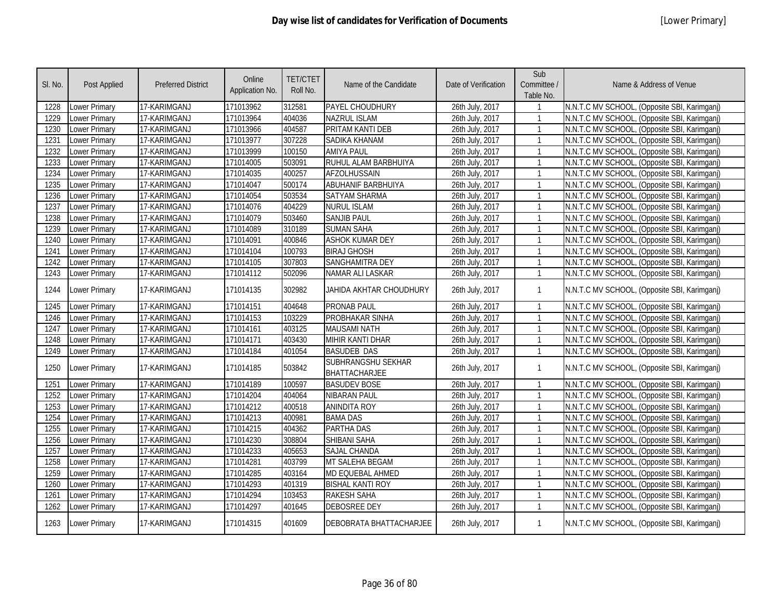| SI. No. | Post Applied         | <b>Preferred District</b> | Online<br>Application No. | <b>TET/CTET</b><br>Roll No. | Name of the Candidate                      | Date of Verification | Sub<br>Committee /<br>Table No. | Name & Address of Venue                      |
|---------|----------------------|---------------------------|---------------------------|-----------------------------|--------------------------------------------|----------------------|---------------------------------|----------------------------------------------|
| 1228    | Lower Primary        | 17-KARIMGANJ              | 171013962                 | 312581                      | PAYEL CHOUDHURY                            | 26th July, 2017      |                                 | N.N.T.C MV SCHOOL, (Opposite SBI, Karimganj) |
| 1229    | <b>Lower Primary</b> | 17-KARIMGANJ              | 171013964                 | 404036                      | <b>NAZRUL ISLAM</b>                        | 26th July, 2017      | $\mathbf{1}$                    | N.N.T.C MV SCHOOL, (Opposite SBI, Karimganj) |
| 1230    | Lower Primary        | 17-KARIMGANJ              | 171013966                 | 404587                      | PRITAM KANTI DEB                           | 26th July, 2017      | $\mathbf{1}$                    | N.N.T.C MV SCHOOL, (Opposite SBI, Karimganj) |
| 1231    | <b>Lower Primary</b> | 17-KARIMGANJ              | 171013977                 | 307228                      | SADIKA KHANAM                              | 26th July, 2017      | $\mathbf{1}$                    | N.N.T.C MV SCHOOL, (Opposite SBI, Karimganj) |
| 1232    | Lower Primary        | 17-KARIMGANJ              | 171013999                 | 100150                      | <b>AMIYA PAUL</b>                          | 26th July, 2017      | $\mathbf{1}$                    | N.N.T.C MV SCHOOL, (Opposite SBI, Karimganj) |
| 1233    | <b>Lower Primary</b> | 17-KARIMGANJ              | 171014005                 | 503091                      | RUHUL ALAM BARBHUIYA                       | 26th July, 2017      | $\mathbf{1}$                    | N.N.T.C MV SCHOOL, (Opposite SBI, Karimganj) |
| 1234    | <b>Lower Primary</b> | 17-KARIMGANJ              | 171014035                 | 400257                      | <b>AFZOLHUSSAIN</b>                        | 26th July, 2017      | $\mathbf{1}$                    | N.N.T.C MV SCHOOL, (Opposite SBI, Karimganj) |
| 1235    | <b>Lower Primary</b> | 17-KARIMGANJ              | 171014047                 | 500174                      | <b>ABUHANIF BARBHUIYA</b>                  | 26th July, 2017      | $\mathbf{1}$                    | N.N.T.C MV SCHOOL, (Opposite SBI, Karimganj) |
| 1236    | Lower Primary        | 17-KARIMGANJ              | 171014054                 | 503534                      | <b>SATYAM SHARMA</b>                       | 26th July, 2017      | $\mathbf{1}$                    | N.N.T.C MV SCHOOL, (Opposite SBI, Karimganj) |
| 1237    | Lower Primary        | 17-KARIMGANJ              | 171014076                 | 404229                      | <b>NURUL ISLAM</b>                         | 26th July, 2017      | $\mathbf{1}$                    | N.N.T.C MV SCHOOL, (Opposite SBI, Karimganj) |
| 1238    | Lower Primary        | 17-KARIMGANJ              | 171014079                 | 503460                      | <b>SANJIB PAUL</b>                         | 26th July, 2017      |                                 | N.N.T.C MV SCHOOL, (Opposite SBI, Karimganj) |
| 1239    | <b>Lower Primary</b> | 17-KARIMGANJ              | 171014089                 | 310189                      | <b>SUMAN SAHA</b>                          | 26th July, 2017      |                                 | N.N.T.C MV SCHOOL, (Opposite SBI, Karimganj) |
| 1240    | Lower Primary        | 17-KARIMGANJ              | 171014091                 | 400846                      | <b>ASHOK KUMAR DEY</b>                     | 26th July, 2017      | $\mathbf{1}$                    | N.N.T.C MV SCHOOL, (Opposite SBI, Karimganj) |
| 1241    | Lower Primary        | 17-KARIMGANJ              | 171014104                 | 100793                      | <b>BIRAJ GHOSH</b>                         | 26th July, 2017      | $\mathbf{1}$                    | N.N.T.C MV SCHOOL, (Opposite SBI, Karimganj) |
| 1242    | <b>Lower Primary</b> | 17-KARIMGANJ              | 171014105                 | 307803                      | SANGHAMITRA DEY                            | 26th July, 2017      | $\mathbf{1}$                    | N.N.T.C MV SCHOOL, (Opposite SBI, Karimganj) |
| 1243    | Lower Primary        | 17-KARIMGANJ              | 171014112                 | 502096                      | NAMAR ALI LASKAR                           | 26th July, 2017      | $\mathbf{1}$                    | N.N.T.C MV SCHOOL, (Opposite SBI, Karimganj) |
| 1244    | <b>Lower Primary</b> | 17-KARIMGANJ              | 171014135                 | 302982                      | JAHIDA AKHTAR CHOUDHURY                    | 26th July, 2017      | $\mathbf{1}$                    | N.N.T.C MV SCHOOL, (Opposite SBI, Karimganj) |
| 1245    | Lower Primary        | 17-KARIMGANJ              | 171014151                 | 404648                      | <b>PRONAB PAUL</b>                         | 26th July, 2017      | $\mathbf{1}$                    | N.N.T.C MV SCHOOL, (Opposite SBI, Karimganj) |
| 1246    | Lower Primary        | 17-KARIMGANJ              | 171014153                 | 103229                      | PROBHAKAR SINHA                            | 26th July, 2017      | $\mathbf{1}$                    | N.N.T.C MV SCHOOL, (Opposite SBI, Karimganj) |
| 1247    | Lower Primary        | 17-KARIMGANJ              | 171014161                 | 403125                      | <b>MAUSAMI NATH</b>                        | 26th July, 2017      | $\mathbf{1}$                    | N.N.T.C MV SCHOOL, (Opposite SBI, Karimganj) |
| 1248    | Lower Primary        | 17-KARIMGANJ              | 171014171                 | 403430                      | <b>MIHIR KANTI DHAR</b>                    | 26th July, 2017      | $\mathbf{1}$                    | N.N.T.C MV SCHOOL, (Opposite SBI, Karimganj) |
| 1249    | Lower Primary        | 17-KARIMGANJ              | 171014184                 | 401054                      | <b>BASUDEB DAS</b>                         | 26th July, 2017      | $\mathbf{1}$                    | N.N.T.C MV SCHOOL, (Opposite SBI, Karimganj) |
| 1250    | Lower Primary        | 17-KARIMGANJ              | 171014185                 | 503842                      | SUBHRANGSHU SEKHAR<br><b>BHATTACHARJEE</b> | 26th July, 2017      | $\mathbf{1}$                    | N.N.T.C MV SCHOOL, (Opposite SBI, Karimganj) |
| 1251    | <b>Lower Primary</b> | 17-KARIMGANJ              | 171014189                 | 100597                      | <b>BASUDEV BOSE</b>                        | 26th July, 2017      | $\mathbf{1}$                    | N.N.T.C MV SCHOOL, (Opposite SBI, Karimganj) |
| 1252    | <b>Lower Primary</b> | 17-KARIMGANJ              | 171014204                 | 404064                      | <b>NIBARAN PAUL</b>                        | 26th July, 2017      |                                 | N.N.T.C MV SCHOOL, (Opposite SBI, Karimganj) |
| 1253    | Lower Primary        | 17-KARIMGANJ              | 171014212                 | 400518                      | <b>ANINDITA ROY</b>                        | 26th July, 2017      | $\mathbf{1}$                    | N.N.T.C MV SCHOOL, (Opposite SBI, Karimganj) |
| 1254    | <b>Lower Primary</b> | 17-KARIMGANJ              | 171014213                 | 400981                      | <b>BAMA DAS</b>                            | 26th July, 2017      | $\mathbf{1}$                    | N.N.T.C MV SCHOOL, (Opposite SBI, Karimganj) |
| 1255    | <b>Lower Primary</b> | 17-KARIMGANJ              | 171014215                 | 404362                      | <b>PARTHA DAS</b>                          | 26th July, 2017      | $\mathbf{1}$                    | N.N.T.C MV SCHOOL, (Opposite SBI, Karimganj) |
| 1256    | Lower Primary        | 17-KARIMGANJ              | 171014230                 | 308804                      | SHIBANI SAHA                               | 26th July, 2017      | $\mathbf{1}$                    | N.N.T.C MV SCHOOL, (Opposite SBI, Karimganj) |
| 1257    | Lower Primary        | 17-KARIMGANJ              | 171014233                 | 405653                      | <b>SAJAL CHANDA</b>                        | 26th July, 2017      | $\mathbf{1}$                    | N.N.T.C MV SCHOOL, (Opposite SBI, Karimganj) |
| 1258    | Lower Primary        | 17-KARIMGANJ              | 171014281                 | 403799                      | MT SALEHA BEGAM                            | 26th July, 2017      | $\mathbf{1}$                    | N.N.T.C MV SCHOOL, (Opposite SBI, Karimganj) |
| 1259    | Lower Primary        | 17-KARIMGANJ              | 171014285                 | 403164                      | MD EQUEBAL AHMED                           | 26th July, 2017      | $\mathbf{1}$                    | N.N.T.C MV SCHOOL, (Opposite SBI, Karimganj) |
| 1260    | Lower Primary        | 17-KARIMGANJ              | 171014293                 | 401319                      | <b>BISHAL KANTI ROY</b>                    | 26th July, 2017      | $\mathbf{1}$                    | N.N.T.C MV SCHOOL, (Opposite SBI, Karimganj) |
| 1261    | Lower Primary        | 17-KARIMGANJ              | 171014294                 | 103453                      | <b>RAKESH SAHA</b>                         | 26th July, 2017      | $\mathbf{1}$                    | N.N.T.C MV SCHOOL, (Opposite SBI, Karimganj) |
| 1262    | Lower Primary        | 17-KARIMGANJ              | 171014297                 | 401645                      | <b>DEBOSREE DEY</b>                        | 26th July, 2017      | $\mathbf{1}$                    | N.N.T.C MV SCHOOL, (Opposite SBI, Karimganj) |
| 1263    | <b>Lower Primary</b> | 17-KARIMGANJ              | 171014315                 | 401609                      | DEBOBRATA BHATTACHARJEE                    | 26th July, 2017      | $\mathbf{1}$                    | N.N.T.C MV SCHOOL, (Opposite SBI, Karimganj) |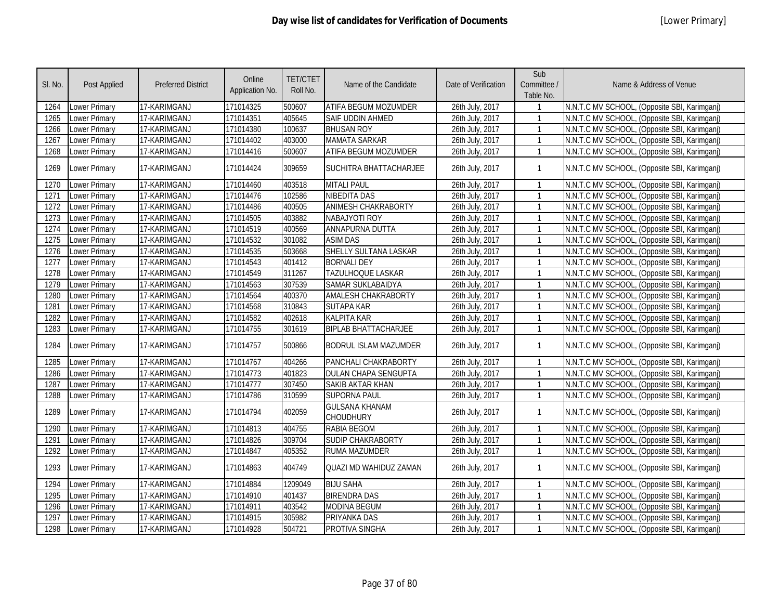| SI. No. | <b>Post Applied</b>  | <b>Preferred District</b> | Online<br>Application No. | <b>TET/CTET</b><br>Roll No. | Name of the Candidate              | Date of Verification | Sub<br>Committee /<br>Table No. | Name & Address of Venue                      |
|---------|----------------------|---------------------------|---------------------------|-----------------------------|------------------------------------|----------------------|---------------------------------|----------------------------------------------|
| 1264    | Lower Primary        | 17-KARIMGANJ              | 171014325                 | 500607                      | ATIFA BEGUM MOZUMDER               | 26th July, 2017      |                                 | N.N.T.C MV SCHOOL, (Opposite SBI, Karimganj) |
| 1265    | <b>Lower Primary</b> | 17-KARIMGANJ              | 171014351                 | 405645                      | SAIF UDDIN AHMED                   | 26th July, 2017      | $\mathbf{1}$                    | N.N.T.C MV SCHOOL, (Opposite SBI, Karimganj) |
| 1266    | <b>Lower Primary</b> | 17-KARIMGANJ              | 171014380                 | 100637                      | <b>BHUSAN ROY</b>                  | 26th July, 2017      | $\mathbf{1}$                    | N.N.T.C MV SCHOOL, (Opposite SBI, Karimganj) |
| 1267    | <b>Lower Primary</b> | 17-KARIMGANJ              | 171014402                 | 403000                      | <b>MAMATA SARKAR</b>               | 26th July, 2017      | $\mathbf{1}$                    | N.N.T.C MV SCHOOL, (Opposite SBI, Karimganj) |
| 1268    | Lower Primary        | 17-KARIMGANJ              | 171014416                 | 500607                      | <b>ATIFA BEGUM MOZUMDER</b>        | 26th July, 2017      | $\mathbf{1}$                    | N.N.T.C MV SCHOOL, (Opposite SBI, Karimganj) |
| 1269    | Lower Primary        | 17-KARIMGANJ              | 171014424                 | 309659                      | SUCHITRA BHATTACHARJEE             | 26th July, 2017      | $\mathbf{1}$                    | N.N.T.C MV SCHOOL, (Opposite SBI, Karimganj) |
| 1270    | <b>Lower Primary</b> | 17-KARIMGANJ              | 171014460                 | 403518                      | <b>MITALI PAUL</b>                 | 26th July, 2017      | $\mathbf{1}$                    | N.N.T.C MV SCHOOL, (Opposite SBI, Karimganj) |
| 1271    | Lower Primary        | 17-KARIMGANJ              | 171014476                 | 102586                      | <b>NIBEDITA DAS</b>                | 26th July, 2017      | $\mathbf{1}$                    | N.N.T.C MV SCHOOL, (Opposite SBI, Karimganj) |
| 1272    | Lower Primary        | 17-KARIMGANJ              | 171014486                 | 400505                      | ANIMESH CHAKRABORTY                | 26th July, 2017      | $\mathbf{1}$                    | N.N.T.C MV SCHOOL, (Opposite SBI, Karimganj) |
| 1273    | Lower Primary        | 17-KARIMGANJ              | 171014505                 | 403882                      | NABAJYOTI ROY                      | 26th July, 2017      | $\mathbf{1}$                    | N.N.T.C MV SCHOOL, (Opposite SBI, Karimganj) |
| 1274    | <b>Lower Primary</b> | 17-KARIMGANJ              | 171014519                 | 400569                      | ANNAPURNA DUTTA                    | 26th July, 2017      | $\mathbf{1}$                    | N.N.T.C MV SCHOOL, (Opposite SBI, Karimganj) |
| 1275    | <b>Lower Primary</b> | 17-KARIMGANJ              | 171014532                 | 301082                      | <b>ASIM DAS</b>                    | 26th July, 2017      | $\mathbf{1}$                    | N.N.T.C MV SCHOOL, (Opposite SBI, Karimganj) |
| 1276    | <b>Lower Primary</b> | 17-KARIMGANJ              | 171014535                 | 503668                      | SHELLY SULTANA LASKAR              | 26th July, 2017      | $\mathbf{1}$                    | N.N.T.C MV SCHOOL, (Opposite SBI, Karimganj) |
| 1277    | <b>Lower Primary</b> | 17-KARIMGANJ              | 171014543                 | 401412                      | <b>BORNALI DEY</b>                 | 26th July, 2017      | $\mathbf{1}$                    | N.N.T.C MV SCHOOL, (Opposite SBI, Karimganj) |
| 1278    | <b>Lower Primary</b> | 17-KARIMGANJ              | 171014549                 | 311267                      | TAZULHOQUE LASKAR                  | 26th July, 2017      | $\mathbf{1}$                    | N.N.T.C MV SCHOOL, (Opposite SBI, Karimganj) |
| 1279    | Lower Primary        | 17-KARIMGANJ              | 171014563                 | 307539                      | <b>SAMAR SUKLABAIDYA</b>           | 26th July, 2017      | $\mathbf{1}$                    | N.N.T.C MV SCHOOL, (Opposite SBI, Karimganj) |
| 1280    | <b>Lower Primary</b> | 17-KARIMGANJ              | 171014564                 | 400370                      | AMALESH CHAKRABORTY                | 26th July, 2017      | $\mathbf{1}$                    | N.N.T.C MV SCHOOL, (Opposite SBI, Karimganj) |
| 1281    | Lower Primary        | 17-KARIMGANJ              | 171014568                 | 310843                      | <b>SUTAPA KAR</b>                  | 26th July, 2017      | $\mathbf{1}$                    | N.N.T.C MV SCHOOL, (Opposite SBI, Karimganj) |
| 1282    | <b>Lower Primary</b> | 17-KARIMGANJ              | 171014582                 | 402618                      | <b>KALPITA KAR</b>                 | 26th July, 2017      | $\mathbf{1}$                    | N.N.T.C MV SCHOOL, (Opposite SBI, Karimganj) |
| 1283    | Lower Primary        | 17-KARIMGANJ              | 171014755                 | 301619                      | <b>BIPLAB BHATTACHARJEE</b>        | 26th July, 2017      | $\mathbf{1}$                    | N.N.T.C MV SCHOOL, (Opposite SBI, Karimganj) |
| 1284    | Lower Primary        | 17-KARIMGANJ              | 171014757                 | 500866                      | <b>BODRUL ISLAM MAZUMDER</b>       | 26th July, 2017      | $\mathbf{1}$                    | N.N.T.C MV SCHOOL, (Opposite SBI, Karimganj) |
| 1285    | <b>Lower Primary</b> | 17-KARIMGANJ              | 171014767                 | 404266                      | PANCHALI CHAKRABORTY               | 26th July, 2017      | $\mathbf{1}$                    | N.N.T.C MV SCHOOL, (Opposite SBI, Karimganj) |
| 1286    | <b>Lower Primary</b> | 17-KARIMGANJ              | 171014773                 | 401823                      | <b>DULAN CHAPA SENGUPTA</b>        | 26th July, 2017      | $\mathbf{1}$                    | N.N.T.C MV SCHOOL, (Opposite SBI, Karimganj) |
| 1287    | <b>Lower Primary</b> | 17-KARIMGANJ              | 171014777                 | 307450                      | SAKIB AKTAR KHAN                   | 26th July, 2017      | $\mathbf{1}$                    | N.N.T.C MV SCHOOL, (Opposite SBI, Karimganj) |
| 1288    | Lower Primary        | 17-KARIMGANJ              | 171014786                 | 310599                      | <b>SUPORNA PAUL</b>                | 26th July, 2017      | $\mathbf{1}$                    | N.N.T.C MV SCHOOL, (Opposite SBI, Karimganj) |
| 1289    | <b>Lower Primary</b> | 17-KARIMGANJ              | 171014794                 | 402059                      | <b>GULSANA KHANAM</b><br>CHOUDHURY | 26th July, 2017      | $\mathbf{1}$                    | N.N.T.C MV SCHOOL, (Opposite SBI, Karimganj) |
| 1290    | Lower Primary        | 17-KARIMGANJ              | 171014813                 | 404755                      | <b>RABIA BEGOM</b>                 | 26th July, 2017      | $\mathbf{1}$                    | N.N.T.C MV SCHOOL, (Opposite SBI, Karimganj) |
| 1291    | <b>Lower Primary</b> | 17-KARIMGANJ              | 171014826                 | 309704                      | <b>SUDIP CHAKRABORTY</b>           | 26th July, 2017      | $\mathbf{1}$                    | N.N.T.C MV SCHOOL, (Opposite SBI, Karimganj) |
| 1292    | Lower Primary        | 17-KARIMGANJ              | 171014847                 | 405352                      | <b>RUMA MAZUMDER</b>               | 26th July, 2017      | $\mathbf{1}$                    | N.N.T.C MV SCHOOL, (Opposite SBI, Karimganj) |
| 1293    | Lower Primary        | 17-KARIMGANJ              | 171014863                 | 404749                      | QUAZI MD WAHIDUZ ZAMAN             | 26th July, 2017      | $\mathbf{1}$                    | N.N.T.C MV SCHOOL, (Opposite SBI, Karimganj) |
| 1294    | <b>Lower Primary</b> | 17-KARIMGANJ              | 171014884                 | 1209049                     | <b>BIJU SAHA</b>                   | 26th July, 2017      | $\mathbf{1}$                    | N.N.T.C MV SCHOOL, (Opposite SBI, Karimganj) |
| 1295    | <b>Lower Primary</b> | 17-KARIMGANJ              | 171014910                 | 401437                      | <b>BIRENDRA DAS</b>                | 26th July, 2017      | $\mathbf{1}$                    | N.N.T.C MV SCHOOL, (Opposite SBI, Karimganj) |
| 1296    | Lower Primary        | 17-KARIMGANJ              | 171014911                 | 403542                      | <b>MODINA BEGUM</b>                | 26th July, 2017      | $\mathbf{1}$                    | N.N.T.C MV SCHOOL, (Opposite SBI, Karimganj) |
| 1297    | Lower Primary        | 17-KARIMGANJ              | 171014915                 | 305982                      | PRIYANKA DAS                       | 26th July, 2017      | $\mathbf{1}$                    | N.N.T.C MV SCHOOL, (Opposite SBI, Karimganj) |
| 1298    | <b>Lower Primary</b> | 17-KARIMGANJ              | 171014928                 | 504721                      | PROTIVA SINGHA                     | 26th July, 2017      | $\mathbf{1}$                    | N.N.T.C MV SCHOOL, (Opposite SBI, Karimganj) |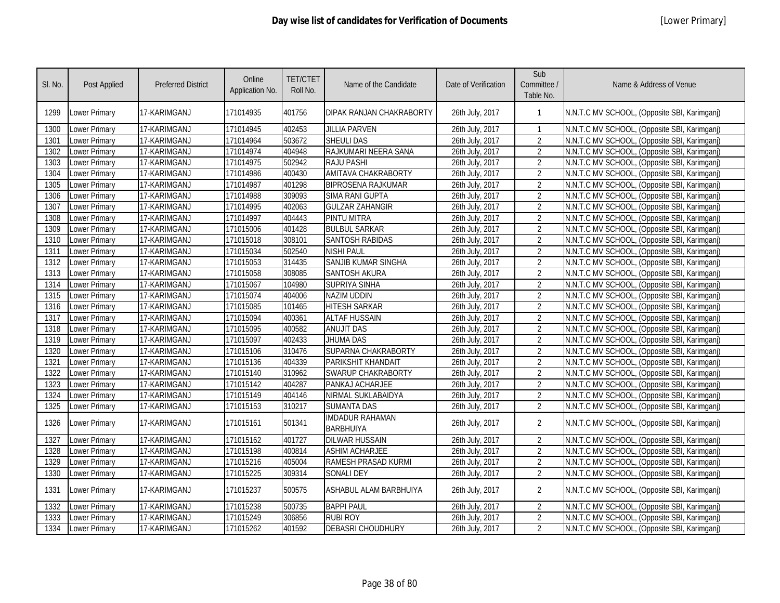| SI. No. | <b>Post Applied</b> | <b>Preferred District</b> | Online<br>Application No. | <b>TET/CTET</b><br>Roll No. | Name of the Candidate                      | Date of Verification | Sub<br>Committee /<br>Table No. | Name & Address of Venue                      |
|---------|---------------------|---------------------------|---------------------------|-----------------------------|--------------------------------------------|----------------------|---------------------------------|----------------------------------------------|
| 1299    | Lower Primary       | 17-KARIMGANJ              | 171014935                 | 401756                      | DIPAK RANJAN CHAKRABORTY                   | 26th July, 2017      |                                 | N.N.T.C MV SCHOOL, (Opposite SBI, Karimganj) |
| 1300    | Lower Primary       | 17-KARIMGANJ              | 171014945                 | 402453                      | <b>JILLIA PARVEN</b>                       | 26th July, 2017      | -1                              | N.N.T.C MV SCHOOL, (Opposite SBI, Karimganj) |
| 1301    | Lower Primary       | 17-KARIMGANJ              | 171014964                 | 503672                      | <b>SHEULI DAS</b>                          | 26th July, 2017      | $\overline{2}$                  | N.N.T.C MV SCHOOL, (Opposite SBI, Karimganj) |
| 1302    | Lower Primary       | 17-KARIMGANJ              | 171014974                 | 404948                      | RAJKUMARI NEERA SANA                       | 26th July, 2017      | $\overline{2}$                  | N.N.T.C MV SCHOOL, (Opposite SBI, Karimganj) |
| 1303    | Lower Primary       | 17-KARIMGANJ              | 171014975                 | 502942                      | <b>RAJU PASHI</b>                          | 26th July, 2017      | $\overline{2}$                  | N.N.T.C MV SCHOOL, (Opposite SBI, Karimganj) |
| 1304    | Lower Primary       | 17-KARIMGANJ              | 171014986                 | 400430                      | AMITAVA CHAKRABORTY                        | 26th July, 2017      | $\overline{2}$                  | N.N.T.C MV SCHOOL, (Opposite SBI, Karimganj) |
| 1305    | Lower Primary       | 17-KARIMGANJ              | 171014987                 | 401298                      | <b>BIPROSENA RAJKUMAR</b>                  | 26th July, 2017      | $\overline{2}$                  | N.N.T.C MV SCHOOL, (Opposite SBI, Karimganj) |
| 1306    | Lower Primary       | 17-KARIMGANJ              | 171014988                 | 309093                      | <b>SIMA RANI GUPTA</b>                     | 26th July, 2017      | $\overline{2}$                  | N.N.T.C MV SCHOOL, (Opposite SBI, Karimganj) |
| 1307    | Lower Primary       | 17-KARIMGANJ              | 171014995                 | 402063                      | <b>GULZAR ZAHANGIR</b>                     | 26th July, 2017      | $\overline{2}$                  | N.N.T.C MV SCHOOL, (Opposite SBI, Karimganj) |
| 1308    | Lower Primary       | 17-KARIMGANJ              | 171014997                 | 404443                      | PINTU MITRA                                | 26th July, 2017      | $\overline{2}$                  | N.N.T.C MV SCHOOL, (Opposite SBI, Karimganj) |
| 1309    | Lower Primary       | 17-KARIMGANJ              | 171015006                 | 401428                      | <b>BULBUL SARKAR</b>                       | 26th July, 2017      | $\overline{2}$                  | N.N.T.C MV SCHOOL, (Opposite SBI, Karimganj) |
| 1310    | Lower Primary       | 17-KARIMGANJ              | 171015018                 | 308101                      | <b>SANTOSH RABIDAS</b>                     | 26th July, 2017      | $\overline{2}$                  | N.N.T.C MV SCHOOL, (Opposite SBI, Karimganj) |
| 1311    | Lower Primary       | 17-KARIMGANJ              | 171015034                 | 502540                      | <b>NISHI PAUL</b>                          | 26th July, 2017      | $\overline{2}$                  | N.N.T.C MV SCHOOL, (Opposite SBI, Karimganj) |
| 1312    | Lower Primary       | 17-KARIMGANJ              | 171015053                 | 314435                      | SANJIB KUMAR SINGHA                        | 26th July, 2017      | $\overline{2}$                  | N.N.T.C MV SCHOOL, (Opposite SBI, Karimganj) |
| 1313    | Lower Primary       | 17-KARIMGANJ              | 171015058                 | 308085                      | SANTOSH AKURA                              | 26th July, 2017      | $\overline{2}$                  | N.N.T.C MV SCHOOL, (Opposite SBI, Karimganj) |
| 1314    | Lower Primary       | 17-KARIMGANJ              | 171015067                 | 104980                      | <b>SUPRIYA SINHA</b>                       | 26th July, 2017      | $\overline{2}$                  | N.N.T.C MV SCHOOL, (Opposite SBI, Karimganj) |
| 1315    | Lower Primary       | 17-KARIMGANJ              | 171015074                 | 404006                      | NAZIM UDDIN                                | 26th July, 2017      | $\overline{2}$                  | N.N.T.C MV SCHOOL, (Opposite SBI, Karimganj) |
| 1316    | Lower Primary       | 17-KARIMGANJ              | 171015085                 | 101465                      | <b>HITESH SARKAR</b>                       | 26th July, 2017      | $\overline{2}$                  | N.N.T.C MV SCHOOL, (Opposite SBI, Karimganj) |
| 1317    | Lower Primary       | 17-KARIMGANJ              | 171015094                 | 400361                      | <b>ALTAF HUSSAIN</b>                       | 26th July, 2017      | $\overline{2}$                  | N.N.T.C MV SCHOOL, (Opposite SBI, Karimganj) |
| 1318    | Lower Primary       | 17-KARIMGANJ              | 171015095                 | 400582                      | <b>ANUJIT DAS</b>                          | 26th July, 2017      | $\overline{2}$                  | N.N.T.C MV SCHOOL, (Opposite SBI, Karimganj) |
| 1319    | Lower Primary       | 17-KARIMGANJ              | 171015097                 | 402433                      | JHUMA DAS                                  | 26th July, 2017      | $\overline{2}$                  | N.N.T.C MV SCHOOL, (Opposite SBI, Karimganj) |
| 1320    | Lower Primary       | 17-KARIMGANJ              | 171015106                 | 310476                      | SUPARNA CHAKRABORTY                        | 26th July, 2017      | $\overline{2}$                  | N.N.T.C MV SCHOOL, (Opposite SBI, Karimganj) |
| 1321    | Lower Primary       | 17-KARIMGANJ              | 171015136                 | 404339                      | <b>PARIKSHIT KHANDAIT</b>                  | 26th July, 2017      | $\overline{2}$                  | N.N.T.C MV SCHOOL, (Opposite SBI, Karimganj) |
| 1322    | Lower Primary       | 17-KARIMGANJ              | 171015140                 | 310962                      | SWARUP CHAKRABORTY                         | 26th July, 2017      | $\overline{2}$                  | N.N.T.C MV SCHOOL, (Opposite SBI, Karimganj) |
| 1323    | Lower Primary       | 17-KARIMGANJ              | 171015142                 | 404287                      | PANKAJ ACHARJEE                            | 26th July, 2017      | $\overline{2}$                  | N.N.T.C MV SCHOOL, (Opposite SBI, Karimganj) |
| 1324    | Lower Primary       | 17-KARIMGANJ              | 171015149                 | 404146                      | NIRMAL SUKLABAIDYA                         | 26th July, 2017      | $\overline{2}$                  | N.N.T.C MV SCHOOL, (Opposite SBI, Karimganj) |
| 1325    | Lower Primary       | 17-KARIMGANJ              | 171015153                 | 310217                      | <b>SUMANTA DAS</b>                         | 26th July, 2017      | $\overline{2}$                  | N.N.T.C MV SCHOOL, (Opposite SBI, Karimganj) |
| 1326    | Lower Primary       | 17-KARIMGANJ              | 171015161                 | 501341                      | <b>IMDADUR RAHAMAN</b><br><b>BARBHUIYA</b> | 26th July, 2017      | $\overline{2}$                  | N.N.T.C MV SCHOOL, (Opposite SBI, Karimganj) |
| 1327    | Lower Primary       | 17-KARIMGANJ              | 171015162                 | 401727                      | <b>DILWAR HUSSAIN</b>                      | 26th July, 2017      | $\overline{2}$                  | N.N.T.C MV SCHOOL, (Opposite SBI, Karimganj) |
| 1328    | Lower Primary       | 17-KARIMGANJ              | 171015198                 | 400814                      | <b>ASHIM ACHARJEE</b>                      | 26th July, 2017      | $\overline{2}$                  | N.N.T.C MV SCHOOL, (Opposite SBI, Karimganj) |
| 1329    | Lower Primary       | 17-KARIMGANJ              | 171015216                 | 405004                      | <b>RAMESH PRASAD KURMI</b>                 | 26th July, 2017      | $\overline{2}$                  | N.N.T.C MV SCHOOL, (Opposite SBI, Karimganj) |
| 1330    | Lower Primary       | 17-KARIMGANJ              | 171015225                 | 309314                      | <b>SONALI DEY</b>                          | 26th July, 2017      | $\overline{2}$                  | N.N.T.C MV SCHOOL, (Opposite SBI, Karimganj) |
| 1331    | Lower Primary       | 17-KARIMGANJ              | 171015237                 | 500575                      | ASHABUL ALAM BARBHUIYA                     | 26th July, 2017      | $\overline{2}$                  | N.N.T.C MV SCHOOL, (Opposite SBI, Karimganj) |
| 1332    | Lower Primary       | 17-KARIMGANJ              | 171015238                 | 500735                      | <b>BAPPI PAUL</b>                          | 26th July, 2017      | $\overline{2}$                  | N.N.T.C MV SCHOOL, (Opposite SBI, Karimganj) |
| 1333    | Lower Primary       | 17-KARIMGANJ              | 171015249                 | 306856                      | <b>RUBI ROY</b>                            | 26th July, 2017      | $\overline{2}$                  | N.N.T.C MV SCHOOL, (Opposite SBI, Karimgani) |
| 1334    | Lower Primary       | 17-KARIMGANJ              | 171015262                 | 401592                      | <b>DEBASRI CHOUDHURY</b>                   | 26th July, 2017      | $\overline{2}$                  | N.N.T.C MV SCHOOL, (Opposite SBI, Karimganj) |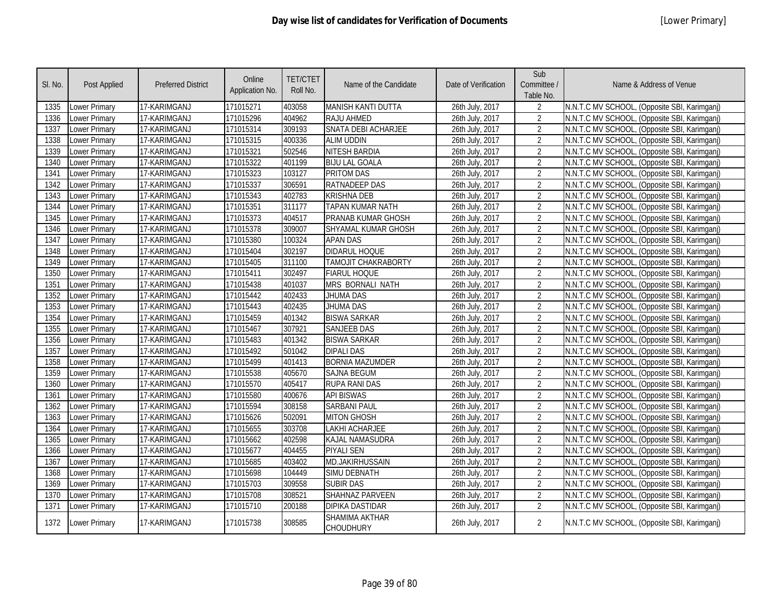| SI. No. | <b>Post Applied</b>  | <b>Preferred District</b> | Online<br>Application No. | <b>TET/CTET</b><br>Roll No. | Name of the Candidate              | Date of Verification | Sub<br>Committee /<br>Table No. | Name & Address of Venue                      |
|---------|----------------------|---------------------------|---------------------------|-----------------------------|------------------------------------|----------------------|---------------------------------|----------------------------------------------|
| 1335    | Lower Primary        | 17-KARIMGANJ              | 171015271                 | 403058                      | <b>MANISH KANTI DUTTA</b>          | 26th July, 2017      | $\overline{2}$                  | N.N.T.C MV SCHOOL, (Opposite SBI, Karimganj) |
| 1336    | <b>Lower Primary</b> | 17-KARIMGANJ              | 171015296                 | 404962                      | RAJU AHMED                         | 26th July, 2017      | $\overline{2}$                  | N.N.T.C MV SCHOOL, (Opposite SBI, Karimganj) |
| 1337    | Lower Primary        | 17-KARIMGANJ              | 171015314                 | 309193                      | <b>SNATA DEBI ACHARJEE</b>         | 26th July, 2017      | $\overline{2}$                  | N.N.T.C MV SCHOOL, (Opposite SBI, Karimganj) |
| 1338    | <b>Lower Primary</b> | 17-KARIMGANJ              | 171015315                 | 400336                      | <b>ALIM UDDIN</b>                  | 26th July, 2017      | $\overline{2}$                  | N.N.T.C MV SCHOOL, (Opposite SBI, Karimganj) |
| 1339    | <b>Lower Primary</b> | 17-KARIMGANJ              | 171015321                 | 502546                      | <b>NITESH BARDIA</b>               | 26th July, 2017      | $\overline{2}$                  | N.N.T.C MV SCHOOL, (Opposite SBI, Karimganj) |
| 1340    | <b>Lower Primary</b> | 17-KARIMGANJ              | 171015322                 | 401199                      | <b>BIJU LAL GOALA</b>              | 26th July, 2017      | $\overline{2}$                  | N.N.T.C MV SCHOOL, (Opposite SBI, Karimganj) |
| 1341    | <b>Lower Primary</b> | 17-KARIMGANJ              | 171015323                 | 103127                      | <b>PRITOM DAS</b>                  | 26th July, 2017      | $\overline{2}$                  | N.N.T.C MV SCHOOL, (Opposite SBI, Karimganj) |
| 1342    | <b>Lower Primary</b> | 17-KARIMGANJ              | 171015337                 | 306591                      | <b>RATNADEEP DAS</b>               | 26th July, 2017      | $\overline{2}$                  | N.N.T.C MV SCHOOL, (Opposite SBI, Karimganj) |
| 1343    | <b>Lower Primary</b> | 17-KARIMGANJ              | 171015343                 | 402783                      | <b>KRISHNA DEB</b>                 | 26th July, 2017      | $\overline{2}$                  | N.N.T.C MV SCHOOL, (Opposite SBI, Karimganj) |
| 1344    | <b>Lower Primary</b> | 17-KARIMGANJ              | 171015351                 | 311177                      | <b>TAPAN KUMAR NATH</b>            | 26th July, 2017      | $\overline{2}$                  | N.N.T.C MV SCHOOL, (Opposite SBI, Karimganj) |
| 1345    | Lower Primary        | 17-KARIMGANJ              | 171015373                 | 404517                      | PRANAB KUMAR GHOSH                 | 26th July, 2017      | $\overline{2}$                  | N.N.T.C MV SCHOOL, (Opposite SBI, Karimgani) |
| 1346    | Lower Primary        | 17-KARIMGANJ              | 171015378                 | 309007                      | SHYAMAL KUMAR GHOSH                | 26th July, 2017      | $\overline{2}$                  | N.N.T.C MV SCHOOL, (Opposite SBI, Karimganj) |
| 1347    | <b>Lower Primary</b> | 17-KARIMGANJ              | 171015380                 | 100324                      | <b>APAN DAS</b>                    | 26th July, 2017      | $\overline{2}$                  | N.N.T.C MV SCHOOL, (Opposite SBI, Karimganj) |
| 1348    | Lower Primary        | 17-KARIMGANJ              | 171015404                 | 302197                      | <b>DIDARUL HOQUE</b>               | 26th July, 2017      | $\overline{2}$                  | N.N.T.C MV SCHOOL, (Opposite SBI, Karimganj) |
| 1349    | Lower Primary        | 17-KARIMGANJ              | 171015405                 | 311100                      | TAMOJIT CHAKRABORTY                | 26th July, 2017      | $\overline{2}$                  | N.N.T.C MV SCHOOL, (Opposite SBI, Karimganj) |
| 1350    | Lower Primary        | 17-KARIMGANJ              | 171015411                 | 302497                      | <b>FIARUL HOQUE</b>                | 26th July, 2017      | $\overline{2}$                  | N.N.T.C MV SCHOOL, (Opposite SBI, Karimganj) |
| 1351    | <b>Lower Primary</b> | 17-KARIMGANJ              | 171015438                 | 401037                      | <b>MRS BORNALI NATH</b>            | 26th July, 2017      | $\overline{2}$                  | N.N.T.C MV SCHOOL, (Opposite SBI, Karimganj) |
| 1352    | Lower Primary        | 17-KARIMGANJ              | 171015442                 | 402433                      | JHUMA DAS                          | 26th July, 2017      | $\overline{2}$                  | N.N.T.C MV SCHOOL, (Opposite SBI, Karimganj) |
| 1353    | Lower Primary        | 17-KARIMGANJ              | 171015443                 | 402435                      | JHUMA DAS                          | 26th July, 2017      | $\overline{2}$                  | N.N.T.C MV SCHOOL, (Opposite SBI, Karimganj) |
| 1354    | Lower Primary        | 17-KARIMGANJ              | 171015459                 | 401342                      | <b>BISWA SARKAR</b>                | 26th July, 2017      | $\overline{2}$                  | N.N.T.C MV SCHOOL, (Opposite SBI, Karimganj) |
| 1355    | <b>Lower Primary</b> | 17-KARIMGANJ              | 171015467                 | 307921                      | <b>SANJEEB DAS</b>                 | 26th July, 2017      | $\overline{2}$                  | N.N.T.C MV SCHOOL, (Opposite SBI, Karimganj) |
| 1356    | <b>Lower Primary</b> | 17-KARIMGANJ              | 171015483                 | 401342                      | <b>BISWA SARKAR</b>                | 26th July, 2017      | $\overline{2}$                  | N.N.T.C MV SCHOOL, (Opposite SBI, Karimganj) |
| 1357    | Lower Primary        | 17-KARIMGANJ              | 171015492                 | 501042                      | <b>DIPALI DAS</b>                  | 26th July, 2017      | $\overline{2}$                  | N.N.T.C MV SCHOOL, (Opposite SBI, Karimganj) |
| 1358    | Lower Primary        | 17-KARIMGANJ              | 171015499                 | 401413                      | <b>BORNIA MAZUMDER</b>             | 26th July, 2017      | $\overline{2}$                  | N.N.T.C MV SCHOOL, (Opposite SBI, Karimganj) |
| 1359    | Lower Primary        | 17-KARIMGANJ              | 171015538                 | 405670                      | <b>SAJNA BEGUM</b>                 | 26th July, 2017      | $\overline{2}$                  | N.N.T.C MV SCHOOL, (Opposite SBI, Karimganj) |
| 1360    | Lower Primary        | 17-KARIMGANJ              | 171015570                 | 405417                      | <b>RUPA RANI DAS</b>               | 26th July, 2017      | $\overline{2}$                  | N.N.T.C MV SCHOOL, (Opposite SBI, Karimganj) |
| 1361    | Lower Primary        | 17-KARIMGANJ              | 171015580                 | 400676                      | <b>API BISWAS</b>                  | 26th July, 2017      | $\overline{2}$                  | N.N.T.C MV SCHOOL, (Opposite SBI, Karimganj) |
| 1362    | Lower Primary        | 17-KARIMGANJ              | 171015594                 | 308158                      | <b>SARBANI PAUL</b>                | 26th July, 2017      | $\overline{2}$                  | N.N.T.C MV SCHOOL, (Opposite SBI, Karimganj) |
| 1363    | Lower Primary        | 17-KARIMGANJ              | 171015626                 | 502091                      | <b>MITON GHOSH</b>                 | 26th July, 2017      | $\overline{2}$                  | N.N.T.C MV SCHOOL, (Opposite SBI, Karimganj) |
| 1364    | <b>Lower Primary</b> | 17-KARIMGANJ              | 171015655                 | 303708                      | LAKHI ACHARJEE                     | 26th July, 2017      | $\overline{2}$                  | N.N.T.C MV SCHOOL, (Opposite SBI, Karimganj) |
| 1365    | Lower Primary        | 17-KARIMGANJ              | 171015662                 | 402598                      | <b>KAJAL NAMASUDRA</b>             | 26th July, 2017      | $\overline{2}$                  | N.N.T.C MV SCHOOL, (Opposite SBI, Karimganj) |
| 1366    | Lower Primary        | 17-KARIMGANJ              | 171015677                 | 404455                      | <b>PIYALI SEN</b>                  | 26th July, 2017      | $\overline{2}$                  | N.N.T.C MV SCHOOL, (Opposite SBI, Karimganj) |
| 1367    | Lower Primary        | 17-KARIMGANJ              | 171015685                 | 403402                      | <b>MD.JAKIRHUSSAIN</b>             | 26th July, 2017      | $\overline{2}$                  | N.N.T.C MV SCHOOL, (Opposite SBI, Karimganj) |
| 1368    | Lower Primary        | 17-KARIMGANJ              | 171015698                 | 104449                      | SIMU DEBNATH                       | 26th July, 2017      | $\overline{2}$                  | N.N.T.C MV SCHOOL, (Opposite SBI, Karimganj) |
| 1369    | Lower Primary        | 17-KARIMGANJ              | 171015703                 | 309558                      | <b>SUBIR DAS</b>                   | 26th July, 2017      | $\overline{2}$                  | N.N.T.C MV SCHOOL, (Opposite SBI, Karimganj) |
| 1370    | <b>Lower Primary</b> | 17-KARIMGANJ              | 171015708                 | 308521                      | SHAHNAZ PARVEEN                    | 26th July, 2017      | $\overline{2}$                  | N.N.T.C MV SCHOOL, (Opposite SBI, Karimganj) |
| 1371    | Lower Primary        | 17-KARIMGANJ              | 171015710                 | 200188                      | <b>DIPIKA DASTIDAR</b>             | 26th July, 2017      | $\overline{2}$                  | N.N.T.C MV SCHOOL, (Opposite SBI, Karimganj) |
| 1372    | <b>Lower Primary</b> | 17-KARIMGANJ              | 171015738                 | 308585                      | SHAMIMA AKTHAR<br><b>CHOUDHURY</b> | 26th July, 2017      | $\overline{2}$                  | N.N.T.C MV SCHOOL, (Opposite SBI, Karimganj) |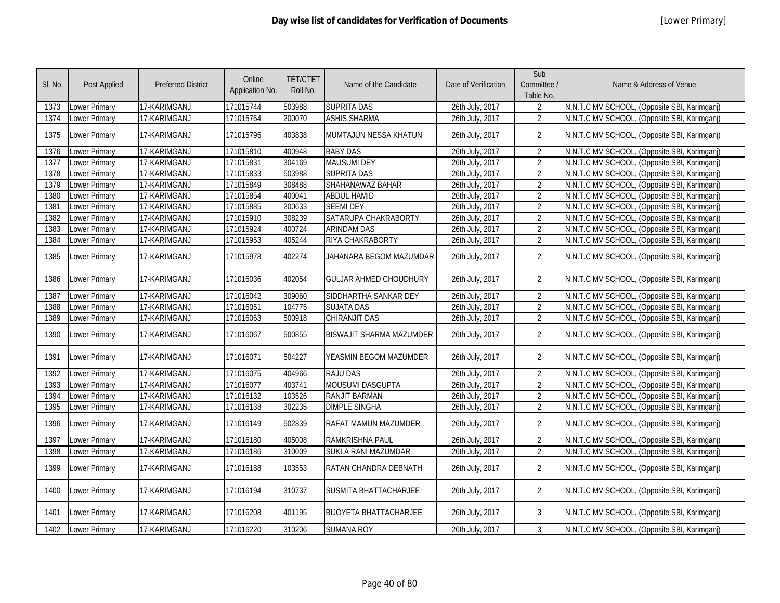| SI. No. | Post Applied         | <b>Preferred District</b> | Online<br>Application No. | <b>TET/CTET</b><br>Roll No. | Name of the Candidate           | Date of Verification | Sub<br>Committee /<br>Table No. | Name & Address of Venue                      |
|---------|----------------------|---------------------------|---------------------------|-----------------------------|---------------------------------|----------------------|---------------------------------|----------------------------------------------|
| 1373    | <b>Lower Primary</b> | 17-KARIMGANJ              | 171015744                 | 503988                      | <b>SUPRITA DAS</b>              | 26th July, 2017      | $\overline{2}$                  | N.N.T.C MV SCHOOL, (Opposite SBI, Karimganj) |
| 1374    | <b>Lower Primary</b> | 17-KARIMGANJ              | 171015764                 | 200070                      | <b>ASHIS SHARMA</b>             | 26th July, 2017      | $\overline{2}$                  | N.N.T.C MV SCHOOL, (Opposite SBI, Karimganj) |
| 1375    | <b>Lower Primary</b> | 17-KARIMGANJ              | 171015795                 | 403838                      | MUMTAJUN NESSA KHATUN           | 26th July, 2017      | $\overline{2}$                  | N.N.T.C MV SCHOOL, (Opposite SBI, Karimganj) |
| 1376    | Lower Primary        | 17-KARIMGANJ              | 171015810                 | 400948                      | <b>BABY DAS</b>                 | 26th July, 2017      | $\overline{2}$                  | N.N.T.C MV SCHOOL, (Opposite SBI, Karimganj) |
| 1377    | <b>Lower Primary</b> | 17-KARIMGANJ              | 171015831                 | 304169                      | <b>MAUSUMI DEY</b>              | 26th July, 2017      | $\overline{2}$                  | N.N.T.C MV SCHOOL, (Opposite SBI, Karimganj) |
| 1378    | <b>Lower Primary</b> | 17-KARIMGANJ              | 171015833                 | 503988                      | <b>SUPRITA DAS</b>              | 26th July, 2017      | $\overline{2}$                  | N.N.T.C MV SCHOOL, (Opposite SBI, Karimganj) |
| 1379    | Lower Primary        | 17-KARIMGANJ              | 171015849                 | 308488                      | SHAHANAWAZ BAHAR                | 26th July, 2017      | $\overline{2}$                  | N.N.T.C MV SCHOOL, (Opposite SBI, Karimganj) |
| 1380    | <b>Lower Primary</b> | 17-KARIMGANJ              | 171015854                 | 400041                      | ABDUL.HAMID                     | 26th July, 2017      | $\overline{2}$                  | N.N.T.C MV SCHOOL, (Opposite SBI, Karimganj) |
| 1381    | <b>Lower Primary</b> | 17-KARIMGANJ              | 171015885                 | 200633                      | <b>SEEMI DEY</b>                | 26th July, 2017      | $\overline{2}$                  | N.N.T.C MV SCHOOL, (Opposite SBI, Karimganj) |
| 1382    | Lower Primary        | 17-KARIMGANJ              | 171015910                 | 308239                      | SATARUPA CHAKRABORTY            | 26th July, 2017      | $\overline{2}$                  | N.N.T.C MV SCHOOL, (Opposite SBI, Karimganj) |
| 1383    | Lower Primary        | 17-KARIMGANJ              | 171015924                 | 400724                      | <b>ARINDAM DAS</b>              | 26th July, 2017      | $\overline{2}$                  | N.N.T.C MV SCHOOL, (Opposite SBI, Karimganj) |
| 1384    | Lower Primary        | 17-KARIMGANJ              | 171015953                 | 405244                      | RIYA CHAKRABORTY                | 26th July, 2017      | $\overline{2}$                  | N.N.T.C MV SCHOOL, (Opposite SBI, Karimganj) |
| 1385    | <b>Lower Primary</b> | 17-KARIMGANJ              | 171015978                 | 402274                      | JAHANARA BEGOM MAZUMDAR         | 26th July, 2017      | $\overline{2}$                  | N.N.T.C MV SCHOOL, (Opposite SBI, Karimganj) |
| 1386    | <b>Lower Primary</b> | 17-KARIMGANJ              | 171016036                 | 402054                      | <b>GULJAR AHMED CHOUDHURY</b>   | 26th July, 2017      | $\overline{2}$                  | N.N.T.C MV SCHOOL, (Opposite SBI, Karimganj) |
| 1387    | <b>Lower Primary</b> | 17-KARIMGANJ              | 171016042                 | 309060                      | SIDDHARTHA SANKAR DEY           | 26th July, 2017      | $\overline{2}$                  | N.N.T.C MV SCHOOL, (Opposite SBI, Karimganj) |
| 1388    | Lower Primary        | 17-KARIMGANJ              | 171016051                 | 104775                      | <b>SUJATA DAS</b>               | 26th July, 2017      | $\overline{2}$                  | N.N.T.C MV SCHOOL, (Opposite SBI, Karimganj) |
| 1389    | Lower Primary        | 17-KARIMGANJ              | 171016063                 | 500918                      | CHIRANJIT DAS                   | 26th July, 2017      | $\overline{2}$                  | N.N.T.C MV SCHOOL, (Opposite SBI, Karimganj) |
| 1390    | <b>Lower Primary</b> | 17-KARIMGANJ              | 171016067                 | 500855                      | <b>BISWAJIT SHARMA MAZUMDER</b> | 26th July, 2017      | $\overline{2}$                  | N.N.T.C MV SCHOOL, (Opposite SBI, Karimganj) |
| 1391    | Lower Primary        | 17-KARIMGANJ              | 171016071                 | 504227                      | YEASMIN BEGOM MAZUMDER          | 26th July, 2017      | $\overline{2}$                  | N.N.T.C MV SCHOOL, (Opposite SBI, Karimganj) |
| 1392    | <b>Lower Primary</b> | 17-KARIMGANJ              | 171016075                 | 404966                      | <b>RAJU DAS</b>                 | 26th July, 2017      | $\overline{2}$                  | N.N.T.C MV SCHOOL, (Opposite SBI, Karimganj) |
| 1393    | Lower Primary        | 17-KARIMGANJ              | 171016077                 | 403741                      | <b>MOUSUMI DASGUPTA</b>         | 26th July, 2017      | $\overline{2}$                  | N.N.T.C MV SCHOOL, (Opposite SBI, Karimganj) |
| 1394    | <b>Lower Primary</b> | 17-KARIMGANJ              | 171016132                 | 103526                      | <b>RANJIT BARMAN</b>            | 26th July, 2017      | $\overline{2}$                  | N.N.T.C MV SCHOOL, (Opposite SBI, Karimganj) |
| 1395    | <b>Lower Primary</b> | 17-KARIMGANJ              | 171016138                 | 302235                      | <b>DIMPLE SINGHA</b>            | 26th July, 2017      | $\overline{2}$                  | N.N.T.C MV SCHOOL, (Opposite SBI, Karimganj) |
| 1396    | Lower Primary        | 17-KARIMGANJ              | 171016149                 | 502839                      | <b>RAFAT MAMUN MAZUMDER</b>     | 26th July, 2017      | $\overline{2}$                  | N.N.T.C MV SCHOOL, (Opposite SBI, Karimganj) |
| 1397    | <b>Lower Primary</b> | 17-KARIMGANJ              | 171016180                 | 405008                      | RAMKRISHNA PAUL                 | 26th July, 2017      | $\overline{2}$                  | N.N.T.C MV SCHOOL, (Opposite SBI, Karimganj) |
| 1398    | Lower Primary        | 17-KARIMGANJ              | 171016186                 | 310009                      | SUKLA RANI MAZUMDAR             | 26th July, 2017      | $\overline{2}$                  | N.N.T.C MV SCHOOL, (Opposite SBI, Karimganj) |
| 1399    | <b>Lower Primary</b> | 17-KARIMGANJ              | 171016188                 | 103553                      | RATAN CHANDRA DEBNATH           | 26th July, 2017      | $\overline{2}$                  | N.N.T.C MV SCHOOL, (Opposite SBI, Karimganj) |
| 1400    | <b>Lower Primary</b> | 17-KARIMGANJ              | 171016194                 | 310737                      | SUSMITA BHATTACHARJEE           | 26th July, 2017      | $\overline{2}$                  | N.N.T.C MV SCHOOL, (Opposite SBI, Karimganj) |
| 1401    | Lower Primary        | 17-KARIMGANJ              | 171016208                 | 401195                      | <b>BIJOYETA BHATTACHARJEE</b>   | 26th July, 2017      | 3                               | N.N.T.C MV SCHOOL, (Opposite SBI, Karimganj) |
| 1402    | Lower Primary        | 17-KARIMGANJ              | 171016220                 | 310206                      | <b>SUMANA ROY</b>               | 26th July, 2017      | 3                               | N.N.T.C MV SCHOOL, (Opposite SBI, Karimganj) |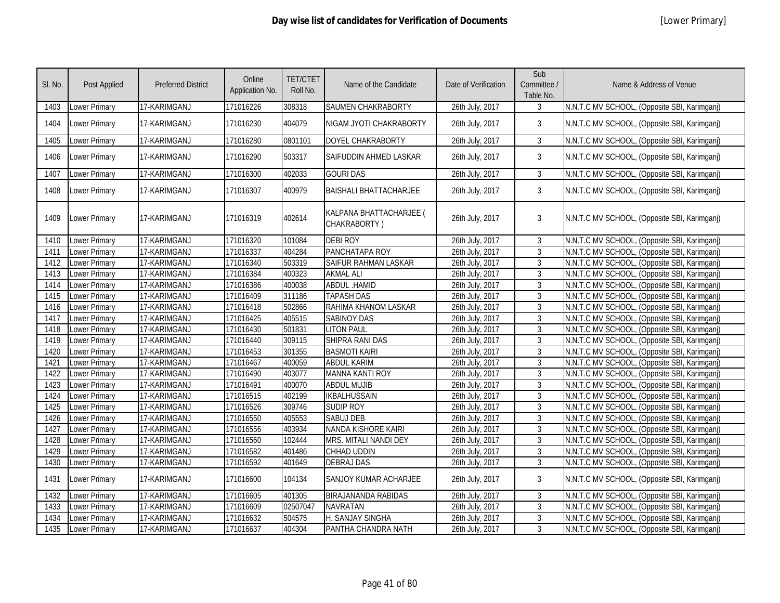| SI. No. | Post Applied         | <b>Preferred District</b> | Online<br>Application No. | <b>TET/CTET</b><br>Roll No. | Name of the Candidate                   | Date of Verification | Sub<br>Committee /<br>Table No. | Name & Address of Venue                      |
|---------|----------------------|---------------------------|---------------------------|-----------------------------|-----------------------------------------|----------------------|---------------------------------|----------------------------------------------|
| 1403    | Lower Primary        | 17-KARIMGANJ              | 171016226                 | 308318                      | SAUMEN CHAKRABORTY                      | 26th July, 2017      | 3                               | N.N.T.C MV SCHOOL, (Opposite SBI, Karimganj) |
| 1404    | Lower Primary        | 17-KARIMGANJ              | 171016230                 | 404079                      | NIGAM JYOTI CHAKRABORTY                 | 26th July, 2017      | 3                               | N.N.T.C MV SCHOOL, (Opposite SBI, Karimganj) |
| 1405    | Lower Primary        | 17-KARIMGANJ              | 171016280                 | 0801101                     | DOYEL CHAKRABORTY                       | 26th July, 2017      | $\mathbf{3}$                    | N.N.T.C MV SCHOOL, (Opposite SBI, Karimganj) |
| 1406    | Lower Primary        | 17-KARIMGANJ              | 171016290                 | 503317                      | SAIFUDDIN AHMED LASKAR                  | 26th July, 2017      | $\mathbf{3}$                    | N.N.T.C MV SCHOOL, (Opposite SBI, Karimganj) |
| 1407    | Lower Primary        | 17-KARIMGANJ              | 171016300                 | 402033                      | <b>GOURI DAS</b>                        | 26th July, 2017      | $\mathbf{3}$                    | N.N.T.C MV SCHOOL, (Opposite SBI, Karimganj) |
| 1408    | Lower Primary        | 17-KARIMGANJ              | 171016307                 | 400979                      | <b>BAISHALI BHATTACHARJEE</b>           | 26th July, 2017      | 3                               | N.N.T.C MV SCHOOL, (Opposite SBI, Karimganj) |
| 1409    | Lower Primary        | 17-KARIMGANJ              | 171016319                 | 402614                      | KALPANA BHATTACHARJEE (<br>CHAKRABORTY) | 26th July, 2017      | 3                               | N.N.T.C MV SCHOOL, (Opposite SBI, Karimganj) |
| 1410    | Lower Primary        | 17-KARIMGANJ              | 171016320                 | 101084                      | <b>DEBI ROY</b>                         | 26th July, 2017      | $\mathbf{3}$                    | N.N.T.C MV SCHOOL, (Opposite SBI, Karimganj) |
| 1411    | Lower Primary        | 17-KARIMGANJ              | 171016337                 | 404284                      | PANCHATAPA ROY                          | 26th July, 2017      | $\mathfrak{Z}$                  | N.N.T.C MV SCHOOL, (Opposite SBI, Karimganj) |
| 1412    | Lower Primary        | 17-KARIMGANJ              | 171016340                 | 503319                      | SAIFUR RAHMAN LASKAR                    | 26th July, 2017      | $\mathfrak{Z}$                  | N.N.T.C MV SCHOOL, (Opposite SBI, Karimganj) |
| 1413    | Lower Primary        | 17-KARIMGANJ              | 171016384                 | 400323                      | <b>AKMAL ALI</b>                        | 26th July, 2017      | $\overline{3}$                  | N.N.T.C MV SCHOOL, (Opposite SBI, Karimganj) |
| 1414    | Lower Primary        | 17-KARIMGANJ              | 171016386                 | 400038                      | <b>ABDUL .HAMID</b>                     | 26th July, 2017      | $\overline{3}$                  | N.N.T.C MV SCHOOL, (Opposite SBI, Karimganj) |
| 1415    | Lower Primary        | 17-KARIMGANJ              | 171016409                 | 311186                      | <b>TAPASH DAS</b>                       | 26th July, 2017      | $\mathbf{3}$                    | N.N.T.C MV SCHOOL, (Opposite SBI, Karimganj) |
| 1416    | Lower Primary        | 17-KARIMGANJ              | 171016418                 | 502866                      | RAHIMA KHANOM LASKAR                    | 26th July, 2017      | $\mathbf{3}$                    | N.N.T.C MV SCHOOL, (Opposite SBI, Karimganj) |
| 1417    | <b>Lower Primary</b> | 17-KARIMGANJ              | 171016425                 | 405515                      | <b>SABINOY DAS</b>                      | 26th July, 2017      | $\overline{3}$                  | N.N.T.C MV SCHOOL, (Opposite SBI, Karimganj) |
| 1418    | <b>Lower Primary</b> | 17-KARIMGANJ              | 171016430                 | 501831                      | <b>LITON PAUL</b>                       | 26th July, 2017      | $\overline{3}$                  | N.N.T.C MV SCHOOL, (Opposite SBI, Karimganj) |
| 1419    | <b>Lower Primary</b> | 17-KARIMGANJ              | 171016440                 | 309115                      | SHIPRA RANI DAS                         | 26th July, 2017      | $\mathbf{3}$                    | N.N.T.C MV SCHOOL, (Opposite SBI, Karimganj) |
| 1420    | <b>Lower Primary</b> | 17-KARIMGANJ              | 171016453                 | 301355                      | <b>BASMOTI KAIRI</b>                    | 26th July, 2017      | $\mathfrak{Z}$                  | N.N.T.C MV SCHOOL, (Opposite SBI, Karimganj) |
| 1421    | <b>Lower Primary</b> | 17-KARIMGANJ              | 171016467                 | 400059                      | <b>ABDUL KARIM</b>                      | 26th July, 2017      | 3                               | N.N.T.C MV SCHOOL, (Opposite SBI, Karimganj) |
| 1422    | <b>Lower Primary</b> | 17-KARIMGANJ              | 171016490                 | 403077                      | <b>MANNA KANTI ROY</b>                  | 26th July, 2017      | $\mathfrak{Z}$                  | N.N.T.C MV SCHOOL, (Opposite SBI, Karimganj) |
| 1423    | Lower Primary        | 17-KARIMGANJ              | 171016491                 | 400070                      | <b>ABDUL MUJIB</b>                      | 26th July, 2017      | 3                               | N.N.T.C MV SCHOOL, (Opposite SBI, Karimganj) |
| 1424    | Lower Primary        | 17-KARIMGANJ              | 171016515                 | 402199                      | <b>IKBALHUSSAIN</b>                     | 26th July, 2017      | 3                               | N.N.T.C MV SCHOOL, (Opposite SBI, Karimganj) |
| 1425    | Lower Primary        | 17-KARIMGANJ              | 171016526                 | 309746                      | <b>SUDIP ROY</b>                        | 26th July, 2017      | 3                               | N.N.T.C MV SCHOOL, (Opposite SBI, Karimganj) |
| 1426    | Lower Primary        | 17-KARIMGANJ              | 171016550                 | 405553                      | <b>SABUJ DEB</b>                        | 26th July, 2017      | $\overline{3}$                  | N.N.T.C MV SCHOOL, (Opposite SBI, Karimganj) |
| 1427    | Lower Primary        | 17-KARIMGANJ              | 171016556                 | 403934                      | NANDA KISHORE KAIRI                     | 26th July, 2017      | $\mathfrak{Z}$                  | N.N.T.C MV SCHOOL, (Opposite SBI, Karimganj) |
| 1428    | Lower Primary        | 17-KARIMGANJ              | 171016560                 | 102444                      | MRS. MITALI NANDI DEY                   | 26th July, 2017      | 3                               | N.N.T.C MV SCHOOL, (Opposite SBI, Karimganj) |
| 1429    | Lower Primary        | 17-KARIMGANJ              | 171016582                 | 401486                      | <b>CHHAD UDDIN</b>                      | 26th July, 2017      | $\mathfrak{Z}$                  | N.N.T.C MV SCHOOL, (Opposite SBI, Karimganj) |
| 1430    | Lower Primary        | 17-KARIMGANJ              | 171016592                 | 401649                      | <b>DEBRAJ DAS</b>                       | 26th July, 2017      | 3                               | N.N.T.C MV SCHOOL, (Opposite SBI, Karimganj) |
| 1431    | Lower Primary        | 17-KARIMGANJ              | 171016600                 | 104134                      | SANJOY KUMAR ACHARJEE                   | 26th July, 2017      | 3                               | N.N.T.C MV SCHOOL, (Opposite SBI, Karimganj) |
| 1432    | Lower Primary        | 17-KARIMGANJ              | 171016605                 | 401305                      | <b>BIRAJANANDA RABIDAS</b>              | 26th July, 2017      | 3                               | N.N.T.C MV SCHOOL, (Opposite SBI, Karimganj) |
| 1433    | Lower Primary        | 17-KARIMGANJ              | 171016609                 | 02507047                    | <b>NAVRATAN</b>                         | 26th July, 2017      | $\overline{3}$                  | N.N.T.C MV SCHOOL, (Opposite SBI, Karimganj) |
| 1434    | Lower Primary        | 17-KARIMGANJ              | 171016632                 | 504575                      | H. SANJAY SINGHA                        | 26th July, 2017      | $\mathbf{3}$                    | N.N.T.C MV SCHOOL, (Opposite SBI, Karimganj) |
| 1435    | Lower Primary        | 17-KARIMGANJ              | 171016637                 | 404304                      | PANTHA CHANDRA NATH                     | 26th July, 2017      | 3                               | N.N.T.C MV SCHOOL, (Opposite SBI, Karimganj) |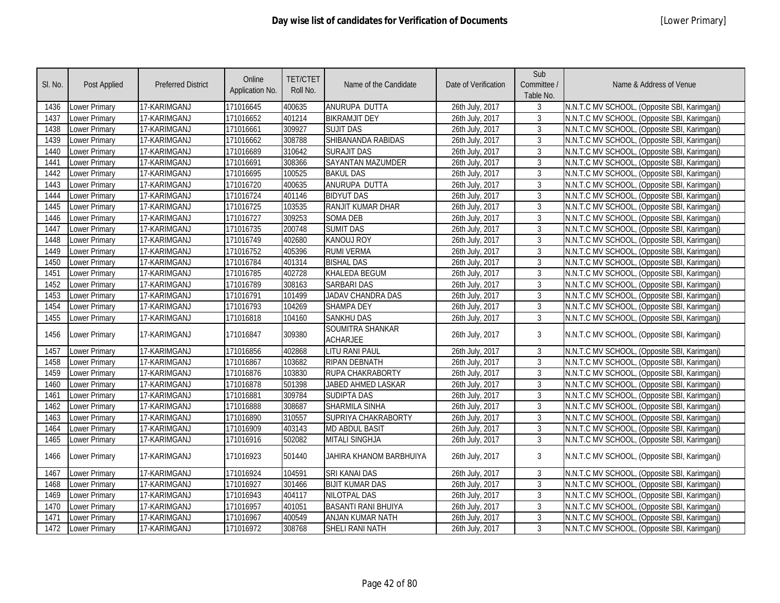| SI. No. | Post Applied         | <b>Preferred District</b> | Online<br>Application No. | <b>TET/CTET</b><br>Roll No. | Name of the Candidate               | Date of Verification | Sub<br>Committee /<br>Table No. | Name & Address of Venue                      |
|---------|----------------------|---------------------------|---------------------------|-----------------------------|-------------------------------------|----------------------|---------------------------------|----------------------------------------------|
| 1436    | Lower Primary        | 17-KARIMGANJ              | 171016645                 | 400635                      | ANURUPA DUTTA                       | 26th July, 2017      | 3                               | N.N.T.C MV SCHOOL, (Opposite SBI, Karimganj) |
| 1437    | <b>Lower Primary</b> | 17-KARIMGANJ              | 171016652                 | 401214                      | <b>BIKRAMJIT DEY</b>                | 26th July, 2017      | 3                               | N.N.T.C MV SCHOOL, (Opposite SBI, Karimganj) |
| 1438    | Lower Primary        | 17-KARIMGANJ              | 171016661                 | 309927                      | <b>SUJIT DAS</b>                    | 26th July, 2017      | 3                               | N.N.T.C MV SCHOOL, (Opposite SBI, Karimganj) |
| 1439    | <b>Lower Primary</b> | 17-KARIMGANJ              | 171016662                 | 308788                      | SHIBANANDA RABIDAS                  | 26th July, 2017      | 3                               | N.N.T.C MV SCHOOL, (Opposite SBI, Karimganj) |
| 1440    | Lower Primary        | 17-KARIMGANJ              | 171016689                 | 310642                      | <b>SURAJIT DAS</b>                  | 26th July, 2017      | $\overline{3}$                  | N.N.T.C MV SCHOOL, (Opposite SBI, Karimganj) |
| 1441    | <b>Lower Primary</b> | 17-KARIMGANJ              | 171016691                 | 308366                      | <b>SAYANTAN MAZUMDER</b>            | 26th July, 2017      | 3                               | N.N.T.C MV SCHOOL, (Opposite SBI, Karimganj) |
| 1442    | Lower Primary        | 17-KARIMGANJ              | 171016695                 | 100525                      | <b>BAKUL DAS</b>                    | 26th July, 2017      | 3                               | N.N.T.C MV SCHOOL, (Opposite SBI, Karimganj) |
| 1443    | <b>Lower Primary</b> | 17-KARIMGANJ              | 171016720                 | 400635                      | ANURUPA DUTTA                       | 26th July, 2017      | 3                               | N.N.T.C MV SCHOOL, (Opposite SBI, Karimganj) |
| 1444    | <b>Lower Primary</b> | 17-KARIMGANJ              | 171016724                 | 401146                      | <b>BIDYUT DAS</b>                   | 26th July, 2017      | 3                               | N.N.T.C MV SCHOOL, (Opposite SBI, Karimganj) |
| 1445    | Lower Primary        | 17-KARIMGANJ              | 171016725                 | 103535                      | RANJIT KUMAR DHAR                   | 26th July, 2017      | 3                               | N.N.T.C MV SCHOOL, (Opposite SBI, Karimganj) |
| 1446    | Lower Primary        | 17-KARIMGANJ              | 171016727                 | 309253                      | <b>SOMA DEB</b>                     | 26th July, 2017      | $\mathbf{3}$                    | N.N.T.C MV SCHOOL, (Opposite SBI, Karimganj) |
| 1447    | Lower Primary        | 17-KARIMGANJ              | 171016735                 | 200748                      | <b>SUMIT DAS</b>                    | 26th July, 2017      | $\mathbf{3}$                    | N.N.T.C MV SCHOOL, (Opposite SBI, Karimganj) |
| 1448    | Lower Primary        | 17-KARIMGANJ              | 171016749                 | 402680                      | <b>KANOUJ ROY</b>                   | 26th July, 2017      | $\mathbf{3}$                    | N.N.T.C MV SCHOOL, (Opposite SBI, Karimganj) |
| 1449    | Lower Primary        | 17-KARIMGANJ              | 171016752                 | 405396                      | <b>RUMI VERMA</b>                   | 26th July, 2017      | $\mathbf{3}$                    | N.N.T.C MV SCHOOL, (Opposite SBI, Karimganj) |
| 1450    | Lower Primary        | 17-KARIMGANJ              | 171016784                 | 401314                      | <b>BISHAL DAS</b>                   | 26th July, 2017      | $\mathbf{3}$                    | N.N.T.C MV SCHOOL, (Opposite SBI, Karimganj) |
| 1451    | Lower Primary        | 17-KARIMGANJ              | 171016785                 | 402728                      | KHALEDA BEGUM                       | 26th July, 2017      | 3                               | N.N.T.C MV SCHOOL, (Opposite SBI, Karimganj) |
| 1452    | Lower Primary        | 17-KARIMGANJ              | 171016789                 | 308163                      | <b>SARBARI DAS</b>                  | 26th July, 2017      | $\mathbf{3}$                    | N.N.T.C MV SCHOOL, (Opposite SBI, Karimganj) |
| 1453    | Lower Primary        | 17-KARIMGANJ              | 171016791                 | 101499                      | JADAV CHANDRA DAS                   | 26th July, 2017      | $\mathbf{3}$                    | N.N.T.C MV SCHOOL, (Opposite SBI, Karimganj) |
| 1454    | Lower Primary        | 17-KARIMGANJ              | 171016793                 | 104269                      | <b>SHAMPA DEY</b>                   | 26th July, 2017      | 3                               | N.N.T.C MV SCHOOL, (Opposite SBI, Karimganj) |
| 1455    | Lower Primary        | 17-KARIMGANJ              | 171016818                 | 104160                      | <b>SANKHU DAS</b>                   | 26th July, 2017      | 3                               | N.N.T.C MV SCHOOL, (Opposite SBI, Karimganj) |
| 1456    | <b>Lower Primary</b> | 17-KARIMGANJ              | 171016847                 | 309380                      | SOUMITRA SHANKAR<br><b>ACHARJEE</b> | 26th July, 2017      | $\mathbf{3}$                    | N.N.T.C MV SCHOOL, (Opposite SBI, Karimganj) |
| 1457    | Lower Primary        | 17-KARIMGANJ              | 171016856                 | 402868                      | LITU RANI PAUL                      | 26th July, 2017      | $\mathbf{3}$                    | N.N.T.C MV SCHOOL, (Opposite SBI, Karimganj) |
| 1458    | Lower Primary        | 17-KARIMGANJ              | 171016867                 | 103682                      | RIPAN DEBNATH                       | 26th July, 2017      | $\mathbf{3}$                    | N.N.T.C MV SCHOOL, (Opposite SBI, Karimganj) |
| 1459    | <b>Lower Primary</b> | 17-KARIMGANJ              | 171016876                 | 103830                      | <b>RUPA CHAKRABORTY</b>             | 26th July, 2017      | $\mathbf{3}$                    | N.N.T.C MV SCHOOL, (Opposite SBI, Karimganj) |
| 1460    | Lower Primary        | 17-KARIMGANJ              | 171016878                 | 501398                      | JABED AHMED LASKAR                  | 26th July, 2017      | $\overline{3}$                  | N.N.T.C MV SCHOOL, (Opposite SBI, Karimganj) |
| 1461    | <b>Lower Primary</b> | 17-KARIMGANJ              | 171016881                 | 309784                      | <b>SUDIPTA DAS</b>                  | 26th July, 2017      | $\overline{3}$                  | N.N.T.C MV SCHOOL, (Opposite SBI, Karimganj) |
| 1462    | <b>Lower Primary</b> | 17-KARIMGANJ              | 171016888                 | 308687                      | <b>SHARMILA SINHA</b>               | 26th July, 2017      | $\overline{3}$                  | N.N.T.C MV SCHOOL, (Opposite SBI, Karimganj) |
| 1463    | <b>Lower Primary</b> | 17-KARIMGANJ              | 171016890                 | 310557                      | SUPRIYA CHAKRABORTY                 | 26th July, 2017      | 3                               | N.N.T.C MV SCHOOL, (Opposite SBI, Karimganj) |
| 1464    | Lower Primary        | 17-KARIMGANJ              | 171016909                 | 403143                      | <b>MD ABDUL BASIT</b>               | 26th July, 2017      | $\mathbf{3}$                    | N.N.T.C MV SCHOOL, (Opposite SBI, Karimganj) |
| 1465    | <b>Lower Primary</b> | 17-KARIMGANJ              | 171016916                 | 502082                      | <b>MITALI SINGHJA</b>               | 26th July, 2017      | $\mathbf{3}$                    | N.N.T.C MV SCHOOL, (Opposite SBI, Karimganj) |
| 1466    | <b>Lower Primary</b> | 17-KARIMGANJ              | 171016923                 | 501440                      | JAHIRA KHANOM BARBHUIYA             | 26th July, 2017      | 3                               | N.N.T.C MV SCHOOL, (Opposite SBI, Karimganj) |
| 1467    | <b>Lower Primary</b> | 17-KARIMGANJ              | 171016924                 | 104591                      | <b>SRI KANAI DAS</b>                | 26th July, 2017      | 3                               | N.N.T.C MV SCHOOL, (Opposite SBI, Karimganj) |
| 1468    | Lower Primary        | 17-KARIMGANJ              | 171016927                 | 301466                      | <b>BIJIT KUMAR DAS</b>              | 26th July, 2017      | 3                               | N.N.T.C MV SCHOOL, (Opposite SBI, Karimganj) |
| 1469    | Lower Primary        | 17-KARIMGANJ              | 171016943                 | 404117                      | NILOTPAL DAS                        | 26th July, 2017      | $\mathbf{3}$                    | N.N.T.C MV SCHOOL, (Opposite SBI, Karimganj) |
| 1470    | Lower Primary        | 17-KARIMGANJ              | 171016957                 | 401051                      | <b>BASANTI RANI BHUIYA</b>          | 26th July, 2017      | 3                               | N.N.T.C MV SCHOOL, (Opposite SBI, Karimganj) |
| 1471    | Lower Primary        | 17-KARIMGANJ              | 171016967                 | 400549                      | ANJAN KUMAR NATH                    | 26th July, 2017      | 3                               | N.N.T.C MV SCHOOL, (Opposite SBI, Karimganj) |
| 1472    | Lower Primary        | 17-KARIMGANJ              | 171016972                 | 308768                      | SHELI RANI NATH                     | 26th July, 2017      | 3                               | N.N.T.C MV SCHOOL, (Opposite SBI, Karimganj) |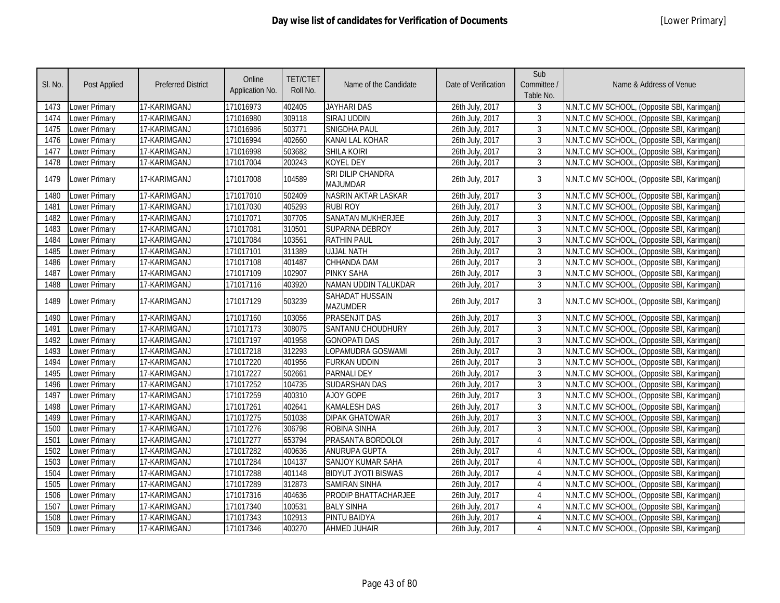| SI. No. | <b>Post Applied</b>  | <b>Preferred District</b> | Online<br>Application No. | <b>TET/CTET</b><br>Roll No. | Name of the Candidate                | Date of Verification | Sub<br>Committee /<br>Table No. | Name & Address of Venue                      |
|---------|----------------------|---------------------------|---------------------------|-----------------------------|--------------------------------------|----------------------|---------------------------------|----------------------------------------------|
| 1473    | Lower Primary        | 17-KARIMGANJ              | 171016973                 | 402405                      | <b>JAYHARI DAS</b>                   | 26th July, 2017      | 3                               | N.N.T.C MV SCHOOL, (Opposite SBI, Karimganj) |
| 1474    | Lower Primary        | 17-KARIMGANJ              | 171016980                 | 309118                      | SIRAJ UDDIN                          | 26th July, 2017      | 3                               | N.N.T.C MV SCHOOL, (Opposite SBI, Karimganj) |
| 1475    | Lower Primary        | 17-KARIMGANJ              | 171016986                 | 503771                      | <b>SNIGDHA PAUL</b>                  | 26th July, 2017      | 3                               | N.N.T.C MV SCHOOL, (Opposite SBI, Karimganj) |
| 1476    | Lower Primary        | 17-KARIMGANJ              | 171016994                 | 402660                      | <b>KANAI LAL KOHAR</b>               | 26th July, 2017      | $\mathbf{3}$                    | N.N.T.C MV SCHOOL, (Opposite SBI, Karimganj) |
| 1477    | Lower Primary        | 17-KARIMGANJ              | 171016998                 | 503682                      | <b>SHILA KOIRI</b>                   | 26th July, 2017      | 3                               | N.N.T.C MV SCHOOL, (Opposite SBI, Karimganj) |
| 1478    | <b>Lower Primary</b> | 17-KARIMGANJ              | 171017004                 | 200243                      | <b>KOYEL DEY</b>                     | 26th July, 2017      | 3                               | N.N.T.C MV SCHOOL, (Opposite SBI, Karimganj) |
| 1479    | Lower Primary        | 17-KARIMGANJ              | 171017008                 | 104589                      | SRI DILIP CHANDRA<br><b>MAJUMDAR</b> | 26th July, 2017      | $\overline{3}$                  | N.N.T.C MV SCHOOL, (Opposite SBI, Karimganj) |
| 1480    | Lower Primary        | 17-KARIMGANJ              | 171017010                 | 502409                      | NASRIN AKTAR LASKAR                  | 26th July, 2017      | $\mathbf{3}$                    | N.N.T.C MV SCHOOL, (Opposite SBI, Karimganj) |
| 1481    | Lower Primary        | 17-KARIMGANJ              | 171017030                 | 405293                      | <b>RUBI ROY</b>                      | 26th July, 2017      | $\mathfrak{Z}$                  | N.N.T.C MV SCHOOL, (Opposite SBI, Karimgani) |
| 1482    | Lower Primary        | 17-KARIMGANJ              | 171017071                 | 307705                      | <b>SANATAN MUKHERJEE</b>             | 26th July, 2017      | $\mathfrak{Z}$                  | N.N.T.C MV SCHOOL, (Opposite SBI, Karimganj) |
| 1483    | Lower Primary        | 17-KARIMGANJ              | 171017081                 | 310501                      | <b>SUPARNA DEBROY</b>                | 26th July, 2017      | $\mathfrak{Z}$                  | N.N.T.C MV SCHOOL, (Opposite SBI, Karimganj) |
| 1484    | Lower Primary        | 17-KARIMGANJ              | 171017084                 | 103561                      | <b>RATHIN PAUL</b>                   | 26th July, 2017      | $\mathbf{3}$                    | N.N.T.C MV SCHOOL, (Opposite SBI, Karimganj) |
| 1485    | Lower Primary        | 17-KARIMGANJ              | 171017101                 | 311389                      | <b>UJJAL NATH</b>                    | 26th July, 2017      | 3                               | N.N.T.C MV SCHOOL, (Opposite SBI, Karimganj) |
| 1486    | Lower Primary        | 17-KARIMGANJ              | 171017108                 | 401487                      | CHHANDA DAM                          | 26th July, 2017      | $\mathbf{3}$                    | N.N.T.C MV SCHOOL, (Opposite SBI, Karimganj) |
| 1487    | Lower Primary        | 17-KARIMGANJ              | 171017109                 | 102907                      | <b>PINKY SAHA</b>                    | 26th July, 2017      | $\mathbf{3}$                    | N.N.T.C MV SCHOOL, (Opposite SBI, Karimganj) |
| 1488    | Lower Primary        | 17-KARIMGANJ              | 171017116                 | 403920                      | NAMAN UDDIN TALUKDAR                 | 26th July, 2017      | $\mathbf{3}$                    | N.N.T.C MV SCHOOL, (Opposite SBI, Karimganj) |
| 1489    | Lower Primary        | 17-KARIMGANJ              | 171017129                 | 503239                      | SAHADAT HUSSAIN<br><b>MAZUMDER</b>   | 26th July, 2017      | 3                               | N.N.T.C MV SCHOOL, (Opposite SBI, Karimganj) |
| 1490    | <b>Lower Primary</b> | 17-KARIMGANJ              | 171017160                 | 103056                      | <b>PRASENJIT DAS</b>                 | 26th July, 2017      | 3                               | N.N.T.C MV SCHOOL, (Opposite SBI, Karimganj) |
| 1491    | Lower Primary        | 17-KARIMGANJ              | 171017173                 | 308075                      | <b>SANTANU CHOUDHURY</b>             | 26th July, 2017      | $\mathbf{3}$                    | N.N.T.C MV SCHOOL, (Opposite SBI, Karimganj) |
| 1492    | Lower Primary        | 17-KARIMGANJ              | 171017197                 | 401958                      | <b>GONOPATI DAS</b>                  | 26th July, 2017      | 3                               | N.N.T.C MV SCHOOL, (Opposite SBI, Karimganj) |
| 1493    | Lower Primary        | 17-KARIMGANJ              | 171017218                 | 312293                      | LOPAMUDRA GOSWAMI                    | 26th July, 2017      | $\mathbf{3}$                    | N.N.T.C MV SCHOOL, (Opposite SBI, Karimganj) |
| 1494    | Lower Primary        | 17-KARIMGANJ              | 171017220                 | 401956                      | <b>FURKAN UDDIN</b>                  | 26th July, 2017      | $\mathbf{3}$                    | N.N.T.C MV SCHOOL, (Opposite SBI, Karimganj) |
| 1495    | Lower Primary        | 17-KARIMGANJ              | 171017227                 | 502661                      | <b>PARNALI DEY</b>                   | 26th July, 2017      | $\mathbf{3}$                    | N.N.T.C MV SCHOOL, (Opposite SBI, Karimganj) |
| 1496    | Lower Primary        | 17-KARIMGANJ              | 171017252                 | 104735                      | <b>SUDARSHAN DAS</b>                 | 26th July, 2017      | $\overline{3}$                  | N.N.T.C MV SCHOOL, (Opposite SBI, Karimganj) |
| 1497    | Lower Primary        | 17-KARIMGANJ              | 171017259                 | 400310                      | AJOY GOPE                            | 26th July, 2017      | $\mathbf{3}$                    | N.N.T.C MV SCHOOL, (Opposite SBI, Karimganj) |
| 1498    | Lower Primary        | 17-KARIMGANJ              | 171017261                 | 402641                      | <b>KAMALESH DAS</b>                  | 26th July, 2017      | $\overline{3}$                  | N.N.T.C MV SCHOOL, (Opposite SBI, Karimganj) |
| 1499    | <b>Lower Primary</b> | 17-KARIMGANJ              | 171017275                 | 501038                      | <b>DIPAK GHATOWAR</b>                | 26th July, 2017      | $\overline{3}$                  | N.N.T.C MV SCHOOL, (Opposite SBI, Karimganj) |
| 1500    | Lower Primary        | 17-KARIMGANJ              | 171017276                 | 306798                      | <b>ROBINA SINHA</b>                  | 26th July, 2017      | $\overline{3}$                  | N.N.T.C MV SCHOOL, (Opposite SBI, Karimganj) |
| 1501    | Lower Primary        | 17-KARIMGANJ              | 171017277                 | 653794                      | PRASANTA BORDOLOI                    | 26th July, 2017      | 4                               | N.N.T.C MV SCHOOL, (Opposite SBI, Karimganj) |
| 1502    | Lower Primary        | 17-KARIMGANJ              | 171017282                 | 400636                      | <b>ANURUPA GUPTA</b>                 | 26th July, 2017      | $\overline{4}$                  | N.N.T.C MV SCHOOL, (Opposite SBI, Karimganj) |
| 1503    | Lower Primary        | 17-KARIMGANJ              | 171017284                 | 104137                      | SANJOY KUMAR SAHA                    | 26th July, 2017      | $\overline{4}$                  | N.N.T.C MV SCHOOL, (Opposite SBI, Karimganj) |
| 1504    | Lower Primary        | 17-KARIMGANJ              | 171017288                 | 401148                      | <b>BIDYUT JYOTI BISWAS</b>           | 26th July, 2017      | $\overline{4}$                  | N.N.T.C MV SCHOOL, (Opposite SBI, Karimganj) |
| 1505    | Lower Primary        | 17-KARIMGANJ              | 171017289                 | 312873                      | <b>SAMIRAN SINHA</b>                 | 26th July, 2017      | 4                               | N.N.T.C MV SCHOOL, (Opposite SBI, Karimganj) |
| 1506    | Lower Primary        | 17-KARIMGANJ              | 171017316                 | 404636                      | PRODIP BHATTACHARJEE                 | 26th July, 2017      | 4                               | N.N.T.C MV SCHOOL, (Opposite SBI, Karimganj) |
| 1507    | Lower Primary        | 17-KARIMGANJ              | 171017340                 | 100531                      | <b>BALY SINHA</b>                    | 26th July, 2017      | $\Delta$                        | N.N.T.C MV SCHOOL, (Opposite SBI, Karimganj) |
| 1508    | Lower Primary        | 17-KARIMGANJ              | 171017343                 | 102913                      | PINTU BAIDYA                         | 26th July, 2017      | $\overline{4}$                  | N.N.T.C MV SCHOOL, (Opposite SBI, Karimganj) |
| 1509    | Lower Primary        | 17-KARIMGANJ              | 171017346                 | 400270                      | <b>AHMED JUHAIR</b>                  | 26th July, 2017      | $\overline{4}$                  | N.N.T.C MV SCHOOL, (Opposite SBI, Karimganj) |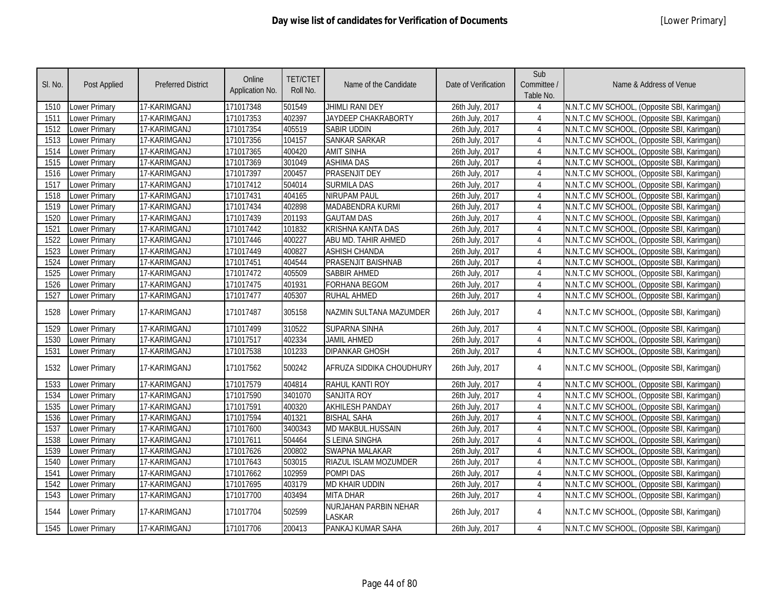| SI. No. | Post Applied         | <b>Preferred District</b> | Online<br>Application No. | <b>TET/CTET</b><br>Roll No. | Name of the Candidate           | Date of Verification | Sub<br>Committee /<br>Table No. | Name & Address of Venue                      |
|---------|----------------------|---------------------------|---------------------------|-----------------------------|---------------------------------|----------------------|---------------------------------|----------------------------------------------|
| 1510    | Lower Primary        | 17-KARIMGANJ              | 171017348                 | 501549                      | JHIMLI RANI DEY                 | 26th July, 2017      | 4                               | N.N.T.C MV SCHOOL, (Opposite SBI, Karimganj) |
| 1511    | Lower Primary        | 17-KARIMGANJ              | 171017353                 | 402397                      | JAYDEEP CHAKRABORTY             | 26th July, 2017      | $\overline{4}$                  | N.N.T.C MV SCHOOL, (Opposite SBI, Karimganj) |
| 1512    | Lower Primary        | 17-KARIMGANJ              | 171017354                 | 405519                      | <b>SABIR UDDIN</b>              | 26th July, 2017      | 4                               | N.N.T.C MV SCHOOL, (Opposite SBI, Karimganj) |
| 1513    | <b>Lower Primary</b> | 17-KARIMGANJ              | 171017356                 | 104157                      | <b>SANKAR SARKAR</b>            | 26th July, 2017      | $\overline{4}$                  | N.N.T.C MV SCHOOL, (Opposite SBI, Karimganj) |
| 1514    | Lower Primary        | 17-KARIMGANJ              | 171017365                 | 400420                      | <b>AMIT SINHA</b>               | 26th July, 2017      | $\overline{4}$                  | N.N.T.C MV SCHOOL, (Opposite SBI, Karimganj) |
| 1515    | <b>Lower Primary</b> | 17-KARIMGANJ              | 171017369                 | 301049                      | <b>ASHIMA DAS</b>               | 26th July, 2017      | 4                               | N.N.T.C MV SCHOOL, (Opposite SBI, Karimganj) |
| 1516    | Lower Primary        | 17-KARIMGANJ              | 171017397                 | 200457                      | <b>PRASENJIT DEY</b>            | 26th July, 2017      | $\overline{4}$                  | N.N.T.C MV SCHOOL, (Opposite SBI, Karimganj) |
| 1517    | Lower Primary        | 17-KARIMGANJ              | 171017412                 | 504014                      | <b>SURMILA DAS</b>              | 26th July, 2017      | $\overline{4}$                  | N.N.T.C MV SCHOOL, (Opposite SBI, Karimganj) |
| 1518    | Lower Primary        | 17-KARIMGANJ              | 171017431                 | 404165                      | NIRUPAM PAUL                    | 26th July, 2017      | $\overline{4}$                  | N.N.T.C MV SCHOOL, (Opposite SBI, Karimganj) |
| 1519    | Lower Primary        | 17-KARIMGANJ              | 171017434                 | 402898                      | MADABENDRA KURMI                | 26th July, 2017      | 4                               | N.N.T.C MV SCHOOL, (Opposite SBI, Karimganj) |
| 1520    | Lower Primary        | 17-KARIMGANJ              | 171017439                 | 201193                      | <b>GAUTAM DAS</b>               | 26th July, 2017      | $\overline{4}$                  | N.N.T.C MV SCHOOL, (Opposite SBI, Karimganj) |
| 1521    | Lower Primary        | 17-KARIMGANJ              | 171017442                 | 101832                      | <b>KRISHNA KANTA DAS</b>        | 26th July, 2017      | 4                               | N.N.T.C MV SCHOOL, (Opposite SBI, Karimganj) |
| 1522    | Lower Primary        | 17-KARIMGANJ              | 171017446                 | 400227                      | ABU MD. TAHIR AHMED             | 26th July, 2017      | $\overline{4}$                  | N.N.T.C MV SCHOOL, (Opposite SBI, Karimganj) |
| 1523    | Lower Primary        | 17-KARIMGANJ              | 171017449                 | 400827                      | <b>ASHISH CHANDA</b>            | 26th July, 2017      | 4                               | N.N.T.C MV SCHOOL, (Opposite SBI, Karimganj) |
| 1524    | Lower Primary        | 17-KARIMGANJ              | 171017451                 | 404544                      | PRASENJIT BAISHNAB              | 26th July, 2017      | $\overline{4}$                  | N.N.T.C MV SCHOOL, (Opposite SBI, Karimganj) |
| 1525    | Lower Primary        | 17-KARIMGANJ              | 171017472                 | 405509                      | <b>SABBIR AHMED</b>             | 26th July, 2017      | 4                               | N.N.T.C MV SCHOOL, (Opposite SBI, Karimganj) |
| 1526    | Lower Primary        | 17-KARIMGANJ              | 171017475                 | 401931                      | <b>FORHANA BEGOM</b>            | 26th July, 2017      | $\overline{4}$                  | N.N.T.C MV SCHOOL, (Opposite SBI, Karimganj) |
| 1527    | Lower Primary        | 17-KARIMGANJ              | 171017477                 | 405307                      | <b>RUHAL AHMED</b>              | 26th July, 2017      | $\overline{4}$                  | N.N.T.C MV SCHOOL, (Opposite SBI, Karimganj) |
| 1528    | Lower Primary        | 17-KARIMGANJ              | 171017487                 | 305158                      | NAZMIN SULTANA MAZUMDER         | 26th July, 2017      | $\overline{4}$                  | N.N.T.C MV SCHOOL, (Opposite SBI, Karimganj) |
| 1529    | Lower Primary        | 17-KARIMGANJ              | 171017499                 | 310522                      | <b>SUPARNA SINHA</b>            | 26th July, 2017      | $\overline{4}$                  | N.N.T.C MV SCHOOL, (Opposite SBI, Karimganj) |
| 1530    | Lower Primary        | 17-KARIMGANJ              | 171017517                 | 402334                      | <b>JAMIL AHMED</b>              | 26th July, 2017      | $\overline{4}$                  | N.N.T.C MV SCHOOL, (Opposite SBI, Karimganj) |
| 1531    | Lower Primary        | 17-KARIMGANJ              | 171017538                 | 101233                      | <b>DIPANKAR GHOSH</b>           | 26th July, 2017      | $\overline{4}$                  | N.N.T.C MV SCHOOL, (Opposite SBI, Karimganj) |
| 1532    | Lower Primary        | 17-KARIMGANJ              | 171017562                 | 500242                      | AFRUZA SIDDIKA CHOUDHURY        | 26th July, 2017      | $\overline{4}$                  | N.N.T.C MV SCHOOL, (Opposite SBI, Karimganj) |
| 1533    | Lower Primary        | 17-KARIMGANJ              | 171017579                 | 404814                      | RAHUL KANTI ROY                 | 26th July, 2017      | $\overline{4}$                  | N.N.T.C MV SCHOOL, (Opposite SBI, Karimganj) |
| 1534    | Lower Primary        | 17-KARIMGANJ              | 171017590                 | 3401070                     | <b>SANJITA ROY</b>              | 26th July, 2017      | $\overline{4}$                  | N.N.T.C MV SCHOOL, (Opposite SBI, Karimganj) |
| 1535    | Lower Primary        | 17-KARIMGANJ              | 171017591                 | 400320                      | <b>AKHILESH PANDAY</b>          | 26th July, 2017      | $\overline{4}$                  | N.N.T.C MV SCHOOL, (Opposite SBI, Karimganj) |
| 1536    | Lower Primary        | 17-KARIMGANJ              | 171017594                 | 401321                      | <b>BISHAL SAHA</b>              | 26th July, 2017      | 4                               | N.N.T.C MV SCHOOL, (Opposite SBI, Karimganj) |
| 1537    | Lower Primary        | 17-KARIMGANJ              | 171017600                 | 3400343                     | MD MAKBUL.HUSSAIN               | 26th July, 2017      | $\overline{4}$                  | N.N.T.C MV SCHOOL, (Opposite SBI, Karimganj) |
| 1538    | Lower Primary        | 17-KARIMGANJ              | 171017611                 | 504464                      | S LEINA SINGHA                  | 26th July, 2017      | $\overline{4}$                  | N.N.T.C MV SCHOOL, (Opposite SBI, Karimganj) |
| 1539    | Lower Primary        | 17-KARIMGANJ              | 171017626                 | 200802                      | <b>SWAPNA MALAKAR</b>           | 26th July, 2017      | 4                               | N.N.T.C MV SCHOOL, (Opposite SBI, Karimganj) |
| 1540    | Lower Primary        | 17-KARIMGANJ              | 171017643                 | 503015                      | RIAZUL ISLAM MOZUMDER           | 26th July, 2017      | 4                               | N.N.T.C MV SCHOOL, (Opposite SBI, Karimganj) |
| 1541    | Lower Primary        | 17-KARIMGANJ              | 171017662                 | 102959                      | <b>POMPIDAS</b>                 | 26th July, 2017      | $\overline{4}$                  | N.N.T.C MV SCHOOL, (Opposite SBI, Karimganj) |
| 1542    | Lower Primary        | 17-KARIMGANJ              | 171017695                 | 403179                      | MD KHAIR UDDIN                  | 26th July, 2017      | 4                               | N.N.T.C MV SCHOOL, (Opposite SBI, Karimganj) |
| 1543    | Lower Primary        | 17-KARIMGANJ              | 171017700                 | 403494                      | MITA DHAR                       | 26th July, 2017      | $\overline{4}$                  | N.N.T.C MV SCHOOL, (Opposite SBI, Karimganj) |
| 1544    | Lower Primary        | 17-KARIMGANJ              | 171017704                 | 502599                      | NURJAHAN PARBIN NEHAR<br>LASKAR | 26th July, 2017      | 4                               | N.N.T.C MV SCHOOL, (Opposite SBI, Karimganj) |
| 1545    | Lower Primary        | 17-KARIMGANJ              | 171017706                 | 200413                      | PANKAJ KUMAR SAHA               | 26th July, 2017      | 4                               | N.N.T.C MV SCHOOL, (Opposite SBI, Karimganj) |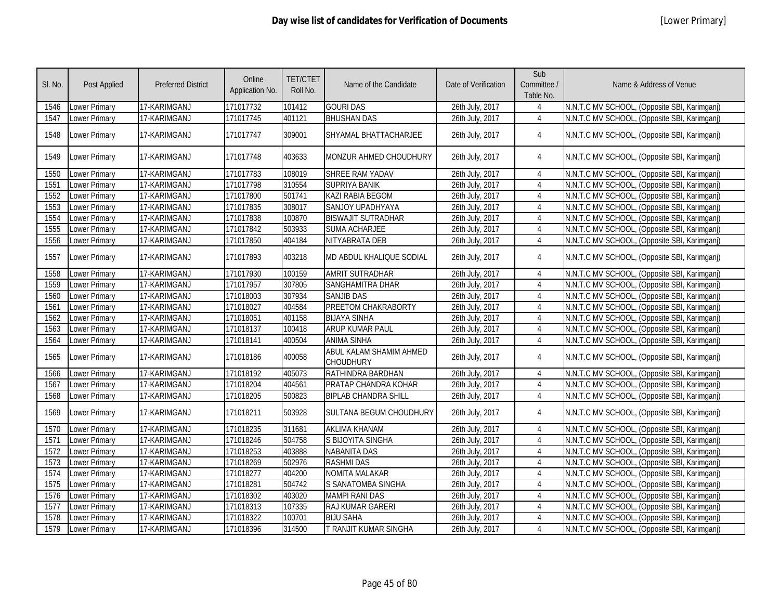| SI. No. | <b>Post Applied</b>  | <b>Preferred District</b> | Online<br>Application No. | <b>TET/CTET</b><br>Roll No. | Name of the Candidate                       | Date of Verification | Sub<br>Committee /<br>Table No. | Name & Address of Venue                      |
|---------|----------------------|---------------------------|---------------------------|-----------------------------|---------------------------------------------|----------------------|---------------------------------|----------------------------------------------|
| 1546    | Lower Primary        | 17-KARIMGANJ              | 171017732                 | 101412                      | <b>GOURI DAS</b>                            | 26th July, 2017      | $\overline{4}$                  | N.N.T.C MV SCHOOL, (Opposite SBI, Karimganj) |
| 1547    | Lower Primary        | 17-KARIMGANJ              | 171017745                 | 401121                      | <b>BHUSHAN DAS</b>                          | 26th July, 2017      | $\overline{4}$                  | N.N.T.C MV SCHOOL, (Opposite SBI, Karimganj) |
| 1548    | Lower Primary        | 17-KARIMGANJ              | 171017747                 | 309001                      | SHYAMAL BHATTACHARJEE                       | 26th July, 2017      | $\overline{4}$                  | N.N.T.C MV SCHOOL, (Opposite SBI, Karimganj) |
| 1549    | Lower Primary        | 17-KARIMGANJ              | 171017748                 | 403633                      | MONZUR AHMED CHOUDHURY                      | 26th July, 2017      | 4                               | N.N.T.C MV SCHOOL, (Opposite SBI, Karimganj) |
| 1550    | Lower Primary        | 17-KARIMGANJ              | 171017783                 | 108019                      | SHREE RAM YADAV                             | 26th July, 2017      | $\overline{4}$                  | N.N.T.C MV SCHOOL, (Opposite SBI, Karimganj) |
| 1551    | Lower Primary        | 17-KARIMGANJ              | 171017798                 | 310554                      | <b>SUPRIYA BANIK</b>                        | 26th July, 2017      | $\overline{4}$                  | N.N.T.C MV SCHOOL, (Opposite SBI, Karimganj) |
| 1552    | Lower Primary        | 17-KARIMGANJ              | 171017800                 | 501741                      | KAZI RABIA BEGOM                            | 26th July, 2017      | $\overline{4}$                  | N.N.T.C MV SCHOOL, (Opposite SBI, Karimganj) |
| 1553    | Lower Primary        | 17-KARIMGANJ              | 171017835                 | 308017                      | SANJOY UPADHYAYA                            | 26th July, 2017      | $\overline{4}$                  | N.N.T.C MV SCHOOL, (Opposite SBI, Karimganj) |
| 1554    | Lower Primary        | 17-KARIMGANJ              | 171017838                 | 100870                      | <b>BISWAJIT SUTRADHAR</b>                   | 26th July, 2017      | $\overline{4}$                  | N.N.T.C MV SCHOOL, (Opposite SBI, Karimganj) |
| 1555    | Lower Primary        | 17-KARIMGANJ              | 171017842                 | 503933                      | <b>SUMA ACHARJEE</b>                        | 26th July, 2017      | $\overline{4}$                  | N.N.T.C MV SCHOOL, (Opposite SBI, Karimganj) |
| 1556    | Lower Primary        | 17-KARIMGANJ              | 171017850                 | 404184                      | NITYABRATA DEB                              | 26th July, 2017      | $\overline{4}$                  | N.N.T.C MV SCHOOL, (Opposite SBI, Karimganj) |
| 1557    | Lower Primary        | 17-KARIMGANJ              | 171017893                 | 403218                      | MD ABDUL KHALIQUE SODIAL                    | 26th July, 2017      | 4                               | N.N.T.C MV SCHOOL, (Opposite SBI, Karimganj) |
| 1558    | Lower Primary        | 17-KARIMGANJ              | 171017930                 | 100159                      | AMRIT SUTRADHAR                             | 26th July, 2017      | $\overline{4}$                  | N.N.T.C MV SCHOOL, (Opposite SBI, Karimganj) |
| 1559    | Lower Primary        | 17-KARIMGANJ              | 171017957                 | 307805                      | SANGHAMITRA DHAR                            | 26th July, 2017      | $\overline{4}$                  | N.N.T.C MV SCHOOL, (Opposite SBI, Karimganj) |
| 1560    | Lower Primary        | 17-KARIMGANJ              | 171018003                 | 307934                      | <b>SANJIB DAS</b>                           | 26th July, 2017      | $\overline{4}$                  | N.N.T.C MV SCHOOL, (Opposite SBI, Karimganj) |
| 1561    | Lower Primary        | 17-KARIMGANJ              | 171018027                 | 404584                      | PREETOM CHAKRABORTY                         | 26th July, 2017      | $\overline{4}$                  | N.N.T.C MV SCHOOL, (Opposite SBI, Karimganj) |
| 1562    | Lower Primary        | 17-KARIMGANJ              | 171018051                 | 401158                      | <b>BIJAYA SINHA</b>                         | 26th July, 2017      | 4                               | N.N.T.C MV SCHOOL, (Opposite SBI, Karimganj) |
| 1563    | Lower Primary        | 17-KARIMGANJ              | 171018137                 | 100418                      | <b>ARUP KUMAR PAUL</b>                      | 26th July, 2017      | 4                               | N.N.T.C MV SCHOOL, (Opposite SBI, Karimganj) |
| 1564    | Lower Primary        | 17-KARIMGANJ              | 171018141                 | 400504                      | <b>ANIMA SINHA</b>                          | 26th July, 2017      | $\overline{4}$                  | N.N.T.C MV SCHOOL, (Opposite SBI, Karimganj) |
| 1565    | Lower Primary        | 17-KARIMGANJ              | 171018186                 | 400058                      | ABUL KALAM SHAMIM AHMED<br><b>CHOUDHURY</b> | 26th July, 2017      | 4                               | N.N.T.C MV SCHOOL, (Opposite SBI, Karimganj) |
| 1566    | Lower Primary        | 17-KARIMGANJ              | 171018192                 | 405073                      | RATHINDRA BARDHAN                           | 26th July, 2017      | 4                               | N.N.T.C MV SCHOOL, (Opposite SBI, Karimganj) |
| 1567    | Lower Primary        | 17-KARIMGANJ              | 171018204                 | 404561                      | PRATAP CHANDRA KOHAR                        | 26th July, 2017      | $\overline{4}$                  | N.N.T.C MV SCHOOL, (Opposite SBI, Karimganj) |
| 1568    | Lower Primary        | 17-KARIMGANJ              | 171018205                 | 500823                      | <b>BIPLAB CHANDRA SHILL</b>                 | 26th July, 2017      | $\overline{4}$                  | N.N.T.C MV SCHOOL, (Opposite SBI, Karimganj) |
| 1569    | Lower Primary        | 17-KARIMGANJ              | 171018211                 | 503928                      | SULTANA BEGUM CHOUDHURY                     | 26th July, 2017      | 4                               | N.N.T.C MV SCHOOL, (Opposite SBI, Karimganj) |
| 1570    | <b>Lower Primary</b> | 17-KARIMGANJ              | 171018235                 | 311681                      | <b>AKLIMA KHANAM</b>                        | 26th July, 2017      | $\overline{4}$                  | N.N.T.C MV SCHOOL, (Opposite SBI, Karimganj) |
| 1571    | Lower Primary        | 17-KARIMGANJ              | 171018246                 | 504758                      | S BIJOYITA SINGHA                           | 26th July, 2017      | $\overline{4}$                  | N.N.T.C MV SCHOOL, (Opposite SBI, Karimganj) |
| 1572    | Lower Primary        | 17-KARIMGANJ              | 171018253                 | 403888                      | <b>NABANITA DAS</b>                         | 26th July, 2017      | $\overline{4}$                  | N.N.T.C MV SCHOOL, (Opposite SBI, Karimganj) |
| 1573    | Lower Primary        | 17-KARIMGANJ              | 171018269                 | 502976                      | <b>RASHMI DAS</b>                           | 26th July, 2017      | $\overline{4}$                  | N.N.T.C MV SCHOOL, (Opposite SBI, Karimganj) |
| 1574    | Lower Primary        | 17-KARIMGANJ              | 171018277                 | 404200                      | <b>NOMITA MALAKAR</b>                       | 26th July, 2017      | $\overline{4}$                  | N.N.T.C MV SCHOOL, (Opposite SBI, Karimganj) |
| 1575    | Lower Primary        | 17-KARIMGANJ              | 171018281                 | 504742                      | S SANATOMBA SINGHA                          | 26th July, 2017      | $\overline{4}$                  | N.N.T.C MV SCHOOL, (Opposite SBI, Karimganj) |
| 1576    | Lower Primary        | 17-KARIMGANJ              | 171018302                 | 403020                      | <b>MAMPI RANI DAS</b>                       | 26th July, 2017      | 4                               | N.N.T.C MV SCHOOL, (Opposite SBI, Karimganj) |
| 1577    | Lower Primary        | 17-KARIMGANJ              | 171018313                 | 107335                      | RAJ KUMAR GARERI                            | 26th July, 2017      | $\boldsymbol{\varLambda}$       | N.N.T.C MV SCHOOL, (Opposite SBI, Karimganj) |
| 1578    | Lower Primary        | 17-KARIMGANJ              | 171018322                 | 100701                      | <b>BIJU SAHA</b>                            | 26th July, 2017      | $\overline{4}$                  | N.N.T.C MV SCHOOL, (Opposite SBI, Karimganj) |
| 1579    | Lower Primary        | 17-KARIMGANJ              | 171018396                 | 314500                      | T RANJIT KUMAR SINGHA                       | 26th July, 2017      | $\overline{4}$                  | N.N.T.C MV SCHOOL, (Opposite SBI, Karimganj) |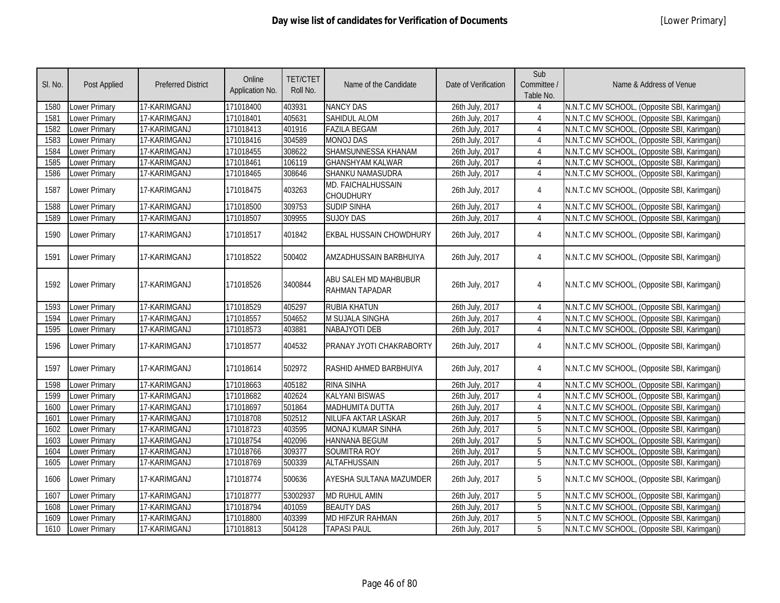| SI. No. | Post Applied         | <b>Preferred District</b> | Online<br>Application No. | <b>TET/CTET</b><br>Roll No. | Name of the Candidate                          | Date of Verification | Sub<br>Committee /<br>Table No. | Name & Address of Venue                      |
|---------|----------------------|---------------------------|---------------------------|-----------------------------|------------------------------------------------|----------------------|---------------------------------|----------------------------------------------|
| 1580    | Lower Primary        | 17-KARIMGANJ              | 171018400                 | 403931                      | <b>NANCY DAS</b>                               | 26th July, 2017      |                                 | N.N.T.C MV SCHOOL, (Opposite SBI, Karimganj) |
| 1581    | Lower Primary        | 17-KARIMGANJ              | 171018401                 | 405631                      | <b>SAHIDUL ALOM</b>                            | 26th July, 2017      | $\overline{4}$                  | N.N.T.C MV SCHOOL, (Opposite SBI, Karimganj) |
| 1582    | Lower Primary        | 17-KARIMGANJ              | 171018413                 | 401916                      | <b>FAZILA BEGAM</b>                            | 26th July, 2017      | $\overline{4}$                  | N.N.T.C MV SCHOOL, (Opposite SBI, Karimganj) |
| 1583    | <b>Lower Primary</b> | 17-KARIMGANJ              | 171018416                 | 304589                      | <b>MONOJ DAS</b>                               | 26th July, 2017      | $\overline{4}$                  | N.N.T.C MV SCHOOL, (Opposite SBI, Karimganj) |
| 1584    | Lower Primary        | 17-KARIMGANJ              | 171018455                 | 308622                      | SHAMSUNNESSA KHANAM                            | 26th July, 2017      | $\overline{4}$                  | N.N.T.C MV SCHOOL, (Opposite SBI, Karimganj) |
| 1585    | <b>Lower Primary</b> | 17-KARIMGANJ              | 171018461                 | 106119                      | <b>GHANSHYAM KALWAR</b>                        | 26th July, 2017      | 4                               | N.N.T.C MV SCHOOL, (Opposite SBI, Karimganj) |
| 1586    | Lower Primary        | 17-KARIMGANJ              | 171018465                 | 308646                      | SHANKU NAMASUDRA                               | 26th July, 2017      | $\overline{4}$                  | N.N.T.C MV SCHOOL, (Opposite SBI, Karimganj) |
| 1587    | <b>Lower Primary</b> | 17-KARIMGANJ              | 171018475                 | 403263                      | <b>MD. FAICHALHUSSAIN</b><br><b>CHOUDHURY</b>  | 26th July, 2017      | 4                               | N.N.T.C MV SCHOOL, (Opposite SBI, Karimganj) |
| 1588    | Lower Primary        | 17-KARIMGANJ              | 171018500                 | 309753                      | <b>SUDIP SINHA</b>                             | 26th July, 2017      | $\overline{4}$                  | N.N.T.C MV SCHOOL, (Opposite SBI, Karimganj) |
| 1589    | Lower Primary        | 17-KARIMGANJ              | 171018507                 | 309955                      | <b>SUJOY DAS</b>                               | 26th July, 2017      | $\overline{4}$                  | N.N.T.C MV SCHOOL, (Opposite SBI, Karimganj) |
| 1590    | <b>Lower Primary</b> | 17-KARIMGANJ              | 171018517                 | 401842                      | <b>EKBAL HUSSAIN CHOWDHURY</b>                 | 26th July, 2017      | $\overline{4}$                  | N.N.T.C MV SCHOOL, (Opposite SBI, Karimganj) |
| 1591    | <b>Lower Primary</b> | 17-KARIMGANJ              | 171018522                 | 500402                      | AMZADHUSSAIN BARBHUIYA                         | 26th July, 2017      | $\overline{4}$                  | N.N.T.C MV SCHOOL, (Opposite SBI, Karimganj) |
| 1592    | <b>Lower Primary</b> | 17-KARIMGANJ              | 171018526                 | 3400844                     | ABU SALEH MD MAHBUBUR<br><b>RAHMAN TAPADAR</b> | 26th July, 2017      | $\overline{4}$                  | N.N.T.C MV SCHOOL, (Opposite SBI, Karimganj) |
| 1593    | <b>Lower Primary</b> | 17-KARIMGANJ              | 171018529                 | 405297                      | <b>RUBIA KHATUN</b>                            | 26th July, 2017      | $\overline{4}$                  | N.N.T.C MV SCHOOL, (Opposite SBI, Karimganj) |
| 1594    | <b>Lower Primary</b> | 17-KARIMGANJ              | 171018557                 | 504652                      | M SUJALA SINGHA                                | 26th July, 2017      | 4                               | N.N.T.C MV SCHOOL, (Opposite SBI, Karimganj) |
| 1595    | <b>Lower Primary</b> | 17-KARIMGANJ              | 171018573                 | 403881                      | <b>NABAJYOTI DEB</b>                           | 26th July, 2017      | $\overline{4}$                  | N.N.T.C MV SCHOOL, (Opposite SBI, Karimganj) |
| 1596    | <b>Lower Primary</b> | 17-KARIMGANJ              | 171018577                 | 404532                      | PRANAY JYOTI CHAKRABORTY                       | 26th July, 2017      | $\overline{4}$                  | N.N.T.C MV SCHOOL, (Opposite SBI, Karimganj) |
| 1597    | Lower Primary        | 17-KARIMGANJ              | 171018614                 | 502972                      | RASHID AHMED BARBHUIYA                         | 26th July, 2017      | $\overline{4}$                  | N.N.T.C MV SCHOOL, (Opposite SBI, Karimganj) |
| 1598    | <b>Lower Primary</b> | 17-KARIMGANJ              | 171018663                 | 405182                      | <b>RINA SINHA</b>                              | 26th July, 2017      | $\overline{4}$                  | N.N.T.C MV SCHOOL, (Opposite SBI, Karimganj) |
| 1599    | <b>Lower Primary</b> | 17-KARIMGANJ              | 171018682                 | 402624                      | <b>KALYANI BISWAS</b>                          | 26th July, 2017      | $\overline{4}$                  | N.N.T.C MV SCHOOL, (Opposite SBI, Karimganj) |
| 1600    | <b>Lower Primary</b> | 17-KARIMGANJ              | 171018697                 | 501864                      | <b>MADHUMITA DUTTA</b>                         | 26th July, 2017      | $\overline{4}$                  | N.N.T.C MV SCHOOL, (Opposite SBI, Karimganj) |
| 1601    | Lower Primary        | 17-KARIMGANJ              | 171018708                 | 502512                      | NILUFA AKTAR LASKAR                            | 26th July, 2017      | 5                               | N.N.T.C MV SCHOOL, (Opposite SBI, Karimganj) |
| 1602    | <b>Lower Primary</b> | 17-KARIMGANJ              | 171018723                 | 403595                      | MONAJ KUMAR SINHA                              | 26th July, 2017      | 5                               | N.N.T.C MV SCHOOL, (Opposite SBI, Karimganj) |
| 1603    | Lower Primary        | 17-KARIMGANJ              | 171018754                 | 402096                      | <b>HANNANA BEGUM</b>                           | 26th July, 2017      | 5                               | N.N.T.C MV SCHOOL, (Opposite SBI, Karimganj) |
| 1604    | <b>Lower Primary</b> | 17-KARIMGANJ              | 171018766                 | 309377                      | <b>SOUMITRA ROY</b>                            | 26th July, 2017      | 5                               | N.N.T.C MV SCHOOL, (Opposite SBI, Karimganj) |
| 1605    | Lower Primary        | 17-KARIMGANJ              | 171018769                 | 500339                      | ALTAFHUSSAIN                                   | 26th July, 2017      | $\overline{5}$                  | N.N.T.C MV SCHOOL, (Opposite SBI, Karimganj) |
| 1606    | <b>Lower Primary</b> | 17-KARIMGANJ              | 171018774                 | 500636                      | AYESHA SULTANA MAZUMDER                        | 26th July, 2017      | 5                               | N.N.T.C MV SCHOOL, (Opposite SBI, Karimganj) |
| 1607    | Lower Primary        | 17-KARIMGANJ              | 171018777                 | 53002937                    | MD RUHUL AMIN                                  | 26th July, 2017      | 5                               | N.N.T.C MV SCHOOL, (Opposite SBI, Karimganj) |
| 1608    | <b>Lower Primary</b> | 17-KARIMGANJ              | 171018794                 | 401059                      | <b>BEAUTY DAS</b>                              | 26th July, 2017      | 5                               | N.N.T.C MV SCHOOL, (Opposite SBI, Karimganj) |
| 1609    | Lower Primary        | 17-KARIMGANJ              | 171018800                 | 403399                      | MD HIFZUR RAHMAN                               | 26th July, 2017      | 5                               | N.N.T.C MV SCHOOL, (Opposite SBI, Karimganj) |
| 1610    | Lower Primary        | 17-KARIMGANJ              | 171018813                 | 504128                      | <b>TAPASI PAUL</b>                             | 26th July, 2017      | 5                               | N.N.T.C MV SCHOOL, (Opposite SBI, Karimganj) |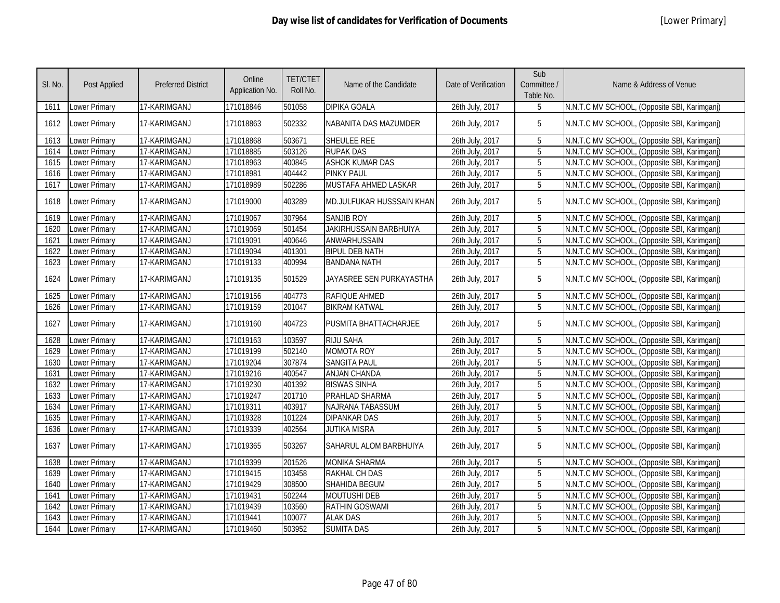| SI. No. | Post Applied  | <b>Preferred District</b> | Online<br>Application No. | <b>TET/CTET</b><br>Roll No. | Name of the Candidate     | Date of Verification | Sub<br>Committee /<br>Table No. | Name & Address of Venue                      |
|---------|---------------|---------------------------|---------------------------|-----------------------------|---------------------------|----------------------|---------------------------------|----------------------------------------------|
| 1611    | Lower Primary | 17-KARIMGANJ              | 171018846                 | 501058                      | <b>DIPIKA GOALA</b>       | 26th July, 2017      | 5                               | N.N.T.C MV SCHOOL, (Opposite SBI, Karimganj) |
| 1612    | Lower Primary | 17-KARIMGANJ              | 171018863                 | 502332                      | NABANITA DAS MAZUMDER     | 26th July, 2017      | 5                               | N.N.T.C MV SCHOOL, (Opposite SBI, Karimganj) |
| 1613    | Lower Primary | 17-KARIMGANJ              | 171018868                 | 503671                      | SHEULEE REE               | 26th July, 2017      | 5                               | N.N.T.C MV SCHOOL, (Opposite SBI, Karimganj) |
| 1614    | Lower Primary | 17-KARIMGANJ              | 171018885                 | 503126                      | <b>RUPAK DAS</b>          | 26th July, 2017      | 5                               | N.N.T.C MV SCHOOL, (Opposite SBI, Karimganj) |
| 1615    | Lower Primary | 17-KARIMGANJ              | 171018963                 | 400845                      | <b>ASHOK KUMAR DAS</b>    | 26th July, 2017      | 5                               | N.N.T.C MV SCHOOL, (Opposite SBI, Karimganj) |
| 1616    | Lower Primary | 17-KARIMGANJ              | 171018981                 | 404442                      | <b>PINKY PAUL</b>         | 26th July, 2017      | 5                               | N.N.T.C MV SCHOOL, (Opposite SBI, Karimganj) |
| 1617    | Lower Primary | 17-KARIMGANJ              | 171018989                 | 502286                      | MUSTAFA AHMED LASKAR      | 26th July, 2017      | 5                               | N.N.T.C MV SCHOOL, (Opposite SBI, Karimganj) |
| 1618    | Lower Primary | 17-KARIMGANJ              | 171019000                 | 403289                      | MD.JULFUKAR HUSSSAIN KHAN | 26th July, 2017      | 5                               | N.N.T.C MV SCHOOL, (Opposite SBI, Karimganj) |
| 1619    | Lower Primary | 17-KARIMGANJ              | 171019067                 | 307964                      | <b>SANJIB ROY</b>         | 26th July, 2017      | 5                               | N.N.T.C MV SCHOOL, (Opposite SBI, Karimganj) |
| 1620    | Lower Primary | 17-KARIMGANJ              | 171019069                 | 501454                      | JAKIRHUSSAIN BARBHUIYA    | 26th July, 2017      | 5                               | N.N.T.C MV SCHOOL, (Opposite SBI, Karimganj) |
| 1621    | Lower Primary | 17-KARIMGANJ              | 171019091                 | 400646                      | ANWARHUSSAIN              | 26th July, 2017      | 5                               | N.N.T.C MV SCHOOL, (Opposite SBI, Karimganj) |
| 1622    | Lower Primary | 17-KARIMGANJ              | 171019094                 | 401301                      | <b>BIPUL DEB NATH</b>     | 26th July, 2017      | 5                               | N.N.T.C MV SCHOOL, (Opposite SBI, Karimganj) |
| 1623    | Lower Primary | 17-KARIMGANJ              | 171019133                 | 400994                      | <b>BANDANA NATH</b>       | 26th July, 2017      | 5                               | N.N.T.C MV SCHOOL, (Opposite SBI, Karimganj) |
| 1624    | Lower Primary | 17-KARIMGANJ              | 171019135                 | 501529                      | JAYASREE SEN PURKAYASTHA  | 26th July, 2017      | 5                               | N.N.T.C MV SCHOOL, (Opposite SBI, Karimganj) |
| 1625    | Lower Primary | 17-KARIMGANJ              | 171019156                 | 404773                      | RAFIQUE AHMED             | 26th July, 2017      | 5                               | N.N.T.C MV SCHOOL, (Opposite SBI, Karimganj) |
| 1626    | Lower Primary | 17-KARIMGANJ              | 171019159                 | 201047                      | <b>BIKRAM KATWAL</b>      | 26th July, 2017      | 5                               | N.N.T.C MV SCHOOL, (Opposite SBI, Karimganj) |
| 1627    | Lower Primary | 17-KARIMGANJ              | 171019160                 | 404723                      | PUSMITA BHATTACHARJEE     | 26th July, 2017      | 5                               | N.N.T.C MV SCHOOL, (Opposite SBI, Karimganj) |
| 1628    | Lower Primary | 17-KARIMGANJ              | 171019163                 | 103597                      | <b>RIJU SAHA</b>          | 26th July, 2017      | 5                               | N.N.T.C MV SCHOOL, (Opposite SBI, Karimganj) |
| 1629    | Lower Primary | 17-KARIMGANJ              | 171019199                 | 502140                      | <b>MOMOTA ROY</b>         | 26th July, 2017      | 5                               | N.N.T.C MV SCHOOL, (Opposite SBI, Karimganj) |
| 1630    | Lower Primary | 17-KARIMGANJ              | 171019204                 | 307874                      | <b>SANGITA PAUL</b>       | 26th July, 2017      | $\overline{5}$                  | N.N.T.C MV SCHOOL, (Opposite SBI, Karimganj) |
| 1631    | Lower Primary | 17-KARIMGANJ              | 171019216                 | 400547                      | <b>ANJAN CHANDA</b>       | 26th July, 2017      | $\overline{5}$                  | N.N.T.C MV SCHOOL, (Opposite SBI, Karimganj) |
| 1632    | Lower Primary | 17-KARIMGANJ              | 171019230                 | 401392                      | <b>BISWAS SINHA</b>       | 26th July, 2017      | 5                               | N.N.T.C MV SCHOOL, (Opposite SBI, Karimganj) |
| 1633    | Lower Primary | 17-KARIMGANJ              | 171019247                 | 201710                      | PRAHLAD SHARMA            | 26th July, 2017      | 5                               | N.N.T.C MV SCHOOL, (Opposite SBI, Karimganj) |
| 1634    | Lower Primary | 17-KARIMGANJ              | 171019311                 | 403917                      | NAJRANA TABASSUM          | 26th July, 2017      | 5                               | N.N.T.C MV SCHOOL, (Opposite SBI, Karimganj) |
| 1635    | Lower Primary | 17-KARIMGANJ              | 171019328                 | 101224                      | <b>DIPANKAR DAS</b>       | 26th July, 2017      | 5                               | N.N.T.C MV SCHOOL, (Opposite SBI, Karimganj) |
| 1636    | Lower Primary | 17-KARIMGANJ              | 171019339                 | 402564                      | <b>JUTIKA MISRA</b>       | 26th July, 2017      | 5                               | N.N.T.C MV SCHOOL, (Opposite SBI, Karimganj) |
| 1637    | Lower Primary | 17-KARIMGANJ              | 171019365                 | 503267                      | SAHARUL ALOM BARBHUIYA    | 26th July, 2017      | 5                               | N.N.T.C MV SCHOOL, (Opposite SBI, Karimganj) |
| 1638    | Lower Primary | 17-KARIMGANJ              | 171019399                 | 201526                      | <b>MONIKA SHARMA</b>      | 26th July, 2017      | $5^{\circ}$                     | N.N.T.C MV SCHOOL, (Opposite SBI, Karimganj) |
| 1639    | Lower Primary | 17-KARIMGANJ              | 171019415                 | 103458                      | <b>RAKHAL CH DAS</b>      | 26th July, 2017      | 5                               | N.N.T.C MV SCHOOL, (Opposite SBI, Karimganj) |
| 1640    | Lower Primary | 17-KARIMGANJ              | 171019429                 | 308500                      | SHAHIDA BEGUM             | 26th July, 2017      | 5                               | N.N.T.C MV SCHOOL, (Opposite SBI, Karimganj) |
| 1641    | Lower Primary | 17-KARIMGANJ              | 171019431                 | 502244                      | <b>MOUTUSHI DEB</b>       | 26th July, 2017      | 5                               | N.N.T.C MV SCHOOL, (Opposite SBI, Karimganj) |
| 1642    | Lower Primary | 17-KARIMGANJ              | 171019439                 | 103560                      | <b>RATHIN GOSWAMI</b>     | 26th July, 2017      | 5                               | N.N.T.C MV SCHOOL, (Opposite SBI, Karimganj) |
| 1643    | Lower Primary | 17-KARIMGANJ              | 171019441                 | 100077                      | <b>ALAK DAS</b>           | 26th July, 2017      | 5                               | N.N.T.C MV SCHOOL, (Opposite SBI, Karimganj) |
| 1644    | Lower Primary | 17-KARIMGANJ              | 171019460                 | 503952                      | <b>SUMITA DAS</b>         | 26th July, 2017      | 5                               | N.N.T.C MV SCHOOL, (Opposite SBI, Karimganj) |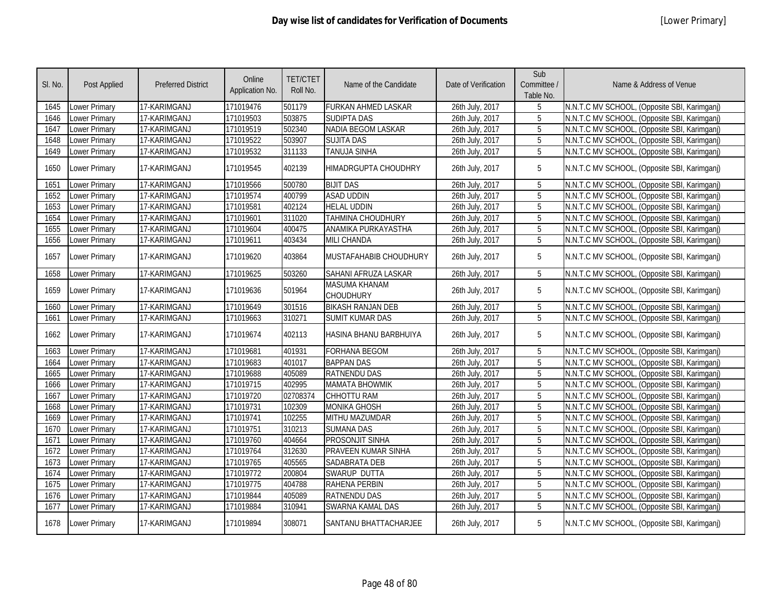| SI. No. | Post Applied         | <b>Preferred District</b> | Online<br>Application No. | <b>TET/CTET</b><br>Roll No. | Name of the Candidate                    | Date of Verification | Sub<br>Committee /<br>Table No. | Name & Address of Venue                      |
|---------|----------------------|---------------------------|---------------------------|-----------------------------|------------------------------------------|----------------------|---------------------------------|----------------------------------------------|
| 1645    | <b>Lower Primary</b> | 17-KARIMGANJ              | 171019476                 | 501179                      | <b>FURKAN AHMED LASKAR</b>               | 26th July, 2017      | 5                               | N.N.T.C MV SCHOOL, (Opposite SBI, Karimganj) |
| 1646    | <b>Lower Primary</b> | 17-KARIMGANJ              | 171019503                 | 503875                      | <b>SUDIPTA DAS</b>                       | 26th July, 2017      | 5                               | N.N.T.C MV SCHOOL, (Opposite SBI, Karimganj) |
| 1647    | <b>Lower Primary</b> | 17-KARIMGANJ              | 171019519                 | 502340                      | <b>NADIA BEGOM LASKAR</b>                | 26th July, 2017      | 5                               | N.N.T.C MV SCHOOL, (Opposite SBI, Karimganj) |
| 1648    | Lower Primary        | 17-KARIMGANJ              | 171019522                 | 503907                      | <b>SUJITA DAS</b>                        | 26th July, 2017      | 5                               | N.N.T.C MV SCHOOL, (Opposite SBI, Karimganj) |
| 1649    | Lower Primary        | 17-KARIMGANJ              | 171019532                 | 311133                      | TANUJA SINHA                             | 26th July, 2017      | 5                               | N.N.T.C MV SCHOOL, (Opposite SBI, Karimganj) |
| 1650    | Lower Primary        | 17-KARIMGANJ              | 171019545                 | 402139                      | HIMADRGUPTA CHOUDHRY                     | 26th July, 2017      | 5                               | N.N.T.C MV SCHOOL, (Opposite SBI, Karimganj) |
| 1651    | Lower Primary        | 17-KARIMGANJ              | 171019566                 | 500780                      | <b>BIJIT DAS</b>                         | 26th July, 2017      | $5\phantom{.0}$                 | N.N.T.C MV SCHOOL, (Opposite SBI, Karimganj) |
| 1652    | Lower Primary        | 17-KARIMGANJ              | 171019574                 | 400799                      | <b>ASAD UDDIN</b>                        | 26th July, 2017      | 5                               | N.N.T.C MV SCHOOL, (Opposite SBI, Karimganj) |
| 1653    | Lower Primary        | 17-KARIMGANJ              | 171019581                 | 402124                      | <b>HELAL UDDIN</b>                       | 26th July, 2017      | 5                               | N.N.T.C MV SCHOOL, (Opposite SBI, Karimganj) |
| 1654    | <b>Lower Primary</b> | 17-KARIMGANJ              | 171019601                 | 311020                      | TAHMINA CHOUDHURY                        | 26th July, 2017      | 5                               | N.N.T.C MV SCHOOL, (Opposite SBI, Karimganj) |
| 1655    | <b>Lower Primary</b> | 17-KARIMGANJ              | 171019604                 | 400475                      | ANAMIKA PURKAYASTHA                      | 26th July, 2017      | 5                               | N.N.T.C MV SCHOOL, (Opposite SBI, Karimganj) |
| 1656    | Lower Primary        | 17-KARIMGANJ              | 171019611                 | 403434                      | <b>MILI CHANDA</b>                       | 26th July, 2017      | 5                               | N.N.T.C MV SCHOOL, (Opposite SBI, Karimganj) |
| 1657    | <b>Lower Primary</b> | 17-KARIMGANJ              | 171019620                 | 403864                      | MUSTAFAHABIB CHOUDHURY                   | 26th July, 2017      | 5                               | N.N.T.C MV SCHOOL, (Opposite SBI, Karimganj) |
| 1658    | Lower Primary        | 17-KARIMGANJ              | 171019625                 | 503260                      | SAHANI AFRUZA LASKAR                     | 26th July, 2017      | 5                               | N.N.T.C MV SCHOOL, (Opposite SBI, Karimganj) |
| 1659    | <b>Lower Primary</b> | 17-KARIMGANJ              | 171019636                 | 501964                      | <b>MASUMA KHANAM</b><br><b>CHOUDHURY</b> | 26th July, 2017      | 5                               | N.N.T.C MV SCHOOL, (Opposite SBI, Karimganj) |
| 1660    | Lower Primary        | 17-KARIMGANJ              | 171019649                 | 301516                      | <b>BIKASH RANJAN DEB</b>                 | 26th July, 2017      | 5                               | N.N.T.C MV SCHOOL, (Opposite SBI, Karimganj) |
| 1661    | Lower Primary        | 17-KARIMGANJ              | 171019663                 | 310271                      | <b>SUMIT KUMAR DAS</b>                   | 26th July, 2017      | $\overline{5}$                  | N.N.T.C MV SCHOOL, (Opposite SBI, Karimganj) |
| 1662    | Lower Primary        | 17-KARIMGANJ              | 171019674                 | 402113                      | HASINA BHANU BARBHUIYA                   | 26th July, 2017      | 5                               | N.N.T.C MV SCHOOL, (Opposite SBI, Karimganj) |
| 1663    | Lower Primary        | 17-KARIMGANJ              | 171019681                 | 401931                      | <b>FORHANA BEGOM</b>                     | 26th July, 2017      | 5                               | N.N.T.C MV SCHOOL, (Opposite SBI, Karimganj) |
| 1664    | Lower Primary        | 17-KARIMGANJ              | 171019683                 | 401017                      | <b>BAPPAN DAS</b>                        | 26th July, 2017      | $\overline{5}$                  | N.N.T.C MV SCHOOL, (Opposite SBI, Karimganj) |
| 1665    | Lower Primary        | 17-KARIMGANJ              | 171019688                 | 405089                      | <b>RATNENDU DAS</b>                      | 26th July, 2017      | $\overline{5}$                  | N.N.T.C MV SCHOOL, (Opposite SBI, Karimganj) |
| 1666    | Lower Primary        | 17-KARIMGANJ              | 171019715                 | 402995                      | <b>MAMATA BHOWMIK</b>                    | 26th July, 2017      | 5                               | N.N.T.C MV SCHOOL, (Opposite SBI, Karimganj) |
| 1667    | Lower Primary        | 17-KARIMGANJ              | 171019720                 | 02708374                    | CHHOTTU RAM                              | 26th July, 2017      | 5                               | N.N.T.C MV SCHOOL, (Opposite SBI, Karimganj) |
| 1668    | <b>Lower Primary</b> | 17-KARIMGANJ              | 171019731                 | 102309                      | <b>MONIKA GHOSH</b>                      | 26th July, 2017      | $\overline{5}$                  | N.N.T.C MV SCHOOL, (Opposite SBI, Karimganj) |
| 1669    | Lower Primary        | 17-KARIMGANJ              | 171019741                 | 102255                      | <b>MITHU MAZUMDAR</b>                    | 26th July, 2017      | $\overline{5}$                  | N.N.T.C MV SCHOOL, (Opposite SBI, Karimganj) |
| 1670    | Lower Primary        | 17-KARIMGANJ              | 171019751                 | 310213                      | <b>SUMANA DAS</b>                        | 26th July, 2017      | 5                               | N.N.T.C MV SCHOOL, (Opposite SBI, Karimganj) |
| 1671    | Lower Primary        | 17-KARIMGANJ              | 171019760                 | 404664                      | <b>PROSONJIT SINHA</b>                   | 26th July, 2017      | 5                               | N.N.T.C MV SCHOOL, (Opposite SBI, Karimganj) |
| 1672    | Lower Primary        | 17-KARIMGANJ              | 171019764                 | 312630                      | PRAVEEN KUMAR SINHA                      | 26th July, 2017      | $\overline{5}$                  | N.N.T.C MV SCHOOL, (Opposite SBI, Karimganj) |
| 1673    | <b>Lower Primary</b> | 17-KARIMGANJ              | 171019765                 | 405565                      | <b>SADABRATA DEB</b>                     | 26th July, 2017      | 5                               | N.N.T.C MV SCHOOL, (Opposite SBI, Karimganj) |
| 1674    | <b>Lower Primary</b> | 17-KARIMGANJ              | 171019772                 | 200804                      | SWARUP DUTTA                             | 26th July, 2017      | $\overline{5}$                  | N.N.T.C MV SCHOOL, (Opposite SBI, Karimganj) |
| 1675    | <b>Lower Primary</b> | 17-KARIMGANJ              | 171019775                 | 404788                      | <b>RAHENA PERBIN</b>                     | 26th July, 2017      | $\overline{5}$                  | N.N.T.C MV SCHOOL, (Opposite SBI, Karimganj) |
| 1676    | Lower Primary        | 17-KARIMGANJ              | 171019844                 | 405089                      | <b>RATNENDU DAS</b>                      | 26th July, 2017      | 5                               | N.N.T.C MV SCHOOL, (Opposite SBI, Karimganj) |
| 1677    | <b>Lower Primary</b> | 17-KARIMGANJ              | 171019884                 | 310941                      | SWARNA KAMAL DAS                         | 26th July, 2017      | 5                               | N.N.T.C MV SCHOOL, (Opposite SBI, Karimganj) |
| 1678    | <b>Lower Primary</b> | 17-KARIMGANJ              | 171019894                 | 308071                      | <b>SANTANU BHATTACHARJEE</b>             | 26th July, 2017      | 5                               | N.N.T.C MV SCHOOL, (Opposite SBI, Karimgani) |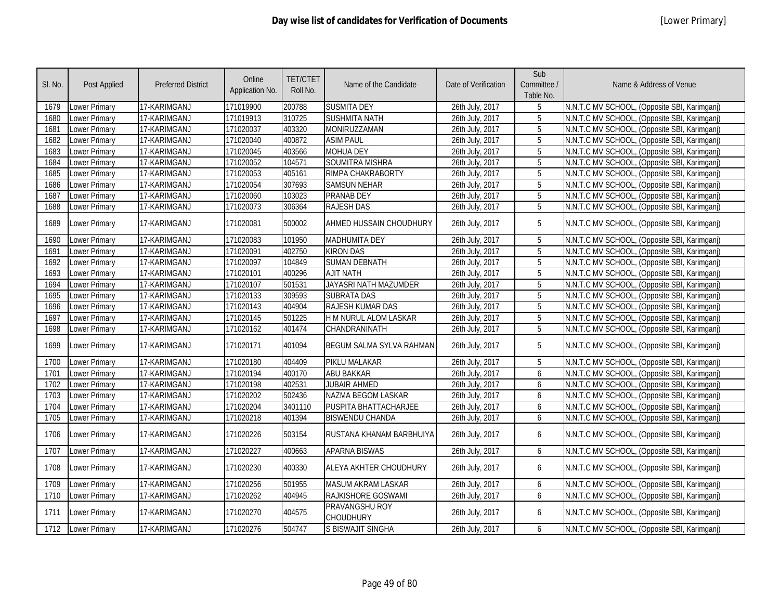| SI. No. | <b>Post Applied</b>  | <b>Preferred District</b> | Online<br>Application No. | <b>TET/CTET</b><br>Roll No. | Name of the Candidate              | Date of Verification | Sub<br>Committee /<br>Table No. | Name & Address of Venue                      |
|---------|----------------------|---------------------------|---------------------------|-----------------------------|------------------------------------|----------------------|---------------------------------|----------------------------------------------|
| 1679    | Lower Primary        | 17-KARIMGANJ              | 171019900                 | 200788                      | <b>SUSMITA DEY</b>                 | 26th July, 2017      | 5                               | N.N.T.C MV SCHOOL, (Opposite SBI, Karimganj) |
| 1680    | Lower Primary        | 17-KARIMGANJ              | 171019913                 | 310725                      | <b>SUSHMITA NATH</b>               | 26th July, 2017      | 5                               | N.N.T.C MV SCHOOL, (Opposite SBI, Karimganj) |
| 1681    | Lower Primary        | 17-KARIMGANJ              | 171020037                 | 403320                      | MONIRUZZAMAN                       | 26th July, 2017      | $\overline{5}$                  | N.N.T.C MV SCHOOL, (Opposite SBI, Karimganj) |
| 1682    | <b>Lower Primary</b> | 17-KARIMGANJ              | 171020040                 | 400872                      | <b>ASIM PAUL</b>                   | 26th July, 2017      | $\overline{5}$                  | N.N.T.C MV SCHOOL, (Opposite SBI, Karimganj) |
| 1683    | <b>Lower Primary</b> | 17-KARIMGANJ              | 171020045                 | 403566                      | <b>MOHUA DEY</b>                   | 26th July, 2017      | 5                               | N.N.T.C MV SCHOOL, (Opposite SBI, Karimganj) |
| 1684    | <b>Lower Primary</b> | 17-KARIMGANJ              | 171020052                 | 104571                      | <b>SOUMITRA MISHRA</b>             | 26th July, 2017      | $\overline{5}$                  | N.N.T.C MV SCHOOL, (Opposite SBI, Karimganj) |
| 1685    | <b>Lower Primary</b> | 17-KARIMGANJ              | 171020053                 | 405161                      | RIMPA CHAKRABORTY                  | 26th July, 2017      | $\overline{5}$                  | N.N.T.C MV SCHOOL, (Opposite SBI, Karimganj) |
| 1686    | <b>Lower Primary</b> | 17-KARIMGANJ              | 171020054                 | 307693                      | <b>SAMSUN NEHAR</b>                | 26th July, 2017      | $\overline{5}$                  | N.N.T.C MV SCHOOL, (Opposite SBI, Karimganj) |
| 1687    | <b>Lower Primary</b> | 17-KARIMGANJ              | 171020060                 | 103023                      | <b>PRANAB DEY</b>                  | 26th July, 2017      | $\overline{5}$                  | N.N.T.C MV SCHOOL, (Opposite SBI, Karimganj) |
| 1688    | <b>Lower Primary</b> | 17-KARIMGANJ              | 171020073                 | 306364                      | <b>RAJESH DAS</b>                  | 26th July, 2017      | 5                               | N.N.T.C MV SCHOOL, (Opposite SBI, Karimganj) |
| 1689    | Lower Primary        | 17-KARIMGANJ              | 171020081                 | 500002                      | AHMED HUSSAIN CHOUDHURY            | 26th July, 2017      | 5                               | N.N.T.C MV SCHOOL, (Opposite SBI, Karimganj) |
| 1690    | Lower Primary        | 17-KARIMGANJ              | 171020083                 | 101950                      | <b>MADHUMITA DEY</b>               | 26th July, 2017      | 5                               | N.N.T.C MV SCHOOL, (Opposite SBI, Karimganj) |
| 1691    | Lower Primary        | 17-KARIMGANJ              | 171020091                 | 402750                      | <b>KIRON DAS</b>                   | 26th July, 2017      | 5                               | N.N.T.C MV SCHOOL, (Opposite SBI, Karimganj) |
| 1692    | Lower Primary        | 17-KARIMGANJ              | 171020097                 | 104849                      | <b>SUMAN DEBNATH</b>               | 26th July, 2017      | 5                               | N.N.T.C MV SCHOOL, (Opposite SBI, Karimganj) |
| 1693    | Lower Primary        | 17-KARIMGANJ              | 171020101                 | 400296                      | <b>AJIT NATH</b>                   | 26th July, 2017      | 5                               | N.N.T.C MV SCHOOL, (Opposite SBI, Karimganj) |
| 1694    | <b>Lower Primary</b> | 17-KARIMGANJ              | 171020107                 | 501531                      | JAYASRI NATH MAZUMDER              | 26th July, 2017      | $\overline{5}$                  | N.N.T.C MV SCHOOL, (Opposite SBI, Karimganj) |
| 1695    | Lower Primary        | 17-KARIMGANJ              | 171020133                 | 309593                      | <b>SUBRATA DAS</b>                 | 26th July, 2017      | 5                               | N.N.T.C MV SCHOOL, (Opposite SBI, Karimganj) |
| 1696    | Lower Primary        | 17-KARIMGANJ              | 171020143                 | 404904                      | RAJESH KUMAR DAS                   | 26th July, 2017      | 5                               | N.N.T.C MV SCHOOL, (Opposite SBI, Karimganj) |
| 1697    | Lower Primary        | 17-KARIMGANJ              | 171020145                 | 501225                      | H M NURUL ALOM LASKAR              | 26th July, 2017      | 5                               | N.N.T.C MV SCHOOL, (Opposite SBI, Karimganj) |
| 1698    | <b>Lower Primary</b> | 17-KARIMGANJ              | 171020162                 | 401474                      | CHANDRANINATH                      | 26th July, 2017      | $\overline{5}$                  | N.N.T.C MV SCHOOL, (Opposite SBI, Karimganj) |
| 1699    | Lower Primary        | 17-KARIMGANJ              | 171020171                 | 401094                      | <b>BEGUM SALMA SYLVA RAHMAN</b>    | 26th July, 2017      | 5                               | N.N.T.C MV SCHOOL, (Opposite SBI, Karimganj) |
| 1700    | <b>Lower Primary</b> | 17-KARIMGANJ              | 171020180                 | 404409                      | PIKLU MALAKAR                      | 26th July, 2017      | 5                               | N.N.T.C MV SCHOOL, (Opposite SBI, Karimganj) |
| 1701    | <b>Lower Primary</b> | 17-KARIMGANJ              | 171020194                 | 400170                      | <b>ABU BAKKAR</b>                  | 26th July, 2017      | 6                               | N.N.T.C MV SCHOOL, (Opposite SBI, Karimganj) |
| 1702    | <b>Lower Primary</b> | 17-KARIMGANJ              | 171020198                 | 402531                      | <b>JUBAIR AHMED</b>                | 26th July, 2017      | 6                               | N.N.T.C MV SCHOOL, (Opposite SBI, Karimganj) |
| 1703    | Lower Primary        | 17-KARIMGANJ              | 171020202                 | 502436                      | <b>NAZMA BEGOM LASKAR</b>          | 26th July, 2017      | 6                               | N.N.T.C MV SCHOOL, (Opposite SBI, Karimganj) |
| 1704    | Lower Primary        | 17-KARIMGANJ              | 171020204                 | 3401110                     | PUSPITA BHATTACHARJEE              | 26th July, 2017      | 6                               | N.N.T.C MV SCHOOL, (Opposite SBI, Karimganj) |
| 1705    | <b>Lower Primary</b> | 17-KARIMGANJ              | 171020218                 | 401394                      | <b>BISWENDU CHANDA</b>             | 26th July, 2017      | 6                               | N.N.T.C MV SCHOOL, (Opposite SBI, Karimganj) |
| 1706    | <b>Lower Primary</b> | 17-KARIMGANJ              | 171020226                 | 503154                      | RUSTANA KHANAM BARBHUIYA           | 26th July, 2017      | 6                               | N.N.T.C MV SCHOOL, (Opposite SBI, Karimganj) |
| 1707    | Lower Primary        | 17-KARIMGANJ              | 171020227                 | 400663                      | <b>APARNA BISWAS</b>               | 26th July, 2017      | 6                               | N.N.T.C MV SCHOOL, (Opposite SBI, Karimganj) |
| 1708    | Lower Primary        | 17-KARIMGANJ              | 171020230                 | 400330                      | ALEYA AKHTER CHOUDHURY             | 26th July, 2017      | 6                               | N.N.T.C MV SCHOOL, (Opposite SBI, Karimganj) |
| 1709    | <b>Lower Primary</b> | 17-KARIMGANJ              | 171020256                 | 501955                      | <b>MASUM AKRAM LASKAR</b>          | 26th July, 2017      | 6                               | N.N.T.C MV SCHOOL, (Opposite SBI, Karimganj) |
| 1710    | Lower Primary        | 17-KARIMGANJ              | 171020262                 | 404945                      | <b>RAJKISHORE GOSWAMI</b>          | 26th July, 2017      | 6                               | N.N.T.C MV SCHOOL, (Opposite SBI, Karimganj) |
| 1711    | <b>Lower Primary</b> | 17-KARIMGANJ              | 171020270                 | 404575                      | PRAVANGSHU ROY<br><b>CHOUDHURY</b> | 26th July, 2017      | 6                               | N.N.T.C MV SCHOOL, (Opposite SBI, Karimganj) |
| 1712    | Lower Primary        | 17-KARIMGANJ              | 171020276                 | 504747                      | S BISWAJIT SINGHA                  | 26th July, 2017      | 6                               | N.N.T.C MV SCHOOL, (Opposite SBI, Karimganj) |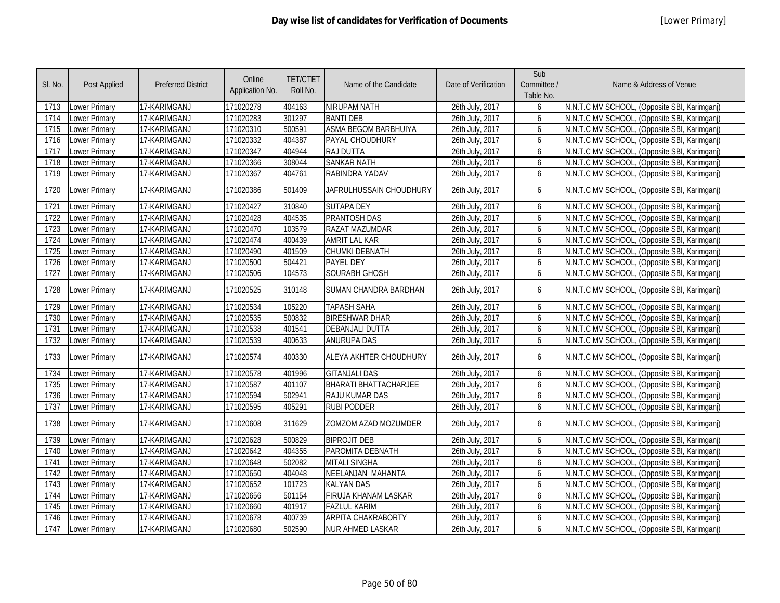| SI. No. | Post Applied         | <b>Preferred District</b> | Online<br>Application No. | <b>TET/CTET</b><br>Roll No. | Name of the Candidate        | Date of Verification | Sub<br>Committee /<br>Table No. | Name & Address of Venue                      |
|---------|----------------------|---------------------------|---------------------------|-----------------------------|------------------------------|----------------------|---------------------------------|----------------------------------------------|
| 1713    | Lower Primary        | 17-KARIMGANJ              | 171020278                 | 404163                      | NIRUPAM NATH                 | 26th July, 2017      | 6                               | N.N.T.C MV SCHOOL, (Opposite SBI, Karimganj) |
| 1714    | Lower Primary        | 17-KARIMGANJ              | 171020283                 | 301297                      | <b>BANTI DEB</b>             | 26th July, 2017      | 6                               | N.N.T.C MV SCHOOL, (Opposite SBI, Karimganj) |
| 1715    | Lower Primary        | 17-KARIMGANJ              | 171020310                 | 500591                      | <b>ASMA BEGOM BARBHUIYA</b>  | 26th July, 2017      | 6                               | N.N.T.C MV SCHOOL, (Opposite SBI, Karimganj) |
| 1716    | <b>Lower Primary</b> | 17-KARIMGANJ              | 171020332                 | 404387                      | PAYAL CHOUDHURY              | 26th July, 2017      | 6                               | N.N.T.C MV SCHOOL, (Opposite SBI, Karimganj) |
| 1717    | <b>Lower Primary</b> | 17-KARIMGANJ              | 171020347                 | 404944                      | <b>RAJ DUTTA</b>             | 26th July, 2017      | 6                               | N.N.T.C MV SCHOOL, (Opposite SBI, Karimganj) |
| 1718    | <b>Lower Primary</b> | 17-KARIMGANJ              | 171020366                 | 308044                      | <b>SANKAR NATH</b>           | 26th July, 2017      | 6                               | N.N.T.C MV SCHOOL, (Opposite SBI, Karimganj) |
| 1719    | Lower Primary        | 17-KARIMGANJ              | 171020367                 | 404761                      | RABINDRA YADAV               | 26th July, 2017      | 6                               | N.N.T.C MV SCHOOL, (Opposite SBI, Karimganj) |
| 1720    | <b>Lower Primary</b> | 17-KARIMGANJ              | 171020386                 | 501409                      | JAFRULHUSSAIN CHOUDHURY      | 26th July, 2017      | 6                               | N.N.T.C MV SCHOOL, (Opposite SBI, Karimganj) |
| 1721    | Lower Primary        | 17-KARIMGANJ              | 171020427                 | 310840                      | <b>SUTAPA DEY</b>            | 26th July, 2017      | 6                               | N.N.T.C MV SCHOOL, (Opposite SBI, Karimganj) |
| 1722    | <b>Lower Primary</b> | 17-KARIMGANJ              | 171020428                 | 404535                      | <b>PRANTOSH DAS</b>          | 26th July, 2017      | 6                               | N.N.T.C MV SCHOOL, (Opposite SBI, Karimganj) |
| 1723    | <b>Lower Primary</b> | 17-KARIMGANJ              | 171020470                 | 103579                      | RAZAT MAZUMDAR               | 26th July, 2017      | 6                               | N.N.T.C MV SCHOOL, (Opposite SBI, Karimganj) |
| 1724    | <b>Lower Primary</b> | 17-KARIMGANJ              | 171020474                 | 400439                      | <b>AMRIT LAL KAR</b>         | 26th July, 2017      | 6                               | N.N.T.C MV SCHOOL, (Opposite SBI, Karimganj) |
| 1725    | Lower Primary        | 17-KARIMGANJ              | 171020490                 | 401509                      | CHUMKI DEBNATH               | 26th July, 2017      | 6                               | N.N.T.C MV SCHOOL, (Opposite SBI, Karimganj) |
| 1726    | <b>Lower Primary</b> | 17-KARIMGANJ              | 171020500                 | 504421                      | <b>PAYEL DEY</b>             | 26th July, 2017      | 6                               | N.N.T.C MV SCHOOL, (Opposite SBI, Karimganj) |
| 1727    | <b>Lower Primary</b> | 17-KARIMGANJ              | 171020506                 | 104573                      | <b>SOURABH GHOSH</b>         | 26th July, 2017      | 6                               | N.N.T.C MV SCHOOL, (Opposite SBI, Karimganj) |
| 1728    | Lower Primary        | 17-KARIMGANJ              | 171020525                 | 310148                      | SUMAN CHANDRA BARDHAN        | 26th July, 2017      | 6                               | N.N.T.C MV SCHOOL, (Opposite SBI, Karimganj) |
| 1729    | <b>Lower Primary</b> | 17-KARIMGANJ              | 171020534                 | 105220                      | <b>TAPASH SAHA</b>           | 26th July, 2017      | 6                               | N.N.T.C MV SCHOOL, (Opposite SBI, Karimganj) |
| 1730    | <b>Lower Primary</b> | 17-KARIMGANJ              | 171020535                 | 500832                      | <b>BIRESHWAR DHAR</b>        | 26th July, 2017      | 6                               | N.N.T.C MV SCHOOL, (Opposite SBI, Karimganj) |
| 1731    | Lower Primary        | 17-KARIMGANJ              | 171020538                 | 401541                      | <b>DEBANJALI DUTTA</b>       | 26th July, 2017      | 6                               | N.N.T.C MV SCHOOL, (Opposite SBI, Karimganj) |
| 1732    | Lower Primary        | 17-KARIMGANJ              | 171020539                 | 400633                      | <b>ANURUPA DAS</b>           | 26th July, 2017      | 6                               | N.N.T.C MV SCHOOL, (Opposite SBI, Karimganj) |
| 1733    | <b>Lower Primary</b> | 17-KARIMGANJ              | 171020574                 | 400330                      | ALEYA AKHTER CHOUDHURY       | 26th July, 2017      | 6                               | N.N.T.C MV SCHOOL, (Opposite SBI, Karimganj) |
| 1734    | <b>Lower Primary</b> | 17-KARIMGANJ              | 171020578                 | 401996                      | <b>GITANJALI DAS</b>         | 26th July, 2017      | 6                               | N.N.T.C MV SCHOOL, (Opposite SBI, Karimganj) |
| 1735    | <b>Lower Primary</b> | 17-KARIMGANJ              | 171020587                 | 401107                      | <b>BHARATI BHATTACHARJEE</b> | 26th July, 2017      | 6                               | N.N.T.C MV SCHOOL, (Opposite SBI, Karimganj) |
| 1736    | Lower Primary        | 17-KARIMGANJ              | 171020594                 | 502941                      | RAJU KUMAR DAS               | 26th July, 2017      | 6                               | N.N.T.C MV SCHOOL, (Opposite SBI, Karimganj) |
| 1737    | Lower Primary        | 17-KARIMGANJ              | 171020595                 | 405291                      | <b>RUBI PODDER</b>           | 26th July, 2017      | 6                               | N.N.T.C MV SCHOOL, (Opposite SBI, Karimganj) |
| 1738    | Lower Primary        | 17-KARIMGANJ              | 171020608                 | 311629                      | ZOMZOM AZAD MOZUMDER         | 26th July, 2017      | 6                               | N.N.T.C MV SCHOOL, (Opposite SBI, Karimganj) |
| 1739    | <b>Lower Primary</b> | 17-KARIMGANJ              | 171020628                 | 500829                      | <b>BIPROJIT DEB</b>          | 26th July, 2017      | 6                               | N.N.T.C MV SCHOOL, (Opposite SBI, Karimganj) |
| 1740    | <b>Lower Primary</b> | 17-KARIMGANJ              | 171020642                 | 404355                      | PAROMITA DEBNATH             | 26th July, 2017      | 6                               | N.N.T.C MV SCHOOL, (Opposite SBI, Karimganj) |
| 1741    | <b>Lower Primary</b> | 17-KARIMGANJ              | 171020648                 | 502082                      | <b>MITALI SINGHA</b>         | 26th July, 2017      | 6                               | N.N.T.C MV SCHOOL, (Opposite SBI, Karimganj) |
| 1742    | <b>Lower Primary</b> | 17-KARIMGANJ              | 171020650                 | 404048                      | NEELANJAN MAHANTA            | 26th July, 2017      | 6                               | N.N.T.C MV SCHOOL, (Opposite SBI, Karimganj) |
| 1743    | <b>Lower Primary</b> | 17-KARIMGANJ              | 171020652                 | 101723                      | <b>KALYAN DAS</b>            | 26th July, 2017      | 6                               | N.N.T.C MV SCHOOL, (Opposite SBI, Karimganj) |
| 1744    | <b>Lower Primary</b> | 17-KARIMGANJ              | 171020656                 | 501154                      | <b>FIRUJA KHANAM LASKAR</b>  | 26th July, 2017      | 6                               | N.N.T.C MV SCHOOL, (Opposite SBI, Karimganj) |
| 1745    | <b>Lower Primary</b> | 17-KARIMGANJ              | 171020660                 | 401917                      | <b>FAZLUL KARIM</b>          | 26th July, 2017      | 6                               | N.N.T.C MV SCHOOL, (Opposite SBI, Karimganj) |
| 1746    | <b>Lower Primary</b> | 17-KARIMGANJ              | 171020678                 | 400739                      | <b>ARPITA CHAKRABORTY</b>    | 26th July, 2017      | 6                               | N.N.T.C MV SCHOOL, (Opposite SBI, Karimganj) |
| 1747    | <b>Lower Primary</b> | 17-KARIMGANJ              | 171020680                 | 502590                      | <b>NUR AHMED LASKAR</b>      | 26th July, 2017      | 6                               | N.N.T.C MV SCHOOL, (Opposite SBI, Karimganj) |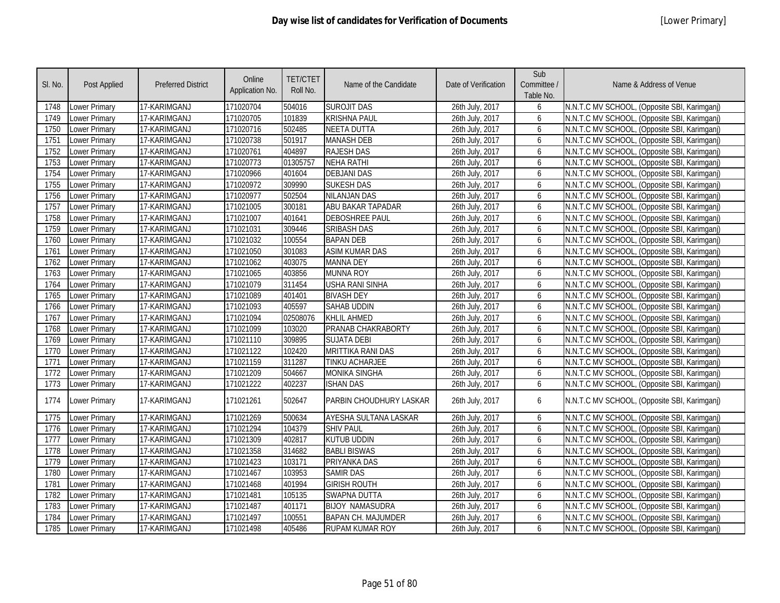| SI. No. | <b>Post Applied</b>  | <b>Preferred District</b> | Online<br>Application No. | <b>TET/CTET</b><br>Roll No. | Name of the Candidate     | Date of Verification | Sub<br>Committee /<br>Table No. | Name & Address of Venue                      |
|---------|----------------------|---------------------------|---------------------------|-----------------------------|---------------------------|----------------------|---------------------------------|----------------------------------------------|
| 1748    | Lower Primary        | 17-KARIMGANJ              | 171020704                 | 504016                      | <b>SUROJIT DAS</b>        | 26th July, 2017      | 6                               | N.N.T.C MV SCHOOL, (Opposite SBI, Karimganj) |
| 1749    | Lower Primary        | 17-KARIMGANJ              | 171020705                 | 101839                      | <b>KRISHNA PAUL</b>       | 26th July, 2017      | 6                               | N.N.T.C MV SCHOOL, (Opposite SBI, Karimganj) |
| 1750    | Lower Primary        | 17-KARIMGANJ              | 171020716                 | 502485                      | <b>NEETA DUTTA</b>        | 26th July, 2017      | 6                               | N.N.T.C MV SCHOOL, (Opposite SBI, Karimganj) |
| 1751    | <b>Lower Primary</b> | 17-KARIMGANJ              | 171020738                 | 501917                      | <b>MANASH DEB</b>         | 26th July, 2017      | 6                               | N.N.T.C MV SCHOOL, (Opposite SBI, Karimganj) |
| 1752    | Lower Primary        | 17-KARIMGANJ              | 171020761                 | 404897                      | <b>RAJESH DAS</b>         | 26th July, 2017      | 6                               | N.N.T.C MV SCHOOL, (Opposite SBI, Karimganj) |
| 1753    | Lower Primary        | 17-KARIMGANJ              | 171020773                 | 01305757                    | <b>NEHA RATHI</b>         | 26th July, 2017      | 6                               | N.N.T.C MV SCHOOL, (Opposite SBI, Karimganj) |
| 1754    | Lower Primary        | 17-KARIMGANJ              | 171020966                 | 401604                      | <b>DEBJANI DAS</b>        | 26th July, 2017      | 6                               | N.N.T.C MV SCHOOL, (Opposite SBI, Karimganj) |
| 1755    | Lower Primary        | 17-KARIMGANJ              | 171020972                 | 309990                      | <b>SUKESH DAS</b>         | 26th July, 2017      | 6                               | N.N.T.C MV SCHOOL, (Opposite SBI, Karimganj) |
| 1756    | <b>Lower Primary</b> | 17-KARIMGANJ              | 171020977                 | 502504                      | <b>NILANJAN DAS</b>       | 26th July, 2017      | 6                               | N.N.T.C MV SCHOOL, (Opposite SBI, Karimganj) |
| 1757    | Lower Primary        | 17-KARIMGANJ              | 171021005                 | 300181                      | ABU BAKAR TAPADAR         | 26th July, 2017      | 6                               | N.N.T.C MV SCHOOL, (Opposite SBI, Karimganj) |
| 1758    | Lower Primary        | 17-KARIMGANJ              | 171021007                 | 401641                      | <b>DEBOSHREE PAUL</b>     | 26th July, 2017      | 6                               | N.N.T.C MV SCHOOL, (Opposite SBI, Karimgani) |
| 1759    | Lower Primary        | 17-KARIMGANJ              | 171021031                 | 309446                      | <b>SRIBASH DAS</b>        | 26th July, 2017      | 6                               | N.N.T.C MV SCHOOL, (Opposite SBI, Karimganj) |
| 1760    | Lower Primary        | 17-KARIMGANJ              | 171021032                 | 100554                      | <b>BAPAN DEB</b>          | 26th July, 2017      | 6                               | N.N.T.C MV SCHOOL, (Opposite SBI, Karimganj) |
| 1761    | Lower Primary        | 17-KARIMGANJ              | 171021050                 | 301083                      | <b>ASIM KUMAR DAS</b>     | 26th July, 2017      | 6                               | N.N.T.C MV SCHOOL, (Opposite SBI, Karimganj) |
| 1762    | Lower Primary        | 17-KARIMGANJ              | 171021062                 | 403075                      | <b>MANNA DEY</b>          | 26th July, 2017      | 6                               | N.N.T.C MV SCHOOL, (Opposite SBI, Karimganj) |
| 1763    | Lower Primary        | 17-KARIMGANJ              | 171021065                 | 403856                      | <b>MUNNA ROY</b>          | 26th July, 2017      | 6                               | N.N.T.C MV SCHOOL, (Opposite SBI, Karimganj) |
| 1764    | Lower Primary        | 17-KARIMGANJ              | 171021079                 | 311454                      | <b>USHA RANI SINHA</b>    | 26th July, 2017      | 6                               | N.N.T.C MV SCHOOL, (Opposite SBI, Karimgani) |
| 1765    | Lower Primary        | 17-KARIMGANJ              | 171021089                 | 401401                      | <b>BIVASH DEY</b>         | 26th July, 2017      | 6                               | N.N.T.C MV SCHOOL, (Opposite SBI, Karimganj) |
| 1766    | Lower Primary        | 17-KARIMGANJ              | 171021093                 | 405597                      | SAHAB UDDIN               | 26th July, 2017      | 6                               | N.N.T.C MV SCHOOL, (Opposite SBI, Karimganj) |
| 1767    | Lower Primary        | 17-KARIMGANJ              | 171021094                 | 02508076                    | <b>KHLIL AHMED</b>        | 26th July, 2017      | 6                               | N.N.T.C MV SCHOOL, (Opposite SBI, Karimganj) |
| 1768    | Lower Primary        | 17-KARIMGANJ              | 171021099                 | 103020                      | PRANAB CHAKRABORTY        | 26th July, 2017      | 6                               | N.N.T.C MV SCHOOL, (Opposite SBI, Karimganj) |
| 1769    | Lower Primary        | 17-KARIMGANJ              | 171021110                 | 309895                      | <b>SUJATA DEBI</b>        | 26th July, 2017      | 6                               | N.N.T.C MV SCHOOL, (Opposite SBI, Karimganj) |
| 1770    | Lower Primary        | 17-KARIMGANJ              | 171021122                 | 102420                      | <b>MRITTIKA RANI DAS</b>  | 26th July, 2017      | 6                               | N.N.T.C MV SCHOOL, (Opposite SBI, Karimganj) |
| 1771    | Lower Primary        | 17-KARIMGANJ              | 171021159                 | 311287                      | TINKU ACHARJEE            | 26th July, 2017      | 6                               | N.N.T.C MV SCHOOL, (Opposite SBI, Karimganj) |
| 1772    | Lower Primary        | 17-KARIMGANJ              | 171021209                 | 504667                      | <b>MONIKA SINGHA</b>      | 26th July, 2017      | 6                               | N.N.T.C MV SCHOOL, (Opposite SBI, Karimganj) |
| 1773    | Lower Primary        | 17-KARIMGANJ              | 171021222                 | 402237                      | <b>ISHAN DAS</b>          | 26th July, 2017      | 6                               | N.N.T.C MV SCHOOL, (Opposite SBI, Karimganj) |
| 1774    | Lower Primary        | 17-KARIMGANJ              | 171021261                 | 502647                      | PARBIN CHOUDHURY LASKAR   | 26th July, 2017      | 6                               | N.N.T.C MV SCHOOL, (Opposite SBI, Karimganj) |
| 1775    | <b>Lower Primary</b> | 17-KARIMGANJ              | 171021269                 | 500634                      | AYESHA SULTANA LASKAR     | 26th July, 2017      | 6                               | N.N.T.C MV SCHOOL, (Opposite SBI, Karimganj) |
| 1776    | Lower Primary        | 17-KARIMGANJ              | 171021294                 | 104379                      | <b>SHIV PAUL</b>          | 26th July, 2017      | 6                               | N.N.T.C MV SCHOOL, (Opposite SBI, Karimganj) |
| 1777    | Lower Primary        | 17-KARIMGANJ              | 171021309                 | 402817                      | <b>KUTUB UDDIN</b>        | 26th July, 2017      | 6                               | N.N.T.C MV SCHOOL, (Opposite SBI, Karimganj) |
| 1778    | Lower Primary        | 17-KARIMGANJ              | 171021358                 | 314682                      | <b>BABLI BISWAS</b>       | 26th July, 2017      | 6                               | N.N.T.C MV SCHOOL, (Opposite SBI, Karimganj) |
| 1779    | Lower Primary        | 17-KARIMGANJ              | 171021423                 | 103171                      | PRIYANKA DAS              | 26th July, 2017      | 6                               | N.N.T.C MV SCHOOL, (Opposite SBI, Karimganj) |
| 1780    | <b>Lower Primary</b> | 17-KARIMGANJ              | 171021467                 | 103953                      | <b>SAMIR DAS</b>          | 26th July, 2017      | 6                               | N.N.T.C MV SCHOOL, (Opposite SBI, Karimganj) |
| 1781    | Lower Primary        | 17-KARIMGANJ              | 171021468                 | 401994                      | <b>GIRISH ROUTH</b>       | 26th July, 2017      | 6                               | N.N.T.C MV SCHOOL, (Opposite SBI, Karimganj) |
| 1782    | Lower Primary        | 17-KARIMGANJ              | 171021481                 | 105135                      | SWAPNA DUTTA              | 26th July, 2017      | 6                               | N.N.T.C MV SCHOOL, (Opposite SBI, Karimganj) |
| 1783    | Lower Primary        | 17-KARIMGANJ              | 171021487                 | 401171                      | <b>BIJOY NAMASUDRA</b>    | 26th July, 2017      | 6                               | N.N.T.C MV SCHOOL, (Opposite SBI, Karimganj) |
| 1784    | Lower Primary        | 17-KARIMGANJ              | 171021497                 | 100551                      | <b>BAPAN CH. MAJUMDER</b> | 26th July, 2017      | 6                               | N.N.T.C MV SCHOOL, (Opposite SBI, Karimganj) |
| 1785    | Lower Primary        | 17-KARIMGANJ              | 171021498                 | 405486                      | <b>RUPAM KUMAR ROY</b>    | 26th July, 2017      | 6                               | N.N.T.C MV SCHOOL, (Opposite SBI, Karimganj) |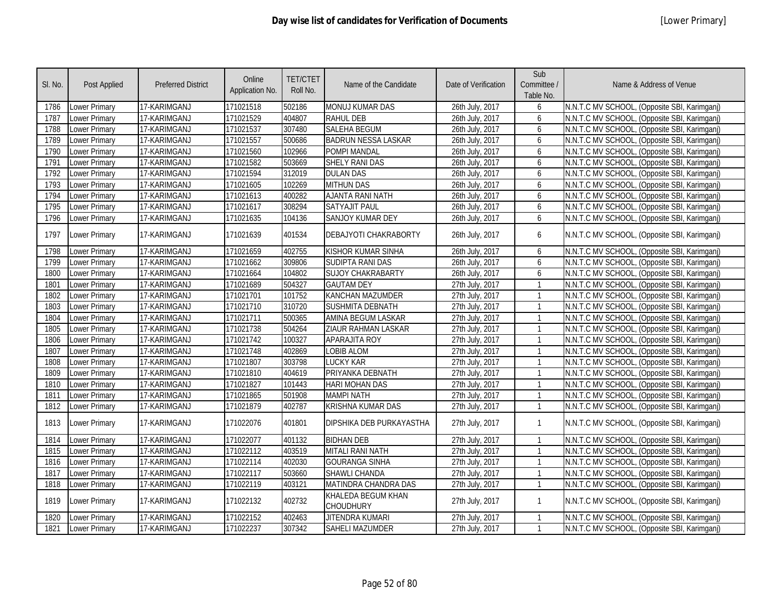| SI. No. | Post Applied         | <b>Preferred District</b> | Online<br>Application No. | <b>TET/CTET</b><br>Roll No. | Name of the Candidate           | Date of Verification | Sub<br>Committee /<br>Table No. | Name & Address of Venue                      |
|---------|----------------------|---------------------------|---------------------------|-----------------------------|---------------------------------|----------------------|---------------------------------|----------------------------------------------|
| 1786    | Lower Primary        | 17-KARIMGANJ              | 171021518                 | 502186                      | MONUJ KUMAR DAS                 | 26th July, 2017      | 6                               | N.N.T.C MV SCHOOL, (Opposite SBI, Karimganj) |
| 1787    | Lower Primary        | 17-KARIMGANJ              | 171021529                 | 404807                      | <b>RAHUL DEB</b>                | 26th July, 2017      | 6                               | N.N.T.C MV SCHOOL, (Opposite SBI, Karimganj) |
| 1788    | Lower Primary        | 17-KARIMGANJ              | 171021537                 | 307480                      | <b>SALEHA BEGUM</b>             | 26th July, 2017      | 6                               | N.N.T.C MV SCHOOL, (Opposite SBI, Karimganj) |
| 1789    | <b>Lower Primary</b> | 17-KARIMGANJ              | 171021557                 | 500686                      | <b>BADRUN NESSA LASKAR</b>      | 26th July, 2017      | 6                               | N.N.T.C MV SCHOOL, (Opposite SBI, Karimganj) |
| 1790    | Lower Primary        | 17-KARIMGANJ              | 171021560                 | 102966                      | <b>POMPI MANDAL</b>             | 26th July, 2017      | 6                               | N.N.T.C MV SCHOOL, (Opposite SBI, Karimganj) |
| 1791    | <b>Lower Primary</b> | 17-KARIMGANJ              | 171021582                 | 503669                      | <b>SHELY RANI DAS</b>           | 26th July, 2017      | 6                               | N.N.T.C MV SCHOOL, (Opposite SBI, Karimganj) |
| 1792    | Lower Primary        | 17-KARIMGANJ              | 171021594                 | 312019                      | <b>DULAN DAS</b>                | 26th July, 2017      | 6                               | N.N.T.C MV SCHOOL, (Opposite SBI, Karimganj) |
| 1793    | Lower Primary        | 17-KARIMGANJ              | 171021605                 | 102269                      | <b>MITHUN DAS</b>               | 26th July, 2017      | 6                               | N.N.T.C MV SCHOOL, (Opposite SBI, Karimganj) |
| 1794    | Lower Primary        | 17-KARIMGANJ              | 171021613                 | 400282                      | AJANTA RANI NATH                | 26th July, 2017      | 6                               | N.N.T.C MV SCHOOL, (Opposite SBI, Karimganj) |
| 1795    | Lower Primary        | 17-KARIMGANJ              | 171021617                 | 308294                      | <b>SATYAJIT PAUL</b>            | 26th July, 2017      | 6                               | N.N.T.C MV SCHOOL, (Opposite SBI, Karimganj) |
| 1796    | Lower Primary        | 17-KARIMGANJ              | 171021635                 | 104136                      | SANJOY KUMAR DEY                | 26th July, 2017      | 6                               | N.N.T.C MV SCHOOL, (Opposite SBI, Karimganj) |
| 1797    | Lower Primary        | 17-KARIMGANJ              | 171021639                 | 401534                      | DEBAJYOTI CHAKRABORTY           | 26th July, 2017      | 6                               | N.N.T.C MV SCHOOL, (Opposite SBI, Karimganj) |
| 1798    | Lower Primary        | 17-KARIMGANJ              | 171021659                 | 402755                      | KISHOR KUMAR SINHA              | 26th July, 2017      | 6                               | N.N.T.C MV SCHOOL, (Opposite SBI, Karimganj) |
| 1799    | Lower Primary        | 17-KARIMGANJ              | 171021662                 | 309806                      | SUDIPTA RANI DAS                | 26th July, 2017      | 6                               | N.N.T.C MV SCHOOL, (Opposite SBI, Karimganj) |
| 1800    | Lower Primary        | 17-KARIMGANJ              | 171021664                 | 104802                      | <b>SUJOY CHAKRABARTY</b>        | 26th July, 2017      | 6                               | N.N.T.C MV SCHOOL, (Opposite SBI, Karimganj) |
| 1801    | Lower Primary        | 17-KARIMGANJ              | 171021689                 | 504327                      | <b>GAUTAM DEY</b>               | 27th July, 2017      | $\mathbf{1}$                    | N.N.T.C MV SCHOOL, (Opposite SBI, Karimganj) |
| 1802    | Lower Primary        | 17-KARIMGANJ              | 171021701                 | 101752                      | <b>KANCHAN MAZUMDER</b>         | 27th July, 2017      | $\mathbf{1}$                    | N.N.T.C MV SCHOOL, (Opposite SBI, Karimganj) |
| 1803    | Lower Primary        | 17-KARIMGANJ              | 171021710                 | 310720                      | SUSHMITA DEBNATH                | 27th July, 2017      | $\mathbf{1}$                    | N.N.T.C MV SCHOOL, (Opposite SBI, Karimganj) |
| 1804    | Lower Primary        | 17-KARIMGANJ              | 171021711                 | 500365                      | AMINA BEGUM LASKAR              | 27th July, 2017      | $\mathbf{1}$                    | N.N.T.C MV SCHOOL, (Opposite SBI, Karimganj) |
| 1805    | Lower Primary        | 17-KARIMGANJ              | 171021738                 | 504264                      | ZIAUR RAHMAN LASKAR             | 27th July, 2017      | $\mathbf{1}$                    | N.N.T.C MV SCHOOL, (Opposite SBI, Karimganj) |
| 1806    | Lower Primary        | 17-KARIMGANJ              | 171021742                 | 100327                      | <b>APARAJITA ROY</b>            | 27th July, 2017      | $\mathbf{1}$                    | N.N.T.C MV SCHOOL, (Opposite SBI, Karimganj) |
| 1807    | Lower Primary        | 17-KARIMGANJ              | 171021748                 | 402869                      | LOBIB ALOM                      | 27th July, 2017      | $\mathbf{1}$                    | N.N.T.C MV SCHOOL, (Opposite SBI, Karimganj) |
| 1808    | Lower Primary        | 17-KARIMGANJ              | 171021807                 | 303798                      | <b>LUCKY KAR</b>                | 27th July, 2017      | $\mathbf{1}$                    | N.N.T.C MV SCHOOL, (Opposite SBI, Karimganj) |
| 1809    | Lower Primary        | 17-KARIMGANJ              | 171021810                 | 404619                      | PRIYANKA DEBNATH                | 27th July, 2017      | $\mathbf{1}$                    | N.N.T.C MV SCHOOL, (Opposite SBI, Karimganj) |
| 1810    | Lower Primary        | 17-KARIMGANJ              | 171021827                 | 101443                      | <b>HARI MOHAN DAS</b>           | 27th July, 2017      | $\mathbf{1}$                    | N.N.T.C MV SCHOOL, (Opposite SBI, Karimganj) |
| 1811    | Lower Primary        | 17-KARIMGANJ              | 171021865                 | 501908                      | <b>MAMPI NATH</b>               | 27th July, 2017      | $\mathbf{1}$                    | N.N.T.C MV SCHOOL, (Opposite SBI, Karimganj) |
| 1812    | Lower Primary        | 17-KARIMGANJ              | 171021879                 | 402787                      | KRISHNA KUMAR DAS               | 27th July, 2017      | $\mathbf{1}$                    | N.N.T.C MV SCHOOL, (Opposite SBI, Karimganj) |
| 1813    | Lower Primary        | 17-KARIMGANJ              | 171022076                 | 401801                      | DIPSHIKA DEB PURKAYASTHA        | 27th July, 2017      | $\mathbf{1}$                    | N.N.T.C MV SCHOOL, (Opposite SBI, Karimganj) |
| 1814    | Lower Primary        | 17-KARIMGANJ              | 171022077                 | 401132                      | <b>BIDHAN DEB</b>               | 27th July, 2017      | $\mathbf{1}$                    | N.N.T.C MV SCHOOL, (Opposite SBI, Karimganj) |
| 1815    | Lower Primary        | 17-KARIMGANJ              | 171022112                 | 403519                      | MITALI RANI NATH                | 27th July, 2017      | $\mathbf{1}$                    | N.N.T.C MV SCHOOL, (Opposite SBI, Karimganj) |
| 1816    | Lower Primary        | 17-KARIMGANJ              | 171022114                 | 402030                      | <b>GOURANGA SINHA</b>           | 27th July, 2017      | $\mathbf{1}$                    | N.N.T.C MV SCHOOL, (Opposite SBI, Karimganj) |
| 1817    | Lower Primary        | 17-KARIMGANJ              | 171022117                 | 503660                      | SHAWLI CHANDA                   | 27th July, 2017      | $\mathbf{1}$                    | N.N.T.C MV SCHOOL, (Opposite SBI, Karimganj) |
| 1818    | Lower Primary        | 17-KARIMGANJ              | 171022119                 | 403121                      | MATINDRA CHANDRA DAS            | 27th July, 2017      | $\mathbf{1}$                    | N.N.T.C MV SCHOOL, (Opposite SBI, Karimganj) |
| 1819    | Lower Primary        | 17-KARIMGANJ              | 171022132                 | 402732                      | KHALEDA BEGUM KHAN<br>CHOUDHURY | 27th July, 2017      | $\mathbf{1}$                    | N.N.T.C MV SCHOOL, (Opposite SBI, Karimganj) |
| 1820    | Lower Primary        | 17-KARIMGANJ              | 171022152                 | 402463                      | <b>JITENDRA KUMARI</b>          | 27th July, 2017      | $\mathbf{1}$                    | N.N.T.C MV SCHOOL, (Opposite SBI, Karimganj) |
| 1821    | Lower Primary        | 17-KARIMGANJ              | 171022237                 | 307342                      | SAHELI MAZUMDER                 | 27th July, 2017      | $\mathbf{1}$                    | N.N.T.C MV SCHOOL, (Opposite SBI, Karimganj) |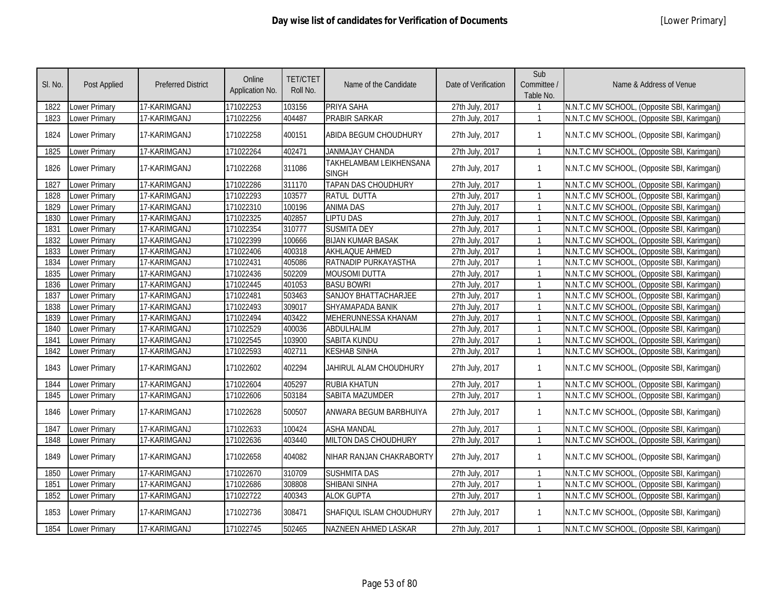| SI. No. | Post Applied         | <b>Preferred District</b> | Online<br>Application No. | <b>TET/CTET</b><br>Roll No. | Name of the Candidate            | Date of Verification | Sub<br>Committee /<br>Table No. | Name & Address of Venue                      |
|---------|----------------------|---------------------------|---------------------------|-----------------------------|----------------------------------|----------------------|---------------------------------|----------------------------------------------|
| 1822    | Lower Primary        | 17-KARIMGANJ              | 171022253                 | 103156                      | PRIYA SAHA                       | 27th July, 2017      |                                 | N.N.T.C MV SCHOOL, (Opposite SBI, Karimganj) |
| 1823    | Lower Primary        | 17-KARIMGANJ              | 171022256                 | 404487                      | PRABIR SARKAR                    | 27th July, 2017      | $\mathbf{1}$                    | N.N.T.C MV SCHOOL, (Opposite SBI, Karimganj) |
| 1824    | Lower Primary        | 17-KARIMGANJ              | 171022258                 | 400151                      | ABIDA BEGUM CHOUDHURY            | 27th July, 2017      | $\mathbf{1}$                    | N.N.T.C MV SCHOOL, (Opposite SBI, Karimganj) |
| 1825    | Lower Primary        | 17-KARIMGANJ              | 171022264                 | 402471                      | JANMAJAY CHANDA                  | 27th July, 2017      | $\mathbf{1}$                    | N.N.T.C MV SCHOOL, (Opposite SBI, Karimganj) |
| 1826    | Lower Primary        | 17-KARIMGANJ              | 171022268                 | 311086                      | TAKHELAMBAM LEIKHENSANA<br>SINGH | 27th July, 2017      | $\mathbf{1}$                    | N.N.T.C MV SCHOOL, (Opposite SBI, Karimganj) |
| 1827    | Lower Primary        | 17-KARIMGANJ              | 171022286                 | 311170                      | <b>TAPAN DAS CHOUDHURY</b>       | 27th July, 2017      |                                 | N.N.T.C MV SCHOOL, (Opposite SBI, Karimganj) |
| 1828    | Lower Primary        | 17-KARIMGANJ              | 171022293                 | 103577                      | <b>RATUL DUTTA</b>               | 27th July, 2017      |                                 | N.N.T.C MV SCHOOL, (Opposite SBI, Karimganj) |
| 1829    | Lower Primary        | 17-KARIMGANJ              | 171022310                 | 100196                      | <b>ANIMA DAS</b>                 | 27th July, 2017      |                                 | N.N.T.C MV SCHOOL, (Opposite SBI, Karimganj) |
| 1830    | Lower Primary        | 17-KARIMGANJ              | 171022325                 | 402857                      | <b>LIPTU DAS</b>                 | 27th July, 2017      |                                 | N.N.T.C MV SCHOOL, (Opposite SBI, Karimganj) |
| 1831    | Lower Primary        | 17-KARIMGANJ              | 171022354                 | 310777                      | <b>SUSMITA DEY</b>               | 27th July, 2017      |                                 | N.N.T.C MV SCHOOL, (Opposite SBI, Karimganj) |
| 1832    | Lower Primary        | 17-KARIMGANJ              | 171022399                 | 100666                      | <b>BIJAN KUMAR BASAK</b>         | 27th July, 2017      | $\mathbf{1}$                    | N.N.T.C MV SCHOOL, (Opposite SBI, Karimganj) |
| 1833    | <b>Lower Primary</b> | 17-KARIMGANJ              | 171022406                 | 400318                      | <b>AKHLAQUE AHMED</b>            | 27th July, 2017      | $\mathbf{1}$                    | N.N.T.C MV SCHOOL, (Opposite SBI, Karimganj) |
| 1834    | Lower Primary        | 17-KARIMGANJ              | 171022431                 | 405086                      | RATNADIP PURKAYASTHA             | 27th July, 2017      | $\mathbf{1}$                    | N.N.T.C MV SCHOOL, (Opposite SBI, Karimganj) |
| 1835    | Lower Primary        | 17-KARIMGANJ              | 171022436                 | 502209                      | <b>MOUSOMI DUTTA</b>             | 27th July, 2017      | $\mathbf{1}$                    | N.N.T.C MV SCHOOL, (Opposite SBI, Karimganj) |
| 1836    | <b>Lower Primary</b> | 17-KARIMGANJ              | 171022445                 | 401053                      | <b>BASU BOWRI</b>                | 27th July, 2017      | $\mathbf{1}$                    | N.N.T.C MV SCHOOL, (Opposite SBI, Karimganj) |
| 1837    | Lower Primary        | 17-KARIMGANJ              | 171022481                 | 503463                      | <b>SANJOY BHATTACHARJEE</b>      | 27th July, 2017      |                                 | N.N.T.C MV SCHOOL, (Opposite SBI, Karimganj) |
| 1838    | <b>Lower Primary</b> | 17-KARIMGANJ              | 171022493                 | 309017                      | SHYAMAPADA BANIK                 | 27th July, 2017      | $\mathbf{1}$                    | N.N.T.C MV SCHOOL, (Opposite SBI, Karimganj) |
| 1839    | Lower Primary        | 17-KARIMGANJ              | 171022494                 | 403422                      | MEHERUNNESSA KHANAM              | 27th July, 2017      | $\mathbf{1}$                    | N.N.T.C MV SCHOOL, (Opposite SBI, Karimganj) |
| 1840    | <b>Lower Primary</b> | 17-KARIMGANJ              | 171022529                 | 400036                      | <b>ABDULHALIM</b>                | 27th July, 2017      | $\mathbf{1}$                    | N.N.T.C MV SCHOOL, (Opposite SBI, Karimganj) |
| 1841    | Lower Primary        | 17-KARIMGANJ              | 171022545                 | 103900                      | <b>SABITA KUNDU</b>              | 27th July, 2017      | $\mathbf{1}$                    | N.N.T.C MV SCHOOL, (Opposite SBI, Karimganj) |
| 1842    | Lower Primary        | 17-KARIMGANJ              | 171022593                 | 402711                      | <b>KESHAB SINHA</b>              | 27th July, 2017      | $\mathbf{1}$                    | N.N.T.C MV SCHOOL, (Opposite SBI, Karimganj) |
| 1843    | Lower Primary        | 17-KARIMGANJ              | 171022602                 | 402294                      | JAHIRUL ALAM CHOUDHURY           | 27th July, 2017      | $\mathbf{1}$                    | N.N.T.C MV SCHOOL, (Opposite SBI, Karimganj) |
| 1844    | Lower Primary        | 17-KARIMGANJ              | 171022604                 | 405297                      | <b>RUBIA KHATUN</b>              | 27th July, 2017      | $\mathbf{1}$                    | N.N.T.C MV SCHOOL, (Opposite SBI, Karimganj) |
| 1845    | Lower Primary        | 17-KARIMGANJ              | 171022606                 | 503184                      | <b>SABITA MAZUMDER</b>           | 27th July, 2017      |                                 | N.N.T.C MV SCHOOL, (Opposite SBI, Karimganj) |
| 1846    | Lower Primary        | 17-KARIMGANJ              | 171022628                 | 500507                      | ANWARA BEGUM BARBHUIYA           | 27th July, 2017      | $\mathbf{1}$                    | N.N.T.C MV SCHOOL, (Opposite SBI, Karimganj) |
| 1847    | Lower Primary        | 17-KARIMGANJ              | 171022633                 | 100424                      | <b>ASHA MANDAL</b>               | 27th July, 2017      | $\mathbf{1}$                    | N.N.T.C MV SCHOOL, (Opposite SBI, Karimganj) |
| 1848    | <b>Lower Primary</b> | 17-KARIMGANJ              | 171022636                 | 403440                      | MILTON DAS CHOUDHURY             | 27th July, 2017      | $\mathbf{1}$                    | N.N.T.C MV SCHOOL, (Opposite SBI, Karimganj) |
| 1849    | Lower Primary        | 17-KARIMGANJ              | 171022658                 | 404082                      | NIHAR RANJAN CHAKRABORTY         | 27th July, 2017      | $\mathbf{1}$                    | N.N.T.C MV SCHOOL, (Opposite SBI, Karimganj) |
| 1850    | Lower Primary        | 17-KARIMGANJ              | 171022670                 | 310709                      | <b>SUSHMITA DAS</b>              | 27th July, 2017      | $\mathbf{1}$                    | N.N.T.C MV SCHOOL, (Opposite SBI, Karimganj) |
| 1851    | Lower Primary        | 17-KARIMGANJ              | 171022686                 | 308808                      | <b>SHIBANI SINHA</b>             | 27th July, 2017      | $\mathbf{1}$                    | N.N.T.C MV SCHOOL, (Opposite SBI, Karimganj) |
| 1852    | Lower Primary        | 17-KARIMGANJ              | 171022722                 | 400343                      | <b>ALOK GUPTA</b>                | 27th July, 2017      | $\mathbf{1}$                    | N.N.T.C MV SCHOOL, (Opposite SBI, Karimganj) |
| 1853    | Lower Primary        | 17-KARIMGANJ              | 171022736                 | 308471                      | SHAFIQUL ISLAM CHOUDHURY         | 27th July, 2017      | $\mathbf{1}$                    | N.N.T.C MV SCHOOL, (Opposite SBI, Karimganj) |
| 1854    | Lower Primary        | 17-KARIMGANJ              | 171022745                 | 502465                      | NAZNEEN AHMED LASKAR             | 27th July, 2017      |                                 | N.N.T.C MV SCHOOL, (Opposite SBI, Karimganj) |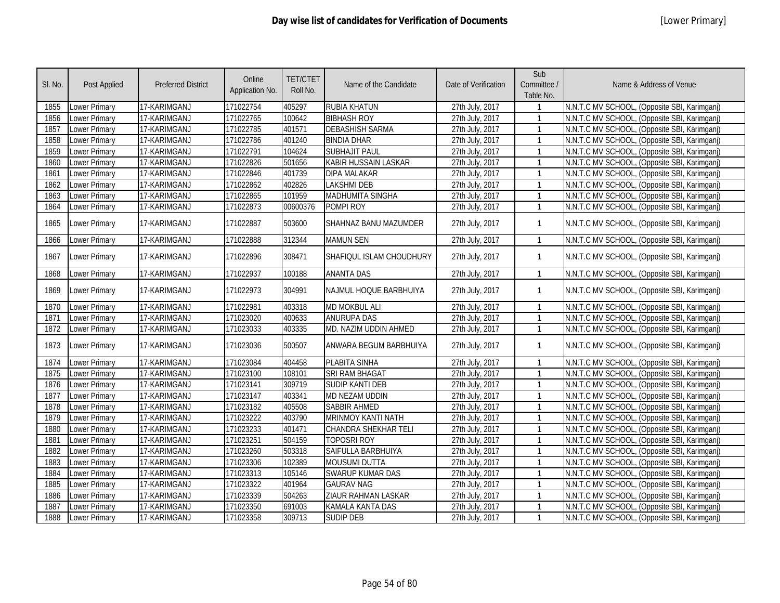| SI. No. | <b>Post Applied</b>  | <b>Preferred District</b> | Online<br>Application No. | <b>TET/CTET</b><br>Roll No. | Name of the Candidate       | Date of Verification | Sub<br>Committee /<br>Table No. | Name & Address of Venue                      |
|---------|----------------------|---------------------------|---------------------------|-----------------------------|-----------------------------|----------------------|---------------------------------|----------------------------------------------|
| 1855    | Lower Primary        | 17-KARIMGANJ              | 171022754                 | 405297                      | RUBIA KHATUN                | 27th July, 2017      |                                 | N.N.T.C MV SCHOOL, (Opposite SBI, Karimganj) |
| 1856    | <b>Lower Primary</b> | 17-KARIMGANJ              | 171022765                 | 100642                      | <b>BIBHASH ROY</b>          | 27th July, 2017      | $\mathbf{1}$                    | N.N.T.C MV SCHOOL, (Opposite SBI, Karimganj) |
| 1857    | <b>Lower Primary</b> | 17-KARIMGANJ              | 171022785                 | 401571                      | <b>DEBASHISH SARMA</b>      | 27th July, 2017      | $\mathbf{1}$                    | N.N.T.C MV SCHOOL, (Opposite SBI, Karimgani) |
| 1858    | Lower Primary        | 17-KARIMGANJ              | 171022786                 | 401240                      | <b>BINDIA DHAR</b>          | 27th July, 2017      | $\mathbf{1}$                    | N.N.T.C MV SCHOOL, (Opposite SBI, Karimganj) |
| 1859    | <b>Lower Primary</b> | 17-KARIMGANJ              | 171022791                 | 104624                      | <b>SUBHAJIT PAUL</b>        | 27th July, 2017      | $\mathbf{1}$                    | N.N.T.C MV SCHOOL, (Opposite SBI, Karimganj) |
| 1860    | <b>Lower Primary</b> | 17-KARIMGANJ              | 171022826                 | 501656                      | <b>KABIR HUSSAIN LASKAR</b> | 27th July, 2017      | $\mathbf{1}$                    | N.N.T.C MV SCHOOL, (Opposite SBI, Karimganj) |
| 1861    | Lower Primary        | 17-KARIMGANJ              | 171022846                 | 401739                      | <b>DIPA MALAKAR</b>         | 27th July, 2017      | $\mathbf{1}$                    | N.N.T.C MV SCHOOL, (Opposite SBI, Karimganj) |
| 1862    | Lower Primary        | 17-KARIMGANJ              | 171022862                 | 402826                      | <b>LAKSHMI DEB</b>          | 27th July, 2017      | $\mathbf{1}$                    | N.N.T.C MV SCHOOL, (Opposite SBI, Karimganj) |
| 1863    | Lower Primary        | 17-KARIMGANJ              | 171022865                 | 101959                      | <b>MADHUMITA SINGHA</b>     | 27th July, 2017      | $\mathbf{1}$                    | N.N.T.C MV SCHOOL, (Opposite SBI, Karimganj) |
| 1864    | <b>Lower Primary</b> | 17-KARIMGANJ              | 171022873                 | 00600376                    | POMPI ROY                   | 27th July, 2017      | $\mathbf{1}$                    | N.N.T.C MV SCHOOL, (Opposite SBI, Karimganj) |
| 1865    | Lower Primary        | 17-KARIMGANJ              | 171022887                 | 503600                      | SHAHNAZ BANU MAZUMDER       | 27th July, 2017      | $\mathbf{1}$                    | N.N.T.C MV SCHOOL, (Opposite SBI, Karimganj) |
| 1866    | Lower Primary        | 17-KARIMGANJ              | 171022888                 | 312344                      | <b>MAMUN SEN</b>            | 27th July, 2017      | $\mathbf{1}$                    | N.N.T.C MV SCHOOL, (Opposite SBI, Karimganj) |
| 1867    | <b>Lower Primary</b> | 17-KARIMGANJ              | 171022896                 | 308471                      | SHAFIQUL ISLAM CHOUDHURY    | 27th July, 2017      | $\mathbf{1}$                    | N.N.T.C MV SCHOOL, (Opposite SBI, Karimganj) |
| 1868    | Lower Primary        | 17-KARIMGANJ              | 171022937                 | 100188                      | <b>ANANTA DAS</b>           | 27th July, 2017      | $\mathbf{1}$                    | N.N.T.C MV SCHOOL, (Opposite SBI, Karimganj) |
| 1869    | Lower Primary        | 17-KARIMGANJ              | 171022973                 | 304991                      | NAJMUL HOQUE BARBHUIYA      | 27th July, 2017      | $\mathbf{1}$                    | N.N.T.C MV SCHOOL, (Opposite SBI, Karimganj) |
| 1870    | Lower Primary        | 17-KARIMGANJ              | 171022981                 | 403318                      | <b>MD MOKBUL ALI</b>        | 27th July, 2017      | $\mathbf{1}$                    | N.N.T.C MV SCHOOL, (Opposite SBI, Karimganj) |
| 1871    | <b>Lower Primary</b> | 17-KARIMGANJ              | 171023020                 | 400633                      | <b>ANURUPA DAS</b>          | 27th July, 2017      | $\mathbf{1}$                    | N.N.T.C MV SCHOOL, (Opposite SBI, Karimganj) |
| 1872    | Lower Primary        | 17-KARIMGANJ              | 171023033                 | 403335                      | MD. NAZIM UDDIN AHMED       | 27th July, 2017      | $\mathbf{1}$                    | N.N.T.C MV SCHOOL, (Opposite SBI, Karimganj) |
| 1873    | <b>Lower Primary</b> | 17-KARIMGANJ              | 171023036                 | 500507                      | ANWARA BEGUM BARBHUIYA      | 27th July, 2017      | $\mathbf{1}$                    | N.N.T.C MV SCHOOL, (Opposite SBI, Karimganj) |
| 1874    | <b>Lower Primary</b> | 17-KARIMGANJ              | 171023084                 | 404458                      | <b>PLABITA SINHA</b>        | 27th July, 2017      | $\mathbf{1}$                    | N.N.T.C MV SCHOOL, (Opposite SBI, Karimganj) |
| 1875    | <b>Lower Primary</b> | 17-KARIMGANJ              | 171023100                 | 108101                      | <b>SRI RAM BHAGAT</b>       | 27th July, 2017      | $\mathbf{1}$                    | N.N.T.C MV SCHOOL, (Opposite SBI, Karimgani) |
| 1876    | Lower Primary        | 17-KARIMGANJ              | 171023141                 | 309719                      | SUDIP KANTI DEB             | 27th July, 2017      | $\mathbf{1}$                    | N.N.T.C MV SCHOOL, (Opposite SBI, Karimganj) |
| 1877    | <b>Lower Primary</b> | 17-KARIMGANJ              | 171023147                 | 403341                      | MD NEZAM UDDIN              | 27th July, 2017      | $\mathbf{1}$                    | N.N.T.C MV SCHOOL, (Opposite SBI, Karimganj) |
| 1878    | Lower Primary        | 17-KARIMGANJ              | 171023182                 | 405508                      | <b>SABBIR AHMED</b>         | 27th July, 2017      | $\mathbf{1}$                    | N.N.T.C MV SCHOOL, (Opposite SBI, Karimganj) |
| 1879    | Lower Primary        | 17-KARIMGANJ              | 171023222                 | 403790                      | <b>MRINMOY KANTI NATH</b>   | 27th July, 2017      | $\mathbf{1}$                    | N.N.T.C MV SCHOOL, (Opposite SBI, Karimganj) |
| 1880    | <b>Lower Primary</b> | 17-KARIMGANJ              | 171023233                 | 401471                      | <b>CHANDRA SHEKHAR TELI</b> | 27th July, 2017      | $\mathbf{1}$                    | N.N.T.C MV SCHOOL, (Opposite SBI, Karimganj) |
| 1881    | Lower Primary        | 17-KARIMGANJ              | 171023251                 | 504159                      | <b>TOPOSRI ROY</b>          | 27th July, 2017      | $\mathbf{1}$                    | N.N.T.C MV SCHOOL, (Opposite SBI, Karimganj) |
| 1882    | Lower Primary        | 17-KARIMGANJ              | 171023260                 | 503318                      | SAIFULLA BARBHUIYA          | 27th July, 2017      | $\mathbf{1}$                    | N.N.T.C MV SCHOOL, (Opposite SBI, Karimganj) |
| 1883    | <b>Lower Primary</b> | 17-KARIMGANJ              | 171023306                 | 102389                      | <b>MOUSUMI DUTTA</b>        | 27th July, 2017      |                                 | N.N.T.C MV SCHOOL, (Opposite SBI, Karimganj) |
| 1884    | <b>Lower Primary</b> | 17-KARIMGANJ              | 171023313                 | 105146                      | <b>SWARUP KUMAR DAS</b>     | 27th July, 2017      | $\mathbf{1}$                    | N.N.T.C MV SCHOOL, (Opposite SBI, Karimganj) |
| 1885    | Lower Primary        | 17-KARIMGANJ              | 171023322                 | 401964                      | <b>GAURAV NAG</b>           | 27th July, 2017      | $\mathbf{1}$                    | N.N.T.C MV SCHOOL, (Opposite SBI, Karimganj) |
| 1886    | Lower Primary        | 17-KARIMGANJ              | 171023339                 | 504263                      | <b>ZIAUR RAHMAN LASKAR</b>  | 27th July, 2017      | $\mathbf{1}$                    | N.N.T.C MV SCHOOL, (Opposite SBI, Karimganj) |
| 1887    | Lower Primary        | 17-KARIMGANJ              | 171023350                 | 691003                      | <b>KAMALA KANTA DAS</b>     | 27th July, 2017      | $\mathbf{1}$                    | N.N.T.C MV SCHOOL, (Opposite SBI, Karimganj) |
| 1888    | Lower Primary        | 17-KARIMGANJ              | 171023358                 | 309713                      | SUDIP DEB                   | 27th July, 2017      |                                 | N.N.T.C MV SCHOOL, (Opposite SBI, Karimganj) |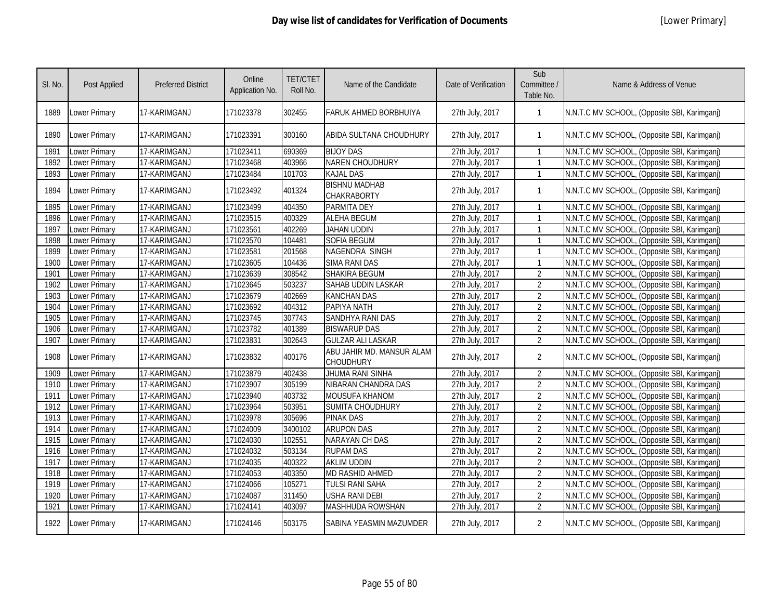| SI. No. | <b>Post Applied</b>  | <b>Preferred District</b> | Online<br>Application No. | <b>TET/CTET</b><br>Roll No. | Name of the Candidate                         | Date of Verification | Sub<br>Committee /<br>Table No. | Name & Address of Venue                      |
|---------|----------------------|---------------------------|---------------------------|-----------------------------|-----------------------------------------------|----------------------|---------------------------------|----------------------------------------------|
| 1889    | <b>Lower Primary</b> | 17-KARIMGANJ              | 171023378                 | 302455                      | FARUK AHMED BORBHUIYA                         | 27th July, 2017      |                                 | N.N.T.C MV SCHOOL, (Opposite SBI, Karimganj) |
| 1890    | Lower Primary        | 17-KARIMGANJ              | 171023391                 | 300160                      | ABIDA SULTANA CHOUDHURY                       | 27th July, 2017      | $\mathbf{1}$                    | N.N.T.C MV SCHOOL, (Opposite SBI, Karimganj) |
| 1891    | <b>Lower Primary</b> | 17-KARIMGANJ              | 171023411                 | 690369                      | <b>BIJOY DAS</b>                              | 27th July, 2017      | $\mathbf{1}$                    | N.N.T.C MV SCHOOL, (Opposite SBI, Karimganj) |
| 1892    | <b>Lower Primary</b> | 17-KARIMGANJ              | 171023468                 | 403966                      | <b>NAREN CHOUDHURY</b>                        | 27th July, 2017      | $\mathbf{1}$                    | N.N.T.C MV SCHOOL, (Opposite SBI, Karimganj) |
| 1893    | Lower Primary        | 17-KARIMGANJ              | 171023484                 | 101703                      | <b>KAJAL DAS</b>                              | 27th July, 2017      |                                 | N.N.T.C MV SCHOOL, (Opposite SBI, Karimganj) |
| 1894    | <b>Lower Primary</b> | 17-KARIMGANJ              | 171023492                 | 401324                      | <b>BISHNU MADHAB</b><br><b>CHAKRABORTY</b>    | 27th July, 2017      | $\mathbf{1}$                    | N.N.T.C MV SCHOOL, (Opposite SBI, Karimganj) |
| 1895    | Lower Primary        | 17-KARIMGANJ              | 171023499                 | 404350                      | <b>PARMITA DEY</b>                            | 27th July, 2017      |                                 | N.N.T.C MV SCHOOL, (Opposite SBI, Karimganj) |
| 1896    | Lower Primary        | 17-KARIMGANJ              | 171023515                 | 400329                      | <b>ALEHA BEGUM</b>                            | 27th July, 2017      |                                 | N.N.T.C MV SCHOOL, (Opposite SBI, Karimgani) |
| 1897    | <b>Lower Primary</b> | 17-KARIMGANJ              | 171023561                 | 402269                      | <b>JAHAN UDDIN</b>                            | 27th July, 2017      |                                 | N.N.T.C MV SCHOOL, (Opposite SBI, Karimganj) |
| 1898    | Lower Primary        | 17-KARIMGANJ              | 171023570                 | 104481                      | <b>SOFIA BEGUM</b>                            | 27th July, 2017      | -1                              | N.N.T.C MV SCHOOL, (Opposite SBI, Karimganj) |
| 1899    | Lower Primary        | 17-KARIMGANJ              | 171023581                 | 201568                      | NAGENDRA SINGH                                | 27th July, 2017      |                                 | N.N.T.C MV SCHOOL, (Opposite SBI, Karimganj) |
| 1900    | Lower Primary        | 17-KARIMGANJ              | 171023605                 | 104436                      | <b>SIMA RANI DAS</b>                          | 27th July, 2017      | $\mathbf{1}$                    | N.N.T.C MV SCHOOL, (Opposite SBI, Karimganj) |
| 1901    | Lower Primary        | 17-KARIMGANJ              | 171023639                 | 308542                      | SHAKIRA BEGUM                                 | 27th July, 2017      | $\overline{2}$                  | N.N.T.C MV SCHOOL, (Opposite SBI, Karimganj) |
| 1902    | Lower Primary        | 17-KARIMGANJ              | 171023645                 | 503237                      | <b>SAHAB UDDIN LASKAR</b>                     | 27th July, 2017      | $\overline{2}$                  | N.N.T.C MV SCHOOL, (Opposite SBI, Karimgani) |
| 1903    | Lower Primary        | 17-KARIMGANJ              | 171023679                 | 402669                      | <b>KANCHAN DAS</b>                            | 27th July, 2017      | $\overline{2}$                  | N.N.T.C MV SCHOOL, (Opposite SBI, Karimganj) |
| 1904    | Lower Primary        | 17-KARIMGANJ              | 171023692                 | 404312                      | PAPIYA NATH                                   | 27th July, 2017      | $\overline{2}$                  | N.N.T.C MV SCHOOL, (Opposite SBI, Karimganj) |
| 1905    | Lower Primary        | 17-KARIMGANJ              | 171023745                 | 307743                      | SANDHYA RANI DAS                              | 27th July, 2017      | $\overline{2}$                  | N.N.T.C MV SCHOOL, (Opposite SBI, Karimganj) |
| 1906    | Lower Primary        | 17-KARIMGANJ              | 171023782                 | 401389                      | <b>BISWARUP DAS</b>                           | 27th July, 2017      | $\overline{2}$                  | N.N.T.C MV SCHOOL, (Opposite SBI, Karimganj) |
| 1907    | Lower Primary        | 17-KARIMGANJ              | 171023831                 | 302643                      | <b>GULZAR ALI LASKAR</b>                      | 27th July, 2017      | $\overline{2}$                  | N.N.T.C MV SCHOOL, (Opposite SBI, Karimganj) |
| 1908    | Lower Primary        | 17-KARIMGANJ              | 171023832                 | 400176                      | ABU JAHIR MD. MANSUR ALAM<br><b>CHOUDHURY</b> | 27th July, 2017      | $\overline{2}$                  | N.N.T.C MV SCHOOL, (Opposite SBI, Karimganj) |
| 1909    | <b>Lower Primary</b> | 17-KARIMGANJ              | 171023879                 | 402438                      | JHUMA RANI SINHA                              | 27th July, 2017      | $\overline{2}$                  | N.N.T.C MV SCHOOL, (Opposite SBI, Karimganj) |
| 1910    | Lower Primary        | 17-KARIMGANJ              | 171023907                 | 305199                      | NIBARAN CHANDRA DAS                           | 27th July, 2017      | $\overline{2}$                  | N.N.T.C MV SCHOOL, (Opposite SBI, Karimganj) |
| 1911    | <b>Lower Primary</b> | 17-KARIMGANJ              | 171023940                 | 403732                      | <b>MOUSUFA KHANOM</b>                         | 27th July, 2017      | $\overline{2}$                  | N.N.T.C MV SCHOOL, (Opposite SBI, Karimganj) |
| 1912    | <b>Lower Primary</b> | 17-KARIMGANJ              | 171023964                 | 503951                      | SUMITA CHOUDHURY                              | 27th July, 2017      | $\overline{2}$                  | N.N.T.C MV SCHOOL, (Opposite SBI, Karimganj) |
| 1913    | <b>Lower Primary</b> | 17-KARIMGANJ              | 171023978                 | 305696                      | <b>PINAK DAS</b>                              | 27th July, 2017      | $\overline{2}$                  | N.N.T.C MV SCHOOL, (Opposite SBI, Karimganj) |
| 1914    | Lower Primary        | 17-KARIMGANJ              | 171024009                 | 3400102                     | <b>ARUPON DAS</b>                             | 27th July, 2017      | $\overline{2}$                  | N.N.T.C MV SCHOOL, (Opposite SBI, Karimganj) |
| 1915    | Lower Primary        | 17-KARIMGANJ              | 171024030                 | 102551                      | <b>NARAYAN CH DAS</b>                         | 27th July, 2017      | $\overline{2}$                  | N.N.T.C MV SCHOOL, (Opposite SBI, Karimganj) |
| 1916    | Lower Primary        | 17-KARIMGANJ              | 171024032                 | 503134                      | <b>RUPAM DAS</b>                              | 27th July, 2017      | $\overline{2}$                  | N.N.T.C MV SCHOOL, (Opposite SBI, Karimganj) |
| 1917    | Lower Primary        | 17-KARIMGANJ              | 171024035                 | 400322                      | <b>AKLIM UDDIN</b>                            | 27th July, 2017      | $\overline{2}$                  | N.N.T.C MV SCHOOL, (Opposite SBI, Karimganj) |
| 1918    | Lower Primary        | 17-KARIMGANJ              | 171024053                 | 403350                      | <b>MD RASHID AHMED</b>                        | 27th July, 2017      | $\overline{2}$                  | N.N.T.C MV SCHOOL, (Opposite SBI, Karimganj) |
| 1919    | <b>Lower Primary</b> | 17-KARIMGANJ              | 171024066                 | 105271                      | TULSI RANI SAHA                               | 27th July, 2017      | $\overline{2}$                  | N.N.T.C MV SCHOOL, (Opposite SBI, Karimganj) |
| 1920    | Lower Primary        | 17-KARIMGANJ              | 171024087                 | 311450                      | <b>USHA RANI DEBI</b>                         | 27th July, 2017      | $\overline{2}$                  | N.N.T.C MV SCHOOL, (Opposite SBI, Karimganj) |
| 1921    | Lower Primary        | 17-KARIMGANJ              | 171024141                 | 403097                      | MASHHUDA ROWSHAN                              | 27th July, 2017      | $\overline{2}$                  | N.N.T.C MV SCHOOL, (Opposite SBI, Karimganj) |
| 1922    | <b>Lower Primary</b> | 17-KARIMGANJ              | 171024146                 | 503175                      | SABINA YEASMIN MAZUMDER                       | 27th July, 2017      | $\overline{2}$                  | N.N.T.C MV SCHOOL, (Opposite SBI, Karimganj) |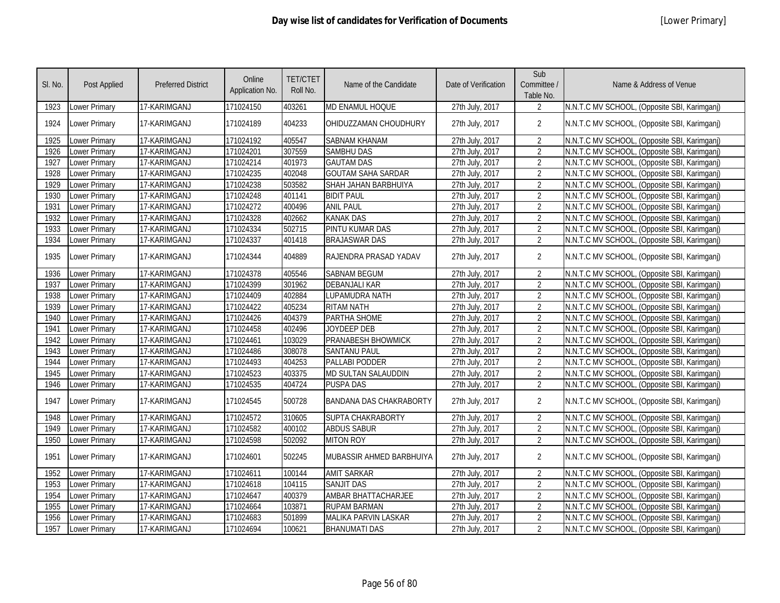| SI. No. | <b>Post Applied</b>  | <b>Preferred District</b> | Online<br>Application No. | <b>TET/CTET</b><br>Roll No. | Name of the Candidate          | Date of Verification | Sub<br>Committee /<br>Table No. | Name & Address of Venue                      |
|---------|----------------------|---------------------------|---------------------------|-----------------------------|--------------------------------|----------------------|---------------------------------|----------------------------------------------|
| 1923    | Lower Primary        | 17-KARIMGANJ              | 171024150                 | 403261                      | MD ENAMUL HOQUE                | 27th July, 2017      | 2                               | N.N.T.C MV SCHOOL, (Opposite SBI, Karimganj) |
| 1924    | Lower Primary        | 17-KARIMGANJ              | 171024189                 | 404233                      | OHIDUZZAMAN CHOUDHURY          | 27th July, 2017      | $\overline{2}$                  | N.N.T.C MV SCHOOL, (Opposite SBI, Karimganj) |
| 1925    | <b>Lower Primary</b> | 17-KARIMGANJ              | 171024192                 | 405547                      | <b>SABNAM KHANAM</b>           | 27th July, 2017      | $\overline{2}$                  | N.N.T.C MV SCHOOL, (Opposite SBI, Karimganj) |
| 1926    | Lower Primary        | 17-KARIMGANJ              | 171024201                 | 307559                      | <b>SAMBHU DAS</b>              | 27th July, 2017      | $\overline{2}$                  | N.N.T.C MV SCHOOL, (Opposite SBI, Karimganj) |
| 1927    | <b>Lower Primary</b> | 17-KARIMGANJ              | 171024214                 | 401973                      | <b>GAUTAM DAS</b>              | 27th July, 2017      | $\overline{2}$                  | N.N.T.C MV SCHOOL, (Opposite SBI, Karimganj) |
| 1928    | Lower Primary        | 17-KARIMGANJ              | 171024235                 | 402048                      | <b>GOUTAM SAHA SARDAR</b>      | 27th July, 2017      | $\overline{2}$                  | N.N.T.C MV SCHOOL, (Opposite SBI, Karimganj) |
| 1929    | <b>Lower Primary</b> | 17-KARIMGANJ              | 171024238                 | 503582                      | SHAH JAHAN BARBHUIYA           | 27th July, 2017      | $\overline{2}$                  | N.N.T.C MV SCHOOL, (Opposite SBI, Karimganj) |
| 1930    | Lower Primary        | 17-KARIMGANJ              | 171024248                 | 401141                      | <b>BIDIT PAUL</b>              | 27th July, 2017      | $\overline{2}$                  | N.N.T.C MV SCHOOL, (Opposite SBI, Karimganj) |
| 1931    | Lower Primary        | 17-KARIMGANJ              | 171024272                 | 400496                      | <b>ANIL PAUL</b>               | 27th July, 2017      | $\overline{2}$                  | N.N.T.C MV SCHOOL, (Opposite SBI, Karimganj) |
| 1932    | Lower Primary        | 17-KARIMGANJ              | 171024328                 | 402662                      | <b>KANAK DAS</b>               | 27th July, 2017      | $\overline{2}$                  | N.N.T.C MV SCHOOL, (Opposite SBI, Karimganj) |
| 1933    | <b>Lower Primary</b> | 17-KARIMGANJ              | 171024334                 | 502715                      | PINTU KUMAR DAS                | 27th July, 2017      | $\overline{2}$                  | N.N.T.C MV SCHOOL, (Opposite SBI, Karimganj) |
| 1934    | <b>Lower Primary</b> | 17-KARIMGANJ              | 171024337                 | 401418                      | <b>BRAJASWAR DAS</b>           | 27th July, 2017      | $\overline{2}$                  | N.N.T.C MV SCHOOL, (Opposite SBI, Karimganj) |
| 1935    | Lower Primary        | 17-KARIMGANJ              | 171024344                 | 404889                      | RAJENDRA PRASAD YADAV          | 27th July, 2017      | $\overline{2}$                  | N.N.T.C MV SCHOOL, (Opposite SBI, Karimganj) |
| 1936    | Lower Primary        | 17-KARIMGANJ              | 171024378                 | 405546                      | <b>SABNAM BEGUM</b>            | 27th July, 2017      | $\overline{2}$                  | N.N.T.C MV SCHOOL, (Opposite SBI, Karimganj) |
| 1937    | <b>Lower Primary</b> | 17-KARIMGANJ              | 171024399                 | 301962                      | <b>DEBANJALI KAR</b>           | 27th July, 2017      | $\overline{2}$                  | N.N.T.C MV SCHOOL, (Opposite SBI, Karimganj) |
| 1938    | <b>Lower Primary</b> | 17-KARIMGANJ              | 171024409                 | 402884                      | <b>LUPAMUDRA NATH</b>          | 27th July, 2017      | $\overline{2}$                  | N.N.T.C MV SCHOOL, (Opposite SBI, Karimganj) |
| 1939    | <b>Lower Primary</b> | 17-KARIMGANJ              | 171024422                 | 405234                      | <b>RITAM NATH</b>              | 27th July, 2017      | $\overline{2}$                  | N.N.T.C MV SCHOOL, (Opposite SBI, Karimganj) |
| 1940    | <b>Lower Primary</b> | 17-KARIMGANJ              | 171024426                 | 404379                      | PARTHA SHOME                   | 27th July, 2017      | $\overline{2}$                  | N.N.T.C MV SCHOOL, (Opposite SBI, Karimganj) |
| 1941    | <b>Lower Primary</b> | 17-KARIMGANJ              | 171024458                 | 402496                      | <b>JOYDEEP DEB</b>             | 27th July, 2017      | $\overline{2}$                  | N.N.T.C MV SCHOOL, (Opposite SBI, Karimganj) |
| 1942    | Lower Primary        | 17-KARIMGANJ              | 171024461                 | 103029                      | <b>PRANABESH BHOWMICK</b>      | 27th July, 2017      | $\overline{2}$                  | N.N.T.C MV SCHOOL, (Opposite SBI, Karimganj) |
| 1943    | Lower Primary        | 17-KARIMGANJ              | 171024486                 | 308078                      | <b>SANTANU PAUL</b>            | 27th July, 2017      | $\overline{2}$                  | N.N.T.C MV SCHOOL, (Opposite SBI, Karimganj) |
| 1944    | <b>Lower Primary</b> | 17-KARIMGANJ              | 171024493                 | 404253                      | PALLABI PODDER                 | 27th July, 2017      | $\overline{2}$                  | N.N.T.C MV SCHOOL, (Opposite SBI, Karimganj) |
| 1945    | <b>Lower Primary</b> | 17-KARIMGANJ              | 171024523                 | 403375                      | <b>MD SULTAN SALAUDDIN</b>     | 27th July, 2017      | $\overline{2}$                  | N.N.T.C MV SCHOOL, (Opposite SBI, Karimganj) |
| 1946    | <b>Lower Primary</b> | 17-KARIMGANJ              | 171024535                 | 404724                      | <b>PUSPA DAS</b>               | 27th July, 2017      | $\overline{2}$                  | N.N.T.C MV SCHOOL, (Opposite SBI, Karimganj) |
| 1947    | <b>Lower Primary</b> | 17-KARIMGANJ              | 171024545                 | 500728                      | <b>BANDANA DAS CHAKRABORTY</b> | 27th July, 2017      | $\overline{2}$                  | N.N.T.C MV SCHOOL, (Opposite SBI, Karimganj) |
| 1948    | Lower Primary        | 17-KARIMGANJ              | 171024572                 | 310605                      | SUPTA CHAKRABORTY              | 27th July, 2017      | $\overline{2}$                  | N.N.T.C MV SCHOOL, (Opposite SBI, Karimganj) |
| 1949    | Lower Primary        | 17-KARIMGANJ              | 171024582                 | 400102                      | <b>ABDUS SABUR</b>             | 27th July, 2017      | $\overline{2}$                  | N.N.T.C MV SCHOOL, (Opposite SBI, Karimganj) |
| 1950    | Lower Primary        | 17-KARIMGANJ              | 171024598                 | 502092                      | <b>MITON ROY</b>               | 27th July, 2017      | $\overline{2}$                  | N.N.T.C MV SCHOOL, (Opposite SBI, Karimganj) |
| 1951    | Lower Primary        | 17-KARIMGANJ              | 171024601                 | 502245                      | MUBASSIR AHMED BARBHUIYA       | 27th July, 2017      | $\overline{2}$                  | N.N.T.C MV SCHOOL, (Opposite SBI, Karimganj) |
| 1952    | <b>Lower Primary</b> | 17-KARIMGANJ              | 171024611                 | 100144                      | <b>AMIT SARKAR</b>             | 27th July, 2017      | $\overline{2}$                  | N.N.T.C MV SCHOOL, (Opposite SBI, Karimganj) |
| 1953    | <b>Lower Primary</b> | 17-KARIMGANJ              | 171024618                 | 104115                      | <b>SANJIT DAS</b>              | 27th July, 2017      | $\overline{2}$                  | N.N.T.C MV SCHOOL, (Opposite SBI, Karimganj) |
| 1954    | Lower Primary        | 17-KARIMGANJ              | 171024647                 | 400379                      | AMBAR BHATTACHARJEE            | 27th July, 2017      | $\overline{2}$                  | N.N.T.C MV SCHOOL, (Opposite SBI, Karimganj) |
| 1955    | Lower Primary        | 17-KARIMGANJ              | 171024664                 | 103871                      | <b>RUPAM BARMAN</b>            | 27th July, 2017      | $\overline{2}$                  | N.N.T.C MV SCHOOL, (Opposite SBI, Karimganj) |
| 1956    | <b>Lower Primary</b> | 17-KARIMGANJ              | 171024683                 | 501899                      | <b>MALIKA PARVIN LASKAR</b>    | 27th July, 2017      | $\overline{2}$                  | N.N.T.C MV SCHOOL, (Opposite SBI, Karimganj) |
| 1957    | <b>Lower Primary</b> | 17-KARIMGANJ              | 171024694                 | 100621                      | <b>BHANUMATI DAS</b>           | 27th July, 2017      | $\overline{2}$                  | N.N.T.C MV SCHOOL, (Opposite SBI, Karimganj) |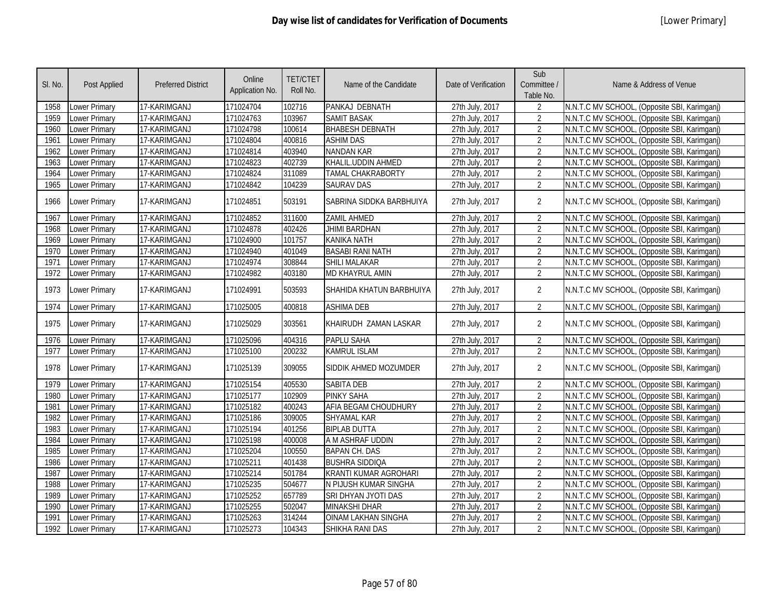| SI. No. | Post Applied         | <b>Preferred District</b> | Online<br>Application No. | <b>TET/CTET</b><br>Roll No. | Name of the Candidate        | Date of Verification | Sub<br>Committee /<br>Table No. | Name & Address of Venue                      |
|---------|----------------------|---------------------------|---------------------------|-----------------------------|------------------------------|----------------------|---------------------------------|----------------------------------------------|
| 1958    | Lower Primary        | 17-KARIMGANJ              | 171024704                 | 102716                      | PANKAJ DEBNATH               | 27th July, 2017      | $\overline{2}$                  | N.N.T.C MV SCHOOL, (Opposite SBI, Karimganj) |
| 1959    | Lower Primary        | 17-KARIMGANJ              | 171024763                 | 103967                      | <b>SAMIT BASAK</b>           | 27th July, 2017      | $\overline{2}$                  | N.N.T.C MV SCHOOL, (Opposite SBI, Karimganj) |
| 1960    | Lower Primary        | 17-KARIMGANJ              | 171024798                 | 100614                      | <b>BHABESH DEBNATH</b>       | 27th July, 2017      | $\overline{2}$                  | N.N.T.C MV SCHOOL, (Opposite SBI, Karimganj) |
| 1961    | <b>Lower Primary</b> | 17-KARIMGANJ              | 171024804                 | 400816                      | <b>ASHIM DAS</b>             | 27th July, 2017      | $\overline{2}$                  | N.N.T.C MV SCHOOL, (Opposite SBI, Karimganj) |
| 1962    | Lower Primary        | 17-KARIMGANJ              | 171024814                 | 403940                      | <b>NANDAN KAR</b>            | 27th July, 2017      | $\overline{2}$                  | N.N.T.C MV SCHOOL, (Opposite SBI, Karimganj) |
| 1963    | <b>Lower Primary</b> | 17-KARIMGANJ              | 171024823                 | 402739                      | KHALIL.UDDIN AHMED           | 27th July, 2017      | $\overline{2}$                  | N.N.T.C MV SCHOOL, (Opposite SBI, Karimganj) |
| 1964    | Lower Primary        | 17-KARIMGANJ              | 171024824                 | 311089                      | TAMAL CHAKRABORTY            | 27th July, 2017      | $\overline{2}$                  | N.N.T.C MV SCHOOL, (Opposite SBI, Karimganj) |
| 1965    | Lower Primary        | 17-KARIMGANJ              | 171024842                 | 104239                      | <b>SAURAV DAS</b>            | 27th July, 2017      | $\overline{2}$                  | N.N.T.C MV SCHOOL, (Opposite SBI, Karimganj) |
| 1966    | Lower Primary        | 17-KARIMGANJ              | 171024851                 | 503191                      | SABRINA SIDDKA BARBHUIYA     | 27th July, 2017      | $\overline{2}$                  | N.N.T.C MV SCHOOL, (Opposite SBI, Karimganj) |
| 1967    | Lower Primary        | 17-KARIMGANJ              | 171024852                 | 311600                      | ZAMIL AHMED                  | 27th July, 2017      | $\overline{2}$                  | N.N.T.C MV SCHOOL, (Opposite SBI, Karimganj) |
| 1968    | Lower Primary        | 17-KARIMGANJ              | 171024878                 | 402426                      | <b>JHIMI BARDHAN</b>         | 27th July, 2017      | $\overline{2}$                  | N.N.T.C MV SCHOOL, (Opposite SBI, Karimganj) |
| 1969    | Lower Primary        | 17-KARIMGANJ              | 171024900                 | 101757                      | <b>KANIKA NATH</b>           | 27th July, 2017      | $\overline{2}$                  | N.N.T.C MV SCHOOL, (Opposite SBI, Karimganj) |
| 1970    | Lower Primary        | 17-KARIMGANJ              | 171024940                 | 401049                      | <b>BASABI RANI NATH</b>      | 27th July, 2017      | $\overline{2}$                  | N.N.T.C MV SCHOOL, (Opposite SBI, Karimganj) |
| 1971    | Lower Primary        | 17-KARIMGANJ              | 171024974                 | 308844                      | SHILI MALAKAR                | 27th July, 2017      | $\overline{2}$                  | N.N.T.C MV SCHOOL, (Opposite SBI, Karimganj) |
| 1972    | Lower Primary        | 17-KARIMGANJ              | 171024982                 | 403180                      | <b>MD KHAYRUL AMIN</b>       | 27th July, 2017      | $\overline{2}$                  | N.N.T.C MV SCHOOL, (Opposite SBI, Karimganj) |
| 1973    | Lower Primary        | 17-KARIMGANJ              | 171024991                 | 503593                      | SHAHIDA KHATUN BARBHUIYA     | 27th July, 2017      | $\overline{2}$                  | N.N.T.C MV SCHOOL, (Opposite SBI, Karimganj) |
| 1974    | Lower Primary        | 17-KARIMGANJ              | 171025005                 | 400818                      | <b>ASHIMA DEB</b>            | 27th July, 2017      | $\overline{2}$                  | N.N.T.C MV SCHOOL, (Opposite SBI, Karimganj) |
| 1975    | Lower Primary        | 17-KARIMGANJ              | 171025029                 | 303561                      | KHAIRUDH ZAMAN LASKAR        | 27th July, 2017      | $\overline{2}$                  | N.N.T.C MV SCHOOL, (Opposite SBI, Karimganj) |
| 1976    | Lower Primary        | 17-KARIMGANJ              | 171025096                 | 404316                      | PAPLU SAHA                   | 27th July, 2017      | $\overline{2}$                  | N.N.T.C MV SCHOOL, (Opposite SBI, Karimganj) |
| 1977    | Lower Primary        | 17-KARIMGANJ              | 171025100                 | 200232                      | <b>KAMRUL ISLAM</b>          | 27th July, 2017      | $\overline{2}$                  | N.N.T.C MV SCHOOL, (Opposite SBI, Karimganj) |
| 1978    | Lower Primary        | 17-KARIMGANJ              | 171025139                 | 309055                      | SIDDIK AHMED MOZUMDER        | 27th July, 2017      | $\overline{2}$                  | N.N.T.C MV SCHOOL, (Opposite SBI, Karimganj) |
| 1979    | Lower Primary        | 17-KARIMGANJ              | 171025154                 | 405530                      | <b>SABITA DEB</b>            | 27th July, 2017      | $\overline{2}$                  | N.N.T.C MV SCHOOL, (Opposite SBI, Karimganj) |
| 1980    | Lower Primary        | 17-KARIMGANJ              | 171025177                 | 102909                      | <b>PINKY SAHA</b>            | 27th July, 2017      | $\overline{2}$                  | N.N.T.C MV SCHOOL, (Opposite SBI, Karimganj) |
| 1981    | <b>Lower Primary</b> | 17-KARIMGANJ              | 171025182                 | 400243                      | AFIA BEGAM CHOUDHURY         | 27th July, 2017      | $\overline{2}$                  | N.N.T.C MV SCHOOL, (Opposite SBI, Karimganj) |
| 1982    | Lower Primary        | 17-KARIMGANJ              | 171025186                 | 309005                      | <b>SHYAMAL KAR</b>           | 27th July, 2017      | $\overline{2}$                  | N.N.T.C MV SCHOOL, (Opposite SBI, Karimganj) |
| 1983    | Lower Primary        | 17-KARIMGANJ              | 171025194                 | 401256                      | <b>BIPLAB DUTTA</b>          | 27th July, 2017      | $\overline{2}$                  | N.N.T.C MV SCHOOL, (Opposite SBI, Karimganj) |
| 1984    | Lower Primary        | 17-KARIMGANJ              | 171025198                 | 400008                      | A M ASHRAF UDDIN             | 27th July, 2017      | $\overline{2}$                  | N.N.T.C MV SCHOOL, (Opposite SBI, Karimganj) |
| 1985    | <b>Lower Primary</b> | 17-KARIMGANJ              | 171025204                 | 100550                      | <b>BAPAN CH. DAS</b>         | 27th July, 2017      | $\overline{2}$                  | N.N.T.C MV SCHOOL, (Opposite SBI, Karimganj) |
| 1986    | Lower Primary        | 17-KARIMGANJ              | 171025211                 | 401438                      | <b>BUSHRA SIDDIQA</b>        | 27th July, 2017      | $\overline{2}$                  | N.N.T.C MV SCHOOL, (Opposite SBI, Karimganj) |
| 1987    | <b>Lower Primary</b> | 17-KARIMGANJ              | 171025214                 | 501784                      | <b>KRANTI KUMAR AGROHARI</b> | 27th July, 2017      | $\overline{2}$                  | N.N.T.C MV SCHOOL, (Opposite SBI, Karimganj) |
| 1988    | Lower Primary        | 17-KARIMGANJ              | 171025235                 | 504677                      | N PIJUSH KUMAR SINGHA        | 27th July, 2017      | $\overline{2}$                  | N.N.T.C MV SCHOOL, (Opposite SBI, Karimganj) |
| 1989    | Lower Primary        | 17-KARIMGANJ              | 171025252                 | 657789                      | SRI DHYAN JYOTI DAS          | 27th July, 2017      | $\overline{2}$                  | N.N.T.C MV SCHOOL, (Opposite SBI, Karimganj) |
| 1990    | Lower Primary        | 17-KARIMGANJ              | 171025255                 | 502047                      | <b>MINAKSHI DHAR</b>         | 27th July, 2017      | $\overline{2}$                  | N.N.T.C MV SCHOOL, (Opposite SBI, Karimganj) |
| 1991    | Lower Primary        | 17-KARIMGANJ              | 171025263                 | 314244                      | <b>OINAM LAKHAN SINGHA</b>   | 27th July, 2017      | $\overline{2}$                  | N.N.T.C MV SCHOOL, (Opposite SBI, Karimganj) |
| 1992    | <b>Lower Primary</b> | 17-KARIMGANJ              | 171025273                 | 104343                      | SHIKHA RANI DAS              | 27th July, 2017      | $\overline{2}$                  | N.N.T.C MV SCHOOL, (Opposite SBI, Karimganj) |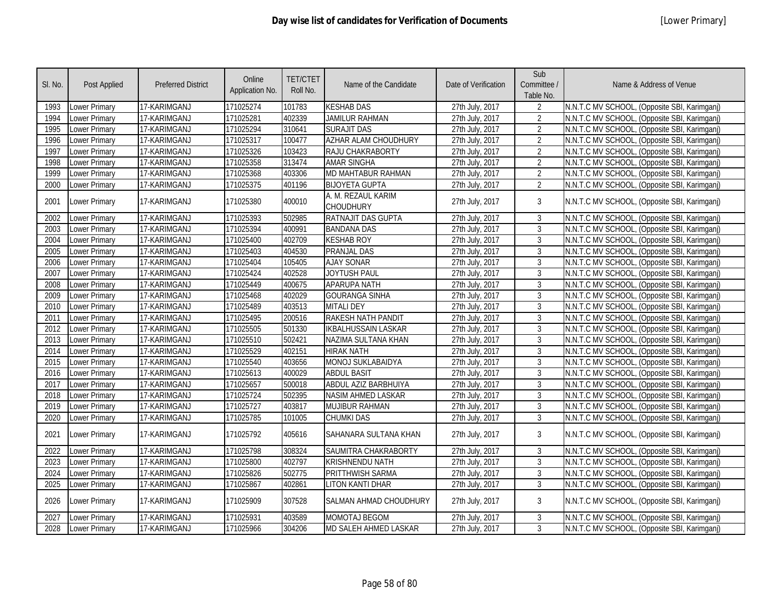| SI. No. | <b>Post Applied</b>  | <b>Preferred District</b> | Online<br>Application No. | <b>TET/CTET</b><br>Roll No. | Name of the Candidate                  | Date of Verification | Sub<br>Committee /<br>Table No. | Name & Address of Venue                      |
|---------|----------------------|---------------------------|---------------------------|-----------------------------|----------------------------------------|----------------------|---------------------------------|----------------------------------------------|
| 1993    | Lower Primary        | 17-KARIMGANJ              | 171025274                 | 101783                      | <b>KESHAB DAS</b>                      | 27th July, 2017      | $\overline{2}$                  | N.N.T.C MV SCHOOL, (Opposite SBI, Karimganj) |
| 1994    | Lower Primary        | 17-KARIMGANJ              | 171025281                 | 402339                      | <b>JAMILUR RAHMAN</b>                  | 27th July, 2017      | $\overline{2}$                  | N.N.T.C MV SCHOOL, (Opposite SBI, Karimganj) |
| 1995    | Lower Primary        | 17-KARIMGANJ              | 171025294                 | 310641                      | <b>SURAJIT DAS</b>                     | 27th July, 2017      | $\overline{2}$                  | N.N.T.C MV SCHOOL, (Opposite SBI, Karimganj) |
| 1996    | <b>Lower Primary</b> | 17-KARIMGANJ              | 171025317                 | 100477                      | <b>AZHAR ALAM CHOUDHURY</b>            | 27th July, 2017      | $\overline{2}$                  | N.N.T.C MV SCHOOL, (Opposite SBI, Karimganj) |
| 1997    | <b>Lower Primary</b> | 17-KARIMGANJ              | 171025326                 | 103423                      | <b>RAJU CHAKRABORTY</b>                | 27th July, 2017      | $\overline{2}$                  | N.N.T.C MV SCHOOL, (Opposite SBI, Karimganj) |
| 1998    | <b>Lower Primary</b> | 17-KARIMGANJ              | 171025358                 | 313474                      | <b>AMAR SINGHA</b>                     | 27th July, 2017      | $\overline{2}$                  | N.N.T.C MV SCHOOL, (Opposite SBI, Karimganj) |
| 1999    | Lower Primary        | 17-KARIMGANJ              | 171025368                 | 403306                      | MD MAHTABUR RAHMAN                     | 27th July, 2017      | $\overline{2}$                  | N.N.T.C MV SCHOOL, (Opposite SBI, Karimganj) |
| 2000    | Lower Primary        | 17-KARIMGANJ              | 171025375                 | 401196                      | <b>BIJOYETA GUPTA</b>                  | 27th July, 2017      | $\overline{2}$                  | N.N.T.C MV SCHOOL, (Opposite SBI, Karimganj) |
| 2001    | <b>Lower Primary</b> | 17-KARIMGANJ              | 171025380                 | 400010                      | A. M. REZAUL KARIM<br><b>CHOUDHURY</b> | 27th July, 2017      | $\mathbf{3}$                    | N.N.T.C MV SCHOOL, (Opposite SBI, Karimganj) |
| 2002    | Lower Primary        | 17-KARIMGANJ              | 171025393                 | 502985                      | RATNAJIT DAS GUPTA                     | 27th July, 2017      | 3                               | N.N.T.C MV SCHOOL, (Opposite SBI, Karimganj) |
| 2003    | Lower Primary        | 17-KARIMGANJ              | 171025394                 | 400991                      | <b>BANDANA DAS</b>                     | 27th July, 2017      | 3                               | N.N.T.C MV SCHOOL, (Opposite SBI, Karimganj) |
| 2004    | Lower Primary        | 17-KARIMGANJ              | 171025400                 | 402709                      | <b>KESHAB ROY</b>                      | 27th July, 2017      | $\mathbf{3}$                    | N.N.T.C MV SCHOOL, (Opposite SBI, Karimganj) |
| 2005    | Lower Primary        | 17-KARIMGANJ              | 171025403                 | 404530                      | PRANJAL DAS                            | 27th July, 2017      | 3                               | N.N.T.C MV SCHOOL, (Opposite SBI, Karimganj) |
| 2006    | Lower Primary        | 17-KARIMGANJ              | 171025404                 | 105405                      | <b>AJAY SONAR</b>                      | 27th July, 2017      | $\mathfrak{Z}$                  | N.N.T.C MV SCHOOL, (Opposite SBI, Karimganj) |
| 2007    | Lower Primary        | 17-KARIMGANJ              | 171025424                 | 402528                      | JOYTUSH PAUL                           | 27th July, 2017      | $\mathfrak{Z}$                  | N.N.T.C MV SCHOOL, (Opposite SBI, Karimganj) |
| 2008    | Lower Primary        | 17-KARIMGANJ              | 171025449                 | 400675                      | <b>APARUPA NATH</b>                    | 27th July, 2017      | $\mathbf{3}$                    | N.N.T.C MV SCHOOL, (Opposite SBI, Karimganj) |
| 2009    | Lower Primary        | 17-KARIMGANJ              | 171025468                 | 402029                      | <b>GOURANGA SINHA</b>                  | 27th July, 2017      | $\mathbf{3}$                    | N.N.T.C MV SCHOOL, (Opposite SBI, Karimganj) |
| 2010    | Lower Primary        | 17-KARIMGANJ              | 171025489                 | 403513                      | <b>MITALI DEY</b>                      | 27th July, 2017      | 3                               | N.N.T.C MV SCHOOL, (Opposite SBI, Karimganj) |
| 2011    | <b>Lower Primary</b> | 17-KARIMGANJ              | 171025495                 | 200516                      | <b>RAKESH NATH PANDIT</b>              | 27th July, 2017      | $\mathfrak{Z}$                  | N.N.T.C MV SCHOOL, (Opposite SBI, Karimganj) |
| 2012    | Lower Primary        | 17-KARIMGANJ              | 171025505                 | 501330                      | <b>IKBALHUSSAIN LASKAR</b>             | 27th July, 2017      | $\overline{3}$                  | N.N.T.C MV SCHOOL, (Opposite SBI, Karimganj) |
| 2013    | Lower Primary        | 17-KARIMGANJ              | 171025510                 | 502421                      | NAZIMA SULTANA KHAN                    | 27th July, 2017      | 3                               | N.N.T.C MV SCHOOL, (Opposite SBI, Karimganj) |
| 2014    | <b>Lower Primary</b> | 17-KARIMGANJ              | 171025529                 | 402151                      | <b>HIRAK NATH</b>                      | 27th July, 2017      | 3                               | N.N.T.C MV SCHOOL, (Opposite SBI, Karimganj) |
| 2015    | <b>Lower Primary</b> | 17-KARIMGANJ              | 171025540                 | 403656                      | MONOJ SUKLABAIDYA                      | 27th July, 2017      | 3                               | N.N.T.C MV SCHOOL, (Opposite SBI, Karimganj) |
| 2016    | <b>Lower Primary</b> | 17-KARIMGANJ              | 171025613                 | 400029                      | <b>ABDUL BASIT</b>                     | 27th July, 2017      | $\mathbf{3}$                    | N.N.T.C MV SCHOOL, (Opposite SBI, Karimganj) |
| 2017    | <b>Lower Primary</b> | 17-KARIMGANJ              | 171025657                 | 500018                      | ABDUL AZIZ BARBHUIYA                   | 27th July, 2017      | $\mathbf{3}$                    | N.N.T.C MV SCHOOL, (Opposite SBI, Karimganj) |
| 2018    | <b>Lower Primary</b> | 17-KARIMGANJ              | 171025724                 | 502395                      | <b>NASIM AHMED LASKAR</b>              | 27th July, 2017      | $\overline{3}$                  | N.N.T.C MV SCHOOL, (Opposite SBI, Karimganj) |
| 2019    | Lower Primary        | 17-KARIMGANJ              | 171025727                 | 403817                      | <b>MUJIBUR RAHMAN</b>                  | 27th July, 2017      | $\mathbf{3}$                    | N.N.T.C MV SCHOOL, (Opposite SBI, Karimganj) |
| 2020    | <b>Lower Primary</b> | 17-KARIMGANJ              | 171025785                 | 101005                      | <b>CHUMKI DAS</b>                      | 27th July, 2017      | $\overline{3}$                  | N.N.T.C MV SCHOOL, (Opposite SBI, Karimganj) |
| 2021    | <b>Lower Primary</b> | 17-KARIMGANJ              | 171025792                 | 405616                      | SAHANARA SULTANA KHAN                  | 27th July, 2017      | 3                               | N.N.T.C MV SCHOOL, (Opposite SBI, Karimganj) |
| 2022    | Lower Primary        | 17-KARIMGANJ              | 171025798                 | 308324                      | SAUMITRA CHAKRABORTY                   | 27th July, 2017      | $\mathbf{3}$                    | N.N.T.C MV SCHOOL, (Opposite SBI, Karimganj) |
| 2023    | Lower Primary        | 17-KARIMGANJ              | 171025800                 | 402797                      | <b>KRISHNENDU NATH</b>                 | 27th July, 2017      | $\mathfrak{Z}$                  | N.N.T.C MV SCHOOL, (Opposite SBI, Karimganj) |
| 2024    | Lower Primary        | 17-KARIMGANJ              | 171025826                 | 502775                      | PRITTHWISH SARMA                       | 27th July, 2017      | $\mathbf{3}$                    | N.N.T.C MV SCHOOL, (Opposite SBI, Karimganj) |
| 2025    | Lower Primary        | 17-KARIMGANJ              | 171025867                 | 402861                      | <b>LITON KANTI DHAR</b>                | 27th July, 2017      | $\mathbf{3}$                    | N.N.T.C MV SCHOOL, (Opposite SBI, Karimganj) |
| 2026    | <b>Lower Primary</b> | 17-KARIMGANJ              | 171025909                 | 307528                      | SALMAN AHMAD CHOUDHURY                 | 27th July, 2017      | 3                               | N.N.T.C MV SCHOOL, (Opposite SBI, Karimganj) |
| 2027    | Lower Primary        | 17-KARIMGANJ              | 171025931                 | 403589                      | <b>MOMOTAJ BEGOM</b>                   | 27th July, 2017      | 3                               | N.N.T.C MV SCHOOL, (Opposite SBI, Karimganj) |
| 2028    | Lower Primary        | 17-KARIMGANJ              | 171025966                 | 304206                      | MD SALEH AHMED LASKAR                  | 27th July, 2017      | $\overline{3}$                  | N.N.T.C MV SCHOOL, (Opposite SBI, Karimganj) |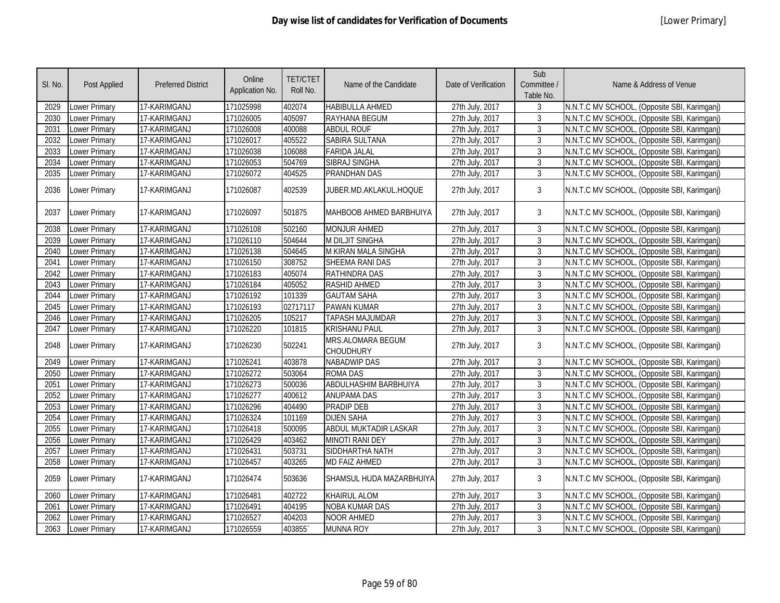| SI. No. | <b>Post Applied</b>  | <b>Preferred District</b> | Online<br>Application No. | <b>TET/CTET</b><br>Roll No. | Name of the Candidate                 | Date of Verification | Sub<br>Committee /<br>Table No. | Name & Address of Venue                      |
|---------|----------------------|---------------------------|---------------------------|-----------------------------|---------------------------------------|----------------------|---------------------------------|----------------------------------------------|
| 2029    | Lower Primary        | 17-KARIMGANJ              | 171025998                 | 402074                      | <b>HABIBULLA AHMED</b>                | 27th July, 2017      | 3                               | N.N.T.C MV SCHOOL, (Opposite SBI, Karimganj) |
| 2030    | Lower Primary        | 17-KARIMGANJ              | 171026005                 | 405097                      | RAYHANA BEGUM                         | 27th July, 2017      | $\mathbf{3}$                    | N.N.T.C MV SCHOOL, (Opposite SBI, Karimganj) |
| 2031    | <b>Lower Primary</b> | 17-KARIMGANJ              | 171026008                 | 400088                      | <b>ABDUL ROUF</b>                     | 27th July, 2017      | 3                               | N.N.T.C MV SCHOOL, (Opposite SBI, Karimganj) |
| 2032    | <b>Lower Primary</b> | 17-KARIMGANJ              | 171026017                 | 405522                      | <b>SABIRA SULTANA</b>                 | 27th July, 2017      | 3                               | N.N.T.C MV SCHOOL, (Opposite SBI, Karimganj) |
| 2033    | <b>Lower Primary</b> | 17-KARIMGANJ              | 171026038                 | 106088                      | <b>FARIDA JALAL</b>                   | 27th July, 2017      | $\mathfrak{Z}$                  | N.N.T.C MV SCHOOL, (Opposite SBI, Karimganj) |
| 2034    | <b>Lower Primary</b> | 17-KARIMGANJ              | 171026053                 | 504769                      | <b>SIBRAJ SINGHA</b>                  | 27th July, 2017      | $\overline{3}$                  | N.N.T.C MV SCHOOL, (Opposite SBI, Karimganj) |
| 2035    | Lower Primary        | 17-KARIMGANJ              | 171026072                 | 404525                      | <b>PRANDHAN DAS</b>                   | 27th July, 2017      | $\overline{3}$                  | N.N.T.C MV SCHOOL, (Opposite SBI, Karimganj) |
| 2036    | Lower Primary        | 17-KARIMGANJ              | 171026087                 | 402539                      | JUBER.MD.AKLAKUL.HOQUE                | 27th July, 2017      | 3                               | N.N.T.C MV SCHOOL, (Opposite SBI, Karimganj) |
| 2037    | <b>Lower Primary</b> | 17-KARIMGANJ              | 171026097                 | 501875                      | MAHBOOB AHMED BARBHUIYA               | 27th July, 2017      | 3                               | N.N.T.C MV SCHOOL, (Opposite SBI, Karimganj) |
| 2038    | Lower Primary        | 17-KARIMGANJ              | 171026108                 | 502160                      | <b>MONJUR AHMED</b>                   | 27th July, 2017      | 3                               | N.N.T.C MV SCHOOL, (Opposite SBI, Karimganj) |
| 2039    | Lower Primary        | 17-KARIMGANJ              | 171026110                 | 504644                      | <b>M DILJIT SINGHA</b>                | 27th July, 2017      | $\mathfrak{Z}$                  | N.N.T.C MV SCHOOL, (Opposite SBI, Karimganj) |
| 2040    | <b>Lower Primary</b> | 17-KARIMGANJ              | 171026138                 | 504645                      | M KIRAN MALA SINGHA                   | 27th July, 2017      | 3                               | N.N.T.C MV SCHOOL, (Opposite SBI, Karimganj) |
| 2041    | Lower Primary        | 17-KARIMGANJ              | 171026150                 | 308752                      | SHEEMA RANI DAS                       | 27th July, 2017      | $\overline{3}$                  | N.N.T.C MV SCHOOL, (Opposite SBI, Karimganj) |
| 2042    | <b>Lower Primary</b> | 17-KARIMGANJ              | 171026183                 | 405074                      | <b>RATHINDRA DAS</b>                  | 27th July, 2017      | $\overline{3}$                  | N.N.T.C MV SCHOOL, (Opposite SBI, Karimganj) |
| 2043    | <b>Lower Primary</b> | 17-KARIMGANJ              | 171026184                 | 405052                      | <b>RASHID AHMED</b>                   | 27th July, 2017      | $\overline{3}$                  | N.N.T.C MV SCHOOL, (Opposite SBI, Karimganj) |
| 2044    | <b>Lower Primary</b> | 17-KARIMGANJ              | 171026192                 | 101339                      | <b>GAUTAM SAHA</b>                    | 27th July, 2017      | $\mathbf{3}$                    | N.N.T.C MV SCHOOL, (Opposite SBI, Karimganj) |
| 2045    | <b>Lower Primary</b> | 17-KARIMGANJ              | 171026193                 | 02717117                    | <b>PAWAN KUMAR</b>                    | 27th July, 2017      | $\mathbf{3}$                    | N.N.T.C MV SCHOOL, (Opposite SBI, Karimganj) |
| 2046    | <b>Lower Primary</b> | 17-KARIMGANJ              | 171026205                 | 105217                      | <b>TAPASH MAJUMDAR</b>                | 27th July, 2017      | $\mathbf{3}$                    | N.N.T.C MV SCHOOL, (Opposite SBI, Karimganj) |
| 2047    | Lower Primary        | 17-KARIMGANJ              | 171026220                 | 101815                      | <b>KRISHANU PAUL</b>                  | 27th July, 2017      | $\mathbf{3}$                    | N.N.T.C MV SCHOOL, (Opposite SBI, Karimganj) |
| 2048    | Lower Primary        | 17-KARIMGANJ              | 171026230                 | 502241                      | MRS.ALOMARA BEGUM<br><b>CHOUDHURY</b> | 27th July, 2017      | 3                               | N.N.T.C MV SCHOOL, (Opposite SBI, Karimganj) |
| 2049    | Lower Primary        | 17-KARIMGANJ              | 171026241                 | 403878                      | <b>NABADWIP DAS</b>                   | 27th July, 2017      | 3                               | N.N.T.C MV SCHOOL, (Opposite SBI, Karimganj) |
| 2050    | Lower Primary        | 17-KARIMGANJ              | 171026272                 | 503064                      | <b>ROMA DAS</b>                       | 27th July, 2017      | $\overline{3}$                  | N.N.T.C MV SCHOOL, (Opposite SBI, Karimganj) |
| 2051    | Lower Primary        | 17-KARIMGANJ              | 171026273                 | 500036                      | ABDULHASHIM BARBHUIYA                 | 27th July, 2017      | $\mathfrak{Z}$                  | N.N.T.C MV SCHOOL, (Opposite SBI, Karimganj) |
| 2052    | Lower Primary        | 17-KARIMGANJ              | 171026277                 | 400612                      | <b>ANUPAMA DAS</b>                    | 27th July, 2017      | $\mathfrak{Z}$                  | N.N.T.C MV SCHOOL, (Opposite SBI, Karimganj) |
| 2053    | Lower Primary        | 17-KARIMGANJ              | 171026296                 | 404490                      | PRADIP DEB                            | 27th July, 2017      | $\overline{3}$                  | N.N.T.C MV SCHOOL, (Opposite SBI, Karimganj) |
| 2054    | <b>Lower Primary</b> | 17-KARIMGANJ              | 171026324                 | 101169                      | <b>DIJEN SAHA</b>                     | 27th July, 2017      | $\mathbf{3}$                    | N.N.T.C MV SCHOOL, (Opposite SBI, Karimganj) |
| 2055    | Lower Primary        | 17-KARIMGANJ              | 171026418                 | 500095                      | <b>ABDUL MUKTADIR LASKAR</b>          | 27th July, 2017      | $\mathbf{3}$                    | N.N.T.C MV SCHOOL, (Opposite SBI, Karimganj) |
| 2056    | Lower Primary        | 17-KARIMGANJ              | 171026429                 | 403462                      | <b>MINOTI RANI DEY</b>                | 27th July, 2017      | $\mathbf{3}$                    | N.N.T.C MV SCHOOL, (Opposite SBI, Karimganj) |
| 2057    | Lower Primary        | 17-KARIMGANJ              | 171026431                 | 503731                      | SIDDHARTHA NATH                       | 27th July, 2017      | $\mathbf{3}$                    | N.N.T.C MV SCHOOL, (Opposite SBI, Karimganj) |
| 2058    | <b>Lower Primary</b> | 17-KARIMGANJ              | 171026457                 | 403265                      | <b>MD FAIZ AHMED</b>                  | 27th July, 2017      | $\mathbf{3}$                    | N.N.T.C MV SCHOOL, (Opposite SBI, Karimganj) |
| 2059    | <b>Lower Primary</b> | 17-KARIMGANJ              | 171026474                 | 503636                      | SHAMSUL HUDA MAZARBHUIYA              | 27th July, 2017      | 3                               | N.N.T.C MV SCHOOL, (Opposite SBI, Karimganj) |
| 2060    | <b>Lower Primary</b> | 17-KARIMGANJ              | 171026481                 | 402722                      | <b>KHAIRUL ALOM</b>                   | 27th July, 2017      | 3                               | N.N.T.C MV SCHOOL, (Opposite SBI, Karimganj) |
| 2061    | <b>Lower Primary</b> | 17-KARIMGANJ              | 171026491                 | 404195                      | <b>NOBA KUMAR DAS</b>                 | 27th July, 2017      | $\overline{3}$                  | N.N.T.C MV SCHOOL, (Opposite SBI, Karimganj) |
| 2062    | Lower Primary        | 17-KARIMGANJ              | 171026527                 | 404203                      | <b>NOOR AHMED</b>                     | 27th July, 2017      | 3                               | N.N.T.C MV SCHOOL, (Opposite SBI, Karimganj) |
| 2063    | <b>Lower Primary</b> | 17-KARIMGANJ              | 171026559                 | 403855                      | <b>MUNNA ROY</b>                      | 27th July, 2017      | $\overline{3}$                  | N.N.T.C MV SCHOOL, (Opposite SBI, Karimganj) |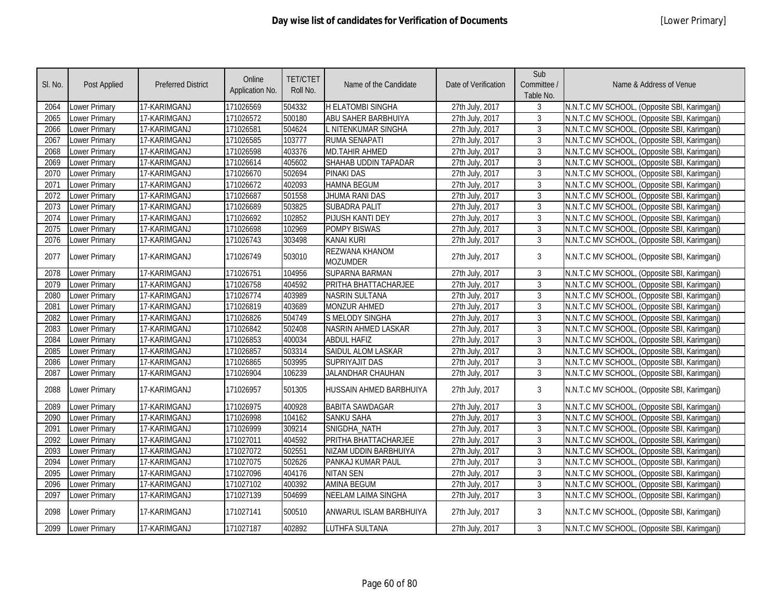| SI. No. | Post Applied         | <b>Preferred District</b> | Online<br>Application No. | <b>TET/CTET</b><br>Roll No. | Name of the Candidate             | Date of Verification | Sub<br>Committee /<br>Table No. | Name & Address of Venue                      |
|---------|----------------------|---------------------------|---------------------------|-----------------------------|-----------------------------------|----------------------|---------------------------------|----------------------------------------------|
| 2064    | Lower Primary        | 17-KARIMGANJ              | 171026569                 | 504332                      | <b>H ELATOMBI SINGHA</b>          | 27th July, 2017      | 3                               | N.N.T.C MV SCHOOL, (Opposite SBI, Karimganj) |
| 2065    | Lower Primary        | 17-KARIMGANJ              | 171026572                 | 500180                      | ABU SAHER BARBHUIYA               | 27th July, 2017      | 3                               | N.N.T.C MV SCHOOL, (Opposite SBI, Karimgani) |
| 2066    | Lower Primary        | 17-KARIMGANJ              | 171026581                 | 504624                      | . NITENKUMAR SINGHA               | 27th July, 2017      | $\overline{3}$                  | N.N.T.C MV SCHOOL, (Opposite SBI, Karimganj) |
| 2067    | <b>Lower Primary</b> | 17-KARIMGANJ              | 171026585                 | 103777                      | <b>RUMA SENAPATI</b>              | 27th July, 2017      | $\overline{3}$                  | N.N.T.C MV SCHOOL, (Opposite SBI, Karimganj) |
| 2068    | Lower Primary        | 17-KARIMGANJ              | 171026598                 | 403376                      | <b>MD.TAHIR AHMED</b>             | 27th July, 2017      | $\overline{3}$                  | N.N.T.C MV SCHOOL, (Opposite SBI, Karimganj) |
| 2069    | Lower Primary        | 17-KARIMGANJ              | 171026614                 | 405602                      | SHAHAB UDDIN TAPADAR              | 27th July, 2017      | 3                               | N.N.T.C MV SCHOOL, (Opposite SBI, Karimganj) |
| 2070    | <b>Lower Primary</b> | 17-KARIMGANJ              | 171026670                 | 502694                      | <b>PINAKI DAS</b>                 | 27th July, 2017      | 3                               | N.N.T.C MV SCHOOL, (Opposite SBI, Karimganj) |
| 2071    | <b>Lower Primary</b> | 17-KARIMGANJ              | 171026672                 | 402093                      | <b>HAMNA BEGUM</b>                | 27th July, 2017      | $\mathfrak{Z}$                  | N.N.T.C MV SCHOOL, (Opposite SBI, Karimganj) |
| 2072    | Lower Primary        | 17-KARIMGANJ              | 171026687                 | 501558                      | JHUMA RANI DAS                    | 27th July, 2017      | 3                               | N.N.T.C MV SCHOOL, (Opposite SBI, Karimganj) |
| 2073    | Lower Primary        | 17-KARIMGANJ              | 171026689                 | 503825                      | <b>SUBADRA PALIT</b>              | 27th July, 2017      | 3                               | N.N.T.C MV SCHOOL, (Opposite SBI, Karimganj) |
| 2074    | Lower Primary        | 17-KARIMGANJ              | 171026692                 | 102852                      | PIJUSH KANTI DEY                  | 27th July, 2017      | $\mathfrak{Z}$                  | N.N.T.C MV SCHOOL, (Opposite SBI, Karimganj) |
| 2075    | <b>Lower Primary</b> | 17-KARIMGANJ              | 171026698                 | 102969                      | <b>POMPY BISWAS</b>               | 27th July, 2017      | 3                               | N.N.T.C MV SCHOOL, (Opposite SBI, Karimganj) |
| 2076    | <b>Lower Primary</b> | 17-KARIMGANJ              | 171026743                 | 303498                      | <b>KANAI KURI</b>                 | 27th July, 2017      | $\mathfrak{Z}$                  | N.N.T.C MV SCHOOL, (Opposite SBI, Karimganj) |
| 2077    | <b>Lower Primary</b> | 17-KARIMGANJ              | 171026749                 | 503010                      | REZWANA KHANOM<br><b>MOZUMDER</b> | 27th July, 2017      | 3                               | N.N.T.C MV SCHOOL, (Opposite SBI, Karimganj) |
| 2078    | Lower Primary        | 17-KARIMGANJ              | 171026751                 | 104956                      | <b>SUPARNA BARMAN</b>             | 27th July, 2017      | 3                               | N.N.T.C MV SCHOOL, (Opposite SBI, Karimganj) |
| 2079    | <b>Lower Primary</b> | 17-KARIMGANJ              | 171026758                 | 404592                      | PRITHA BHATTACHARJEE              | 27th July, 2017      | $\overline{3}$                  | N.N.T.C MV SCHOOL, (Opposite SBI, Karimganj) |
| 2080    | Lower Primary        | 17-KARIMGANJ              | 171026774                 | 403989                      | <b>NASRIN SULTANA</b>             | 27th July, 2017      | $\mathfrak{Z}$                  | N.N.T.C MV SCHOOL, (Opposite SBI, Karimganj) |
| 2081    | Lower Primary        | 17-KARIMGANJ              | 171026819                 | 403689                      | <b>MONZUR AHMED</b>               | 27th July, 2017      | $\mathfrak{Z}$                  | N.N.T.C MV SCHOOL, (Opposite SBI, Karimganj) |
| 2082    | <b>Lower Primary</b> | 17-KARIMGANJ              | 171026826                 | 504749                      | <b>S MELODY SINGHA</b>            | 27th July, 2017      | $\overline{3}$                  | N.N.T.C MV SCHOOL, (Opposite SBI, Karimganj) |
| 2083    | <b>Lower Primary</b> | 17-KARIMGANJ              | 171026842                 | 502408                      | NASRIN AHMED LASKAR               | 27th July, 2017      | $\overline{3}$                  | N.N.T.C MV SCHOOL, (Opposite SBI, Karimganj) |
| 2084    | Lower Primary        | 17-KARIMGANJ              | 171026853                 | 400034                      | <b>ABDUL HAFIZ</b>                | 27th July, 2017      | $\mathbf{3}$                    | N.N.T.C MV SCHOOL, (Opposite SBI, Karimganj) |
| 2085    | Lower Primary        | 17-KARIMGANJ              | 171026857                 | 503314                      | SAIDUL ALOM LASKAR                | 27th July, 2017      | $\mathbf{3}$                    | N.N.T.C MV SCHOOL, (Opposite SBI, Karimganj) |
| 2086    | <b>Lower Primary</b> | 17-KARIMGANJ              | 171026865                 | 503995                      | <b>SUPRIYAJIT DAS</b>             | 27th July, 2017      | $\mathbf{3}$                    | N.N.T.C MV SCHOOL, (Opposite SBI, Karimganj) |
| 2087    | <b>Lower Primary</b> | 17-KARIMGANJ              | 171026904                 | 106239                      | JALANDHAR CHAUHAN                 | 27th July, 2017      | $\mathbf{3}$                    | N.N.T.C MV SCHOOL, (Opposite SBI, Karimganj) |
| 2088    | Lower Primary        | 17-KARIMGANJ              | 171026957                 | 501305                      | HUSSAIN AHMED BARBHUIYA           | 27th July, 2017      | 3                               | N.N.T.C MV SCHOOL, (Opposite SBI, Karimganj) |
| 2089    | Lower Primary        | 17-KARIMGANJ              | 171026975                 | 400928                      | <b>BABITA SAWDAGAR</b>            | 27th July, 2017      | 3                               | N.N.T.C MV SCHOOL, (Opposite SBI, Karimganj) |
| 2090    | Lower Primary        | 17-KARIMGANJ              | 171026998                 | 104162                      | <b>SANKU SAHA</b>                 | 27th July, 2017      | $\mathbf{3}$                    | N.N.T.C MV SCHOOL, (Opposite SBI, Karimganj) |
| 2091    | Lower Primary        | 17-KARIMGANJ              | 171026999                 | 309214                      | SNIGDHA_NATH                      | 27th July, 2017      | 3                               | N.N.T.C MV SCHOOL, (Opposite SBI, Karimganj) |
| 2092    | Lower Primary        | 17-KARIMGANJ              | 171027011                 | 404592                      | PRITHA BHATTACHARJEE              | 27th July, 2017      | $\mathfrak{Z}$                  | N.N.T.C MV SCHOOL, (Opposite SBI, Karimganj) |
| 2093    | Lower Primary        | 17-KARIMGANJ              | 171027072                 | 502551                      | NIZAM UDDIN BARBHUIYA             | 27th July, 2017      | $\mathfrak{Z}$                  | N.N.T.C MV SCHOOL, (Opposite SBI, Karimganj) |
| 2094    | Lower Primary        | 17-KARIMGANJ              | 171027075                 | 502626                      | PANKAJ KUMAR PAUL                 | 27th July, 2017      | $\mathfrak{Z}$                  | N.N.T.C MV SCHOOL, (Opposite SBI, Karimganj) |
| 2095    | Lower Primary        | 17-KARIMGANJ              | 171027096                 | 404176                      | <b>NITAN SEN</b>                  | 27th July, 2017      | $\mathfrak{Z}$                  | N.N.T.C MV SCHOOL, (Opposite SBI, Karimganj) |
| 2096    | Lower Primary        | 17-KARIMGANJ              | 171027102                 | 400392                      | <b>AMINA BEGUM</b>                | 27th July, 2017      | $\mathfrak{Z}$                  | N.N.T.C MV SCHOOL, (Opposite SBI, Karimganj) |
| 2097    | Lower Primary        | 17-KARIMGANJ              | 171027139                 | 504699                      | NEELAM LAIMA SINGHA               | 27th July, 2017      | $\overline{3}$                  | N.N.T.C MV SCHOOL, (Opposite SBI, Karimganj) |
| 2098    | <b>Lower Primary</b> | 17-KARIMGANJ              | 171027141                 | 500510                      | ANWARUL ISLAM BARBHUIYA           | 27th July, 2017      | 3                               | N.N.T.C MV SCHOOL, (Opposite SBI, Karimganj) |
| 2099    | <b>Lower Primary</b> | 17-KARIMGANJ              | 171027187                 | 402892                      | <b>LUTHFA SULTANA</b>             | 27th July, 2017      | 3                               | N.N.T.C MV SCHOOL, (Opposite SBI, Karimganj) |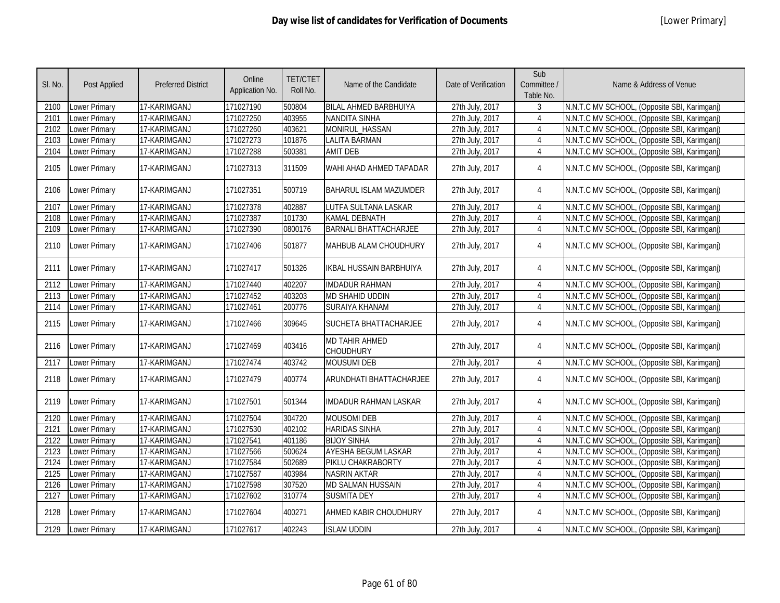| SI. No. | Post Applied         | <b>Preferred District</b> | Online<br>Application No. | <b>TET/CTET</b><br>Roll No. | Name of the Candidate                     | Date of Verification | Sub<br>Committee /<br>Table No. | Name & Address of Venue                      |
|---------|----------------------|---------------------------|---------------------------|-----------------------------|-------------------------------------------|----------------------|---------------------------------|----------------------------------------------|
| 2100    | Lower Primary        | 17-KARIMGANJ              | 171027190                 | 500804                      | <b>BILAL AHMED BARBHUIYA</b>              | 27th July, 2017      | 3                               | N.N.T.C MV SCHOOL, (Opposite SBI, Karimganj) |
| 2101    | <b>Lower Primary</b> | 17-KARIMGANJ              | 171027250                 | 403955                      | <b>NANDITA SINHA</b>                      | 27th July, 2017      | 4                               | N.N.T.C MV SCHOOL, (Opposite SBI, Karimganj) |
| 2102    | Lower Primary        | 17-KARIMGANJ              | 171027260                 | 403621                      | MONIRUL_HASSAN                            | 27th July, 2017      | $\overline{4}$                  | N.N.T.C MV SCHOOL, (Opposite SBI, Karimganj) |
| 2103    | <b>Lower Primary</b> | 17-KARIMGANJ              | 171027273                 | 101876                      | <b>LALITA BARMAN</b>                      | 27th July, 2017      | 4                               | N.N.T.C MV SCHOOL, (Opposite SBI, Karimganj) |
| 2104    | <b>Lower Primary</b> | 17-KARIMGANJ              | 171027288                 | 500381                      | <b>AMIT DEB</b>                           | 27th July, 2017      | 4                               | N.N.T.C MV SCHOOL, (Opposite SBI, Karimganj) |
| 2105    | Lower Primary        | 17-KARIMGANJ              | 171027313                 | 311509                      | WAHI AHAD AHMED TAPADAR                   | 27th July, 2017      | $\overline{4}$                  | N.N.T.C MV SCHOOL, (Opposite SBI, Karimganj) |
| 2106    | <b>Lower Primary</b> | 17-KARIMGANJ              | 171027351                 | 500719                      | <b>BAHARUL ISLAM MAZUMDER</b>             | 27th July, 2017      | $\overline{4}$                  | N.N.T.C MV SCHOOL, (Opposite SBI, Karimganj) |
| 2107    | <b>Lower Primary</b> | 17-KARIMGANJ              | 171027378                 | 402887                      | LUTFA SULTANA LASKAR                      | 27th July, 2017      | 4                               | N.N.T.C MV SCHOOL, (Opposite SBI, Karimganj) |
| 2108    | Lower Primary        | 17-KARIMGANJ              | 171027387                 | 101730                      | <b>KAMAL DEBNATH</b>                      | 27th July, 2017      | $\overline{4}$                  | N.N.T.C MV SCHOOL, (Opposite SBI, Karimganj) |
| 2109    | Lower Primary        | 17-KARIMGANJ              | 171027390                 | 0800176                     | <b>BARNALI BHATTACHARJEE</b>              | 27th July, 2017      | $\overline{4}$                  | N.N.T.C MV SCHOOL, (Opposite SBI, Karimganj) |
| 2110    | <b>Lower Primary</b> | 17-KARIMGANJ              | 171027406                 | 501877                      | MAHBUB ALAM CHOUDHURY                     | 27th July, 2017      | 4                               | N.N.T.C MV SCHOOL, (Opposite SBI, Karimganj) |
| 2111    | <b>Lower Primary</b> | 17-KARIMGANJ              | 171027417                 | 501326                      | <b>IKBAL HUSSAIN BARBHUIYA</b>            | 27th July, 2017      | 4                               | N.N.T.C MV SCHOOL, (Opposite SBI, Karimganj) |
| 2112    | <b>Lower Primary</b> | 17-KARIMGANJ              | 171027440                 | 402207                      | <b>IMDADUR RAHMAN</b>                     | 27th July, 2017      | $\overline{4}$                  | N.N.T.C MV SCHOOL, (Opposite SBI, Karimganj) |
| 2113    | Lower Primary        | 17-KARIMGANJ              | 171027452                 | 403203                      | <b>MD SHAHID UDDIN</b>                    | 27th July, 2017      | $\overline{4}$                  | N.N.T.C MV SCHOOL, (Opposite SBI, Karimganj) |
| 2114    | <b>Lower Primary</b> | 17-KARIMGANJ              | 171027461                 | 200776                      | <b>SURAIYA KHANAM</b>                     | 27th July, 2017      | $\overline{4}$                  | N.N.T.C MV SCHOOL, (Opposite SBI, Karimganj) |
| 2115    | Lower Primary        | 17-KARIMGANJ              | 171027466                 | 309645                      | <b>SUCHETA BHATTACHARJEE</b>              | 27th July, 2017      | $\overline{4}$                  | N.N.T.C MV SCHOOL, (Opposite SBI, Karimganj) |
| 2116    | Lower Primary        | 17-KARIMGANJ              | 171027469                 | 403416                      | <b>MD TAHIR AHMED</b><br><b>CHOUDHURY</b> | 27th July, 2017      | 4                               | N.N.T.C MV SCHOOL, (Opposite SBI, Karimganj) |
| 2117    | Lower Primary        | 17-KARIMGANJ              | 171027474                 | 403742                      | <b>MOUSUMI DEB</b>                        | 27th July, 2017      | $\overline{4}$                  | N.N.T.C MV SCHOOL, (Opposite SBI, Karimganj) |
| 2118    | <b>Lower Primary</b> | 17-KARIMGANJ              | 171027479                 | 400774                      | ARUNDHATI BHATTACHARJEE                   | 27th July, 2017      | $\overline{4}$                  | N.N.T.C MV SCHOOL, (Opposite SBI, Karimganj) |
| 2119    | Lower Primary        | 17-KARIMGANJ              | 171027501                 | 501344                      | <b>IMDADUR RAHMAN LASKAR</b>              | 27th July, 2017      | 4                               | N.N.T.C MV SCHOOL, (Opposite SBI, Karimganj) |
| 2120    | <b>Lower Primary</b> | 17-KARIMGANJ              | 171027504                 | 304720                      | <b>MOUSOMI DEB</b>                        | 27th July, 2017      | $\overline{4}$                  | N.N.T.C MV SCHOOL, (Opposite SBI, Karimganj) |
| 2121    | <b>Lower Primary</b> | 17-KARIMGANJ              | 171027530                 | 402102                      | <b>HARIDAS SINHA</b>                      | 27th July, 2017      | $\overline{4}$                  | N.N.T.C MV SCHOOL, (Opposite SBI, Karimganj) |
| 2122    | <b>Lower Primary</b> | 17-KARIMGANJ              | 171027541                 | 401186                      | <b>BIJOY SINHA</b>                        | 27th July, 2017      | $\overline{4}$                  | N.N.T.C MV SCHOOL, (Opposite SBI, Karimganj) |
| 2123    | <b>Lower Primary</b> | 17-KARIMGANJ              | 171027566                 | 500624                      | <b>AYESHA BEGUM LASKAR</b>                | 27th July, 2017      | $\overline{4}$                  | N.N.T.C MV SCHOOL, (Opposite SBI, Karimganj) |
| 2124    | <b>Lower Primary</b> | 17-KARIMGANJ              | 171027584                 | 502689                      | PIKLU CHAKRABORTY                         | 27th July, 2017      | $\overline{4}$                  | N.N.T.C MV SCHOOL, (Opposite SBI, Karimganj) |
| 2125    | Lower Primary        | 17-KARIMGANJ              | 171027587                 | 403984                      | <b>NASRIN AKTAR</b>                       | 27th July, 2017      | $\overline{4}$                  | N.N.T.C MV SCHOOL, (Opposite SBI, Karimganj) |
| 2126    | Lower Primary        | 17-KARIMGANJ              | 171027598                 | 307520                      | <b>MD SALMAN HUSSAIN</b>                  | 27th July, 2017      | $\overline{4}$                  | N.N.T.C MV SCHOOL, (Opposite SBI, Karimganj) |
| 2127    | Lower Primary        | 17-KARIMGANJ              | 171027602                 | 310774                      | <b>SUSMITA DEY</b>                        | 27th July, 2017      | 4                               | N.N.T.C MV SCHOOL, (Opposite SBI, Karimganj) |
| 2128    | Lower Primary        | 17-KARIMGANJ              | 171027604                 | 400271                      | AHMED KABIR CHOUDHURY                     | 27th July, 2017      | $\overline{4}$                  | N.N.T.C MV SCHOOL, (Opposite SBI, Karimganj) |
| 2129    | <b>Lower Primary</b> | 17-KARIMGANJ              | 171027617                 | 402243                      | <b>ISLAM UDDIN</b>                        | 27th July, 2017      | $\overline{4}$                  | N.N.T.C MV SCHOOL, (Opposite SBI, Karimganj) |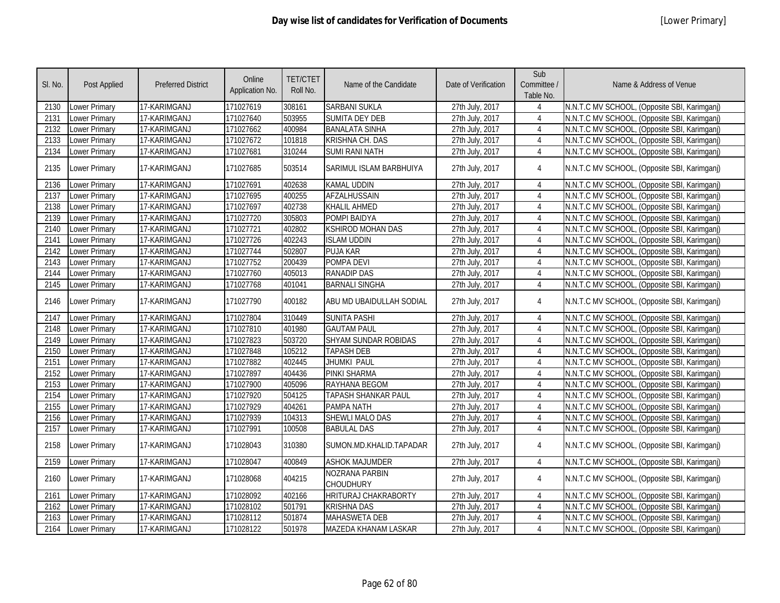| SI. No. | <b>Post Applied</b>  | <b>Preferred District</b> | Online<br>Application No. | <b>TET/CTET</b><br>Roll No. | Name of the Candidate                     | Date of Verification | Sub<br>Committee /<br>Table No. | Name & Address of Venue                      |
|---------|----------------------|---------------------------|---------------------------|-----------------------------|-------------------------------------------|----------------------|---------------------------------|----------------------------------------------|
| 2130    | Lower Primary        | 17-KARIMGANJ              | 171027619                 | 308161                      | <b>SARBANI SUKLA</b>                      | 27th July, 2017      | $\overline{4}$                  | N.N.T.C MV SCHOOL, (Opposite SBI, Karimganj) |
| 2131    | Lower Primary        | 17-KARIMGANJ              | 171027640                 | 503955                      | <b>SUMITA DEY DEB</b>                     | 27th July, 2017      | 4                               | N.N.T.C MV SCHOOL, (Opposite SBI, Karimganj) |
| 2132    | Lower Primary        | 17-KARIMGANJ              | 171027662                 | 400984                      | <b>BANALATA SINHA</b>                     | 27th July, 2017      | 4                               | N.N.T.C MV SCHOOL, (Opposite SBI, Karimganj) |
| 2133    | Lower Primary        | 17-KARIMGANJ              | 171027672                 | 101818                      | <b>KRISHNA CH. DAS</b>                    | 27th July, 2017      | $\overline{4}$                  | N.N.T.C MV SCHOOL, (Opposite SBI, Karimganj) |
| 2134    | Lower Primary        | 17-KARIMGANJ              | 171027681                 | 310244                      | <b>SUMI RANI NATH</b>                     | 27th July, 2017      | $\overline{4}$                  | N.N.T.C MV SCHOOL, (Opposite SBI, Karimganj) |
| 2135    | Lower Primary        | 17-KARIMGANJ              | 171027685                 | 503514                      | SARIMUL ISLAM BARBHUIYA                   | 27th July, 2017      | $\overline{4}$                  | N.N.T.C MV SCHOOL, (Opposite SBI, Karimganj) |
| 2136    | Lower Primary        | 17-KARIMGANJ              | 171027691                 | 402638                      | <b>KAMAL UDDIN</b>                        | 27th July, 2017      | $\overline{4}$                  | N.N.T.C MV SCHOOL, (Opposite SBI, Karimganj) |
| 2137    | Lower Primary        | 17-KARIMGANJ              | 171027695                 | 400255                      | <b>AFZALHUSSAIN</b>                       | 27th July, 2017      | $\overline{4}$                  | N.N.T.C MV SCHOOL, (Opposite SBI, Karimganj) |
| 2138    | Lower Primary        | 17-KARIMGANJ              | 171027697                 | 402738                      | <b>KHALIL AHMED</b>                       | 27th July, 2017      | $\overline{4}$                  | N.N.T.C MV SCHOOL, (Opposite SBI, Karimganj) |
| 2139    | Lower Primary        | 17-KARIMGANJ              | 171027720                 | 305803                      | POMPI BAIDYA                              | 27th July, 2017      | $\overline{4}$                  | N.N.T.C MV SCHOOL, (Opposite SBI, Karimganj) |
| 2140    | Lower Primary        | 17-KARIMGANJ              | 171027721                 | 402802                      | <b>KSHIROD MOHAN DAS</b>                  | 27th July, 2017      | $\overline{4}$                  | N.N.T.C MV SCHOOL, (Opposite SBI, Karimganj) |
| 2141    | Lower Primary        | 17-KARIMGANJ              | 171027726                 | 402243                      | <b>ISLAM UDDIN</b>                        | 27th July, 2017      | $\overline{4}$                  | N.N.T.C MV SCHOOL, (Opposite SBI, Karimganj) |
| 2142    | Lower Primary        | 17-KARIMGANJ              | 171027744                 | 502807                      | <b>PUJA KAR</b>                           | 27th July, 2017      | $\overline{4}$                  | N.N.T.C MV SCHOOL, (Opposite SBI, Karimganj) |
| 2143    | Lower Primary        | 17-KARIMGANJ              | 171027752                 | 200439                      | POMPA DEVI                                | 27th July, 2017      | $\overline{4}$                  | N.N.T.C MV SCHOOL, (Opposite SBI, Karimganj) |
| 2144    | Lower Primary        | 17-KARIMGANJ              | 171027760                 | 405013                      | <b>RANADIP DAS</b>                        | 27th July, 2017      | $\overline{4}$                  | N.N.T.C MV SCHOOL, (Opposite SBI, Karimganj) |
| 2145    | Lower Primary        | 17-KARIMGANJ              | 171027768                 | 401041                      | <b>BARNALI SINGHA</b>                     | 27th July, 2017      | $\overline{4}$                  | N.N.T.C MV SCHOOL, (Opposite SBI, Karimganj) |
| 2146    | Lower Primary        | 17-KARIMGANJ              | 171027790                 | 400182                      | ABU MD UBAIDULLAH SODIAL                  | 27th July, 2017      | 4                               | N.N.T.C MV SCHOOL, (Opposite SBI, Karimganj) |
| 2147    | Lower Primary        | 17-KARIMGANJ              | 171027804                 | 310449                      | <b>SUNITA PASHI</b>                       | 27th July, 2017      | 4                               | N.N.T.C MV SCHOOL, (Opposite SBI, Karimganj) |
| 2148    | <b>Lower Primary</b> | 17-KARIMGANJ              | 171027810                 | 401980                      | <b>GAUTAM PAUL</b>                        | 27th July, 2017      | 4                               | N.N.T.C MV SCHOOL, (Opposite SBI, Karimganj) |
| 2149    | Lower Primary        | 17-KARIMGANJ              | 171027823                 | 503720                      | <b>SHYAM SUNDAR ROBIDAS</b>               | 27th July, 2017      | $\overline{4}$                  | N.N.T.C MV SCHOOL, (Opposite SBI, Karimganj) |
| 2150    | Lower Primary        | 17-KARIMGANJ              | 171027848                 | 105212                      | <b>TAPASH DEB</b>                         | 27th July, 2017      | $\overline{4}$                  | N.N.T.C MV SCHOOL, (Opposite SBI, Karimganj) |
| 2151    | Lower Primary        | 17-KARIMGANJ              | 171027882                 | 402445                      | <b>JHUMKI PAUL</b>                        | 27th July, 2017      | 4                               | N.N.T.C MV SCHOOL, (Opposite SBI, Karimganj) |
| 2152    | Lower Primary        | 17-KARIMGANJ              | 171027897                 | 404436                      | PINKI SHARMA                              | 27th July, 2017      | 4                               | N.N.T.C MV SCHOOL, (Opposite SBI, Karimganj) |
| 2153    | Lower Primary        | 17-KARIMGANJ              | 171027900                 | 405096                      | RAYHANA BEGOM                             | 27th July, 2017      | $\overline{4}$                  | N.N.T.C MV SCHOOL, (Opposite SBI, Karimganj) |
| 2154    | Lower Primary        | 17-KARIMGANJ              | 171027920                 | 504125                      | TAPASH SHANKAR PAUL                       | 27th July, 2017      | 4                               | N.N.T.C MV SCHOOL, (Opposite SBI, Karimganj) |
| 2155    | Lower Primary        | 17-KARIMGANJ              | 171027929                 | 404261                      | PAMPA NATH                                | 27th July, 2017      | 4                               | N.N.T.C MV SCHOOL, (Opposite SBI, Karimganj) |
| 2156    | Lower Primary        | 17-KARIMGANJ              | 171027939                 | 104313                      | <b>SHEWLI MALO DAS</b>                    | 27th July, 2017      | $\boldsymbol{\varLambda}$       | N.N.T.C MV SCHOOL, (Opposite SBI, Karimganj) |
| 2157    | Lower Primary        | 17-KARIMGANJ              | 171027991                 | 100508                      | <b>BABULAL DAS</b>                        | 27th July, 2017      | $\overline{4}$                  | N.N.T.C MV SCHOOL, (Opposite SBI, Karimganj) |
| 2158    | Lower Primary        | 17-KARIMGANJ              | 171028043                 | 310380                      | SUMON.MD.KHALID.TAPADAR                   | 27th July, 2017      | $\overline{4}$                  | N.N.T.C MV SCHOOL, (Opposite SBI, Karimganj) |
| 2159    | Lower Primary        | 17-KARIMGANJ              | 171028047                 | 400849                      | <b>ASHOK MAJUMDER</b>                     | 27th July, 2017      | $\overline{4}$                  | N.N.T.C MV SCHOOL, (Opposite SBI, Karimganj) |
| 2160    | Lower Primary        | 17-KARIMGANJ              | 171028068                 | 404215                      | <b>NOZRANA PARBIN</b><br><b>CHOUDHURY</b> | 27th July, 2017      | 4                               | N.N.T.C MV SCHOOL, (Opposite SBI, Karimganj) |
| 2161    | Lower Primary        | 17-KARIMGANJ              | 171028092                 | 402166                      | <b>HRITURAJ CHAKRABORTY</b>               | 27th July, 2017      | 4                               | N.N.T.C MV SCHOOL, (Opposite SBI, Karimganj) |
| 2162    | Lower Primary        | 17-KARIMGANJ              | 171028102                 | 501791                      | <b>KRISHNA DAS</b>                        | 27th July, 2017      | $\overline{4}$                  | N.N.T.C MV SCHOOL, (Opposite SBI, Karimganj) |
| 2163    | Lower Primary        | 17-KARIMGANJ              | 171028112                 | 501874                      | <b>MAHASWETA DEB</b>                      | 27th July, 2017      | 4                               | N.N.T.C MV SCHOOL, (Opposite SBI, Karimganj) |
| 2164    | <b>Lower Primary</b> | 17-KARIMGANJ              | 171028122                 | 501978                      | MAZEDA KHANAM LASKAR                      | 27th July, 2017      | 4                               | N.N.T.C MV SCHOOL, (Opposite SBI, Karimganj) |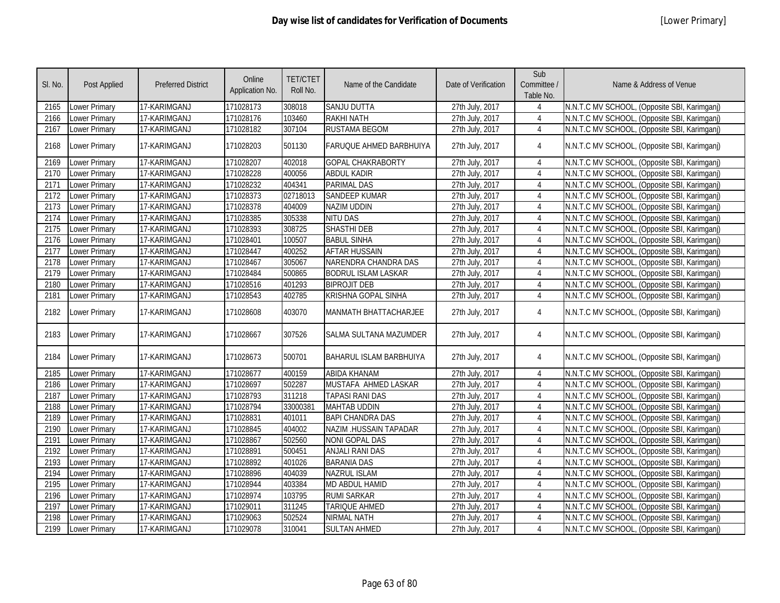| SI. No. | Post Applied         | <b>Preferred District</b> | Online<br>Application No. | <b>TET/CTET</b><br>Roll No. | Name of the Candidate          | Date of Verification | Sub<br>Committee /<br>Table No. | Name & Address of Venue                      |
|---------|----------------------|---------------------------|---------------------------|-----------------------------|--------------------------------|----------------------|---------------------------------|----------------------------------------------|
| 2165    | Lower Primary        | 17-KARIMGANJ              | 171028173                 | 308018                      | <b>SANJU DUTTA</b>             | 27th July, 2017      |                                 | N.N.T.C MV SCHOOL, (Opposite SBI, Karimganj) |
| 2166    | Lower Primary        | 17-KARIMGANJ              | 171028176                 | 103460                      | <b>RAKHI NATH</b>              | 27th July, 2017      | $\overline{4}$                  | N.N.T.C MV SCHOOL, (Opposite SBI, Karimganj) |
| 2167    | Lower Primary        | 17-KARIMGANJ              | 171028182                 | 307104                      | <b>RUSTAMA BEGOM</b>           | 27th July, 2017      | 4                               | N.N.T.C MV SCHOOL, (Opposite SBI, Karimganj) |
| 2168    | Lower Primary        | 17-KARIMGANJ              | 171028203                 | 501130                      | FARUQUE AHMED BARBHUIYA        | 27th July, 2017      | 4                               | N.N.T.C MV SCHOOL, (Opposite SBI, Karimganj) |
| 2169    | Lower Primary        | 17-KARIMGANJ              | 171028207                 | 402018                      | <b>GOPAL CHAKRABORTY</b>       | 27th July, 2017      | $\overline{4}$                  | N.N.T.C MV SCHOOL, (Opposite SBI, Karimganj) |
| 2170    | Lower Primary        | 17-KARIMGANJ              | 171028228                 | 400056                      | <b>ABDUL KADIR</b>             | 27th July, 2017      | $\overline{4}$                  | N.N.T.C MV SCHOOL, (Opposite SBI, Karimganj) |
| 2171    | Lower Primary        | 17-KARIMGANJ              | 171028232                 | 404341                      | <b>PARIMAL DAS</b>             | 27th July, 2017      | $\overline{4}$                  | N.N.T.C MV SCHOOL, (Opposite SBI, Karimganj) |
| 2172    | Lower Primary        | 17-KARIMGANJ              | 171028373                 | 02718013                    | <b>SANDEEP KUMAR</b>           | 27th July, 2017      | $\overline{4}$                  | N.N.T.C MV SCHOOL, (Opposite SBI, Karimganj) |
| 2173    | Lower Primary        | 17-KARIMGANJ              | 171028378                 | 404009                      | <b>NAZIM UDDIN</b>             | 27th July, 2017      | $\overline{4}$                  | N.N.T.C MV SCHOOL, (Opposite SBI, Karimganj) |
| 2174    | Lower Primary        | 17-KARIMGANJ              | 171028385                 | 305338                      | <b>NITU DAS</b>                | 27th July, 2017      | $\overline{4}$                  | N.N.T.C MV SCHOOL, (Opposite SBI, Karimganj) |
| 2175    | Lower Primary        | 17-KARIMGANJ              | 171028393                 | 308725                      | <b>SHASTHI DEB</b>             | 27th July, 2017      | $\overline{4}$                  | N.N.T.C MV SCHOOL, (Opposite SBI, Karimganj) |
| 2176    | Lower Primary        | 17-KARIMGANJ              | 171028401                 | 100507                      | <b>BABUL SINHA</b>             | 27th July, 2017      | $\overline{4}$                  | N.N.T.C MV SCHOOL, (Opposite SBI, Karimganj) |
| 2177    | Lower Primary        | 17-KARIMGANJ              | 171028447                 | 400252                      | <b>AFTAR HUSSAIN</b>           | 27th July, 2017      | 4                               | N.N.T.C MV SCHOOL, (Opposite SBI, Karimganj) |
| 2178    | Lower Primary        | 17-KARIMGANJ              | 171028467                 | 305067                      | NARENDRA CHANDRA DAS           | 27th July, 2017      | 4                               | N.N.T.C MV SCHOOL, (Opposite SBI, Karimganj) |
| 2179    | Lower Primary        | 17-KARIMGANJ              | 171028484                 | 500865                      | <b>BODRUL ISLAM LASKAR</b>     | 27th July, 2017      | 4                               | N.N.T.C MV SCHOOL, (Opposite SBI, Karimganj) |
| 2180    | Lower Primary        | 17-KARIMGANJ              | 171028516                 | 401293                      | <b>BIPROJIT DEB</b>            | 27th July, 2017      | $\overline{4}$                  | N.N.T.C MV SCHOOL, (Opposite SBI, Karimganj) |
| 2181    | Lower Primary        | 17-KARIMGANJ              | 171028543                 | 402785                      | <b>KRISHNA GOPAL SINHA</b>     | 27th July, 2017      | $\overline{4}$                  | N.N.T.C MV SCHOOL, (Opposite SBI, Karimganj) |
| 2182    | Lower Primary        | 17-KARIMGANJ              | 171028608                 | 403070                      | MANMATH BHATTACHARJEE          | 27th July, 2017      | 4                               | N.N.T.C MV SCHOOL, (Opposite SBI, Karimganj) |
| 2183    | Lower Primary        | 17-KARIMGANJ              | 171028667                 | 307526                      | SALMA SULTANA MAZUMDER         | 27th July, 2017      | $\overline{4}$                  | N.N.T.C MV SCHOOL, (Opposite SBI, Karimganj) |
| 2184    | Lower Primary        | 17-KARIMGANJ              | 171028673                 | 500701                      | <b>BAHARUL ISLAM BARBHUIYA</b> | 27th July, 2017      | 4                               | N.N.T.C MV SCHOOL, (Opposite SBI, Karimganj) |
| 2185    | <b>Lower Primary</b> | 17-KARIMGANJ              | 171028677                 | 400159                      | <b>ABIDA KHANAM</b>            | 27th July, 2017      | $\overline{4}$                  | N.N.T.C MV SCHOOL, (Opposite SBI, Karimganj) |
| 2186    | Lower Primary        | 17-KARIMGANJ              | 171028697                 | 502287                      | MUSTAFA AHMED LASKAR           | 27th July, 2017      | $\overline{4}$                  | N.N.T.C MV SCHOOL, (Opposite SBI, Karimganj) |
| 2187    | Lower Primary        | 17-KARIMGANJ              | 171028793                 | 311218                      | <b>TAPASI RANI DAS</b>         | 27th July, 2017      | $\overline{4}$                  | N.N.T.C MV SCHOOL, (Opposite SBI, Karimganj) |
| 2188    | Lower Primary        | 17-KARIMGANJ              | 171028794                 | 33000381                    | <b>MAHTAB UDDIN</b>            | 27th July, 2017      | $\overline{4}$                  | N.N.T.C MV SCHOOL, (Opposite SBI, Karimganj) |
| 2189    | Lower Primary        | 17-KARIMGANJ              | 171028831                 | 401011                      | <b>BAPI CHANDRA DAS</b>        | 27th July, 2017      | $\overline{4}$                  | N.N.T.C MV SCHOOL, (Opposite SBI, Karimganj) |
| 2190    | Lower Primary        | 17-KARIMGANJ              | 171028845                 | 404002                      | NAZIM .HUSSAIN TAPADAR         | 27th July, 2017      | $\overline{4}$                  | N.N.T.C MV SCHOOL, (Opposite SBI, Karimganj) |
| 2191    | <b>Lower Primary</b> | 17-KARIMGANJ              | 171028867                 | 502560                      | <b>NONI GOPAL DAS</b>          | 27th July, 2017      | 4                               | N.N.T.C MV SCHOOL, (Opposite SBI, Karimganj) |
| 2192    | Lower Primary        | 17-KARIMGANJ              | 171028891                 | 500451                      | <b>ANJALI RANI DAS</b>         | 27th July, 2017      | 4                               | N.N.T.C MV SCHOOL, (Opposite SBI, Karimganj) |
| 2193    | Lower Primary        | 17-KARIMGANJ              | 171028892                 | 401026                      | <b>BARANIA DAS</b>             | 27th July, 2017      | 4                               | N.N.T.C MV SCHOOL, (Opposite SBI, Karimganj) |
| 2194    | Lower Primary        | 17-KARIMGANJ              | 171028896                 | 404039                      | <b>NAZRUL ISLAM</b>            | 27th July, 2017      | $\overline{4}$                  | N.N.T.C MV SCHOOL, (Opposite SBI, Karimganj) |
| 2195    | Lower Primary        | 17-KARIMGANJ              | 171028944                 | 403384                      | <b>MD ABDUL HAMID</b>          | 27th July, 2017      | 4                               | N.N.T.C MV SCHOOL, (Opposite SBI, Karimganj) |
| 2196    | Lower Primary        | 17-KARIMGANJ              | 171028974                 | 103795                      | <b>RUMI SARKAR</b>             | 27th July, 2017      | 4                               | N.N.T.C MV SCHOOL, (Opposite SBI, Karimganj) |
| 2197    | Lower Primary        | 17-KARIMGANJ              | 171029011                 | 311245                      | <b>TARIQUE AHMED</b>           | 27th July, 2017      | 4                               | N.N.T.C MV SCHOOL, (Opposite SBI, Karimganj) |
| 2198    | Lower Primary        | 17-KARIMGANJ              | 171029063                 | 502524                      | <b>NIRMAL NATH</b>             | 27th July, 2017      | $\overline{4}$                  | N.N.T.C MV SCHOOL, (Opposite SBI, Karimganj) |
| 2199    | Lower Primary        | 17-KARIMGANJ              | 171029078                 | 310041                      | <b>SULTAN AHMED</b>            | 27th July, 2017      | 4                               | N.N.T.C MV SCHOOL, (Opposite SBI, Karimganj) |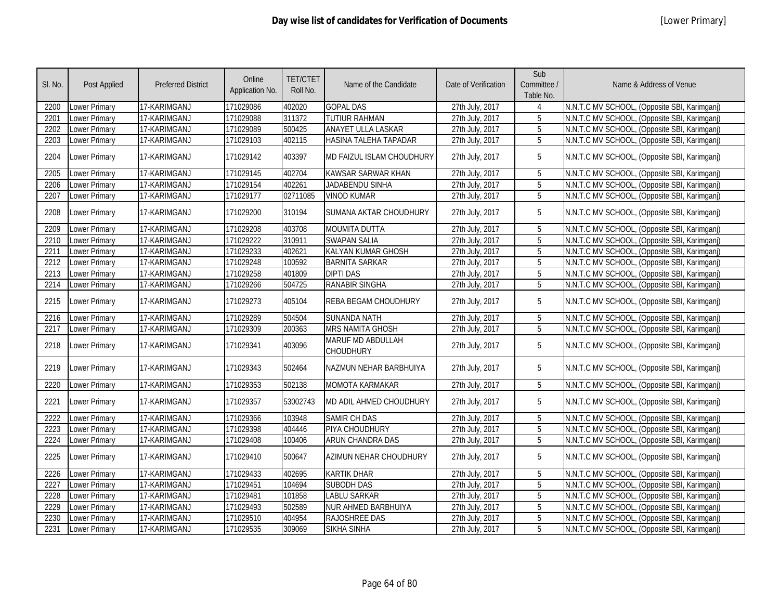| SI. No. | Post Applied         | <b>Preferred District</b> | Online<br>Application No. | <b>TET/CTET</b><br>Roll No. | Name of the Candidate                        | Date of Verification | Sub<br>Committee /<br>Table No. | Name & Address of Venue                      |
|---------|----------------------|---------------------------|---------------------------|-----------------------------|----------------------------------------------|----------------------|---------------------------------|----------------------------------------------|
| 2200    | Lower Primary        | 17-KARIMGANJ              | 171029086                 | 402020                      | <b>GOPAL DAS</b>                             | 27th July, 2017      |                                 | N.N.T.C MV SCHOOL, (Opposite SBI, Karimganj) |
| 2201    | <b>Lower Primary</b> | 17-KARIMGANJ              | 171029088                 | 311372                      | <b>TUTIUR RAHMAN</b>                         | 27th July, 2017      | 5                               | N.N.T.C MV SCHOOL, (Opposite SBI, Karimganj) |
| 2202    | <b>Lower Primary</b> | 17-KARIMGANJ              | 171029089                 | 500425                      | <b>ANAYET ULLA LASKAR</b>                    | 27th July, 2017      | $\overline{5}$                  | N.N.T.C MV SCHOOL, (Opposite SBI, Karimganj) |
| 2203    | <b>Lower Primary</b> | 17-KARIMGANJ              | 171029103                 | 402115                      | HASINA TALEHA TAPADAR                        | 27th July, 2017      | 5                               | N.N.T.C MV SCHOOL, (Opposite SBI, Karimganj) |
| 2204    | Lower Primary        | 17-KARIMGANJ              | 171029142                 | 403397                      | MD FAIZUL ISLAM CHOUDHURY                    | 27th July, 2017      | 5                               | N.N.T.C MV SCHOOL, (Opposite SBI, Karimganj) |
| 2205    | <b>Lower Primary</b> | 17-KARIMGANJ              | 171029145                 | 402704                      | <b>KAWSAR SARWAR KHAN</b>                    | 27th July, 2017      | 5                               | N.N.T.C MV SCHOOL, (Opposite SBI, Karimganj) |
| 2206    | <b>Lower Primary</b> | 17-KARIMGANJ              | 171029154                 | 402261                      | <b>JADABENDU SINHA</b>                       | 27th July, 2017      | 5                               | N.N.T.C MV SCHOOL, (Opposite SBI, Karimganj) |
| 2207    | <b>Lower Primary</b> | 17-KARIMGANJ              | 171029177                 | 02711085                    | <b>VINOD KUMAR</b>                           | 27th July, 2017      | 5                               | N.N.T.C MV SCHOOL, (Opposite SBI, Karimganj) |
| 2208    | Lower Primary        | 17-KARIMGANJ              | 171029200                 | 310194                      | SUMANA AKTAR CHOUDHURY                       | 27th July, 2017      | 5                               | N.N.T.C MV SCHOOL, (Opposite SBI, Karimganj) |
| 2209    | Lower Primary        | 17-KARIMGANJ              | 171029208                 | 403708                      | <b>MOUMITA DUTTA</b>                         | 27th July, 2017      | $5\phantom{.0}$                 | N.N.T.C MV SCHOOL, (Opposite SBI, Karimganj) |
| 2210    | Lower Primary        | 17-KARIMGANJ              | 171029222                 | 310911                      | <b>SWAPAN SALIA</b>                          | 27th July, 2017      | 5                               | N.N.T.C MV SCHOOL, (Opposite SBI, Karimgani) |
| 2211    | <b>Lower Primary</b> | 17-KARIMGANJ              | 171029233                 | 402621                      | KALYAN KUMAR GHOSH                           | 27th July, 2017      | 5                               | N.N.T.C MV SCHOOL, (Opposite SBI, Karimganj) |
| 2212    | <b>Lower Primary</b> | 17-KARIMGANJ              | 171029248                 | 100592                      | <b>BARNITA SARKAR</b>                        | 27th July, 2017      | 5                               | N.N.T.C MV SCHOOL, (Opposite SBI, Karimganj) |
| 2213    | Lower Primary        | 17-KARIMGANJ              | 171029258                 | 401809                      | <b>DIPTI DAS</b>                             | 27th July, 2017      | 5                               | N.N.T.C MV SCHOOL, (Opposite SBI, Karimganj) |
| 2214    | Lower Primary        | 17-KARIMGANJ              | 171029266                 | 504725                      | <b>RANABIR SINGHA</b>                        | 27th July, 2017      | 5                               | N.N.T.C MV SCHOOL, (Opposite SBI, Karimganj) |
| 2215    | <b>Lower Primary</b> | 17-KARIMGANJ              | 171029273                 | 405104                      | REBA BEGAM CHOUDHURY                         | 27th July, 2017      | 5                               | N.N.T.C MV SCHOOL, (Opposite SBI, Karimganj) |
| 2216    | <b>Lower Primary</b> | 17-KARIMGANJ              | 171029289                 | 504504                      | <b>SUNANDA NATH</b>                          | 27th July, 2017      | 5                               | N.N.T.C MV SCHOOL, (Opposite SBI, Karimganj) |
| 2217    | Lower Primary        | 17-KARIMGANJ              | 171029309                 | 200363                      | <b>MRS NAMITA GHOSH</b>                      | 27th July, 2017      | 5                               | N.N.T.C MV SCHOOL, (Opposite SBI, Karimganj) |
| 2218    | <b>Lower Primary</b> | 17-KARIMGANJ              | 171029341                 | 403096                      | <b>MARUF MD ABDULLAH</b><br><b>CHOUDHURY</b> | 27th July, 2017      | 5                               | N.N.T.C MV SCHOOL, (Opposite SBI, Karimganj) |
| 2219    | Lower Primary        | 17-KARIMGANJ              | 171029343                 | 502464                      | NAZMUN NEHAR BARBHUIYA                       | 27th July, 2017      | 5                               | N.N.T.C MV SCHOOL, (Opposite SBI, Karimganj) |
| 2220    | <b>Lower Primary</b> | 17-KARIMGANJ              | 171029353                 | 502138                      | MOMOTA KARMAKAR                              | 27th July, 2017      | 5                               | N.N.T.C MV SCHOOL, (Opposite SBI, Karimganj) |
| 2221    | <b>Lower Primary</b> | 17-KARIMGANJ              | 171029357                 | 53002743                    | MD ADIL AHMED CHOUDHURY                      | 27th July, 2017      | 5                               | N.N.T.C MV SCHOOL, (Opposite SBI, Karimganj) |
| 2222    | <b>Lower Primary</b> | 17-KARIMGANJ              | 171029366                 | 103948                      | <b>SAMIR CH DAS</b>                          | 27th July, 2017      | 5                               | N.N.T.C MV SCHOOL, (Opposite SBI, Karimganj) |
| 2223    | <b>Lower Primary</b> | 17-KARIMGANJ              | 171029398                 | 404446                      | PIYA CHOUDHURY                               | 27th July, 2017      | 5                               | N.N.T.C MV SCHOOL, (Opposite SBI, Karimganj) |
| 2224    | Lower Primary        | 17-KARIMGANJ              | 171029408                 | 100406                      | ARUN CHANDRA DAS                             | 27th July, 2017      | 5                               | N.N.T.C MV SCHOOL, (Opposite SBI, Karimganj) |
| 2225    | Lower Primary        | 17-KARIMGANJ              | 171029410                 | 500647                      | AZIMUN NEHAR CHOUDHURY                       | 27th July, 2017      | 5                               | N.N.T.C MV SCHOOL, (Opposite SBI, Karimganj) |
| 2226    | <b>Lower Primary</b> | 17-KARIMGANJ              | 171029433                 | 402695                      | <b>KARTIK DHAR</b>                           | 27th July, 2017      | 5                               | N.N.T.C MV SCHOOL, (Opposite SBI, Karimganj) |
| 2227    | <b>Lower Primary</b> | 17-KARIMGANJ              | 171029451                 | 104694                      | <b>SUBODH DAS</b>                            | 27th July, 2017      | 5                               | N.N.T.C MV SCHOOL, (Opposite SBI, Karimganj) |
| 2228    | Lower Primary        | 17-KARIMGANJ              | 171029481                 | 101858                      | <b>LABLU SARKAR</b>                          | 27th July, 2017      | 5                               | N.N.T.C MV SCHOOL, (Opposite SBI, Karimganj) |
| 2229    | <b>Lower Primary</b> | 17-KARIMGANJ              | 171029493                 | 502589                      | <b>NUR AHMED BARBHUIYA</b>                   | 27th July, 2017      | 5                               | N.N.T.C MV SCHOOL, (Opposite SBI, Karimganj) |
| 2230    | Lower Primary        | 17-KARIMGANJ              | 171029510                 | 404954                      | <b>RAJOSHREE DAS</b>                         | 27th July, 2017      | 5                               | N.N.T.C MV SCHOOL, (Opposite SBI, Karimganj) |
| 2231    | <b>Lower Primary</b> | 17-KARIMGANJ              | 171029535                 | 309069                      | <b>SIKHA SINHA</b>                           | 27th July, 2017      | 5                               | N.N.T.C MV SCHOOL, (Opposite SBI, Karimganj) |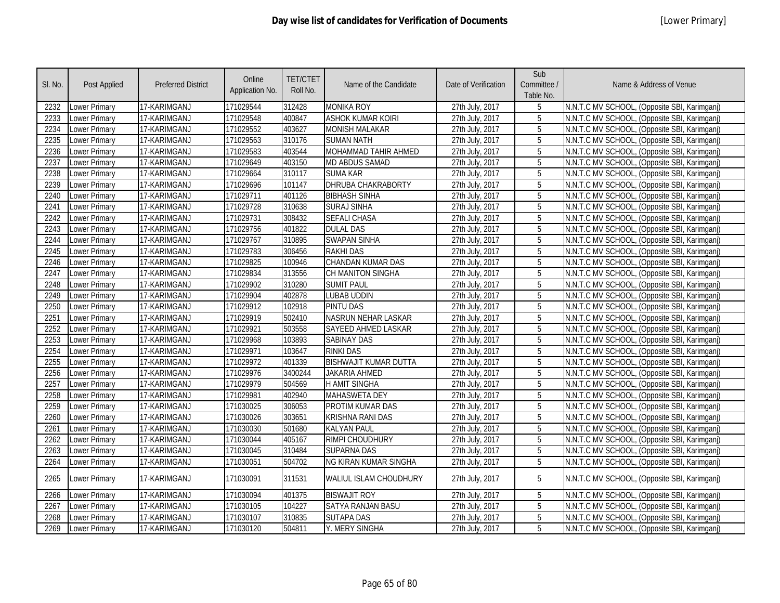| SI. No. | <b>Post Applied</b>  | <b>Preferred District</b> | Online<br>Application No. | <b>TET/CTET</b><br>Roll No. | Name of the Candidate        | Date of Verification | Sub<br>Committee /<br>Table No. | Name & Address of Venue                      |
|---------|----------------------|---------------------------|---------------------------|-----------------------------|------------------------------|----------------------|---------------------------------|----------------------------------------------|
| 2232    | Lower Primary        | 17-KARIMGANJ              | 171029544                 | 312428                      | <b>MONIKA ROY</b>            | 27th July, 2017      | 5                               | N.N.T.C MV SCHOOL, (Opposite SBI, Karimganj) |
| 2233    | Lower Primary        | 17-KARIMGANJ              | 171029548                 | 400847                      | ASHOK KUMAR KOIRI            | 27th July, 2017      | 5                               | N.N.T.C MV SCHOOL, (Opposite SBI, Karimganj) |
| 2234    | Lower Primary        | 17-KARIMGANJ              | 171029552                 | 403627                      | <b>MONISH MALAKAR</b>        | 27th July, 2017      | 5                               | N.N.T.C MV SCHOOL, (Opposite SBI, Karimganj) |
| 2235    | Lower Primary        | 17-KARIMGANJ              | 171029563                 | 310176                      | <b>SUMAN NATH</b>            | 27th July, 2017      | 5                               | N.N.T.C MV SCHOOL, (Opposite SBI, Karimganj) |
| 2236    | Lower Primary        | 17-KARIMGANJ              | 171029583                 | 403544                      | MOHAMMAD TAHIR AHMED         | 27th July, 2017      | 5                               | N.N.T.C MV SCHOOL, (Opposite SBI, Karimganj) |
| 2237    | Lower Primary        | 17-KARIMGANJ              | 171029649                 | 403150                      | <b>MD ABDUS SAMAD</b>        | 27th July, 2017      | $\overline{5}$                  | N.N.T.C MV SCHOOL, (Opposite SBI, Karimganj) |
| 2238    | Lower Primary        | 17-KARIMGANJ              | 171029664                 | 310117                      | <b>SUMA KAR</b>              | 27th July, 2017      | 5                               | N.N.T.C MV SCHOOL, (Opposite SBI, Karimganj) |
| 2239    | <b>Lower Primary</b> | 17-KARIMGANJ              | 171029696                 | 101147                      | <b>DHRUBA CHAKRABORTY</b>    | 27th July, 2017      | $\overline{5}$                  | N.N.T.C MV SCHOOL, (Opposite SBI, Karimganj) |
| 2240    | Lower Primary        | 17-KARIMGANJ              | 171029711                 | 401126                      | <b>BIBHASH SINHA</b>         | 27th July, 2017      | 5                               | N.N.T.C MV SCHOOL, (Opposite SBI, Karimganj) |
| 2241    | Lower Primary        | 17-KARIMGANJ              | 171029728                 | 310638                      | <b>SURAJ SINHA</b>           | 27th July, 2017      | 5                               | N.N.T.C MV SCHOOL, (Opposite SBI, Karimganj) |
| 2242    | Lower Primary        | 17-KARIMGANJ              | 171029731                 | 308432                      | <b>SEFALI CHASA</b>          | 27th July, 2017      | $5\phantom{.0}$                 | N.N.T.C MV SCHOOL, (Opposite SBI, Karimganj) |
| 2243    | Lower Primary        | 17-KARIMGANJ              | 171029756                 | 401822                      | <b>DULAL DAS</b>             | 27th July, 2017      | 5                               | N.N.T.C MV SCHOOL, (Opposite SBI, Karimganj) |
| 2244    | Lower Primary        | 17-KARIMGANJ              | 171029767                 | 310895                      | <b>SWAPAN SINHA</b>          | 27th July, 2017      | $\overline{5}$                  | N.N.T.C MV SCHOOL, (Opposite SBI, Karimganj) |
| 2245    | Lower Primary        | 17-KARIMGANJ              | 171029783                 | 306456                      | <b>RAKHI DAS</b>             | 27th July, 2017      | $5\phantom{.0}$                 | N.N.T.C MV SCHOOL, (Opposite SBI, Karimganj) |
| 2246    | Lower Primary        | 17-KARIMGANJ              | 171029825                 | 100946                      | CHANDAN KUMAR DAS            | 27th July, 2017      | 5                               | N.N.T.C MV SCHOOL, (Opposite SBI, Karimganj) |
| 2247    | Lower Primary        | 17-KARIMGANJ              | 171029834                 | 313556                      | CH MANITON SINGHA            | 27th July, 2017      | 5                               | N.N.T.C MV SCHOOL, (Opposite SBI, Karimganj) |
| 2248    | Lower Primary        | 17-KARIMGANJ              | 171029902                 | 310280                      | <b>SUMIT PAUL</b>            | 27th July, 2017      | 5                               | N.N.T.C MV SCHOOL, (Opposite SBI, Karimganj) |
| 2249    | Lower Primary        | 17-KARIMGANJ              | 171029904                 | 402878                      | LUBAB UDDIN                  | 27th July, 2017      | 5                               | N.N.T.C MV SCHOOL, (Opposite SBI, Karimganj) |
| 2250    | Lower Primary        | 17-KARIMGANJ              | 171029912                 | 102918                      | <b>PINTU DAS</b>             | 27th July, 2017      | 5                               | N.N.T.C MV SCHOOL, (Opposite SBI, Karimganj) |
| 2251    | Lower Primary        | 17-KARIMGANJ              | 171029919                 | 502410                      | NASRUN NEHAR LASKAR          | 27th July, 2017      | 5                               | N.N.T.C MV SCHOOL, (Opposite SBI, Karimganj) |
| 2252    | Lower Primary        | 17-KARIMGANJ              | 171029921                 | 503558                      | SAYEED AHMED LASKAR          | 27th July, 2017      | $\overline{5}$                  | N.N.T.C MV SCHOOL, (Opposite SBI, Karimganj) |
| 2253    | Lower Primary        | 17-KARIMGANJ              | 171029968                 | 103893                      | <b>SABINAY DAS</b>           | 27th July, 2017      | 5                               | N.N.T.C MV SCHOOL, (Opposite SBI, Karimganj) |
| 2254    | Lower Primary        | 17-KARIMGANJ              | 171029971                 | 103647                      | <b>RINKI DAS</b>             | 27th July, 2017      | 5                               | N.N.T.C MV SCHOOL, (Opposite SBI, Karimganj) |
| 2255    | Lower Primary        | 17-KARIMGANJ              | 171029972                 | 401339                      | <b>BISHWAJIT KUMAR DUTTA</b> | 27th July, 2017      | 5                               | N.N.T.C MV SCHOOL, (Opposite SBI, Karimganj) |
| 2256    | Lower Primary        | 17-KARIMGANJ              | 171029976                 | 3400244                     | <b>JAKARIA AHMED</b>         | 27th July, 2017      | 5                               | N.N.T.C MV SCHOOL, (Opposite SBI, Karimganj) |
| 2257    | Lower Primary        | 17-KARIMGANJ              | 171029979                 | 504569                      | <b>H AMIT SINGHA</b>         | 27th July, 2017      | 5                               | N.N.T.C MV SCHOOL, (Opposite SBI, Karimganj) |
| 2258    | Lower Primary        | 17-KARIMGANJ              | 171029981                 | 402940                      | <b>MAHASWETA DEY</b>         | 27th July, 2017      | 5                               | N.N.T.C MV SCHOOL, (Opposite SBI, Karimganj) |
| 2259    | Lower Primary        | 17-KARIMGANJ              | 171030025                 | 306053                      | PROTIM KUMAR DAS             | 27th July, 2017      | 5                               | N.N.T.C MV SCHOOL, (Opposite SBI, Karimganj) |
| 2260    | Lower Primary        | 17-KARIMGANJ              | 171030026                 | 303651                      | <b>KRISHNA RANI DAS</b>      | 27th July, 2017      | $\overline{5}$                  | N.N.T.C MV SCHOOL, (Opposite SBI, Karimganj) |
| 2261    | Lower Primary        | 17-KARIMGANJ              | 171030030                 | 501680                      | <b>KALYAN PAUL</b>           | 27th July, 2017      | 5                               | N.N.T.C MV SCHOOL, (Opposite SBI, Karimganj) |
| 2262    | Lower Primary        | 17-KARIMGANJ              | 171030044                 | 405167                      | RIMPI CHOUDHURY              | 27th July, 2017      | 5                               | N.N.T.C MV SCHOOL, (Opposite SBI, Karimganj) |
| 2263    | Lower Primary        | 17-KARIMGANJ              | 171030045                 | 310484                      | <b>SUPARNA DAS</b>           | 27th July, 2017      | 5                               | N.N.T.C MV SCHOOL, (Opposite SBI, Karimganj) |
| 2264    | Lower Primary        | 17-KARIMGANJ              | 171030051                 | 504702                      | <b>NG KIRAN KUMAR SINGHA</b> | 27th July, 2017      | $5^{\circ}$                     | N.N.T.C MV SCHOOL, (Opposite SBI, Karimganj) |
| 2265    | Lower Primary        | 17-KARIMGANJ              | 171030091                 | 311531                      | WALIUL ISLAM CHOUDHURY       | 27th July, 2017      | 5                               | N.N.T.C MV SCHOOL, (Opposite SBI, Karimganj) |
| 2266    | Lower Primary        | 17-KARIMGANJ              | 171030094                 | 401375                      | <b>BISWAJIT ROY</b>          | 27th July, 2017      | 5                               | N.N.T.C MV SCHOOL, (Opposite SBI, Karimganj) |
| 2267    | Lower Primary        | 17-KARIMGANJ              | 171030105                 | 104227                      | <b>SATYA RANJAN BASU</b>     | 27th July, 2017      | $\overline{5}$                  | N.N.T.C MV SCHOOL, (Opposite SBI, Karimganj) |
| 2268    | Lower Primary        | 17-KARIMGANJ              | 171030107                 | 310835                      | <b>SUTAPA DAS</b>            | 27th July, 2017      | 5                               | N.N.T.C MV SCHOOL, (Opposite SBI, Karimganj) |
| 2269    | Lower Primary        | 17-KARIMGANJ              | 171030120                 | 504811                      | Y. MERY SINGHA               | 27th July, 2017      | $5^{\circ}$                     | N.N.T.C MV SCHOOL, (Opposite SBI, Karimganj) |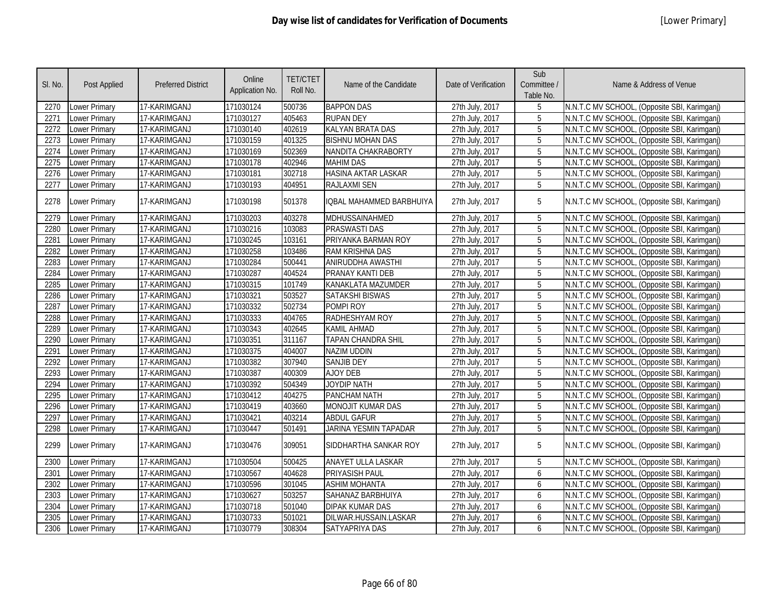| SI. No. | Post Applied         | <b>Preferred District</b> | Online<br>Application No. | <b>TET/CTET</b><br>Roll No. | Name of the Candidate        | Date of Verification | Sub<br>Committee /<br>Table No. | Name & Address of Venue                      |
|---------|----------------------|---------------------------|---------------------------|-----------------------------|------------------------------|----------------------|---------------------------------|----------------------------------------------|
| 2270    | Lower Primary        | 17-KARIMGANJ              | 171030124                 | 500736                      | <b>BAPPON DAS</b>            | 27th July, 2017      | 5                               | N.N.T.C MV SCHOOL, (Opposite SBI, Karimganj) |
| 2271    | Lower Primary        | 17-KARIMGANJ              | 171030127                 | 405463                      | <b>RUPAN DEY</b>             | 27th July, 2017      | 5                               | N.N.T.C MV SCHOOL, (Opposite SBI, Karimganj) |
| 2272    | Lower Primary        | 17-KARIMGANJ              | 171030140                 | 402619                      | KALYAN BRATA DAS             | 27th July, 2017      | $\overline{5}$                  | N.N.T.C MV SCHOOL, (Opposite SBI, Karimganj) |
| 2273    | <b>Lower Primary</b> | 17-KARIMGANJ              | 171030159                 | 401325                      | <b>BISHNU MOHAN DAS</b>      | 27th July, 2017      | $\overline{5}$                  | N.N.T.C MV SCHOOL, (Opposite SBI, Karimganj) |
| 2274    | Lower Primary        | 17-KARIMGANJ              | 171030169                 | 502369                      | NANDITA CHAKRABORTY          | 27th July, 2017      | 5                               | N.N.T.C MV SCHOOL, (Opposite SBI, Karimganj) |
| 2275    | Lower Primary        | 17-KARIMGANJ              | 171030178                 | 402946                      | <b>MAHIM DAS</b>             | 27th July, 2017      | $\overline{5}$                  | N.N.T.C MV SCHOOL, (Opposite SBI, Karimganj) |
| 2276    | Lower Primary        | 17-KARIMGANJ              | 171030181                 | 302718                      | <b>HASINA AKTAR LASKAR</b>   | 27th July, 2017      | $\overline{5}$                  | N.N.T.C MV SCHOOL, (Opposite SBI, Karimganj) |
| 2277    | Lower Primary        | 17-KARIMGANJ              | 171030193                 | 404951                      | <b>RAJLAXMI SEN</b>          | 27th July, 2017      | $\overline{5}$                  | N.N.T.C MV SCHOOL, (Opposite SBI, Karimganj) |
| 2278    | Lower Primary        | 17-KARIMGANJ              | 171030198                 | 501378                      | IQBAL MAHAMMED BARBHUIYA     | 27th July, 2017      | 5                               | N.N.T.C MV SCHOOL, (Opposite SBI, Karimganj) |
| 2279    | Lower Primary        | 17-KARIMGANJ              | 171030203                 | 403278                      | MDHUSSAINAHMED               | 27th July, 2017      | 5                               | N.N.T.C MV SCHOOL, (Opposite SBI, Karimganj) |
| 2280    | Lower Primary        | 17-KARIMGANJ              | 171030216                 | 103083                      | <b>PRASWASTI DAS</b>         | 27th July, 2017      | 5                               | N.N.T.C MV SCHOOL, (Opposite SBI, Karimganj) |
| 2281    | Lower Primary        | 17-KARIMGANJ              | 171030245                 | 103161                      | PRIYANKA BARMAN ROY          | 27th July, 2017      | 5                               | N.N.T.C MV SCHOOL, (Opposite SBI, Karimganj) |
| 2282    | Lower Primary        | 17-KARIMGANJ              | 171030258                 | 103486                      | <b>RAM KRISHNA DAS</b>       | 27th July, 2017      | 5                               | N.N.T.C MV SCHOOL, (Opposite SBI, Karimganj) |
| 2283    | Lower Primary        | 17-KARIMGANJ              | 171030284                 | 500441                      | ANIRUDDHA AWASTHI            | 27th July, 2017      | $\overline{5}$                  | N.N.T.C MV SCHOOL, (Opposite SBI, Karimganj) |
| 2284    | Lower Primary        | 17-KARIMGANJ              | 171030287                 | 404524                      | PRANAY KANTI DEB             | 27th July, 2017      | 5                               | N.N.T.C MV SCHOOL, (Opposite SBI, Karimganj) |
| 2285    | Lower Primary        | 17-KARIMGANJ              | 171030315                 | 101749                      | KANAKLATA MAZUMDER           | 27th July, 2017      | 5                               | N.N.T.C MV SCHOOL, (Opposite SBI, Karimganj) |
| 2286    | Lower Primary        | 17-KARIMGANJ              | 171030321                 | 503527                      | <b>SATAKSHI BISWAS</b>       | 27th July, 2017      | 5                               | N.N.T.C MV SCHOOL, (Opposite SBI, Karimganj) |
| 2287    | Lower Primary        | 17-KARIMGANJ              | 171030332                 | 502734                      | POMPI ROY                    | 27th July, 2017      | 5                               | N.N.T.C MV SCHOOL, (Opposite SBI, Karimganj) |
| 2288    | Lower Primary        | 17-KARIMGANJ              | 171030333                 | 404765                      | RADHESHYAM ROY               | 27th July, 2017      | 5                               | N.N.T.C MV SCHOOL, (Opposite SBI, Karimganj) |
| 2289    | Lower Primary        | 17-KARIMGANJ              | 171030343                 | 402645                      | <b>KAMIL AHMAD</b>           | 27th July, 2017      | $\overline{5}$                  | N.N.T.C MV SCHOOL, (Opposite SBI, Karimganj) |
| 2290    | Lower Primary        | 17-KARIMGANJ              | 171030351                 | 311167                      | TAPAN CHANDRA SHIL           | 27th July, 2017      | 5                               | N.N.T.C MV SCHOOL, (Opposite SBI, Karimganj) |
| 2291    | Lower Primary        | 17-KARIMGANJ              | 171030375                 | 404007                      | <b>NAZIM UDDIN</b>           | 27th July, 2017      | 5                               | N.N.T.C MV SCHOOL, (Opposite SBI, Karimganj) |
| 2292    | Lower Primary        | 17-KARIMGANJ              | 171030382                 | 307940                      | <b>SANJIB DEY</b>            | 27th July, 2017      | 5                               | N.N.T.C MV SCHOOL, (Opposite SBI, Karimganj) |
| 2293    | Lower Primary        | 17-KARIMGANJ              | 171030387                 | 400309                      | <b>AJOY DEB</b>              | 27th July, 2017      | 5                               | N.N.T.C MV SCHOOL, (Opposite SBI, Karimganj) |
| 2294    | Lower Primary        | 17-KARIMGANJ              | 171030392                 | 504349                      | JOYDIP NATH                  | 27th July, 2017      | 5                               | N.N.T.C MV SCHOOL, (Opposite SBI, Karimganj) |
| 2295    | <b>Lower Primary</b> | 17-KARIMGANJ              | 171030412                 | 404275                      | PANCHAM NATH                 | 27th July, 2017      | $\overline{5}$                  | N.N.T.C MV SCHOOL, (Opposite SBI, Karimganj) |
| 2296    | Lower Primary        | 17-KARIMGANJ              | 171030419                 | 403660                      | MONOJIT KUMAR DAS            | 27th July, 2017      | 5                               | N.N.T.C MV SCHOOL, (Opposite SBI, Karimganj) |
| 2297    | Lower Primary        | 17-KARIMGANJ              | 171030421                 | 403214                      | <b>ABDUL GAFUR</b>           | 27th July, 2017      | 5                               | N.N.T.C MV SCHOOL, (Opposite SBI, Karimganj) |
| 2298    | Lower Primary        | 17-KARIMGANJ              | 171030447                 | 501491                      | <b>JARINA YESMIN TAPADAR</b> | 27th July, 2017      | 5                               | N.N.T.C MV SCHOOL, (Opposite SBI, Karimganj) |
| 2299    | Lower Primary        | 17-KARIMGANJ              | 171030476                 | 309051                      | SIDDHARTHA SANKAR ROY        | 27th July, 2017      | 5                               | N.N.T.C MV SCHOOL, (Opposite SBI, Karimganj) |
| 2300    | Lower Primary        | 17-KARIMGANJ              | 171030504                 | 500425                      | ANAYET ULLA LASKAR           | 27th July, 2017      | 5                               | N.N.T.C MV SCHOOL, (Opposite SBI, Karimganj) |
| 2301    | Lower Primary        | 17-KARIMGANJ              | 171030567                 | 404628                      | <b>PRIYASISH PAUL</b>        | 27th July, 2017      | 6                               | N.N.T.C MV SCHOOL, (Opposite SBI, Karimganj) |
| 2302    | Lower Primary        | 17-KARIMGANJ              | 171030596                 | 301045                      | <b>ASHIM MOHANTA</b>         | 27th July, 2017      | 6                               | N.N.T.C MV SCHOOL, (Opposite SBI, Karimganj) |
| 2303    | Lower Primary        | 17-KARIMGANJ              | 171030627                 | 503257                      | SAHANAZ BARBHUIYA            | 27th July, 2017      | 6                               | N.N.T.C MV SCHOOL, (Opposite SBI, Karimganj) |
| 2304    | Lower Primary        | 17-KARIMGANJ              | 171030718                 | 501040                      | <b>DIPAK KUMAR DAS</b>       | 27th July, 2017      | 6                               | N.N.T.C MV SCHOOL, (Opposite SBI, Karimganj) |
| 2305    | Lower Primary        | 17-KARIMGANJ              | 171030733                 | 501021                      | DILWAR.HUSSAIN.LASKAR        | 27th July, 2017      | 6                               | N.N.T.C MV SCHOOL, (Opposite SBI, Karimganj) |
| 2306    | Lower Primary        | 17-KARIMGANJ              | 171030779                 | 308304                      | SATYAPRIYA DAS               | 27th July, 2017      | 6                               | N.N.T.C MV SCHOOL, (Opposite SBI, Karimganj) |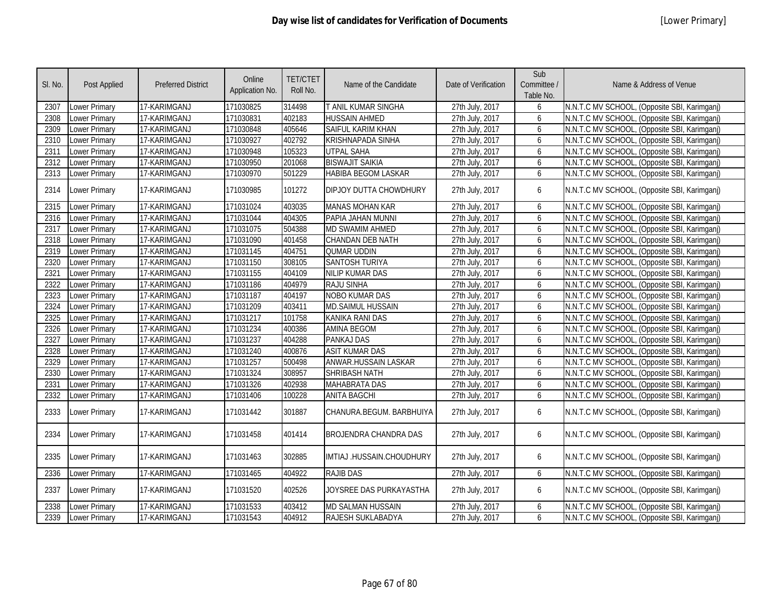| SI. No. | Post Applied         | <b>Preferred District</b> | Online<br>Application No. | <b>TET/CTET</b><br>Roll No. | Name of the Candidate        | Date of Verification | Sub<br>Committee /<br>Table No. | Name & Address of Venue                      |
|---------|----------------------|---------------------------|---------------------------|-----------------------------|------------------------------|----------------------|---------------------------------|----------------------------------------------|
| 2307    | <b>Lower Primary</b> | 17-KARIMGANJ              | 171030825                 | 314498                      | T ANIL KUMAR SINGHA          | 27th July, 2017      | 6                               | N.N.T.C MV SCHOOL, (Opposite SBI, Karimganj) |
| 2308    | Lower Primary        | 17-KARIMGANJ              | 171030831                 | 402183                      | <b>HUSSAIN AHMED</b>         | 27th July, 2017      | 6                               | N.N.T.C MV SCHOOL, (Opposite SBI, Karimganj) |
| 2309    | Lower Primary        | 17-KARIMGANJ              | 171030848                 | 405646                      | SAIFUL KARIM KHAN            | 27th July, 2017      | 6                               | N.N.T.C MV SCHOOL, (Opposite SBI, Karimganj) |
| 2310    | Lower Primary        | 17-KARIMGANJ              | 171030927                 | 402792                      | <b>KRISHNAPADA SINHA</b>     | 27th July, 2017      | 6                               | N.N.T.C MV SCHOOL, (Opposite SBI, Karimganj) |
| 2311    | <b>Lower Primary</b> | 17-KARIMGANJ              | 171030948                 | 105323                      | <b>UTPAL SAHA</b>            | 27th July, 2017      | 6                               | N.N.T.C MV SCHOOL, (Opposite SBI, Karimganj) |
| 2312    | <b>Lower Primary</b> | 17-KARIMGANJ              | 171030950                 | 201068                      | <b>BISWAJIT SAIKIA</b>       | 27th July, 2017      | 6                               | N.N.T.C MV SCHOOL, (Opposite SBI, Karimganj) |
| 2313    | <b>Lower Primary</b> | 17-KARIMGANJ              | 171030970                 | 501229                      | <b>HABIBA BEGOM LASKAR</b>   | 27th July, 2017      | 6                               | N.N.T.C MV SCHOOL, (Opposite SBI, Karimganj) |
| 2314    | Lower Primary        | 17-KARIMGANJ              | 171030985                 | 101272                      | DIPJOY DUTTA CHOWDHURY       | 27th July, 2017      | 6                               | N.N.T.C MV SCHOOL, (Opposite SBI, Karimganj) |
| 2315    | Lower Primary        | 17-KARIMGANJ              | 171031024                 | 403035                      | <b>MANAS MOHAN KAR</b>       | 27th July, 2017      | 6                               | N.N.T.C MV SCHOOL, (Opposite SBI, Karimganj) |
| 2316    | <b>Lower Primary</b> | 17-KARIMGANJ              | 171031044                 | 404305                      | PAPIA JAHAN MUNNI            | 27th July, 2017      | 6                               | N.N.T.C MV SCHOOL, (Opposite SBI, Karimganj) |
| 2317    | Lower Primary        | 17-KARIMGANJ              | 171031075                 | 504388                      | <b>MD SWAMIM AHMED</b>       | 27th July, 2017      | 6                               | N.N.T.C MV SCHOOL, (Opposite SBI, Karimganj) |
| 2318    | Lower Primary        | 17-KARIMGANJ              | 171031090                 | 401458                      | <b>CHANDAN DEB NATH</b>      | 27th July, 2017      | 6                               | N.N.T.C MV SCHOOL, (Opposite SBI, Karimganj) |
| 2319    | Lower Primary        | 17-KARIMGANJ              | 171031145                 | 404751                      | QUMAR UDDIN                  | 27th July, 2017      | 6                               | N.N.T.C MV SCHOOL, (Opposite SBI, Karimganj) |
| 2320    | Lower Primary        | 17-KARIMGANJ              | 171031150                 | 308105                      | <b>SANTOSH TURIYA</b>        | 27th July, 2017      | 6                               | N.N.T.C MV SCHOOL, (Opposite SBI, Karimganj) |
| 2321    | <b>Lower Primary</b> | 17-KARIMGANJ              | 171031155                 | 404109                      | <b>NILIP KUMAR DAS</b>       | 27th July, 2017      | 6                               | N.N.T.C MV SCHOOL, (Opposite SBI, Karimganj) |
| 2322    | Lower Primary        | 17-KARIMGANJ              | 171031186                 | 404979                      | RAJU SINHA                   | 27th July, 2017      | 6                               | N.N.T.C MV SCHOOL, (Opposite SBI, Karimganj) |
| 2323    | Lower Primary        | 17-KARIMGANJ              | 171031187                 | 404197                      | <b>NOBO KUMAR DAS</b>        | 27th July, 2017      | 6                               | N.N.T.C MV SCHOOL, (Opposite SBI, Karimganj) |
| 2324    | Lower Primary        | 17-KARIMGANJ              | 171031209                 | 403411                      | <b>MD.SAIMUL HUSSAIN</b>     | 27th July, 2017      | 6                               | N.N.T.C MV SCHOOL, (Opposite SBI, Karimganj) |
| 2325    | Lower Primary        | 17-KARIMGANJ              | 171031217                 | 101758                      | KANIKA RANI DAS              | 27th July, 2017      | 6                               | N.N.T.C MV SCHOOL, (Opposite SBI, Karimganj) |
| 2326    | Lower Primary        | 17-KARIMGANJ              | 171031234                 | 400386                      | <b>AMINA BEGOM</b>           | 27th July, 2017      | 6                               | N.N.T.C MV SCHOOL, (Opposite SBI, Karimganj) |
| 2327    | Lower Primary        | 17-KARIMGANJ              | 171031237                 | 404288                      | <b>PANKAJ DAS</b>            | 27th July, 2017      | 6                               | N.N.T.C MV SCHOOL, (Opposite SBI, Karimganj) |
| 2328    | Lower Primary        | 17-KARIMGANJ              | 171031240                 | 400876                      | <b>ASIT KUMAR DAS</b>        | 27th July, 2017      | 6                               | N.N.T.C MV SCHOOL, (Opposite SBI, Karimganj) |
| 2329    | Lower Primary        | 17-KARIMGANJ              | 171031257                 | 500498                      | ANWAR.HUSSAIN LASKAR         | 27th July, 2017      | 6                               | N.N.T.C MV SCHOOL, (Opposite SBI, Karimganj) |
| 2330    | Lower Primary        | 17-KARIMGANJ              | 171031324                 | 308957                      | <b>SHRIBASH NATH</b>         | 27th July, 2017      | 6                               | N.N.T.C MV SCHOOL, (Opposite SBI, Karimganj) |
| 2331    | Lower Primary        | 17-KARIMGANJ              | 171031326                 | 402938                      | <b>MAHABRATA DAS</b>         | 27th July, 2017      | 6                               | N.N.T.C MV SCHOOL, (Opposite SBI, Karimganj) |
| 2332    | <b>Lower Primary</b> | 17-KARIMGANJ              | 171031406                 | 100228                      | <b>ANITA BAGCHI</b>          | 27th July, 2017      | 6                               | N.N.T.C MV SCHOOL, (Opposite SBI, Karimganj) |
| 2333    | Lower Primary        | 17-KARIMGANJ              | 171031442                 | 301887                      | CHANURA.BEGUM. BARBHUIYA     | 27th July, 2017      | 6                               | N.N.T.C MV SCHOOL, (Opposite SBI, Karimganj) |
| 2334    | Lower Primary        | 17-KARIMGANJ              | 171031458                 | 401414                      | <b>BROJENDRA CHANDRA DAS</b> | 27th July, 2017      | 6                               | N.N.T.C MV SCHOOL, (Opposite SBI, Karimganj) |
| 2335    | Lower Primary        | 17-KARIMGANJ              | 171031463                 | 302885                      | IMTIAJ .HUSSAIN.CHOUDHURY    | 27th July, 2017      | 6                               | N.N.T.C MV SCHOOL, (Opposite SBI, Karimganj) |
| 2336    | <b>Lower Primary</b> | 17-KARIMGANJ              | 171031465                 | 404922                      | <b>RAJIB DAS</b>             | 27th July, 2017      | 6                               | N.N.T.C MV SCHOOL, (Opposite SBI, Karimganj) |
| 2337    | Lower Primary        | 17-KARIMGANJ              | 171031520                 | 402526                      | JOYSREE DAS PURKAYASTHA      | 27th July, 2017      | 6                               | N.N.T.C MV SCHOOL, (Opposite SBI, Karimganj) |
| 2338    | Lower Primary        | 17-KARIMGANJ              | 171031533                 | 403412                      | <b>MD SALMAN HUSSAIN</b>     | 27th July, 2017      | 6                               | N.N.T.C MV SCHOOL, (Opposite SBI, Karimganj) |
| 2339    | <b>Lower Primary</b> | 17-KARIMGANJ              | 171031543                 | 404912                      | RAJESH SUKLABADYA            | 27th July, 2017      | 6                               | N.N.T.C MV SCHOOL, (Opposite SBI, Karimganj) |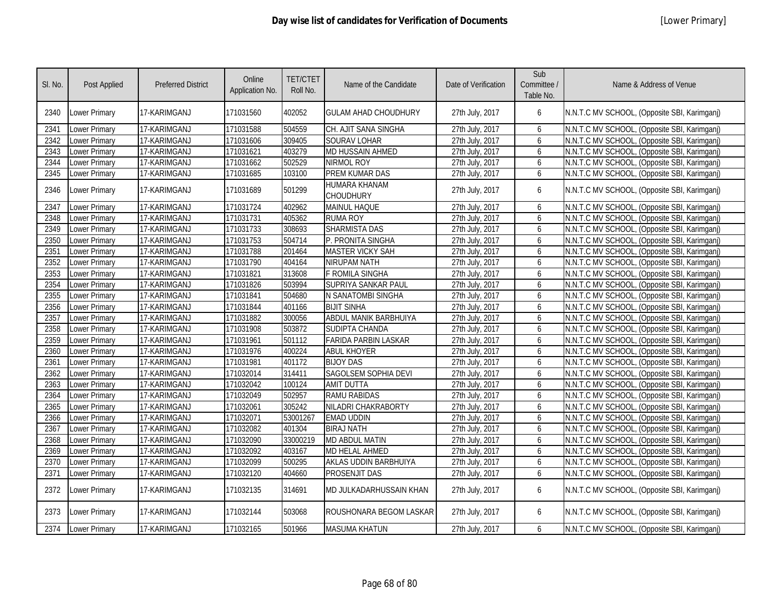| SI. No. | <b>Post Applied</b>  | <b>Preferred District</b> | Online<br>Application No. | <b>TET/CTET</b><br>Roll No. | Name of the Candidate       | Date of Verification | Sub<br>Committee /<br>Table No. | Name & Address of Venue                      |
|---------|----------------------|---------------------------|---------------------------|-----------------------------|-----------------------------|----------------------|---------------------------------|----------------------------------------------|
| 2340    | <b>Lower Primary</b> | 17-KARIMGANJ              | 171031560                 | 402052                      | <b>GULAM AHAD CHOUDHURY</b> | 27th July, 2017      | 6                               | N.N.T.C MV SCHOOL, (Opposite SBI, Karimganj) |
| 2341    | Lower Primary        | 17-KARIMGANJ              | 171031588                 | 504559                      | CH. AJIT SANA SINGHA        | 27th July, 2017      | 6                               | N.N.T.C MV SCHOOL, (Opposite SBI, Karimganj) |
| 2342    | Lower Primary        | 17-KARIMGANJ              | 171031606                 | 309405                      | <b>SOURAV LOHAR</b>         | 27th July, 2017      | 6                               | N.N.T.C MV SCHOOL, (Opposite SBI, Karimganj) |
| 2343    | Lower Primary        | 17-KARIMGANJ              | 171031621                 | 403279                      | <b>MD HUSSAIN AHMED</b>     | 27th July, 2017      | 6                               | N.N.T.C MV SCHOOL, (Opposite SBI, Karimganj) |
| 2344    | Lower Primary        | 17-KARIMGANJ              | 171031662                 | 502529                      | <b>NIRMOL ROY</b>           | 27th July, 2017      | 6                               | N.N.T.C MV SCHOOL, (Opposite SBI, Karimganj) |
| 2345    | Lower Primary        | 17-KARIMGANJ              | 171031685                 | 103100                      | PREM KUMAR DAS              | 27th July, 2017      | 6                               | N.N.T.C MV SCHOOL, (Opposite SBI, Karimganj) |
| 2346    | Lower Primary        | 17-KARIMGANJ              | 171031689                 | 501299                      | HUMARA KHANAM<br>CHOUDHURY  | 27th July, 2017      | 6                               | N.N.T.C MV SCHOOL, (Opposite SBI, Karimganj) |
| 2347    | Lower Primary        | 17-KARIMGANJ              | 171031724                 | 402962                      | <b>MAINUL HAQUE</b>         | 27th July, 2017      | 6                               | N.N.T.C MV SCHOOL, (Opposite SBI, Karimganj) |
| 2348    | Lower Primary        | 17-KARIMGANJ              | 171031731                 | 405362                      | <b>RUMA ROY</b>             | 27th July, 2017      | 6                               | N.N.T.C MV SCHOOL, (Opposite SBI, Karimgani) |
| 2349    | Lower Primary        | 17-KARIMGANJ              | 171031733                 | 308693                      | <b>SHARMISTA DAS</b>        | 27th July, 2017      | 6                               | N.N.T.C MV SCHOOL, (Opposite SBI, Karimganj) |
| 2350    | Lower Primary        | 17-KARIMGANJ              | 171031753                 | 504714                      | P. PRONITA SINGHA           | 27th July, 2017      | 6                               | N.N.T.C MV SCHOOL, (Opposite SBI, Karimganj) |
| 2351    | Lower Primary        | 17-KARIMGANJ              | 171031788                 | 201464                      | <b>MASTER VICKY SAH</b>     | 27th July, 2017      | 6                               | N.N.T.C MV SCHOOL, (Opposite SBI, Karimganj) |
| 2352    | Lower Primary        | 17-KARIMGANJ              | 171031790                 | 404164                      | NIRUPAM NATH                | 27th July, 2017      | 6                               | N.N.T.C MV SCHOOL, (Opposite SBI, Karimganj) |
| 2353    | Lower Primary        | 17-KARIMGANJ              | 171031821                 | 313608                      | F ROMILA SINGHA             | 27th July, 2017      | 6                               | N.N.T.C MV SCHOOL, (Opposite SBI, Karimganj) |
| 2354    | Lower Primary        | 17-KARIMGANJ              | 171031826                 | 503994                      | <b>SUPRIYA SANKAR PAUL</b>  | 27th July, 2017      | 6                               | N.N.T.C MV SCHOOL, (Opposite SBI, Karimganj) |
| 2355    | Lower Primary        | 17-KARIMGANJ              | 171031841                 | 504680                      | N SANATOMBI SINGHA          | 27th July, 2017      | 6                               | N.N.T.C MV SCHOOL, (Opposite SBI, Karimganj) |
| 2356    | Lower Primary        | 17-KARIMGANJ              | 171031844                 | 401166                      | <b>BIJIT SINHA</b>          | 27th July, 2017      | 6                               | N.N.T.C MV SCHOOL, (Opposite SBI, Karimganj) |
| 2357    | Lower Primary        | 17-KARIMGANJ              | 171031882                 | 300056                      | ABDUL MANIK BARBHUIYA       | 27th July, 2017      | 6                               | N.N.T.C MV SCHOOL, (Opposite SBI, Karimganj) |
| 2358    | <b>Lower Primary</b> | 17-KARIMGANJ              | 171031908                 | 503872                      | <b>SUDIPTA CHANDA</b>       | 27th July, 2017      | 6                               | N.N.T.C MV SCHOOL, (Opposite SBI, Karimganj) |
| 2359    | Lower Primary        | 17-KARIMGANJ              | 171031961                 | 501112                      | <b>FARIDA PARBIN LASKAR</b> | 27th July, 2017      | 6                               | N.N.T.C MV SCHOOL, (Opposite SBI, Karimganj) |
| 2360    | Lower Primary        | 17-KARIMGANJ              | 171031976                 | 400224                      | <b>ABUL KHOYER</b>          | 27th July, 2017      | 6                               | N.N.T.C MV SCHOOL, (Opposite SBI, Karimganj) |
| 2361    | Lower Primary        | 17-KARIMGANJ              | 171031981                 | 401172                      | <b>BIJOY DAS</b>            | 27th July, 2017      | 6                               | N.N.T.C MV SCHOOL, (Opposite SBI, Karimganj) |
| 2362    | Lower Primary        | 17-KARIMGANJ              | 171032014                 | 314411                      | SAGOLSEM SOPHIA DEVI        | 27th July, 2017      | 6                               | N.N.T.C MV SCHOOL, (Opposite SBI, Karimganj) |
| 2363    | Lower Primary        | 17-KARIMGANJ              | 171032042                 | 100124                      | <b>AMIT DUTTA</b>           | 27th July, 2017      | 6                               | N.N.T.C MV SCHOOL, (Opposite SBI, Karimganj) |
| 2364    | Lower Primary        | 17-KARIMGANJ              | 171032049                 | 502957                      | <b>RAMU RABIDAS</b>         | 27th July, 2017      | 6                               | N.N.T.C MV SCHOOL, (Opposite SBI, Karimganj) |
| 2365    | Lower Primary        | 17-KARIMGANJ              | 171032061                 | 305242                      | NILADRI CHAKRABORTY         | 27th July, 2017      | 6                               | N.N.T.C MV SCHOOL, (Opposite SBI, Karimganj) |
| 2366    | Lower Primary        | 17-KARIMGANJ              | 171032071                 | 53001267                    | <b>EMAD UDDIN</b>           | 27th July, 2017      | 6                               | N.N.T.C MV SCHOOL, (Opposite SBI, Karimganj) |
| 2367    | <b>Lower Primary</b> | 17-KARIMGANJ              | 171032082                 | 401304                      | <b>BIRAJ NATH</b>           | 27th July, 2017      | 6                               | N.N.T.C MV SCHOOL, (Opposite SBI, Karimganj) |
| 2368    | Lower Primary        | 17-KARIMGANJ              | 171032090                 | 33000219                    | <b>MD ABDUL MATIN</b>       | 27th July, 2017      | 6                               | N.N.T.C MV SCHOOL, (Opposite SBI, Karimganj) |
| 2369    | Lower Primary        | 17-KARIMGANJ              | 171032092                 | 403167                      | MD HELAL AHMED              | 27th July, 2017      | 6                               | N.N.T.C MV SCHOOL, (Opposite SBI, Karimganj) |
| 2370    | Lower Primary        | 17-KARIMGANJ              | 171032099                 | 500295                      | AKLAS UDDIN BARBHUIYA       | 27th July, 2017      | 6                               | N.N.T.C MV SCHOOL, (Opposite SBI, Karimganj) |
| 2371    | Lower Primary        | 17-KARIMGANJ              | 171032120                 | 404660                      | <b>PROSENJIT DAS</b>        | 27th July, 2017      | 6                               | N.N.T.C MV SCHOOL, (Opposite SBI, Karimganj) |
| 2372    | Lower Primary        | 17-KARIMGANJ              | 171032135                 | 314691                      | MD JULKADARHUSSAIN KHAN     | 27th July, 2017      | 6                               | N.N.T.C MV SCHOOL, (Opposite SBI, Karimganj) |
| 2373    | <b>Lower Primary</b> | 17-KARIMGANJ              | 171032144                 | 503068                      | ROUSHONARA BEGOM LASKAR     | 27th July, 2017      | 6                               | N.N.T.C MV SCHOOL, (Opposite SBI, Karimganj) |
| 2374    | <b>Lower Primary</b> | 17-KARIMGANJ              | 171032165                 | 501966                      | <b>MASUMA KHATUN</b>        | 27th July, 2017      | 6                               | N.N.T.C MV SCHOOL, (Opposite SBI, Karimganj) |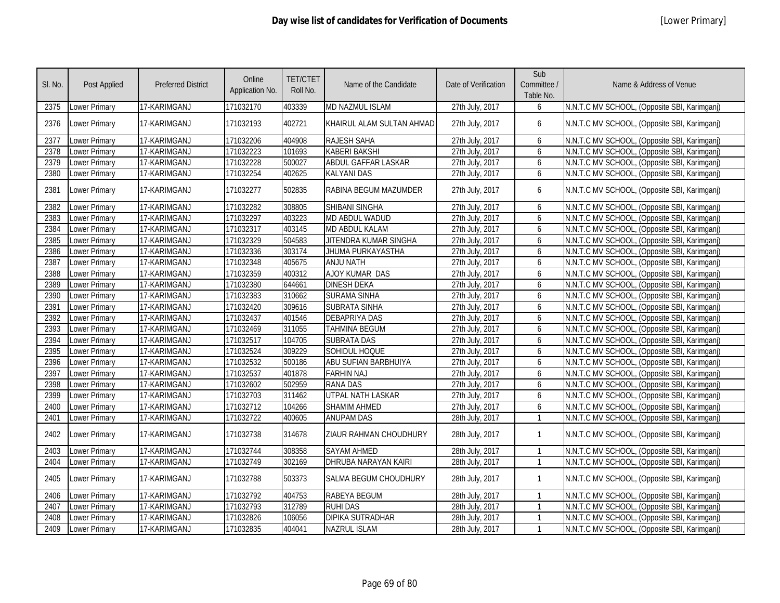| SI. No. | <b>Post Applied</b>  | <b>Preferred District</b> | Online<br>Application No. | <b>TET/CTET</b><br>Roll No. | Name of the Candidate      | Date of Verification | Sub<br>Committee /<br>Table No. | Name & Address of Venue                      |
|---------|----------------------|---------------------------|---------------------------|-----------------------------|----------------------------|----------------------|---------------------------------|----------------------------------------------|
| 2375    | Lower Primary        | 17-KARIMGANJ              | 171032170                 | 403339                      | MD NAZMUL ISLAM            | 27th July, 2017      | 6                               | N.N.T.C MV SCHOOL, (Opposite SBI, Karimganj) |
| 2376    | <b>Lower Primary</b> | 17-KARIMGANJ              | 171032193                 | 402721                      | KHAIRUL ALAM SULTAN AHMAD  | 27th July, 2017      | 6                               | N.N.T.C MV SCHOOL, (Opposite SBI, Karimganj) |
| 2377    | Lower Primary        | 17-KARIMGANJ              | 171032206                 | 404908                      | RAJESH SAHA                | 27th July, 2017      | 6                               | N.N.T.C MV SCHOOL, (Opposite SBI, Karimganj) |
| 2378    | Lower Primary        | 17-KARIMGANJ              | 171032223                 | 101693                      | <b>KABERI BAKSHI</b>       | 27th July, 2017      | 6                               | N.N.T.C MV SCHOOL, (Opposite SBI, Karimganj) |
| 2379    | <b>Lower Primary</b> | 17-KARIMGANJ              | 171032228                 | 500027                      | <b>ABDUL GAFFAR LASKAR</b> | 27th July, 2017      | 6                               | N.N.T.C MV SCHOOL, (Opposite SBI, Karimganj) |
| 2380    | Lower Primary        | 17-KARIMGANJ              | 171032254                 | 402625                      | <b>KALYANI DAS</b>         | 27th July, 2017      | 6                               | N.N.T.C MV SCHOOL, (Opposite SBI, Karimganj) |
| 2381    | <b>Lower Primary</b> | 17-KARIMGANJ              | 171032277                 | 502835                      | RABINA BEGUM MAZUMDER      | 27th July, 2017      | 6                               | N.N.T.C MV SCHOOL, (Opposite SBI, Karimganj) |
| 2382    | Lower Primary        | 17-KARIMGANJ              | 171032282                 | 308805                      | SHIBANI SINGHA             | 27th July, 2017      | 6                               | N.N.T.C MV SCHOOL, (Opposite SBI, Karimganj) |
| 2383    | Lower Primary        | 17-KARIMGANJ              | 171032297                 | 403223                      | MD ABDUL WADUD             | 27th July, 2017      | 6                               | N.N.T.C MV SCHOOL, (Opposite SBI, Karimganj) |
| 2384    | <b>Lower Primary</b> | 17-KARIMGANJ              | 171032317                 | 403145                      | <b>MD ABDUL KALAM</b>      | 27th July, 2017      | 6                               | N.N.T.C MV SCHOOL, (Opposite SBI, Karimganj) |
| 2385    | <b>Lower Primary</b> | 17-KARIMGANJ              | 171032329                 | 504583                      | JITENDRA KUMAR SINGHA      | 27th July, 2017      | 6                               | N.N.T.C MV SCHOOL, (Opposite SBI, Karimganj) |
| 2386    | <b>Lower Primary</b> | 17-KARIMGANJ              | 171032336                 | 303174                      | JHUMA PURKAYASTHA          | 27th July, 2017      | 6                               | N.N.T.C MV SCHOOL, (Opposite SBI, Karimganj) |
| 2387    | Lower Primary        | 17-KARIMGANJ              | 171032348                 | 405675                      | <b>ANJU NATH</b>           | 27th July, 2017      | 6                               | N.N.T.C MV SCHOOL, (Opposite SBI, Karimganj) |
| 2388    | <b>Lower Primary</b> | 17-KARIMGANJ              | 171032359                 | 400312                      | <b>AJOY KUMAR DAS</b>      | 27th July, 2017      | 6                               | N.N.T.C MV SCHOOL, (Opposite SBI, Karimganj) |
| 2389    | <b>Lower Primary</b> | 17-KARIMGANJ              | 171032380                 | 644661                      | <b>DINESH DEKA</b>         | 27th July, 2017      | 6                               | N.N.T.C MV SCHOOL, (Opposite SBI, Karimganj) |
| 2390    | <b>Lower Primary</b> | 17-KARIMGANJ              | 171032383                 | 310662                      | <b>SURAMA SINHA</b>        | 27th July, 2017      | 6                               | N.N.T.C MV SCHOOL, (Opposite SBI, Karimganj) |
| 2391    | <b>Lower Primary</b> | 17-KARIMGANJ              | 171032420                 | 309616                      | <b>SUBRATA SINHA</b>       | 27th July, 2017      | 6                               | N.N.T.C MV SCHOOL, (Opposite SBI, Karimganj) |
| 2392    | <b>Lower Primary</b> | 17-KARIMGANJ              | 171032437                 | 401546                      | <b>DEBAPRIYA DAS</b>       | 27th July, 2017      | 6                               | N.N.T.C MV SCHOOL, (Opposite SBI, Karimganj) |
| 2393    | <b>Lower Primary</b> | 17-KARIMGANJ              | 171032469                 | 311055                      | <b>TAHMINA BEGUM</b>       | 27th July, 2017      | 6                               | N.N.T.C MV SCHOOL, (Opposite SBI, Karimganj) |
| 2394    | Lower Primary        | 17-KARIMGANJ              | 171032517                 | 104705                      | <b>SUBRATA DAS</b>         | 27th July, 2017      | 6                               | N.N.T.C MV SCHOOL, (Opposite SBI, Karimganj) |
| 2395    | <b>Lower Primary</b> | 17-KARIMGANJ              | 171032524                 | 309229                      | SOHIDUL HOQUE              | 27th July, 2017      | 6                               | N.N.T.C MV SCHOOL, (Opposite SBI, Karimganj) |
| 2396    | Lower Primary        | 17-KARIMGANJ              | 171032532                 | 500186                      | ABU SUFIAN BARBHUIYA       | 27th July, 2017      | 6                               | N.N.T.C MV SCHOOL, (Opposite SBI, Karimganj) |
| 2397    | <b>Lower Primary</b> | 17-KARIMGANJ              | 171032537                 | 401878                      | <b>FARHIN NAJ</b>          | 27th July, 2017      | 6                               | N.N.T.C MV SCHOOL, (Opposite SBI, Karimganj) |
| 2398    | Lower Primary        | 17-KARIMGANJ              | 171032602                 | 502959                      | <b>RANA DAS</b>            | 27th July, 2017      | 6                               | N.N.T.C MV SCHOOL, (Opposite SBI, Karimganj) |
| 2399    | Lower Primary        | 17-KARIMGANJ              | 171032703                 | 311462                      | <b>UTPAL NATH LASKAR</b>   | 27th July, 2017      | 6                               | N.N.T.C MV SCHOOL, (Opposite SBI, Karimganj) |
| 2400    | Lower Primary        | 17-KARIMGANJ              | 171032712                 | 104266                      | <b>SHAMIM AHMED</b>        | 27th July, 2017      | 6                               | N.N.T.C MV SCHOOL, (Opposite SBI, Karimganj) |
| 2401    | <b>Lower Primary</b> | 17-KARIMGANJ              | 171032722                 | 400605                      | <b>ANUPAM DAS</b>          | 28th July, 2017      | $\mathbf{1}$                    | N.N.T.C MV SCHOOL, (Opposite SBI, Karimganj) |
| 2402    | Lower Primary        | 17-KARIMGANJ              | 171032738                 | 314678                      | ZIAUR RAHMAN CHOUDHURY     | 28th July, 2017      | $\mathbf{1}$                    | N.N.T.C MV SCHOOL, (Opposite SBI, Karimganj) |
| 2403    | <b>Lower Primary</b> | 17-KARIMGANJ              | 171032744                 | 308358                      | <b>SAYAM AHMED</b>         | 28th July, 2017      | $\mathbf{1}$                    | N.N.T.C MV SCHOOL, (Opposite SBI, Karimganj) |
| 2404    | <b>Lower Primary</b> | 17-KARIMGANJ              | 171032749                 | 302169                      | DHRUBA NARAYAN KAIRI       | 28th July, 2017      | $\mathbf{1}$                    | N.N.T.C MV SCHOOL, (Opposite SBI, Karimganj) |
| 2405    | Lower Primary        | 17-KARIMGANJ              | 171032788                 | 503373                      | SALMA BEGUM CHOUDHURY      | 28th July, 2017      | $\mathbf{1}$                    | N.N.T.C MV SCHOOL, (Opposite SBI, Karimganj) |
| 2406    | <b>Lower Primary</b> | 17-KARIMGANJ              | 171032792                 | 404753                      | <b>RABEYA BEGUM</b>        | 28th July, 2017      | $\mathbf{1}$                    | N.N.T.C MV SCHOOL, (Opposite SBI, Karimganj) |
| 2407    | <b>Lower Primary</b> | 17-KARIMGANJ              | 171032793                 | 312789                      | <b>RUHI DAS</b>            | 28th July, 2017      | $\mathbf{1}$                    | N.N.T.C MV SCHOOL, (Opposite SBI, Karimganj) |
| 2408    | Lower Primary        | 17-KARIMGANJ              | 171032826                 | 106056                      | <b>DIPIKA SUTRADHAR</b>    | 28th July, 2017      | $\mathbf{1}$                    | N.N.T.C MV SCHOOL, (Opposite SBI, Karimganj) |
| 2409    | Lower Primary        | 17-KARIMGANJ              | 171032835                 | 404041                      | <b>NAZRUL ISLAM</b>        | 28th July, 2017      | $\mathbf{1}$                    | N.N.T.C MV SCHOOL, (Opposite SBI, Karimganj) |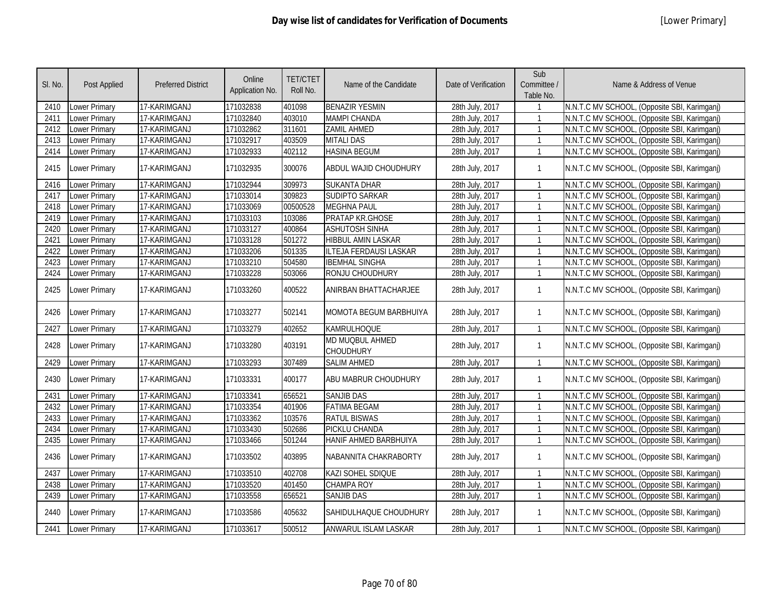| SI. No. | Post Applied         | <b>Preferred District</b> | Online<br>Application No. | <b>TET/CTET</b><br>Roll No. | Name of the Candidate               | Date of Verification | Sub<br>Committee /<br>Table No. | Name & Address of Venue                      |
|---------|----------------------|---------------------------|---------------------------|-----------------------------|-------------------------------------|----------------------|---------------------------------|----------------------------------------------|
| 2410    | <b>Lower Primary</b> | 17-KARIMGANJ              | 171032838                 | 401098                      | <b>BENAZIR YESMIN</b>               | 28th July, 2017      |                                 | N.N.T.C MV SCHOOL, (Opposite SBI, Karimganj) |
| 2411    | <b>Lower Primary</b> | 17-KARIMGANJ              | 171032840                 | 403010                      | <b>MAMPI CHANDA</b>                 | 28th July, 2017      | $\mathbf{1}$                    | N.N.T.C MV SCHOOL, (Opposite SBI, Karimganj) |
| 2412    | <b>Lower Primary</b> | 17-KARIMGANJ              | 171032862                 | 311601                      | <b>ZAMIL AHMED</b>                  | 28th July, 2017      | $\mathbf{1}$                    | N.N.T.C MV SCHOOL, (Opposite SBI, Karimganj) |
| 2413    | Lower Primary        | 17-KARIMGANJ              | 171032917                 | 403509                      | <b>MITALI DAS</b>                   | 28th July, 2017      | $\mathbf{1}$                    | N.N.T.C MV SCHOOL, (Opposite SBI, Karimganj) |
| 2414    | Lower Primary        | 17-KARIMGANJ              | 171032933                 | 402112                      | <b>HASINA BEGUM</b>                 | 28th July, 2017      | $\mathbf{1}$                    | N.N.T.C MV SCHOOL, (Opposite SBI, Karimganj) |
| 2415    | Lower Primary        | 17-KARIMGANJ              | 171032935                 | 300076                      | ABDUL WAJID CHOUDHURY               | 28th July, 2017      | $\mathbf{1}$                    | N.N.T.C MV SCHOOL, (Opposite SBI, Karimganj) |
| 2416    | Lower Primary        | 17-KARIMGANJ              | 171032944                 | 309973                      | <b>SUKANTA DHAR</b>                 | 28th July, 2017      | $\mathbf{1}$                    | N.N.T.C MV SCHOOL, (Opposite SBI, Karimganj) |
| 2417    | Lower Primary        | 17-KARIMGANJ              | 171033014                 | 309823                      | <b>SUDIPTO SARKAR</b>               | 28th July, 2017      | $\mathbf{1}$                    | N.N.T.C MV SCHOOL, (Opposite SBI, Karimganj) |
| 2418    | Lower Primary        | 17-KARIMGANJ              | 171033069                 | 00500528                    | <b>MEGHNA PAUL</b>                  | 28th July, 2017      | $\mathbf{1}$                    | N.N.T.C MV SCHOOL, (Opposite SBI, Karimganj) |
| 2419    | Lower Primary        | 17-KARIMGANJ              | 171033103                 | 103086                      | PRATAP KR.GHOSE                     | 28th July, 2017      | $\mathbf{1}$                    | N.N.T.C MV SCHOOL, (Opposite SBI, Karimganj) |
| 2420    | Lower Primary        | 17-KARIMGANJ              | 171033127                 | 400864                      | <b>ASHUTOSH SINHA</b>               | 28th July, 2017      | $\mathbf{1}$                    | N.N.T.C MV SCHOOL, (Opposite SBI, Karimganj) |
| 2421    | Lower Primary        | 17-KARIMGANJ              | 171033128                 | 501272                      | <b>HIBBUL AMIN LASKAR</b>           | 28th July, 2017      | $\mathbf{1}$                    | N.N.T.C MV SCHOOL, (Opposite SBI, Karimganj) |
| 2422    | Lower Primary        | 17-KARIMGANJ              | 171033206                 | 501335                      | <b>ILTEJA FERDAUSI LASKAR</b>       | 28th July, 2017      | $\mathbf{1}$                    | N.N.T.C MV SCHOOL, (Opposite SBI, Karimganj) |
| 2423    | Lower Primary        | 17-KARIMGANJ              | 171033210                 | 504580                      | <b>IBEMHAL SINGHA</b>               | 28th July, 2017      | $\mathbf{1}$                    | N.N.T.C MV SCHOOL, (Opposite SBI, Karimganj) |
| 2424    | <b>Lower Primary</b> | 17-KARIMGANJ              | 171033228                 | 503066                      | RONJU CHOUDHURY                     | 28th July, 2017      | $\mathbf{1}$                    | N.N.T.C MV SCHOOL, (Opposite SBI, Karimganj) |
| 2425    | Lower Primary        | 17-KARIMGANJ              | 171033260                 | 400522                      | ANIRBAN BHATTACHARJEE               | 28th July, 2017      | $\mathbf{1}$                    | N.N.T.C MV SCHOOL, (Opposite SBI, Karimganj) |
| 2426    | Lower Primary        | 17-KARIMGANJ              | 171033277                 | 502141                      | <b>MOMOTA BEGUM BARBHUIYA</b>       | 28th July, 2017      | $\mathbf{1}$                    | N.N.T.C MV SCHOOL, (Opposite SBI, Karimganj) |
| 2427    | Lower Primary        | 17-KARIMGANJ              | 171033279                 | 402652                      | <b>KAMRULHOQUE</b>                  | 28th July, 2017      | $\mathbf{1}$                    | N.N.T.C MV SCHOOL, (Opposite SBI, Karimganj) |
| 2428    | <b>Lower Primary</b> | 17-KARIMGANJ              | 171033280                 | 403191                      | MD MUQBUL AHMED<br><b>CHOUDHURY</b> | 28th July, 2017      | $\mathbf{1}$                    | N.N.T.C MV SCHOOL, (Opposite SBI, Karimganj) |
| 2429    | Lower Primary        | 17-KARIMGANJ              | 171033293                 | 307489                      | <b>SALIM AHMED</b>                  | 28th July, 2017      | $\mathbf{1}$                    | N.N.T.C MV SCHOOL, (Opposite SBI, Karimganj) |
| 2430    | Lower Primary        | 17-KARIMGANJ              | 171033331                 | 400177                      | ABU MABRUR CHOUDHURY                | 28th July, 2017      | $\mathbf{1}$                    | N.N.T.C MV SCHOOL, (Opposite SBI, Karimganj) |
| 2431    | Lower Primary        | 17-KARIMGANJ              | 171033341                 | 656521                      | <b>SANJIB DAS</b>                   | 28th July, 2017      | $\mathbf{1}$                    | N.N.T.C MV SCHOOL, (Opposite SBI, Karimganj) |
| 2432    | <b>Lower Primary</b> | 17-KARIMGANJ              | 171033354                 | 401906                      | <b>FATIMA BEGAM</b>                 | 28th July, 2017      | $\mathbf{1}$                    | N.N.T.C MV SCHOOL, (Opposite SBI, Karimganj) |
| 2433    | <b>Lower Primary</b> | 17-KARIMGANJ              | 171033362                 | 103576                      | <b>RATUL BISWAS</b>                 | 28th July, 2017      | $\mathbf{1}$                    | N.N.T.C MV SCHOOL, (Opposite SBI, Karimganj) |
| 2434    | Lower Primary        | 17-KARIMGANJ              | 171033430                 | 502686                      | PICKLU CHANDA                       | 28th July, 2017      | $\mathbf{1}$                    | N.N.T.C MV SCHOOL, (Opposite SBI, Karimganj) |
| 2435    | Lower Primary        | 17-KARIMGANJ              | 171033466                 | 501244                      | HANIF AHMED BARBHUIYA               | 28th July, 2017      | $\mathbf{1}$                    | N.N.T.C MV SCHOOL, (Opposite SBI, Karimganj) |
| 2436    | <b>Lower Primary</b> | 17-KARIMGANJ              | 171033502                 | 403895                      | NABANNITA CHAKRABORTY               | 28th July, 2017      | $\mathbf{1}$                    | N.N.T.C MV SCHOOL, (Opposite SBI, Karimganj) |
| 2437    | <b>Lower Primary</b> | 17-KARIMGANJ              | 171033510                 | 402708                      | KAZI SOHEL SDIQUE                   | 28th July, 2017      | $\mathbf{1}$                    | N.N.T.C MV SCHOOL, (Opposite SBI, Karimganj) |
| 2438    | Lower Primary        | 17-KARIMGANJ              | 171033520                 | 401450                      | <b>CHAMPA ROY</b>                   | 28th July, 2017      | $\mathbf{1}$                    | N.N.T.C MV SCHOOL, (Opposite SBI, Karimganj) |
| 2439    | Lower Primary        | 17-KARIMGANJ              | 171033558                 | 656521                      | <b>SANJIB DAS</b>                   | 28th July, 2017      | $\mathbf{1}$                    | N.N.T.C MV SCHOOL, (Opposite SBI, Karimganj) |
| 2440    | Lower Primary        | 17-KARIMGANJ              | 171033586                 | 405632                      | SAHIDULHAQUE CHOUDHURY              | 28th July, 2017      | $\mathbf{1}$                    | N.N.T.C MV SCHOOL, (Opposite SBI, Karimganj) |
| 2441    | <b>Lower Primary</b> | 17-KARIMGANJ              | 171033617                 | 500512                      | ANWARUL ISLAM LASKAR                | 28th July, 2017      | $\mathbf{1}$                    | N.N.T.C MV SCHOOL, (Opposite SBI, Karimganj) |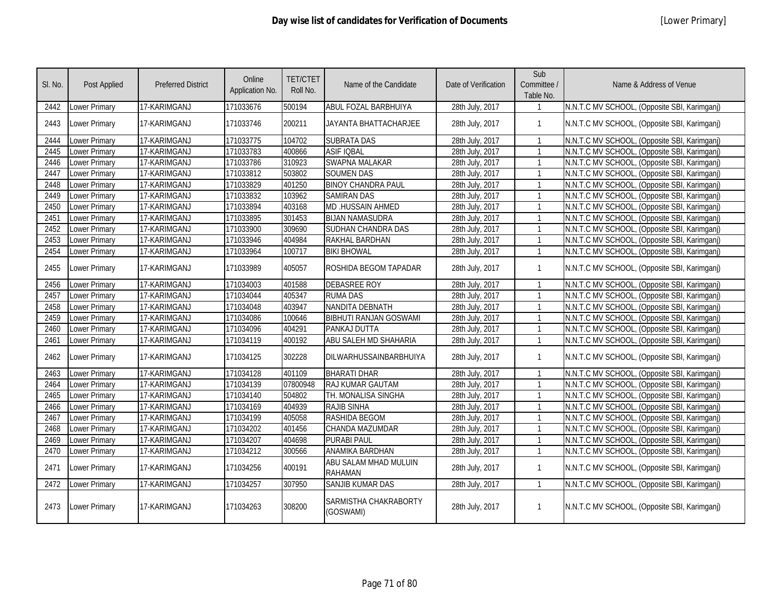| SI. No. | Post Applied         | <b>Preferred District</b> | Online<br>Application No. | <b>TET/CTET</b><br>Roll No. | Name of the Candidate                   | Date of Verification | Sub<br>Committee /<br>Table No. | Name & Address of Venue                      |
|---------|----------------------|---------------------------|---------------------------|-----------------------------|-----------------------------------------|----------------------|---------------------------------|----------------------------------------------|
| 2442    | Lower Primary        | 17-KARIMGANJ              | 171033676                 | 500194                      | ABUL FOZAL BARBHUIYA                    | 28th July, 2017      |                                 | N.N.T.C MV SCHOOL, (Opposite SBI, Karimganj) |
| 2443    | Lower Primary        | 17-KARIMGANJ              | 171033746                 | 200211                      | JAYANTA BHATTACHARJEE                   | 28th July, 2017      | $\mathbf{1}$                    | N.N.T.C MV SCHOOL, (Opposite SBI, Karimganj) |
| 2444    | Lower Primary        | 17-KARIMGANJ              | 171033775                 | 104702                      | <b>SUBRATA DAS</b>                      | 28th July, 2017      | $\mathbf{1}$                    | N.N.T.C MV SCHOOL, (Opposite SBI, Karimganj) |
| 2445    | <b>Lower Primary</b> | 17-KARIMGANJ              | 171033783                 | 400866                      | <b>ASIF IQBAL</b>                       | 28th July, 2017      | $\mathbf{1}$                    | N.N.T.C MV SCHOOL, (Opposite SBI, Karimganj) |
| 2446    | Lower Primary        | 17-KARIMGANJ              | 171033786                 | 310923                      | <b>SWAPNA MALAKAR</b>                   | 28th July, 2017      | $\mathbf{1}$                    | N.N.T.C MV SCHOOL, (Opposite SBI, Karimganj) |
| 2447    | <b>Lower Primary</b> | 17-KARIMGANJ              | 171033812                 | 503802                      | <b>SOUMEN DAS</b>                       | 28th July, 2017      | $\mathbf{1}$                    | N.N.T.C MV SCHOOL, (Opposite SBI, Karimganj) |
| 2448    | Lower Primary        | 17-KARIMGANJ              | 171033829                 | 401250                      | <b>BINOY CHANDRA PAUL</b>               | 28th July, 2017      | $\mathbf{1}$                    | N.N.T.C MV SCHOOL, (Opposite SBI, Karimganj) |
| 2449    | Lower Primary        | 17-KARIMGANJ              | 171033832                 | 103962                      | <b>SAMIRAN DAS</b>                      | 28th July, 2017      | $\mathbf{1}$                    | N.N.T.C MV SCHOOL, (Opposite SBI, Karimganj) |
| 2450    | <b>Lower Primary</b> | 17-KARIMGANJ              | 171033894                 | 403168                      | MD .HUSSAIN AHMED                       | 28th July, 2017      | $\mathbf{1}$                    | N.N.T.C MV SCHOOL, (Opposite SBI, Karimganj) |
| 2451    | <b>Lower Primary</b> | 17-KARIMGANJ              | 171033895                 | 301453                      | <b>BIJAN NAMASUDRA</b>                  | 28th July, 2017      | $\mathbf{1}$                    | N.N.T.C MV SCHOOL, (Opposite SBI, Karimganj) |
| 2452    | Lower Primary        | 17-KARIMGANJ              | 171033900                 | 309690                      | SUDHAN CHANDRA DAS                      | 28th July, 2017      | $\mathbf{1}$                    | N.N.T.C MV SCHOOL, (Opposite SBI, Karimganj) |
| 2453    | <b>Lower Primary</b> | 17-KARIMGANJ              | 171033946                 | 404984                      | RAKHAL BARDHAN                          | 28th July, 2017      | $\mathbf{1}$                    | N.N.T.C MV SCHOOL, (Opposite SBI, Karimganj) |
| 2454    | Lower Primary        | 17-KARIMGANJ              | 171033964                 | 100717                      | <b>BIKI BHOWAL</b>                      | 28th July, 2017      | $\mathbf{1}$                    | N.N.T.C MV SCHOOL, (Opposite SBI, Karimganj) |
| 2455    | <b>Lower Primary</b> | 17-KARIMGANJ              | 171033989                 | 405057                      | ROSHIDA BEGOM TAPADAR                   | 28th July, 2017      | $\mathbf{1}$                    | N.N.T.C MV SCHOOL, (Opposite SBI, Karimganj) |
| 2456    | <b>Lower Primary</b> | 17-KARIMGANJ              | 171034003                 | 401588                      | <b>DEBASREE ROY</b>                     | 28th July, 2017      | $\mathbf{1}$                    | N.N.T.C MV SCHOOL, (Opposite SBI, Karimganj) |
| 2457    | <b>Lower Primary</b> | 17-KARIMGANJ              | 171034044                 | 405347                      | <b>RUMA DAS</b>                         | 28th July, 2017      | $\mathbf{1}$                    | N.N.T.C MV SCHOOL, (Opposite SBI, Karimganj) |
| 2458    | Lower Primary        | 17-KARIMGANJ              | 171034048                 | 403947                      | NANDITA DEBNATH                         | 28th July, 2017      | $\mathbf{1}$                    | N.N.T.C MV SCHOOL, (Opposite SBI, Karimganj) |
| 2459    | <b>Lower Primary</b> | 17-KARIMGANJ              | 171034086                 | 100646                      | <b>BIBHUTI RANJAN GOSWAMI</b>           | 28th July, 2017      | $\mathbf{1}$                    | N.N.T.C MV SCHOOL, (Opposite SBI, Karimganj) |
| 2460    | Lower Primary        | 17-KARIMGANJ              | 171034096                 | 404291                      | PANKAJ DUTTA                            | 28th July, 2017      | $\mathbf{1}$                    | N.N.T.C MV SCHOOL, (Opposite SBI, Karimganj) |
| 2461    | <b>Lower Primary</b> | 17-KARIMGANJ              | 171034119                 | 400192                      | ABU SALEH MD SHAHARIA                   | 28th July, 2017      | $\mathbf{1}$                    | N.N.T.C MV SCHOOL, (Opposite SBI, Karimganj) |
| 2462    | <b>Lower Primary</b> | 17-KARIMGANJ              | 171034125                 | 302228                      | <b>DILWARHUSSAINBARBHUIYA</b>           | 28th July, 2017      | $\mathbf{1}$                    | N.N.T.C MV SCHOOL, (Opposite SBI, Karimganj) |
| 2463    | <b>Lower Primary</b> | 17-KARIMGANJ              | 171034128                 | 401109                      | <b>BHARATI DHAR</b>                     | 28th July, 2017      | $\mathbf{1}$                    | N.N.T.C MV SCHOOL, (Opposite SBI, Karimganj) |
| 2464    | <b>Lower Primary</b> | 17-KARIMGANJ              | 171034139                 | 07800948                    | <b>RAJ KUMAR GAUTAM</b>                 | 28th July, 2017      | $\mathbf{1}$                    | N.N.T.C MV SCHOOL, (Opposite SBI, Karimganj) |
| 2465    | Lower Primary        | 17-KARIMGANJ              | 171034140                 | 504802                      | TH. MONALISA SINGHA                     | 28th July, 2017      | $\mathbf{1}$                    | N.N.T.C MV SCHOOL, (Opposite SBI, Karimganj) |
| 2466    | <b>Lower Primary</b> | 17-KARIMGANJ              | 171034169                 | 404939                      | <b>RAJIB SINHA</b>                      | 28th July, 2017      | $\mathbf{1}$                    | N.N.T.C MV SCHOOL, (Opposite SBI, Karimganj) |
| 2467    | <b>Lower Primary</b> | 17-KARIMGANJ              | 171034199                 | 405058                      | RASHIDA BEGOM                           | 28th July, 2017      | $\mathbf{1}$                    | N.N.T.C MV SCHOOL, (Opposite SBI, Karimganj) |
| 2468    | <b>Lower Primary</b> | 17-KARIMGANJ              | 171034202                 | 401456                      | CHANDA MAZUMDAR                         | 28th July, 2017      | $\mathbf{1}$                    | N.N.T.C MV SCHOOL, (Opposite SBI, Karimganj) |
| 2469    | Lower Primary        | 17-KARIMGANJ              | 171034207                 | 404698                      | <b>PURABI PAUL</b>                      | 28th July, 2017      | $\mathbf{1}$                    | N.N.T.C MV SCHOOL, (Opposite SBI, Karimganj) |
| 2470    | Lower Primary        | 17-KARIMGANJ              | 171034212                 | 300566                      | ANAMIKA BARDHAN                         | 28th July, 2017      | $\mathbf{1}$                    | N.N.T.C MV SCHOOL, (Opposite SBI, Karimganj) |
| 2471    | Lower Primary        | 17-KARIMGANJ              | 171034256                 | 400191                      | ABU SALAM MHAD MULUIN<br><b>RAHAMAN</b> | 28th July, 2017      | $\mathbf{1}$                    | N.N.T.C MV SCHOOL, (Opposite SBI, Karimganj) |
| 2472    | Lower Primary        | 17-KARIMGANJ              | 171034257                 | 307950                      | <b>SANJIB KUMAR DAS</b>                 | 28th July, 2017      | $\mathbf{1}$                    | N.N.T.C MV SCHOOL, (Opposite SBI, Karimganj) |
| 2473    | <b>Lower Primary</b> | 17-KARIMGANJ              | 171034263                 | 308200                      | SARMISTHA CHAKRABORTY<br>(GOSWAMI)      | 28th July, 2017      | $\mathbf{1}$                    | N.N.T.C MV SCHOOL, (Opposite SBI, Karimganj) |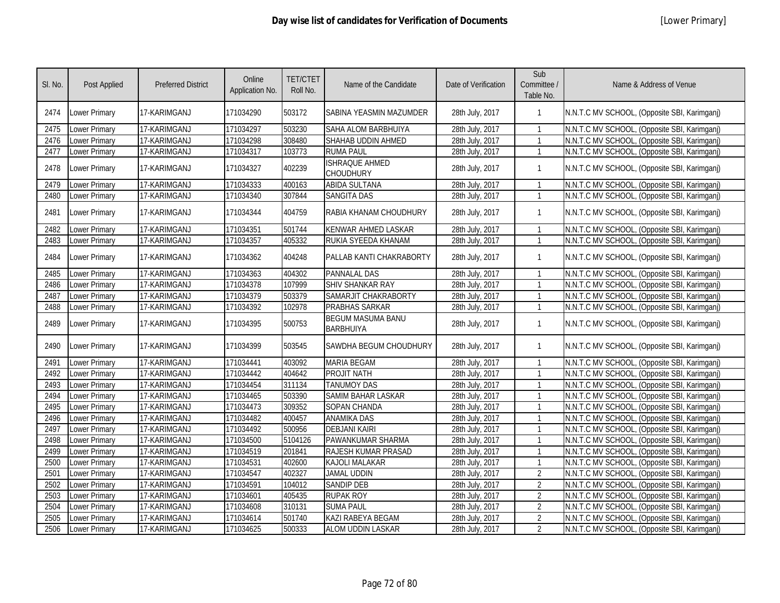| SI. No. | Post Applied         | <b>Preferred District</b> | Online<br>Application No. | <b>TET/CTET</b><br>Roll No. | Name of the Candidate                        | Date of Verification | Sub<br>Committee /<br>Table No. | Name & Address of Venue                      |
|---------|----------------------|---------------------------|---------------------------|-----------------------------|----------------------------------------------|----------------------|---------------------------------|----------------------------------------------|
| 2474    | Lower Primary        | 17-KARIMGANJ              | 171034290                 | 503172                      | SABINA YEASMIN MAZUMDER                      | 28th July, 2017      | 1                               | N.N.T.C MV SCHOOL, (Opposite SBI, Karimganj) |
| 2475    | Lower Primary        | 17-KARIMGANJ              | 171034297                 | 503230                      | SAHA ALOM BARBHUIYA                          | 28th July, 2017      | 1                               | N.N.T.C MV SCHOOL, (Opposite SBI, Karimgani) |
| 2476    | <b>Lower Primary</b> | 17-KARIMGANJ              | 171034298                 | 308480                      | SHAHAB UDDIN AHMED                           | 28th July, 2017      | $\mathbf{1}$                    | N.N.T.C MV SCHOOL, (Opposite SBI, Karimganj) |
| 2477    | <b>Lower Primary</b> | 17-KARIMGANJ              | 171034317                 | 103773                      | <b>RUMA PAUL</b>                             | 28th July, 2017      | 1                               | N.N.T.C MV SCHOOL, (Opposite SBI, Karimganj) |
| 2478    | Lower Primary        | 17-KARIMGANJ              | 171034327                 | 402239                      | ISHRAQUE AHMED<br>CHOUDHURY                  | 28th July, 2017      | 1                               | N.N.T.C MV SCHOOL, (Opposite SBI, Karimganj) |
| 2479    | Lower Primary        | 17-KARIMGANJ              | 171034333                 | 400163                      | <b>ABIDA SULTANA</b>                         | 28th July, 2017      | $\mathbf{1}$                    | N.N.T.C MV SCHOOL, (Opposite SBI, Karimganj) |
| 2480    | <b>Lower Primary</b> | 17-KARIMGANJ              | 171034340                 | 307844                      | <b>SANGITA DAS</b>                           | 28th July, 2017      | 1                               | N.N.T.C MV SCHOOL, (Opposite SBI, Karimganj) |
| 2481    | <b>Lower Primary</b> | 17-KARIMGANJ              | 171034344                 | 404759                      | RABIA KHANAM CHOUDHURY                       | 28th July, 2017      | 1                               | N.N.T.C MV SCHOOL, (Opposite SBI, Karimganj) |
| 2482    | <b>Lower Primary</b> | 17-KARIMGANJ              | 171034351                 | 501744                      | <b>KENWAR AHMED LASKAR</b>                   | 28th July, 2017      | 1                               | N.N.T.C MV SCHOOL, (Opposite SBI, Karimganj) |
| 2483    | <b>Lower Primary</b> | 17-KARIMGANJ              | 171034357                 | 405332                      | RUKIA SYEEDA KHANAM                          | 28th July, 2017      | 1                               | N.N.T.C MV SCHOOL, (Opposite SBI, Karimganj) |
| 2484    | Lower Primary        | 17-KARIMGANJ              | 171034362                 | 404248                      | PALLAB KANTI CHAKRABORTY                     | 28th July, 2017      | $\mathbf{1}$                    | N.N.T.C MV SCHOOL, (Opposite SBI, Karimganj) |
| 2485    | Lower Primary        | 17-KARIMGANJ              | 171034363                 | 404302                      | <b>PANNALAL DAS</b>                          | 28th July, 2017      | $\mathbf{1}$                    | N.N.T.C MV SCHOOL, (Opposite SBI, Karimganj) |
| 2486    | <b>Lower Primary</b> | 17-KARIMGANJ              | 171034378                 | 107999                      | <b>SHIV SHANKAR RAY</b>                      | 28th July, 2017      | $\mathbf{1}$                    | N.N.T.C MV SCHOOL, (Opposite SBI, Karimganj) |
| 2487    | Lower Primary        | 17-KARIMGANJ              | 171034379                 | 503379                      | SAMARJIT CHAKRABORTY                         | 28th July, 2017      | $\mathbf{1}$                    | N.N.T.C MV SCHOOL, (Opposite SBI, Karimganj) |
| 2488    | Lower Primary        | 17-KARIMGANJ              | 171034392                 | 102978                      | PRABHAS SARKAR                               | 28th July, 2017      | $\mathbf{1}$                    | N.N.T.C MV SCHOOL, (Opposite SBI, Karimganj) |
| 2489    | <b>Lower Primary</b> | 17-KARIMGANJ              | 171034395                 | 500753                      | <b>BEGUM MASUMA BANU</b><br><b>BARBHUIYA</b> | 28th July, 2017      | $\mathbf{1}$                    | N.N.T.C MV SCHOOL, (Opposite SBI, Karimganj) |
| 2490    | Lower Primary        | 17-KARIMGANJ              | 171034399                 | 503545                      | SAWDHA BEGUM CHOUDHURY                       | 28th July, 2017      | $\mathbf{1}$                    | N.N.T.C MV SCHOOL, (Opposite SBI, Karimganj) |
| 2491    | <b>Lower Primary</b> | 17-KARIMGANJ              | 171034441                 | 403092                      | <b>MARIA BEGAM</b>                           | 28th July, 2017      | 1                               | N.N.T.C MV SCHOOL, (Opposite SBI, Karimgani) |
| 2492    | <b>Lower Primary</b> | 17-KARIMGANJ              | 171034442                 | 404642                      | PROJIT NATH                                  | 28th July, 2017      | $\mathbf{1}$                    | N.N.T.C MV SCHOOL, (Opposite SBI, Karimganj) |
| 2493    | Lower Primary        | 17-KARIMGANJ              | 171034454                 | 311134                      | <b>TANUMOY DAS</b>                           | 28th July, 2017      | $\mathbf{1}$                    | N.N.T.C MV SCHOOL, (Opposite SBI, Karimganj) |
| 2494    | <b>Lower Primary</b> | 17-KARIMGANJ              | 171034465                 | 503390                      | <b>SAMIM BAHAR LASKAR</b>                    | 28th July, 2017      | $\mathbf{1}$                    | N.N.T.C MV SCHOOL, (Opposite SBI, Karimganj) |
| 2495    | Lower Primary        | 17-KARIMGANJ              | 171034473                 | 309352                      | SOPAN CHANDA                                 | 28th July, 2017      |                                 | N.N.T.C MV SCHOOL, (Opposite SBI, Karimganj) |
| 2496    | <b>Lower Primary</b> | 17-KARIMGANJ              | 171034482                 | 400457                      | <b>ANAMIKA DAS</b>                           | 28th July, 2017      | $\mathbf{1}$                    | N.N.T.C MV SCHOOL, (Opposite SBI, Karimganj) |
| 2497    | Lower Primary        | 17-KARIMGANJ              | 171034492                 | 500956                      | <b>DEBJANI KAIRI</b>                         | 28th July, 2017      |                                 | N.N.T.C MV SCHOOL, (Opposite SBI, Karimganj) |
| 2498    | Lower Primary        | 17-KARIMGANJ              | 171034500                 | 5104126                     | PAWANKUMAR SHARMA                            | 28th July, 2017      |                                 | N.N.T.C MV SCHOOL, (Opposite SBI, Karimganj) |
| 2499    | Lower Primary        | 17-KARIMGANJ              | 171034519                 | 201841                      | RAJESH KUMAR PRASAD                          | 28th July, 2017      |                                 | N.N.T.C MV SCHOOL, (Opposite SBI, Karimganj) |
| 2500    | <b>Lower Primary</b> | 17-KARIMGANJ              | 171034531                 | 402600                      | <b>KAJOLI MALAKAR</b>                        | 28th July, 2017      | $\mathbf{1}$                    | N.N.T.C MV SCHOOL, (Opposite SBI, Karimganj) |
| 2501    | <b>Lower Primary</b> | 17-KARIMGANJ              | 171034547                 | 402327                      | <b>JAMAL UDDIN</b>                           | 28th July, 2017      | $\overline{2}$                  | N.N.T.C MV SCHOOL, (Opposite SBI, Karimganj) |
| 2502    | <b>Lower Primary</b> | 17-KARIMGANJ              | 171034591                 | 104012                      | <b>SANDIP DEB</b>                            | 28th July, 2017      | $\overline{2}$                  | N.N.T.C MV SCHOOL, (Opposite SBI, Karimganj) |
| 2503    | Lower Primary        | 17-KARIMGANJ              | 171034601                 | 405435                      | <b>RUPAK ROY</b>                             | 28th July, 2017      | $\overline{2}$                  | N.N.T.C MV SCHOOL, (Opposite SBI, Karimganj) |
| 2504    | <b>Lower Primary</b> | 17-KARIMGANJ              | 171034608                 | 310131                      | <b>SUMA PAUL</b>                             | 28th July, 2017      | $\overline{2}$                  | N.N.T.C MV SCHOOL, (Opposite SBI, Karimganj) |
| 2505    | Lower Primary        | 17-KARIMGANJ              | 171034614                 | 501740                      | <b>KAZI RABEYA BEGAM</b>                     | 28th July, 2017      | $\overline{2}$                  | N.N.T.C MV SCHOOL, (Opposite SBI, Karimganj) |
| 2506    | Lower Primary        | 17-KARIMGANJ              | 171034625                 | 500333                      | ALOM UDDIN LASKAR                            | 28th July, 2017      | $\overline{2}$                  | N.N.T.C MV SCHOOL, (Opposite SBI, Karimganj) |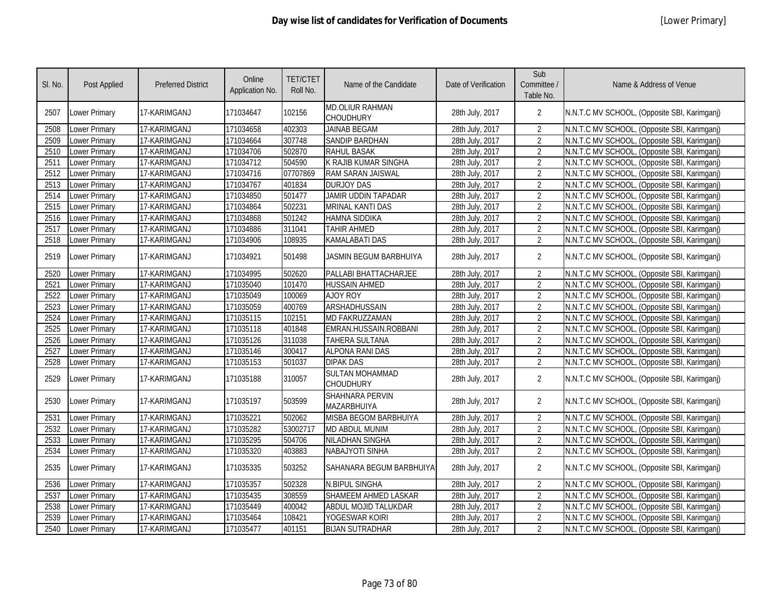| SI. No. | Post Applied         | <b>Preferred District</b> | Online<br>Application No. | <b>TET/CTET</b><br>Roll No. | Name of the Candidate                 | Date of Verification | Sub<br>Committee /<br>Table No. | Name & Address of Venue                      |
|---------|----------------------|---------------------------|---------------------------|-----------------------------|---------------------------------------|----------------------|---------------------------------|----------------------------------------------|
| 2507    | <b>Lower Primary</b> | 17-KARIMGANJ              | 171034647                 | 102156                      | MD.OLIUR RAHMAN<br>CHOUDHURY          | 28th July, 2017      | $\overline{2}$                  | N.N.T.C MV SCHOOL, (Opposite SBI, Karimganj) |
| 2508    | Lower Primary        | 17-KARIMGANJ              | 171034658                 | 402303                      | <b>JAINAB BEGAM</b>                   | 28th July, 2017      | $\overline{2}$                  | N.N.T.C MV SCHOOL, (Opposite SBI, Karimgani) |
| 2509    | <b>Lower Primary</b> | 17-KARIMGANJ              | 171034664                 | 307748                      | <b>SANDIP BARDHAN</b>                 | 28th July, 2017      | $\overline{2}$                  | N.N.T.C MV SCHOOL, (Opposite SBI, Karimgani) |
| 2510    | Lower Primary        | 17-KARIMGANJ              | 171034706                 | 502870                      | <b>RAHUL BASAK</b>                    | 28th July, 2017      | $\overline{2}$                  | N.N.T.C MV SCHOOL, (Opposite SBI, Karimganj) |
| 2511    | <b>Lower Primary</b> | 17-KARIMGANJ              | 171034712                 | 504590                      | K RAJIB KUMAR SINGHA                  | 28th July, 2017      | $\overline{2}$                  | N.N.T.C MV SCHOOL, (Opposite SBI, Karimganj) |
| 2512    | Lower Primary        | 17-KARIMGANJ              | 171034716                 | 07707869                    | RAM SARAN JAISWAL                     | 28th July, 2017      | $\overline{2}$                  | N.N.T.C MV SCHOOL, (Opposite SBI, Karimganj) |
| 2513    | <b>Lower Primary</b> | 17-KARIMGANJ              | 171034767                 | 401834                      | <b>DURJOY DAS</b>                     | 28th July, 2017      | $\overline{2}$                  | N.N.T.C MV SCHOOL, (Opposite SBI, Karimganj) |
| 2514    | Lower Primary        | 17-KARIMGANJ              | 171034850                 | 501477                      | <b>JAMIR UDDIN TAPADAR</b>            | 28th July, 2017      | $\overline{2}$                  | N.N.T.C MV SCHOOL, (Opposite SBI, Karimganj) |
| 2515    | <b>Lower Primary</b> | 17-KARIMGANJ              | 171034864                 | 502231                      | <b>MRINAL KANTI DAS</b>               | 28th July, 2017      | $\overline{2}$                  | N.N.T.C MV SCHOOL, (Opposite SBI, Karimganj) |
| 2516    | Lower Primary        | 17-KARIMGANJ              | 171034868                 | 501242                      | HAMNA SIDDIKA                         | 28th July, 2017      | $\overline{2}$                  | N.N.T.C MV SCHOOL, (Opposite SBI, Karimganj) |
| 2517    | <b>Lower Primary</b> | 17-KARIMGANJ              | 171034886                 | 311041                      | <b>TAHIR AHMED</b>                    | 28th July, 2017      | $\overline{2}$                  | N.N.T.C MV SCHOOL, (Opposite SBI, Karimganj) |
| 2518    | Lower Primary        | 17-KARIMGANJ              | 171034906                 | 108935                      | KAMALABATI DAS                        | 28th July, 2017      | $\overline{2}$                  | N.N.T.C MV SCHOOL, (Opposite SBI, Karimganj) |
| 2519    | <b>Lower Primary</b> | 17-KARIMGANJ              | 171034921                 | 501498                      | JASMIN BEGUM BARBHUIYA                | 28th July, 2017      | $\overline{2}$                  | N.N.T.C MV SCHOOL, (Opposite SBI, Karimganj) |
| 2520    | Lower Primary        | 17-KARIMGANJ              | 171034995                 | 502620                      | PALLABI BHATTACHARJEE                 | 28th July, 2017      | $\overline{2}$                  | N.N.T.C MV SCHOOL, (Opposite SBI, Karimganj) |
| 2521    | <b>Lower Primary</b> | 17-KARIMGANJ              | 171035040                 | 101470                      | <b>HUSSAIN AHMED</b>                  | 28th July, 2017      | $\overline{2}$                  | N.N.T.C MV SCHOOL, (Opposite SBI, Karimganj) |
| 2522    | Lower Primary        | 17-KARIMGANJ              | 171035049                 | 100069                      | <b>AJOY ROY</b>                       | 28th July, 2017      | $\overline{2}$                  | N.N.T.C MV SCHOOL, (Opposite SBI, Karimganj) |
| 2523    | Lower Primary        | 17-KARIMGANJ              | 171035059                 | 400769                      | <b>ARSHADHUSSAIN</b>                  | 28th July, 2017      | $\overline{2}$                  | N.N.T.C MV SCHOOL, (Opposite SBI, Karimganj) |
| 2524    | <b>Lower Primary</b> | 17-KARIMGANJ              | 171035115                 | 102151                      | <b>MD FAKRUZZAMAN</b>                 | 28th July, 2017      | $\overline{2}$                  | N.N.T.C MV SCHOOL, (Opposite SBI, Karimganj) |
| 2525    | <b>Lower Primary</b> | 17-KARIMGANJ              | 171035118                 | 401848                      | EMRAN.HUSSAIN.ROBBANI                 | 28th July, 2017      | $\overline{2}$                  | N.N.T.C MV SCHOOL, (Opposite SBI, Karimganj) |
| 2526    | <b>Lower Primary</b> | 17-KARIMGANJ              | 171035126                 | 311038                      | <b>TAHERA SULTANA</b>                 | 28th July, 2017      | $\overline{2}$                  | N.N.T.C MV SCHOOL, (Opposite SBI, Karimganj) |
| 2527    | <b>Lower Primary</b> | 17-KARIMGANJ              | 171035146                 | 300417                      | <b>ALPONA RANI DAS</b>                | 28th July, 2017      | $\overline{2}$                  | N.N.T.C MV SCHOOL, (Opposite SBI, Karimganj) |
| 2528    | <b>Lower Primary</b> | 17-KARIMGANJ              | 171035153                 | 501037                      | <b>DIPAK DAS</b>                      | 28th July, 2017      | $\overline{2}$                  | N.N.T.C MV SCHOOL, (Opposite SBI, Karimganj) |
| 2529    | <b>Lower Primary</b> | 17-KARIMGANJ              | 171035188                 | 310057                      | <b>SULTAN MOHAMMAD</b><br>CHOUDHURY   | 28th July, 2017      | $\overline{2}$                  | N.N.T.C MV SCHOOL, (Opposite SBI, Karimganj) |
| 2530    | Lower Primary        | 17-KARIMGANJ              | 171035197                 | 503599                      | <b>SHAHNARA PERVIN</b><br>MAZARBHUIYA | 28th July, 2017      | $\overline{2}$                  | N.N.T.C MV SCHOOL, (Opposite SBI, Karimganj) |
| 2531    | <b>Lower Primary</b> | 17-KARIMGANJ              | 171035221                 | 502062                      | <b>MISBA BEGOM BARBHUIYA</b>          | 28th July, 2017      | $\overline{2}$                  | N.N.T.C MV SCHOOL, (Opposite SBI, Karimganj) |
| 2532    | Lower Primary        | 17-KARIMGANJ              | 171035282                 | 53002717                    | <b>MD ABDUL MUNIM</b>                 | 28th July, 2017      | $\overline{2}$                  | N.N.T.C MV SCHOOL, (Opposite SBI, Karimganj) |
| 2533    | Lower Primary        | 17-KARIMGANJ              | 171035295                 | 504706                      | <b>NILADHAN SINGHA</b>                | 28th July, 2017      | $\overline{2}$                  | N.N.T.C MV SCHOOL, (Opposite SBI, Karimganj) |
| 2534    | Lower Primary        | 17-KARIMGANJ              | 171035320                 | 403883                      | <b>NABAJYOTI SINHA</b>                | 28th July, 2017      | $\overline{2}$                  | N.N.T.C MV SCHOOL, (Opposite SBI, Karimganj) |
| 2535    | <b>Lower Primary</b> | 17-KARIMGANJ              | 171035335                 | 503252                      | SAHANARA BEGUM BARBHUIYA              | 28th July, 2017      | $\overline{2}$                  | N.N.T.C MV SCHOOL, (Opposite SBI, Karimganj) |
| 2536    | Lower Primary        | 17-KARIMGANJ              | 171035357                 | 502328                      | N.BIPUL SINGHA                        | 28th July, 2017      | $\overline{2}$                  | N.N.T.C MV SCHOOL, (Opposite SBI, Karimganj) |
| 2537    | Lower Primary        | 17-KARIMGANJ              | 171035435                 | 308559                      | SHAMEEM AHMED LASKAR                  | 28th July, 2017      | $\overline{2}$                  | N.N.T.C MV SCHOOL, (Opposite SBI, Karimganj) |
| 2538    | Lower Primary        | 17-KARIMGANJ              | 171035449                 | 400042                      | ABDUL MOJID TALUKDAR                  | 28th July, 2017      | $\overline{2}$                  | N.N.T.C MV SCHOOL, (Opposite SBI, Karimgani) |
| 2539    | Lower Primary        | 17-KARIMGANJ              | 171035464                 | 108421                      | YOGESWAR KOIRI                        | 28th July, 2017      | $\overline{2}$                  | N.N.T.C MV SCHOOL, (Opposite SBI, Karimganj) |
| 2540    | <b>Lower Primary</b> | 17-KARIMGANJ              | 171035477                 | 401151                      | <b>BIJAN SUTRADHAR</b>                | 28th July, 2017      | $\overline{2}$                  | N.N.T.C MV SCHOOL, (Opposite SBI, Karimganj) |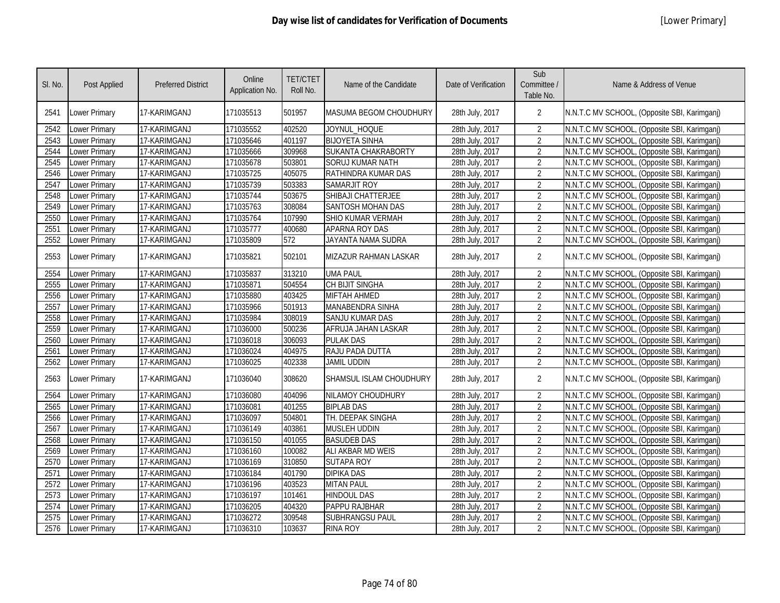| SI. No. | <b>Post Applied</b> | <b>Preferred District</b> | Online<br>Application No. | <b>TET/CTET</b><br>Roll No. | Name of the Candidate         | Date of Verification | Sub<br>Committee /<br>Table No. | Name & Address of Venue                      |
|---------|---------------------|---------------------------|---------------------------|-----------------------------|-------------------------------|----------------------|---------------------------------|----------------------------------------------|
| 2541    | Lower Primary       | 17-KARIMGANJ              | 171035513                 | 501957                      | <b>MASUMA BEGOM CHOUDHURY</b> | 28th July, 2017      | $\overline{2}$                  | N.N.T.C MV SCHOOL, (Opposite SBI, Karimganj) |
| 2542    | Lower Primary       | 17-KARIMGANJ              | 171035552                 | 402520                      | JOYNUL_HOQUE                  | 28th July, 2017      | $\overline{2}$                  | N.N.T.C MV SCHOOL, (Opposite SBI, Karimganj) |
| 2543    | Lower Primary       | 17-KARIMGANJ              | 171035646                 | 401197                      | <b>BIJOYETA SINHA</b>         | 28th July, 2017      | $\overline{2}$                  | N.N.T.C MV SCHOOL, (Opposite SBI, Karimganj) |
| 2544    | Lower Primary       | 17-KARIMGANJ              | 171035666                 | 309968                      | SUKANTA CHAKRABORTY           | 28th July, 2017      | $\overline{2}$                  | N.N.T.C MV SCHOOL, (Opposite SBI, Karimganj) |
| 2545    | Lower Primary       | 17-KARIMGANJ              | 171035678                 | 503801                      | <b>SORUJ KUMAR NATH</b>       | 28th July, 2017      | $\overline{2}$                  | N.N.T.C MV SCHOOL, (Opposite SBI, Karimganj) |
| 2546    | Lower Primary       | 17-KARIMGANJ              | 171035725                 | 405075                      | RATHINDRA KUMAR DAS           | 28th July, 2017      | $\overline{2}$                  | N.N.T.C MV SCHOOL, (Opposite SBI, Karimganj) |
| 2547    | Lower Primary       | 17-KARIMGANJ              | 171035739                 | 503383                      | <b>SAMARJIT ROY</b>           | 28th July, 2017      | $\overline{2}$                  | N.N.T.C MV SCHOOL, (Opposite SBI, Karimganj) |
| 2548    | Lower Primary       | 17-KARIMGANJ              | 171035744                 | 503675                      | SHIBAJI CHATTERJEE            | 28th July, 2017      | $\overline{2}$                  | N.N.T.C MV SCHOOL, (Opposite SBI, Karimganj) |
| 2549    | Lower Primary       | 17-KARIMGANJ              | 171035763                 | 308084                      | <b>SANTOSH MOHAN DAS</b>      | 28th July, 2017      | $\overline{2}$                  | N.N.T.C MV SCHOOL, (Opposite SBI, Karimganj) |
| 2550    | Lower Primary       | 17-KARIMGANJ              | 171035764                 | 107990                      | SHIO KUMAR VERMAH             | 28th July, 2017      | $\overline{2}$                  | N.N.T.C MV SCHOOL, (Opposite SBI, Karimganj) |
| 2551    | Lower Primary       | 17-KARIMGANJ              | 171035777                 | 400680                      | APARNA ROY DAS                | 28th July, 2017      | $\overline{2}$                  | N.N.T.C MV SCHOOL, (Opposite SBI, Karimganj) |
| 2552    | Lower Primary       | 17-KARIMGANJ              | 171035809                 | 572                         | JAYANTA NAMA SUDRA            | 28th July, 2017      | $\overline{2}$                  | N.N.T.C MV SCHOOL, (Opposite SBI, Karimganj) |
| 2553    | Lower Primary       | 17-KARIMGANJ              | 171035821                 | 502101                      | <b>MIZAZUR RAHMAN LASKAR</b>  | 28th July, 2017      | $\overline{2}$                  | N.N.T.C MV SCHOOL, (Opposite SBI, Karimganj) |
| 2554    | Lower Primary       | 17-KARIMGANJ              | 171035837                 | 313210                      | <b>UMA PAUL</b>               | 28th July, 2017      | $\overline{2}$                  | N.N.T.C MV SCHOOL, (Opposite SBI, Karimganj) |
| 2555    | Lower Primary       | 17-KARIMGANJ              | 171035871                 | 504554                      | <b>CH BIJIT SINGHA</b>        | 28th July, 2017      | $\overline{2}$                  | N.N.T.C MV SCHOOL, (Opposite SBI, Karimganj) |
| 2556    | Lower Primary       | 17-KARIMGANJ              | 171035880                 | 403425                      | <b>MIFTAH AHMED</b>           | 28th July, 2017      | $\overline{2}$                  | N.N.T.C MV SCHOOL, (Opposite SBI, Karimganj) |
| 2557    | Lower Primary       | 17-KARIMGANJ              | 171035966                 | 501913                      | MANABENDRA SINHA              | 28th July, 2017      | $\overline{2}$                  | N.N.T.C MV SCHOOL, (Opposite SBI, Karimganj) |
| 2558    | Lower Primary       | 17-KARIMGANJ              | 171035984                 | 308019                      | <b>SANJU KUMAR DAS</b>        | 28th July, 2017      | $\overline{2}$                  | N.N.T.C MV SCHOOL, (Opposite SBI, Karimganj) |
| 2559    | Lower Primary       | 17-KARIMGANJ              | 171036000                 | 500236                      | AFRUJA JAHAN LASKAR           | 28th July, 2017      | $\overline{2}$                  | N.N.T.C MV SCHOOL, (Opposite SBI, Karimganj) |
| 2560    | Lower Primary       | 17-KARIMGANJ              | 171036018                 | 306093                      | <b>PULAK DAS</b>              | 28th July, 2017      | $\overline{2}$                  | N.N.T.C MV SCHOOL, (Opposite SBI, Karimganj) |
| 2561    | Lower Primary       | 17-KARIMGANJ              | 171036024                 | 404975                      | RAJU PADA DUTTA               | 28th July, 2017      | $\overline{2}$                  | N.N.T.C MV SCHOOL, (Opposite SBI, Karimganj) |
| 2562    | Lower Primary       | 17-KARIMGANJ              | 171036025                 | 402338                      | <b>JAMIL UDDIN</b>            | 28th July, 2017      | $\overline{2}$                  | N.N.T.C MV SCHOOL, (Opposite SBI, Karimganj) |
| 2563    | Lower Primary       | 17-KARIMGANJ              | 171036040                 | 308620                      | SHAMSUL ISLAM CHOUDHURY       | 28th July, 2017      | $\overline{2}$                  | N.N.T.C MV SCHOOL, (Opposite SBI, Karimganj) |
| 2564    | Lower Primary       | 17-KARIMGANJ              | 171036080                 | 404096                      | NILAMOY CHOUDHURY             | 28th July, 2017      | $\overline{2}$                  | N.N.T.C MV SCHOOL, (Opposite SBI, Karimganj) |
| 2565    | Lower Primary       | 17-KARIMGANJ              | 171036081                 | 401255                      | <b>BIPLAB DAS</b>             | 28th July, 2017      | $\overline{2}$                  | N.N.T.C MV SCHOOL, (Opposite SBI, Karimganj) |
| 2566    | Lower Primary       | 17-KARIMGANJ              | 171036097                 | 504801                      | TH. DEEPAK SINGHA             | 28th July, 2017      | $\overline{2}$                  | N.N.T.C MV SCHOOL, (Opposite SBI, Karimganj) |
| 2567    | Lower Primary       | 17-KARIMGANJ              | 171036149                 | 403861                      | <b>MUSLEH UDDIN</b>           | 28th July, 2017      | $\overline{2}$                  | N.N.T.C MV SCHOOL, (Opposite SBI, Karimganj) |
| 2568    | Lower Primary       | 17-KARIMGANJ              | 171036150                 | 401055                      | <b>BASUDEB DAS</b>            | 28th July, 2017      | $\overline{2}$                  | N.N.T.C MV SCHOOL, (Opposite SBI, Karimganj) |
| 2569    | Lower Primary       | 17-KARIMGANJ              | 171036160                 | 100082                      | ALI AKBAR MD WEIS             | 28th July, 2017      | $\overline{2}$                  | N.N.T.C MV SCHOOL, (Opposite SBI, Karimganj) |
| 2570    | Lower Primary       | 17-KARIMGANJ              | 171036169                 | 310850                      | <b>SUTAPA ROY</b>             | 28th July, 2017      | $\overline{2}$                  | N.N.T.C MV SCHOOL, (Opposite SBI, Karimganj) |
| 2571    | Lower Primary       | 17-KARIMGANJ              | 171036184                 | 401790                      | <b>DIPIKA DAS</b>             | 28th July, 2017      | $\overline{2}$                  | N.N.T.C MV SCHOOL, (Opposite SBI, Karimganj) |
| 2572    | Lower Primary       | 17-KARIMGANJ              | 171036196                 | 403523                      | <b>MITAN PAUL</b>             | 28th July, 2017      | $\overline{2}$                  | N.N.T.C MV SCHOOL, (Opposite SBI, Karimganj) |
| 2573    | Lower Primary       | 17-KARIMGANJ              | 171036197                 | 101461                      | <b>HINDOUL DAS</b>            | 28th July, 2017      | $\overline{2}$                  | N.N.T.C MV SCHOOL, (Opposite SBI, Karimganj) |
| 2574    | Lower Primary       | 17-KARIMGANJ              | 171036205                 | 404320                      | PAPPU RAJBHAR                 | 28th July, 2017      | $\overline{2}$                  | N.N.T.C MV SCHOOL, (Opposite SBI, Karimganj) |
| 2575    | Lower Primary       | 17-KARIMGANJ              | 171036272                 | 309548                      | SUBHRANGSU PAUL               | 28th July, 2017      | $\overline{2}$                  | N.N.T.C MV SCHOOL, (Opposite SBI, Karimganj) |
| 2576    | Lower Primary       | 17-KARIMGANJ              | 171036310                 | 103637                      | <b>RINA ROY</b>               | 28th July, 2017      | $\overline{2}$                  | N.N.T.C MV SCHOOL, (Opposite SBI, Karimganj) |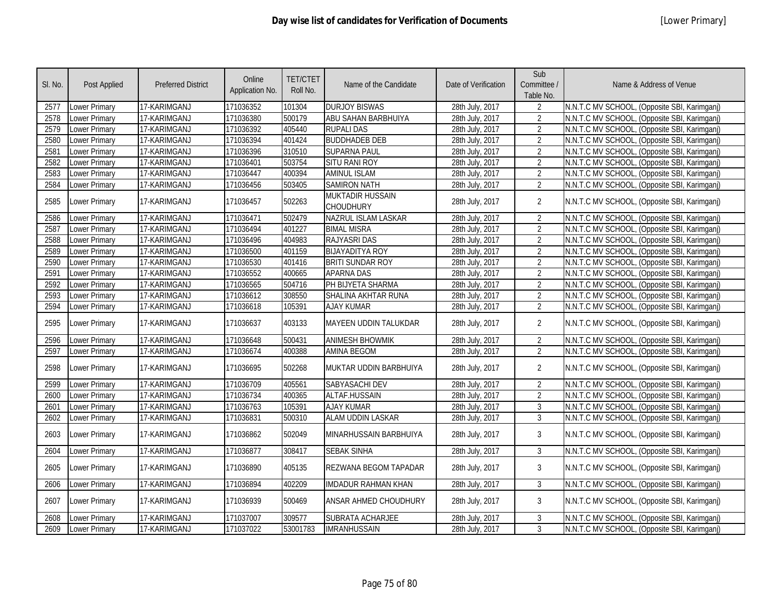| SI. No. | <b>Post Applied</b>  | <b>Preferred District</b> | Online<br>Application No. | <b>TET/CTET</b><br>Roll No. | Name of the Candidate                | Date of Verification | Sub<br>Committee /<br>Table No. | Name & Address of Venue                      |
|---------|----------------------|---------------------------|---------------------------|-----------------------------|--------------------------------------|----------------------|---------------------------------|----------------------------------------------|
| 2577    | Lower Primary        | 17-KARIMGANJ              | 171036352                 | 101304                      | <b>DURJOY BISWAS</b>                 | 28th July, 2017      | 2                               | N.N.T.C MV SCHOOL, (Opposite SBI, Karimganj) |
| 2578    | Lower Primary        | 17-KARIMGANJ              | 171036380                 | 500179                      | ABU SAHAN BARBHUIYA                  | 28th July, 2017      | 2                               | N.N.T.C MV SCHOOL, (Opposite SBI, Karimgani) |
| 2579    | Lower Primary        | 17-KARIMGANJ              | 171036392                 | 405440                      | <b>RUPALI DAS</b>                    | 28th July, 2017      | 2                               | N.N.T.C MV SCHOOL, (Opposite SBI, Karimganj) |
| 2580    | Lower Primary        | 17-KARIMGANJ              | 171036394                 | 401424                      | <b>BUDDHADEB DEB</b>                 | 28th July, 2017      | $\overline{2}$                  | N.N.T.C MV SCHOOL, (Opposite SBI, Karimganj) |
| 2581    | Lower Primary        | 17-KARIMGANJ              | 171036396                 | 310510                      | <b>SUPARNA PAUL</b>                  | 28th July, 2017      | 2                               | N.N.T.C MV SCHOOL, (Opposite SBI, Karimganj) |
| 2582    | Lower Primary        | 17-KARIMGANJ              | 171036401                 | 503754                      | <b>SITU RANI ROY</b>                 | 28th July, 2017      | $\overline{2}$                  | N.N.T.C MV SCHOOL, (Opposite SBI, Karimganj) |
| 2583    | Lower Primary        | 17-KARIMGANJ              | 171036447                 | 400394                      | <b>AMINUL ISLAM</b>                  | 28th July, 2017      | 2                               | N.N.T.C MV SCHOOL, (Opposite SBI, Karimganj) |
| 2584    | Lower Primary        | 17-KARIMGANJ              | 171036456                 | 503405                      | <b>SAMIRON NATH</b>                  | 28th July, 2017      | $\overline{2}$                  | N.N.T.C MV SCHOOL, (Opposite SBI, Karimganj) |
| 2585    | Lower Primary        | 17-KARIMGANJ              | 171036457                 | 502263                      | <b>MUKTADIR HUSSAIN</b><br>CHOUDHURY | 28th July, 2017      | $\overline{2}$                  | N.N.T.C MV SCHOOL, (Opposite SBI, Karimganj) |
| 2586    | Lower Primary        | 17-KARIMGANJ              | 171036471                 | 502479                      | NAZRUL ISLAM LASKAR                  | 28th July, 2017      | 2                               | N.N.T.C MV SCHOOL, (Opposite SBI, Karimganj) |
| 2587    | Lower Primary        | 17-KARIMGANJ              | 171036494                 | 401227                      | <b>BIMAL MISRA</b>                   | 28th July, 2017      | $\overline{2}$                  | N.N.T.C MV SCHOOL, (Opposite SBI, Karimganj) |
| 2588    | Lower Primary        | 17-KARIMGANJ              | 171036496                 | 404983                      | <b>RAJYASRI DAS</b>                  | 28th July, 2017      | $\overline{2}$                  | N.N.T.C MV SCHOOL, (Opposite SBI, Karimganj) |
| 2589    | Lower Primary        | 17-KARIMGANJ              | 171036500                 | 401159                      | <b>BIJAYADITYA ROY</b>               | 28th July, 2017      | $\overline{2}$                  | N.N.T.C MV SCHOOL, (Opposite SBI, Karimganj) |
| 2590    | Lower Primary        | 17-KARIMGANJ              | 171036530                 | 401416                      | <b>BRITI SUNDAR ROY</b>              | 28th July, 2017      | $\overline{2}$                  | N.N.T.C MV SCHOOL, (Opposite SBI, Karimganj) |
| 2591    | Lower Primary        | 17-KARIMGANJ              | 171036552                 | 400665                      | <b>APARNA DAS</b>                    | 28th July, 2017      | $\overline{2}$                  | N.N.T.C MV SCHOOL, (Opposite SBI, Karimganj) |
| 2592    | Lower Primary        | 17-KARIMGANJ              | 171036565                 | 504716                      | PH BIJYETA SHARMA                    | 28th July, 2017      | $\overline{2}$                  | N.N.T.C MV SCHOOL, (Opposite SBI, Karimganj) |
| 2593    | Lower Primary        | 17-KARIMGANJ              | 171036612                 | 308550                      | SHALINA AKHTAR RUNA                  | 28th July, 2017      | $\overline{2}$                  | N.N.T.C MV SCHOOL, (Opposite SBI, Karimganj) |
| 2594    | Lower Primary        | 17-KARIMGANJ              | 171036618                 | 105391                      | <b>AJAY KUMAR</b>                    | 28th July, 2017      | $\overline{2}$                  | N.N.T.C MV SCHOOL, (Opposite SBI, Karimganj) |
| 2595    | Lower Primary        | 17-KARIMGANJ              | 171036637                 | 403133                      | <b>MAYEEN UDDIN TALUKDAR</b>         | 28th July, 2017      | $\overline{2}$                  | N.N.T.C MV SCHOOL, (Opposite SBI, Karimganj) |
| 2596    | <b>Lower Primary</b> | 17-KARIMGANJ              | 171036648                 | 500431                      | <b>ANIMESH BHOWMIK</b>               | 28th July, 2017      | $\overline{2}$                  | N.N.T.C MV SCHOOL, (Opposite SBI, Karimganj) |
| 2597    | Lower Primary        | 17-KARIMGANJ              | 171036674                 | 400388                      | <b>AMINA BEGOM</b>                   | 28th July, 2017      | $\overline{2}$                  | N.N.T.C MV SCHOOL, (Opposite SBI, Karimganj) |
| 2598    | Lower Primary        | 17-KARIMGANJ              | 171036695                 | 502268                      | MUKTAR UDDIN BARBHUIYA               | 28th July, 2017      | $\overline{2}$                  | N.N.T.C MV SCHOOL, (Opposite SBI, Karimganj) |
| 2599    | Lower Primary        | 17-KARIMGANJ              | 171036709                 | 405561                      | <b>SABYASACHI DEV</b>                | 28th July, 2017      | $\overline{2}$                  | N.N.T.C MV SCHOOL, (Opposite SBI, Karimganj) |
| 2600    | Lower Primary        | 17-KARIMGANJ              | 171036734                 | 400365                      | ALTAF.HUSSAIN                        | 28th July, 2017      | $\overline{2}$                  | N.N.T.C MV SCHOOL, (Opposite SBI, Karimganj) |
| 2601    | Lower Primary        | 17-KARIMGANJ              | 171036763                 | 105391                      | <b>AJAY KUMAR</b>                    | 28th July, 2017      | 3                               | N.N.T.C MV SCHOOL, (Opposite SBI, Karimganj) |
| 2602    | Lower Primary        | 17-KARIMGANJ              | 171036831                 | 500310                      | <b>ALAM UDDIN LASKAR</b>             | 28th July, 2017      | $\overline{3}$                  | N.N.T.C MV SCHOOL, (Opposite SBI, Karimganj) |
| 2603    | Lower Primary        | 17-KARIMGANJ              | 171036862                 | 502049                      | MINARHUSSAIN BARBHUIYA               | 28th July, 2017      | 3                               | N.N.T.C MV SCHOOL, (Opposite SBI, Karimganj) |
| 2604    | Lower Primary        | 17-KARIMGANJ              | 171036877                 | 308417                      | <b>SEBAK SINHA</b>                   | 28th July, 2017      | 3                               | N.N.T.C MV SCHOOL, (Opposite SBI, Karimganj) |
| 2605    | Lower Primary        | 17-KARIMGANJ              | 171036890                 | 405135                      | REZWANA BEGOM TAPADAR                | 28th July, 2017      | $\mathbf{3}$                    | N.N.T.C MV SCHOOL, (Opposite SBI, Karimganj) |
| 2606    | ower Primary         | 17-KARIMGANJ              | 171036894                 | 402209                      | IMDADUR RAHMAN KHAN                  | 28th July, 2017      | 3                               | N.N.T.C MV SCHOOL, (Opposite SBI, Karimganj) |
| 2607    | Lower Primary        | 17-KARIMGANJ              | 171036939                 | 500469                      | ANSAR AHMED CHOUDHURY                | 28th July, 2017      | 3                               | N.N.T.C MV SCHOOL, (Opposite SBI, Karimganj) |
| 2608    | Lower Primary        | 17-KARIMGANJ              | 171037007                 | 309577                      | SUBRATA ACHARJEE                     | 28th July, 2017      | 3                               | N.N.T.C MV SCHOOL, (Opposite SBI, Karimganj) |
| 2609    | Lower Primary        | 17-KARIMGANJ              | 171037022                 | 53001783                    | <b>IMRANHUSSAIN</b>                  | 28th July, 2017      | 3                               | N.N.T.C MV SCHOOL, (Opposite SBI, Karimganj) |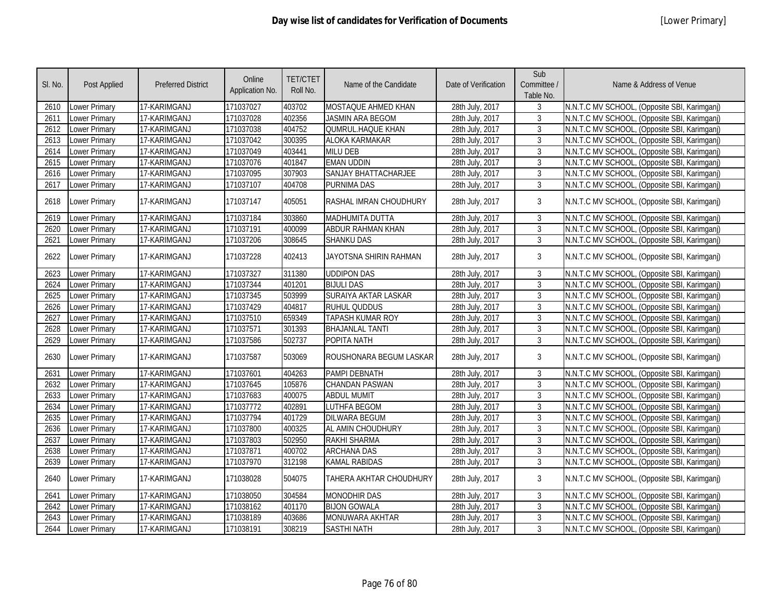| SI. No. | Post Applied         | <b>Preferred District</b> | Online<br>Application No. | <b>TET/CTET</b><br>Roll No. | Name of the Candidate       | Date of Verification | Sub<br>Committee /<br>Table No. | Name & Address of Venue                      |
|---------|----------------------|---------------------------|---------------------------|-----------------------------|-----------------------------|----------------------|---------------------------------|----------------------------------------------|
| 2610    | Lower Primary        | 17-KARIMGANJ              | 171037027                 | 403702                      | MOSTAQUE AHMED KHAN         | 28th July, 2017      | 3                               | N.N.T.C MV SCHOOL, (Opposite SBI, Karimganj) |
| 2611    | <b>Lower Primary</b> | 17-KARIMGANJ              | 171037028                 | 402356                      | <b>JASMIN ARA BEGOM</b>     | 28th July, 2017      | $\mathfrak{Z}$                  | N.N.T.C MV SCHOOL, (Opposite SBI, Karimganj) |
| 2612    | <b>Lower Primary</b> | 17-KARIMGANJ              | 171037038                 | 404752                      | QUMRUL.HAQUE KHAN           | 28th July, 2017      | $\mathfrak{Z}$                  | N.N.T.C MV SCHOOL, (Opposite SBI, Karimganj) |
| 2613    | <b>Lower Primary</b> | 17-KARIMGANJ              | 171037042                 | 300395                      | <b>ALOKA KARMAKAR</b>       | 28th July, 2017      | $\mathfrak{Z}$                  | N.N.T.C MV SCHOOL, (Opposite SBI, Karimganj) |
| 2614    | Lower Primary        | 17-KARIMGANJ              | 171037049                 | 403441                      | <b>MILU DEB</b>             | 28th July, 2017      | $\mathfrak{Z}$                  | N.N.T.C MV SCHOOL, (Opposite SBI, Karimganj) |
| 2615    | <b>Lower Primary</b> | 17-KARIMGANJ              | 171037076                 | 401847                      | <b>EMAN UDDIN</b>           | 28th July, 2017      | 3                               | N.N.T.C MV SCHOOL, (Opposite SBI, Karimganj) |
| 2616    | <b>Lower Primary</b> | 17-KARIMGANJ              | 171037095                 | 307903                      | <b>SANJAY BHATTACHARJEE</b> | 28th July, 2017      | $\mathfrak{Z}$                  | N.N.T.C MV SCHOOL, (Opposite SBI, Karimganj) |
| 2617    | <b>Lower Primary</b> | 17-KARIMGANJ              | 171037107                 | 404708                      | <b>PURNIMA DAS</b>          | 28th July, 2017      | $\mathfrak{Z}$                  | N.N.T.C MV SCHOOL, (Opposite SBI, Karimganj) |
| 2618    | <b>Lower Primary</b> | 17-KARIMGANJ              | 171037147                 | 405051                      | RASHAL IMRAN CHOUDHURY      | 28th July, 2017      | 3                               | N.N.T.C MV SCHOOL, (Opposite SBI, Karimganj) |
| 2619    | Lower Primary        | 17-KARIMGANJ              | 171037184                 | 303860                      | <b>MADHUMITA DUTTA</b>      | 28th July, 2017      | 3                               | N.N.T.C MV SCHOOL, (Opposite SBI, Karimganj) |
| 2620    | <b>Lower Primary</b> | 17-KARIMGANJ              | 171037191                 | 400099                      | ABDUR RAHMAN KHAN           | 28th July, 2017      | $\mathfrak{Z}$                  | N.N.T.C MV SCHOOL, (Opposite SBI, Karimganj) |
| 2621    | Lower Primary        | 17-KARIMGANJ              | 171037206                 | 308645                      | <b>SHANKU DAS</b>           | 28th July, 2017      | $\mathfrak{Z}$                  | N.N.T.C MV SCHOOL, (Opposite SBI, Karimganj) |
| 2622    | Lower Primary        | 17-KARIMGANJ              | 171037228                 | 402413                      | JAYOTSNA SHIRIN RAHMAN      | 28th July, 2017      | 3                               | N.N.T.C MV SCHOOL, (Opposite SBI, Karimganj) |
| 2623    | <b>Lower Primary</b> | 17-KARIMGANJ              | 171037327                 | 311380                      | <b>UDDIPON DAS</b>          | 28th July, 2017      | $\mathbf{3}$                    | N.N.T.C MV SCHOOL, (Opposite SBI, Karimganj) |
| 2624    | Lower Primary        | 17-KARIMGANJ              | 171037344                 | 401201                      | <b>BIJULI DAS</b>           | 28th July, 2017      | $\overline{3}$                  | N.N.T.C MV SCHOOL, (Opposite SBI, Karimganj) |
| 2625    | Lower Primary        | 17-KARIMGANJ              | 171037345                 | 503999                      | <b>SURAIYA AKTAR LASKAR</b> | 28th July, 2017      | 3                               | N.N.T.C MV SCHOOL, (Opposite SBI, Karimganj) |
| 2626    | Lower Primary        | 17-KARIMGANJ              | 171037429                 | 404817                      | <b>RUHUL QUDDUS</b>         | 28th July, 2017      | 3                               | N.N.T.C MV SCHOOL, (Opposite SBI, Karimganj) |
| 2627    | <b>Lower Primary</b> | 17-KARIMGANJ              | 171037510                 | 659349                      | TAPASH KUMAR ROY            | 28th July, 2017      | 3                               | N.N.T.C MV SCHOOL, (Opposite SBI, Karimganj) |
| 2628    | Lower Primary        | 17-KARIMGANJ              | 171037571                 | 301393                      | <b>BHAJANLAL TANTI</b>      | 28th July, 2017      | 3                               | N.N.T.C MV SCHOOL, (Opposite SBI, Karimganj) |
| 2629    | Lower Primary        | 17-KARIMGANJ              | 171037586                 | 502737                      | POPITA NATH                 | 28th July, 2017      | 3                               | N.N.T.C MV SCHOOL, (Opposite SBI, Karimganj) |
| 2630    | <b>Lower Primary</b> | 17-KARIMGANJ              | 171037587                 | 503069                      | ROUSHONARA BEGUM LASKAR     | 28th July, 2017      | 3                               | N.N.T.C MV SCHOOL, (Opposite SBI, Karimganj) |
| 2631    | Lower Primary        | 17-KARIMGANJ              | 171037601                 | 404263                      | PAMPI DEBNATH               | 28th July, 2017      | 3                               | N.N.T.C MV SCHOOL, (Opposite SBI, Karimganj) |
| 2632    | <b>Lower Primary</b> | 17-KARIMGANJ              | 171037645                 | 105876                      | <b>CHANDAN PASWAN</b>       | 28th July, 2017      | 3                               | N.N.T.C MV SCHOOL, (Opposite SBI, Karimganj) |
| 2633    | Lower Primary        | 17-KARIMGANJ              | 171037683                 | 400075                      | <b>ABDUL MUMIT</b>          | 28th July, 2017      | 3                               | N.N.T.C MV SCHOOL, (Opposite SBI, Karimganj) |
| 2634    | <b>Lower Primary</b> | 17-KARIMGANJ              | 171037772                 | 402891                      | <b>LUTHFA BEGOM</b>         | 28th July, 2017      | 3                               | N.N.T.C MV SCHOOL, (Opposite SBI, Karimganj) |
| 2635    | Lower Primary        | 17-KARIMGANJ              | 171037794                 | 401729                      | <b>DILWARA BEGUM</b>        | 28th July, 2017      | $\mathfrak{Z}$                  | N.N.T.C MV SCHOOL, (Opposite SBI, Karimganj) |
| 2636    | <b>Lower Primary</b> | 17-KARIMGANJ              | 171037800                 | 400325                      | AL AMIN CHOUDHURY           | 28th July, 2017      | 3                               | N.N.T.C MV SCHOOL, (Opposite SBI, Karimganj) |
| 2637    | Lower Primary        | 17-KARIMGANJ              | 171037803                 | 502950                      | <b>RAKHI SHARMA</b>         | 28th July, 2017      | 3                               | N.N.T.C MV SCHOOL, (Opposite SBI, Karimganj) |
| 2638    | <b>Lower Primary</b> | 17-KARIMGANJ              | 171037871                 | 400702                      | <b>ARCHANA DAS</b>          | 28th July, 2017      | 3                               | N.N.T.C MV SCHOOL, (Opposite SBI, Karimganj) |
| 2639    | Lower Primary        | 17-KARIMGANJ              | 171037970                 | 312198                      | <b>KAMAL RABIDAS</b>        | 28th July, 2017      | $\mathbf{3}$                    | N.N.T.C MV SCHOOL, (Opposite SBI, Karimganj) |
| 2640    | <b>Lower Primary</b> | 17-KARIMGANJ              | 171038028                 | 504075                      | TAHERA AKHTAR CHOUDHURY     | 28th July, 2017      | 3                               | N.N.T.C MV SCHOOL, (Opposite SBI, Karimganj) |
| 2641    | <b>Lower Primary</b> | 17-KARIMGANJ              | 171038050                 | 304584                      | <b>MONODHIR DAS</b>         | 28th July, 2017      | 3                               | N.N.T.C MV SCHOOL, (Opposite SBI, Karimganj) |
| 2642    | Lower Primary        | 17-KARIMGANJ              | 171038162                 | 401170                      | <b>BIJON GOWALA</b>         | 28th July, 2017      | $\mathfrak{Z}$                  | N.N.T.C MV SCHOOL, (Opposite SBI, Karimganj) |
| 2643    | <b>Lower Primary</b> | 17-KARIMGANJ              | 171038189                 | 403686                      | <b>MONUWARA AKHTAR</b>      | 28th July, 2017      | 3                               | N.N.T.C MV SCHOOL, (Opposite SBI, Karimganj) |
| 2644    | Lower Primary        | 17-KARIMGANJ              | 171038191                 | 308219                      | <b>SASTHI NATH</b>          | 28th July, 2017      | 3                               | N.N.T.C MV SCHOOL, (Opposite SBI, Karimganj) |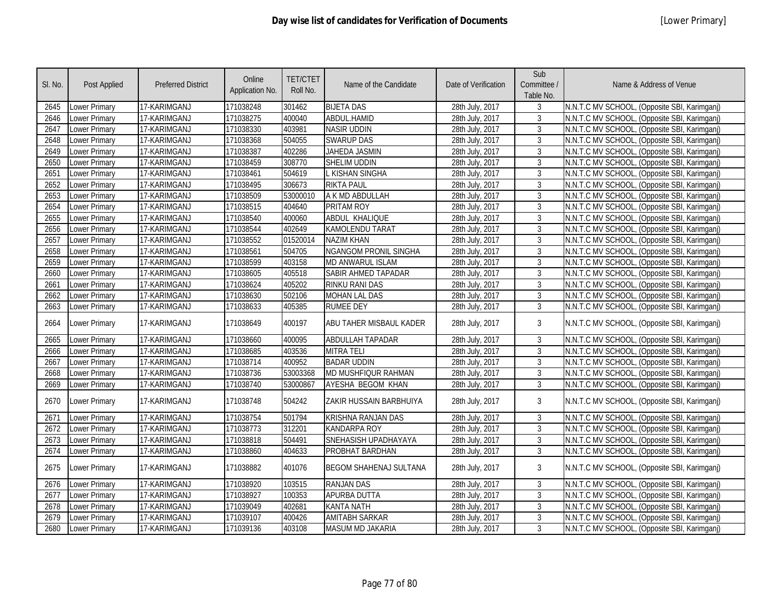| SI. No. | <b>Post Applied</b>  | <b>Preferred District</b> | Online<br>Application No. | <b>TET/CTET</b><br>Roll No. | Name of the Candidate         | Date of Verification | Sub<br>Committee /<br>Table No. | Name & Address of Venue                      |
|---------|----------------------|---------------------------|---------------------------|-----------------------------|-------------------------------|----------------------|---------------------------------|----------------------------------------------|
| 2645    | Lower Primary        | 17-KARIMGANJ              | 171038248                 | 301462                      | <b>BIJETA DAS</b>             | 28th July, 2017      | 3                               | N.N.T.C MV SCHOOL, (Opposite SBI, Karimganj) |
| 2646    | Lower Primary        | 17-KARIMGANJ              | 171038275                 | 400040                      | ABDUL.HAMID                   | 28th July, 2017      | 3                               | N.N.T.C MV SCHOOL, (Opposite SBI, Karimganj) |
| 2647    | Lower Primary        | 17-KARIMGANJ              | 171038330                 | 403981                      | <b>NASIR UDDIN</b>            | 28th July, 2017      | 3                               | N.N.T.C MV SCHOOL, (Opposite SBI, Karimganj) |
| 2648    | Lower Primary        | 17-KARIMGANJ              | 171038368                 | 504055                      | <b>SWARUP DAS</b>             | 28th July, 2017      | 3                               | N.N.T.C MV SCHOOL, (Opposite SBI, Karimganj) |
| 2649    | <b>Lower Primary</b> | 17-KARIMGANJ              | 171038387                 | 402286                      | <b>JAHEDA JASMIN</b>          | 28th July, 2017      | $\overline{3}$                  | N.N.T.C MV SCHOOL, (Opposite SBI, Karimganj) |
| 2650    | <b>Lower Primary</b> | 17-KARIMGANJ              | 171038459                 | 308770                      | SHELIM UDDIN                  | 28th July, 2017      | $\overline{3}$                  | N.N.T.C MV SCHOOL, (Opposite SBI, Karimganj) |
| 2651    | Lower Primary        | 17-KARIMGANJ              | 171038461                 | 504619                      | L KISHAN SINGHA               | 28th July, 2017      | $\mathfrak{Z}$                  | N.N.T.C MV SCHOOL, (Opposite SBI, Karimganj) |
| 2652    | <b>Lower Primary</b> | 17-KARIMGANJ              | 171038495                 | 306673                      | <b>RIKTA PAUL</b>             | 28th July, 2017      | $\overline{3}$                  | N.N.T.C MV SCHOOL, (Opposite SBI, Karimganj) |
| 2653    | <b>Lower Primary</b> | 17-KARIMGANJ              | 171038509                 | 53000010                    | A K MD ABDULLAH               | 28th July, 2017      | $\mathfrak{Z}$                  | N.N.T.C MV SCHOOL, (Opposite SBI, Karimganj) |
| 2654    | <b>Lower Primary</b> | 17-KARIMGANJ              | 171038515                 | 404640                      | PRITAM ROY                    | 28th July, 2017      | $\mathfrak{Z}$                  | N.N.T.C MV SCHOOL, (Opposite SBI, Karimganj) |
| 2655    | Lower Primary        | 17-KARIMGANJ              | 171038540                 | 400060                      | ABDUL KHALIQUE                | 28th July, 2017      | $\mathbf{3}$                    | N.N.T.C MV SCHOOL, (Opposite SBI, Karimganj) |
| 2656    | Lower Primary        | 17-KARIMGANJ              | 171038544                 | 402649                      | <b>KAMOLENDU TARAT</b>        | 28th July, 2017      | 3                               | N.N.T.C MV SCHOOL, (Opposite SBI, Karimganj) |
| 2657    | <b>Lower Primary</b> | 17-KARIMGANJ              | 171038552                 | 01520014                    | <b>NAZIM KHAN</b>             | 28th July, 2017      | $\overline{3}$                  | N.N.T.C MV SCHOOL, (Opposite SBI, Karimganj) |
| 2658    | Lower Primary        | 17-KARIMGANJ              | 171038561                 | 504705                      | <b>NGANGOM PRONIL SINGHA</b>  | 28th July, 2017      | $\mathfrak{Z}$                  | N.N.T.C MV SCHOOL, (Opposite SBI, Karimganj) |
| 2659    | Lower Primary        | 17-KARIMGANJ              | 171038599                 | 403158                      | MD ANWARUL ISLAM              | 28th July, 2017      | $\mathbf{3}$                    | N.N.T.C MV SCHOOL, (Opposite SBI, Karimganj) |
| 2660    | <b>Lower Primary</b> | 17-KARIMGANJ              | 171038605                 | 405518                      | SABIR AHMED TAPADAR           | 28th July, 2017      | $\mathfrak{Z}$                  | N.N.T.C MV SCHOOL, (Opposite SBI, Karimganj) |
| 2661    | Lower Primary        | 17-KARIMGANJ              | 171038624                 | 405202                      | <b>RINKU RANI DAS</b>         | 28th July, 2017      | $\mathbf{3}$                    | N.N.T.C MV SCHOOL, (Opposite SBI, Karimganj) |
| 2662    | Lower Primary        | 17-KARIMGANJ              | 171038630                 | 502106                      | <b>MOHAN LAL DAS</b>          | 28th July, 2017      | 3                               | N.N.T.C MV SCHOOL, (Opposite SBI, Karimganj) |
| 2663    | Lower Primary        | 17-KARIMGANJ              | 171038633                 | 405385                      | <b>RUMEE DEY</b>              | 28th July, 2017      | 3                               | N.N.T.C MV SCHOOL, (Opposite SBI, Karimganj) |
| 2664    | Lower Primary        | 17-KARIMGANJ              | 171038649                 | 400197                      | ABU TAHER MISBAUL KADER       | 28th July, 2017      | 3                               | N.N.T.C MV SCHOOL, (Opposite SBI, Karimganj) |
| 2665    | Lower Primary        | 17-KARIMGANJ              | 171038660                 | 400095                      | ABDULLAH TAPADAR              | 28th July, 2017      | $\mathfrak{Z}$                  | N.N.T.C MV SCHOOL, (Opposite SBI, Karimganj) |
| 2666    | Lower Primary        | 17-KARIMGANJ              | 171038685                 | 403536                      | <b>MITRA TELI</b>             | 28th July, 2017      | $\mathbf{3}$                    | N.N.T.C MV SCHOOL, (Opposite SBI, Karimganj) |
| 2667    | Lower Primary        | 17-KARIMGANJ              | 171038714                 | 400952                      | <b>BADAR UDDIN</b>            | 28th July, 2017      | $\mathbf{3}$                    | N.N.T.C MV SCHOOL, (Opposite SBI, Karimganj) |
| 2668    | Lower Primary        | 17-KARIMGANJ              | 171038736                 | 53003368                    | MD MUSHFIQUR RAHMAN           | 28th July, 2017      | $\mathbf{3}$                    | N.N.T.C MV SCHOOL, (Opposite SBI, Karimganj) |
| 2669    | Lower Primary        | 17-KARIMGANJ              | 171038740                 | 53000867                    | AYESHA BEGOM KHAN             | 28th July, 2017      | $\mathfrak{Z}$                  | N.N.T.C MV SCHOOL, (Opposite SBI, Karimganj) |
| 2670    | <b>Lower Primary</b> | 17-KARIMGANJ              | 171038748                 | 504242                      | ZAKIR HUSSAIN BARBHUIYA       | 28th July, 2017      | 3                               | N.N.T.C MV SCHOOL, (Opposite SBI, Karimganj) |
| 2671    | <b>Lower Primary</b> | 17-KARIMGANJ              | 171038754                 | 501794                      | <b>KRISHNA RANJAN DAS</b>     | 28th July, 2017      | 3                               | N.N.T.C MV SCHOOL, (Opposite SBI, Karimganj) |
| 2672    | Lower Primary        | 17-KARIMGANJ              | 171038773                 | 312201                      | <b>KANDARPA ROY</b>           | 28th July, 2017      | $\overline{3}$                  | N.N.T.C MV SCHOOL, (Opposite SBI, Karimganj) |
| 2673    | <b>Lower Primary</b> | 17-KARIMGANJ              | 171038818                 | 504491                      | SNEHASISH UPADHAYAYA          | 28th July, 2017      | $\mathbf{3}$                    | N.N.T.C MV SCHOOL, (Opposite SBI, Karimganj) |
| 2674    | Lower Primary        | 17-KARIMGANJ              | 171038860                 | 404633                      | PROBHAT BARDHAN               | 28th July, 2017      | $\mathbf{3}$                    | N.N.T.C MV SCHOOL, (Opposite SBI, Karimganj) |
| 2675    | Lower Primary        | 17-KARIMGANJ              | 171038882                 | 401076                      | <b>BEGOM SHAHENAJ SULTANA</b> | 28th July, 2017      | 3                               | N.N.T.C MV SCHOOL, (Opposite SBI, Karimganj) |
| 2676    | Lower Primary        | 17-KARIMGANJ              | 171038920                 | 103515                      | <b>RANJAN DAS</b>             | 28th July, 2017      | 3                               | N.N.T.C MV SCHOOL, (Opposite SBI, Karimganj) |
| 2677    | <b>Lower Primary</b> | 17-KARIMGANJ              | 171038927                 | 100353                      | APURBA DUTTA                  | 28th July, 2017      | $\mathbf{3}$                    | N.N.T.C MV SCHOOL, (Opposite SBI, Karimganj) |
| 2678    | <b>Lower Primary</b> | 17-KARIMGANJ              | 171039049                 | 402681                      | <b>KANTA NATH</b>             | 28th July, 2017      | 3                               | N.N.T.C MV SCHOOL, (Opposite SBI, Karimganj) |
| 2679    | Lower Primary        | 17-KARIMGANJ              | 171039107                 | 400426                      | <b>AMITABH SARKAR</b>         | 28th July, 2017      | $\mathfrak{Z}$                  | N.N.T.C MV SCHOOL, (Opposite SBI, Karimganj) |
| 2680    | Lower Primary        | 17-KARIMGANJ              | 171039136                 | 403108                      | MASUM MD JAKARIA              | 28th July, 2017      | $\overline{3}$                  | N.N.T.C MV SCHOOL, (Opposite SBI, Karimganj) |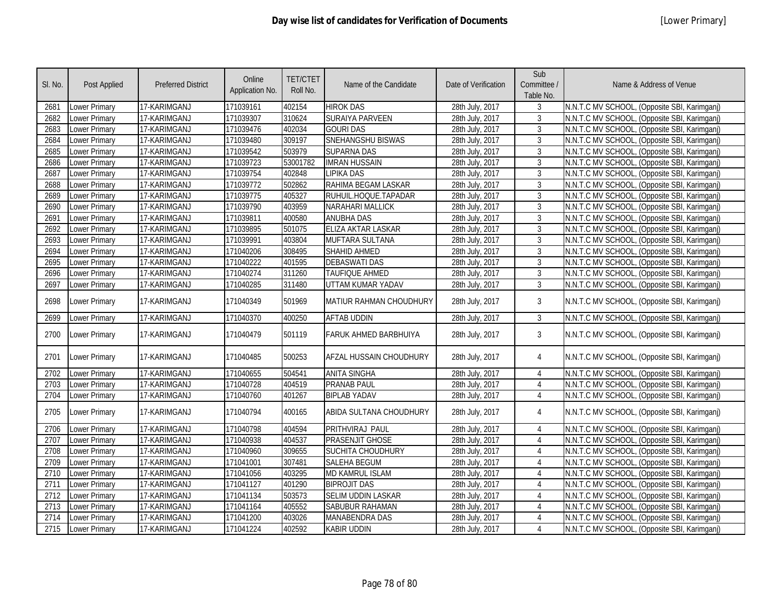| SI. No. | Post Applied         | <b>Preferred District</b> | Online<br>Application No. | <b>TET/CTET</b><br>Roll No. | Name of the Candidate        | Date of Verification | Sub<br>Committee /<br>Table No. | Name & Address of Venue                      |
|---------|----------------------|---------------------------|---------------------------|-----------------------------|------------------------------|----------------------|---------------------------------|----------------------------------------------|
| 2681    | Lower Primary        | 17-KARIMGANJ              | 171039161                 | 402154                      | <b>HIROK DAS</b>             | 28th July, 2017      | 3                               | N.N.T.C MV SCHOOL, (Opposite SBI, Karimganj) |
| 2682    | Lower Primary        | 17-KARIMGANJ              | 171039307                 | 310624                      | SURAIYA PARVEEN              | 28th July, 2017      | 3                               | N.N.T.C MV SCHOOL, (Opposite SBI, Karimganj) |
| 2683    | <b>Lower Primary</b> | 17-KARIMGANJ              | 171039476                 | 402034                      | <b>GOURI DAS</b>             | 28th July, 2017      | $\overline{3}$                  | N.N.T.C MV SCHOOL, (Opposite SBI, Karimganj) |
| 2684    | Lower Primary        | 17-KARIMGANJ              | 171039480                 | 309197                      | SNEHANGSHU BISWAS            | 28th July, 2017      | $\overline{3}$                  | N.N.T.C MV SCHOOL, (Opposite SBI, Karimganj) |
| 2685    | Lower Primary        | 17-KARIMGANJ              | 171039542                 | 503979                      | <b>SUPARNA DAS</b>           | 28th July, 2017      | 3                               | N.N.T.C MV SCHOOL, (Opposite SBI, Karimganj) |
| 2686    | Lower Primary        | 17-KARIMGANJ              | 171039723                 | 53001782                    | <b>IMRAN HUSSAIN</b>         | 28th July, 2017      | 3                               | N.N.T.C MV SCHOOL, (Opposite SBI, Karimganj) |
| 2687    | Lower Primary        | 17-KARIMGANJ              | 171039754                 | 402848                      | <b>LIPIKA DAS</b>            | 28th July, 2017      | 3                               | N.N.T.C MV SCHOOL, (Opposite SBI, Karimganj) |
| 2688    | Lower Primary        | 17-KARIMGANJ              | 171039772                 | 502862                      | RAHIMA BEGAM LASKAR          | 28th July, 2017      | 3                               | N.N.T.C MV SCHOOL, (Opposite SBI, Karimganj) |
| 2689    | Lower Primary        | 17-KARIMGANJ              | 171039775                 | 405327                      | RUHUIL.HOQUE.TAPADAR         | 28th July, 2017      | 3                               | N.N.T.C MV SCHOOL, (Opposite SBI, Karimganj) |
| 2690    | Lower Primary        | 17-KARIMGANJ              | 171039790                 | 403959                      | <b>NARAHARI MALLICK</b>      | 28th July, 2017      | 3                               | N.N.T.C MV SCHOOL, (Opposite SBI, Karimganj) |
| 2691    | Lower Primary        | 17-KARIMGANJ              | 171039811                 | 400580                      | <b>ANUBHA DAS</b>            | 28th July, 2017      | 3                               | N.N.T.C MV SCHOOL, (Opposite SBI, Karimganj) |
| 2692    | Lower Primary        | 17-KARIMGANJ              | 171039895                 | 501075                      | ELIZA AKTAR LASKAR           | 28th July, 2017      | $\mathbf{3}$                    | N.N.T.C MV SCHOOL, (Opposite SBI, Karimganj) |
| 2693    | Lower Primary        | 17-KARIMGANJ              | 171039991                 | 403804                      | MUFTARA SULTANA              | 28th July, 2017      | $\mathbf{3}$                    | N.N.T.C MV SCHOOL, (Opposite SBI, Karimganj) |
| 2694    | Lower Primary        | 17-KARIMGANJ              | 171040206                 | 308495                      | <b>SHAHID AHMED</b>          | 28th July, 2017      | 3                               | N.N.T.C MV SCHOOL, (Opposite SBI, Karimganj) |
| 2695    | Lower Primary        | 17-KARIMGANJ              | 171040222                 | 401595                      | <b>DEBASWATI DAS</b>         | 28th July, 2017      | $\mathfrak{Z}$                  | N.N.T.C MV SCHOOL, (Opposite SBI, Karimganj) |
| 2696    | Lower Primary        | 17-KARIMGANJ              | 171040274                 | 311260                      | TAUFIQUE AHMED               | 28th July, 2017      | $\mathfrak{Z}$                  | N.N.T.C MV SCHOOL, (Opposite SBI, Karimganj) |
| 2697    | Lower Primary        | 17-KARIMGANJ              | 171040285                 | 311480                      | UTTAM KUMAR YADAV            | 28th July, 2017      | 3                               | N.N.T.C MV SCHOOL, (Opposite SBI, Karimganj) |
| 2698    | Lower Primary        | 17-KARIMGANJ              | 171040349                 | 501969                      | MATIUR RAHMAN CHOUDHURY      | 28th July, 2017      | 3                               | N.N.T.C MV SCHOOL, (Opposite SBI, Karimganj) |
| 2699    | Lower Primary        | 17-KARIMGANJ              | 171040370                 | 400250                      | <b>AFTAB UDDIN</b>           | 28th July, 2017      | $\mathbf{3}$                    | N.N.T.C MV SCHOOL, (Opposite SBI, Karimganj) |
| 2700    | Lower Primary        | 17-KARIMGANJ              | 171040479                 | 501119                      | <b>FARUK AHMED BARBHUIYA</b> | 28th July, 2017      | 3                               | N.N.T.C MV SCHOOL, (Opposite SBI, Karimganj) |
| 2701    | Lower Primary        | 17-KARIMGANJ              | 171040485                 | 500253                      | AFZAL HUSSAIN CHOUDHURY      | 28th July, 2017      | $\overline{4}$                  | N.N.T.C MV SCHOOL, (Opposite SBI, Karimganj) |
| 2702    | Lower Primary        | 17-KARIMGANJ              | 171040655                 | 504541                      | <b>ANITA SINGHA</b>          | 28th July, 2017      | $\overline{4}$                  | N.N.T.C MV SCHOOL, (Opposite SBI, Karimganj) |
| 2703    | Lower Primary        | 17-KARIMGANJ              | 171040728                 | 404519                      | PRANAB PAUL                  | 28th July, 2017      | $\overline{4}$                  | N.N.T.C MV SCHOOL, (Opposite SBI, Karimganj) |
| 2704    | Lower Primary        | 17-KARIMGANJ              | 171040760                 | 401267                      | <b>BIPLAB YADAV</b>          | 28th July, 2017      | $\overline{4}$                  | N.N.T.C MV SCHOOL, (Opposite SBI, Karimganj) |
| 2705    | Lower Primary        | 17-KARIMGANJ              | 171040794                 | 400165                      | ABIDA SULTANA CHOUDHURY      | 28th July, 2017      | 4                               | N.N.T.C MV SCHOOL, (Opposite SBI, Karimganj) |
| 2706    | Lower Primary        | 17-KARIMGANJ              | 171040798                 | 404594                      | PRITHVIRAJ PAUL              | 28th July, 2017      | $\overline{4}$                  | N.N.T.C MV SCHOOL, (Opposite SBI, Karimganj) |
| 2707    | <b>Lower Primary</b> | 17-KARIMGANJ              | 171040938                 | 404537                      | PRASENJIT GHOSE              | 28th July, 2017      | $\overline{4}$                  | N.N.T.C MV SCHOOL, (Opposite SBI, Karimganj) |
| 2708    | Lower Primary        | 17-KARIMGANJ              | 171040960                 | 309655                      | <b>SUCHITA CHOUDHURY</b>     | 28th July, 2017      | $\overline{4}$                  | N.N.T.C MV SCHOOL, (Opposite SBI, Karimganj) |
| 2709    | Lower Primary        | 17-KARIMGANJ              | 171041001                 | 307481                      | <b>SALEHA BEGUM</b>          | 28th July, 2017      | $\overline{4}$                  | N.N.T.C MV SCHOOL, (Opposite SBI, Karimganj) |
| 2710    | Lower Primary        | 17-KARIMGANJ              | 171041056                 | 403295                      | <b>MD KAMRUL ISLAM</b>       | 28th July, 2017      | $\overline{4}$                  | N.N.T.C MV SCHOOL, (Opposite SBI, Karimganj) |
| 2711    | Lower Primary        | 17-KARIMGANJ              | 171041127                 | 401290                      | <b>BIPROJIT DAS</b>          | 28th July, 2017      | $\overline{4}$                  | N.N.T.C MV SCHOOL, (Opposite SBI, Karimganj) |
| 2712    | Lower Primary        | 17-KARIMGANJ              | 171041134                 | 503573                      | SELIM UDDIN LASKAR           | 28th July, 2017      | 4                               | N.N.T.C MV SCHOOL, (Opposite SBI, Karimganj) |
| 2713    | <b>Lower Primary</b> | 17-KARIMGANJ              | 171041164                 | 405552                      | SABUBUR RAHAMAN              | 28th July, 2017      | $\overline{4}$                  | N.N.T.C MV SCHOOL, (Opposite SBI, Karimganj) |
| 2714    | Lower Primary        | 17-KARIMGANJ              | 171041200                 | 403026                      | <b>MANABENDRA DAS</b>        | 28th July, 2017      | $\overline{4}$                  | N.N.T.C MV SCHOOL, (Opposite SBI, Karimganj) |
| 2715    | Lower Primary        | 17-KARIMGANJ              | 171041224                 | 402592                      | <b>KABIR UDDIN</b>           | 28th July, 2017      | 4                               | N.N.T.C MV SCHOOL, (Opposite SBI, Karimganj) |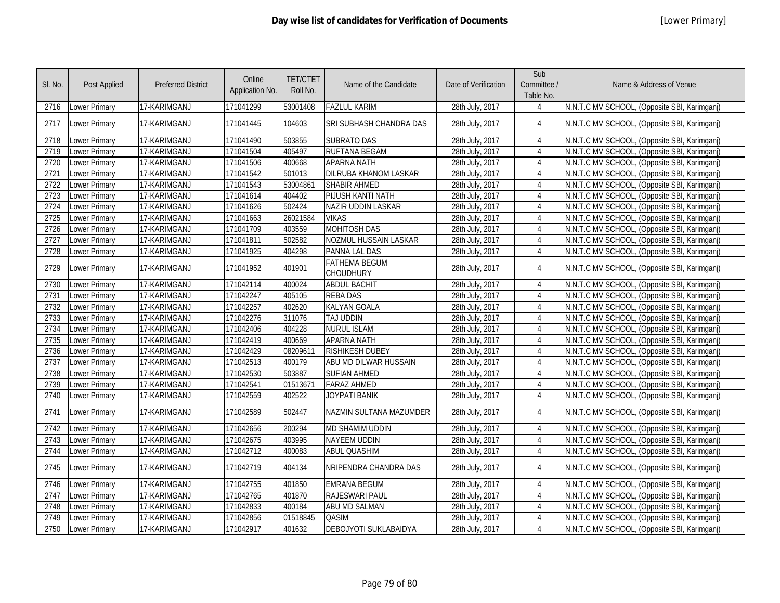| SI. No. | <b>Post Applied</b>  | <b>Preferred District</b> | Online<br>Application No. | <b>TET/CTET</b><br>Roll No. | Name of the Candidate                    | Date of Verification | Sub<br>Committee /<br>Table No. | Name & Address of Venue                      |
|---------|----------------------|---------------------------|---------------------------|-----------------------------|------------------------------------------|----------------------|---------------------------------|----------------------------------------------|
| 2716    | Lower Primary        | 17-KARIMGANJ              | 171041299                 | 53001408                    | <b>FAZLUL KARIM</b>                      | 28th July, 2017      | $\overline{4}$                  | N.N.T.C MV SCHOOL, (Opposite SBI, Karimganj) |
| 2717    | Lower Primary        | 17-KARIMGANJ              | 171041445                 | 104603                      | SRI SUBHASH CHANDRA DAS                  | 28th July, 2017      | 4                               | N.N.T.C MV SCHOOL, (Opposite SBI, Karimganj) |
| 2718    | Lower Primary        | 17-KARIMGANJ              | 171041490                 | 503855                      | <b>SUBRATO DAS</b>                       | 28th July, 2017      | 4                               | N.N.T.C MV SCHOOL, (Opposite SBI, Karimganj) |
| 2719    | Lower Primary        | 17-KARIMGANJ              | 171041504                 | 405497                      | <b>RUFTANA BEGAM</b>                     | 28th July, 2017      | $\overline{4}$                  | N.N.T.C MV SCHOOL, (Opposite SBI, Karimganj) |
| 2720    | Lower Primary        | 17-KARIMGANJ              | 171041506                 | 400668                      | <b>APARNA NATH</b>                       | 28th July, 2017      | $\overline{4}$                  | N.N.T.C MV SCHOOL, (Opposite SBI, Karimganj) |
| 2721    | Lower Primary        | 17-KARIMGANJ              | 171041542                 | 501013                      | DILRUBA KHANOM LASKAR                    | 28th July, 2017      | $\overline{4}$                  | N.N.T.C MV SCHOOL, (Opposite SBI, Karimganj) |
| 2722    | Lower Primary        | 17-KARIMGANJ              | 171041543                 | 53004861                    | <b>SHABIR AHMED</b>                      | 28th July, 2017      | $\overline{4}$                  | N.N.T.C MV SCHOOL, (Opposite SBI, Karimganj) |
| 2723    | Lower Primary        | 17-KARIMGANJ              | 171041614                 | 404402                      | PIJUSH KANTI NATH                        | 28th July, 2017      | $\overline{4}$                  | N.N.T.C MV SCHOOL, (Opposite SBI, Karimganj) |
| 2724    | Lower Primary        | 17-KARIMGANJ              | 171041626                 | 502424                      | NAZIR UDDIN LASKAR                       | 28th July, 2017      | $\overline{4}$                  | N.N.T.C MV SCHOOL, (Opposite SBI, Karimganj) |
| 2725    | Lower Primary        | 17-KARIMGANJ              | 171041663                 | 26021584                    | <b>VIKAS</b>                             | 28th July, 2017      | $\overline{4}$                  | N.N.T.C MV SCHOOL, (Opposite SBI, Karimganj) |
| 2726    | Lower Primary        | 17-KARIMGANJ              | 171041709                 | 403559                      | <b>MOHITOSH DAS</b>                      | 28th July, 2017      | $\overline{4}$                  | N.N.T.C MV SCHOOL, (Opposite SBI, Karimganj) |
| 2727    | Lower Primary        | 17-KARIMGANJ              | 171041811                 | 502582                      | NOZMUL HUSSAIN LASKAR                    | 28th July, 2017      | $\overline{4}$                  | N.N.T.C MV SCHOOL, (Opposite SBI, Karimganj) |
| 2728    | Lower Primary        | 17-KARIMGANJ              | 171041925                 | 404298                      | PANNA LAL DAS                            | 28th July, 2017      | $\overline{4}$                  | N.N.T.C MV SCHOOL, (Opposite SBI, Karimganj) |
| 2729    | Lower Primary        | 17-KARIMGANJ              | 171041952                 | 401901                      | <b>FATHEMA BEGUM</b><br><b>CHOUDHURY</b> | 28th July, 2017      | $\overline{4}$                  | N.N.T.C MV SCHOOL, (Opposite SBI, Karimganj) |
| 2730    | Lower Primary        | 17-KARIMGANJ              | 171042114                 | 400024                      | <b>ABDUL BACHIT</b>                      | 28th July, 2017      | $\overline{4}$                  | N.N.T.C MV SCHOOL, (Opposite SBI, Karimganj) |
| 2731    | Lower Primary        | 17-KARIMGANJ              | 171042247                 | 405105                      | <b>REBADAS</b>                           | 28th July, 2017      | $\overline{4}$                  | N.N.T.C MV SCHOOL, (Opposite SBI, Karimganj) |
| 2732    | Lower Primary        | 17-KARIMGANJ              | 171042257                 | 402620                      | <b>KALYAN GOALA</b>                      | 28th July, 2017      | $\overline{4}$                  | N.N.T.C MV SCHOOL, (Opposite SBI, Karimganj) |
| 2733    | Lower Primary        | 17-KARIMGANJ              | 171042276                 | 311076                      | <b>TAJ UDDIN</b>                         | 28th July, 2017      | 4                               | N.N.T.C MV SCHOOL, (Opposite SBI, Karimganj) |
| 2734    | <b>Lower Primary</b> | 17-KARIMGANJ              | 171042406                 | 404228                      | <b>NURUL ISLAM</b>                       | 28th July, 2017      | 4                               | N.N.T.C MV SCHOOL, (Opposite SBI, Karimganj) |
| 2735    | Lower Primary        | 17-KARIMGANJ              | 171042419                 | 400669                      | <b>APARNA NATH</b>                       | 28th July, 2017      | $\overline{4}$                  | N.N.T.C MV SCHOOL, (Opposite SBI, Karimganj) |
| 2736    | Lower Primary        | 17-KARIMGANJ              | 171042429                 | 08209611                    | <b>RISHIKESH DUBEY</b>                   | 28th July, 2017      | 4                               | N.N.T.C MV SCHOOL, (Opposite SBI, Karimganj) |
| 2737    | Lower Primary        | 17-KARIMGANJ              | 171042513                 | 400179                      | ABU MD DILWAR HUSSAIN                    | 28th July, 2017      | $\overline{4}$                  | N.N.T.C MV SCHOOL, (Opposite SBI, Karimganj) |
| 2738    | Lower Primary        | 17-KARIMGANJ              | 171042530                 | 503887                      | <b>SUFIAN AHMED</b>                      | 28th July, 2017      | 4                               | N.N.T.C MV SCHOOL, (Opposite SBI, Karimganj) |
| 2739    | Lower Primary        | 17-KARIMGANJ              | 171042541                 | 01513671                    | <b>FARAZ AHMED</b>                       | 28th July, 2017      | $\overline{4}$                  | N.N.T.C MV SCHOOL, (Opposite SBI, Karimganj) |
| 2740    | Lower Primary        | 17-KARIMGANJ              | 171042559                 | 402522                      | JOYPATI BANIK                            | 28th July, 2017      | 4                               | N.N.T.C MV SCHOOL, (Opposite SBI, Karimganj) |
| 2741    | Lower Primary        | 17-KARIMGANJ              | 171042589                 | 502447                      | NAZMIN SULTANA MAZUMDER                  | 28th July, 2017      | 4                               | N.N.T.C MV SCHOOL, (Opposite SBI, Karimganj) |
| 2742    | Lower Primary        | 17-KARIMGANJ              | 171042656                 | 200294                      | <b>MD SHAMIM UDDIN</b>                   | 28th July, 2017      | $\overline{4}$                  | N.N.T.C MV SCHOOL, (Opposite SBI, Karimganj) |
| 2743    | Lower Primary        | 17-KARIMGANJ              | 171042675                 | 403995                      | <b>NAYEEM UDDIN</b>                      | 28th July, 2017      | $\overline{4}$                  | N.N.T.C MV SCHOOL, (Opposite SBI, Karimganj) |
| 2744    | Lower Primary        | 17-KARIMGANJ              | 171042712                 | 400083                      | <b>ABUL QUASHIM</b>                      | 28th July, 2017      | $\overline{4}$                  | N.N.T.C MV SCHOOL, (Opposite SBI, Karimganj) |
| 2745    | Lower Primary        | 17-KARIMGANJ              | 171042719                 | 404134                      | NRIPENDRA CHANDRA DAS                    | 28th July, 2017      | $\overline{4}$                  | N.N.T.C MV SCHOOL, (Opposite SBI, Karimganj) |
| 2746    | Lower Primary        | 17-KARIMGANJ              | 171042755                 | 401850                      | <b>EMRANA BEGUM</b>                      | 28th July, 2017      | $\overline{4}$                  | N.N.T.C MV SCHOOL, (Opposite SBI, Karimganj) |
| 2747    | Lower Primary        | 17-KARIMGANJ              | 171042765                 | 401870                      | RAJESWARI PAUL                           | 28th July, 2017      | $\overline{4}$                  | N.N.T.C MV SCHOOL, (Opposite SBI, Karimganj) |
| 2748    | Lower Primary        | 17-KARIMGANJ              | 171042833                 | 400184                      | <b>ABU MD SALMAN</b>                     | 28th July, 2017      | $\overline{4}$                  | N.N.T.C MV SCHOOL, (Opposite SBI, Karimganj) |
| 2749    | Lower Primary        | 17-KARIMGANJ              | 171042856                 | 01518845                    | <b>QASIM</b>                             | 28th July, 2017      | 4                               | N.N.T.C MV SCHOOL, (Opposite SBI, Karimganj) |
| 2750    | <b>Lower Primary</b> | 17-KARIMGANJ              | 171042917                 | 401632                      | DEBOJYOTI SUKLABAIDYA                    | 28th July, 2017      | $\overline{4}$                  | N.N.T.C MV SCHOOL, (Opposite SBI, Karimganj) |